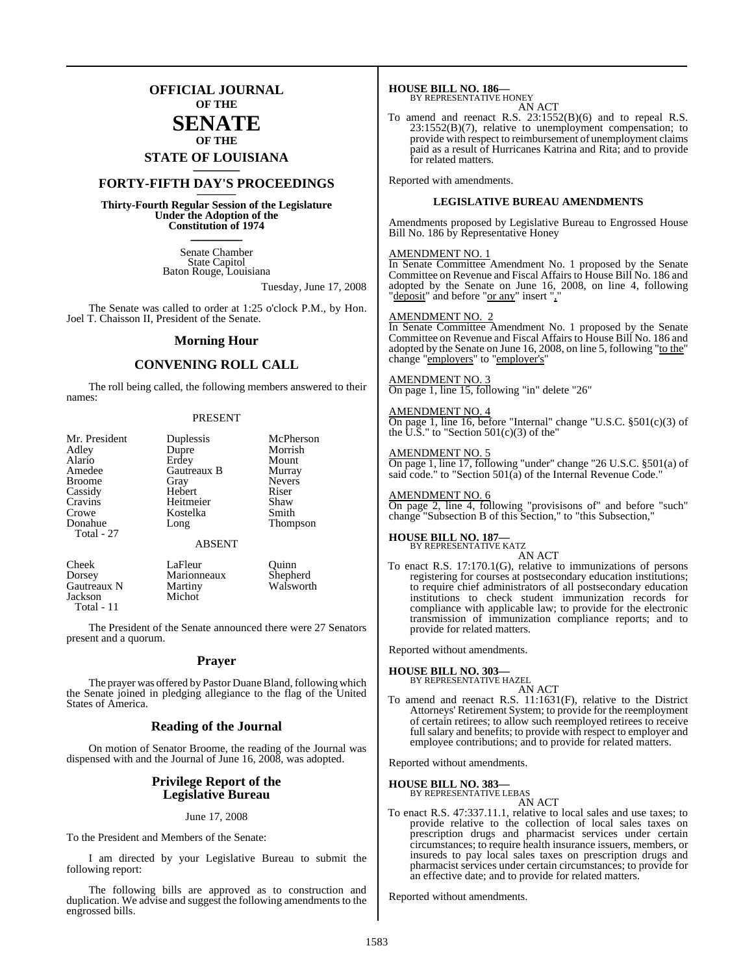### **OFFICIAL JOURNAL OF THE**

### **SENATE OF THE**

# **STATE OF LOUISIANA \_\_\_\_\_\_\_**

### **FORTY-FIFTH DAY'S PROCEEDINGS \_\_\_\_\_\_\_**

**Thirty-Fourth Regular Session of the Legislature Under the Adoption of the Constitution of 1974 \_\_\_\_\_\_\_**

> Senate Chamber State Capitol Baton Rouge, Louisiana

> > Tuesday, June 17, 2008

The Senate was called to order at 1:25 o'clock P.M., by Hon. Joel T. Chaisson II, President of the Senate.

#### **Morning Hour**

#### **CONVENING ROLL CALL**

The roll being called, the following members answered to their names:

#### PRESENT

| Mr. President         | Duplessis     | McPherson     |
|-----------------------|---------------|---------------|
| Adley                 | Dupre         | Morrish       |
| Alario                | Erdey         | Mount         |
| Amedee                | Gautreaux B   | Murray        |
| <b>Broome</b>         | Gray          | <b>Nevers</b> |
| Cassidy               | Hebert        | Riser         |
| Cravins               | Heitmeier     | Shaw          |
| Crowe                 | Kostelka      | Smith         |
| Donahue<br>Total - 27 | Long          | Thompson      |
|                       | <b>ABSENT</b> |               |
| $\sim$                | <b>T</b> THE  |               |

| Cheek       | LaFleur     | Ouinn     |
|-------------|-------------|-----------|
| Dorsey      | Marionneaux | Shepherd  |
| Gautreaux N | Martiny     | Walsworth |
| Jackson     | Michot      |           |
| Total - 11  |             |           |

The President of the Senate announced there were 27 Senators present and a quorum.

#### **Prayer**

The prayer was offered by Pastor Duane Bland, following which the Senate joined in pledging allegiance to the flag of the United States of America.

#### **Reading of the Journal**

On motion of Senator Broome, the reading of the Journal was dispensed with and the Journal of June 16, 2008, was adopted.

#### **Privilege Report of the Legislative Bureau**

June 17, 2008

To the President and Members of the Senate:

I am directed by your Legislative Bureau to submit the following report:

The following bills are approved as to construction and duplication. We advise and suggest the following amendments to the engrossed bills.

**HOUSE BILL NO. 186—** BY REPRESENTATIVE HONEY

#### AN ACT

To amend and reenact R.S. 23:1552(B)(6) and to repeal R.S. 23:1552(B)(7), relative to unemployment compensation; to provide with respect to reimbursement of unemployment claims paid as a result of Hurricanes Katrina and Rita; and to provide for related matters.

Reported with amendments.

#### **LEGISLATIVE BUREAU AMENDMENTS**

Amendments proposed by Legislative Bureau to Engrossed House Bill No. 186 by Representative Honey

#### AMENDMENT NO. 1

In Senate Committee Amendment No. 1 proposed by the Senate Committee on Revenue and Fiscal Affairs to House Bill No. 186 and adopted by the Senate on June 16, 2008, on line 4, following "densati" and before "graphy" insert " "deposit" and before "or any" insert ",

#### AMENDMENT NO. 2

In Senate Committee Amendment No. 1 proposed by the Senate Committee on Revenue and Fiscal Affairs to House Bill No. 186 and adopted by the Senate on June 16, 2008, on line 5, following "to the" change "employers" to "employer's"

#### AMENDMENT NO. 3

On page 1, line 15, following "in" delete "26"

#### AMENDMENT NO. 4

On page 1, line 16, before "Internal" change "U.S.C. §501(c)(3) of the  $\tilde{U}$ .S." to "Section 501(c)(3) of the"

#### AMENDMENT NO. 5

On page 1, line 17, following "under" change "26 U.S.C. §501(a) of said code." to "Section 501(a) of the Internal Revenue Code."

#### AMENDMENT NO. 6

On page 2, line 4, following "provisisons of" and before "such" change "Subsection B of this Section," to "this Subsection,"

### **HOUSE BILL NO. 187—** BY REPRESENTATIVE KATZ

AN ACT

To enact R.S. 17:170.1(G), relative to immunizations of persons registering for courses at postsecondary education institutions; to require chief administrators of all postsecondary education institutions to check student immunization records for compliance with applicable law; to provide for the electronic transmission of immunization compliance reports; and to provide for related matters.

Reported without amendments.

#### **HOUSE BILL NO. 303—**

BY REPRESENTATIVE HAZEL

AN ACT To amend and reenact R.S. 11:1631(F), relative to the District Attorneys' Retirement System; to provide for the reemployment of certain retirees; to allow such reemployed retirees to receive full salary and benefits; to provide with respect to employer and employee contributions; and to provide for related matters.

Reported without amendments.

### **HOUSE BILL NO. 383—** BY REPRESENTATIVE LEBAS

AN ACT

To enact R.S. 47:337.11.1, relative to local sales and use taxes; to provide relative to the collection of local sales taxes on prescription drugs and pharmacist services under certain circumstances; to require health insurance issuers, members, or insureds to pay local sales taxes on prescription drugs and pharmacist services under certain circumstances; to provide for an effective date; and to provide for related matters.

Reported without amendments.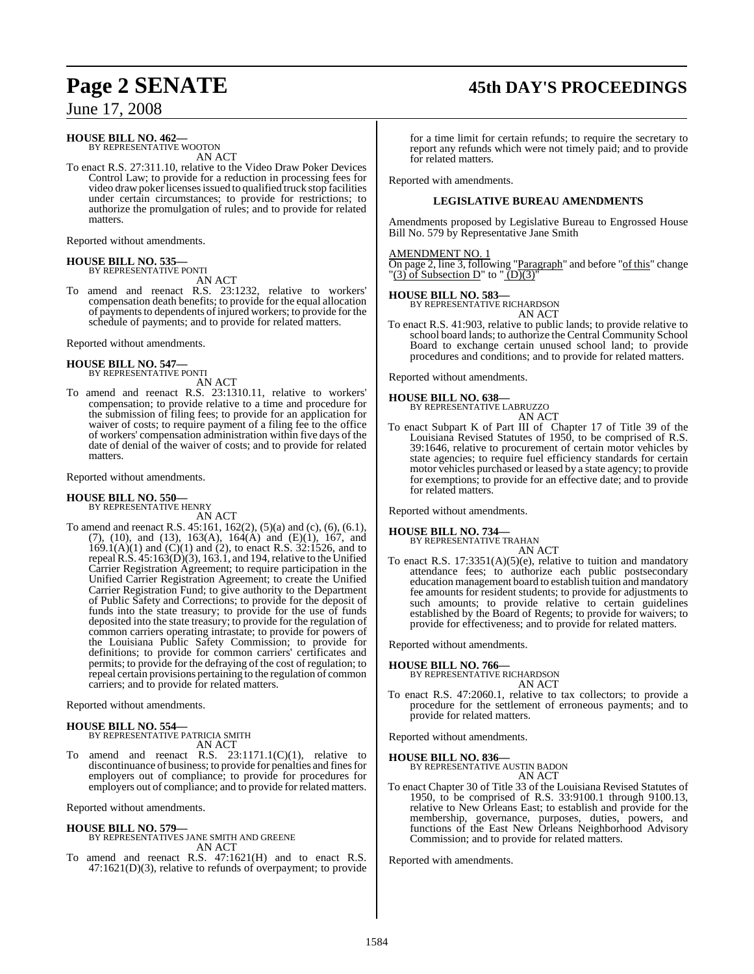## **Page 2 SENATE 45th DAY'S PROCEEDINGS**

June 17, 2008

### **HOUSE BILL NO. 462—**

BY REPRESENTATIVE WOOTON AN ACT

To enact R.S. 27:311.10, relative to the Video Draw Poker Devices Control Law; to provide for a reduction in processing fees for video draw poker licenses issued to qualified truck stop facilities under certain circumstances; to provide for restrictions; to authorize the promulgation of rules; and to provide for related matters.

Reported without amendments.

#### **HOUSE BILL NO. 535—** BY REPRESENTATIVE PONTI

AN ACT

To amend and reenact R.S. 23:1232, relative to workers' compensation death benefits; to provide for the equal allocation of payments to dependents of injured workers; to provide for the schedule of payments; and to provide for related matters.

Reported without amendments.

#### **HOUSE BILL NO. 547—** BY REPRESENTATIVE PONTI

AN ACT

To amend and reenact R.S. 23:1310.11, relative to workers' compensation; to provide relative to a time and procedure for the submission of filing fees; to provide for an application for waiver of costs; to require payment of a filing fee to the office of workers' compensation administration within five days of the date of denial of the waiver of costs; and to provide for related matters.

Reported without amendments.

# **HOUSE BILL NO. 550—** BY REPRESENTATIVE HENRY

AN ACT

To amend and reenact R.S. 45:161, 162(2), (5)(a) and (c), (6), (6.1), (7), (10), and (13), 163(A), 164(A) and (E)(1), 167, and  $169.1(A)(1)$  and  $(C)(1)$  and  $(2)$ , to enact R.S. 32:1526, and to repeal  $R.S. 45:163(D)(3), 163.1,$  and 194, relative to the Unified Carrier Registration Agreement; to require participation in the Unified Carrier Registration Agreement; to create the Unified Carrier Registration Fund; to give authority to the Department of Public Safety and Corrections; to provide for the deposit of funds into the state treasury; to provide for the use of funds deposited into the state treasury; to provide for the regulation of common carriers operating intrastate; to provide for powers of the Louisiana Public Safety Commission; to provide for definitions; to provide for common carriers' certificates and permits; to provide for the defraying of the cost of regulation; to repeal certain provisions pertaining to the regulation of common carriers; and to provide for related matters.

Reported without amendments.

#### **HOUSE BILL NO. 554—** BY REPRESENTATIVE PATRICIA SMITH AN ACT

To amend and reenact R.S.  $23:1171.1(C)(1)$ , relative to discontinuance of business; to provide for penalties and fines for employers out of compliance; to provide for procedures for employers out of compliance; and to provide for related matters.

Reported without amendments.

#### **HOUSE BILL NO. 579—** BY REPRESENTATIVES JANE SMITH AND GREENE AN ACT

To amend and reenact R.S. 47:1621(H) and to enact R.S. 47:1621(D)(3), relative to refunds of overpayment; to provide

for a time limit for certain refunds; to require the secretary to report any refunds which were not timely paid; and to provide for related matters.

Reported with amendments.

#### **LEGISLATIVE BUREAU AMENDMENTS**

Amendments proposed by Legislative Bureau to Engrossed House Bill No. 579 by Representative Jane Smith

#### AMENDMENT NO. 1

On page 2, line 3, following "Paragraph" and before "of this" change " $(3)$  of Subsection D" to " $(D)(3)$ "

#### **HOUSE BILL NO. 583—**

BY REPRESENTATIVE RICHARDSON AN ACT

To enact R.S. 41:903, relative to public lands; to provide relative to school board lands; to authorize the Central Community School Board to exchange certain unused school land; to provide procedures and conditions; and to provide for related matters.

Reported without amendments.

#### **HOUSE BILL NO. 638—**

BY REPRESENTATIVE LABRUZZO AN ACT

To enact Subpart K of Part III of Chapter 17 of Title 39 of the Louisiana Revised Statutes of 1950, to be comprised of R.S. 39:1646, relative to procurement of certain motor vehicles by state agencies; to require fuel efficiency standards for certain motor vehicles purchased or leased by a state agency; to provide for exemptions; to provide for an effective date; and to provide for related matters.

Reported without amendments.

#### **HOUSE BILL NO. 734—** BY REPRESENTATIVE TRAHAN

AN ACT

To enact R.S. 17:3351(A)(5)(e), relative to tuition and mandatory attendance fees; to authorize each public postsecondary education management board to establish tuition and mandatory fee amounts for resident students; to provide for adjustments to such amounts; to provide relative to certain guidelines established by the Board of Regents; to provide for waivers; to provide for effectiveness; and to provide for related matters.

Reported without amendments.

#### **HOUSE BILL NO. 766—**

BY REPRESENTATIVE RICHARDSON AN ACT

To enact R.S. 47:2060.1, relative to tax collectors; to provide a procedure for the settlement of erroneous payments; and to provide for related matters.

Reported without amendments.

**HOUSE BILL NO. 836—** BY REPRESENTATIVE AUSTIN BADON

- AN ACT
- To enact Chapter 30 of Title 33 of the Louisiana Revised Statutes of 1950, to be comprised of R.S. 33:9100.1 through 9100.13, relative to New Orleans East; to establish and provide for the membership, governance, purposes, duties, powers, and functions of the East New Orleans Neighborhood Advisory Commission; and to provide for related matters.

Reported with amendments.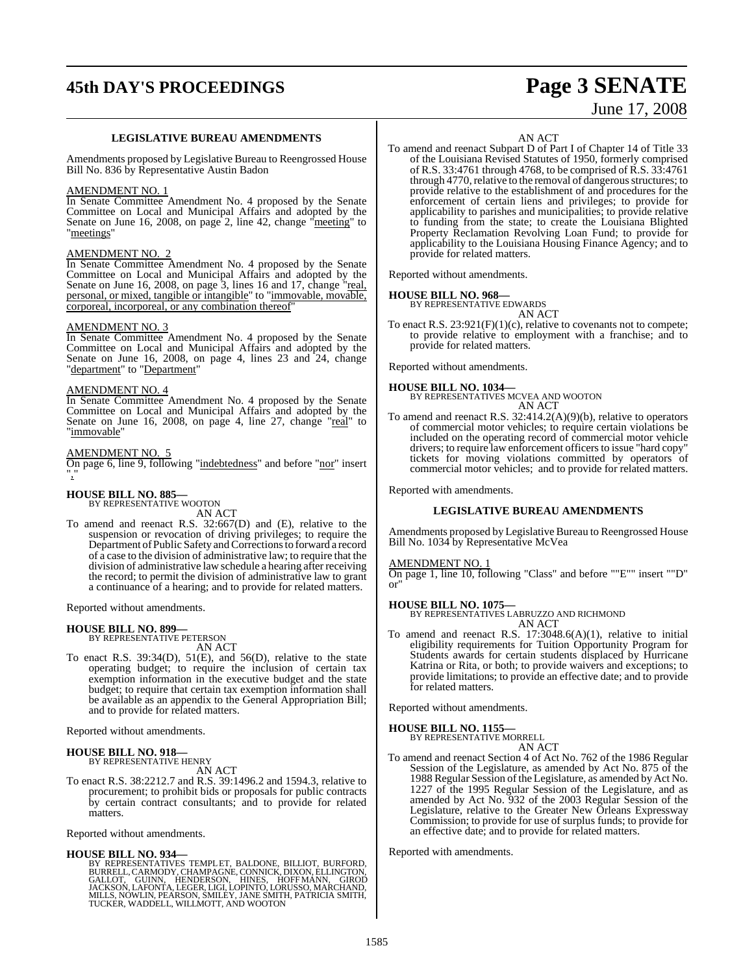# **45th DAY'S PROCEEDINGS Page 3 SENATE**

# June 17, 2008

#### **LEGISLATIVE BUREAU AMENDMENTS**

Amendments proposed by Legislative Bureau to Reengrossed House Bill No. 836 by Representative Austin Badon

#### AMENDMENT NO. 1

In Senate Committee Amendment No. 4 proposed by the Senate Committee on Local and Municipal Affairs and adopted by the Senate on June 16, 2008, on page 2, line 42, change "meeting" to "meetings"

#### AMENDMENT NO. 2

In Senate Committee Amendment No. 4 proposed by the Senate Committee on Local and Municipal Affairs and adopted by the Senate on June 16, 2008, on page 3, lines 16 and 17, change "real, personal, or mixed, tangible or intangible" to "immovable, movable, corporeal, incorporeal, or any combination thereof

#### AMENDMENT NO. 3

In Senate Committee Amendment No. 4 proposed by the Senate Committee on Local and Municipal Affairs and adopted by the Senate on June 16, 2008, on page 4, lines 23 and 24, change 'department" to "Department"

#### AMENDMENT NO. 4

In Senate Committee Amendment No. 4 proposed by the Senate Committee on Local and Municipal Affairs and adopted by the Senate on June 16, 2008, on page 4, line 27, change "real" to "immovable"

#### AMENDMENT NO. 5

On page 6, line 9, following "indebtedness" and before "nor" insert ","

# **HOUSE BILL NO. 885—** BY REPRESENTATIVE WOOTON

AN ACT

To amend and reenact R.S. 32:667(D) and (E), relative to the suspension or revocation of driving privileges; to require the Department of Public Safety and Corrections to forward a record of a case to the division of administrative law; to require that the division of administrative law schedule a hearing after receiving the record; to permit the division of administrative law to grant a continuance of a hearing; and to provide for related matters.

Reported without amendments.

#### **HOUSE BILL NO. 899—**

BY REPRESENTATIVE PETERSON AN ACT

To enact R.S. 39:34(D), 51(E), and 56(D), relative to the state operating budget; to require the inclusion of certain tax exemption information in the executive budget and the state budget; to require that certain tax exemption information shall be available as an appendix to the General Appropriation Bill; and to provide for related matters.

Reported without amendments.

### **HOUSE BILL NO. 918—**

BY REPRESENTATIVE HENRY AN ACT

To enact R.S. 38:2212.7 and R.S. 39:1496.2 and 1594.3, relative to procurement; to prohibit bids or proposals for public contracts by certain contract consultants; and to provide for related matters.

Reported without amendments.

#### **HOUSE BILL NO. 934—**

BY REPRESENTATIVES TEMPLET, BALDONE, BILLIOT, BURFORD,<br>BURRELL, CARMODY, CHAMPAGNE, CONNICK, DIXON, ELLINGTON,<br>GALLOT, GUINN, HENDERSON, HINES, HOFFMANN, GIROD<br>JACKSON, LAFONTA, LEGER, LIGI, LOPINTO, LORUSSO, MARCHAND,<br>MIL

#### AN ACT

To amend and reenact Subpart D of Part I of Chapter 14 of Title 33 of the Louisiana Revised Statutes of 1950, formerly comprised of R.S. 33:4761 through 4768, to be comprised of R.S. 33:4761 through 4770, relative to the removal of dangerous structures; to provide relative to the establishment of and procedures for the enforcement of certain liens and privileges; to provide for applicability to parishes and municipalities; to provide relative to funding from the state; to create the Louisiana Blighted Property Reclamation Revolving Loan Fund; to provide for applicability to the Louisiana Housing Finance Agency; and to provide for related matters.

Reported without amendments.

#### **HOUSE BILL NO. 968—**

BY REPRESENTATIVE EDWARDS AN ACT

To enact R.S. 23:921(F)(1)(c), relative to covenants not to compete; to provide relative to employment with a franchise; and to provide for related matters.

Reported without amendments.

**HOUSE BILL NO. 1034—** BY REPRESENTATIVES MCVEA AND WOOTON AN ACT

To amend and reenact R.S. 32:414.2(A)(9)(b), relative to operators of commercial motor vehicles; to require certain violations be included on the operating record of commercial motor vehicle drivers; to require law enforcement officers to issue "hard copy" tickets for moving violations committed by operators of commercial motor vehicles; and to provide for related matters.

Reported with amendments.

#### **LEGISLATIVE BUREAU AMENDMENTS**

Amendments proposed by Legislative Bureau to Reengrossed House Bill No. 1034 by Representative McVea

#### AMENDMENT NO. 1

On page 1, line 10, following "Class" and before ""E"" insert ""D" or"

**HOUSE BILL NO. 1075—** BY REPRESENTATIVES LABRUZZO AND RICHMOND AN ACT

To amend and reenact R.S. 17:3048.6(A)(1), relative to initial eligibility requirements for Tuition Opportunity Program for Students awards for certain students displaced by Hurricane Katrina or Rita, or both; to provide waivers and exceptions; to provide limitations; to provide an effective date; and to provide for related matters.

Reported without amendments.

## **HOUSE BILL NO. 1155—** BY REPRESENTATIVE MORRELL

AN ACT

To amend and reenact Section 4 of Act No. 762 of the 1986 Regular Session of the Legislature, as amended by Act No. 875 of the 1988 Regular Session ofthe Legislature, as amended by Act No. 1227 of the 1995 Regular Session of the Legislature, and as amended by Act No. 932 of the 2003 Regular Session of the Legislature, relative to the Greater New Orleans Expressway Commission; to provide for use of surplus funds; to provide for an effective date; and to provide for related matters.

Reported with amendments.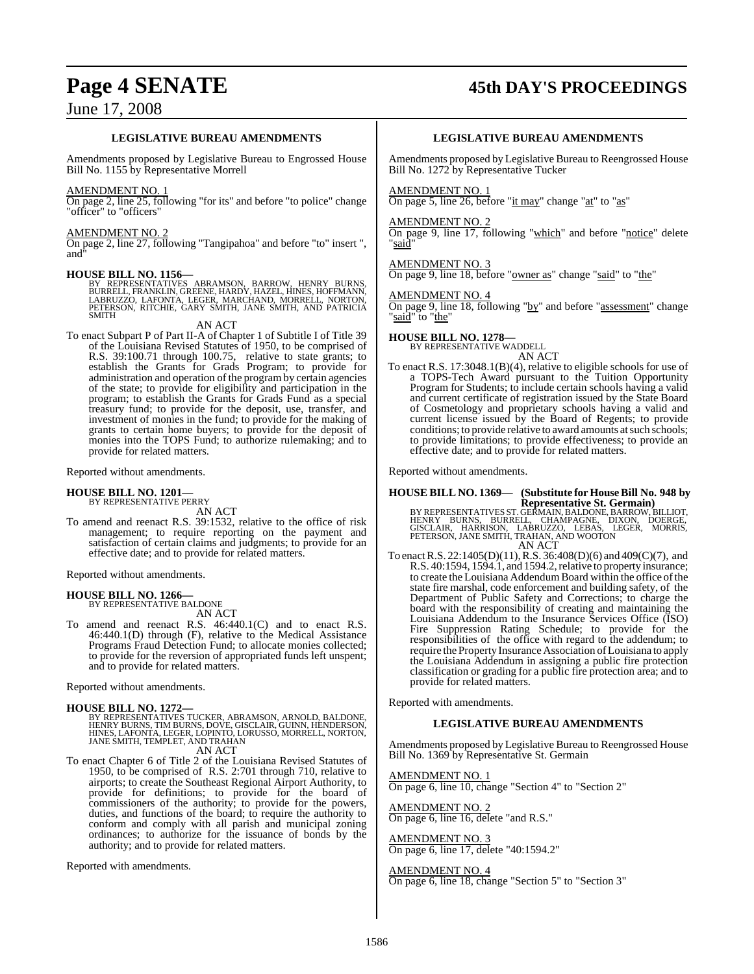## **Page 4 SENATE 45th DAY'S PROCEEDINGS**

#### **LEGISLATIVE BUREAU AMENDMENTS**

Amendments proposed by Legislative Bureau to Engrossed House Bill No. 1155 by Representative Morrell

#### AMENDMENT NO. 1

On page 2, line 25, following "for its" and before "to police" change "officer" to "officers"

#### **AMENDMENT NO.**

On page 2, line 27, following "Tangipahoa" and before "to" insert ", and"

**HOUSE BILL NO. 1156—**<br>BY REPRESENTATIVES ABRAMSON, BARROW, HENRY BURNS, BURRELL, FRANKLIN, GREENE, HARDY, HAZEL, HINES, HOFFMANN,<br>LABRUZZO, LAFONTA, LEGER, MARCHAND, MORRELL, NORTON,<br>PETERSON, RITCHIE, GARY SMITH, JANE SM

AN ACT

To enact Subpart P of Part II-A of Chapter 1 of Subtitle I of Title 39 of the Louisiana Revised Statutes of 1950, to be comprised of R.S. 39:100.71 through 100.75, relative to state grants; to establish the Grants for Grads Program; to provide for administration and operation of the program by certain agencies of the state; to provide for eligibility and participation in the program; to establish the Grants for Grads Fund as a special treasury fund; to provide for the deposit, use, transfer, and investment of monies in the fund; to provide for the making of grants to certain home buyers; to provide for the deposit of monies into the TOPS Fund; to authorize rulemaking; and to provide for related matters.

Reported without amendments.

#### **HOUSE BILL NO. 1201—** BY REPRESENTATIVE PERRY

AN ACT

To amend and reenact R.S. 39:1532, relative to the office of risk management; to require reporting on the payment and satisfaction of certain claims and judgments; to provide for an effective date; and to provide for related matters.

Reported without amendments.

### **HOUSE BILL NO. 1266—** BY REPRESENTATIVE BALDONE

AN ACT

To amend and reenact R.S. 46:440.1(C) and to enact R.S. 46:440.1(D) through (F), relative to the Medical Assistance Programs Fraud Detection Fund; to allocate monies collected; to provide for the reversion of appropriated funds left unspent; and to provide for related matters.

Reported without amendments.

#### **HOUSE BILL NO. 1272—**

BY REPRESENTATIVES TUCKER, ABRAMSON, ARNOLD, BALDONE,<br>HENRY BURNS, TIM BURNS, DOVE, GISCLAIR, GUINN, HENDERSON,<br>HINES, LAFONTA, LEGER, LOPINTO, LORUSSO, MORRELL, NORTON,<br>JANE SMITH, TEMPLET, AND TRAHAN

AN ACT

To enact Chapter 6 of Title 2 of the Louisiana Revised Statutes of 1950, to be comprised of R.S. 2:701 through 710, relative to airports; to create the Southeast Regional Airport Authority, to provide for definitions; to provide for the board of commissioners of the authority; to provide for the powers, duties, and functions of the board; to require the authority to conform and comply with all parish and municipal zoning ordinances; to authorize for the issuance of bonds by the authority; and to provide for related matters.

Reported with amendments.

#### **LEGISLATIVE BUREAU AMENDMENTS**

Amendments proposed by Legislative Bureau to Reengrossed House Bill No. 1272 by Representative Tucker

#### AMENDMENT NO. 1

On page 5, line 26, before "it may" change "at" to "as"

#### AMENDMENT NO. 2

On page 9, line 17, following "which" and before "notice" delete "said

AMENDMENT NO. 3

On page 9, line 18, before "owner as" change "said" to "the"

#### AMENDMENT NO. 4

On page 9, line 18, following "by" and before "assessment" change "said" to "the"

#### **HOUSE BILL NO. 1278—**

BY REPRESENTATIVE WADDELL AN ACT

To enact R.S. 17:3048.1(B)(4), relative to eligible schools for use of a TOPS-Tech Award pursuant to the Tuition Opportunity Program for Students; to include certain schools having a valid and current certificate of registration issued by the State Board of Cosmetology and proprietary schools having a valid and current license issued by the Board of Regents; to provide conditions; to provide relative to award amounts at such schools; to provide limitations; to provide effectiveness; to provide an effective date; and to provide for related matters.

Reported without amendments.

# **HOUSE BILL NO. 1369— (Substitute for HouseBill No. 948 by**

**Representative St. Germain)**<br>BY REPRESENTATIVES ST. GERMAIN, BALDONE, BARROW, BILLIOT,<br>HENRY BURNS, BURRELL, CHAMPAGNE, DIXON, DOERGE,<br>GISCLAIR, HARRISON, LABRUZZO, LEBAS, LEGER, MORRIS,<br>PETERSON, JANE SMITH, TRAHAN, AND AN ACT

To enact R.S. 22:1405(D)(11), R.S. 36:408(D)(6) and 409(C)(7), and R.S. 40:1594, 1594.1, and 1594.2, relative to property insurance; to create the Louisiana Addendum Board within the office of the state fire marshal, code enforcement and building safety, of the Department of Public Safety and Corrections; to charge the board with the responsibility of creating and maintaining the Louisiana Addendum to the Insurance Services Office (ISO) Fire Suppression Rating Schedule; to provide for the responsibilities of the office with regard to the addendum; to require the Property Insurance Association of Louisiana to apply the Louisiana Addendum in assigning a public fire protection classification or grading for a public fire protection area; and to provide for related matters.

Reported with amendments.

#### **LEGISLATIVE BUREAU AMENDMENTS**

Amendments proposed by Legislative Bureau to Reengrossed House Bill No. 1369 by Representative St. Germain

AMENDMENT NO. 1 On page 6, line 10, change "Section 4" to "Section 2"

AMENDMENT NO. 2 On page 6, line 16, delete "and R.S."

AMENDMENT NO. 3 On page 6, line 17, delete "40:1594.2"

#### AMENDMENT NO. 4

On page 6, line 18, change "Section 5" to "Section 3"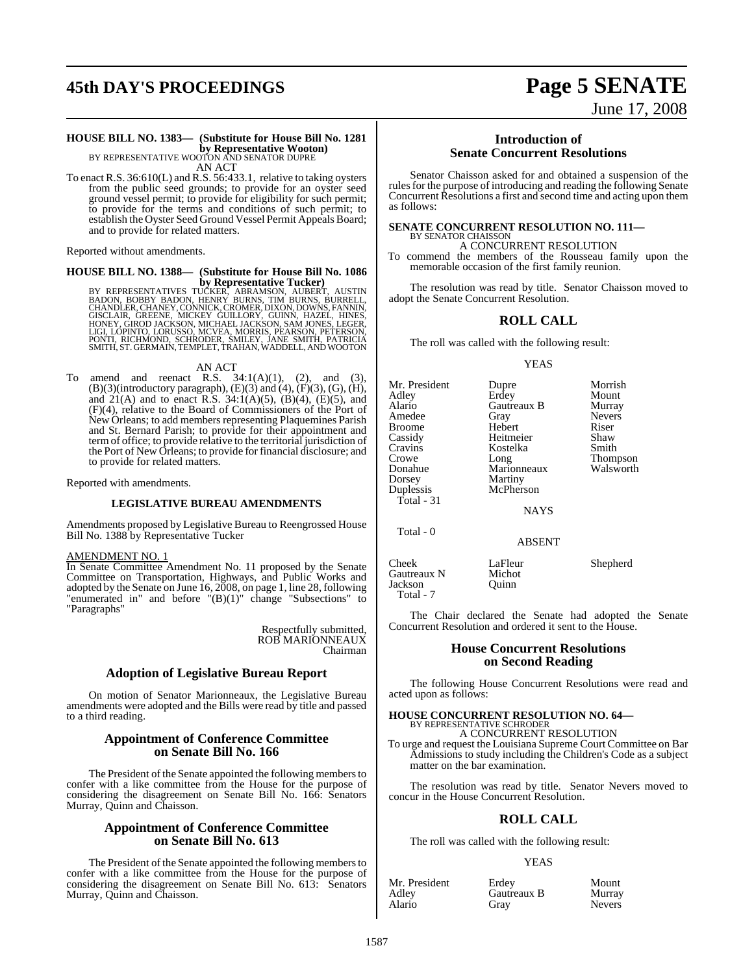# **45th DAY'S PROCEEDINGS Page 5 SENATE**

# June 17, 2008

### **HOUSE BILL NO. 1383— (Substitute for House Bill No. 1281 by Representative Wooton)** BY REPRESENTATIVE WOOTON AND SENATOR DUPRE

AN ACT

To enact R.S. 36:610(L) and R.S. 56:433.1, relative to taking oysters from the public seed grounds; to provide for an oyster seed ground vessel permit; to provide for eligibility for such permit; to provide for the terms and conditions of such permit; to establish the Oyster Seed Ground Vessel Permit Appeals Board; and to provide for related matters.

Reported without amendments.

# **HOUSE BILL NO. 1388— (Substitute for House Bill No. 1086**

**by Representative Tucker)**<br>BY REPRESENTATIVES TUCKER, ABRAMSON, AUSERT, AUSTIN<br>BADON, BOBBY BADON, HENRY BURNS, TIM BURNS, BURRELL,<br>CHANDLER, CHANEY, CONNICK, CROMER, DIXON, DOWNS, FANNIN,<br>GISCLAIR, GREENE, MICKEY GUILLOR

AN ACT

To amend and reenact R.S.  $34:1(A)(1)$ ,  $(2)$ , and  $(3)$ ,  $(B)(3)$ (introductory paragraph),  $(E)(3)$  and  $(4)$ ,  $(F)(3)$ ,  $(G)$ ,  $(H)$ , and 21(A) and to enact R.S.  $34:1(A)(5)$ ,  $(B)(4)$ ,  $(E)(5)$ , and  $(F)(4)$ , relative to the Board of Commissioners of the Port of New Orleans; to add members representing Plaquemines Parish and St. Bernard Parish; to provide for their appointment and term of office; to provide relative to the territorial jurisdiction of the Port of New Orleans; to provide for financial disclosure; and to provide for related matters.

Reported with amendments.

#### **LEGISLATIVE BUREAU AMENDMENTS**

Amendments proposed by Legislative Bureau to Reengrossed House Bill No. 1388 by Representative Tucker

#### AMENDMENT NO. 1

In Senate Committee Amendment No. 11 proposed by the Senate Committee on Transportation, Highways, and Public Works and adopted by the Senate on June 16, 2008, on page 1, line 28, following "enumerated in" and before "(B)(1)" change "Subsections" to "Paragraphs"

> Respectfully submitted, ROB MARIONNEAUX Chairman

#### **Adoption of Legislative Bureau Report**

On motion of Senator Marionneaux, the Legislative Bureau amendments were adopted and the Bills were read by title and passed to a third reading.

#### **Appointment of Conference Committee on Senate Bill No. 166**

The President of the Senate appointed the following members to confer with a like committee from the House for the purpose of considering the disagreement on Senate Bill No. 166: Senators Murray, Quinn and Chaisson.

#### **Appointment of Conference Committee on Senate Bill No. 613**

The President of the Senate appointed the following members to confer with a like committee from the House for the purpose of considering the disagreement on Senate Bill No. 613: Senators Murray, Quinn and Chaisson.

#### **Introduction of Senate Concurrent Resolutions**

Senator Chaisson asked for and obtained a suspension of the rules for the purpose of introducing and reading the following Senate Concurrent Resolutions a first and second time and acting upon them as follows:

#### **SENATE CONCURRENT RESOLUTION NO. 111—** BY SENATOR CHAISSON

A CONCURRENT RESOLUTION

To commend the members of the Rousseau family upon the memorable occasion of the first family reunion.

The resolution was read by title. Senator Chaisson moved to adopt the Senate Concurrent Resolution.

### **ROLL CALL**

The roll was called with the following result:

#### YEAS

| Mr. President<br>Adley<br>Alario<br>Amedee<br><b>Broome</b><br>Cassidy<br>Cravins<br>Crowe<br>Donahue<br>Dorsey<br>Duplessis<br>$Total - 31$ | Dupre<br>Erdey<br>Gautreaux B<br>Gray<br>Hebert<br>Heitmeier<br>Kostelka<br>Long<br>Marionneaux<br>Martiny<br>McPherson<br><b>NAYS</b> | Morrish<br>Mount<br>Murray<br><b>Nevers</b><br>Riser<br>Shaw<br>Smith<br>Thompson<br>Walsworth |
|----------------------------------------------------------------------------------------------------------------------------------------------|----------------------------------------------------------------------------------------------------------------------------------------|------------------------------------------------------------------------------------------------|
|----------------------------------------------------------------------------------------------------------------------------------------------|----------------------------------------------------------------------------------------------------------------------------------------|------------------------------------------------------------------------------------------------|

#### ABSENT

Cheek LaFleur Shepherd Gautreaux N Micho<br>Jackson Quinn Jackson Total - 7

Total - 0

The Chair declared the Senate had adopted the Senate Concurrent Resolution and ordered it sent to the House.

#### **House Concurrent Resolutions on Second Reading**

The following House Concurrent Resolutions were read and acted upon as follows:

### **HOUSE CONCURRENT RESOLUTION NO. 64—** BY REPRESENTATIVE SCHRODER

A CONCURRENT RESOLUTION

To urge and request the Louisiana Supreme Court Committee on Bar Admissions to study including the Children's Code as a subject matter on the bar examination.

The resolution was read by title. Senator Nevers moved to concur in the House Concurrent Resolution.

#### **ROLL CALL**

The roll was called with the following result:

#### YEAS

| Mr. President | Erdev       | Mount         |
|---------------|-------------|---------------|
| Adley         | Gautreaux B | Murray        |
| Alario        | Grav        | <b>Nevers</b> |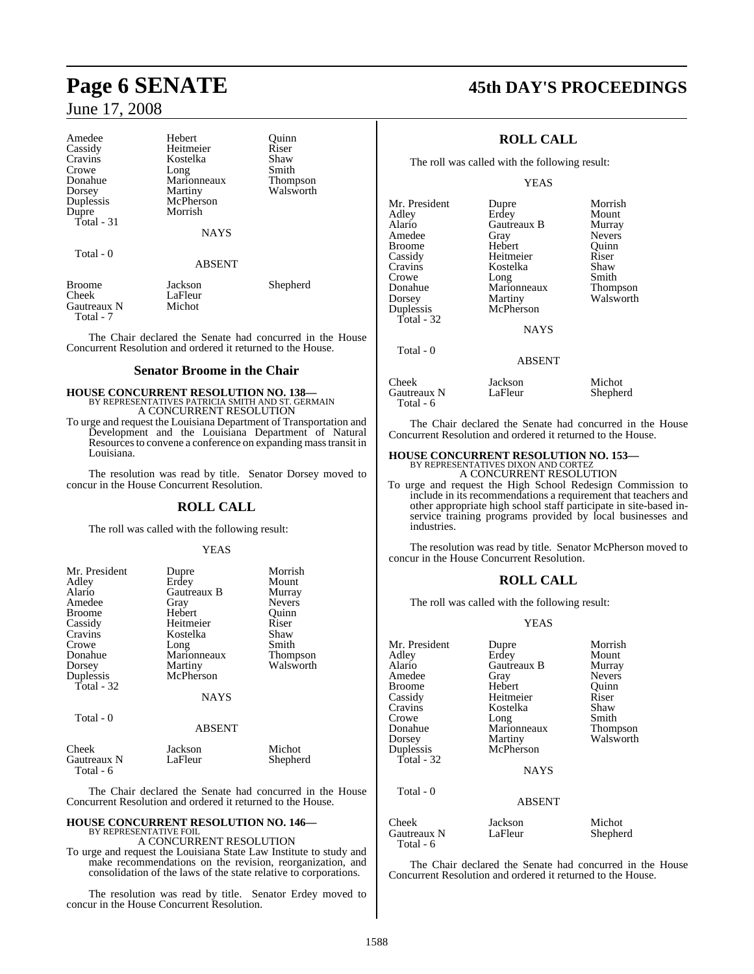| Amedee<br>Cassidy | Hebert<br>Heitmeier | Quinn<br>Riser        |
|-------------------|---------------------|-----------------------|
| Cravins           | Kostelka            | Shaw                  |
| Crowe<br>Donahue  | Long<br>Marionneaux | Smith                 |
| Dorsey            | Martiny             | Thompson<br>Walsworth |
| Duplessis         | McPherson           |                       |
| Dupre             | Morrish             |                       |
| Total - 31        |                     |                       |
|                   | <b>NAYS</b>         |                       |
| Total - 0         |                     |                       |
|                   | <b>ABSENT</b>       |                       |
| <b>Broome</b>     | Jackson             | Shepherd              |
| Cheek             | LaFleur             |                       |
| Gautreaux N       | Michot              |                       |

Total - 7

The Chair declared the Senate had concurred in the House Concurrent Resolution and ordered it returned to the House.

#### **Senator Broome in the Chair**

### **HOUSE CONCURRENT RESOLUTION NO. 138—** BY REPRESENTATIVES PATRICIA SMITH AND ST. GERMAIN A CONCURRENT RESOLUTION

To urge and request the Louisiana Department of Transportation and Development and the Louisiana Department of Natural Resources to convene a conference on expanding mass transit in Louisiana.

The resolution was read by title. Senator Dorsey moved to concur in the House Concurrent Resolution.

#### **ROLL CALL**

The roll was called with the following result:

#### YEAS

| Mr. President | Dupre         | Morrish         |
|---------------|---------------|-----------------|
| Adley         | Erdey         | Mount           |
| Alario        | Gautreaux B   | Murray          |
| Amedee        | Gray          | <b>Nevers</b>   |
| <b>Broome</b> | Hebert        | Ouinn           |
| Cassidy       | Heitmeier     | Riser           |
| Cravins       | Kostelka      | Shaw            |
| Crowe         | Long          | Smith           |
| Donahue       | Marionneaux   | <b>Thompson</b> |
| Dorsey        | Martiny       | Walsworth       |
| Duplessis     | McPherson     |                 |
| Total - 32    |               |                 |
|               | NAYS          |                 |
| Total - 0     |               |                 |
|               | <b>ABSENT</b> |                 |
| $C1. - 1$     | $T = -1$      | $M: -1 - 1$     |

| Cheek       | Jackson | Michot   |
|-------------|---------|----------|
| Gautreaux N | LaFleur | Shepherd |
| Total - 6   |         |          |

The Chair declared the Senate had concurred in the House Concurrent Resolution and ordered it returned to the House.

### **HOUSE CONCURRENT RESOLUTION NO. 146—** BY REPRESENTATIVE FOIL

A CONCURRENT RESOLUTION

To urge and request the Louisiana State Law Institute to study and make recommendations on the revision, reorganization, and consolidation of the laws of the state relative to corporations.

The resolution was read by title. Senator Erdey moved to concur in the House Concurrent Resolution.

## **Page 6 SENATE 45th DAY'S PROCEEDINGS**

### **ROLL CALL**

The roll was called with the following result:

#### YEAS

| Dupre<br>Erdey | Morrish<br>Mount                                                                          |
|----------------|-------------------------------------------------------------------------------------------|
|                | Murray                                                                                    |
|                | <b>Nevers</b>                                                                             |
|                | Quinn                                                                                     |
|                | Riser                                                                                     |
| Kostelka       | Shaw                                                                                      |
|                | Smith                                                                                     |
| Marionneaux    | Thompson                                                                                  |
|                | Walsworth                                                                                 |
| McPherson      |                                                                                           |
| <b>NAYS</b>    |                                                                                           |
|                |                                                                                           |
|                |                                                                                           |
| Jackson        | Michot<br>Shepherd                                                                        |
|                | Gautreaux B<br>Gray<br>Hebert<br>Heitmeier<br>Long<br>Martiny<br><b>ABSENT</b><br>LaFleur |

The Chair declared the Senate had concurred in the House Concurrent Resolution and ordered it returned to the House.

### **HOUSE CONCURRENT RESOLUTION NO. 153—** BY REPRESENTATIVES DIXON AND CORTEZ

Total - 6

A CONCURRENT RESOLUTION

To urge and request the High School Redesign Commission to include in its recommendations a requirement that teachers and other appropriate high school staff participate in site-based inservice training programs provided by local businesses and industries.

The resolution was read by title. Senator McPherson moved to concur in the House Concurrent Resolution.

#### **ROLL CALL**

The roll was called with the following result:

#### YEAS

| Mr. President | Dupre         | Morrish         |
|---------------|---------------|-----------------|
| Adley         | Erdey         | Mount           |
| Alario        | Gautreaux B   | Murray          |
| Amedee        | Gray          | <b>Nevers</b>   |
| <b>Broome</b> | Hebert        | Ouinn           |
| Cassidy       | Heitmeier     | Riser           |
| Cravins       | Kostelka      | Shaw            |
| Crowe         | Long          | Smith           |
| Donahue       | Marionneaux   | <b>Thompson</b> |
| Dorsey        | Martiny       | Walsworth       |
| Duplessis     | McPherson     |                 |
| Total - 32    |               |                 |
|               | <b>NAYS</b>   |                 |
| Total - 0     |               |                 |
|               | <b>ABSENT</b> |                 |
| Cheek         | Jackson       | Michot          |
| Gautreaux N   | LaFleur       | Shepherd        |

The Chair declared the Senate had concurred in the House Concurrent Resolution and ordered it returned to the House.

Total - 6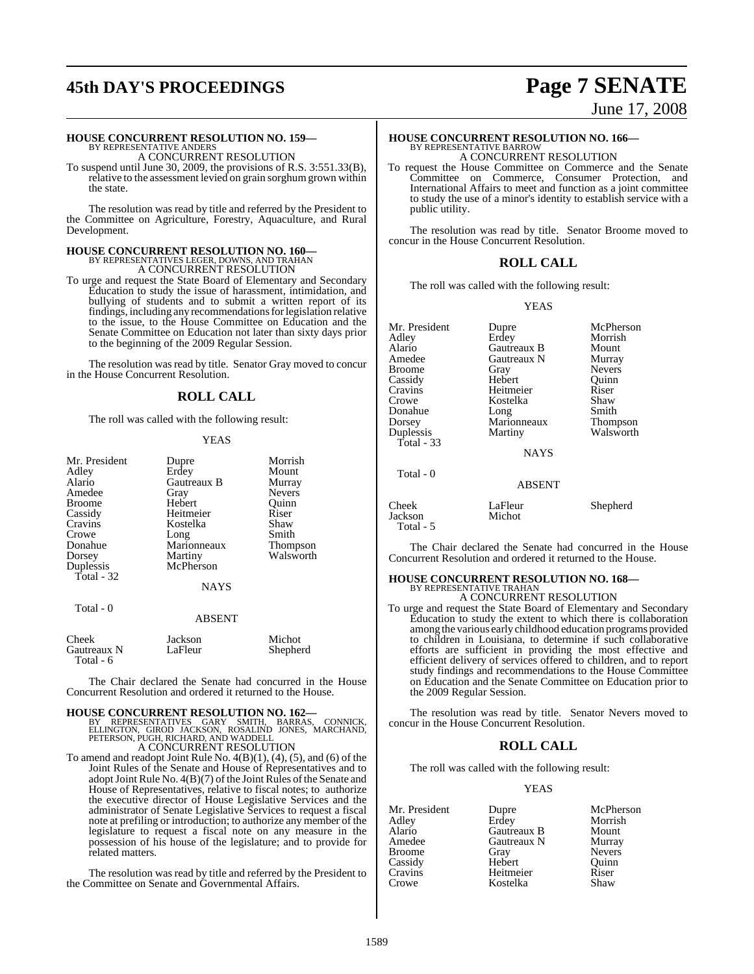# **45th DAY'S PROCEEDINGS Page 7 SENATE**

# June 17, 2008

# **HOUSE CONCURRENT RESOLUTION NO. 159—** BY REPRESENTATIVE ANDERS A CONCURRENT RESOLUTION

To suspend until June 30, 2009, the provisions of R.S. 3:551.33(B), relative to the assessment levied on grain sorghum grown within the state.

The resolution was read by title and referred by the President to the Committee on Agriculture, Forestry, Aquaculture, and Rural Development.

### **HOUSE CONCURRENT RESOLUTION NO. 160—** BY REPRESENTATIVES LEGER, DOWNS, AND TRAHAN

A CONCURRENT RESOLUTION

To urge and request the State Board of Elementary and Secondary Education to study the issue of harassment, intimidation, and bullying of students and to submit a written report of its findings, including any recommendationsforlegislation relative to the issue, to the House Committee on Education and the Senate Committee on Education not later than sixty days prior to the beginning of the 2009 Regular Session.

The resolution was read by title. Senator Gray moved to concur in the House Concurrent Resolution.

### **ROLL CALL**

The roll was called with the following result:

#### YEAS

| Mr. President | Dupre       | Morrish       |
|---------------|-------------|---------------|
| Adley         | Erdey       | Mount         |
| Alario        | Gautreaux B | Murray        |
| Amedee        | Gray        | <b>Nevers</b> |
| <b>Broome</b> | Hebert      | Ouinn         |
| Cassidy       | Heitmeier   | Riser         |
| Cravins       | Kostelka    | Shaw          |
| Crowe         | Long        | Smith         |
| Donahue       | Marionneaux | Thompson      |
| Dorsey        | Martiny     | Walsworth     |
| Duplessis     | McPherson   |               |
| Total - 32    |             |               |
|               | <b>NAYS</b> |               |
| Total - 0     |             |               |

| Cheek       | Jackson | Michot   |
|-------------|---------|----------|
| Gautreaux N | LaFleur | Shepherd |
| Total - 6   |         |          |

The Chair declared the Senate had concurred in the House Concurrent Resolution and ordered it returned to the House.

ABSENT

#### **HOUSE CONCURRENT RESOLUTION NO. 162—**

BY REPRESENTATIVES GARY SMITH, BARRAS, CONNICK,<br>ELLINGTON, GIROD JACKSON, ROSALIND JONES, MARCHAND,<br>PETERSON, GIROD JACHARD, AND WADDELL<br>A CONCURRENT RESOLUTION

To amend and readopt Joint Rule No.  $4(B)(1)$ ,  $(4)$ ,  $(5)$ , and  $(6)$  of the Joint Rules of the Senate and House of Representatives and to adopt Joint Rule No.  $4(B)(7)$  of the Joint Rules of the Senate and House of Representatives, relative to fiscal notes; to authorize the executive director of House Legislative Services and the administrator of Senate Legislative Services to request a fiscal note at prefiling or introduction; to authorize any member of the legislature to request a fiscal note on any measure in the possession of his house of the legislature; and to provide for related matters.

The resolution was read by title and referred by the President to the Committee on Senate and Governmental Affairs.

#### **HOUSE CONCURRENT RESOLUTION NO. 166—** BY REPRESENTATIVE BARROW A CONCURRENT RESOLUTION

To request the House Committee on Commerce and the Senate Committee on Commerce, Consumer Protection, and International Affairs to meet and function as a joint committee to study the use of a minor's identity to establish service with a public utility.

The resolution was read by title. Senator Broome moved to concur in the House Concurrent Resolution.

#### **ROLL CALL**

The roll was called with the following result:

#### YEAS

| Mr. President<br>Adley<br>Alario<br>Amedee<br><b>Broome</b><br>Cassidy<br>Cravins<br>Crowe<br>Donahue<br>Dorsey<br>Duplessis<br>Total - $33$ | Dupre<br>Erdey<br>Gautreaux B<br>Gautreaux N<br>Gray<br>Hebert<br>Heitmeier<br>Kostelka<br>Long<br>Marionneaux<br>Martiny<br><b>NAYS</b> | McPherson<br>Morrish<br>Mount<br>Murray<br><b>Nevers</b><br>Ouinn<br>Riser<br>Shaw<br>Smith<br><b>Thompson</b><br>Walsworth |
|----------------------------------------------------------------------------------------------------------------------------------------------|------------------------------------------------------------------------------------------------------------------------------------------|-----------------------------------------------------------------------------------------------------------------------------|
| Total - 0                                                                                                                                    | <b>ABSENT</b>                                                                                                                            |                                                                                                                             |
| Cheek<br>Jackson                                                                                                                             | LaFleur<br>Michot                                                                                                                        | Shepherd                                                                                                                    |

The Chair declared the Senate had concurred in the House Concurrent Resolution and ordered it returned to the House.

### **HOUSE CONCURRENT RESOLUTION NO. 168—** BY REPRESENTATIVE TRAHAN A CONCURRENT RESOLUTION

To urge and request the State Board of Elementary and Secondary Education to study the extent to which there is collaboration among the various early childhood education programs provided to children in Louisiana, to determine if such collaborative efforts are sufficient in providing the most effective and efficient delivery of services offered to children, and to report study findings and recommendations to the House Committee on Education and the Senate Committee on Education prior to the 2009 Regular Session.

The resolution was read by title. Senator Nevers moved to concur in the House Concurrent Resolution.

#### **ROLL CALL**

The roll was called with the following result:

Gautreaux N

Kostelka

#### YEAS

Mr. President Dupre McPherson<br>Adley Erdey Morrish Adley Erdey Morrish Alario Gautreaux B Mount Broome Gray Nevers<br>
Cassidy Hebert Quinn Cassidy Hebert Quinn Cravins Heitmeier Riser

Total - 5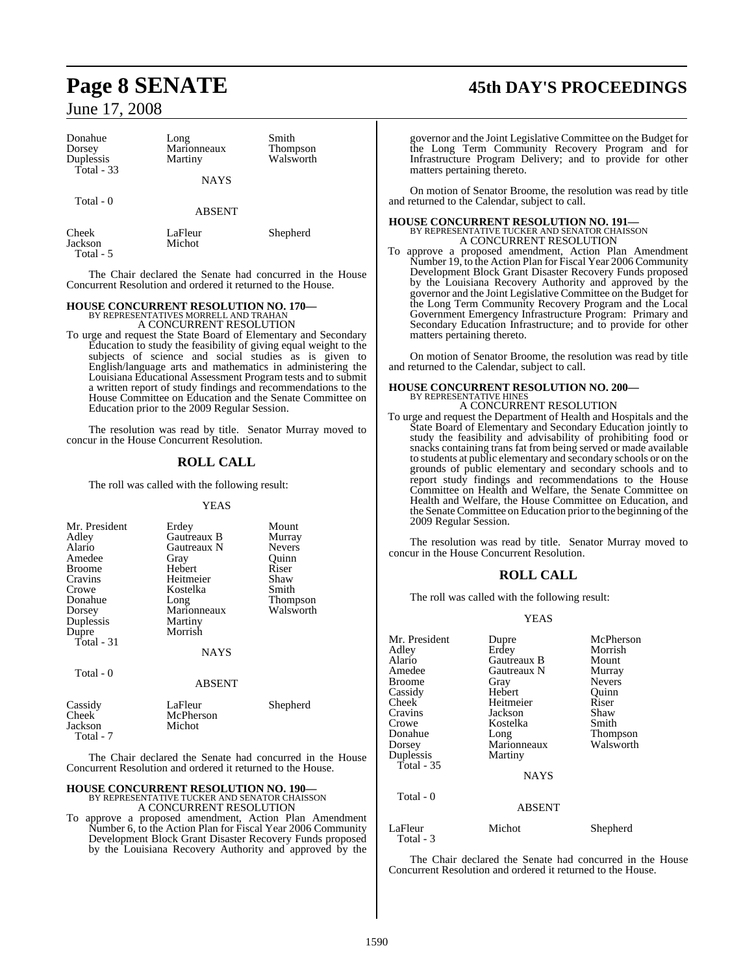| Donahue<br>Dorsey<br>Duplessis<br>Total $-33$ | Long<br>Marionneaux<br>Martiny<br><b>NAYS</b> | Smith<br>Thompson<br>Walsworth |
|-----------------------------------------------|-----------------------------------------------|--------------------------------|
| Total $-0$                                    | <b>ABSENT</b>                                 |                                |
| Cheek<br>Jackson                              | LaFleur<br>Michot                             | Shepherd                       |

Total - 5

The Chair declared the Senate had concurred in the House Concurrent Resolution and ordered it returned to the House.

### **HOUSE CONCURRENT RESOLUTION NO. 170—** BY REPRESENTATIVES MORRELL AND TRAHAN

A CONCURRENT RESOLUTION

To urge and request the State Board of Elementary and Secondary Education to study the feasibility of giving equal weight to the subjects of science and social studies as is given to English/language arts and mathematics in administering the Louisiana Educational Assessment Program tests and to submit a written report of study findings and recommendations to the House Committee on Education and the Senate Committee on Education prior to the 2009 Regular Session.

The resolution was read by title. Senator Murray moved to concur in the House Concurrent Resolution.

### **ROLL CALL**

The roll was called with the following result:

#### YEAS

| Mr. President<br>Adley<br>Alario<br>Amedee<br><b>Broome</b><br>Cravins<br>Crowe<br>Donahue<br>Dorsey<br>Duplessis<br>Dupre<br>Total - 31<br>Total - 0 | Erdey<br>Gautreaux B<br>Gautreaux N<br>Gray<br>Hebert<br>Heitmeier<br>Kostelka<br>Long<br>Marionneaux<br>Martiny<br>Morrish<br><b>NAYS</b><br><b>ABSENT</b> | Mount<br>Murray<br><b>Nevers</b><br>Ouinn<br>Riser<br>Shaw<br>Smith<br>Thompson<br>Walsworth |
|-------------------------------------------------------------------------------------------------------------------------------------------------------|-------------------------------------------------------------------------------------------------------------------------------------------------------------|----------------------------------------------------------------------------------------------|
| Cassidy<br>Cheek<br>Jackson<br>Total - 7                                                                                                              | LaFleur<br>McPherson<br>Michot                                                                                                                              | Shepherd                                                                                     |

The Chair declared the Senate had concurred in the House Concurrent Resolution and ordered it returned to the House.

### **HOUSE CONCURRENT RESOLUTION NO. 190—** BY REPRESENTATIVE TUCKER AND SENATOR CHAISSON A CONCURRENT RESOLUTION

To approve a proposed amendment, Action Plan Amendment Number 6, to the Action Plan for Fiscal Year 2006 Community Development Block Grant Disaster Recovery Funds proposed by the Louisiana Recovery Authority and approved by the

# **Page 8 SENATE 45th DAY'S PROCEEDINGS**

governor and the Joint Legislative Committee on the Budget for the Long Term Community Recovery Program and for Infrastructure Program Delivery; and to provide for other matters pertaining thereto.

On motion of Senator Broome, the resolution was read by title and returned to the Calendar, subject to call.

### **HOUSE CONCURRENT RESOLUTION NO. 191—** BY REPRESENTATIVE TUCKER AND SENATOR CHAISSON A CONCURRENT RESOLUTION

To approve a proposed amendment, Action Plan Amendment Number 19, to the Action Plan for Fiscal Year 2006 Community Development Block Grant Disaster Recovery Funds proposed by the Louisiana Recovery Authority and approved by the governor and the Joint Legislative Committee on the Budget for the Long Term Community Recovery Program and the Local Government Emergency Infrastructure Program: Primary and Secondary Education Infrastructure; and to provide for other matters pertaining thereto.

On motion of Senator Broome, the resolution was read by title and returned to the Calendar, subject to call.

## **HOUSE CONCURRENT RESOLUTION NO. 200—** BY REPRESENTATIVE HINES

A CONCURRENT RESOLUTION

To urge and request the Department of Health and Hospitals and the State Board of Elementary and Secondary Education jointly to study the feasibility and advisability of prohibiting food or snacks containing trans fat from being served or made available to students at public elementary and secondary schools or on the grounds of public elementary and secondary schools and to report study findings and recommendations to the House Committee on Health and Welfare, the Senate Committee on Health and Welfare, the House Committee on Education, and the Senate Committee on Education prior to the beginning of the 2009 Regular Session.

The resolution was read by title. Senator Murray moved to concur in the House Concurrent Resolution.

#### **ROLL CALL**

The roll was called with the following result:

#### YEAS

| Mr. President        | Dupre         | McPherson     |
|----------------------|---------------|---------------|
| Adlev                | Erdey         | Morrish       |
| Alario               | Gautreaux B   | Mount         |
| Amedee               | Gautreaux N   | Murray        |
| Broome               | Gray          | <b>Nevers</b> |
| Cassidy              | Hebert        | Quinn         |
| Cheek                | Heitmeier     | Riser         |
| Cravins              | Jackson       | Shaw          |
| Crowe                | Kostelka      | Smith         |
| Donahue              | Long          | Thompson      |
| Dorsey               | Marionneaux   | Walsworth     |
| Duplessis            | Martiny       |               |
| Total - 35           |               |               |
|                      | <b>NAYS</b>   |               |
| Total - 0            |               |               |
|                      | <b>ABSENT</b> |               |
| LaFleur<br>Total - 3 | Michot        | Shepherd      |

The Chair declared the Senate had concurred in the House Concurrent Resolution and ordered it returned to the House.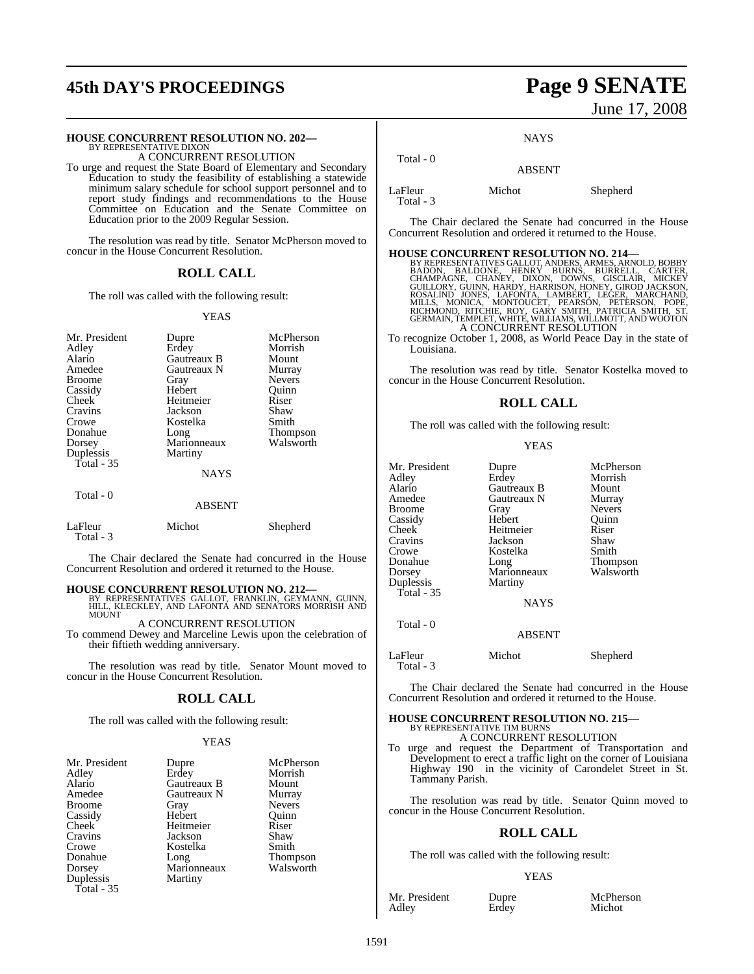# **45th DAY'S PROCEEDINGS Page 9 SENATE**

#### **HOUSE CONCURRENT RESOLUTION NO. 202—**

BY REPRESENTATIVE DIXON A CONCURRENT RESOLUTION

To urge and request the State Board of Elementary and Secondary Education to study the feasibility of establishing a statewide minimum salary schedule for school support personnel and to report study findings and recommendations to the House Committee on Education and the Senate Committee on Education prior to the 2009 Regular Session.

The resolution was read by title. Senator McPherson moved to concur in the House Concurrent Resolution.

#### **ROLL CALL**

The roll was called with the following result:

#### YEAS

| Mr. President | Dupre                   | McPherson     |
|---------------|-------------------------|---------------|
|               |                         |               |
| Adley         | Erdey                   | Morrish       |
| Alario        | Gautreaux B             | Mount         |
| Amedee        | Gautreaux N             | Murray        |
| <b>Broome</b> | Gray                    | <b>Nevers</b> |
| Cassidy       | Hebert                  | Quinn         |
| Cheek         | Heitmeier               | Riser         |
| Cravins       | Jackson                 | Shaw          |
| Crowe         | Kostelka                | Smith         |
| Donahue       | Long                    | Thompson      |
| Dorsey        | Marionneaux             | Walsworth     |
| Duplessis     | Martiny                 |               |
| Total - 35    |                         |               |
|               | <b>NAYS</b>             |               |
| Total - 0     |                         |               |
|               | $1.722$ $0.773$ $7.772$ |               |

### ABSENT

| LaFleur   | Michot | Shepherd |
|-----------|--------|----------|
| Total - 3 |        |          |

The Chair declared the Senate had concurred in the House Concurrent Resolution and ordered it returned to the House.

#### **HOUSE CONCURRENT RESOLUTION NO. 212—**

BY REPRESENTATIVES GALLOT, FRANKLIN, GEYMANN, GUINN,<br>HILL, KLECKLEY, AND LAFONTA AND SENATORS MORRISH AND<br>MOUNT

A CONCURRENT RESOLUTION

To commend Dewey and Marceline Lewis upon the celebration of their fiftieth wedding anniversary.

The resolution was read by title. Senator Mount moved to concur in the House Concurrent Resolution.

#### **ROLL CALL**

The roll was called with the following result:

#### YEAS

| Mr. President | Dupre       | McPherson       |
|---------------|-------------|-----------------|
| Adley         | Erdey       | Morrish         |
| Alario        | Gautreaux B | Mount           |
| Amedee        | Gautreaux N | Murray          |
| <b>Broome</b> | Gray        | <b>Nevers</b>   |
| Cassidy       | Hebert      | Ouinn           |
| Cheek         | Heitmeier   | Riser           |
| Cravins       | Jackson     | Shaw            |
| Crowe         | Kostelka    | Smith           |
| Donahue       | Long        | <b>Thompson</b> |
| Dorsey        | Marionneaux | Walsworth       |
| Duplessis     | Martiny     |                 |
| Total $-35$   |             |                 |

# June 17, 2008

**NAYS** 

### ABSENT

LaFleur Michot Shepherd Total - 3

Total - 0

The Chair declared the Senate had concurred in the House Concurrent Resolution and ordered it returned to the House.

#### **HOUSE CONCURRENT RESOLUTION NO. 214—**

BY REPRESENTATIVES GALLOT, ANDERS, ARMES, ARNOLD, BOBBY<br>BADON, BALDONE, HENRY BURNS, BURRES, INSELL, CARTER,<br>CHAMPAGNE, CHANEY, DIXON, DOWNS, GISCLAIR, MICKEY<br>GUILLORY, GUINN, HARDY, HARRISON, HONEY, GIROD JACKSON,<br>ROSALIN A CONCURRENT RESOLUTION

To recognize October 1, 2008, as World Peace Day in the state of Louisiana.

The resolution was read by title. Senator Kostelka moved to concur in the House Concurrent Resolution.

#### **ROLL CALL**

The roll was called with the following result:

YEAS

| Mr. President | Dupre         | McPherson     |
|---------------|---------------|---------------|
| Adley         | Erdey         | Morrish       |
| Alario        | Gautreaux B   | Mount         |
| Amedee        | Gautreaux N   | Murray        |
| <b>Broome</b> | Gray          | <b>Nevers</b> |
| Cassidy       | Hebert        | Quinn         |
| Cheek         | Heitmeier     | Riser         |
| Cravins       | Jackson       | Shaw          |
| Crowe         | Kostelka      | Smith         |
| Donahue       | Long          | Thompson      |
| Dorsey        | Marionneaux   | Walsworth     |
| Duplessis     | Martiny       |               |
| Total - 35    |               |               |
|               | <b>NAYS</b>   |               |
| Total - 0     |               |               |
|               | <b>ABSENT</b> |               |
| LaFleur       | Michot        | Shepherd      |

 Total - 3 The Chair declared the Senate had concurred in the House

# Concurrent Resolution and ordered it returned to the House.

### **HOUSE CONCURRENT RESOLUTION NO. 215—** BY REPRESENTATIVE TIM BURNS

A CONCURRENT RESOLUTION

To urge and request the Department of Transportation and Development to erect a traffic light on the corner of Louisiana Highway 190 in the vicinity of Carondelet Street in St. Tammany Parish.

The resolution was read by title. Senator Quinn moved to concur in the House Concurrent Resolution.

### **ROLL CALL**

The roll was called with the following result:

#### YEAS

Mr. President Dupre McPherson<br>Adley Erdey Michot Adley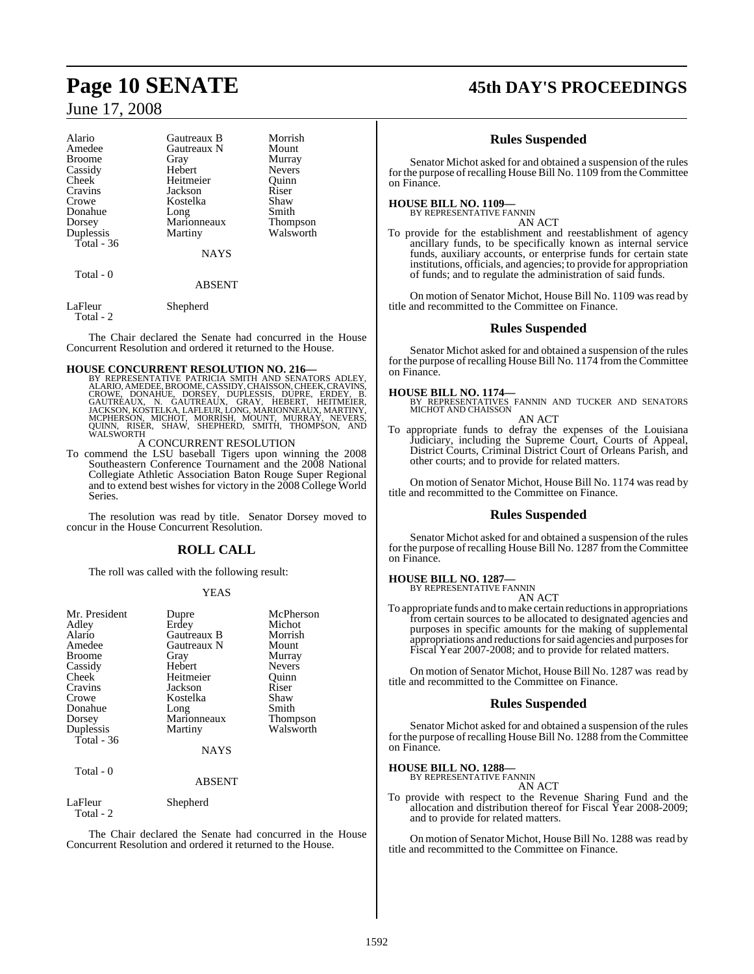| Alario        | Gautreaux B   | Morrish         |
|---------------|---------------|-----------------|
| Amedee        | Gautreaux N   | Mount           |
| <b>Broome</b> | Gray          | Murray          |
| Cassidy       | Hebert        | <b>Nevers</b>   |
| <b>Cheek</b>  | Heitmeier     | Ouinn           |
| Cravins       | Jackson       | Riser           |
| Crowe         | Kostelka      | Shaw            |
| Donahue       | Long          | Smith           |
| Dorsey        | Marionneaux   | <b>Thompson</b> |
| Duplessis     | Martiny       | Walsworth       |
| Total - 36    |               |                 |
|               | <b>NAYS</b>   |                 |
| Total - 0     |               |                 |
|               | <b>ABSENT</b> |                 |
|               |               |                 |

LaFleur Shepherd

Total - 2

The Chair declared the Senate had concurred in the House Concurrent Resolution and ordered it returned to the House.

HOUSE CONCURRENT RESOLUTION NO. 216-87 REPERESENTATIVE PATRICIA SMITH AND SENATORS ADLEY, ALARIO, AMEDEE, BROOME, CASSIDY, CHAISSON, CHEEK, CRAVINS, CROWE, DONAHUE, DORSEY, DUPLESSIS, DUPRE, ERDEY, BGAUTREAUX, N. GAUTREAUX

#### A CONCURRENT RESOLUTION

To commend the LSU baseball Tigers upon winning the 2008 Southeastern Conference Tournament and the 2008 National Collegiate Athletic Association Baton Rouge Super Regional and to extend best wishes for victory in the 2008 College World Series.

The resolution was read by title. Senator Dorsey moved to concur in the House Concurrent Resolution.

### **ROLL CALL**

The roll was called with the following result:

#### YEAS

| Mr. President<br>Adley<br>Alario<br>Amedee<br><b>Broome</b><br>Cassidy<br>Cheek<br>Cravins<br>Crowe<br>Donahue<br>Dorsey<br>Duplessis<br>Total $-36$ | Dupre<br>Erdey<br>Gautreaux B<br>Gautreaux N<br>Gray<br>Hebert<br>Heitmeier<br>Jackson<br>Kostelka<br>Long<br>Marionneaux<br>Martiny<br><b>NAYS</b> | McPherson<br>Michot<br>Morrish<br>Mount<br>Murray<br><b>Nevers</b><br>Ouinn<br>Riser<br>Shaw<br>Smith<br><b>Thompson</b><br>Walsworth |
|------------------------------------------------------------------------------------------------------------------------------------------------------|-----------------------------------------------------------------------------------------------------------------------------------------------------|---------------------------------------------------------------------------------------------------------------------------------------|
| Total - 0                                                                                                                                            | <b>ABSENT</b>                                                                                                                                       |                                                                                                                                       |

LaFleur Shepherd Total - 2

The Chair declared the Senate had concurred in the House Concurrent Resolution and ordered it returned to the House.

## **Page 10 SENATE 45th DAY'S PROCEEDINGS**

### **Rules Suspended**

Senator Michot asked for and obtained a suspension of the rules for the purpose of recalling House Bill No. 1109 from the Committee on Finance.

#### **HOUSE BILL NO. 1109—**

BY REPRESENTATIVE FANNIN AN ACT

To provide for the establishment and reestablishment of agency ancillary funds, to be specifically known as internal service funds, auxiliary accounts, or enterprise funds for certain state institutions, officials, and agencies; to provide for appropriation of funds; and to regulate the administration of said funds.

On motion of Senator Michot, House Bill No. 1109 wasread by title and recommitted to the Committee on Finance.

#### **Rules Suspended**

Senator Michot asked for and obtained a suspension of the rules for the purpose ofrecalling House Bill No. 1174 from the Committee on Finance.

**HOUSE BILL NO. 1174—** BY REPRESENTATIVES FANNIN AND TUCKER AND SENATORS MICHOT AND CHAISSON

### AN ACT

To appropriate funds to defray the expenses of the Louisiana Judiciary, including the Supreme Court, Courts of Appeal, District Courts, Criminal District Court of Orleans Parish, and other courts; and to provide for related matters.

On motion of Senator Michot, House Bill No. 1174 was read by title and recommitted to the Committee on Finance.

#### **Rules Suspended**

Senator Michot asked for and obtained a suspension of the rules for the purpose ofrecalling House Bill No. 1287 fromthe Committee on Finance.

# **HOUSE BILL NO. 1287—** BY REPRESENTATIVE FANNIN

AN ACT

To appropriate funds and to make certain reductions in appropriations from certain sources to be allocated to designated agencies and purposes in specific amounts for the making of supplemental appropriations and reductions for said agencies and purposes for Fiscal Year 2007-2008; and to provide for related matters.

On motion of Senator Michot, House Bill No. 1287 was read by title and recommitted to the Committee on Finance.

#### **Rules Suspended**

Senator Michot asked for and obtained a suspension of the rules for the purpose of recalling House Bill No. 1288 from the Committee on Finance.

#### **HOUSE BILL NO. 1288—**

BY REPRESENTATIVE FANNIN AN ACT

To provide with respect to the Revenue Sharing Fund and the allocation and distribution thereof for Fiscal Year 2008-2009; and to provide for related matters.

On motion of Senator Michot, House Bill No. 1288 was read by title and recommitted to the Committee on Finance.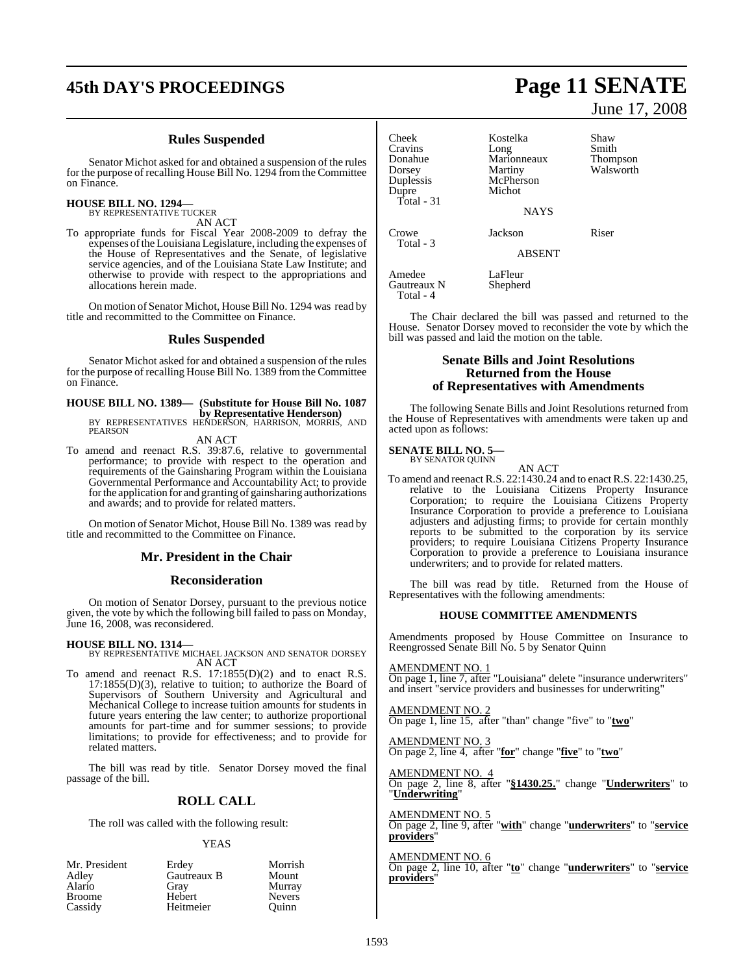# **45th DAY'S PROCEEDINGS Page 11 SENATE**

#### **Rules Suspended**

Senator Michot asked for and obtained a suspension of the rules for the purpose of recalling House Bill No. 1294 from the Committee on Finance.

#### **HOUSE BILL NO. 1294—** BY REPRESENTATIVE TUCKER

AN ACT

To appropriate funds for Fiscal Year 2008-2009 to defray the expenses of the Louisiana Legislature, including the expenses of the House of Representatives and the Senate, of legislative service agencies, and of the Louisiana State Law Institute; and otherwise to provide with respect to the appropriations and allocations herein made.

On motion of Senator Michot, House Bill No. 1294 was read by title and recommitted to the Committee on Finance.

#### **Rules Suspended**

Senator Michot asked for and obtained a suspension of the rules for the purpose of recalling House Bill No. 1389 from the Committee on Finance.

**HOUSE BILL NO. 1389— (Substitute for House Bill No. 1087 by Representative Henderson)**<br>BY REPRESENTATIVES HENDERSON, HARRISON, MORRIS, AND PEARSON

AN ACT

To amend and reenact R.S. 39:87.6, relative to governmental performance; to provide with respect to the operation and requirements of the Gainsharing Program within the Louisiana Governmental Performance and Accountability Act; to provide for the application for and granting of gainsharing authorizations and awards; and to provide for related matters.

On motion of Senator Michot, House Bill No. 1389 was read by title and recommitted to the Committee on Finance.

### **Mr. President in the Chair**

#### **Reconsideration**

On motion of Senator Dorsey, pursuant to the previous notice given, the vote by which the following bill failed to pass on Monday, June 16, 2008, was reconsidered.

**HOUSE BILL NO. 1314—** BY REPRESENTATIVE MICHAEL JACKSON AND SENATOR DORSEY AN ACT

To amend and reenact R.S. 17:1855(D)(2) and to enact R.S. 17:1855(D)(3), relative to tuition; to authorize the Board of Supervisors of Southern University and Agricultural and Mechanical College to increase tuition amounts for students in future years entering the law center; to authorize proportional amounts for part-time and for summer sessions; to provide limitations; to provide for effectiveness; and to provide for related matters.

The bill was read by title. Senator Dorsey moved the final passage of the bill.

### **ROLL CALL**

The roll was called with the following result:

#### **YEAS**

| Mr. President | Erdey       | Morrish       |
|---------------|-------------|---------------|
| Adley         | Gautreaux B | Mount         |
| Alario        | Grav        | Murray        |
| <b>Broome</b> | Hebert      | <b>Nevers</b> |
| Cassidy       | Heitmeier   | Ouinn         |

June 17, 2008

| Cheek<br>Cravins<br>Donahue<br>Dorsey<br>Duplessis<br>Dupre<br>Total - 31 | Kostelka<br>Long<br>Marionneaux<br>Martiny<br>McPherson<br>Michot | Shaw<br>Smith<br>Thompson<br>Walsworth |
|---------------------------------------------------------------------------|-------------------------------------------------------------------|----------------------------------------|
|                                                                           | <b>NAYS</b>                                                       |                                        |
| Crowe<br>Total - 3                                                        | Jackson                                                           | Riser                                  |
|                                                                           | <b>ABSENT</b>                                                     |                                        |
| $\lambda$ 1                                                               | <b>T E</b> I                                                      |                                        |

Amedee LaFleur<br>Gautreaux N Shepherd Gautreaux N Total - 4

The Chair declared the bill was passed and returned to the House. Senator Dorsey moved to reconsider the vote by which the bill was passed and laid the motion on the table.

#### **Senate Bills and Joint Resolutions Returned from the House of Representatives with Amendments**

The following Senate Bills and Joint Resolutions returned from the House of Representatives with amendments were taken up and acted upon as follows:

#### **SENATE BILL NO. 5—** BY SENATOR QUINN

AN ACT

To amend and reenact R.S. 22:1430.24 and to enact R.S. 22:1430.25, relative to the Louisiana Citizens Property Insurance Corporation; to require the Louisiana Citizens Property Insurance Corporation to provide a preference to Louisiana adjusters and adjusting firms; to provide for certain monthly reports to be submitted to the corporation by its service providers; to require Louisiana Citizens Property Insurance Corporation to provide a preference to Louisiana insurance underwriters; and to provide for related matters.

The bill was read by title. Returned from the House of Representatives with the following amendments:

#### **HOUSE COMMITTEE AMENDMENTS**

Amendments proposed by House Committee on Insurance to Reengrossed Senate Bill No. 5 by Senator Quinn

AMENDMENT NO. 1

On page 1, line 7, after "Louisiana" delete "insurance underwriters" and insert "service providers and businesses for underwriting"

AMENDMENT NO. 2 On page 1, line 15, after "than" change "five" to "**two**"

AMENDMENT NO. 3 On page 2, line 4, after "**for**" change "**five**" to "**two**"

AMENDMENT NO. 4 On page 2, line 8, after "**§1430.25.**" change "**Underwriters**" to "**Underwriting**"

AMENDMENT NO. 5 On page 2, line 9, after "**with**" change "**underwriters**" to "**service providers**"

AMENDMENT NO. 6 On page 2, line 10, after "**to**" change "**underwriters**" to "**service providers**"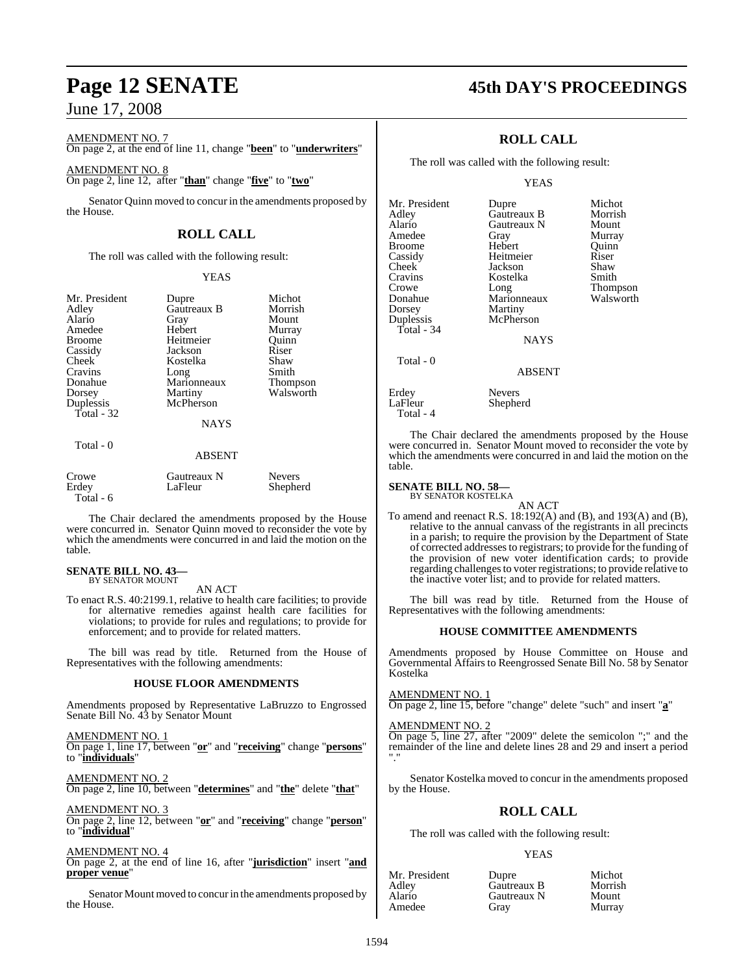AMENDMENT NO. 7

On page 2, at the end of line 11, change "**been**" to "**underwriters**"

AMENDMENT NO. 8 On page 2, line 12, after "**than**" change "**five**" to "**two**"

Senator Quinn moved to concur in the amendments proposed by the House.

### **ROLL CALL**

The roll was called with the following result:

#### YEAS

| Mr. President<br>Adley<br>Alario<br>Amedee<br><b>Broome</b><br>Cassidy<br>Cheek<br>Cravins<br>Donahue | Dupre<br>Gautreaux B<br>Gray<br>Hebert<br>Heitmeier<br>Jackson<br>Kostelka<br>Long<br>Marionneaux | Michot<br>Morrish<br>Mount<br>Murray<br>Ouinn<br>Riser<br>Shaw<br>Smith<br><b>Thompson</b> |
|-------------------------------------------------------------------------------------------------------|---------------------------------------------------------------------------------------------------|--------------------------------------------------------------------------------------------|
| Dorsey<br>Duplessis<br>Total - $32$                                                                   | Martiny<br>McPherson<br><b>NAYS</b>                                                               | Walsworth                                                                                  |
| Total - 0                                                                                             |                                                                                                   |                                                                                            |

#### ABSENT

| Crowe<br>Erdey<br>Total - $6$ | Gautreaux N<br>LaFleur | <b>Nevers</b><br>Shepherd |
|-------------------------------|------------------------|---------------------------|
|-------------------------------|------------------------|---------------------------|

The Chair declared the amendments proposed by the House were concurred in. Senator Quinn moved to reconsider the vote by which the amendments were concurred in and laid the motion on the table.

#### **SENATE BILL NO. 43—** BY SENATOR MOUNT

AN ACT

To enact R.S. 40:2199.1, relative to health care facilities; to provide for alternative remedies against health care facilities for violations; to provide for rules and regulations; to provide for enforcement; and to provide for related matters.

The bill was read by title. Returned from the House of Representatives with the following amendments:

#### **HOUSE FLOOR AMENDMENTS**

Amendments proposed by Representative LaBruzzo to Engrossed Senate Bill No. 43 by Senator Mount

AMENDMENT NO. 1 On page 1, line 17, between "**or**" and "**receiving**" change "**persons**" to "**individuals**"

AMENDMENT NO. 2 On page 2, line 10, between "**determines**" and "**the**" delete "**that**"

#### AMENDMENT NO. 3

On page 2, line 12, between "**or**" and "**receiving**" change "**person**" to "**individual**"

AMENDMENT NO. 4 On page 2, at the end of line 16, after "**jurisdiction**" insert "**and proper venue**"

Senator Mount moved to concurin the amendments proposed by the House.

## **Page 12 SENATE 45th DAY'S PROCEEDINGS**

### **ROLL CALL**

The roll was called with the following result:

#### YEAS

| Mr. President | Dupre         | Michot    |
|---------------|---------------|-----------|
| Adley         | Gautreaux B   | Morrish   |
| Alario        | Gautreaux N   | Mount     |
| Amedee        | Gray          | Murray    |
| <b>Broome</b> | Hebert        | Ouinn     |
| Cassidy       | Heitmeier     | Riser     |
| Cheek         | Jackson       | Shaw      |
| Cravins       | Kostelka      | Smith     |
| Crowe         | Long          | Thompson  |
| Donahue       | Marionneaux   | Walsworth |
| Dorsey        | Martiny       |           |
| Duplessis     | McPherson     |           |
| Total - 34    |               |           |
|               | <b>NAYS</b>   |           |
| Total - 0     |               |           |
|               | <b>ABSENT</b> |           |
| Erdey         | <b>Nevers</b> |           |
| LaFleur       | Shepherd      |           |
| $Total - 4$   |               |           |

The Chair declared the amendments proposed by the House were concurred in. Senator Mount moved to reconsider the vote by which the amendments were concurred in and laid the motion on the table.

#### **SENATE BILL NO. 58—**

BY SENATOR KOSTELKA

AN ACT To amend and reenact R.S. 18:192(A) and (B), and 193(A) and (B), relative to the annual canvass of the registrants in all precincts in a parish; to require the provision by the Department of State of corrected addressesto registrars; to provide for the funding of the provision of new voter identification cards; to provide regarding challengesto voter registrations; to provide relative to the inactive voter list; and to provide for related matters.

The bill was read by title. Returned from the House of Representatives with the following amendments:

#### **HOUSE COMMITTEE AMENDMENTS**

Amendments proposed by House Committee on House and Governmental Affairs to Reengrossed Senate Bill No. 58 by Senator Kostelka

### AMENDMENT NO. 1

On page 2, line 15, before "change" delete "such" and insert "**a**"

AMENDMENT NO. 2 On page 5, line 27, after "2009" delete the semicolon ";" and the remainder of the line and delete lines 28 and 29 and insert a period "."

Senator Kostelka moved to concur in the amendments proposed by the House.

### **ROLL CALL**

The roll was called with the following result:

#### **YEAS**

| Mr. President | Dupre       | Michot  |
|---------------|-------------|---------|
| Adley         | Gautreaux B | Morrish |
| Alario        | Gautreaux N | Mount   |
| Amedee        | Grav        | Murray  |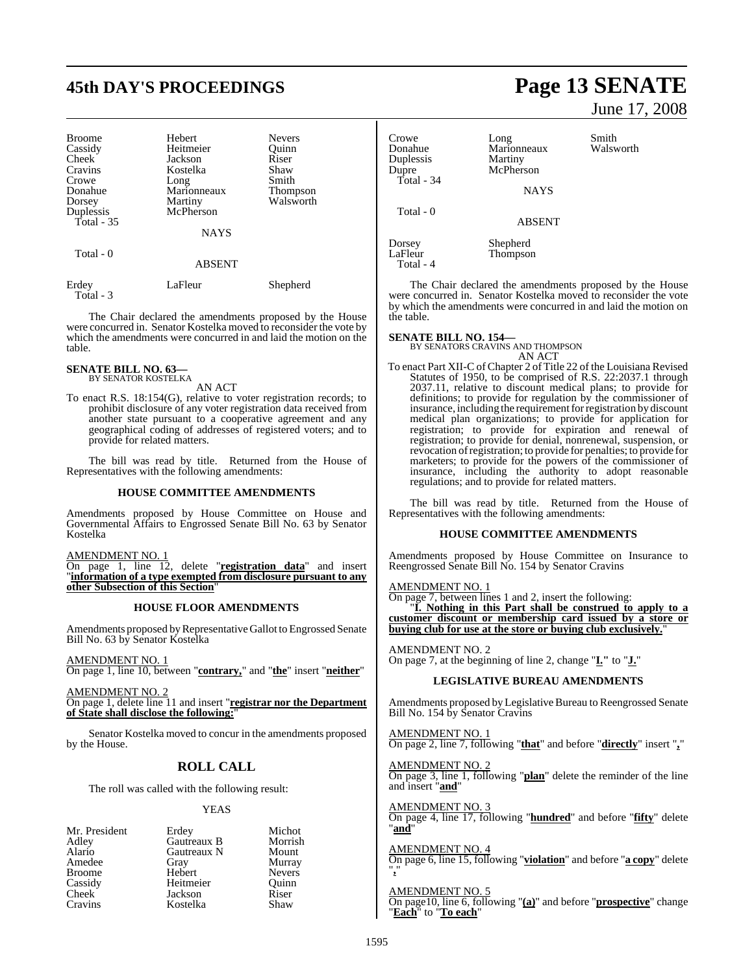# **45th DAY'S PROCEEDINGS Page 13 SENATE**

| <b>Broome</b><br>Cassidy<br>Cheek<br>Cravins<br>Crowe<br>Donahue<br>Dorsey<br>Duplessis<br>Total $-35$ | Hebert<br>Heitmeier<br>Jackson<br>Kostelka<br>Long<br>Marionneaux<br>Martiny<br>McPherson<br><b>NAYS</b> | <b>Nevers</b><br>Quinn<br>Riser<br>Shaw<br>Smith<br>Thompson<br>Walsworth |
|--------------------------------------------------------------------------------------------------------|----------------------------------------------------------------------------------------------------------|---------------------------------------------------------------------------|
| Total - 0                                                                                              | <b>ABSENT</b>                                                                                            |                                                                           |
| Erdey<br>Total - 3                                                                                     | LaFleur                                                                                                  | Shepherd                                                                  |

The Chair declared the amendments proposed by the House were concurred in. Senator Kostelka moved to reconsider the vote by which the amendments were concurred in and laid the motion on the table.

#### **SENATE BILL NO. 63—** BY SENATOR KOSTELKA

AN ACT

To enact R.S. 18:154(G), relative to voter registration records; to prohibit disclosure of any voter registration data received from another state pursuant to a cooperative agreement and any geographical coding of addresses of registered voters; and to provide for related matters.

The bill was read by title. Returned from the House of Representatives with the following amendments:

#### **HOUSE COMMITTEE AMENDMENTS**

Amendments proposed by House Committee on House and Governmental Affairs to Engrossed Senate Bill No. 63 by Senator Kostelka

AMENDMENT NO. 1

On page 1, line 12, delete "**registration data**" and insert "**information of a type exempted from disclosure pursuant to any other Subsection of this Section**"

#### **HOUSE FLOOR AMENDMENTS**

Amendments proposed by Representative Gallot to Engrossed Senate Bill No. 63 by Senator Kostelka

#### AMENDMENT NO. 1

On page 1, line 10, between "**contrary,**" and "**the**" insert "**neither**"

AMENDMENT NO. 2 On page 1, delete line 11 and insert "**registrar nor the Department of State shall disclose the following:**"

Senator Kostelka moved to concur in the amendments proposed by the House.

### **ROLL CALL**

The roll was called with the following result:

#### YEAS

|             | Michot               |
|-------------|----------------------|
|             | Morrish              |
| Gautreaux N | Mount                |
| Gray        | Murray               |
| Hebert      | <b>Nevers</b>        |
| Heitmeier   | Ouinn                |
| Jackson     | Riser                |
| Kostelka    | Shaw                 |
|             | Erdey<br>Gautreaux B |

# June 17, 2008

| Crowe<br>Donahue<br>Duplessis<br>Dupre<br>Total - $34$ | Long<br>Marionneaux<br>Martiny<br>McPherson<br><b>NAYS</b> | Smith<br>Walsworth |
|--------------------------------------------------------|------------------------------------------------------------|--------------------|
| Total - 0                                              | <b>ABSENT</b>                                              |                    |
| Dorsey<br>LaFleur                                      | Shepherd<br>Thompson                                       |                    |

The Chair declared the amendments proposed by the House were concurred in. Senator Kostelka moved to reconsider the vote by which the amendments were concurred in and laid the motion on the table.

#### **SENATE BILL NO. 154—**

Total - 4

BY SENATORS CRAVINS AND THOMPSON AN ACT

To enact Part XII-C of Chapter 2 of Title 22 of the Louisiana Revised Statutes of 1950, to be comprised of R.S. 22:2037.1 through 2037.11, relative to discount medical plans; to provide for definitions; to provide for regulation by the commissioner of insurance, including the requirement for registration by discount medical plan organizations; to provide for application for registration; to provide for expiration and renewal of registration; to provide for denial, nonrenewal, suspension, or revocation ofregistration; to provide for penalties; to provide for marketers; to provide for the powers of the commissioner of insurance, including the authority to adopt reasonable regulations; and to provide for related matters.

The bill was read by title. Returned from the House of Representatives with the following amendments:

#### **HOUSE COMMITTEE AMENDMENTS**

Amendments proposed by House Committee on Insurance to Reengrossed Senate Bill No. 154 by Senator Cravins

AMENDMENT NO. 1

On page 7, between lines 1 and 2, insert the following:

"**I. Nothing in this Part shall be construed to apply to a customer discount or membership card issued by a store or buying club for use at the store or buying club exclusively.**"

AMENDMENT NO. 2 On page 7, at the beginning of line 2, change "**I."** to "**J.**"

#### **LEGISLATIVE BUREAU AMENDMENTS**

Amendments proposed by Legislative Bureau to Reengrossed Senate Bill No. 154 by Senator Cravins

AMENDMENT NO. 1 On page 2, line 7, following "**that**" and before "**directly**" insert "**,**"

AMENDMENT NO. 2 On page 3, line 1, following "**plan**" delete the reminder of the line and insert "**and**"

AMENDMENT NO. 3 On page 4, line 17, following "**hundred**" and before "**fifty**" delete "**and**"

AMENDMENT NO. 4 On page 6, line 15, following "**violation**" and before "**a copy**" delete "**,**"

AMENDMENT NO. 5 On page10, line 6, following "**(a)**" and before "**prospective**" change "**Each**" to "**To each**"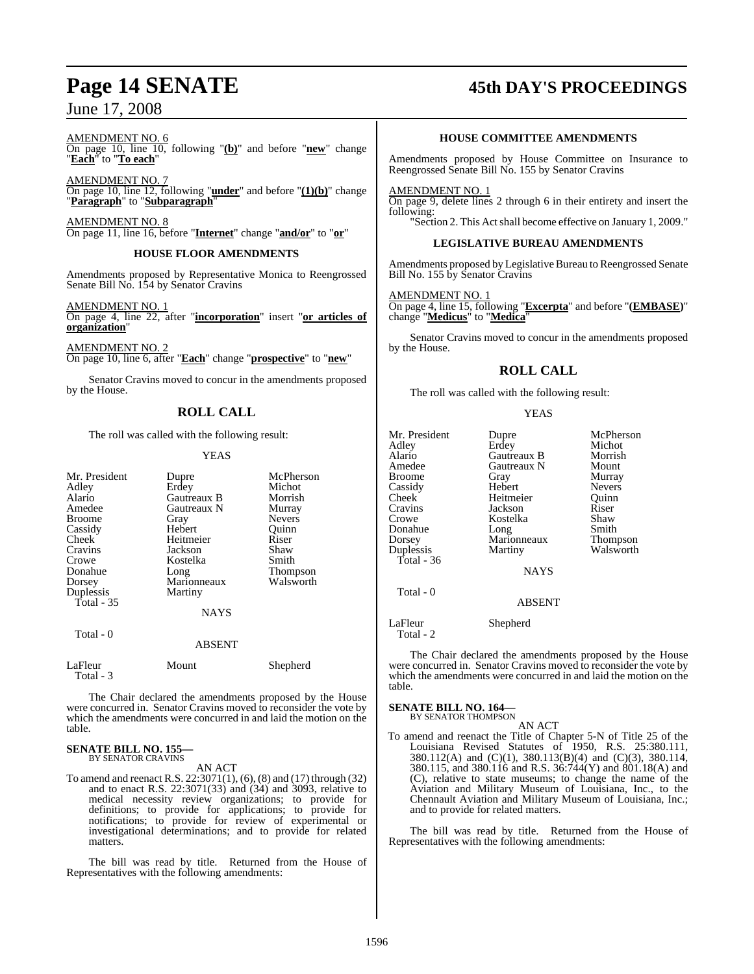AMENDMENT NO. 6 On page 10, line 10, following "**(b)**" and before "**new**" change "**Each**" to "**To each**"

AMENDMENT NO. 7 On page 10, line 12, following "**under**" and before "**(1)(b)**" change "**Paragraph**" to "**Subparagraph**"

AMENDMENT NO. 8 On page 11, line 16, before "**Internet**" change "**and/or**" to "**or**"

#### **HOUSE FLOOR AMENDMENTS**

Amendments proposed by Representative Monica to Reengrossed Senate Bill No. 154 by Senator Cravins

AMENDMENT NO. 1 On page 4, line 22, after "**incorporation**" insert "**or articles of organization**"

AMENDMENT NO. 2 On page 10, line 6, after "**Each**" change "**prospective**" to "**new**"

Senator Cravins moved to concur in the amendments proposed by the House.

### **ROLL CALL**

The roll was called with the following result:

#### YEAS

| Mr. President<br>Adley<br>Alario<br>Amedee<br><b>Broome</b><br>Cassidy<br>Cheek<br>Cravins<br>Crowe<br>Donahue<br>Dorsey<br>Duplessis<br>Total - $35$<br>Total - 0 | Dupre<br>Erdey<br>Gautreaux B<br>Gautreaux N<br>Gray<br>Hebert<br>Heitmeier<br>Jackson<br>Kostelka<br>Long<br>Marionneaux<br>Martiny<br><b>NAYS</b> | McPherson<br>Michot<br>Morrish<br>Murray<br><b>Nevers</b><br>Ouinn<br>Riser<br>Shaw<br>Smith<br><b>Thompson</b><br>Walsworth |
|--------------------------------------------------------------------------------------------------------------------------------------------------------------------|-----------------------------------------------------------------------------------------------------------------------------------------------------|------------------------------------------------------------------------------------------------------------------------------|
|                                                                                                                                                                    | <b>ABSENT</b>                                                                                                                                       |                                                                                                                              |
| LaFleur<br>Total - 3                                                                                                                                               | Mount                                                                                                                                               | Shepherd                                                                                                                     |

The Chair declared the amendments proposed by the House were concurred in. Senator Cravins moved to reconsider the vote by which the amendments were concurred in and laid the motion on the table.

#### **SENATE BILL NO. 155—** BY SENATOR CRAVINS

AN ACT

To amend and reenact R.S. 22:3071(1), (6), (8) and (17) through (32) and to enact R.S. 22:3071(33) and (34) and 3093, relative to medical necessity review organizations; to provide for definitions; to provide for applications; to provide for notifications; to provide for review of experimental or investigational determinations; and to provide for related matters.

The bill was read by title. Returned from the House of Representatives with the following amendments:

# **Page 14 SENATE 45th DAY'S PROCEEDINGS**

#### **HOUSE COMMITTEE AMENDMENTS**

Amendments proposed by House Committee on Insurance to Reengrossed Senate Bill No. 155 by Senator Cravins

#### AMENDMENT NO. 1

On page 9, delete lines 2 through 6 in their entirety and insert the following:

"Section 2. This Act shall become effective on January 1, 2009."

#### **LEGISLATIVE BUREAU AMENDMENTS**

Amendments proposed by Legislative Bureau to Reengrossed Senate Bill No. 155 by Senator Cravins

AMENDMENT NO. 1

On page 4, line 15, following "**Excerpta**" and before "**(EMBASE)**" change "**Medicus**" to "**Medica**"

Senator Cravins moved to concur in the amendments proposed by the House.

#### **ROLL CALL**

The roll was called with the following result:

#### YEAS

| <b>Nevers</b><br>Heitmeier<br>Ouinn                                                  |
|--------------------------------------------------------------------------------------|
| Riser<br>Shaw<br>Smith<br>Marionneaux<br><b>Thompson</b><br>Walsworth<br><b>NAYS</b> |
| <b>ABSENT</b>                                                                        |
| Shepherd                                                                             |

Total - 2

The Chair declared the amendments proposed by the House were concurred in. Senator Cravins moved to reconsider the vote by which the amendments were concurred in and laid the motion on the table.

#### **SENATE BILL NO. 164—**

BY SENATOR THOMPSON

AN ACT To amend and reenact the Title of Chapter 5-N of Title 25 of the Louisiana Revised Statutes of 1950, R.S. 25:380.111, 380.112(A) and (C)(1), 380.113(B)(4) and (C)(3), 380.114, 380.115, and 380.116 and R.S. 36:744(Y) and 801.18(A) and (C), relative to state museums; to change the name of the Aviation and Military Museum of Louisiana, Inc., to the Chennault Aviation and Military Museum of Louisiana, Inc.; and to provide for related matters.

The bill was read by title. Returned from the House of Representatives with the following amendments: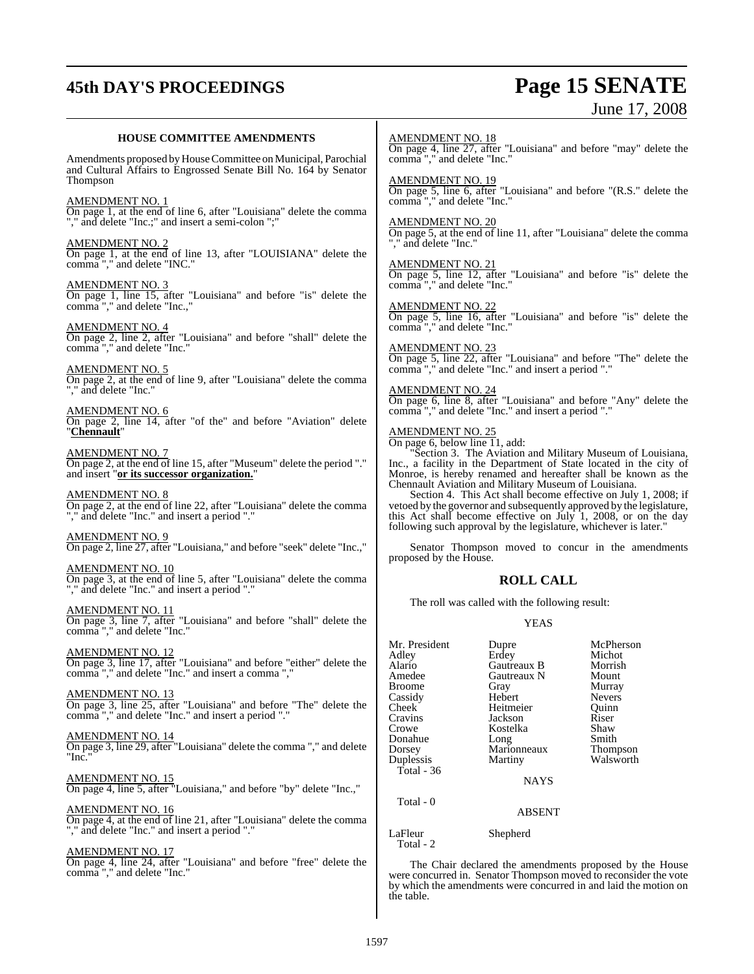# **45th DAY'S PROCEEDINGS Page 15 SENATE**

# June 17, 2008

#### **HOUSE COMMITTEE AMENDMENTS** Amendments proposed by House Committee on Municipal, Parochial and Cultural Affairs to Engrossed Senate Bill No. 164 by Senator Thompson AMENDMENT NO. 1 On page 1, at the end of line 6, after "Louisiana" delete the comma "," and delete "Inc.;" and insert a semi-colon ";" AMENDMENT NO. 2 On page 1, at the end of line 13, after "LOUISIANA" delete the comma "," and delete "INC." AMENDMENT NO. 3 On page 1, line 15, after "Louisiana" and before "is" delete the comma "," and delete "Inc.," AMENDMENT NO. 4 On page 2, line 2, after "Louisiana" and before "shall" delete the comma "," and delete "Inc." AMENDMENT NO. 5 On page 2, at the end of line 9, after "Louisiana" delete the comma "," and delete "Inc." AMENDMENT NO. 6 On page 2, line 14, after "of the" and before "Aviation" delete "**Chennault**" AMENDMENT NO. 7 On page 2, at the end of line 15, after "Museum" delete the period "." and insert "**or its successor organization.**" AMENDMENT NO. 8 On page 2, at the end of line 22, after "Louisiana" delete the comma "," and delete "Inc." and insert a period "." AMENDMENT NO. 9 On page 2, line 27, after "Louisiana," and before "seek" delete "Inc.," AMENDMENT NO. 10 On page 3, at the end of line 5, after "Louisiana" delete the comma "," and delete "Inc." and insert a period "." AMENDMENT NO. 11 On page 3, line 7, after "Louisiana" and before "shall" delete the comma "," and delete "Inc." AMENDMENT NO. 12 On page 3, line 17, after "Louisiana" and before "either" delete the comma "," and delete "Inc." and insert a comma "," AMENDMENT NO. 13 On page 3, line 25, after "Louisiana" and before "The" delete the comma "," and delete "Inc." and insert a period "." AMENDMENT NO. 14 On page 3, line 29, after "Louisiana" delete the comma "," and delete  $"Inc."$ AMENDMENT NO. 15 On page 4, line 5, after "Louisiana," and before "by" delete "Inc.," AMENDMENT NO. 16 On page 4, at the end of line 21, after "Louisiana" delete the comma "," and delete "Inc." and insert a period "." AMENDMENT NO. 17 On page 4, line 24, after "Louisiana" and before "free" delete the comma "," and delete "Inc." AMENDMENT NO. 18 On page 4, line 27, after "Louisiana" and before "may" delete the comma "," and delete "Inc." AMENDMENT NO. 19 On page 5, line 6, after "Louisiana" and before "(R.S." delete the comma "," and delete "Inc." AMENDMENT NO. 20 On page 5, at the end of line 11, after "Louisiana" delete the comma "," and delete "Inc." AMENDMENT NO. 21 On page 5, line 12, after "Louisiana" and before "is" delete the comma "," and delete "Inc." AMENDMENT NO. 22 On page 5, line 16, after "Louisiana" and before "is" delete the comma "," and delete "Inc." AMENDMENT NO. 23 On page 5, line 22, after "Louisiana" and before "The" delete the comma "," and delete "Inc." and insert a period "." AMEND<u>MENT NO. 24</u> On page 6, line 8, after "Louisiana" and before "Any" delete the comma "," and delete "Inc." and insert a period "." AMENDMENT NO. 25 On page 6, below line  $\overline{11}$ , add: "Section 3. The Aviation and Military Museum of Louisiana, Inc., a facility in the Department of State located in the city of Monroe, is hereby renamed and hereafter shall be known as the Chennault Aviation and Military Museum of Louisiana. Section 4. This Act shall become effective on July 1, 2008; if vetoed by the governor and subsequently approved by the legislature, this Act shall become effective on July 1, 2008, or on the day following such approval by the legislature, whichever is later." Senator Thompson moved to concur in the amendments proposed by the House. **ROLL CALL** The roll was called with the following result: YEAS Mr. President Dupre McPherson<br>
Adley Erdey Michot Adley Erdey Michot Alario Gautreaux B Morrish **Gautreaux N** Broome Gray Murray Cassidy Hebert Nevers Cheek Heitmeier Quinn Cravins Jackson Riser Kostelka Shaw<br>Long Smith Donahue Long Smith<br>Dorsey Marionneaux Thompson Dorsey Marionneaux<br>
Duplessis Martiny Walsworth Total - 36 NAYS Total - 0 ABSENT LaFleur Shepherd Total - 2 The Chair declared the amendments proposed by the House were concurred in. Senator Thompson moved to reconsider the vote by which the amendments were concurred in and laid the motion on the table.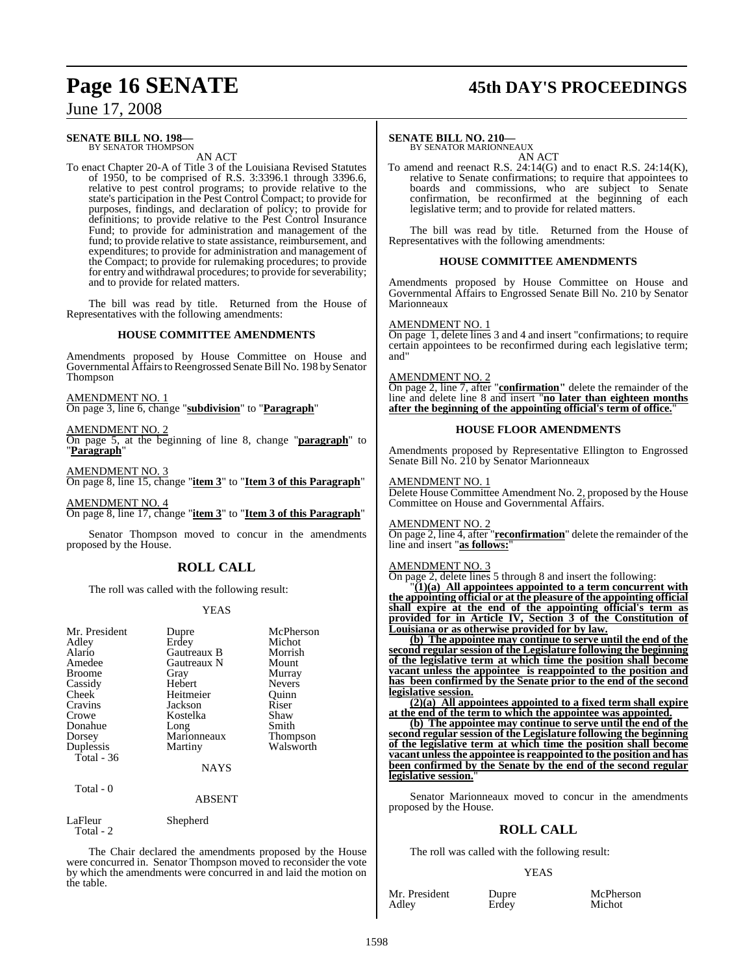## **Page 16 SENATE 45th DAY'S PROCEEDINGS**

### June 17, 2008

#### **SENATE BILL NO. 198—** BY SENATOR THOMPSON

AN ACT

To enact Chapter 20-A of Title 3 of the Louisiana Revised Statutes of 1950, to be comprised of R.S. 3:3396.1 through 3396.6, relative to pest control programs; to provide relative to the state's participation in the Pest Control Compact; to provide for purposes, findings, and declaration of policy; to provide for definitions; to provide relative to the Pest Control Insurance Fund; to provide for administration and management of the fund; to provide relative to state assistance, reimbursement, and expenditures; to provide for administration and management of the Compact; to provide for rulemaking procedures; to provide for entry and withdrawal procedures; to provide for severability; and to provide for related matters.

The bill was read by title. Returned from the House of Representatives with the following amendments:

#### **HOUSE COMMITTEE AMENDMENTS**

Amendments proposed by House Committee on House and Governmental Affairs to Reengrossed Senate Bill No. 198 by Senator Thompson

#### AMENDMENT NO. 1

On page 3, line 6, change "**subdivision**" to "**Paragraph**"

AMENDMENT NO. 2

On page 5, at the beginning of line 8, change "**paragraph**" to "**Paragraph**"

AMENDMENT NO. 3 On page 8, line 15, change "**item 3**" to "**Item 3 of this Paragraph**"

AMENDMENT NO. 4 On page 8, line 17, change "**item 3**" to "**Item 3 of this Paragraph**"

Senator Thompson moved to concur in the amendments proposed by the House.

### **ROLL CALL**

The roll was called with the following result:

#### YEAS

| Mr. President | Dupre       | McPherson       |
|---------------|-------------|-----------------|
| Adley         | Erdey       | Michot          |
| Alario        | Gautreaux B | Morrish         |
| Amedee        | Gautreaux N | Mount           |
| <b>Broome</b> | Gray        | Murray          |
| Cassidy       | Hebert      | <b>Nevers</b>   |
| Cheek         | Heitmeier   | Ouinn           |
| Cravins       | Jackson     | Riser           |
| Crowe         | Kostelka    | Shaw            |
| Donahue       | Long        | Smith           |
| Dorsey        | Marionneaux | <b>Thompson</b> |
| Duplessis     | Martiny     | Walsworth       |
| Total $-36$   |             |                 |
|               | <b>NAYS</b> |                 |
| Total - 0     |             |                 |

#### ABSENT

LaFleur Shepherd Total - 2

The Chair declared the amendments proposed by the House were concurred in. Senator Thompson moved to reconsider the vote by which the amendments were concurred in and laid the motion on the table.

#### **SENATE BILL NO. 210—**

BY SENATOR MARIONNEAUX AN ACT

To amend and reenact R.S. 24:14(G) and to enact R.S. 24:14(K), relative to Senate confirmations; to require that appointees to boards and commissions, who are subject to Senate confirmation, be reconfirmed at the beginning of each legislative term; and to provide for related matters.

The bill was read by title. Returned from the House of Representatives with the following amendments:

#### **HOUSE COMMITTEE AMENDMENTS**

Amendments proposed by House Committee on House and Governmental Affairs to Engrossed Senate Bill No. 210 by Senator Marionneaux

#### AMENDMENT NO. 1

On page 1, delete lines 3 and 4 and insert "confirmations; to require certain appointees to be reconfirmed during each legislative term; and"

#### AMENDMENT NO. 2

On page 2, line 7, after "**confirmation"** delete the remainder of the line and delete line 8 and insert "**no later than eighteen months after the beginning of the appointing official's term of office.**"

#### **HOUSE FLOOR AMENDMENTS**

Amendments proposed by Representative Ellington to Engrossed Senate Bill No. 210 by Senator Marionneaux

#### AMENDMENT NO. 1

Delete House Committee Amendment No. 2, proposed by the House Committee on House and Governmental Affairs.

#### AMENDMENT NO. 2

On page 2, line 4, after "**reconfirmation**" delete the remainder of the line and insert "as follows:

#### AMENDMENT NO. 3

On page 2, delete lines 5 through 8 and insert the following:

"**(1)(a) All appointees appointed to a term concurrent with the appointing official or at the pleasure of the appointing official shall expire at the end of the appointing official's term as provided for in Article IV, Section 3 of the Constitution of Louisiana or as otherwise provided for by law.**

**(b) The appointee may continue to serve until the end of the second regular session of the Legislature following the beginning of the legislative term at which time the position shall become vacant unless the appointee is reappointed to the position and has been confirmed by the Senate prior to the end of the second legislative session.**

**(2)(a) All appointees appointed to a fixed term shall expire at the end of the term to which the appointee was appointed.**

**(b) The appointee may continue to serve until the end of the second regular session of the Legislature following the beginning of the legislative term at which time the position shall become vacant unlessthe appointee is reappointed to the position and has been confirmed by the Senate by the end of the second regular legislative session.**"

Senator Marionneaux moved to concur in the amendments proposed by the House.

#### **ROLL CALL**

The roll was called with the following result:

#### YEAS

Mr. President Dupre McPherson<br>Adley Erdey Michot Adley Erdey Michot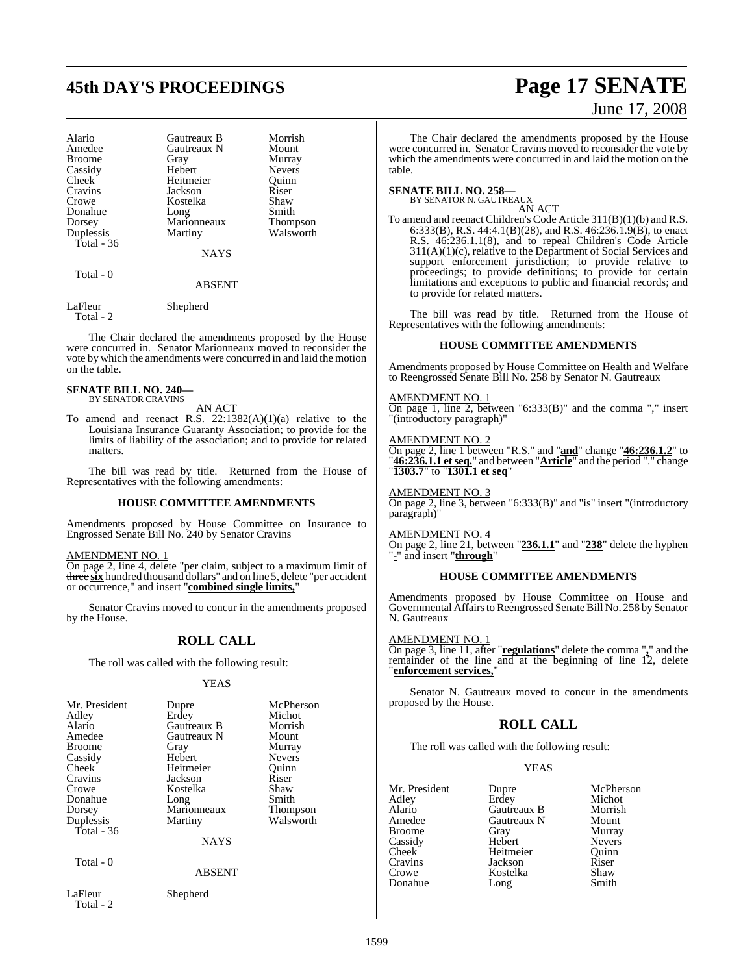# **45th DAY'S PROCEEDINGS Page 17 SENATE**

| Alario<br>Amedee<br><b>Broome</b><br>Cassidy<br>Cheek<br>Cravins<br>Crowe<br>Donahue<br>Dorsey | Gautreaux B<br>Gautreaux N<br>Gray<br>Hebert<br>Heitmeier<br>Jackson<br>Kostelka<br>Long<br>Marionneaux | Morrish<br>Mount<br>Murray<br><b>Nevers</b><br>Ouinn<br>Riser<br>Shaw<br>Smith<br>Thompson |
|------------------------------------------------------------------------------------------------|---------------------------------------------------------------------------------------------------------|--------------------------------------------------------------------------------------------|
| Duplessis<br>Total - 36                                                                        | Martiny                                                                                                 | Walsworth                                                                                  |
|                                                                                                | <b>NAYS</b>                                                                                             |                                                                                            |
| Total - 0                                                                                      | ABSENT                                                                                                  |                                                                                            |

LaFleur Shepherd Total - 2

The Chair declared the amendments proposed by the House were concurred in. Senator Marionneaux moved to reconsider the vote by which the amendments were concurred in and laid the motion on the table.

#### **SENATE BILL NO. 240—** BY SENATOR CRAVINS

AN ACT

To amend and reenact R.S.  $22:1382(A)(1)(a)$  relative to the Louisiana Insurance Guaranty Association; to provide for the limits of liability of the association; and to provide for related matters.

The bill was read by title. Returned from the House of Representatives with the following amendments:

#### **HOUSE COMMITTEE AMENDMENTS**

Amendments proposed by House Committee on Insurance to Engrossed Senate Bill No. 240 by Senator Cravins

#### AMENDMENT NO. 1

 $Total - 2$ 

On page 2, line 4, delete "per claim, subject to a maximum limit of three **six** hundred thousand dollars" and on line 5, delete "per accident or occurrence," and insert "**combined single limits,**"

Senator Cravins moved to concur in the amendments proposed by the House.

#### **ROLL CALL**

The roll was called with the following result:

#### YEAS

| Mr. President<br>Adley<br>Alario<br>Amedee<br><b>Broome</b><br>Cassidy<br><b>Cheek</b><br>Cravins<br>Crowe<br>Donahue<br>Dorsey | Dupre<br>Erdey<br>Gautreaux B<br>Gautreaux N<br>Gray<br>Hebert<br>Heitmeier<br>Jackson<br>Kostelka<br>Long<br>Marionneaux | McPherson<br>Michot<br>Morrish<br>Mount<br>Murray<br><b>Nevers</b><br>Ouinn<br>Riser<br>Shaw<br>Smith<br><b>Thompson</b> |
|---------------------------------------------------------------------------------------------------------------------------------|---------------------------------------------------------------------------------------------------------------------------|--------------------------------------------------------------------------------------------------------------------------|
| Duplessis<br>Total $-36$<br>Total - 0                                                                                           | Martiny<br><b>NAYS</b><br><b>ABSENT</b>                                                                                   | Walsworth                                                                                                                |
| LaFleur                                                                                                                         | Shepherd                                                                                                                  |                                                                                                                          |

# June 17, 2008

The Chair declared the amendments proposed by the House were concurred in. Senator Cravins moved to reconsider the vote by which the amendments were concurred in and laid the motion on the table.

#### **SENATE BILL NO. 258—** BY SENATOR N. GAUTREAUX

AN ACT

To amend and reenact Children's Code Article 311(B)(1)(b) and R.S. 6:333(B), R.S. 44:4.1(B)(28), and R.S. 46:236.1.9(B), to enact R.S. 46:236.1.1(8), and to repeal Children's Code Article 311(A)(1)(c), relative to the Department of Social Services and support enforcement jurisdiction; to provide relative to proceedings; to provide definitions; to provide for certain limitations and exceptions to public and financial records; and to provide for related matters.

The bill was read by title. Returned from the House of Representatives with the following amendments:

#### **HOUSE COMMITTEE AMENDMENTS**

Amendments proposed by House Committee on Health and Welfare to Reengrossed Senate Bill No. 258 by Senator N. Gautreaux

#### AMENDMENT NO. 1

On page 1, line 2, between "6:333(B)" and the comma "," insert "(introductory paragraph)"

#### AMENDMENT NO. 2

On page 2, line 1 between "R.S." and "**and**" change "**46:236.1.2**" to "**46:236.1.1 et seq.**" and between "**Article**" and the period "." change "**1303.7**" to "**1301.1 et seq**"

#### AMENDMENT NO. 3

On page 2, line 3, between "6:333(B)" and "is" insert "(introductory paragraph)"

#### AMENDMENT NO. 4

On page 2, line 21, between "**236.1.1**" and "**238**" delete the hyphen "**-**" and insert "**through**"

#### **HOUSE COMMITTEE AMENDMENTS**

Amendments proposed by House Committee on House and Governmental Affairs to Reengrossed Senate Bill No. 258 by Senator N. Gautreaux

#### AMENDMENT NO. 1

On page 3, line 11, after "**regulations**" delete the comma "**,**" and the remainder of the line and at the beginning of line 12, delete "**enforcement services,**"

Senator N. Gautreaux moved to concur in the amendments proposed by the House.

#### **ROLL CALL**

The roll was called with the following result:

#### YEAS

| Mr. President | Dupre       | McPherson     |
|---------------|-------------|---------------|
| Adley         | Erdey       | Michot        |
| Alario        | Gautreaux B | Morrish       |
| Amedee        | Gautreaux N | Mount         |
| <b>Broome</b> | Gray        | Murray        |
| Cassidy       | Hebert      | <b>Nevers</b> |
| Cheek         | Heitmeier   | Quinn         |
| Cravins       | Jackson     | Riser         |
| Crowe         | Kostelka    | Shaw          |
| Donahue       | Long        | Smith         |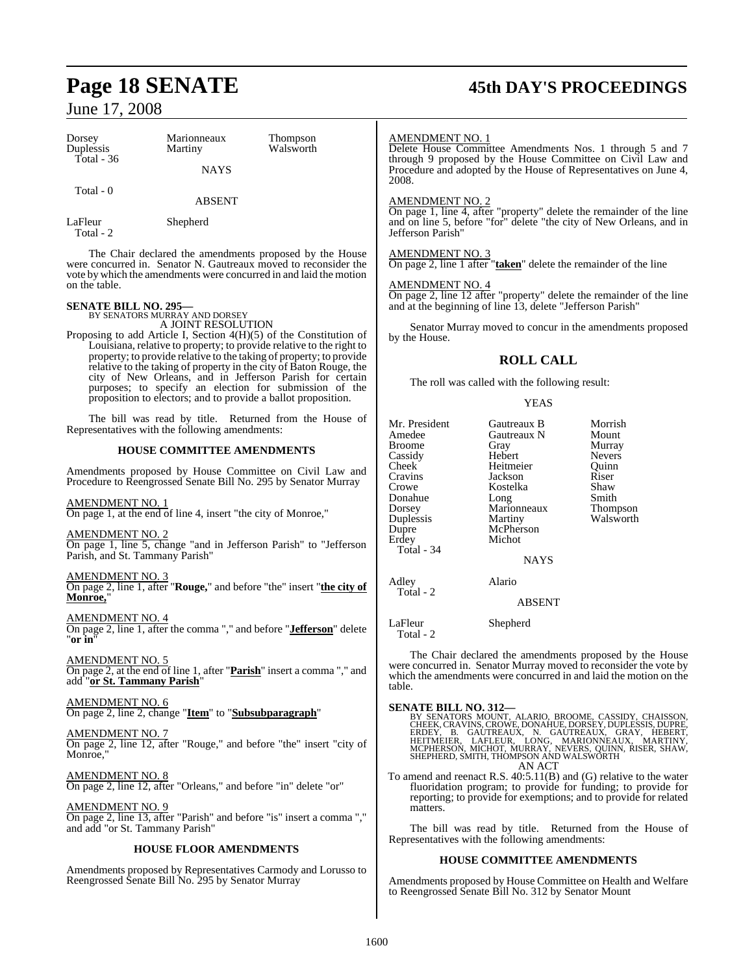# **Page 18 SENATE 45th DAY'S PROCEEDINGS**

### June 17, 2008

| Dorsey<br>Duplessis<br>Total - 36                     | Marionneaux<br>Martiny                                                              | Thompson<br>Walsworth                                                                                                                                                                                               | <b>AMENDMENT NO. 1</b><br>Delete House Commit<br>through 9 proposed b                                      |
|-------------------------------------------------------|-------------------------------------------------------------------------------------|---------------------------------------------------------------------------------------------------------------------------------------------------------------------------------------------------------------------|------------------------------------------------------------------------------------------------------------|
|                                                       | <b>NAYS</b>                                                                         |                                                                                                                                                                                                                     | Procedure and adopted<br>2008.                                                                             |
| Total - 0                                             | ABSENT                                                                              |                                                                                                                                                                                                                     | AMENDMENT NO. 2                                                                                            |
| LaFleur<br>Total - 2                                  | Shepherd                                                                            |                                                                                                                                                                                                                     | On page 1, line 4, after<br>and on line 5, before "<br>Jefferson Parish"                                   |
| on the table.                                         |                                                                                     | The Chair declared the amendments proposed by the House<br>were concurred in. Senator N. Gautreaux moved to reconsider the<br>vote by which the amendments were concurred in and laid the motion                    | <b>AMENDMENT NO. 3</b><br>On page 2, line 1 after<br><b>AMENDMENT NO. 4</b>                                |
| <b>SENATE BILL NO. 295—</b>                           |                                                                                     |                                                                                                                                                                                                                     | On page 2, line 12 after<br>and at the beginning of                                                        |
|                                                       | BY SENATORS MURRAY AND DORSEY<br>A JOINT RESOLUTION                                 | Proposing to add Article I, Section $4(H)(5)$ of the Constitution of<br>Louisiana, relative to property; to provide relative to the right to<br>property; to provide relative to the taking of property; to provide | Senator Murray m<br>by the House.                                                                          |
|                                                       | proposition to electors; and to provide a ballot proposition.                       | relative to the taking of property in the city of Baton Rouge, the<br>city of New Orleans, and in Jefferson Parish for certain<br>purposes; to specify an election for submission of the                            | The roll was called                                                                                        |
|                                                       | Representatives with the following amendments:                                      | The bill was read by title. Returned from the House of                                                                                                                                                              | Mr. President<br>Amedee                                                                                    |
|                                                       | <b>HOUSE COMMITTEE AMENDMENTS</b>                                                   |                                                                                                                                                                                                                     | <b>Broome</b><br>Cassidy                                                                                   |
|                                                       |                                                                                     | Amendments proposed by House Committee on Civil Law and<br>Procedure to Reengrossed Senate Bill No. 295 by Senator Murray                                                                                           | Cheek<br>Cravins<br>Crowe                                                                                  |
| <b>AMENDMENT NO. 1</b>                                | On page 1, at the end of line 4, insert "the city of Monroe,"                       |                                                                                                                                                                                                                     | Donahue<br>Dorsey<br>Duplessis                                                                             |
|                                                       | Parish, and St. Tammany Parish"                                                     | AMENDMENT NO. 2<br>On page 1, line 5, change "and in Jefferson Parish" to "Jefferson                                                                                                                                | Dupre<br>Erdey<br>Total - 34                                                                               |
| <b>AMENDMENT NO. 3</b><br>Monroe,"                    |                                                                                     | On page 2, line 1, after "Rouge," and before "the" insert "the city of                                                                                                                                              | Adley<br>Total - 2                                                                                         |
| AMENDMENT NO. 4<br>"or in"                            |                                                                                     | On page 2, line 1, after the comma "," and before " <b>Jefferson</b> " delete                                                                                                                                       | LaFleur<br>Total - 2                                                                                       |
| <u>AMENDMENT NO. 5</u><br>add "or St. Tammany Parish" |                                                                                     | On page 2, at the end of line 1, after " <b>Parish</b> " insert a comma "," and                                                                                                                                     | The Chair declare<br>were concurred in. Ser<br>which the amendments<br>table.                              |
| <b>AMENDMENT NO. 6</b>                                | On page 2, line 2, change "Item" to "Subsubparagraph"                               |                                                                                                                                                                                                                     | <b>SENATE BILL NO. 3</b><br>BY SENATORS MO                                                                 |
| Monroe,"                                              |                                                                                     | AMENDMENT NO. 7<br>On page 2, line 12, after "Rouge," and before "the" insert "city of                                                                                                                              | CHEEK, CRAVINS, C<br>ERDEY, B.<br><b>GAUT</b><br>HEITMEIER,<br>LAF!<br>MCPHERSON, MICH<br>SHEPHERD, SMITH, |
|                                                       | AMENDMENT NO. 8<br>On page 2, line 12, after "Orleans," and before "in" delete "or" |                                                                                                                                                                                                                     | To amend and reenact<br>fluoridation progr<br>reporting; to provi                                          |
|                                                       | and add "or St. Tammany Parish"                                                     | AMENDMENT NO. 9<br>On page 2, line 13, after "Parish" and before "is" insert a comma ","                                                                                                                            | matters.<br>The bill was rea                                                                               |

#### **HOUSE FLOOR AMENDMENTS**

Amendments proposed by Representatives Carmody and Lorusso to Reengrossed Senate Bill No. 295 by Senator Murray

 $\mathbf I$ 

 $u$  ittee Amendments Nos. 1 through 5 and 7 by the House Committee on Civil Law and d by the House of Representatives on June 4,

On page 1, line 4, after "property" delete the remainder of the line and on line 5, before "for" delete "the city of New Orleans, and in

 $\frac{3}{2}$   $\frac{3}{2}$  **taken**" delete the remainder of the line

Ter "property" delete the remainder of the line of line 13, delete "Jefferson Parish"

moved to concur in the amendments proposed

#### **ROLL CALL**

ed with the following result:

YEAS

| Mr. President | Gautreaux B   | Morrish       |
|---------------|---------------|---------------|
| Amedee        | Gautreaux N   | Mount         |
| <b>Broome</b> | Gray          | Murray        |
| Cassidy       | Hebert        | <b>Nevers</b> |
| Cheek         | Heitmeier     | Ouinn         |
| Cravins       | Jackson       | Riser         |
| Crowe         | Kostelka      | Shaw          |
| Donahue       | Long          | Smith         |
| Dorsey        | Marionneaux   | Thompson      |
| Duplessis     | Martiny       | Walsworth     |
| Dupre         | McPherson     |               |
| Erdey         | Michot        |               |
| Total - 34    |               |               |
|               | <b>NAYS</b>   |               |
| Adley         | Alario        |               |
| Total $-2$    |               |               |
|               | <b>ABSENT</b> |               |
|               |               |               |

Shepherd

red the amendments proposed by the House enator Murray moved to reconsider the vote by ts were concurred in and laid the motion on the

SENATE BILL NO. 312— $_{\rm BV}$  SENATORS MOUNT, ALARIO, BROOME, CASSIDY, CHAISSON, CHEEK, CRAVINS, CROWE, DONAHUE, DORSEY, DUPLESSIS, DUPRE, ERDEY, B. GAUTREAUX, N. GAUTREAUX, GRAY, HEBERT, HEITMEIER, LAFLEUR, LONG, MARIONNEA

To amend and reenact R.S. 40:5.11(B) and (G) relative to the water t R.S.  $40:5.11(B)$  and (G) relative to the water gram; to provide for funding; to provide for vide for exemptions; and to provide for related

ead by title. Returned from the House of Representatives with the following amendments:

#### **HOUSE COMMITTEE AMENDMENTS**

Amendments proposed by House Committee on Health and Welfare to Reengrossed Senate Bill No. 312 by Senator Mount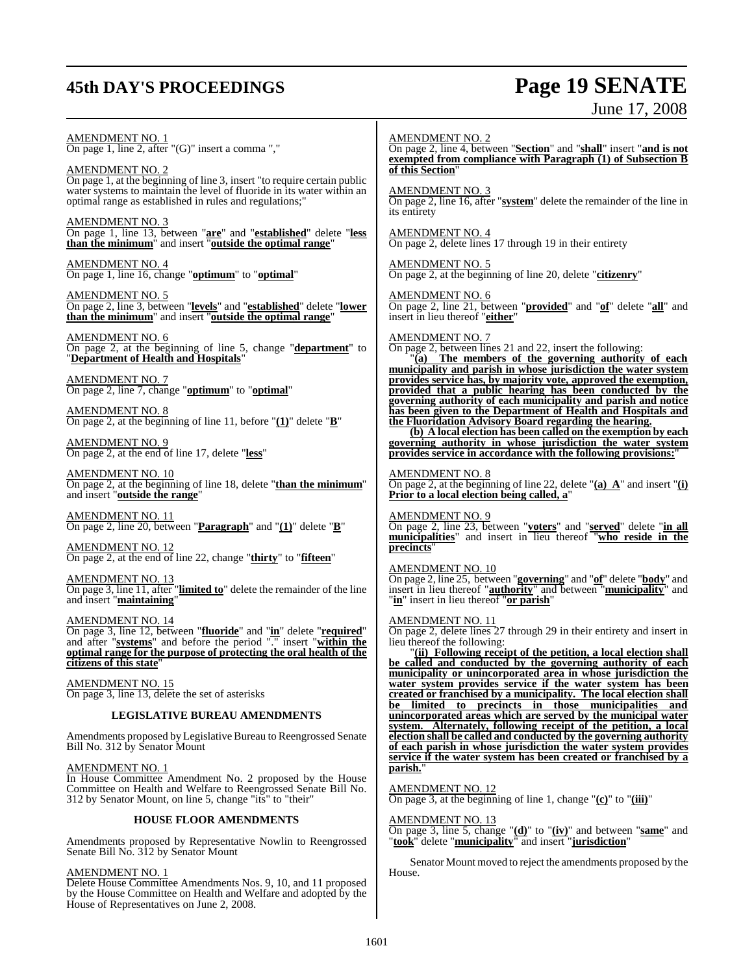# **45th DAY'S PROCEEDINGS Page 19 SENATE** June 17, 2008

| <u>AMENDMENT NO. 1</u><br>On page 1, line 2, after " $(G)$ " insert a comma ","<br><b>AMENDMENT NO. 2</b><br>On page 1, at the beginning of line 3, insert "to require certain public<br>water systems to maintain the level of fluoride in its water within an<br>optimal range as established in rules and regulations;"<br><u>AMENDMENT NO. 3</u><br>On page 1, line 13, between "are" and "established" delete "less<br>than the minimum" and insert "outside the optimal range"<br><b>AMENDMENT NO. 4</b><br>On page 1, line 16, change "optimum" to "optimal"<br><b>AMENDMENT NO. 5</b><br>On page 2, line 3, between "levels" and "established" delete "lower<br>than the minimum" and insert "outside the optimal range"<br>AMENDMENT NO. 6<br>On page 2, at the beginning of line 5, change "department" to<br>"Department of Health and Hospitals"<br><b>AMENDMENT NO. 7</b><br>On page 2, line 7, change "optimum" to "optimal"<br><u>AMENDMENT NO. 8</u><br>On page 2, at the beginning of line 11, before " $(1)$ " delete "B" | <b>AMENDMENT NO. 2</b><br>On page 2, line 4, between "Section" and "shall" insert "and is not<br>exempted from compliance with Paragraph (1) of Subsection B<br>of this Section"<br><b>AMENDMENT NO. 3</b><br>On page 2, line 16, after "system" delete the remainder of the line in<br>its entirety<br><u>AMENDMENT NO. 4</u><br>On page 2, delete lines 17 through 19 in their entirety<br><b>AMENDMENT NO. 5</b><br>On page 2, at the beginning of line 20, delete "citizenry"<br><b>AMENDMENT NO. 6</b><br>On page 2, line 21, between " <b>provided</b> " and "of" delete "all" and<br>insert in lieu thereof "either"<br><b>AMENDMENT NO. 7</b><br>On page 2, between lines 21 and 22, insert the following:<br>(a) The members of the governing authority of each<br>municipality and parish in whose jurisdiction the water system<br>provides service has, by majority vote, approved the exemption,<br>provided that a public hearing has been conducted by the<br>governing authority of each municipality and parish and notice<br>has been given to the Department of Health and Hospitals and<br>the Fluoridation Advisory Board regarding the hearing.<br>(b) A local election has been called on the exemption by each<br>governing authority in whose jurisdiction the water system |
|---------------------------------------------------------------------------------------------------------------------------------------------------------------------------------------------------------------------------------------------------------------------------------------------------------------------------------------------------------------------------------------------------------------------------------------------------------------------------------------------------------------------------------------------------------------------------------------------------------------------------------------------------------------------------------------------------------------------------------------------------------------------------------------------------------------------------------------------------------------------------------------------------------------------------------------------------------------------------------------------------------------------------------------------|------------------------------------------------------------------------------------------------------------------------------------------------------------------------------------------------------------------------------------------------------------------------------------------------------------------------------------------------------------------------------------------------------------------------------------------------------------------------------------------------------------------------------------------------------------------------------------------------------------------------------------------------------------------------------------------------------------------------------------------------------------------------------------------------------------------------------------------------------------------------------------------------------------------------------------------------------------------------------------------------------------------------------------------------------------------------------------------------------------------------------------------------------------------------------------------------------------------------------------------------------------------------------------------------------|
| <u>AMENDMENT NO. 9</u><br>On page 2, at the end of line 17, delete "less"                                                                                                                                                                                                                                                                                                                                                                                                                                                                                                                                                                                                                                                                                                                                                                                                                                                                                                                                                                   | provides service in accordance with the following provisions:"                                                                                                                                                                                                                                                                                                                                                                                                                                                                                                                                                                                                                                                                                                                                                                                                                                                                                                                                                                                                                                                                                                                                                                                                                                       |
| <b>AMENDMENT NO. 10</b><br>On page 2, at the beginning of line 18, delete "than the minimum"<br>and insert " <b>outside the range</b> "                                                                                                                                                                                                                                                                                                                                                                                                                                                                                                                                                                                                                                                                                                                                                                                                                                                                                                     | <b>AMENDMENT NO. 8</b><br>On page 2, at the beginning of line 22, delete " $(a)$ $\mathbf{A}$ " and insert " $(i)$<br>Prior to a local election being called, a"                                                                                                                                                                                                                                                                                                                                                                                                                                                                                                                                                                                                                                                                                                                                                                                                                                                                                                                                                                                                                                                                                                                                     |
| <u>AMENDMENT NO. 11</u><br>On page 2, line 20, between "Paragraph" and "(1)" delete "B"<br><b>AMENDMENT NO. 12</b><br>On page 2, at the end of line 22, change "thirty" to "fifteen"<br>AMENDMENT NO. 13<br>On page 3, line 11, after "limited to" delete the remainder of the line<br>and insert "maintaining"                                                                                                                                                                                                                                                                                                                                                                                                                                                                                                                                                                                                                                                                                                                             | <u>AMENDMENT NO. 9</u><br>On page 2, line 23, between "voters" and "served" delete "in all<br>municipalities" and insert in lieu thereof "who reside in the<br>precincts"<br>AMENDMENT NO. 10<br>On page 2, line 25, between "governing" and "of" delete "body" and<br>insert in lieu thereof " <b>authority</b> " and between " <b>municipality</b> " and<br>"in" insert in lieu thereof "or parish"                                                                                                                                                                                                                                                                                                                                                                                                                                                                                                                                                                                                                                                                                                                                                                                                                                                                                                |
| <u>AMENDMENT NO. 14</u><br>On page 3, line 12, between "fluoride" and "in" delete "required"<br>and after "systems" and before the period "." insert "within the<br>optimal range for the purpose of protecting the oral health of the<br>citizens of this state"<br><b>AMENDMENT NO. 15</b><br>On page 3, line 13, delete the set of asterisks<br><b>LEGISLATIVE BUREAU AMENDMENTS</b><br>Amendments proposed by Legislative Bureau to Reengrossed Senate<br>Bill No. 312 by Senator Mount<br>AMENDMENT NO. 1<br>In House Committee Amendment No. 2 proposed by the House<br>Committee on Health and Welfare to Reengrossed Senate Bill No.<br>312 by Senator Mount, on line 5, change "its" to "their"<br><b>HOUSE FLOOR AMENDMENTS</b>                                                                                                                                                                                                                                                                                                   | <u>AMENDMENT NO. 11</u><br>On page 2, delete lines 27 through 29 in their entirety and insert in<br>lieu thereof the following:<br>"(ii) Following receipt of the petition, a local election shall<br>be called and conducted by the governing authority of each<br>municipality or unincorporated area in whose jurisdiction the<br>water system provides service if the water system has been<br>created or franchised by a municipality. The local election shall<br>be limited to precincts in those municipalities<br>and<br>unincorporated areas which are served by the municipal water<br>system. Alternately, following receipt of the petition, a local<br>election shall be called and conducted by the governing authority<br>of each parish in whose jurisdiction the water system provides<br>service if the water system has been created or franchised by a<br>parish."<br><u>AMENDMENT NO. 12</u><br>On page 3, at the beginning of line 1, change " $(c)$ " to " $(iii)$ "<br><u>AMENDMENT NO. 13</u><br>On page 3, line 5, change " $(d)$ " to " $(iv)$ " and between "same" and                                                                                                                                                                                                  |
| Amendments proposed by Representative Nowlin to Reengrossed                                                                                                                                                                                                                                                                                                                                                                                                                                                                                                                                                                                                                                                                                                                                                                                                                                                                                                                                                                                 | "took" delete "municipality" and insert "jurisdiction"                                                                                                                                                                                                                                                                                                                                                                                                                                                                                                                                                                                                                                                                                                                                                                                                                                                                                                                                                                                                                                                                                                                                                                                                                                               |
| Senate Bill No. 312 by Senator Mount<br><b>AMENDMENT NO. 1</b><br>Delete House Committee Amendments Nos. 9, 10, and 11 proposed<br>by the House Committee on Health and Welfare and adopted by the<br>House of Representatives on June 2, 2008.                                                                                                                                                                                                                                                                                                                                                                                                                                                                                                                                                                                                                                                                                                                                                                                             | Senator Mount moved to reject the amendments proposed by the<br>House.                                                                                                                                                                                                                                                                                                                                                                                                                                                                                                                                                                                                                                                                                                                                                                                                                                                                                                                                                                                                                                                                                                                                                                                                                               |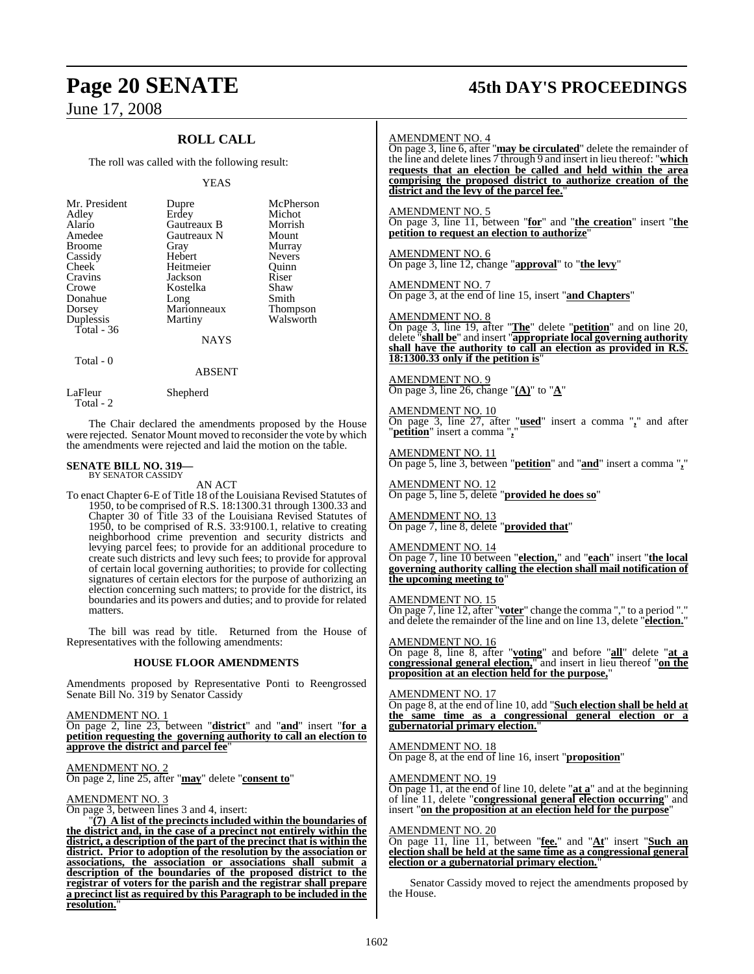### **ROLL CALL**

The roll was called with the following result:

#### YEAS

Total - 0

#### ABSENT

LaFleur Shepherd

Total - 2

The Chair declared the amendments proposed by the House were rejected. Senator Mount moved to reconsider the vote by which the amendments were rejected and laid the motion on the table.

#### **SENATE BILL NO. 319—** BY SENATOR CASSIDY

AN ACT

To enact Chapter 6-E of Title 18 of the Louisiana Revised Statutes of 1950, to be comprised of R.S. 18:1300.31 through 1300.33 and Chapter 30 of Title 33 of the Louisiana Revised Statutes of 1950, to be comprised of R.S. 33:9100.1, relative to creating neighborhood crime prevention and security districts and levying parcel fees; to provide for an additional procedure to create such districts and levy such fees; to provide for approval of certain local governing authorities; to provide for collecting signatures of certain electors for the purpose of authorizing an election concerning such matters; to provide for the district, its boundaries and its powers and duties; and to provide for related matters.

The bill was read by title. Returned from the House of Representatives with the following amendments:

#### **HOUSE FLOOR AMENDMENTS**

Amendments proposed by Representative Ponti to Reengrossed Senate Bill No. 319 by Senator Cassidy

AMENDMENT NO. 1

On page 2, line 23, between "**district**" and "**and**" insert "**for a petition requesting the governing authority to call an election to approve the district and parcel fee**"

<u>AMENDMENT NO. 2</u> On page 2, line 25, after "**may**" delete "**consent to**"

#### AMENDMENT NO. 3

On page 3, between lines 3 and 4, insert:

"**(7) A list of the precincts included within the boundaries of the district and, in the case of a precinct not entirely within the district, a description of the part of the precinct that is within the district. Prior to adoption of the resolution by the association or associations, the association or associations shall submit a description of the boundaries of the proposed district to the registrar of voters for the parish and the registrar shall prepare a precinct list as required by this Paragraph to be included in the**  $r$ **esolution.** 

## **Page 20 SENATE 45th DAY'S PROCEEDINGS**

#### AMENDMENT NO. 4

On page 3, line 6, after "**may be circulated**" delete the remainder of the line and delete lines 7 through 9 and insert in lieu thereof: "**which requests that an election be called and held within the area comprising the proposed district to authorize creation of the district and the levy of the parcel fee.**"

#### AMENDMENT NO. 5

On page 3, line 11, between "**for**" and "**the creation**" insert "**the petition to request an election to authorize**"

AMENDMENT NO. 6 On page 3, line 12, change "**approval**" to "**the levy**"

AMENDMENT NO. 7 On page 3, at the end of line 15, insert "**and Chapters**"

### AMENDMENT NO. 8

On page 3, line 19, after "**The**" delete "**petition**" and on line 20, delete "**shall be**" and insert "**appropriate local governing authority shall have the authority to call an election as provided in R.S. 18:1300.33 only if the petition is**"

AMENDMENT NO. 9 On page 3, line 26, change "**(A)**" to "**A**"

AMENDMENT NO. 10 On page 3, line 27, after "**used**" insert a comma "**,**" and after "**petition**" insert a comma "**,**"

<u>AMENDMENT NO. 11</u> On page 5, line 3, between "**petition**" and "**and**" insert a comma "**,**"

AMENDMENT NO. 12 On page 5, line 5, delete "**provided he does so**"

AMENDMENT NO. 13 On page 7, line 8, delete "**provided that**"

AMENDMENT NO. 14

On page 7, line 10 between "**election,**" and "**each**" insert "**the local governing authority calling the election shall mail notification of the upcoming meeting to**"

AMENDMENT NO. 15 On page 7, line 12, after "**voter**" change the comma "," to a period "." and delete the remainder of the line and on line 13, delete "**election.**"

AMENDMENT NO. 16

On page 8, line 8, after "**voting**" and before "**all**" delete "**at a congressional general election,**" and insert in lieu thereof "**on the proposition at an election held for the purpose,**"

#### AMENDMENT NO. 17

On page 8, at the end of line 10, add "**Such election shall be held at the same time as a congressional general election or a gubernatorial primary election.**"

#### AMENDMENT NO. 18

On page 8, at the end of line 16, insert "**proposition**"

#### AMENDMENT NO. 19

On page 11, at the end of line 10, delete "**at a**" and at the beginning of line 11, delete "**congressional general election occurring**" and insert "**on the proposition at an election held for the purpose**"

#### AMENDMENT NO. 20

On page 11, line 11, between "**fee.**" and "**At**" insert "**Such an election shall be held at the same time as a congressional general election or a gubernatorial primary election.**"

Senator Cassidy moved to reject the amendments proposed by the House.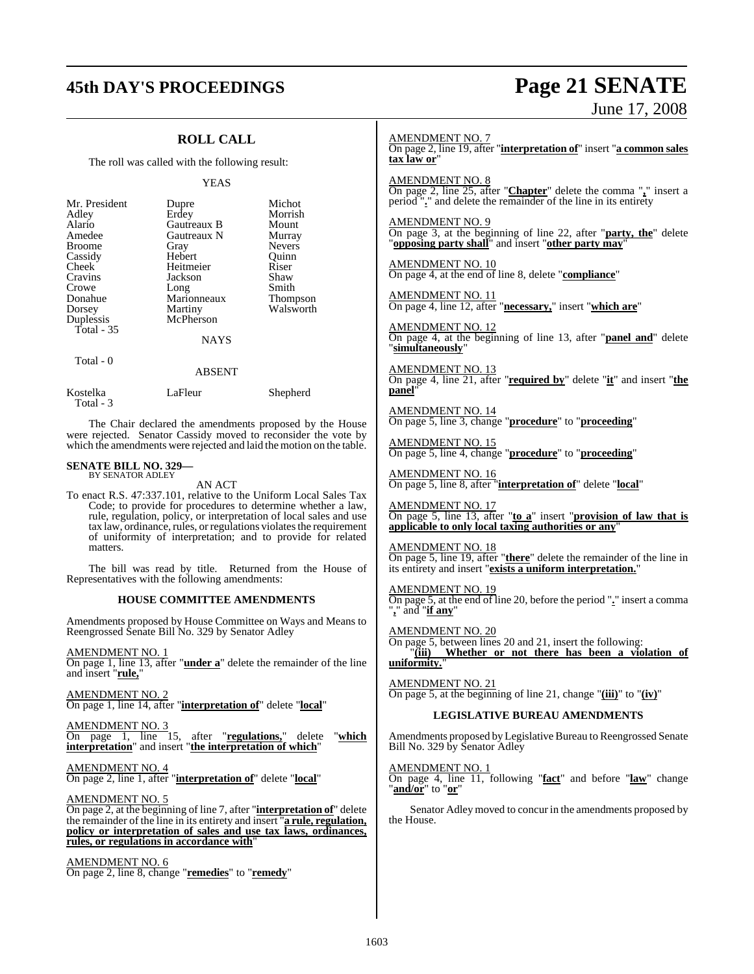# **45th DAY'S PROCEEDINGS Page 21 SENATE** June 17, 2008

| <b>ROLL CALL</b>                                                                                                                                                                                                                                                                                                                            |                                                  |                                                                               | <b>AMENDMENT NO. 7</b><br>On page 2, line 19, after "interpretation of" insert "a common sales                                                                          |
|---------------------------------------------------------------------------------------------------------------------------------------------------------------------------------------------------------------------------------------------------------------------------------------------------------------------------------------------|--------------------------------------------------|-------------------------------------------------------------------------------|-------------------------------------------------------------------------------------------------------------------------------------------------------------------------|
|                                                                                                                                                                                                                                                                                                                                             | The roll was called with the following result:   |                                                                               | tax law or"                                                                                                                                                             |
| Mr. President                                                                                                                                                                                                                                                                                                                               | <b>YEAS</b><br>Dupre                             | Michot                                                                        | <b>AMENDMENT NO. 8</b><br>On page 2, line 25, after "Chapter" delete the comma "," insert a<br>period "." and delete the remainder of the line in its entirety          |
| Adley<br>Alario<br>Amedee<br><b>Broome</b>                                                                                                                                                                                                                                                                                                  | Erdey<br>Gautreaux B<br>Gautreaux N<br>Gray      | Morrish<br>Mount<br>Murray<br>Nevers                                          | <b>AMENDMENT NO. 9</b><br>On page 3, at the beginning of line 22, after "party, the" delete<br>"opposing party shall" and insert "other party may"                      |
| Cassidy<br>Cheek<br>Cravins<br>Crowe                                                                                                                                                                                                                                                                                                        | Hebert<br>Heitmeier<br>Jackson                   | Quinn<br>Riser<br>Shaw<br>Smith                                               | <b>AMENDMENT NO. 10</b><br>On page 4, at the end of line 8, delete "compliance"                                                                                         |
| Donahue<br>Dorsey<br>Duplessis                                                                                                                                                                                                                                                                                                              | Long<br>Marionneaux<br>Martiny<br>McPherson      | Thompson<br>Walsworth                                                         | AMENDMENT NO. 11<br>On page 4, line 12, after "necessary," insert "which are"                                                                                           |
| Total $-35$                                                                                                                                                                                                                                                                                                                                 | <b>NAYS</b>                                      |                                                                               | <b>AMENDMENT NO. 12</b><br>On page 4, at the beginning of line 13, after " <b>panel and</b> " delete<br>"simultaneously"                                                |
| Total - 0                                                                                                                                                                                                                                                                                                                                   | <b>ABSENT</b>                                    |                                                                               | <b>AMENDMENT NO. 13</b><br>On page 4, line 21, after "required by" delete "it" and insert "the<br>panel"                                                                |
| Kostelka<br>Total $-3$                                                                                                                                                                                                                                                                                                                      | LaFleur                                          | Shepherd                                                                      | <b>AMENDMENT NO. 14</b><br>On page 5, line 3, change "procedure" to "proceeding"                                                                                        |
| The Chair declared the amendments proposed by the House<br>were rejected. Senator Cassidy moved to reconsider the vote by<br>which the amendments were rejected and laid the motion on the table.                                                                                                                                           |                                                  |                                                                               | <b>AMENDMENT NO. 15</b><br>On page 5, line 4, change "procedure" to "proceeding"                                                                                        |
| <b>SENATE BILL NO. 329—</b><br>BY SENATOR ADLEY<br>AN ACT                                                                                                                                                                                                                                                                                   |                                                  |                                                                               | AMENDMENT NO. 16<br>On page 5, line 8, after "interpretation of" delete "local"                                                                                         |
| To enact R.S. 47:337.101, relative to the Uniform Local Sales Tax<br>Code; to provide for procedures to determine whether a law,<br>rule, regulation, policy, or interpretation of local sales and use<br>tax law, ordinance, rules, or regulations violates the requirement<br>of uniformity of interpretation; and to provide for related |                                                  |                                                                               | AMENDMENT NO. 17<br>On page 5, line 13, after "to a" insert "provision of law that is<br>applicable to only local taxing authorities or any"<br><b>AMENDMENT NO. 18</b> |
| matters.<br>The bill was read by title. Returned from the House of<br>Representatives with the following amendments:                                                                                                                                                                                                                        |                                                  |                                                                               | On page 5, line 19, after "there" delete the remainder of the line in<br>its entirety and insert "exists a uniform interpretation."                                     |
| <b>HOUSE COMMITTEE AMENDMENTS</b>                                                                                                                                                                                                                                                                                                           |                                                  |                                                                               | <b>AMENDMENT NO. 19</b><br>On page 5, at the end of line 20, before the period "." insert a comma<br>"," and " $\overline{\textbf{if any}}$ "                           |
| Amendments proposed by House Committee on Ways and Means to<br>Reengrossed Senate Bill No. 329 by Senator Adley                                                                                                                                                                                                                             |                                                  |                                                                               | <b>AMENDMENT NO. 20</b><br>On page 5, between lines 20 and 21, insert the following:                                                                                    |
| <b>AMENDMENT NO. 1</b><br>and insert "rule,"                                                                                                                                                                                                                                                                                                |                                                  | On page 1, line 13, after " <b>under a</b> " delete the remainder of the line | Whether or not there has been a violation of<br>'(iii)<br>uniformity."                                                                                                  |
| <b>AMENDMENT NO. 2</b><br>On page 1, line 14, after "interpretation of" delete "local"                                                                                                                                                                                                                                                      |                                                  |                                                                               | <b>AMENDMENT NO. 21</b><br>On page 5, at the beginning of line 21, change "(iii)" to "(iv)"                                                                             |
| <b>AMENDMENT NO. 3</b><br>On page 1, line 15, after "regulations," delete<br>"which<br>interpretation" and insert "the interpretation of which"                                                                                                                                                                                             |                                                  |                                                                               | <b>LEGISLATIVE BUREAU AMENDMENTS</b><br>Amendments proposed by Legislative Bureau to Reengrossed Senate<br>Bill No. 329 by Senator Adley                                |
| AMENDMENT NO. 4<br>On page 2, line 1, after "interpretation of" delete "local"                                                                                                                                                                                                                                                              |                                                  |                                                                               | <u>AMENDMENT NO. 1</u><br>On page 4, line 11, following "fact" and before "law" change<br>"and/or" to "or"                                                              |
| <b>AMENDMENT NO. 5</b><br>On page 2, at the beginning of line 7, after "interpretation of" delete<br>the remainder of the line in its entirety and insert "a rule, regulation,<br>policy or interpretation of sales and use tax laws, ordinances,<br>rules, or regulations in accordance with"                                              |                                                  |                                                                               | Senator Adley moved to concur in the amendments proposed by<br>the House.                                                                                               |
| <b>AMENDMENT NO. 6</b>                                                                                                                                                                                                                                                                                                                      | On page 2, line 8, change "remedies" to "remedy" |                                                                               |                                                                                                                                                                         |

 $\mathbf l$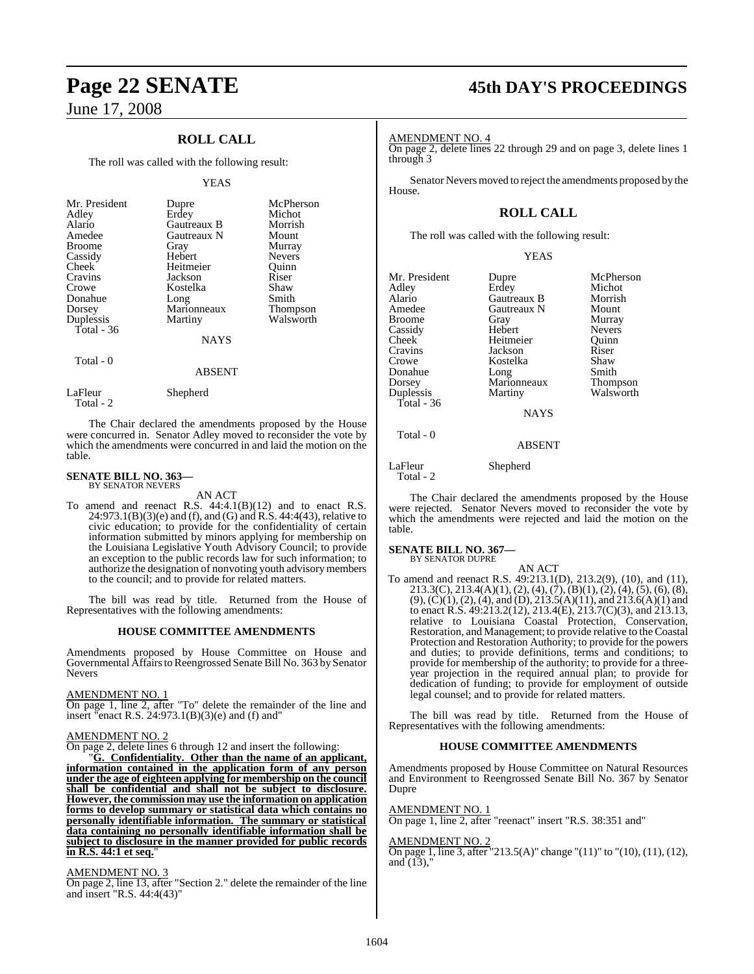### **ROLL CALL**

The roll was called with the following result:

#### YEAS

| Mr. President<br>Adley<br>Alario<br>Amedee<br><b>Broome</b><br>Cassidy<br>Cheek<br>Cravins<br>Crowe | Dupre<br>Erdey<br>Gautreaux B<br>Gautreaux N<br>Gray<br>Hebert<br>Heitmeier<br>Jackson<br>Kostelka | McPherson<br>Michot<br>Morrish<br>Mount<br>Murray<br><b>Nevers</b><br>Ouinn<br>Riser<br>Shaw |
|-----------------------------------------------------------------------------------------------------|----------------------------------------------------------------------------------------------------|----------------------------------------------------------------------------------------------|
| Dorsey<br>Duplessis                                                                                 | Marionneaux<br>Martiny                                                                             | <b>Thompson</b><br>Walsworth                                                                 |
| Total - $36$                                                                                        |                                                                                                    |                                                                                              |
|                                                                                                     | <b>NAYS</b>                                                                                        |                                                                                              |
| Total - 0                                                                                           | ABSENT                                                                                             |                                                                                              |

LaFleur Shepherd

Total - 2

The Chair declared the amendments proposed by the House were concurred in. Senator Adley moved to reconsider the vote by which the amendments were concurred in and laid the motion on the table.

#### **SENATE BILL NO. 363—** BY SENATOR NEVERS

#### AN ACT

To amend and reenact R.S. 44:4.1(B)(12) and to enact R.S. 24:973.1(B)(3)(e) and (f), and (G) and R.S. 44:4(43), relative to civic education; to provide for the confidentiality of certain information submitted by minors applying for membership on the Louisiana Legislative Youth Advisory Council; to provide an exception to the public records law for such information; to authorize the designation of nonvoting youth advisory members to the council; and to provide for related matters.

The bill was read by title. Returned from the House of Representatives with the following amendments:

#### **HOUSE COMMITTEE AMENDMENTS**

Amendments proposed by House Committee on House and Governmental Affairs to Reengrossed Senate Bill No. 363 by Senator Nevers

#### AMENDMENT NO. 1

On page 1, line 2, after "To" delete the remainder of the line and insert "enact R.S. 24:973.1(B)(3)(e) and (f) and"

#### AMENDMENT NO. 2

On page 2, delete lines 6 through 12 and insert the following:

"**G. Confidentiality. Other than the name of an applicant, information contained in the application form of any person under the age of eighteen applying for membership on the council shall be confidential and shall not be subject to disclosure. However, the commission may use the information on application forms to develop summary or statistical data which contains no personally identifiable information. The summary or statistical data containing no personally identifiable information shall be subject to disclosure in the manner provided for public records in R.S. 44:1 et seq.**"

AMENDMENT NO. 3

On page 2, line 13, after "Section 2." delete the remainder of the line and insert "R.S. 44:4(43)"

# **Page 22 SENATE 45th DAY'S PROCEEDINGS**

AMENDMENT NO. 4

On page 2, delete lines 22 through 29 and on page 3, delete lines 1 through 3

Senator Nevers moved to reject the amendments proposed by the House.

### **ROLL CALL**

The roll was called with the following result:

|--|--|--|--|

| Mr. President | Dupre         | McPherson       |
|---------------|---------------|-----------------|
| Adley         | Erdey         | Michot          |
| Alario        | Gautreaux B   | Morrish         |
| Amedee        | Gautreaux N   | Mount           |
| <b>Broome</b> | Gray          | Murray          |
| Cassidy       | Hebert        | <b>Nevers</b>   |
| Cheek         | Heitmeier     | Ouinn           |
| Cravins       | Jackson       | Riser           |
| Crowe         | Kostelka      | Shaw            |
| Donahue       | Long          | Smith           |
| Dorsey        | Marionneaux   | <b>Thompson</b> |
| Duplessis     | Martiny       | Walsworth       |
| Total - 36    |               |                 |
|               | <b>NAYS</b>   |                 |
| Total - 0     |               |                 |
|               | <b>ABSENT</b> |                 |

LaFleur Shepherd Total - 2

The Chair declared the amendments proposed by the House were rejected. Senator Nevers moved to reconsider the vote by which the amendments were rejected and laid the motion on the table.

#### **SENATE BILL NO. 367—** BY SENATOR DUPRE

AN ACT To amend and reenact R.S. 49:213.1(D), 213.2(9), (10), and (11), 213.3(C), 213.4(A)(1), (2), (4), (7), (B)(1), (2), (4), (5), (6), (8),  $(9)$ ,  $(C)(1)$ ,  $(2)$ ,  $(4)$ , and  $(D)$ ,  $213.5(A)(11)$ , and  $213.6(A)(1)$  and to enact R.S. 49:213.2(12), 213.4(E), 213.7(C)(3), and 213.13, relative to Louisiana Coastal Protection, Conservation, Restoration, and Management; to provide relative to the Coastal Protection and Restoration Authority; to provide for the powers and duties; to provide definitions, terms and conditions; to provide for membership of the authority; to provide for a threeyear projection in the required annual plan; to provide for dedication of funding; to provide for employment of outside legal counsel; and to provide for related matters.

The bill was read by title. Returned from the House of Representatives with the following amendments:

#### **HOUSE COMMITTEE AMENDMENTS**

Amendments proposed by House Committee on Natural Resources and Environment to Reengrossed Senate Bill No. 367 by Senator Dupre

AMENDMENT NO. 1

On page 1, line 2, after "reenact" insert "R.S. 38:351 and"

#### AMENDMENT NO. 2

On page 1, line 3, after "213.5(A)" change "(11)" to "(10), (11), (12), and  $(13)$ ,"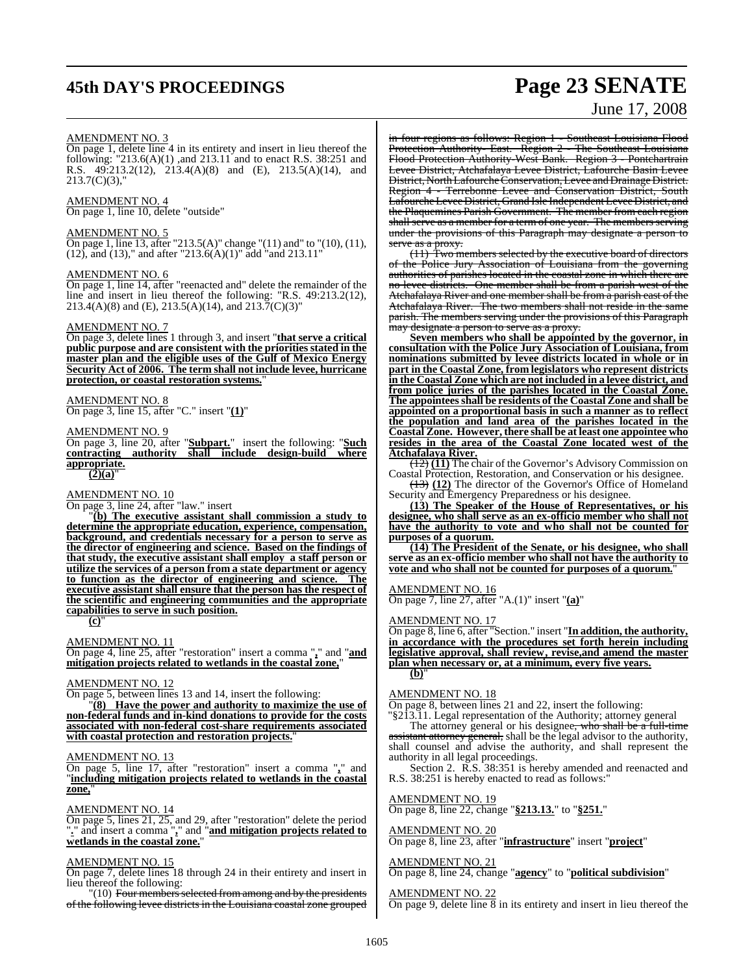# **45th DAY'S PROCEEDINGS Page 23 SENATE** June 17, 2008

#### AMENDMENT NO. 3

On page 1, delete line 4 in its entirety and insert in lieu thereof the following: "213.6(A)(1) ,and 213.11 and to enact R.S. 38:251 and R.S.  $49:213.2(12)$ ,  $213.4(A)(8)$  and (E),  $213.5(A)(14)$ , and  $213.7(C)(3)$ ,

### AMENDMENT NO. 4

On page 1, line 10, delete "outside"

#### AMENDMENT NO. 5

 $\frac{1}{2}$  On page 1, line 13, after "213.5(A)" change "(11) and" to "(10), (11), (12), and (13)," and after "213.6(A)(1)" add "and 213.11"

#### AMENDMENT NO. 6

On page 1, line 14, after "reenacted and" delete the remainder of the line and insert in lieu thereof the following: "R.S. 49:213.2(12), 213.4(A)(8) and (E), 213.5(A)(14), and 213.7(C)(3)"

#### AMENDMENT NO. 7

On page 3, delete lines 1 through 3, and insert "**that serve a critical public purpose and are consistent with the priorities stated in the master plan and the eligible uses of the Gulf of Mexico Energy Security Act of 2006. The term shall not include levee, hurricane protection, or coastal restoration systems.**"

#### AMENDMENT NO. 8

On page 3, line 15, after "C." insert "**(1)**"

#### AMENDMENT NO. 9

On page 3, line 20, after "**Subpart.**" insert the following: "**Such contracting authority shall include design-build where appropriate.**

#### $(2)(a)'$

#### AMENDMENT NO. 10

On page 3, line 24, after "law." insert

"**(b) The executive assistant shall commission a study to determine the appropriate education, experience, compensation, background, and credentials necessary for a person to serve as the director of engineering and science. Based on the findings of that study, the executive assistant shall employ a staff person or utilize the services of a person from a state department or agency to function as the director of engineering and science. The executive assistant shall ensure that the person has the respect of the scientific and engineering communities and the appropriate capabilities to serve in such position.**

**(c)**"

#### AMENDMENT NO. 11

On page 4, line 25, after "restoration" insert a comma "**,**" and "**and mitigation projects related to wetlands in the coastal zone,**"

#### AMENDMENT NO. 12

On page 5, between lines 13 and 14, insert the following:

"**(8) Have the power and authority to maximize the use of non-federal funds and in-kind donations to provide for the costs associated with non-federal cost-share requirements associated with coastal protection and restoration projects.**"

#### AMENDMENT NO. 13

On page 5, line 17, after "restoration" insert a comma "**,**" and "**including mitigation projects related to wetlands in the coastal** zone.

#### AMENDMENT NO. 14

On page 5, lines 21, 25, and 29, after "restoration" delete the period "**.**" and insert a comma "**,**" and "**and mitigation projects related to wetlands in the coastal zone.**"

#### AMENDMENT NO. 15

On page 7, delete lines 18 through 24 in their entirety and insert in lieu thereof the following:

"(10) Four members selected from among and by the presidents of the following levee districts in the Louisiana coastal zone grouped

in four regions as follows: Region 1 - Southeast Louisiana Flood Protection Authority- East. Region 2 - The Southeast Louisiana Flood Protection Authority-West Bank. Region 3 - Pontchartrain Levee District, Atchafalaya Levee District, Lafourche Basin Levee District, North Lafourche Conservation, Levee and Drainage District. Region 4 - Terrebonne Levee and Conservation District, South LafourcheLeveeDistrict, Grand Isle Independent LeveeDistrict, and the Plaquemines Parish Government. The member from each region shall serve as a member for a term of one year. The members serving under the provisions of this Paragraph may designate a person to serve as a proxy.

(11) Two members selected by the executive board of directors of the Police Jury Association of Louisiana from the governing authorities of parishes located in the coastal zone in which there are no levee districts. One member shall be from a parish west of the Atchafalaya River and one member shall be from a parish east of the Atchafalaya River. The two members shall not reside in the same parish. The members serving under the provisions of this Paragraph may designate a person to serve as a proxy.

**Seven members who shall be appointed by the governor, in consultation with the Police Jury Association of Louisiana, from nominations submitted by levee districts located in whole or in part in the Coastal Zone, from legislators who represent districts in the Coastal Zone which are not included in a levee district, and from police juries of the parishes located in the Coastal Zone. The appointeesshall be residents of the Coastal Zone and shall be appointed on a proportional basis in such a manner as to reflect the population and land area of the parishes located in the Coastal Zone. However, there shall be at least one appointee who resides in the area of the Coastal Zone located west of the Atchafalaya River.**

(12) **(11)** The chair of the Governor's Advisory Commission on Coastal Protection, Restoration, and Conservation or his designee.

(13) **(12)** The director of the Governor's Office of Homeland Security and Emergency Preparedness or his designee.

**(13) The Speaker of the House of Representatives, or his designee, who shall serve as an ex-officio member who shall not have the authority to vote and who shall not be counted for purposes of a quorum.**

**(14) The President of the Senate, or his designee, who shall serve as an ex-officio member who shall not have the authority to vote and who shall not be counted for purposes of a quorum.**"

#### AMENDMENT NO. 16

On page 7, line 27, after "A.(1)" insert "**(a)**"

#### AMENDMENT NO. 17

On page 8, line 6, after "Section." insert "**In addition, the authority, in accordance with the procedures set forth herein including legislative approval, shall review, revise,and amend the master plan when necessary or, at a minimum, every five years. (b)**"

#### AMENDMENT NO. 18

On page 8, between lines 21 and 22, insert the following:

"§213.11. Legal representation of the Authority; attorney general The attorney general or his designee, who shall be a full-time assistant attorney general, shall be the legal advisor to the authority, shall counsel and advise the authority, and shall represent the

authority in all legal proceedings. Section 2. R.S. 38:351 is hereby amended and reenacted and

R.S. 38:251 is hereby enacted to read as follows:"

#### AMENDMENT NO. 19

On page 8, line 22, change "**§213.13.**" to "**§251.**"

#### AMENDMENT NO. 20

On page 8, line 23, after "**infrastructure**" insert "**project**"

#### AMENDMENT NO. 21

On page 8, line 24, change "**agency**" to "**political subdivision**"

AMENDMENT NO. 22 On page 9, delete line  $\overline{8}$  in its entirety and insert in lieu thereof the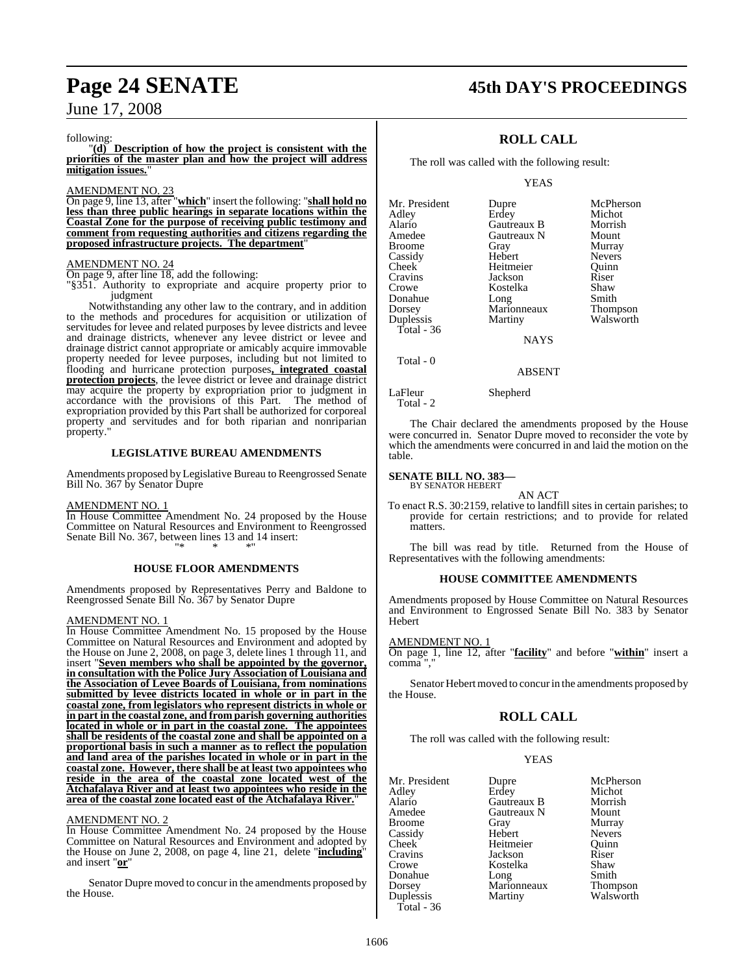## **Page 24 SENATE 45th DAY'S PROCEEDINGS**

following:

"**(d) Description of how the project is consistent with the priorities of the master plan and how the project will address mitigation issues.**"

#### AMENDMENT NO. 23

On page 9, line 13, after "**which**" insert the following: "**shall hold no less than three public hearings in separate locations within the Coastal Zone for the purpose of receiving public testimony and comment from requesting authorities and citizens regarding the proposed infrastructure projects. The department**"

#### AMENDMENT NO. 24

On page 9, after line 18, add the following:

"§351. Authority to expropriate and acquire property prior to judgment

Notwithstanding any other law to the contrary, and in addition to the methods and procedures for acquisition or utilization of servitudes for levee and related purposes by levee districts and levee and drainage districts, whenever any levee district or levee and drainage district cannot appropriate or amicably acquire immovable property needed for levee purposes, including but not limited to flooding and hurricane protection purposes**, integrated coastal protection projects**, the levee district or levee and drainage district may acquire the property by expropriation prior to judgment in accordance with the provisions of this Part. The method of expropriation provided by this Part shall be authorized for corporeal property and servitudes and for both riparian and nonriparian property."

#### **LEGISLATIVE BUREAU AMENDMENTS**

Amendments proposed by Legislative Bureau to Reengrossed Senate Bill No. 367 by Senator Dupre

#### AMENDMENT NO. 1

In House Committee Amendment No. 24 proposed by the House Committee on Natural Resources and Environment to Reengrossed Senate Bill No. 367, between lines 13 and 14 insert: "\* \* \*"

#### **HOUSE FLOOR AMENDMENTS**

Amendments proposed by Representatives Perry and Baldone to Reengrossed Senate Bill No. 367 by Senator Dupre

#### AMENDMENT NO. 1

In House Committee Amendment No. 15 proposed by the House Committee on Natural Resources and Environment and adopted by the House on June 2, 2008, on page 3, delete lines 1 through 11, and insert "**Seven members who shall be appointed by the governor, in consultation with the Police Jury Association of Louisiana and the Association of Levee Boards of Louisiana, from nominations submitted by levee districts located in whole or in part in the coastal zone, from legislators who represent districts in whole or in part in the coastal zone, and from parish governing authorities located in whole or in part in the coastal zone. The appointees shall be residents of the coastal zone and shall be appointed on a proportional basis in such a manner as to reflect the population and land area of the parishes located in whole or in part in the coastal zone. However, there shall be at least two appointees who reside in the area of the coastal zone located west of the Atchafalaya River and at least two appointees who reside in the area of the coastal zone located east of the Atchafalaya River.**"

#### AMENDMENT NO. 2

In House Committee Amendment No. 24 proposed by the House Committee on Natural Resources and Environment and adopted by the House on June 2, 2008, on page 4, line 21, delete "**including**" and insert "**or**"

Senator Dupre moved to concur in the amendments proposed by the House.

### **ROLL CALL**

The roll was called with the following result:

YEAS

| Mr. President | Dupre       | McPherson     |
|---------------|-------------|---------------|
| Adley         | Erdey       | Michot        |
| Alario        | Gautreaux B | Morrish       |
| Amedee        | Gautreaux N | Mount         |
| <b>Broome</b> | Gray        | Murray        |
| Cassidy       | Hebert      | <b>Nevers</b> |
| Cheek         | Heitmeier   | Ouinn         |
| Cravins       | Jackson     | Riser         |
| Crowe         | Kostelka    | Shaw          |
| Donahue       | Long        | Smith         |
| Dorsey        | Marionneaux | Thompson      |
| Duplessis     | Martiny     | Walsworth     |
| Total - $36$  |             |               |
|               | NAYS        |               |

Total - 0

ABSENT

LaFleur Shepherd

Total - 2

The Chair declared the amendments proposed by the House were concurred in. Senator Dupre moved to reconsider the vote by which the amendments were concurred in and laid the motion on the table.

#### **SENATE BILL NO. 383—** BY SENATOR HEBERT

AN ACT To enact R.S. 30:2159, relative to landfill sites in certain parishes; to provide for certain restrictions; and to provide for related matters.

The bill was read by title. Returned from the House of Representatives with the following amendments:

#### **HOUSE COMMITTEE AMENDMENTS**

Amendments proposed by House Committee on Natural Resources and Environment to Engrossed Senate Bill No. 383 by Senator Hebert

#### AMENDMENT NO. 1

On page 1, line 12, after "**facility**" and before "**within**" insert a comma "

Senator Hebert moved to concur in the amendments proposed by the House.

#### **ROLL CALL**

The roll was called with the following result:

#### YEAS

| Mr. President | Dupre       | McPherson     |
|---------------|-------------|---------------|
| Adley         | Erdey       | Michot        |
| Alario        | Gautreaux B | Morrish       |
| Amedee        | Gautreaux N | Mount         |
| Broome        | Gray        | Murray        |
| Cassidy       | Hebert      | <b>Nevers</b> |
| Cheek         | Heitmeier   | Ouinn         |
| Cravins       | Jackson     | Riser         |
| Crowe         | Kostelka    | Shaw          |
| Donahue       | Long        | Smith         |
| Dorsey        | Marionneaux | Thompson      |
| Duplessis     | Martiny     | Walsworth     |
| Total - 36    |             |               |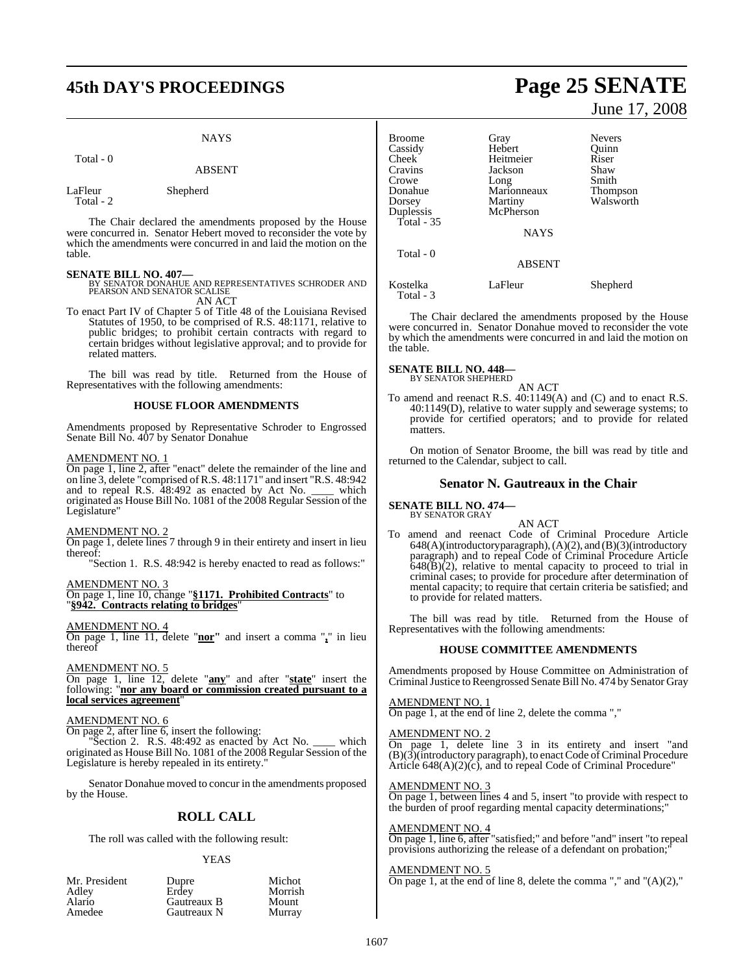## **45th DAY'S PROCEEDINGS Page 25 SENATE**

#### **NAYS**

Total - 0

ABSENT

LaFleur Shepherd Total - 2

The Chair declared the amendments proposed by the House were concurred in. Senator Hebert moved to reconsider the vote by which the amendments were concurred in and laid the motion on the table.

#### **SENATE BILL NO. 407—**

BY SENATOR DONAHUE AND REPRESENTATIVES SCHRODER AND PEARSON AND SENATOR SCALISE AN ACT

To enact Part IV of Chapter 5 of Title 48 of the Louisiana Revised Statutes of 1950, to be comprised of R.S. 48:1171, relative to public bridges; to prohibit certain contracts with regard to certain bridges without legislative approval; and to provide for related matters.

The bill was read by title. Returned from the House of Representatives with the following amendments:

#### **HOUSE FLOOR AMENDMENTS**

Amendments proposed by Representative Schroder to Engrossed Senate Bill No. 407 by Senator Donahue

#### AMENDMENT NO. 1

On page 1, line 2, after "enact" delete the remainder of the line and on line 3, delete "comprised of R.S. 48:1171" and insert "R.S. 48:942 and to repeal R.S. 48:492 as enacted by Act No. \_\_\_\_\_ which originated as House Bill No. 1081 of the 2008 Regular Session of the Legislature"

#### AMENDMENT NO. 2

On page 1, delete lines 7 through 9 in their entirety and insert in lieu thereof:

"Section 1. R.S. 48:942 is hereby enacted to read as follows:"

AMENDMENT NO. 3

On page 1, line 10, change "**§1171. Prohibited Contracts**" to "**§942. Contracts relating to bridges**"

AMENDMENT NO. 4

On page 1, line 11, delete "**nor"** and insert a comma "**,**" in lieu thereof

#### AMENDMENT NO. 5

On page 1, line 12, delete "**any**" and after "**state**" insert the following: "**nor any board or commission created pursuant to a local services agreement**"

#### AMENDMENT NO. 6

On page 2, after line 6, insert the following:

"Section 2. R.S. 48:492 as enacted by Act No. \_\_\_\_ which originated as House Bill No. 1081 of the 2008 Regular Session of the Legislature is hereby repealed in its entirety."

Senator Donahue moved to concur in the amendments proposed by the House.

#### **ROLL CALL**

The roll was called with the following result:

#### YEAS

| Mr. President   | Dupre       | Michot  |
|-----------------|-------------|---------|
| Adley<br>Alario | Erdev       | Morrish |
|                 | Gautreaux B | Mount   |
| Amedee          | Gautreaux N | Murray  |

June 17, 2008

| Broome<br>Cassidy<br>Cheek<br>Cravins<br>Crowe<br>Donahue<br>Dorsey<br>Duplessis<br>Total - $35$ | Gray<br>Hebert<br>Heitmeier<br>Jackson<br>Long<br>Marionneaux<br>Martiny<br>McPherson<br><b>NAYS</b> | <b>Nevers</b><br>Ouinn<br>Riser<br>Shaw<br>Smith<br>Thompson<br>Walsworth |
|--------------------------------------------------------------------------------------------------|------------------------------------------------------------------------------------------------------|---------------------------------------------------------------------------|
| Total - 0                                                                                        | <b>ABSENT</b>                                                                                        |                                                                           |
| Kostelka<br>Total - 3                                                                            | LaFleur                                                                                              | Shepherd                                                                  |

The Chair declared the amendments proposed by the House were concurred in. Senator Donahue moved to reconsider the vote by which the amendments were concurred in and laid the motion on the table.

#### **SENATE BILL NO. 448—**

BY SENATOR SHEPHERD

AN ACT To amend and reenact R.S. 40:1149(A) and (C) and to enact R.S. 40:1149(D), relative to water supply and sewerage systems; to provide for certified operators; and to provide for related matters.

On motion of Senator Broome, the bill was read by title and returned to the Calendar, subject to call.

#### **Senator N. Gautreaux in the Chair**

### **SENATE BILL NO. 474—**

BY SENATOR GRAY

- AN ACT
- To amend and reenact Code of Criminal Procedure Article 648(A)(introductory paragraph), (A)(2), and (B)(3)(introductory paragraph) and to repeal Code of Criminal Procedure Article  $648(B)(2)$ , relative to mental capacity to proceed to trial in criminal cases; to provide for procedure after determination of mental capacity; to require that certain criteria be satisfied; and to provide for related matters.

The bill was read by title. Returned from the House of Representatives with the following amendments:

#### **HOUSE COMMITTEE AMENDMENTS**

Amendments proposed by House Committee on Administration of Criminal Justice to Reengrossed Senate Bill No. 474 by Senator Gray

#### AMENDMENT NO. 1

On page 1, at the end of line 2, delete the comma ","

#### AMENDMENT NO. 2

On page 1, delete line 3 in its entirety and insert "and  $(B)(3)$ (introductory paragraph), to enact Code of Criminal Procedure Article  $648(A)(2)(c)$ , and to repeal Code of Criminal Procedure'

### AMENDMENT NO. 3

On page 1, between lines 4 and 5, insert "to provide with respect to the burden of proof regarding mental capacity determinations;"

#### AMENDMENT NO. 4

On page 1, line 6, after "satisfied;" and before "and" insert "to repeal provisions authorizing the release of a defendant on probation;

#### AMENDMENT NO. 5

On page 1, at the end of line 8, delete the comma "," and " $(A)(2)$ ,"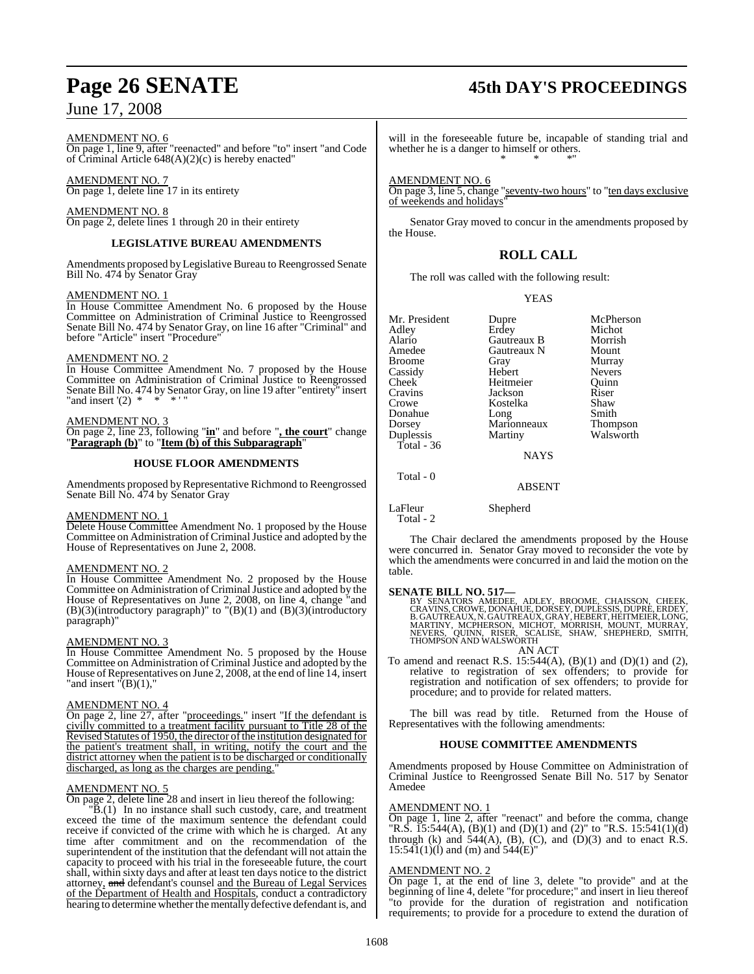#### AMENDMENT NO. 6

On page 1, line 9, after "reenacted" and before "to" insert "and Code of Criminal Article  $648(A)(2)(c)$  is hereby enacted"

AMENDMENT NO. 7 On page 1, delete line 17 in its entirety

#### AMENDMENT NO. 8

On page 2, delete lines 1 through 20 in their entirety

#### **LEGISLATIVE BUREAU AMENDMENTS**

Amendments proposed by Legislative Bureau to Reengrossed Senate Bill No. 474 by Senator Gray

#### AMENDMENT NO. 1

In House Committee Amendment No. 6 proposed by the House Committee on Administration of Criminal Justice to Reengrossed Senate Bill No. 474 by Senator Gray, on line 16 after "Criminal" and before "Article" insert "Procedure"

#### AMENDMENT NO. 2

In House Committee Amendment No. 7 proposed by the House Committee on Administration of Criminal Justice to Reengrossed Senate Bill No. 474 by Senator Gray, on line 19 after "entirety" insert " and insert ' $(2)$  \*

#### AMENDMENT NO. 3

On page 2, line 23, following "**in**" and before "**, the court**" change "**Paragraph (b)**" to "**Item (b) of this Subparagraph**"

#### **HOUSE FLOOR AMENDMENTS**

Amendments proposed by Representative Richmond to Reengrossed Senate Bill No. 474 by Senator Gray

#### AMENDMENT NO. 1

Delete House Committee Amendment No. 1 proposed by the House Committee on Administration of Criminal Justice and adopted by the House of Representatives on June 2, 2008.

#### AMENDMENT NO. 2

In House Committee Amendment No. 2 proposed by the House Committee on Administration of Criminal Justice and adopted by the House of Representatives on June 2, 2008, on line 4, change "and  $(B)(3)$ (introductory paragraph)" to " $(B)(1)$  and  $(B)(3)$ (introductory paragraph)"

#### AMENDMENT NO. 3

In House Committee Amendment No. 5 proposed by the House Committee on Administration of Criminal Justice and adopted by the House of Representatives on June 2, 2008, at the end of line 14, insert "and insert " $(B)(1)$ ,"

#### AMENDMENT NO. 4

On page 2, line 27, after "proceedings." insert "If the defendant is civilly committed to a treatment facility pursuant to Title 28 of the Revised Statutes of 1950, the director of the institution designated for the patient's treatment shall, in writing, notify the court and the district attorney when the patient is to be discharged or conditionally discharged, as long as the charges are pending.

#### AMENDMENT NO. 5

On page 2, delete line 28 and insert in lieu thereof the following:

"B.(1) In no instance shall such custody, care, and treatment exceed the time of the maximum sentence the defendant could receive if convicted of the crime with which he is charged. At any time after commitment and on the recommendation of the superintendent of the institution that the defendant will not attain the capacity to proceed with his trial in the foreseeable future, the court shall, within sixty days and after at least ten days notice to the district attorney, and defendant's counsel <u>and the Bureau of Legal Services</u> of the Department of Health and Hospitals, conduct a contradictory hearing to determine whether the mentally defective defendant is, and

# **Page 26 SENATE 45th DAY'S PROCEEDINGS**

will in the foreseeable future be, incapable of standing trial and whether he is a danger to himself or others. \* \* \*"

#### AMENDMENT NO. 6

On page 3, line 5, change "seventy-two hours" to "ten days exclusive of weekends and holidays"

Senator Gray moved to concur in the amendments proposed by the House.

#### **ROLL CALL**

The roll was called with the following result:

#### YEAS

| Mr. President | Dupre       | McPherson     |
|---------------|-------------|---------------|
| Adlev         | Erdey       | Michot        |
| Alario        | Gautreaux B | Morrish       |
| Amedee        | Gautreaux N | Mount         |
| Broome        | Gray        | Murray        |
| Cassidy       | Hebert      | <b>Nevers</b> |
| Cheek         | Heitmeier   | Ouinn         |
| Cravins       | Jackson     | Riser         |
| Crowe         | Kostelka    | Shaw          |
| Donahue       | Long        | Smith         |
| Dorsey        | Marionneaux | Thompson      |
| Duplessis     | Martiny     | Walsworth     |
| Total - 36    |             |               |
|               | <b>NAYS</b> |               |
|               |             |               |

ABSENT

LaFleur Shepherd

Total - 2

Total - 0

The Chair declared the amendments proposed by the House were concurred in. Senator Gray moved to reconsider the vote by which the amendments were concurred in and laid the motion on the table.

#### **SENATE BILL NO. 517—**

BY SENATORS AMEDEE, ADLEY, BROOME, CHAISSON, CHEEK,<br>CRAVINS,CROWE,DONAHUE,DORSEY,DUPLESSIS,DUPRÉ,ERDEY,<br>B.GAUTREAUX,N.GAUTREAUX,GRAY,HEBERT,HEITMEIER,LONG,<br>MARTINY, MCPHERSON, MICHOT, MORRISH, MOUNT, MURRAY,<br>NEVERS, QUINN, AN ACT

To amend and reenact R.S.  $15:544(A)$ ,  $(B)(1)$  and  $(D)(1)$  and  $(2)$ , relative to registration of sex offenders; to provide for registration and notification of sex offenders; to provide for procedure; and to provide for related matters.

The bill was read by title. Returned from the House of Representatives with the following amendments:

#### **HOUSE COMMITTEE AMENDMENTS**

Amendments proposed by House Committee on Administration of Criminal Justice to Reengrossed Senate Bill No. 517 by Senator Amedee

#### AMENDMENT NO. 1

On page 1, line 2, after "reenact" and before the comma, change "R.S. 15:544(A),  $(B)(1)$  and  $(D)(1)$  and  $(2)$ " to "R.S. 15:541(1) $(d)$ through (k) and  $544(A)$ , (B), (C), and (D)(3) and to enact R.S.  $15:541(1)(1)$  and (m) and  $544(E)$ "

#### AMENDMENT NO. 2

On page 1, at the end of line 3, delete "to provide" and at the beginning of line 4, delete "for procedure;" and insert in lieu thereof "to provide for the duration of registration and notification requirements; to provide for a procedure to extend the duration of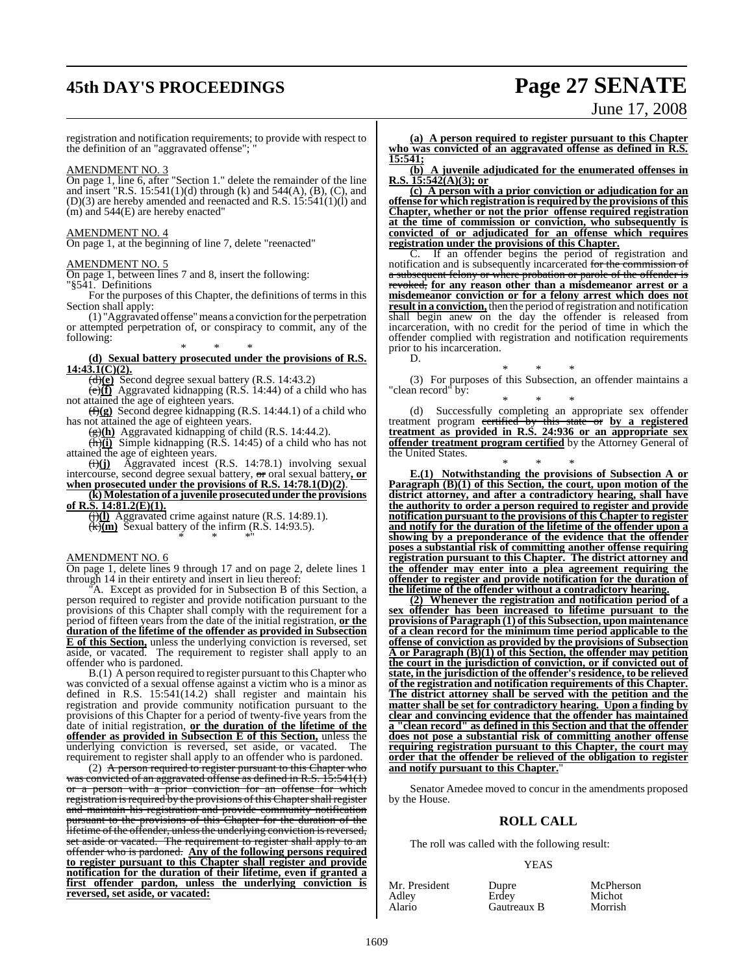# **45th DAY'S PROCEEDINGS Page 27 SENATE**

# June 17, 2008

registration and notification requirements; to provide with respect to the definition of an "aggravated offense";

#### AMENDMENT NO. 3

On page 1, line 6, after "Section 1." delete the remainder of the line and insert "R.S.  $15:541(1)(d)$  through (k) and  $544(A)$ , (B), (C), and (D)(3) are hereby amended and reenacted and R.S.  $15:541(1)(1)$  and  $(m)$  and 544 $(E)$  are hereby enacted"

#### AMENDMENT NO. 4

On page 1, at the beginning of line 7, delete "reenacted"

#### AMENDMENT NO. 5

On page 1, between lines 7 and 8, insert the following:

"§541. Definitions

For the purposes of this Chapter, the definitions of terms in this Section shall apply:

(1) "Aggravated offense" means a conviction for the perpetration or attempted perpetration of, or conspiracy to commit, any of the following:

#### \* \* \* **(d) Sexual battery prosecuted under the provisions of R.S. 14:43.1(C)(2).**

(d)**(e)** Second degree sexual battery (R.S. 14:43.2)

(e)**(f)** Aggravated kidnapping (R.S. 14:44) of a child who has not attained the age of eighteen years.

(f)**(g)** Second degree kidnapping (R.S. 14:44.1) of a child who has not attained the age of eighteen years.

(g)**(h)** Aggravated kidnapping of child (R.S. 14:44.2).

 $\overline{(h)}\overline{(i)}$  Simple kidnapping  $(R.S. 14:45)$  of a child who has not attained the age of eighteen years.

 $\frac{d^2y}{dx^2}$  Aggravated incest (R.S. 14:78.1) involving sexual intercourse, second degree sexual battery, or oral sexual battery**, or**

**when prosecuted under the provisions of R.S. 14:78.1(D)(2)**. **(k) Molestation of a juvenile prosecuted under the provisions of R.S. 14:81.2(E)(1).**

(i)(I) Aggravated crime against nature (R.S. 14:89.1). (k)**(m)** Sexual battery of the infirm (R.S. 14:93.5). \* \* \*"

#### AMENDMENT NO. 6

On page 1, delete lines 9 through 17 and on page 2, delete lines 1 through 14 in their entirety and insert in lieu thereof:

A. Except as provided for in Subsection B of this Section, a person required to register and provide notification pursuant to the provisions of this Chapter shall comply with the requirement for a period of fifteen years from the date of the initial registration, **or the duration of the lifetime of the offender as provided in Subsection E of this Section,** unless the underlying conviction is reversed, set aside, or vacated. The requirement to register shall apply to an offender who is pardoned.

B.(1) A person required to register pursuant to this Chapter who was convicted of a sexual offense against a victim who is a minor as defined in R.S. 15:541(14.2) shall register and maintain his registration and provide community notification pursuant to the provisions of this Chapter for a period of twenty-five years from the date of initial registration, **or the duration of the lifetime of the offender as provided in Subsection E of this Section,** unless the underlying conviction is reversed, set aside, or vacated. The requirement to register shall apply to an offender who is pardoned.

(2) A person required to register pursuant to this Chapter who was convicted of an aggravated offense as defined in R.S. 15:541(1) or a person with a prior conviction for an offense for which registration is required by the provisions of this Chapter shall register and maintain his registration and provide community notification pursuant to the provisions of this Chapter for the duration of the lifetime of the offender, unless the underlying conviction is reversed, set aside or vacated. The requirement to register shall apply to an offender who is pardoned. **Any of the following persons required to register pursuant to this Chapter shall register and provide notification for the duration of their lifetime, even if granted a first offender pardon, unless the underlying conviction is reversed, set aside, or vacated:**

**(a) A person required to register pursuant to this Chapter who was convicted of an aggravated offense as defined in R.S. 15:541;**

**(b) A juvenile adjudicated for the enumerated offenses in R.S. 15:542(A)(3); or**

**(c) A person with a prior conviction or adjudication for an offense for which registration is required by the provisions of this Chapter, whether or not the prior offense required registration at the time of commission or conviction, who subsequently is convicted of or adjudicated for an offense which requires registration under the provisions of this Chapter.**

C. If an offender begins the period of registration and notification and is subsequently incarcerated for the commission of a subsequent felony or where probation or parole of the offender is revoked, **for any reason other than a misdemeanor arrest or a misdemeanor conviction or for a felony arrest which does not result in a conviction,** then the period of registration and notification shall begin anew on the day the offender is released from incarceration, with no credit for the period of time in which the offender complied with registration and notification requirements prior to his incarceration.

D.

\* \* \* (3) For purposes of this Subsection, an offender maintains a "clean record" by:

\* \* \* (d) Successfully completing an appropriate sex offender treatment program certified by this state or **by a registered treatment as provided in R.S. 24:936 or an appropriate sex offender treatment program certified** by the Attorney General of the United States.

\* \* \* **E.(1) Notwithstanding the provisions of Subsection A or Paragraph (B)(1) of this Section, the court, upon motion of the district attorney, and after a contradictory hearing, shall have the authority to order a person required to register and provide notification pursuant to the provisions of this Chapter to register and notify for the duration of the lifetime of the offender upon a showing by a preponderance of the evidence that the offender poses a substantial risk of committing another offense requiring registration pursuant to this Chapter. The district attorney and the offender may enter into a plea agreement requiring the offender to register and provide notification for the duration of the lifetime of the offender without a contradictory hearing.**

**(2) Whenever the registration and notification period of a sex offender has been increased to lifetime pursuant to the provisions of Paragraph (1) of this Subsection, upon maintenance of a clean record for the minimum time period applicable to the offense of conviction as provided by the provisions of Subsection A or Paragraph (B)(1) of this Section, the offender may petition the court in the jurisdiction of conviction, or if convicted out of state, in the jurisdiction of the offender's residence, to be relieved of the registration and notification requirements of this Chapter. The district attorney shall be served with the petition and the matter shall be set for contradictory hearing. Upon a finding by clear and convincing evidence that the offender has maintained a "clean record" as defined in this Section and that the offender does not pose a substantial risk of committing another offense requiring registration pursuant to this Chapter, the court may order that the offender be relieved of the obligation to register and notify pursuant to this Chapter.**"

Senator Amedee moved to concur in the amendments proposed by the House.

#### **ROLL CALL**

The roll was called with the following result:

#### YEAS

| Mr. President   | Dupre       | McPherson |
|-----------------|-------------|-----------|
| Adley<br>Alario | Erdev       | Michot    |
|                 | Gautreaux B | Morrish   |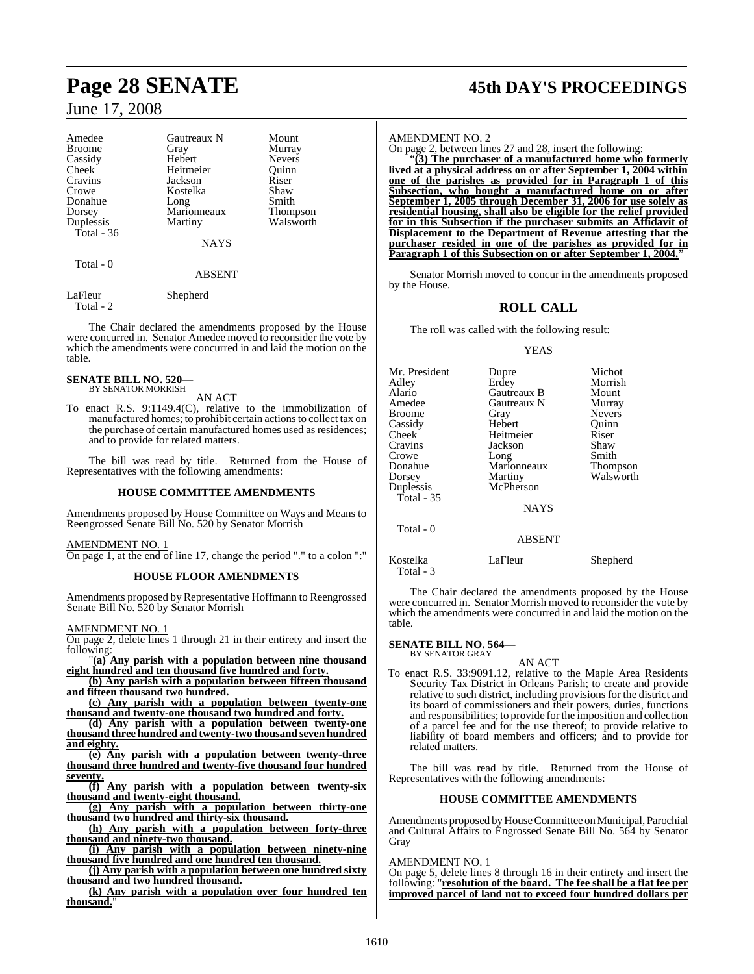| Amedee        | Gautreaux N   | Mount         |
|---------------|---------------|---------------|
| <b>Broome</b> | Gray          | Murray        |
| Cassidy       | Hebert        | <b>Nevers</b> |
| Cheek         | Heitmeier     | Ouinn         |
| Cravins       | Jackson       | Riser         |
| Crowe         | Kostelka      | Shaw          |
| Donahue       | Long          | Smith         |
| Dorsey        | Marionneaux   | Thompson      |
| Duplessis     | Martiny       | Walsworth     |
| Total - 36    |               |               |
|               | <b>NAYS</b>   |               |
| Total - 0     |               |               |
|               | <b>ABSENT</b> |               |

LaFleur Shepherd

Total - 2

The Chair declared the amendments proposed by the House were concurred in. Senator Amedee moved to reconsider the vote by which the amendments were concurred in and laid the motion on the table.

#### **SENATE BILL NO. 520—** BY SENATOR MORRISH

AN ACT

To enact R.S. 9:1149.4(C), relative to the immobilization of manufactured homes; to prohibit certain actionsto collect tax on the purchase of certain manufactured homes used as residences; and to provide for related matters.

The bill was read by title. Returned from the House of Representatives with the following amendments:

#### **HOUSE COMMITTEE AMENDMENTS**

Amendments proposed by House Committee on Ways and Means to Reengrossed Senate Bill No. 520 by Senator Morrish

#### AMENDMENT NO. 1

On page 1, at the end of line 17, change the period "." to a colon ":"

#### **HOUSE FLOOR AMENDMENTS**

Amendments proposed by Representative Hoffmann to Reengrossed Senate Bill No. 520 by Senator Morrish

#### AMENDMENT NO. 1

On page 2, delete lines 1 through 21 in their entirety and insert the following:

"**(a) Any parish with a population between nine thousand eight hundred and ten thousand five hundred and forty.**

**(b) Any parish with a population between fifteen thousand and fifteen thousand two hundred.**

**(c) Any parish with a population between twenty-one thousand and twenty-one thousand two hundred and forty.**

**(d) Any parish with a population between twenty-one thousand three hundred and twenty-two thousand seven hundred and eighty.**

**(e) Any parish with a population between twenty-three thousand three hundred and twenty-five thousand four hundred seventy.**

**(f) Any parish with a population between twenty-six thousand and twenty-eight thousand.**

**(g) Any parish with a population between thirty-one thousand two hundred and thirty-six thousand.**

**(h) Any parish with a population between forty-three thousand and ninety-two thousand.**

**(i) Any parish with a population between ninety-nine thousand five hundred and one hundred ten thousand.**

**(j) Any parish with a population between one hundred sixty thousand and two hundred thousand.**

**(k) Any parish with a population over four hundred ten thousand.**"

# **Page 28 SENATE 45th DAY'S PROCEEDINGS**

#### AMENDMENT NO. 2

On page 2, between lines 27 and 28, insert the following:

"**(3) The purchaser of a manufactured home who formerly lived at a physical address on or after September 1, 2004 within one of the parishes as provided for in Paragraph 1 of this Subsection, who bought a manufactured home on or after September 1, 2005 through December 31, 2006 for use solely as residential housing, shall also be eligible for the relief provided for in this Subsection if the purchaser submits an Affidavit of Displacement to the Department of Revenue attesting that the purchaser resided in one of the parishes as provided for in** Paragraph 1 of this Subsection on or after September 1, 2004.'

Senator Morrish moved to concur in the amendments proposed by the House.

#### **ROLL CALL**

The roll was called with the following result:

#### YEAS

|             | Michot                 |
|-------------|------------------------|
| Erdey       | Morrish                |
| Gautreaux B | Mount                  |
| Gautreaux N | Murray                 |
| Gray        | <b>Nevers</b>          |
| Hebert      | Ouinn                  |
| Heitmeier   | Riser                  |
| Jackson     | Shaw                   |
| Long        | Smith                  |
| Marionneaux | Thompson               |
| Martiny     | Walsworth              |
| McPherson   |                        |
|             |                        |
| <b>NAYS</b> |                        |
|             |                        |
|             |                        |
|             |                        |
|             | Dupre<br><b>ABSENT</b> |

Kostelka LaFleur Shepherd Total - 3

The Chair declared the amendments proposed by the House were concurred in. Senator Morrish moved to reconsider the vote by which the amendments were concurred in and laid the motion on the table.

#### **SENATE BILL NO. 564—** BY SENATOR GRAY

AN ACT

To enact R.S. 33:9091.12, relative to the Maple Area Residents Security Tax District in Orleans Parish; to create and provide relative to such district, including provisions for the district and its board of commissioners and their powers, duties, functions and responsibilities; to provide for the imposition and collection of a parcel fee and for the use thereof; to provide relative to liability of board members and officers; and to provide for related matters.

The bill was read by title. Returned from the House of Representatives with the following amendments:

#### **HOUSE COMMITTEE AMENDMENTS**

Amendments proposed byHouse Committee on Municipal, Parochial and Cultural Affairs to Engrossed Senate Bill No. 564 by Senator Gray

#### AMENDMENT NO. 1

On page 5, delete lines 8 through 16 in their entirety and insert the following: "**resolution of the board. The fee shall be a flat fee per improved parcel of land not to exceed four hundred dollars per**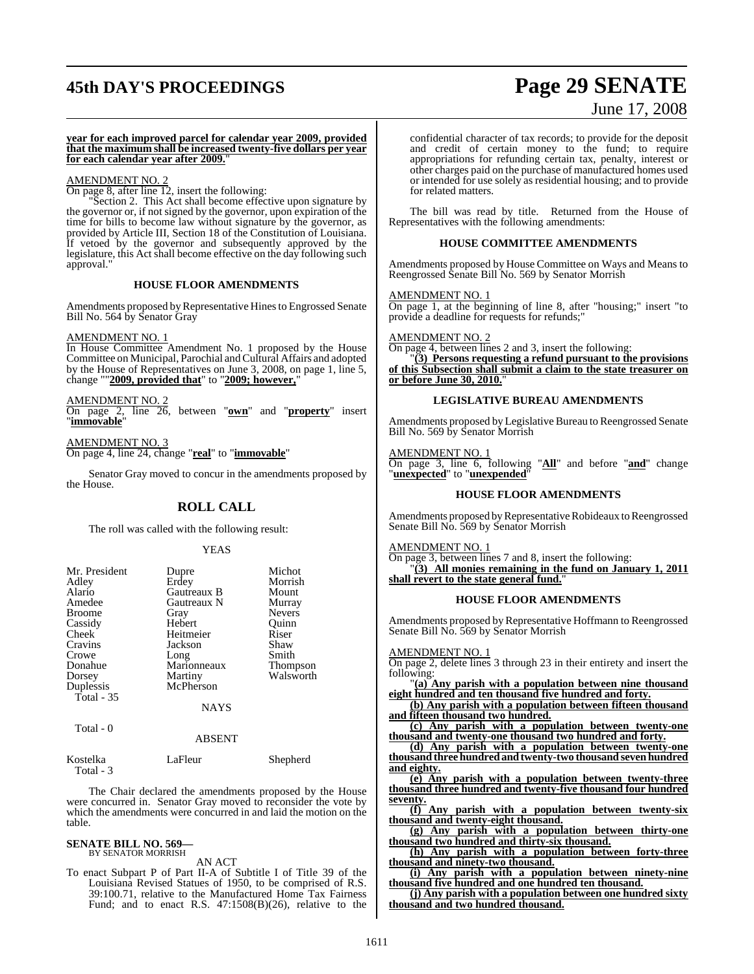# **45th DAY'S PROCEEDINGS Page 29 SENATE**

# June 17, 2008

#### **year for each improved parcel for calendar year 2009, provided that the maximum shall be increased twenty-five dollars per year for each calendar year after 2009.**"

#### AMENDMENT NO. 2

On page 8, after line 12, insert the following:

"Section 2. This Act shall become effective upon signature by the governor or, if not signed by the governor, upon expiration of the time for bills to become law without signature by the governor, as provided by Article III, Section 18 of the Constitution of Louisiana. If vetoed by the governor and subsequently approved by the legislature, this Act shall become effective on the day following such approval."

#### **HOUSE FLOOR AMENDMENTS**

Amendments proposed by Representative Hines to Engrossed Senate Bill No. 564 by Senator Gray

#### AMENDMENT NO. 1

In House Committee Amendment No. 1 proposed by the House Committee on Municipal, Parochial and Cultural Affairs and adopted by the House of Representatives on June 3, 2008, on page 1, line 5, change ""2009, provided that" to "2009; however,

### AMENDMENT NO. 2

On page 2, line 26, between "**own**" and "**property**" insert "**immovable**"

AMEND<u>MENT NO. 3</u> On page 4, line 24, change "**real**" to "**immovable**"

Senator Gray moved to concur in the amendments proposed by the House.

#### **ROLL CALL**

The roll was called with the following result:

#### YEAS

| Mr. President | Dupre       | Michot          |
|---------------|-------------|-----------------|
| Adley         | Erdey       | Morrish         |
| Alario        | Gautreaux B | Mount           |
| Amedee        | Gautreaux N | Murray          |
| <b>Broome</b> | Gray        | <b>Nevers</b>   |
| Cassidy       | Hebert      | Ouinn           |
| Cheek         | Heitmeier   | Riser           |
| Cravins       | Jackson     | Shaw            |
| Crowe         | Long        | Smith           |
| Donahue       | Marionneaux | <b>Thompson</b> |
| Dorsey        | Martiny     | Walsworth       |
| Duplessis     | McPherson   |                 |
| Total $-35$   |             |                 |
|               | NAYS        |                 |
| Total - 0     |             |                 |
|               | ABSENT      |                 |

| Kostelka<br>Total - 3 | LaFleur | Shepherd |
|-----------------------|---------|----------|
|                       |         |          |

The Chair declared the amendments proposed by the House were concurred in. Senator Gray moved to reconsider the vote by which the amendments were concurred in and laid the motion on the table.

#### **SENATE BILL NO. 569—**

#### BY SENATOR MORRISH AN ACT

To enact Subpart P of Part II-A of Subtitle I of Title 39 of the Louisiana Revised Statues of 1950, to be comprised of R.S. 39:100.71, relative to the Manufactured Home Tax Fairness Fund; and to enact R.S. 47:1508(B)(26), relative to the

confidential character of tax records; to provide for the deposit and credit of certain money to the fund; to require appropriations for refunding certain tax, penalty, interest or other charges paid on the purchase of manufactured homes used or intended for use solely as residential housing; and to provide for related matters.

The bill was read by title. Returned from the House of Representatives with the following amendments:

#### **HOUSE COMMITTEE AMENDMENTS**

Amendments proposed by House Committee on Ways and Means to Reengrossed Senate Bill No. 569 by Senator Morrish

AMENDMENT NO. 1 On page 1, at the beginning of line 8, after "housing;" insert "to provide a deadline for requests for refunds;"

AMENDMENT NO. 2

On page 4, between lines 2 and 3, insert the following:

"**(3) Persons requesting a refund pursuant to the provisions of this Subsection shall submit a claim to the state treasurer on or before June 30, 2010.**"

#### **LEGISLATIVE BUREAU AMENDMENTS**

Amendments proposed by Legislative Bureau to Reengrossed Senate Bill No. 569 by Senator Morrish

AMENDMENT NO. 1

On page 3, line 6, following "**All**" and before "**and**" change "**unexpected**" to "**unexpended**"

#### **HOUSE FLOOR AMENDMENTS**

Amendments proposed by Representative Robideaux to Reengrossed Senate Bill No. 569 by Senator Morrish

#### AMENDMENT NO. 1

On page 3, between lines 7 and 8, insert the following: "**(3) All monies remaining in the fund on January 1, 2011** shall revert to the state general fund.

### **HOUSE FLOOR AMENDMENTS**

Amendments proposed by Representative Hoffmann to Reengrossed Senate Bill No. 569 by Senator Morrish

#### AMENDMENT NO. 1

On page 2, delete lines 3 through 23 in their entirety and insert the following:

"**(a) Any parish with a population between nine thousand eight hundred and ten thousand five hundred and forty.**

**(b) Any parish with a population between fifteen thousand and fifteen thousand two hundred.**

**(c) Any parish with a population between twenty-one thousand and twenty-one thousand two hundred and forty.**

**(d) Any parish with a population between twenty-one thousand three hundredandtwenty-two thousand seven hundred and eighty.**

**(e) Any parish with a population between twenty-three thousand three hundred and twenty-five thousand four hundred seventy.**

**(f) Any parish with a population between twenty-six thousand and twenty-eight thousand.**

**(g) Any parish with a population between thirty-one thousand two hundred and thirty-six thousand.**

**(h) Any parish with a population between forty-three thousand and ninety-two thousand.**

**(i) Any parish with a population between ninety-nine thousand five hundred and one hundred ten thousand.**

**(j) Any parish with a population between one hundred sixty thousand and two hundred thousand.**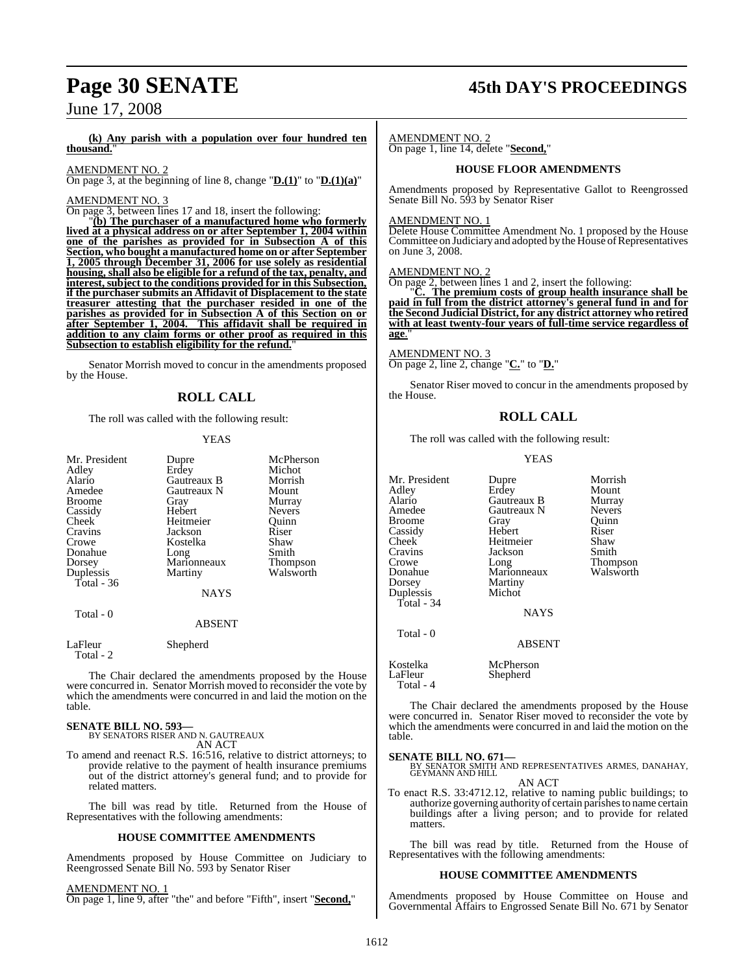## **Page 30 SENATE 45th DAY'S PROCEEDINGS**

### June 17, 2008

**(k) Any parish with a population over four hundred ten** thousand.

AMENDMENT NO. 2 On page 3, at the beginning of line 8, change "**D.(1)**" to "**D.(1)(a)**"

#### AMENDMENT NO. 3

On page 3, between lines 17 and 18, insert the following:

"**(b) The purchaser of a manufactured home who formerly lived at a physical address on or after September 1, 2004 within one of the parishes as provided for in Subsection A of this Section, who bought a manufactured home on or after September 1, 2005 through December 31, 2006 for use solely as residential housing, shall also be eligible for a refund of the tax, penalty, and interest, subject to the conditions provided for in this Subsection, if the purchaser submits an Affidavit of Displacement to the state treasurer attesting that the purchaser resided in one of the parishes as provided for in Subsection A of this Section on or after September 1, 2004. This affidavit shall be required in addition to any claim forms or other proof as required in this Subsection to establish eligibility for the refund.**"

Senator Morrish moved to concur in the amendments proposed by the House.

### **ROLL CALL**

The roll was called with the following result:

#### YEAS

| Mr. President<br>Adley<br>Alario<br>Amedee<br><b>Broome</b><br>Cassidy<br>Cheek<br>Cravins<br>Crowe<br>Donahue<br>Dorsey<br>Duplessis<br>Total - 36 | Dupre<br>Erdey<br>Gautreaux B<br>Gautreaux N<br>Gray<br>Hebert<br>Heitmeier<br>Jackson<br>Kostelka<br>Long<br>Marionneaux<br>Martiny<br><b>NAYS</b> | McPherson<br>Michot<br>Morrish<br>Mount<br>Murray<br><b>Nevers</b><br>Ouinn<br>Riser<br>Shaw<br>Smith<br>Thompson<br>Walsworth |
|-----------------------------------------------------------------------------------------------------------------------------------------------------|-----------------------------------------------------------------------------------------------------------------------------------------------------|--------------------------------------------------------------------------------------------------------------------------------|
| Total - 0                                                                                                                                           | <b>ABSENT</b>                                                                                                                                       |                                                                                                                                |
| LaFleur                                                                                                                                             | Shepherd                                                                                                                                            |                                                                                                                                |

 Total - 2 The Chair declared the amendments proposed by the House were concurred in. Senator Morrish moved to reconsider the vote by which the amendments were concurred in and laid the motion on the

#### **SENATE BILL NO. 593—**

table.

BY SENATORS RISER AND N. GAUTREAUX

AN ACT

To amend and reenact R.S. 16:516, relative to district attorneys; to provide relative to the payment of health insurance premiums out of the district attorney's general fund; and to provide for related matters.

The bill was read by title. Returned from the House of Representatives with the following amendments:

#### **HOUSE COMMITTEE AMENDMENTS**

Amendments proposed by House Committee on Judiciary to Reengrossed Senate Bill No. 593 by Senator Riser

AMENDMENT NO. 1 On page 1, line 9, after "the" and before "Fifth", insert "**Second,**" AMENDMENT NO. 2

On page 1, line 14, delete "**Second,**"

#### **HOUSE FLOOR AMENDMENTS**

Amendments proposed by Representative Gallot to Reengrossed Senate Bill No. 593 by Senator Riser

AMENDMENT NO. 1

Delete House Committee Amendment No. 1 proposed by the House Committee on Judiciary and adopted by the House of Representatives on June 3, 2008.

#### AMENDMENT NO. 2

On page 2, between lines 1 and 2, insert the following:

"**C. The premium costs of group health insurance shall be paid in full from the district attorney's general fund in and for the Second Judicial District, for any district attorney who retired with at least twenty-four years of full-time service regardless of age**."

AMENDMENT NO. 3 On page 2, line 2, change "**C.**" to "**D.**"

Senator Riser moved to concur in the amendments proposed by the House.

#### **ROLL CALL**

The roll was called with the following result:

**YEAS** 

| Mr. President<br>Adley<br>Alario<br>Amedee<br><b>Broome</b><br>Cassidy<br>Cheek<br>Cravins<br>Crowe<br>Donahue<br>Dorsey | Dupre<br>Erdey<br>Gautreaux B<br>Gautreaux N<br>Gray<br>Hebert<br>Heitmeier<br>Jackson<br>Long<br>Marionneaux<br>Martiny | Morrish<br>Mount<br>Murray<br><b>Nevers</b><br>Quinn<br>Riser<br>Shaw<br>Smith<br>Thompson<br>Walsworth |
|--------------------------------------------------------------------------------------------------------------------------|--------------------------------------------------------------------------------------------------------------------------|---------------------------------------------------------------------------------------------------------|
| Duplessis<br>Total - 34                                                                                                  | Michot<br><b>NAYS</b>                                                                                                    |                                                                                                         |
| Total - 0                                                                                                                | <b>ABSENT</b>                                                                                                            |                                                                                                         |
| Kostelka<br>LaFleur<br>Total - 4                                                                                         | McPherson<br>Shepherd                                                                                                    |                                                                                                         |

The Chair declared the amendments proposed by the House were concurred in. Senator Riser moved to reconsider the vote by which the amendments were concurred in and laid the motion on the table.

**SENATE BILL NO. 671—**<br>BY SENATOR SMITH AND REPRESENTATIVES ARMES, DANAHAY, GEYMANN AND HILL AN ACT

To enact R.S. 33:4712.12, relative to naming public buildings; to authorize governing authority of certain parishesto name certain buildings after a living person; and to provide for related matters.

The bill was read by title. Returned from the House of Representatives with the following amendments:

#### **HOUSE COMMITTEE AMENDMENTS**

Amendments proposed by House Committee on House and Governmental Affairs to Engrossed Senate Bill No. 671 by Senator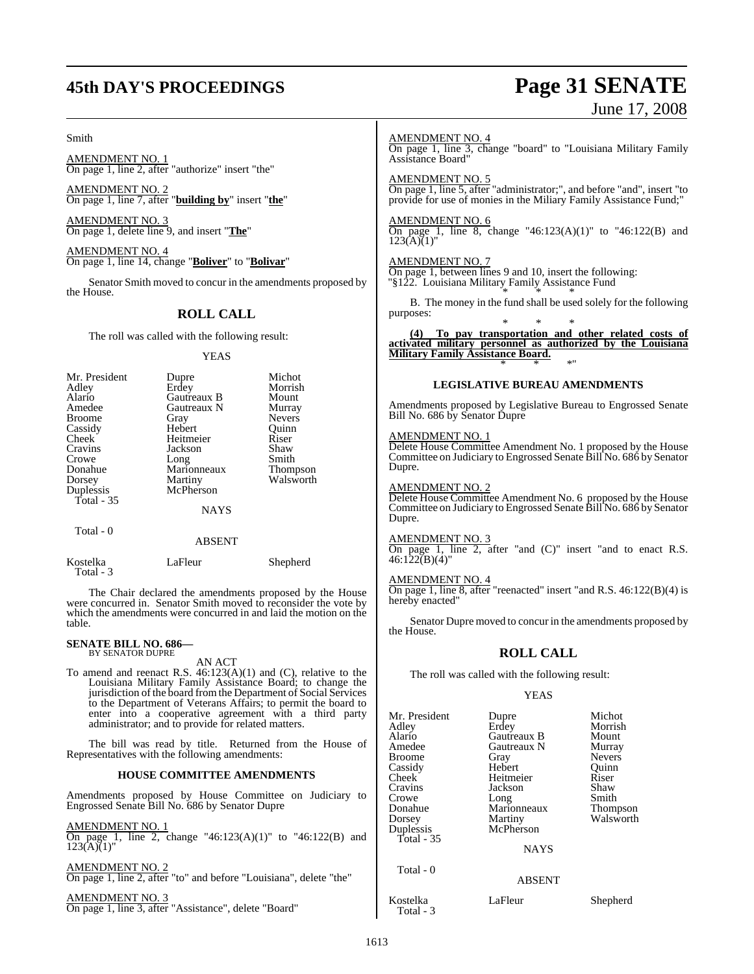# **45th DAY'S PROCEEDINGS Page 31 SENATE**

#### Smith

AMENDMENT NO. 1 On page 1, line 2, after "authorize" insert "the"

AMENDMENT NO. 2 On page 1, line 7, after "**building by**" insert "**the**"

AMENDMENT NO. 3 On page 1, delete line 9, and insert "**The**"

AMENDMENT NO. 4 On page 1, line 14, change "**Boliver**" to "**Bolivar**"

Senator Smith moved to concur in the amendments proposed by the House.

#### **ROLL CALL**

The roll was called with the following result:

#### YEAS

| Mr. President | Dupre              | Michot          |
|---------------|--------------------|-----------------|
| Adley         | Erdey              | Morrish         |
| Alario        | <b>Gautreaux B</b> | Mount           |
| Amedee        | Gautreaux N        | Murray          |
| <b>Broome</b> | Gray               | <b>Nevers</b>   |
| Cassidy       | Hebert             | Quinn           |
| Cheek         | Heitmeier          | Riser           |
| Cravins       | Jackson            | Shaw            |
| Crowe         | Long               | Smith           |
| Donahue       | Marionneaux        | <b>Thompson</b> |
| Dorsey        | Martiny            | Walsworth       |
| Duplessis     | McPherson          |                 |
| Total $-35$   |                    |                 |
|               | <b>NAYS</b>        |                 |
| Total - 0     |                    |                 |

|                       | <b>ABSENT</b> |          |
|-----------------------|---------------|----------|
| Kostelka<br>Total - 3 | LaFleur       | Shepherd |

The Chair declared the amendments proposed by the House were concurred in. Senator Smith moved to reconsider the vote by which the amendments were concurred in and laid the motion on the table.

### **SENATE BILL NO. 686—** BY SENATOR DUPRE

#### AN ACT

To amend and reenact R.S. 46:123(A)(1) and (C), relative to the Louisiana Military Family Assistance Board; to change the jurisdiction of the board from the Department of Social Services to the Department of Veterans Affairs; to permit the board to enter into a cooperative agreement with a third party administrator; and to provide for related matters.

The bill was read by title. Returned from the House of Representatives with the following amendments:

#### **HOUSE COMMITTEE AMENDMENTS**

Amendments proposed by House Committee on Judiciary to Engrossed Senate Bill No. 686 by Senator Dupre

AMENDMENT NO. 1

On page 1, line 2, change "46:123(A)(1)" to "46:122(B) and  $123(A)(1)$ "

#### AMENDMENT NO. 2

On page 1, line 2, after "to" and before "Louisiana", delete "the"

AMENDMENT NO. 3 On page 1, line 3, after "Assistance", delete "Board"

# June 17, 2008

AMENDMENT NO. 4 On page 1, line 3, change "board" to "Louisiana Military Family Assistance Board"

AMENDMENT NO. 5 On page 1, line 5, after "administrator;", and before "and", insert "to provide for use of monies in the Miliary Family Assistance Fund;"

AMENDMENT NO. 6 On page 1, line 8, change "46:123(A)(1)" to "46:122(B) and  $123(A)(1)$ "

AMENDMENT NO. 7 On page 1, between lines 9 and 10, insert the following: "§122. Louisiana Military Family Assistance Fund \* \* \*

B. The money in the fund shall be used solely for the following purposes:

\* \* \* **(4) To pay transportation and other related costs of activated military personnel as authorized by the Louisiana Military Family Assistance Board.** \* \* \*"

#### **LEGISLATIVE BUREAU AMENDMENTS**

Amendments proposed by Legislative Bureau to Engrossed Senate Bill No. 686 by Senator Dupre

#### AMENDMENT NO. 1

Delete House Committee Amendment No. 1 proposed by the House Committee on Judiciary to Engrossed Senate Bill No. 686 by Senator Dupre.

#### AMENDMENT NO. 2

Delete House Committee Amendment No. 6 proposed by the House Committee on Judiciary to Engrossed Senate Bill No. 686 by Senator Dupre.

#### AMENDMENT NO. 3

On page 1, line 2, after "and (C)" insert "and to enact R.S. 46:122(B)(4)"

#### AMENDMENT NO. 4

On page 1, line 8, after "reenacted" insert "and R.S. 46:122(B)(4) is hereby enacted"

Senator Dupre moved to concur in the amendments proposed by the House.

#### **ROLL CALL**

The roll was called with the following result:

#### YEAS

Mr. President Dupre Michot<br>Adley Erdey Morrish Adley Erdey Morrish Alario Gautreaux B Mount Amedee Gautreaux N<br>Broome Gray Cassidy Hebert Quinn<br>Cheek Heitmeier Riser Cheek Heitmeier Riser<br>Cravins Jackson Shaw Crowe Long Smith Donahue Marionneaux<br>Dorsey Martiny Duplessis Total - 35 Total - 0

Gray Nevers<br>Hebert Ouinn Jackson Shaw<br>Long Smith Martiny Walsworth<br>
McPherson

NAYS

#### ABSENT

Kostelka LaFleur Shepherd Total - 3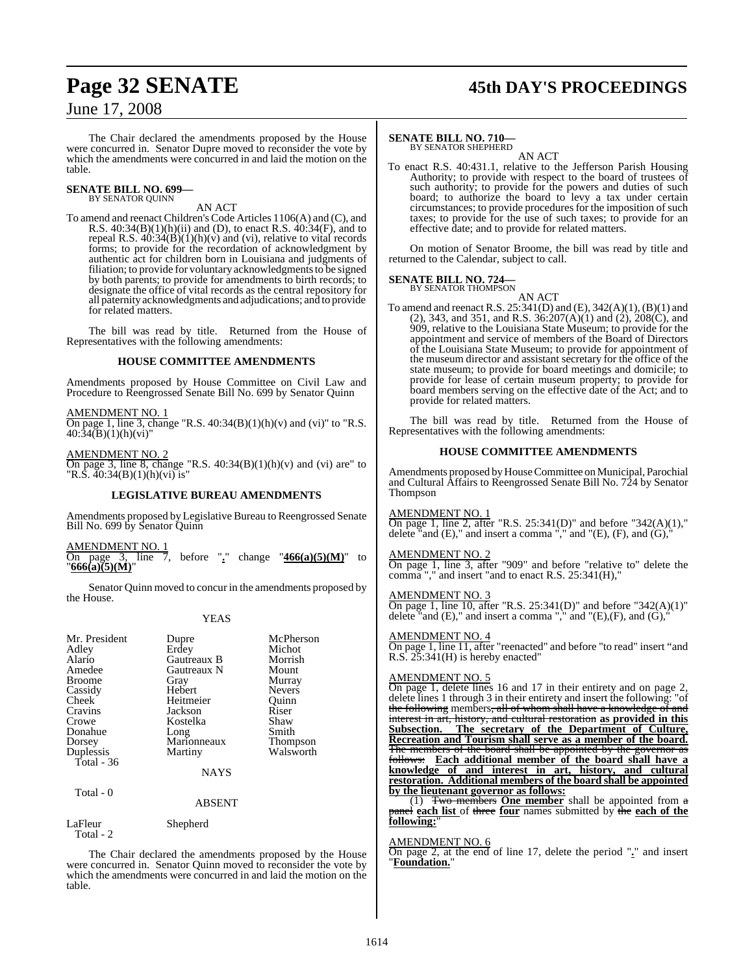## **Page 32 SENATE 45th DAY'S PROCEEDINGS**

June 17, 2008

The Chair declared the amendments proposed by the House were concurred in. Senator Dupre moved to reconsider the vote by which the amendments were concurred in and laid the motion on the table.

### **SENATE BILL NO. 699—** BY SENATOR QUINN

#### AN ACT

To amend and reenact Children's Code Articles 1106(A) and (C), and R.S. 40:34(B)(1)(h)(ii) and (D), to enact R.S. 40:34(F), and to repeal R.S.  $40:34(B)(1)(h)(v)$  and (vi), relative to vital records forms; to provide for the recordation of acknowledgment by authentic act for children born in Louisiana and judgments of filiation; to provide for voluntary acknowledgments to be signed by both parents; to provide for amendments to birth records; to designate the office of vital records as the central repository for all paternity acknowledgments and adjudications; and to provide for related matters.

The bill was read by title. Returned from the House of Representatives with the following amendments:

#### **HOUSE COMMITTEE AMENDMENTS**

Amendments proposed by House Committee on Civil Law and Procedure to Reengrossed Senate Bill No. 699 by Senator Quinn

AMENDMENT NO. 1

On page 1, line 3, change "R.S.  $40:34(B)(1)(h)(v)$  and  $(vi)$ " to "R.S.  $40:34(B)(1)(h)(vi)$ "

AMENDMENT NO. On page 3, line 8, change "R.S.  $40:34(B)(1)(h)(v)$  and (vi) are" to "R.S. 40:34(B)(1)(h)(vi) is"

#### **LEGISLATIVE BUREAU AMENDMENTS**

Amendments proposed by Legislative Bureau to Reengrossed Senate Bill No. 699 by Senator Quinn

AMENDMENT NO. 1

On page 3, line 7, before "**.**" change "**466(a)(5)(M)**" to "**666(a)(5)(M)**"

Senator Quinn moved to concur in the amendments proposed by the House.

#### YEAS

| Mr. President | Dupre       | McPherson       |
|---------------|-------------|-----------------|
| Adley         | Erdey       | Michot          |
| Alario        | Gautreaux B | Morrish         |
| Amedee        | Gautreaux N | Mount           |
| <b>Broome</b> | Gray        | Murray          |
| Cassidy       | Hebert      | <b>Nevers</b>   |
| Cheek         | Heitmeier   | Ouinn           |
| Cravins       | Jackson     | Riser           |
| Crowe         | Kostelka    | Shaw            |
| Donahue       | Long        | Smith           |
| Dorsey        | Marionneaux | <b>Thompson</b> |
| Duplessis     | Martiny     | Walsworth       |
| Total - 36    |             |                 |
|               | <b>NAYS</b> |                 |
| Total - 0     |             |                 |

#### ABSENT

LaFleur Shepherd Total - 2

The Chair declared the amendments proposed by the House were concurred in. Senator Quinn moved to reconsider the vote by which the amendments were concurred in and laid the motion on the table.

### **SENATE BILL NO. 710—**

BY SENATOR SHEPHERD AN ACT

To enact R.S. 40:431.1, relative to the Jefferson Parish Housing Authority; to provide with respect to the board of trustees of such authority; to provide for the powers and duties of such board; to authorize the board to levy a tax under certain circumstances; to provide procedures for the imposition of such taxes; to provide for the use of such taxes; to provide for an effective date; and to provide for related matters.

On motion of Senator Broome, the bill was read by title and returned to the Calendar, subject to call.

### **SENATE BILL NO. 724—** BY SENATOR THOMPSON

AN ACT

To amend and reenact R.S. 25:341(D) and (E), 342(A)(1), (B)(1) and (2), 343, and 351, and R.S. 36:207(A)(1) and (2), 208(C), and 909, relative to the Louisiana State Museum; to provide for the appointment and service of members of the Board of Directors of the Louisiana State Museum; to provide for appointment of the museum director and assistant secretary for the office of the state museum; to provide for board meetings and domicile; to provide for lease of certain museum property; to provide for board members serving on the effective date of the Act; and to provide for related matters.

The bill was read by title. Returned from the House of Representatives with the following amendments:

#### **HOUSE COMMITTEE AMENDMENTS**

Amendments proposed byHouse Committee on Municipal, Parochial and Cultural Affairs to Reengrossed Senate Bill No. 724 by Senator Thompson

#### AMENDMENT NO. 1

On page 1, line 2, after "R.S. 25:341(D)" and before "342(A)(1)," delete  $\check{}}$  and (E)," and insert a comma "," and "(E), (F), and (G),"

#### AMENDMENT NO. 2

On page 1, line 3, after "909" and before "relative to" delete the comma "," and insert "and to enact R.S. 25:341(H),"

#### AMENDMENT NO. 3

On page 1, line 10, after "R.S. 25:341(D)" and before "342(A)(1)" delete "and  $(E)$ ," and insert a comma "," and " $(E)$ , $(F)$ , and  $(G)$ ,"

#### AMENDMENT NO. 4

On page 1, line 11, after "reenacted" and before "to read" insert "and R.S. 25:341(H) is hereby enacted"

#### AMENDMENT NO. 5

On page 1, delete lines 16 and 17 in their entirety and on page 2, delete lines 1 through 3 in their entirety and insert the following: "of t<del>he following</del> members<del>, all of whom shall have a knowledge of and</del> interest in art, history, and cultural restoration **as provided in this Subsection. The secretary of the Department of Culture, Recreation and Tourism shall serve as a member of the board.** The members of the board shall be appointed by the governor as follows: **Each additional member of the board shall have a knowledge of and interest in art, history, and cultural restoration. Additional members of the board shall be appointed by the lieutenant governor as follows:**

(1) Two members **One member** shall be appointed from a panel **each list** of three **four** names submitted by the **each of the following:**"

#### AMENDMENT NO. 6

On page 2, at the end of line 17, delete the period "**.**" and insert "**Foundation.**"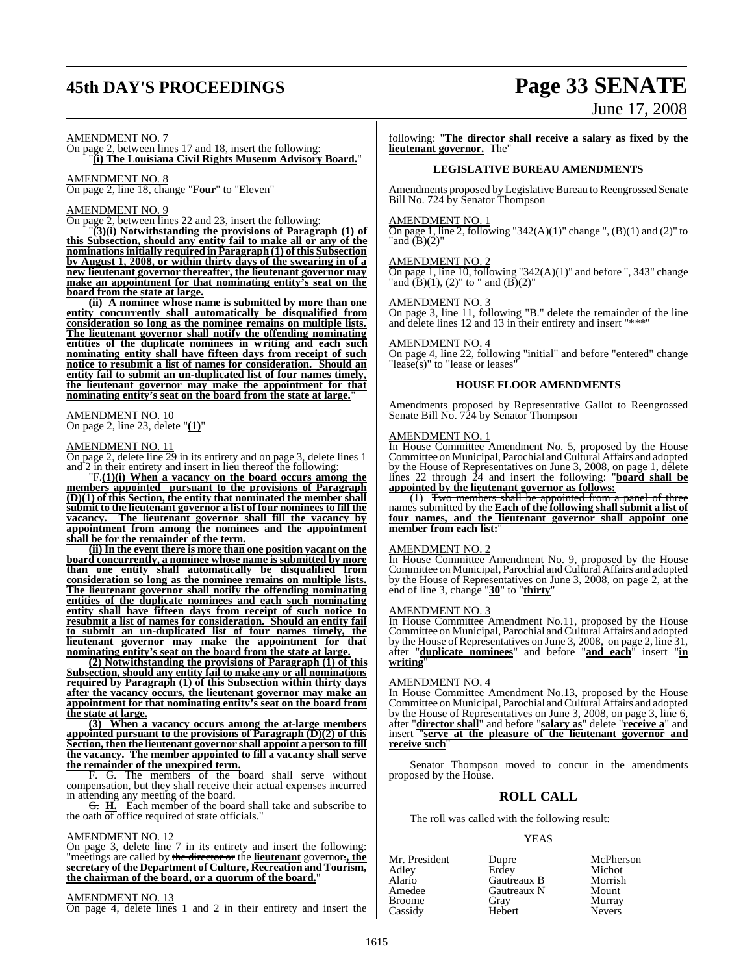# **45th DAY'S PROCEEDINGS Page 33 SENATE**

# June 17, 2008

AMENDMENT NO. 7

On page 2, between lines 17 and 18, insert the following: "**(i) The Louisiana Civil Rights Museum Advisory Board.**"

AMENDMENT NO. 8 On page 2, line 18, change "**Four**" to "Eleven"

#### AMENDMENT NO. 9

On page 2, between lines 22 and 23, insert the following:

"**(3)(i) Notwithstanding the provisions of Paragraph (1) of this Subsection, should any entity fail to make all or any of the nominationsinitially required in Paragraph (1) of this Subsection by August 1, 2008, or within thirty days of the swearing in of a new lieutenant governor thereafter, the lieutenant governor may make an appointment for that nominating entity's seat on the board from the state at large.**

**(ii) A nominee whose name is submitted by more than one entity concurrently shall automatically be disqualified from consideration so long as the nominee remains on multiple lists. The lieutenant governor shall notify the offending nominating entities of the duplicate nominees in writing and each such nominating entity shall have fifteen days from receipt of such notice to resubmit a list of names for consideration. Should an entity fail to submit an un-duplicated list of four names timely, the lieutenant governor may make the appointment for that nominating entity's seat on the board from the state at large.**"

#### AMENDMENT NO. 10 On page 2, line 23, delete "**(1)**"

#### AMENDMENT NO. 11

On page 2, delete line 29 in its entirety and on page 3, delete lines 1 and 2 in their entirety and insert in lieu thereof the following:

"F.**(1)(i) When a vacancy on the board occurs among the members appointed pursuant to the provisions of Paragraph (D)(1) of this Section, the entity that nominated the member shall submit to the lieutenant governor a list of four nomineesto fill the vacancy. The lieutenant governor shall fill the vacancy by appointment from among the nominees and the appointment shall be for the remainder of the term.**

**(ii) In the event there is more than one position vacant on the board concurrently, a nominee whose name is submitted by more than one entity shall automatically be disqualified from consideration so long as the nominee remains on multiple lists. The lieutenant governor shall notify the offending nominating entities of the duplicate nominees and each such nominating entity shall have fifteen days from receipt of such notice to resubmit a list of names for consideration. Should an entity fail to submit an un-duplicated list of four names timely, the lieutenant governor may make the appointment for that nominating entity's seat on the board from the state at large.**

**(2) Notwithstanding the provisions of Paragraph (1) of this Subsection, should any entity fail to make any or all nominations required by Paragraph (1) of this Subsection within thirty days after the vacancy occurs, the lieutenant governor may make an appointment for that nominating entity's seat on the board from the state at large.**

**(3) When a vacancy occurs among the at-large members appointed pursuant to the provisions of Paragraph (D)(2) of this Section, then the lieutenant governor shall appoint a person to fill the vacancy. The member appointed to fill a vacancy shall serve the remainder of the unexpired term.**

F. G. The members of the board shall serve without compensation, but they shall receive their actual expenses incurred in attending any meeting of the board.

G. **H.** Each member of the board shall take and subscribe to the oath of office required of state officials."

#### AMENDMENT NO. 12

 $\overline{\text{On page 3}}$ , delete line 7 in its entirety and insert the following: "meetings are called by the director or the **lieutenant** governor.**, the secretary of the Department of Culture, Recreation andTourism, the chairman of the board, or a quorum of the board.**"

#### AMENDMENT NO. 13

On page 4, delete lines 1 and 2 in their entirety and insert the

following: "**The director shall receive a salary as fixed by the lieutenant governor.** The"

#### **LEGISLATIVE BUREAU AMENDMENTS**

Amendments proposed by Legislative Bureau to Reengrossed Senate Bill No. 724 by Senator Thompson

#### AMENDMENT NO. 1

On page 1, line 2, following "342(A)(1)" change ",  $(B)(1)$  and  $(2)$ " to and  $(B)(2)$ "

#### AMENDMENT NO. 2

On page 1, line 10, following "342(A)(1)" and before ", 343" change "and  $(\bar{B})(1)$ ,  $(2)$ " to " and  $(\bar{B})(2)$ "

#### AMENDMENT NO. 3

On page 3, line 11, following "B." delete the remainder of the line and delete lines 12 and 13 in their entirety and insert '

#### AMENDMENT NO. 4

On page 4, line 22, following "initial" and before "entered" change "lease(s)" to "lease or leases"

#### **HOUSE FLOOR AMENDMENTS**

Amendments proposed by Representative Gallot to Reengrossed Senate Bill No. 724 by Senator Thompson

#### AMENDMENT NO. 1

In House Committee Amendment No. 5, proposed by the House Committee on Municipal, Parochial and Cultural Affairs and adopted by the House of Representatives on June 3, 2008, on page 1, delete lines 22 through 24 and insert the following: "**board shall be appointed by the lieutenant governor as follows:**<br>(1) Two members shall be appointed from a

(1) Two members shall be appointed from a panel of three names submitted by the **Each of the following shall submit a list of four names, and the lieutenant governor shall appoint one member from each list:**"

#### AMENDMENT NO. 2

In House Committee Amendment No. 9, proposed by the House Committee on Municipal, Parochial and Cultural Affairs and adopted by the House of Representatives on June 3, 2008, on page 2, at the end of line 3, change "**30**" to "**thirty**"

#### AMENDMENT NO. 3

In House Committee Amendment No.11, proposed by the House Committee on Municipal, Parochial andCultural Affairs and adopted by the House of Representatives on June 3, 2008, on page 2, line 31, after "**duplicate nominees**" and before "**and each**" insert "**in writing**"

#### AMENDMENT NO. 4

In House Committee Amendment No.13, proposed by the House Committee on Municipal, Parochial and Cultural Affairs and adopted by the House of Representatives on June 3, 2008, on page 3, line 6, after "**director shall**" and before "**salary as**" delete "**receive a**" and insert "**serve at the pleasure of the lieutenant governor and receive such**"

Senator Thompson moved to concur in the amendments proposed by the House.

#### **ROLL CALL**

The roll was called with the following result:

#### YEAS

| Mr. President | Dupre       | McPherson     |
|---------------|-------------|---------------|
| Adley         | Erdey       | Michot        |
| Alario        | Gautreaux B | Morrish       |
| Amedee        | Gautreaux N | Mount         |
| <b>Broome</b> | Grav        | Murray        |
| Cassidy       | Hebert      | <b>Nevers</b> |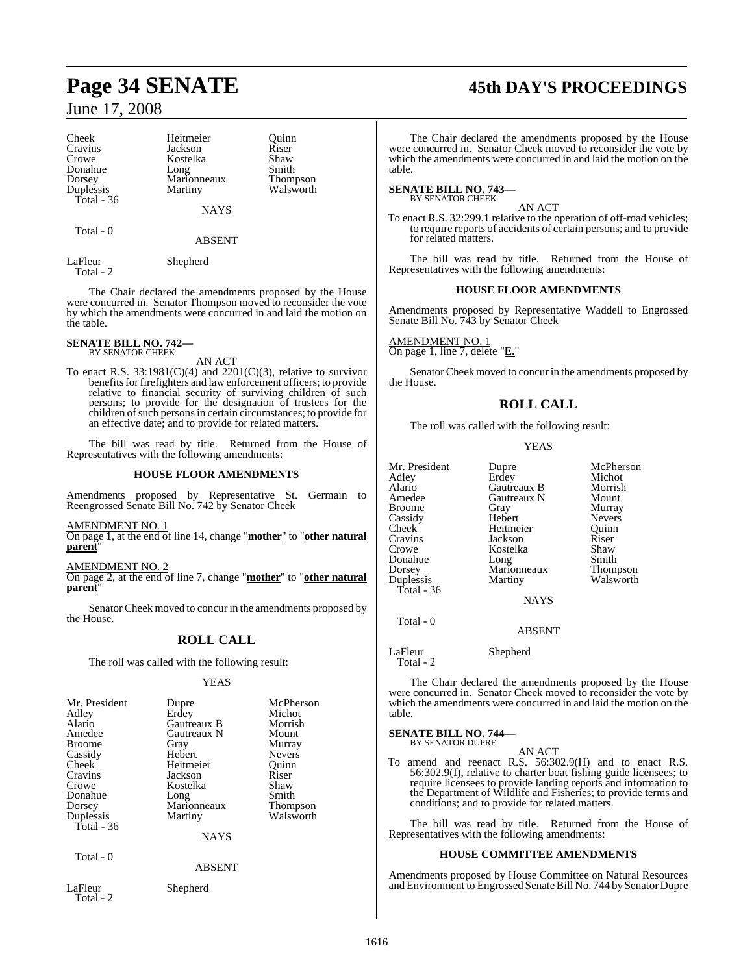| Cheek      |  |
|------------|--|
| Cravins    |  |
| Crowe      |  |
| Donahue    |  |
| Dorsey     |  |
| Duplessis  |  |
| Total - 36 |  |

Heitmeier Quinn<br>Jackson Riser Jackson Riser<br>Kostelka Shaw Kostelka Shaw<br>Long Smith <u>Long</u><br>
Marionneaux Smith<br>
Marionneaux Thompson Marionneaux<br>Martiny

NAYS

ABSENT

Walsworth

Total - 0

LaFleur Shepherd Total - 2

The Chair declared the amendments proposed by the House were concurred in. Senator Thompson moved to reconsider the vote by which the amendments were concurred in and laid the motion on the table.

#### **SENATE BILL NO. 742—** BY SENATOR CHEEK

AN ACT

To enact R.S.  $33:1981(C)(4)$  and  $2201(C)(3)$ , relative to survivor benefits for firefighters and law enforcement officers; to provide relative to financial security of surviving children of such persons; to provide for the designation of trustees for the children of such persons in certain circumstances; to provide for an effective date; and to provide for related matters.

The bill was read by title. Returned from the House of Representatives with the following amendments:

#### **HOUSE FLOOR AMENDMENTS**

Amendments proposed by Representative St. Germain to Reengrossed Senate Bill No. 742 by Senator Cheek

AMENDMENT NO. 1

On page 1, at the end of line 14, change "**mother**" to "**other natural parent**"

AMENDMENT NO. 2

On page 2, at the end of line 7, change "**mother**" to "**other natural parent**"

Senator Cheek moved to concur in the amendments proposed by the House.

### **ROLL CALL**

The roll was called with the following result:

#### YEAS

| Mr. President<br>Adley | Dupre<br>Erdey | McPherson<br>Michot |
|------------------------|----------------|---------------------|
| Alario                 | Gautreaux B    | Morrish             |
| Amedee                 | Gautreaux N    | Mount               |
| <b>Broome</b>          | Gray           | Murray              |
| Cassidy                | Hebert         | <b>Nevers</b>       |
| Cheek                  | Heitmeier      | Ouinn               |
| Cravins                | Jackson        | Riser               |
| Crowe                  | Kostelka       | Shaw                |
| Donahue                | Long           | Smith               |
| Dorsey                 | Marionneaux    | <b>Thompson</b>     |
| Duplessis              | Martiny        | Walsworth           |
| Total $-36$            | <b>NAYS</b>    |                     |
| Total - 0              | <b>ABSENT</b>  |                     |

LaFleur Shepherd Total - 2

# **Page 34 SENATE 45th DAY'S PROCEEDINGS**

The Chair declared the amendments proposed by the House were concurred in. Senator Cheek moved to reconsider the vote by which the amendments were concurred in and laid the motion on the table.

### **SENATE BILL NO. 743—**<br>BY SENATOR CHEEK

AN ACT

To enact R.S. 32:299.1 relative to the operation of off-road vehicles; to require reports of accidents of certain persons; and to provide for related matters.

The bill was read by title. Returned from the House of Representatives with the following amendments:

#### **HOUSE FLOOR AMENDMENTS**

Amendments proposed by Representative Waddell to Engrossed Senate Bill No. 743 by Senator Cheek

AMENDMENT NO. 1 On page 1, line 7, delete "**E.**"

Senator Cheek moved to concur in the amendments proposed by the House.

### **ROLL CALL**

The roll was called with the following result:

#### YEAS

Mr. President Dupre McPherson<br>
Adley Erdey Michot Adley Erdey Michot Alario Gautreaux B Morrish Amedee Gautreaux N<br>Broome Gray Cassidy Hebert Nevers Cheek Heitmeier Quinn<br>Cravins Jackson Riser Cravins Jackson Riser Donahue Long Smith<br>Dorsey Marionneaux Thompson Dorsey Marionneaux<br>
Duplessis Martiny Total - 36

Gray Murray<br>Hebert Nevers Kostelka Shaw<br>Long Smith Walsworth

**NAYS** 

ABSENT

LaFleur Shepherd

Total - 2

Total - 0

The Chair declared the amendments proposed by the House were concurred in. Senator Cheek moved to reconsider the vote by which the amendments were concurred in and laid the motion on the table.

#### **SENATE BILL NO. 744—** BY SENATOR DUPRE

AN ACT

To amend and reenact R.S. 56:302.9(H) and to enact R.S. 56:302.9(I), relative to charter boat fishing guide licensees; to require licensees to provide landing reports and information to the Department of Wildlife and Fisheries; to provide terms and conditions; and to provide for related matters.

The bill was read by title. Returned from the House of Representatives with the following amendments:

#### **HOUSE COMMITTEE AMENDMENTS**

Amendments proposed by House Committee on Natural Resources and Environment to Engrossed Senate Bill No. 744 by Senator Dupre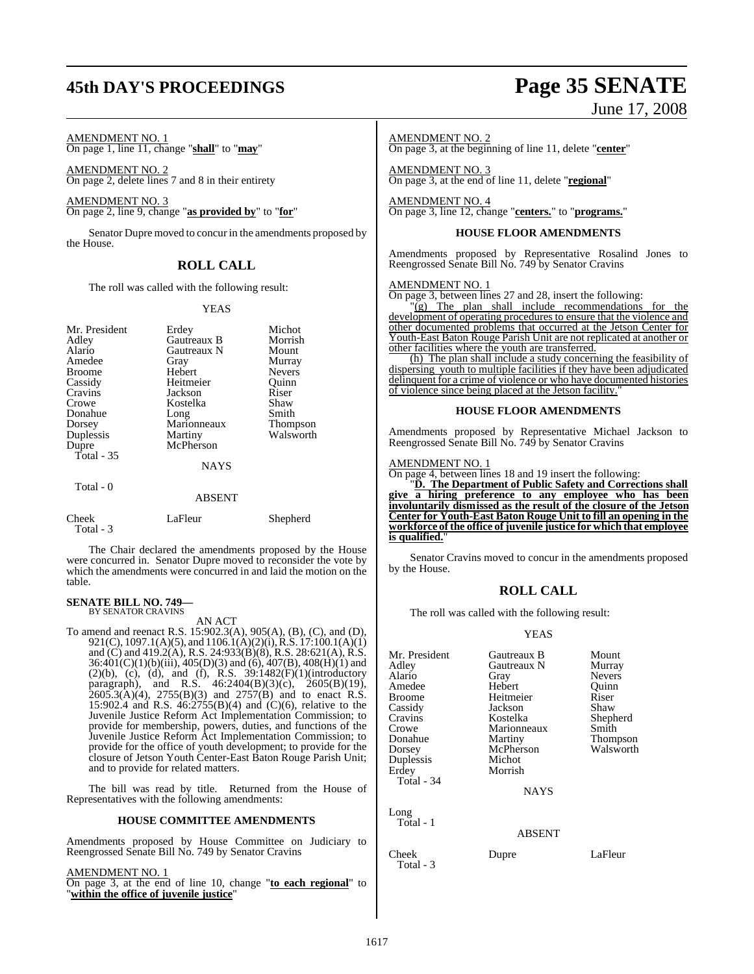## **45th DAY'S PROCEEDINGS Page 35 SENATE**

# June 17, 2008

#### AMENDMENT NO. 1

On page 1, line 11, change "**shall**" to "**may**"

AMENDMENT NO. 2 On page 2, delete lines 7 and 8 in their entirety

AMENDMENT NO. 3

On page 2, line 9, change "**as provided by**" to "**for**"

Senator Dupre moved to concur in the amendments proposed by the House.

### **ROLL CALL**

The roll was called with the following result:

#### YEAS

| Mr. President<br>Adley<br>Alario<br>Amedee<br><b>Broome</b><br>Cassidy<br>Cravins<br>Crowe<br>Donahue<br>Dorsey<br>Duplessis<br>Dupre | Erdey<br>Gautreaux B<br>Gautreaux N<br>Gray<br>Hebert<br>Heitmeier<br>Jackson<br>Kostelka<br>Long<br>Marionneaux<br>Martiny<br>McPherson | Michot<br>Morrish<br>Mount<br>Murray<br><b>Nevers</b><br>Ouinn<br>Riser<br>Shaw<br>Smith<br>Thompson<br>Walsworth |
|---------------------------------------------------------------------------------------------------------------------------------------|------------------------------------------------------------------------------------------------------------------------------------------|-------------------------------------------------------------------------------------------------------------------|
| Total - 35                                                                                                                            | <b>NAYS</b>                                                                                                                              |                                                                                                                   |
| Total - 0                                                                                                                             | <b>ABSENT</b>                                                                                                                            |                                                                                                                   |
| Cheek<br>Total - 3                                                                                                                    | LaFleur                                                                                                                                  | Shepherd                                                                                                          |

The Chair declared the amendments proposed by the House were concurred in. Senator Dupre moved to reconsider the vote by which the amendments were concurred in and laid the motion on the table.

#### **SENATE BILL NO. 749—** BY SENATOR CRAVINS

AN ACT To amend and reenact R.S. 15:902.3(A), 905(A), (B), (C), and (D), 921(C), 1097.1(A)(5), and 1106.1(A)(2)(i), R.S. 17:100.1(A)(1) and (C) and 419.2(A), R.S. 24:933(B)(8), R.S. 28:621(A), R.S. 36:401(C)(1)(b)(iii), 405(D)(3) and (6), 407(B), 408(H)(1) and  $(2)(b)$ ,  $(c)$ ,  $(d)$ , and  $(f)$ , R.S. 39:1482 $(F)(1)(introducing$ paragraph), and R.S.  $46:2404(B)(3)(c)$ ,  $2605(B)(19)$ ,  $2605.3(A)(4)$ ,  $2755(B)(3)$  and  $2757(B)$  and to enact R.S. 15:902.4 and R.S. 46:2755(B)(4) and (C)(6), relative to the Juvenile Justice Reform Act Implementation Commission; to provide for membership, powers, duties, and functions of the Juvenile Justice Reform Act Implementation Commission; to provide for the office of youth development; to provide for the closure of Jetson Youth Center-East Baton Rouge Parish Unit; and to provide for related matters.

The bill was read by title. Returned from the House of Representatives with the following amendments:

#### **HOUSE COMMITTEE AMENDMENTS**

Amendments proposed by House Committee on Judiciary to Reengrossed Senate Bill No. 749 by Senator Cravins

AMENDMENT NO. 1

On page 3, at the end of line 10, change "**to each regional**" to "**within the office of juvenile justice**"

#### AMENDMENT NO. 2

On page 3, at the beginning of line 11, delete "**center**"

AMENDMENT NO. 3 On page 3, at the end of line 11, delete "**regional**"

AMENDMENT NO. 4 On page 3, line 12, change "**centers.**" to "**programs.**"

#### **HOUSE FLOOR AMENDMENTS**

Amendments proposed by Representative Rosalind Jones to Reengrossed Senate Bill No. 749 by Senator Cravins

#### AMENDMENT NO. 1

On page 3, between lines 27 and 28, insert the following:

"(g) The plan shall include recommendations for the development of operating procedures to ensure that the violence and other documented problems that occurred at the Jetson Center for Youth-East Baton Rouge Parish Unit are not replicated at another or other facilities where the youth are transferred.

(h) The plan shall include a study concerning the feasibility of dispersing youth to multiple facilities if they have been adjudicated delinquent for a crime of violence or who have documented histories of violence since being placed at the Jetson facility."

#### **HOUSE FLOOR AMENDMENTS**

Amendments proposed by Representative Michael Jackson to Reengrossed Senate Bill No. 749 by Senator Cravins

#### AMENDMENT NO. 1

On page 4, between lines 18 and 19 insert the following:

"**D. The Department of Public Safety and Corrections shall give a hiring preference to any employee who has been involuntarily dismissed as the result of the closure of the Jetson Center for Youth-East Baton Rouge Unit to fill an opening in the workforce of the office of juvenile justice for which that employee is qualified.** 

Senator Cravins moved to concur in the amendments proposed by the House.

#### **ROLL CALL**

The roll was called with the following result:

#### YEAS

| Mr. President<br>Adley<br>Alario<br>Amedee<br>Broome<br>Cassidy<br>Cravins<br>Crowe<br>Donahue<br>Dorsey<br>Duplessis<br>Erdev<br>Total - 34 | Gautreaux B<br>Gautreaux N<br>Gray<br>Hebert<br>Heitmeier<br>Jackson<br>Kostelka<br>Marionneaux<br>Martiny<br>McPherson<br>Michot<br>Morrish<br><b>NAYS</b> | Mount<br>Murray<br><b>Nevers</b><br>Ouinn<br>Riser<br>Shaw<br>Shepherd<br>Smith<br>Thompson<br>Walsworth |
|----------------------------------------------------------------------------------------------------------------------------------------------|-------------------------------------------------------------------------------------------------------------------------------------------------------------|----------------------------------------------------------------------------------------------------------|
| Long<br>Total - 1                                                                                                                            | <b>ABSENT</b>                                                                                                                                               |                                                                                                          |
| Cheek<br>Total - 3                                                                                                                           | Dupre                                                                                                                                                       | LaFleur                                                                                                  |
|                                                                                                                                              |                                                                                                                                                             |                                                                                                          |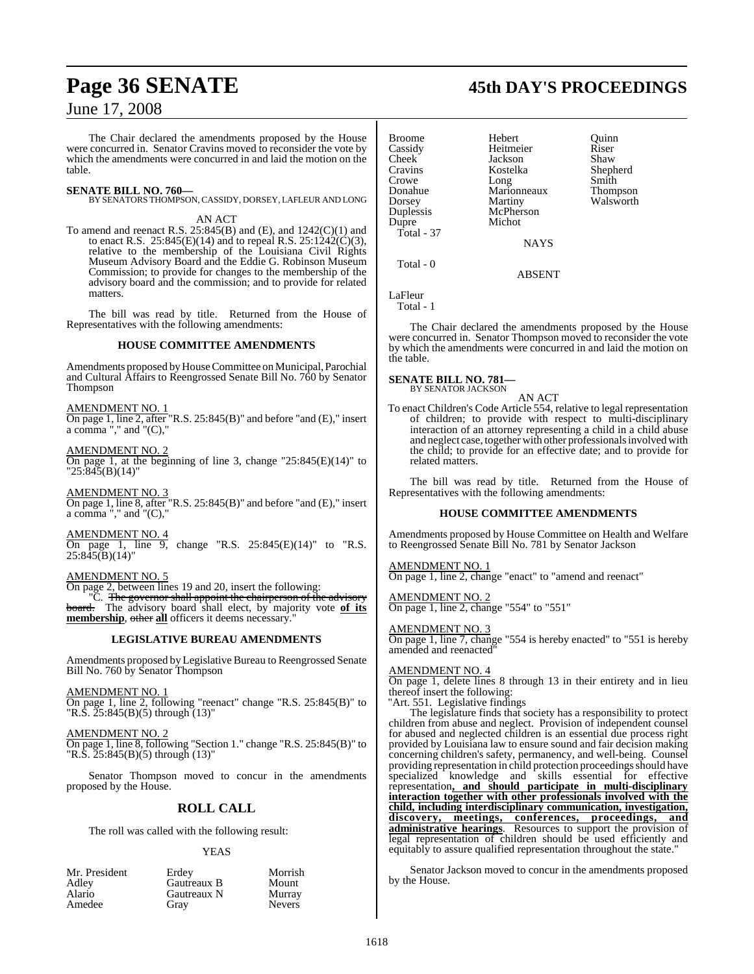The Chair declared the amendments proposed by the House were concurred in. Senator Cravins moved to reconsider the vote by which the amendments were concurred in and laid the motion on the table.

#### **SENATE BILL NO. 760—**

BY SENATORS THOMPSON, CASSIDY, DORSEY, LAFLEUR AND LONG

AN ACT

To amend and reenact R.S.  $25:845(B)$  and  $(E)$ , and  $1242(C)(1)$  and to enact R.S. 25:845(E)(14) and to repeal R.S. 25:1242(C)(3), relative to the membership of the Louisiana Civil Rights Museum Advisory Board and the Eddie G. Robinson Museum Commission; to provide for changes to the membership of the advisory board and the commission; and to provide for related matters.

The bill was read by title. Returned from the House of Representatives with the following amendments:

#### **HOUSE COMMITTEE AMENDMENTS**

Amendments proposed by House Committee on Municipal, Parochial and Cultural Affairs to Reengrossed Senate Bill No. 760 by Senator Thompson

AMENDMENT NO. 1

On page  $1$ , line 2, after "R.S. 25:845(B)" and before "and (E)," insert a comma "," and " $(C)$ ,"

AMENDMENT NO. 2

On page 1, at the beginning of line 3, change "25:845(E)(14)" to "25:845(B)(14)"

AMENDMENT NO. 3 On page 1, line 8, after "R.S. 25:845(B)" and before "and (E)," insert a comma "," and " $(C)$ ,"

AMENDMENT NO. 4  $\overline{9}$ , change "R.S. 25:845(E)(14)" to "R.S.  $\frac{64}{\text{On page 1, line}}$ <br>25:845(B)(14)"

AMENDMENT NO. 5

On page 2, between lines 19 and 20, insert the following:

C. The governor shall appoint the chairperson of the board. The advisory board shall elect, by majority vote **of its membership**, other **all** officers it deems necessary."

#### **LEGISLATIVE BUREAU AMENDMENTS**

Amendments proposed by Legislative Bureau to Reengrossed Senate Bill No. 760 by Senator Thompson

AMENDMENT NO. 1 On page 1, line 2, following "reenact" change "R.S. 25:845(B)" to "R.S. 25:845(B)(5) through (13)"

AMENDMENT NO. 2 On page 1, line 8, following "Section 1." change "R.S. 25:845(B)" to "R.S. 25:845(B)(5) through (13)"

Senator Thompson moved to concur in the amendments proposed by the House.

#### **ROLL CALL**

The roll was called with the following result:

#### YEAS

| Mr. President | Erdev       | Morris |
|---------------|-------------|--------|
| Adley         | Gautreaux B | Mount  |
| Alario        | Gautreaux N | Murray |
| Amedee        | Grav        | Nevers |

ey Morrish<br>
utreaux B Mount itreaux B Mount<br>1991 Murray Murray atreaux N Murray<br>V Nevers

**Page 36 SENATE 45th DAY'S PROCEEDINGS**

Broome Hebert Quinn<br>
Cassidy Heitmeier Riser Cassidy Heitmeier Riser<br>Cheek Jackson Shaw Cheek Jackson<br>Cravins Kostelka Cravins Kostelka Shepherd Crowe Long Smith<br>
Donahue Marionneaux Thompson Donahue Marionneaux<br>Dorsey Martiny Dorsey Martiny Walsworth<br>
Duplessis McPherson Dupre Michot Total - 37

McPherson NAYS

LaFleur

Total - 0

Total - 1

The Chair declared the amendments proposed by the House were concurred in. Senator Thompson moved to reconsider the vote by which the amendments were concurred in and laid the motion on the table.

ABSENT

#### **SENATE BILL NO. 781—** BY SENATOR JACKSON

AN ACT

To enact Children's Code Article 554, relative to legal representation of children; to provide with respect to multi-disciplinary interaction of an attorney representing a child in a child abuse and neglect case, together with other professionals involved with the child; to provide for an effective date; and to provide for related matters.

The bill was read by title. Returned from the House of Representatives with the following amendments:

#### **HOUSE COMMITTEE AMENDMENTS**

Amendments proposed by House Committee on Health and Welfare to Reengrossed Senate Bill No. 781 by Senator Jackson

AMENDMENT NO. 1 On page 1, line 2, change "enact" to "amend and reenact"

AMENDMENT NO. 2 On page 1, line 2, change "554" to "551"

AMENDMENT NO. 3 On page 1, line 7, change "554 is hereby enacted" to "551 is hereby amended and reenacted"

#### AMENDMENT NO. 4

On page 1, delete lines 8 through 13 in their entirety and in lieu thereof insert the following:

"Art. 551. Legislative findings

The legislature finds that society has a responsibility to protect children from abuse and neglect. Provision of independent counsel for abused and neglected children is an essential due process right provided by Louisiana law to ensure sound and fair decision making concerning children's safety, permanency, and well-being. Counsel providing representation in child protection proceedings should have specialized knowledge and skills essential for effective representation**, and should participate in multi-disciplinary interaction together with other professionals involved with the child, including interdisciplinary communication, investigation, discovery, meetings, conferences, proceedings, and administrative hearings**. Resources to support the provision of legal representation of children should be used efficiently and equitably to assure qualified representation throughout the state."

Senator Jackson moved to concur in the amendments proposed by the House.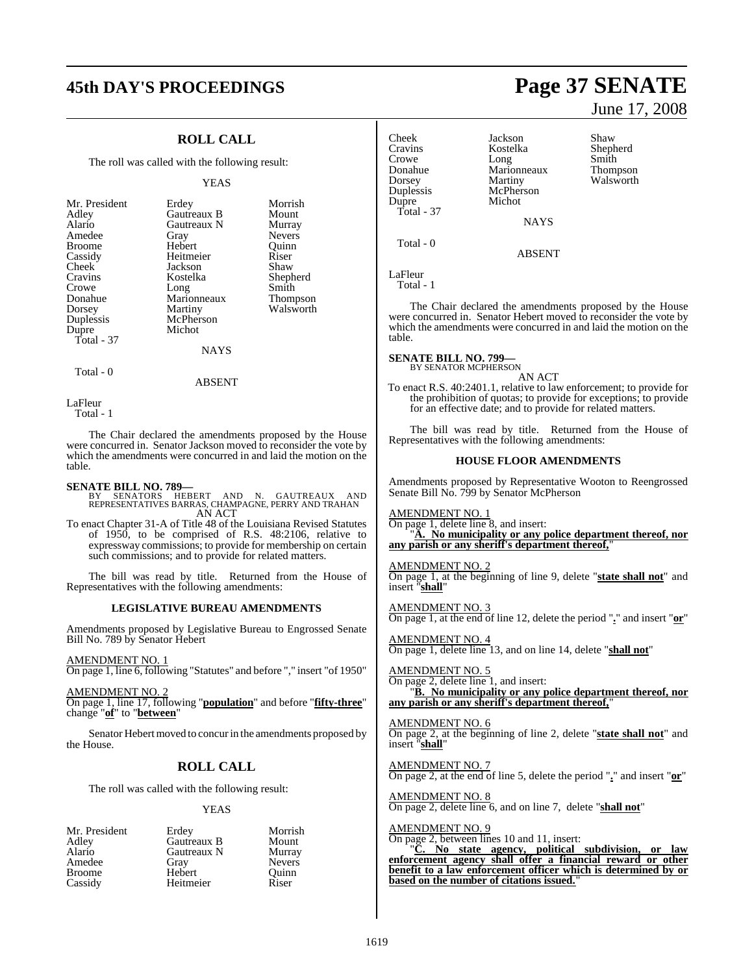## **45th DAY'S PROCEEDINGS Page 37 SENATE**

## **ROLL CALL**

The roll was called with the following result:

#### YEAS

| Mr. President | Erdey           | Morri             |
|---------------|-----------------|-------------------|
| Adley         | Gautreaux B     | Mour              |
| Alario        | Gautreaux N     | Murra             |
| Amedee        | Gray            | Neve <sub>1</sub> |
| <b>Broome</b> | Hebert          | Quinn             |
| Cassidy       | Heitmeier       | Riser             |
| Cheek         | Jackson         | Shaw              |
| Cravins       | Kostelka        | Shepl             |
| Crowe         | Long            | Smith             |
| Donahue       | Marionneaux     | Thom              |
| Dorsey        | Martiny         | Walsy             |
| Duplessis     | McPherson       |                   |
| Dupre         | Michot          |                   |
| Total - 37    |                 |                   |
|               | <b>NI A VZC</b> |                   |

**Murray** Nevers Ouinn Riser<br>Shaw Shepherd Smith Thompson Walsworth

Morrish Mount

#### NAYS

Total - 0

ABSENT

LaFleur Total - 1

The Chair declared the amendments proposed by the House were concurred in. Senator Jackson moved to reconsider the vote by which the amendments were concurred in and laid the motion on the table.

**SENATE BILL NO. 789—**<br>BY SENATORS HEBERT AND N. GAUTREAUX AND<br>REPRESENTATIVES BARRAS, CHAMPAGNE, PERRY AND TRAHAN AN ACT

To enact Chapter 31-A of Title 48 of the Louisiana Revised Statutes of 1950, to be comprised of R.S. 48:2106, relative to expressway commissions; to provide for membership on certain such commissions; and to provide for related matters.

The bill was read by title. Returned from the House of Representatives with the following amendments:

#### **LEGISLATIVE BUREAU AMENDMENTS**

Amendments proposed by Legislative Bureau to Engrossed Senate Bill No. 789 by Senator Hebert

AMENDMENT NO. 1 On page 1, line 6, following "Statutes" and before "," insert "of 1950"

AMENDMENT NO. 2 On page 1, line 17, following "**population**" and before "**fifty-three**" change "**of**" to "**between**"

Senator Hebert moved to concur in the amendments proposed by the House.

### **ROLL CALL**

The roll was called with the following result:

#### YEAS

Cassidy Heitmeier

Mr. President Erdey Morrish<br>Adley Gautreaux B Mount Adley Gautreaux B Mount Gautreaux N Murray<br>Gray Nevers Amedee Gray Nevers Broome Hebert Quinn<br>
Cassidy Heitmeier Riser

Cheek Jackson Shaw<br>Cravins Kostelka Sheph Cravins Kostelka Shepherd Crowe Long Smith Donahue Marionneaux<br>Dorsey Martiny Dorsey Martiny Walsworth<br>
Duplessis McPherson Duplessis McPherson<br>
Dupre Michot Total - 37

Michot NAYS

ABSENT

LaFleur Total - 1

Total - 0

The Chair declared the amendments proposed by the House were concurred in. Senator Hebert moved to reconsider the vote by which the amendments were concurred in and laid the motion on the table.

## **SENATE BILL NO. 799—**

BY SENATOR MCPHERSON AN ACT

To enact R.S. 40:2401.1, relative to law enforcement; to provide for the prohibition of quotas; to provide for exceptions; to provide for an effective date; and to provide for related matters.

The bill was read by title. Returned from the House of Representatives with the following amendments:

#### **HOUSE FLOOR AMENDMENTS**

Amendments proposed by Representative Wooton to Reengrossed Senate Bill No. 799 by Senator McPherson

#### AMENDMENT NO. 1

On page 1, delete line 8, and insert:

"**A. No municipality or any police department thereof, nor any parish or any sheriff's department thereof,**"

## AMENDMENT NO. 2

On page 1, at the beginning of line 9, delete "**state shall not**" and insert "**shall**"

AMENDMENT NO. 3 On page 1, at the end of line 12, delete the period "**.**" and insert "**or**"

AMENDMENT NO. 4 On page 1, delete line 13, and on line 14, delete "**shall not**"

AMENDMENT NO. 5

On page 2, delete line 1, and insert:

"**B. No municipality or any police department thereof, nor any parish or any sheriff's department thereof,**"

#### AMENDMENT NO. 6

On page 2, at the beginning of line 2, delete "**state shall not**" and insert "**shall**"

AMENDMENT NO. 7 On page 2, at the end of line 5, delete the period "**.**" and insert "**or**"

AMENDMENT NO. 8 On page 2, delete line 6, and on line 7, delete "**shall not**"

#### AMENDMENT NO. 9

On page 2, between lines 10 and 11, insert:

"**C. No state agency, political subdivision, or law enforcement agency shall offer a financial reward or other benefit to a law enforcement officer which is determined by or based on the number of citations issued.**"

# June 17, 2008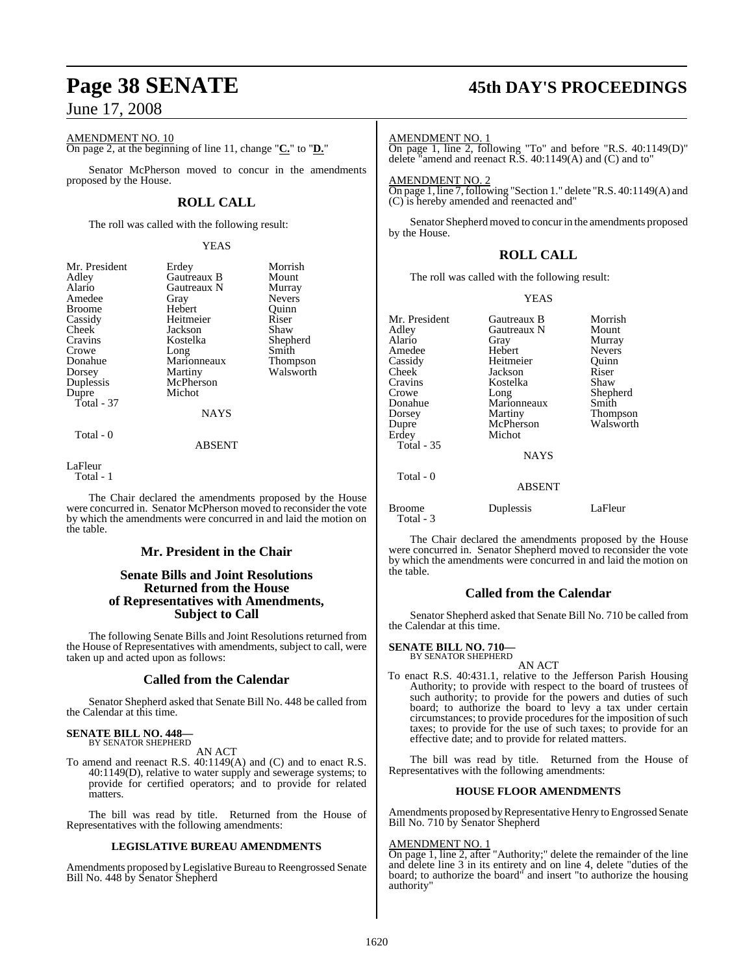AMENDMENT NO. 10 On page 2, at the beginning of line 11, change "**C.**" to "**D.**"

Senator McPherson moved to concur in the amendments proposed by the House.

## **ROLL CALL**

The roll was called with the following result:

YEAS

| Mr. President | Erdey         | Morrish       |
|---------------|---------------|---------------|
| Adley         | Gautreaux B   | Mount         |
| Alario        | Gautreaux N   | Murray        |
| Amedee        | Gray          | <b>Nevers</b> |
| <b>Broome</b> | Hebert        | Ouinn         |
| Cassidy       | Heitmeier     | Riser         |
| <b>Cheek</b>  | Jackson       | Shaw          |
| Cravins       | Kostelka      | Shepherd      |
| Crowe         | Long          | Smith         |
| Donahue       | Marionneaux   | Thompson      |
| Dorsey        | Martiny       | Walsworth     |
| Duplessis     | McPherson     |               |
| Dupre         | Michot        |               |
| Total - 37    |               |               |
|               | <b>NAYS</b>   |               |
| Total - 0     |               |               |
|               | <b>ABSENT</b> |               |
| $\mathbf{m}$  |               |               |

LaFleur Total - 1

The Chair declared the amendments proposed by the House were concurred in. Senator McPherson moved to reconsider the vote by which the amendments were concurred in and laid the motion on the table.

#### **Mr. President in the Chair**

#### **Senate Bills and Joint Resolutions Returned from the House of Representatives with Amendments, Subject to Call**

The following Senate Bills and Joint Resolutions returned from the House of Representatives with amendments, subject to call, were taken up and acted upon as follows:

#### **Called from the Calendar**

Senator Shepherd asked that Senate Bill No. 448 be called from the Calendar at this time.

#### **SENATE BILL NO. 448—** BY SENATOR SHEPHERD

AN ACT

To amend and reenact R.S. 40:1149(A) and (C) and to enact R.S. 40:1149(D), relative to water supply and sewerage systems; to provide for certified operators; and to provide for related matters.

The bill was read by title. Returned from the House of Representatives with the following amendments:

#### **LEGISLATIVE BUREAU AMENDMENTS**

Amendments proposed by Legislative Bureau to Reengrossed Senate Bill No. 448 by Senator Shepherd

# **Page 38 SENATE 45th DAY'S PROCEEDINGS**

AMENDMENT NO. 1

On page 1, line 2, following "To" and before "R.S. 40:1149(D)" delete "amend and reenact R.S. 40:1149(A) and (C) and to"

AMENDMENT NO. 2

On page 1, line 7, following "Section 1." delete "R.S. 40:1149(A) and (C) is hereby amended and reenacted and"

Senator Shepherd moved to concur in the amendments proposed by the House.

## **ROLL CALL**

The roll was called with the following result:

#### YEAS

| Mr. President<br>Adley     | Gautreaux B<br>Gautreaux N | Morrish<br>Mount |
|----------------------------|----------------------------|------------------|
| Alario                     | Gray                       | Murray           |
| Amedee                     | Hebert                     | <b>Nevers</b>    |
| Cassidy                    | Heitmeier                  | Ouinn            |
| Cheek                      | Jackson                    | Riser            |
| Cravins                    | Kostelka                   | Shaw             |
| Crowe                      | Long                       | Shepherd         |
| Donahue                    | Marionneaux                | Smith            |
| Dorsey                     | Martiny                    | Thompson         |
| Dupre                      | McPherson                  | Walsworth        |
| Erdey                      | Michot                     |                  |
| Total - 35                 |                            |                  |
|                            | <b>NAYS</b>                |                  |
| Total - 0                  |                            |                  |
|                            | <b>ABSENT</b>              |                  |
| <b>Broome</b><br>Total - 3 | Duplessis                  | LaFleur          |

The Chair declared the amendments proposed by the House were concurred in. Senator Shepherd moved to reconsider the vote by which the amendments were concurred in and laid the motion on the table.

#### **Called from the Calendar**

Senator Shepherd asked that Senate Bill No. 710 be called from the Calendar at this time.

#### **SENATE BILL NO. 710—** BY SENATOR SHEPHERD

AN ACT

To enact R.S. 40:431.1, relative to the Jefferson Parish Housing Authority; to provide with respect to the board of trustees of such authority; to provide for the powers and duties of such board; to authorize the board to levy a tax under certain circumstances; to provide procedures for the imposition of such taxes; to provide for the use of such taxes; to provide for an effective date; and to provide for related matters.

The bill was read by title. Returned from the House of Representatives with the following amendments:

#### **HOUSE FLOOR AMENDMENTS**

Amendments proposed by Representative Henry to Engrossed Senate Bill No. 710 by Senator Shepherd

#### AMENDMENT NO. 1

On page 1, line 2, after "Authority;" delete the remainder of the line and delete line 3 in its entirety and on line 4, delete "duties of the board; to authorize the board" and insert "to authorize the housing authority"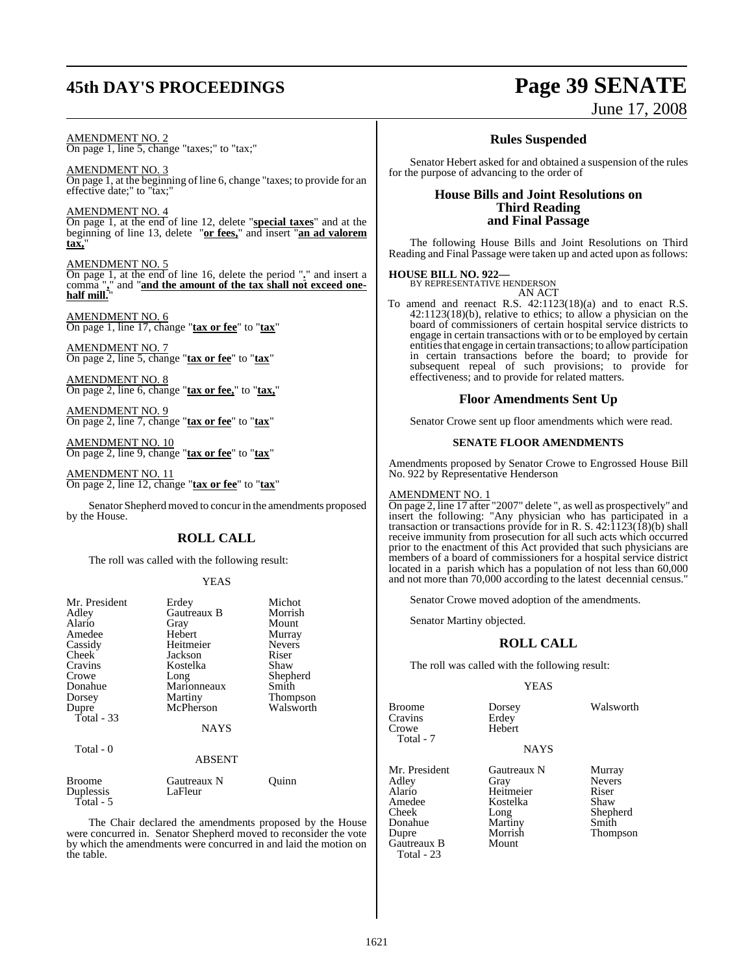# **45th DAY'S PROCEEDINGS Page 39 SENATE**

## AMENDMENT NO. 2

On page 1, line 5, change "taxes;" to "tax;"

#### AMENDMENT NO. 3 On page 1, at the beginning of line 6, change "taxes; to provide for an effective date;" to "tax;"

AMENDMENT NO. 4 On page 1, at the end of line 12, delete "**special taxes**" and at the beginning of line 13, delete "**or fees,**" and insert "**an ad valorem tax,**"

#### AMENDMENT NO. 5

On page 1, at the end of line 16, delete the period "**.**" and insert a comma "**,**" and "**and the amount of the tax shall not exceed onehalf mill.**"

#### AMENDMENT NO. 6 On page 1, line 17, change "**tax or fee**" to "**tax**"

AMENDMENT NO. 7 On page 2, line 5, change "**tax or fee**" to "**tax**"

AMENDMENT NO. 8 On page 2, line 6, change "**tax or fee,**" to "**tax,**"

AMENDMENT NO. 9 On page 2, line 7, change "**tax or fee**" to "**tax**"

AMENDMENT NO. 10 On page 2, line 9, change "**tax or fee**" to "**tax**"

AMENDMENT NO. 11 On page 2, line 12, change "**tax or fee**" to "**tax**"

Senator Shepherd moved to concurin the amendments proposed by the House.

#### **ROLL CALL**

The roll was called with the following result:

#### YEAS

| Mr. President              | Erdey                  | Michot        |
|----------------------------|------------------------|---------------|
| Adley                      | Gautreaux B            | Morrish       |
| Alario                     | Gray                   | Mount         |
| Amedee                     | Hebert                 | Murray        |
| Cassidy                    | Heitmeier              | <b>Nevers</b> |
| Cheek                      | Jackson                | Riser         |
| Cravins                    | Kostelka               | Shaw          |
| Crowe                      | Long                   | Shepherd      |
| Donahue                    | Marionneaux            | Smith         |
| Dorsey                     | Martiny                | Thompson      |
| Dupre                      | McPherson              | Walsworth     |
| <b>Total - 33</b>          |                        |               |
|                            | <b>NAYS</b>            |               |
| Total - 0                  |                        |               |
|                            | <b>ABSENT</b>          |               |
| <b>Broome</b><br>Duplessis | Gautreaux N<br>LaFleur | Ouinn         |
| Total - 5                  |                        |               |

The Chair declared the amendments proposed by the House were concurred in. Senator Shepherd moved to reconsider the vote by which the amendments were concurred in and laid the motion on the table.

June 17, 2008

## **Rules Suspended**

Senator Hebert asked for and obtained a suspension of the rules for the purpose of advancing to the order of

#### **House Bills and Joint Resolutions on Third Reading and Final Passage**

The following House Bills and Joint Resolutions on Third Reading and Final Passage were taken up and acted upon as follows:

# **HOUSE BILL NO. 922—** BY REPRESENTATIVE HENDERSON



To amend and reenact R.S. 42:1123(18)(a) and to enact R.S. 42:1123(18)(b), relative to ethics; to allow a physician on the board of commissioners of certain hospital service districts to engage in certain transactions with or to be employed by certain entities that engage in certain transactions; to allow participation in certain transactions before the board; to provide for subsequent repeal of such provisions; to provide for effectiveness; and to provide for related matters.

#### **Floor Amendments Sent Up**

Senator Crowe sent up floor amendments which were read.

### **SENATE FLOOR AMENDMENTS**

Amendments proposed by Senator Crowe to Engrossed House Bill No. 922 by Representative Henderson

#### AMENDMENT NO. 1

On page 2, line 17 after "2007" delete ", as well as prospectively" and insert the following: "Any physician who has participated in a transaction or transactions provide for in R. S. 42:1123(18)(b) shall receive immunity from prosecution for all such acts which occurred prior to the enactment of this Act provided that such physicians are members of a board of commissioners for a hospital service district located in a parish which has a population of not less than 60,000 and not more than 70,000 according to the latest decennial census."

Senator Crowe moved adoption of the amendments.

Senator Martiny objected.

## **ROLL CALL**

The roll was called with the following result:

#### YEAS

Broome Dorsey Walsworth<br>Cravins Erdey Walsworth

Hebert

Total - 7

Gautreaux B Total - 23

NAYS

Mr. President Gautreaux N Murray Adley Gray Nevers Alario Heitmeier Riser Amedee Kostelka<br>Cheek Long Cheek Long Shepherd Donahue Martiny<br>
Dupre Morrish

Morrish Thompson<br>Mount

1621

Cravins<br>Crowe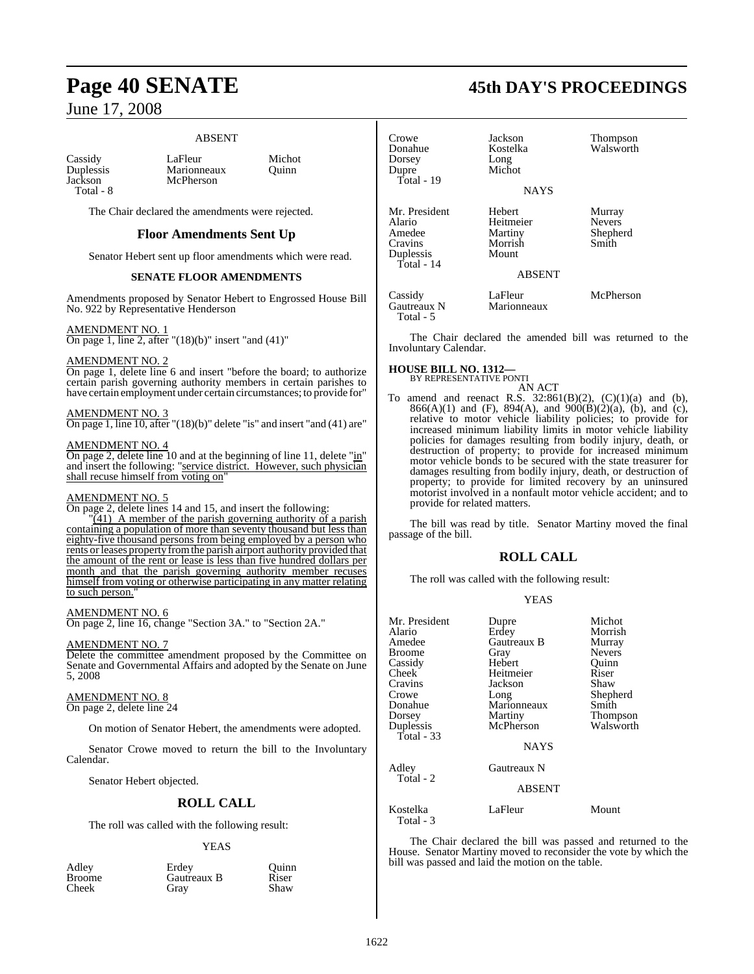#### ABSENT

 $Duples$  is Jackson Total - 8

Cassidy LaFleur Michot<br>
Duplessis Marionneaux Ouinn Marionneaux<br>McPherson

The Chair declared the amendments were rejected.

### **Floor Amendments Sent Up**

Senator Hebert sent up floor amendments which were read.

#### **SENATE FLOOR AMENDMENTS**

Amendments proposed by Senator Hebert to Engrossed House Bill No. 922 by Representative Henderson

#### AMENDMENT NO. 1

On page 1, line 2, after  $"(18)(b)"$  insert "and  $(41)"$ 

### AMENDMENT NO. 2

On page 1, delete line 6 and insert "before the board; to authorize certain parish governing authority members in certain parishes to have certain employment under certain circumstances; to provide for "

#### AMENDMENT NO. 3

On page 1, line 10, after "(18)(b)" delete "is" and insert "and (41) are"

#### AMENDMENT NO. 4

On page 2, delete line 10 and at the beginning of line 11, delete "in" and insert the following: "service district. However, such physician shall recuse himself from voting on"

## AMENDMENT NO. 5

On page 2, delete lines 14 and 15, and insert the following:

 $(41)$  A member of the parish governing authority of a parish containing a population of more than seventy thousand but less than eighty-five thousand persons from being employed by a person who rents orleases property fromthe parish airport authority provided that the amount of the rent or lease is less than five hundred dollars per month and that the parish governing authority member recuses himself from voting or otherwise participating in any matter relating to such person.

#### AMENDMENT NO. 6

On page 2, line 16, change "Section 3A." to "Section 2A."

#### AMENDMENT NO. 7

Delete the committee amendment proposed by the Committee on Senate and Governmental Affairs and adopted by the Senate on June 5, 2008

#### AMENDMENT NO. 8 On page 2, delete line 24

On motion of Senator Hebert, the amendments were adopted.

Senator Crowe moved to return the bill to the Involuntary Calendar.

Senator Hebert objected.

#### **ROLL CALL**

The roll was called with the following result:

#### YEAS

| Adley         | Erdev       | Ouinn |
|---------------|-------------|-------|
| <b>Broome</b> | Gautreaux B | Riser |
| Cheek         | Gray        | Shaw  |

**Page 40 SENATE 45th DAY'S PROCEEDINGS**

| Crowe<br>Donahue<br>Dorsey<br>Dupre<br>Total - 19                       | Jackson<br>Kostelka<br>Long<br>Michot<br><b>NAYS</b> | Thompson<br>Walsworth                        |
|-------------------------------------------------------------------------|------------------------------------------------------|----------------------------------------------|
| Mr. President<br>Alario<br>Amedee<br>Cravins<br>Duplessis<br>Total - 14 | Hebert<br>Heitmeier<br>Martiny<br>Morrish<br>Mount   | Murray<br><b>Nevers</b><br>Shepherd<br>Smith |
|                                                                         | <b>ABSENT</b>                                        |                                              |
| Cassidy<br>Gautreaux N<br>Total - 5                                     | LaFleur<br>Marionneaux                               | McPherson                                    |

The Chair declared the amended bill was returned to the Involuntary Calendar.

**HOUSE BILL NO. 1312—** BY REPRESENTATIVE PONTI

AN ACT

To amend and reenact R.S.  $32:861(B)(2)$ ,  $(C)(1)(a)$  and  $(b)$ , 866(A)(1) and (F), 894(A), and 900(B)(2)(a), (b), and (c), relative to motor vehicle liability policies; to provide for increased minimum liability limits in motor vehicle liability policies for damages resulting from bodily injury, death, or destruction of property; to provide for increased minimum motor vehicle bonds to be secured with the state treasurer for damages resulting from bodily injury, death, or destruction of property; to provide for limited recovery by an uninsured motorist involved in a nonfault motor vehicle accident; and to provide for related matters.

The bill was read by title. Senator Martiny moved the final passage of the bill.

## **ROLL CALL**

The roll was called with the following result:

#### YEAS

| Mr. President<br>Alario<br>Amedee<br><b>Broome</b><br>Cassidy<br>Cheek<br>Cravins<br>Crowe<br>Donahue<br>Dorsey<br>Duplessis<br>Total - 33 | Dupre<br>Erdey<br>Gautreaux B<br>Gray<br>Hebert<br>Heitmeier<br>Jackson<br>Long<br>Marionneaux<br>Martiny<br>McPherson | Michot<br>Morrish<br>Murray<br><b>Nevers</b><br>Ouinn<br>Riser<br>Shaw<br>Shepherd<br>Smith<br>Thompson<br>Walsworth |
|--------------------------------------------------------------------------------------------------------------------------------------------|------------------------------------------------------------------------------------------------------------------------|----------------------------------------------------------------------------------------------------------------------|
|                                                                                                                                            | <b>NAYS</b>                                                                                                            |                                                                                                                      |
| Adley<br>Total - 2                                                                                                                         | Gautreaux N                                                                                                            |                                                                                                                      |
|                                                                                                                                            | <b>ABSENT</b>                                                                                                          |                                                                                                                      |
| Kostelka<br>Total - 3                                                                                                                      | LaFleur                                                                                                                | Mount                                                                                                                |

The Chair declared the bill was passed and returned to the House. Senator Martiny moved to reconsider the vote by which the bill was passed and laid the motion on the table.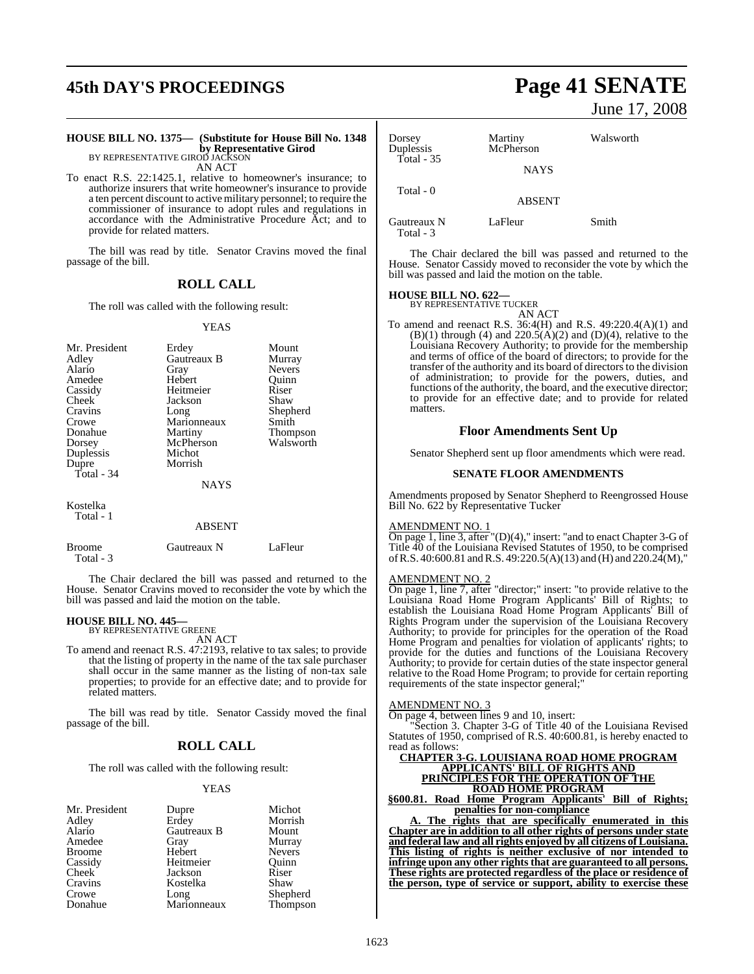# **45th DAY'S PROCEEDINGS Page 41 SENATE**

## **HOUSE BILL NO. 1375— (Substitute for House Bill No. 1348 by Representative Girod**<br>BY REPRESENTATIVE GIROD JACKSON

AN ACT

To enact R.S. 22:1425.1, relative to homeowner's insurance; to authorize insurers that write homeowner's insurance to provide a ten percent discount to active military personnel; to require the commissioner of insurance to adopt rules and regulations in accordance with the Administrative Procedure Act; and to provide for related matters.

The bill was read by title. Senator Cravins moved the final passage of the bill.

#### **ROLL CALL**

The roll was called with the following result:

#### YEAS

| Mr. President<br>Adley<br>Alario<br>Amedee<br>Cassidy<br>Cheek<br>Cravins<br>Crowe<br>Donahue<br>Dorsey<br>Duplessis<br>Dupre<br>Total $-34$ | Erdey<br>Gautreaux B<br>Gray<br>Hebert<br>Heitmeier<br>Jackson<br>Long<br>Marionneaux<br>Martiny<br>McPherson<br>Michot<br>Morrish<br><b>NAYS</b> | Mount<br>Murray<br><b>Nevers</b><br>Ouinn<br>Riser<br>Shaw<br>Shepherd<br>Smith<br>Thompson<br>Walsworth |
|----------------------------------------------------------------------------------------------------------------------------------------------|---------------------------------------------------------------------------------------------------------------------------------------------------|----------------------------------------------------------------------------------------------------------|
|                                                                                                                                              |                                                                                                                                                   |                                                                                                          |
| Kostelka<br>Total - 1                                                                                                                        | <b>ABSENT</b>                                                                                                                                     |                                                                                                          |

| <b>Broome</b> | Gautreaux N | LaFleur |
|---------------|-------------|---------|
| Total - 3     |             |         |

The Chair declared the bill was passed and returned to the House. Senator Cravins moved to reconsider the vote by which the bill was passed and laid the motion on the table.

#### **HOUSE BILL NO. 445—** BY REPRESENTATIVE GREENE

AN ACT

To amend and reenact R.S. 47:2193, relative to tax sales; to provide that the listing of property in the name of the tax sale purchaser shall occur in the same manner as the listing of non-tax sale properties; to provide for an effective date; and to provide for related matters.

The bill was read by title. Senator Cassidy moved the final passage of the bill.

#### **ROLL CALL**

The roll was called with the following result:

#### YEAS

|             | Michot        |
|-------------|---------------|
| Erdey       | Morrish       |
| Gautreaux B | Mount         |
| Gray        | Murray        |
| Hebert      | <b>Nevers</b> |
| Heitmeier   | Ouinn         |
| Jackson     | Riser         |
| Kostelka    | Shaw          |
|             | Shepherd      |
| Marionneaux | Thompson      |
|             | Dupre<br>Long |

June 17, 2008

| Dorsey<br>Duplessis      | Martiny<br>McPherson | Walsworth |
|--------------------------|----------------------|-----------|
| Total - $35$             | <b>NAYS</b>          |           |
| Total - 0                | <b>ABSENT</b>        |           |
| Gautreaux N<br>Total - 3 | LaFleur              | Smith     |

The Chair declared the bill was passed and returned to the House. Senator Cassidy moved to reconsider the vote by which the bill was passed and laid the motion on the table.

#### **HOUSE BILL NO. 622—** BY REPRESENTATIVE TUCKER

AN ACT

To amend and reenact R.S. 36:4(H) and R.S. 49:220.4(A)(1) and  $(B)(1)$  through  $(4)$  and  $220.5(A)(2)$  and  $(D)(4)$ , relative to the Louisiana Recovery Authority; to provide for the membership and terms of office of the board of directors; to provide for the transfer of the authority and its board of directors to the division of administration; to provide for the powers, duties, and functions of the authority, the board, and the executive director; to provide for an effective date; and to provide for related matters.

#### **Floor Amendments Sent Up**

Senator Shepherd sent up floor amendments which were read.

#### **SENATE FLOOR AMENDMENTS**

Amendments proposed by Senator Shepherd to Reengrossed House Bill No. 622 by Representative Tucker

#### AMENDMENT NO. 1

On page  $1$ , line 3, after "(D)(4)," insert: "and to enact Chapter 3-G of Title 40 of the Louisiana Revised Statutes of 1950, to be comprised of R.S. 40:600.81 and R.S. 49:220.5(A)(13) and (H) and 220.24(M),

#### AMENDMENT NO. 2

On page 1, line 7, after "director;" insert: "to provide relative to the Louisiana Road Home Program Applicants' Bill of Rights; to establish the Louisiana Road Home Program Applicants' Bill of Rights Program under the supervision of the Louisiana Recovery Authority; to provide for principles for the operation of the Road Home Program and penalties for violation of applicants' rights; to provide for the duties and functions of the Louisiana Recovery Authority; to provide for certain duties of the state inspector general relative to the Road Home Program; to provide for certain reporting requirements of the state inspector general;"

#### AMENDMENT NO. 3

On page 4, between lines 9 and 10, insert:

"Section 3. Chapter 3-G of Title 40 of the Louisiana Revised Statutes of 1950, comprised of R.S. 40:600.81, is hereby enacted to read as follows:<br>CHAPTER 3

**§600.81. Road Home Program Applicants' Bill of Rights; penalties for non-compliance**

**A. The rights that are specifically enumerated in this Chapter are in addition to all other rights of persons under state and federal law and all rights enjoyed by all citizens of Louisiana. This listing of rights is neither exclusive of nor intended to infringe upon any other rights that are guaranteed to all persons. These rights are protected regardless of the place or residence of the person, type of service or support, ability to exercise these**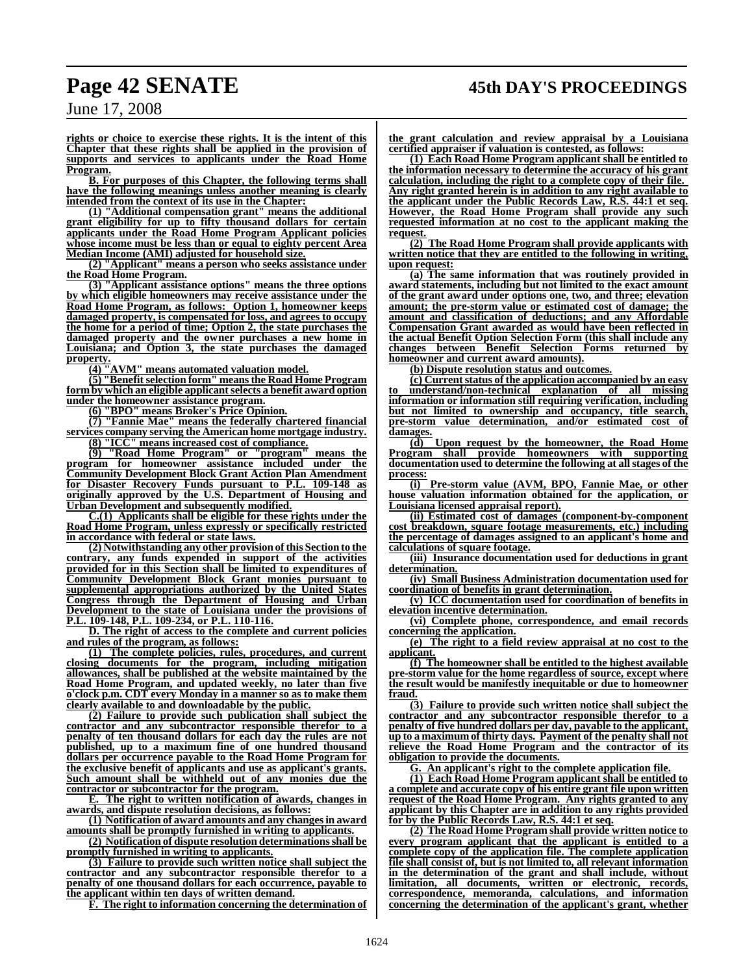**rights or choice to exercise these rights. It is the intent of this Chapter that these rights shall be applied in the provision of supports and services to applicants under the Road Home Program.**

**B. For purposes of this Chapter, the following terms shall have the following meanings unless another meaning is clearly intended from the context of its use in the Chapter:**

**(1) "Additional compensation grant" means the additional grant eligibility for up to fifty thousand dollars for certain applicants under the Road Home Program Applicant policies whose income must be less than or equal to eighty percent Area Median Income (AMI) adjusted for household size.**

**(2) "Applicant" means a person who seeks assistance under the Road Home Program.**

**(3) "Applicant assistance options" means the three options by which eligible homeowners may receive assistance under the Road Home Program, as follows: Option 1, homeowner keeps damaged property, is compensated for loss, and agrees to occupy the home for a period of time; Option 2, the state purchases the damaged property and the owner purchases a new home in Louisiana; and Option 3, the state purchases the damaged property.**

**(4) "AVM" means automated valuation model.**

**(5) "Benefitselection form" meansthe Road Home Program form by which an eligible applicantselects a benefit award option under the homeowner assistance program.**

**(6) "BPO" means Broker's Price Opinion.**

**(7) "Fannie Mae" means the federally chartered financial services company serving the American home mortgage industry.**

**(8) "ICC" means increased cost of compliance.**

**(9) "Road Home Program" or "program" means the program for homeowner assistance included under the Community Development Block Grant Action Plan Amendment for Disaster Recovery Funds pursuant to P.L. 109-148 as originally approved by the U.S. Department of Housing and Urban Development and subsequently modified.**

**C.(1) Applicants shall be eligible for these rights under the Road Home Program, unless expressly or specifically restricted in accordance with federal or state laws.**

**(2) Notwithstanding any other provision ofthis Section to the contrary, any funds expended in support of the activities provided for in this Section shall be limited to expenditures of Community Development Block Grant monies pursuant to supplemental appropriations authorized by the United States Congress through the Department of Housing and Urban Development to the state of Louisiana under the provisions of P.L. 109-148, P.L. 109-234, or P.L. 110-116.**

**D. The right of access to the complete and current policies and rules of the program, as follows:**

**(1) The complete policies, rules, procedures, and current closing documents for the program, including mitigation allowances, shall be published at the website maintained by the Road Home Program, and updated weekly, no later than five o'clock p.m. CDT every Monday in a manner so as to make them clearly available to and downloadable by the public.**

**(2) Failure to provide such publication shall subject the contractor and any subcontractor responsible therefor to a penalty of ten thousand dollars for each day the rules are not published, up to a maximum fine of one hundred thousand dollars per occurrence payable to the Road Home Program for the exclusive benefit of applicants and use as applicant's grants. Such amount shall be withheld out of any monies due the contractor or subcontractor for the program.**

**E. The right to written notification of awards, changes in awards, and dispute resolution decisions, as follows:**

**(1) Notification of award amounts and any changes in award amounts shall be promptly furnished in writing to applicants.**

**(2) Notification of dispute resolution determinations shall be promptly furnished in writing to applicants.**

**(3) Failure to provide such written notice shall subject the contractor and any subcontractor responsible therefor to a penalty of one thousand dollars for each occurrence, payable to the applicant within ten days of written demand.**

**F. The right to information concerning the determination of**

**the grant calculation and review appraisal by a Louisiana certified appraiser if valuation is contested, as follows:**

**(1) Each Road Home Program applicant shall be entitled to the information necessary to determine the accuracy of his grant calculation, including the right to a complete copy of their file. Any right granted herein is in addition to any right available to the applicant under the Public Records Law, R.S. 44:1 et seq. However, the Road Home Program shall provide any such requested information at no cost to the applicant making the request.**

**(2) The Road Home Program shall provide applicants with written notice that they are entitled to the following in writing, upon request:**

**(a) The same information that was routinely provided in award statements, including but not limited to the exact amount of the grant award under options one, two, and three; elevation amount; the pre-storm value or estimated cost of damage; the amount and classification of deductions; and any Affordable Compensation Grant awarded as would have been reflected in the actual Benefit Option Selection Form (this shall include any changes between Benefit Selection Forms returned by homeowner and current award amounts).**

**(b) Dispute resolution status and outcomes.**

**(c) Currentstatus of the application accompanied by an easy to understand/non-technical explanation of all missing information or information still requiring verification, including but not limited to ownership and occupancy, title search, value** determination, and/or estimated cost **damages.**

**(d) Upon request by the homeowner, the Road Home Program shall provide homeowners with supporting documentation used to determine the following at allstages of the process:**

**(i) Pre-storm value (AVM, BPO, Fannie Mae, or other house valuation information obtained for the application, or Louisiana licensed appraisal report).**

**(ii) Estimated cost of damages (component-by-component cost breakdown, square footage measurements, etc.) including the percentage of damages assigned to an applicant's home and calculations of square footage.**

**(iii) Insurance documentation used for deductions in grant determination.**

**(iv) Small Business Administration documentation used for coordination of benefits in grant determination.**

**(v) ICC documentation used for coordination of benefits in elevation incentive determination.**

**(vi) Complete phone, correspondence, and email records concerning the application.**

**(e) The right to a field review appraisal at no cost to the applicant.**

**(f) The homeowner shall be entitled to the highest available pre-storm value for the home regardless of source, except where the result would be manifestly inequitable or due to homeowner fraud.**

**(3) Failure to provide such written notice shall subject the contractor and any subcontractor responsible therefor to a penalty of five hundred dollars per day, payable to the applicant, up to a maximum of thirty days. Payment of the penalty shall not relieve the Road Home Program and the contractor of its obligation to provide the documents.**

**G. An applicant's right to the complete application file.**

**(1) Each Road Home Program applicant shall be entitled to a complete and accurate copy of his entire grant file upon written request of the Road Home Program. Any rights granted to any applicant by this Chapter are in addition to any rights provided for by the Public Records Law, R.S. 44:1 et seq.**

**(2) The Road Home Program shall provide written notice to every program applicant that the applicant is entitled to a complete copy of the application file. The complete application file shall consist of, but is not limited to, all relevant information in the determination of the grant and shall include, without limitation, all documents, written or electronic, records, correspondence, memoranda, calculations, and information concerning the determination of the applicant's grant, whether**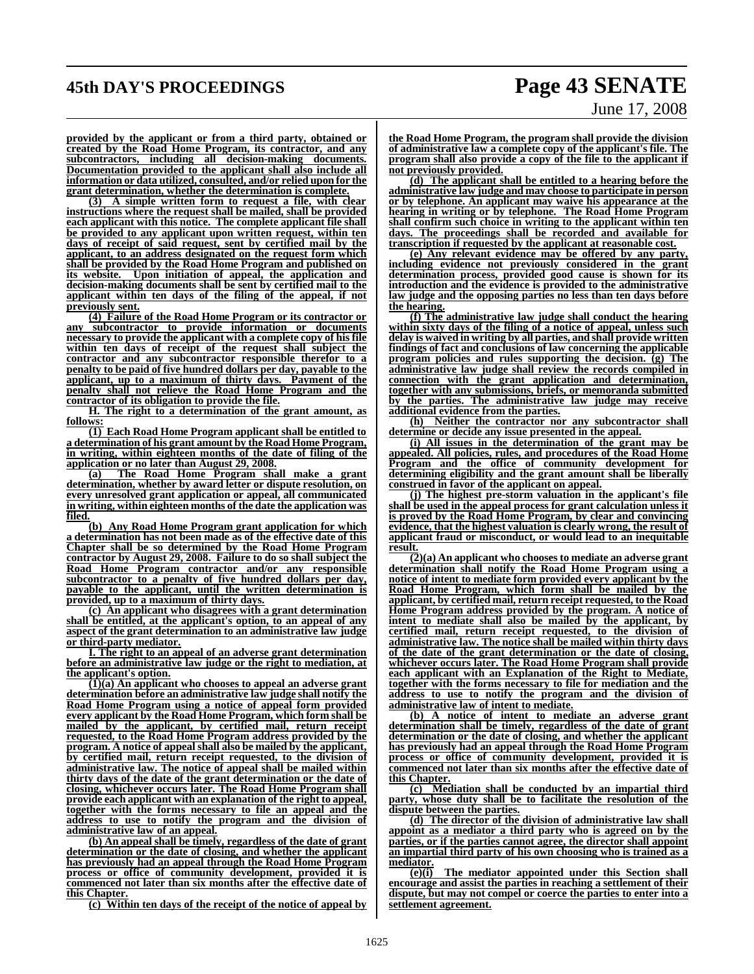## **45th DAY'S PROCEEDINGS Page 43 SENATE**

# June 17, 2008

**provided by the applicant or from a third party, obtained or created by the Road Home Program, its contractor, and any subcontractors, including all decision-making documents. Documentation provided to the applicant shall also include all information or data utilized, consulted, and/or relied upon for the grant determination, whether the determination is complete.**

**(3) A simple written form to request a file, with clear instructions where the request shall be mailed, shall be provided each applicant with this notice. The complete applicant file shall be provided to any applicant upon written request, within ten days of receipt of said request, sent by certified mail by the applicant, to an address designated on the request form which shall be provided by the Road Home Program and published on its website. Upon initiation of appeal, the application and decision-making documents shall be sent by certified mail to the applicant within ten days of the filing of the appeal, if not previously sent.**

**(4) Failure of the Road Home Program or its contractor or any subcontractor to provide information or documents necessary to provide the applicant with a complete copy of his file within ten days of receipt of the request shall subject the contractor and any subcontractor responsible therefor to a penalty to be paid of five hundred dollars per day, payable to the applicant, up to a maximum of thirty days. Payment of the penalty shall not relieve the Road Home Program and the contractor of its obligation to provide the file.**

**H. The right to a determination of the grant amount, as follows:**

**(1) Each Road Home Program applicant shall be entitled to a determination of his grant amount by the Road Home Program, in writing, within eighteen months of the date of filing of the application or no later than August 29, 2008.**

**(a) The Road Home Program shall make a grant determination, whether by award letter or dispute resolution, on every unresolved grant application or appeal, all communicated in writing, within eighteen months of the date the application was filed.**

**(b) Any Road Home Program grant application for which a determination has not been made as of the effective date of this Chapter shall be so determined by the Road Home Program contractor by August 29, 2008. Failure to do so shall subject the Road Home Program contractor and/or any responsible subcontractor to a penalty of five hundred dollars per day, payable to the applicant, until the written determination is provided, up to a maximum of thirty days.**

**(c) An applicant who disagrees with a grant determination shall be entitled, at the applicant's option, to an appeal of any aspect of the grant determination to an administrative law judge or third-party mediator.**

**I. The right to an appeal of an adverse grant determination before an administrative law judge or the right to mediation, at the applicant's option.**

**(1)(a) An applicant who chooses to appeal an adverse grant determination before an administrative law judge shall notify the Road Home Program using a notice of appeal form provided every applicant by the Road Home Program, which form shall be mailed by the applicant, by certified mail, return receipt requested, to the Road Home Program address provided by the program. A notice of appeal shall also be mailed by the applicant, by certified mail, return receipt requested, to the division of administrative law. The notice of appeal shall be mailed within thirty days of the date of the grant determination or the date of closing, whichever occurs later. The Road Home Program shall provide each applicant with an explanation of the right to appeal, together with the forms necessary to file an appeal and the address to use to notify the program and the division of administrative law of an appeal.**

**(b) An appeal shall be timely, regardless of the date of grant determination or the date of closing, and whether the applicant has previously had an appeal through the Road Home Program process or office of community development, provided it is commenced not later than six months after the effective date of this Chapter.**

**(c) Within ten days of the receipt of the notice of appeal by**

**the Road Home Program, the program shall provide the division of administrative law a complete copy of the applicant's file. The program shall also provide a copy of the file to the applicant if not previously provided.**

**(d) The applicant shall be entitled to a hearing before the administrative law judge and may choose to participate in person or by telephone. An applicant may waive his appearance at the hearing in writing or by telephone. The Road Home Program shall confirm such choice in writing to the applicant within ten days. The proceedings shall be recorded and available for transcription if requested by the applicant at reasonable cost.**

**(e) Any relevant evidence may be offered by any party, including evidence not previously considered in the grant determination process, provided good cause is shown for its introduction and the evidence is provided to the administrative law judge and the opposing parties no less than ten days before the hearing.**

**(f) The administrative law judge shall conduct the hearing within sixty days of the filing of a notice of appeal, unless such delay is waived in writing by all parties, and shall provide written findings of fact and conclusions of law concerning the applicable program policies and rules supporting the decision. (g) The administrative law judge shall review the records compiled in connection with the grant application and determination, together with any submissions, briefs, or memoranda submitted by the parties. The administrative law judge may receive additional evidence from the parties.**

**(h) Neither the contractor nor any subcontractor shall determine or decide any issue presented in the appeal.**

**(i) All issues in the determination of the grant may be appealed. All policies, rules, and procedures of the Road Home Program and the office of community development for determining eligibility and the grant amount shall be liberally construed in favor of the applicant on appeal.**

**(j) The highest pre-storm valuation in the applicant's file shall be used in the appeal process for grant calculation unless it is proved by the Road Home Program, by clear and convincing evidence, that the highest valuation is clearly wrong, the result of applicant fraud or misconduct, or would lead to an inequitable result.**

**(2)(a) An applicant who chooses to mediate an adverse grant determination shall notify the Road Home Program using a notice of intent to mediate form provided every applicant by the Road Home Program, which form shall be mailed by the applicant, by certified mail, return receipt requested, to the Road Home Program address provided by the program. A notice of intent to mediate shall also be mailed by the applicant, by certified mail, return receipt requested, to the division of administrative law. The notice shall be mailed within thirty days of the date of the grant determination or the date of closing, whichever occurs later. The Road Home Program shall provide each applicant with an Explanation of the Right to Mediate, together with the forms necessary to file for mediation and the address to use to notify the program and the division of administrative law of intent to mediate.**

**(b) A notice of intent to mediate an adverse grant determination shall be timely, regardless of the date of grant determination or the date of closing, and whether the applicant has previously had an appeal through the Road Home Program process or office of community development, provided it is commenced not later than six months after the effective date of this Chapter.**

**(c) Mediation shall be conducted by an impartial third party, whose duty shall be to facilitate the resolution of the dispute between the parties.**

**(d) The director of the division of administrative law shall appoint as a mediator a third party who is agreed on by the parties, or if the parties cannot agree, the director shall appoint an impartial third party of his own choosing who is trained as a**

**mediator.** The mediator appointed under this Section shall **encourage and assist the parties in reaching a settlement of their dispute, but may not compel or coerce the parties to enter into a settlement agreement.**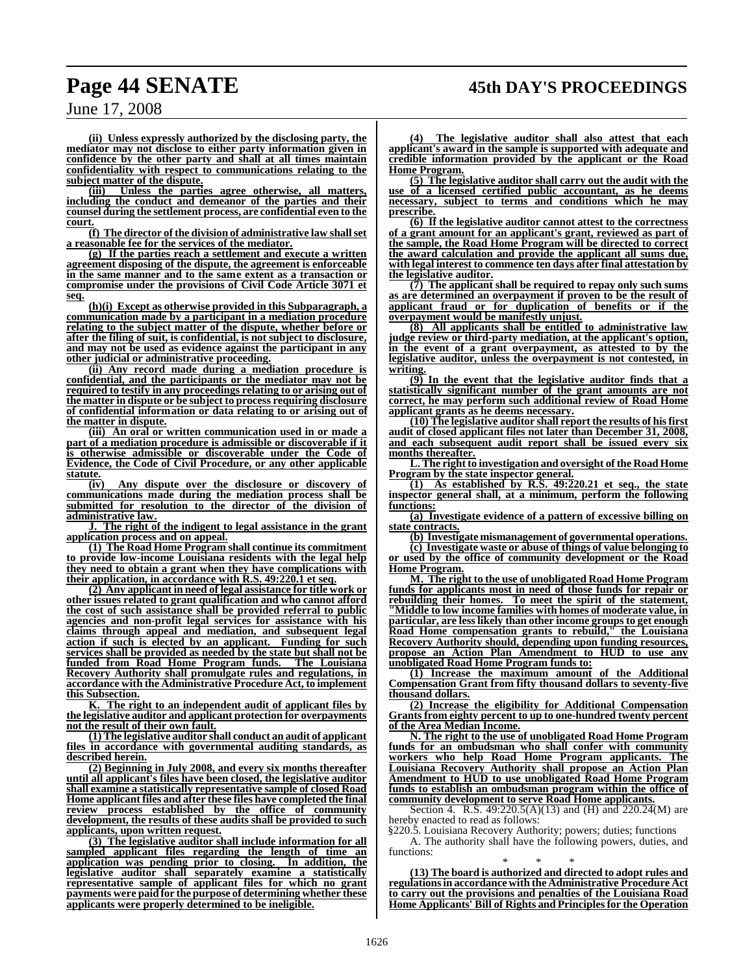## **Page 44 SENATE 45th DAY'S PROCEEDINGS**

June 17, 2008

**(ii) Unless expressly authorized by the disclosing party, the mediator may not disclose to either party information given in confidence by the other party and shall at all times maintain confidentiality with respect to communications relating to the subject matter of the dispute.**

**(iii) Unless the parties agree otherwise, all matters, including the conduct and demeanor of the parties and their counsel during the settlement process, are confidential even to the court.**

**(f) The director of the division of administrative law shall set a reasonable fee for the services of the mediator.**

**(g) If the parties reach a settlement and execute a written agreement disposing of the dispute, the agreement is enforceable in the same manner and to the same extent as a transaction or compromise under the provisions of Civil Code Article 3071 et seq.**

**(h)(i) Except as otherwise provided in this Subparagraph, a communication made by a participant in a mediation procedure relating to the subject matter of the dispute, whether before or after the filing of suit, is confidential, is not subject to disclosure, and may not be used as evidence against the participant in any other judicial or administrative proceeding.**

**(ii) Any record made during a mediation procedure is confidential, and the participants or the mediator may not be required to testify in any proceedings relating to or arising out of the matter in dispute or be subject to process requiring disclosure of confidential information or data relating to or arising out of the matter in dispute.**

**(iii) An oral or written communication used in or made a part of a mediation procedure is admissible or discoverable if it is otherwise admissible or discoverable under the Code of Evidence, the Code of Civil Procedure, or any other applicable statute.**

**(iv) Any dispute over the disclosure or discovery of communications made during the mediation process shall be submitted for resolution to the director of the division of administrative law.**

**J. The right of the indigent to legal assistance in the grant application process and on appeal.**

**(1) The Road Home Program shall continue its commitment to provide low-income Louisiana residents with the legal help they need to obtain a grant when they have complications with their application, in accordance with R.S. 49:220.1 et seq.**

**(2) Any applicant in need of legal assistance for title work or other issues related to grant qualification and who cannot afford the cost of such assistance shall be provided referral to public agencies and non-profit legal services for assistance with his claims through appeal and mediation, and subsequent legal action if such is elected by an applicant. Funding for such services shall be provided as needed by the state but shall not be funded from Road Home Program funds. The Louisiana Recovery Authority shall promulgate rules and regulations, in accordance with the Administrative Procedure Act, to implement this Subsection.**

**K. The right to an independent audit of applicant files by the legislative auditor and applicant protection for overpayments not the result of their own fault.**

**(1) The legislative auditor shall conduct an audit of applicant files in accordance with governmental auditing standards, as described herein.**

**(2) Beginning in July 2008, and every six months thereafter until all applicant's files have been closed, the legislative auditor shall examine a statistically representative sample of closed Road Home applicant files and after these files have completed the final review process established by the office of community development, the results of these audits shall be provided to such applicants, upon written request.**

**(3) The legislative auditor shall include information for all sampled applicant files regarding the length of time an application was pending prior to closing. In addition, the legislative auditor shall separately examine a statistically representative sample of applicant files for which no grant payments were paid for the purpose of determining whether these applicants were properly determined to be ineligible.**

**(4) The legislative auditor shall also attest that each applicant's award in the sample is supported with adequate and credible information provided by the applicant or the Road Home Program.**

**(5) The legislative auditor shall carry out the audit with the use of a licensed certified public accountant, as he deems necessary, subject to terms and conditions which he may prescribe.**

**(6) If the legislative auditor cannot attest to the correctness of a grant amount for an applicant's grant, reviewed as part of the sample, the Road Home Program will be directed to correct the award calculation and provide the applicant all sums due, with legal interest to commence ten days after final attestation by the legislative auditor.**

**(7) The applicant shall be required to repay only such sums as are determined an overpayment if proven to be the result of applicant fraud or for duplication of benefits or if the overpayment would be manifestly unjust.**

**(8) All applicants shall be entitled to administrative law judge review or third-party mediation, at the applicant's option, in the event of a grant overpayment, as attested to by the legislative auditor, unless the overpayment is not contested, in writing.**

**(9) In the event that the legislative auditor finds that a statistically significant number of the grant amounts are not correct, he may perform such additional review of Road Home applicant grants as he deems necessary.**

**(10) The legislative auditor shall report the results of hisfirst audit of closed applicant files not later than December 31, 2008, and each subsequent audit report shall be issued every six months thereafter.**

**L. The right to investigation and oversight of the Road Home Program by the state inspector general.**

**(1) As established by R.S. 49:220.21 et seq., the state inspector general shall, at a minimum, perform the following functions:**

**(a) Investigate evidence of a pattern of excessive billing on state contracts.**

**(b) Investigate mismanagement of governmental operations.**

**(c) Investigate waste or abuse of things of value belonging to or used by the office of community development or the Road Home Program.**

**M. The right to the use of unobligated Road Home Program funds for applicants most in need of those funds for repair or rebuilding their homes. To meet the spirit of the statement, "Middle to low income families with homes of moderate value, in particular, are lesslikely than other income groups to get enough Road Home compensation grants to rebuild," the Louisiana Recovery Authority should, depending upon funding resources, propose an Action Plan Amendment to HUD to use any unobligated Road Home Program funds to:**

**(1) Increase the maximum amount of the Additional Compensation Grant from fifty thousand dollars to seventy-five thousand dollars.**

**(2) Increase the eligibility for Additional Compensation Grants from eighty percent to up to one-hundred twenty percent of the Area Median Income.**

**N. The right to the use of unobligated Road Home Program funds for an ombudsman who shall confer with community workers who help Road Home Program applicants. The Louisiana Recovery Authority shall propose an Action Plan Amendment to HUD to use unobligated Road Home Program funds to establish an ombudsman program within the office of community development to serve Road Home applicants.**

Section 4. R.S. 49:220.5(A)(13) and (H) and 220.24(M) are hereby enacted to read as follows:

§220.5. Louisiana Recovery Authority; powers; duties; functions A. The authority shall have the following powers, duties, and functions:

\* \* \* **(13) The board is authorized and directed to adopt rules and regulationsin accordance with the Administrative Procedure Act to carry out the provisions and penalties of the Louisiana Road Home Applicants' Bill of Rights and Principlesfor the Operation**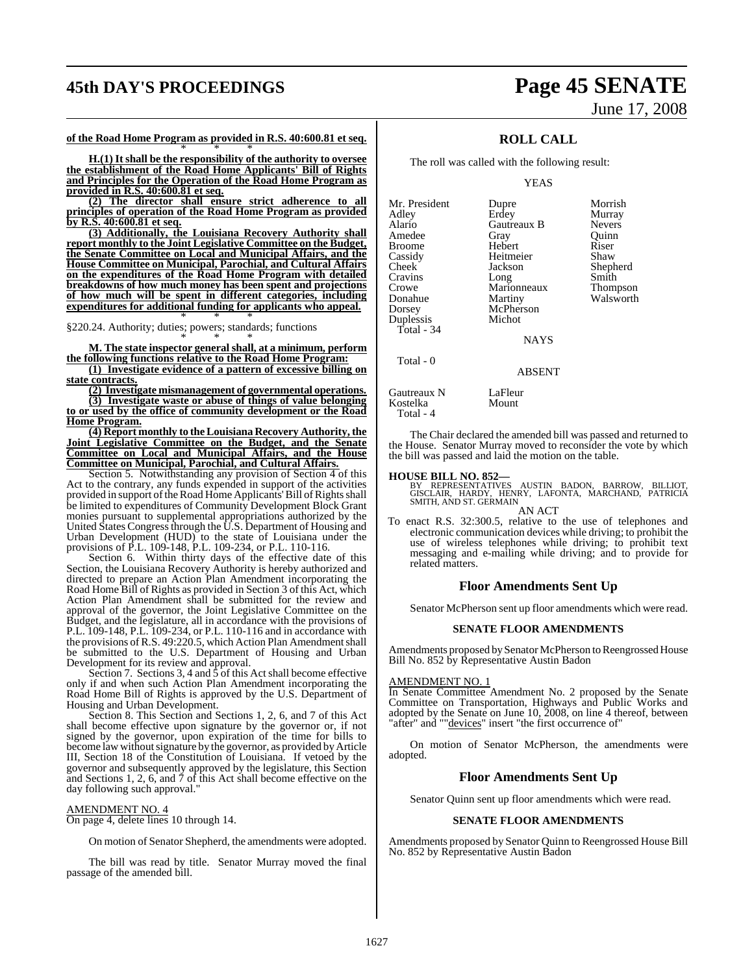# **45th DAY'S PROCEEDINGS Page 45 SENATE**

# June 17, 2008

**of the Road Home Program as provided in R.S. 40:600.81 et seq.**

\* \* \* **H.(1) It shall be the responsibility of the authority to oversee the establishment of the Road Home Applicants' Bill of Rights and Principles for the Operation of the Road Home Program as provided in R.S. 40:600.81 et seq.**

**(2) The director shall ensure strict adherence to all principles of operation of the Road Home Program as provided by R.S. 40:600.81 et seq.**

**(3) Additionally, the Louisiana Recovery Authority shall report monthly to the Joint Legislative Committee on the Budget, the Senate Committee on Local and Municipal Affairs, and the House Committee on Municipal, Parochial, and Cultural Affairs on the expenditures of the Road Home Program with detailed breakdowns of how much money has been spent and projections of how much will be spent in different categories, including expenditures for additional funding for applicants who appeal.** \* \* \*

§220.24. Authority; duties; powers; standards; functions

\* \* \* **M. The state inspector general shall, at a minimum, perform the following functions relative to the Road Home Program:**

**(1) Investigate evidence of a pattern of excessive billing on state contracts.**

**(2) Investigate mismanagement of governmental operations. (3) Investigate waste or abuse of things of value belonging to or used by the office of community development or the Road Home Program.**

**(4) Report monthly to theLouisiana Recovery Authority, the Joint Legislative Committee on the Budget, and the Senate Committee on Local and Municipal Affairs, and the House Committee on Municipal, Parochial, and Cultural Affairs.**

Section 5. Notwithstanding any provision of Section 4 of this Act to the contrary, any funds expended in support of the activities provided in support of the Road Home Applicants' Bill of Rights shall be limited to expenditures of Community Development Block Grant monies pursuant to supplemental appropriations authorized by the United States Congress through the U.S. Department of Housing and Urban Development (HUD) to the state of Louisiana under the provisions of P.L. 109-148, P.L. 109-234, or P.L. 110-116.

Section 6. Within thirty days of the effective date of this Section, the Louisiana Recovery Authority is hereby authorized and directed to prepare an Action Plan Amendment incorporating the Road Home Bill of Rights as provided in Section 3 of this Act, which Action Plan Amendment shall be submitted for the review and approval of the governor, the Joint Legislative Committee on the Budget, and the legislature, all in accordance with the provisions of P.L. 109-148, P.L. 109-234, or P.L. 110-116 and in accordance with the provisions of R.S. 49:220.5, which Action Plan Amendment shall be submitted to the U.S. Department of Housing and Urban Development for its review and approval.

Section 7. Sections 3, 4 and 5 of this Act shall become effective only if and when such Action Plan Amendment incorporating the Road Home Bill of Rights is approved by the U.S. Department of Housing and Urban Development.

Section 8. This Section and Sections 1, 2, 6, and 7 of this Act shall become effective upon signature by the governor or, if not signed by the governor, upon expiration of the time for bills to become law without signature by the governor, as provided by Article III, Section 18 of the Constitution of Louisiana. If vetoed by the governor and subsequently approved by the legislature, this Section and Sections 1, 2, 6, and 7 of this Act shall become effective on the day following such approval."

#### AMENDMENT NO. 4

On page 4, delete lines 10 through 14.

On motion of Senator Shepherd, the amendments were adopted.

The bill was read by title. Senator Murray moved the final passage of the amended bill.

### **ROLL CALL**

The roll was called with the following result:

#### YEAS

| Mr. President | Dupre         | Morrish       |
|---------------|---------------|---------------|
| Adley         | Erdey         | Murray        |
| Alario        | Gautreaux B   | <b>Nevers</b> |
| Amedee        | Gray          | Ouinn         |
| <b>Broome</b> | Hebert        | Riser         |
| Cassidy       | Heitmeier     | Shaw          |
| Cheek         | Jackson       | Shepherd      |
| Cravins       | Long          | Smith         |
| Crowe         | Marionneaux   | Thompson      |
| Donahue       | Martiny       | Walsworth     |
| Dorsey        | McPherson     |               |
| Duplessis     | Michot        |               |
| Total - $34$  |               |               |
|               | NAYS          |               |
| Total - 0     | <b>ABSENT</b> |               |

Gautreaux N LaFleur<br>Kostelka Mount Kostelka Total - 4

The Chair declared the amended bill was passed and returned to the House. Senator Murray moved to reconsider the vote by which the bill was passed and laid the motion on the table.

**HOUSE BILL NO. 852—**<br>BY REPRESENTATIVES AUSTIN BADON, BARROW, BILLIOT,<br>GISCLAIR, HARDY, HENRY, LAFONTA, MARCHAND, PATRICIA<br>SMITH, AND ST. GERMAIN

AN ACT

To enact R.S. 32:300.5, relative to the use of telephones and electronic communication devices while driving; to prohibit the use of wireless telephones while driving; to prohibit text messaging and e-mailing while driving; and to provide for related matters.

#### **Floor Amendments Sent Up**

Senator McPherson sent up floor amendments which were read.

#### **SENATE FLOOR AMENDMENTS**

Amendments proposed by Senator McPherson to Reengrossed House Bill No. 852 by Representative Austin Badon

#### AMENDMENT NO. 1

In Senate Committee Amendment No. 2 proposed by the Senate Committee on Transportation, Highways and Public Works and adopted by the Senate on June 10, 2008, on line 4 thereof, between "after" and ""devices" insert "the first occurrence of"

On motion of Senator McPherson, the amendments were adopted.

#### **Floor Amendments Sent Up**

Senator Quinn sent up floor amendments which were read.

#### **SENATE FLOOR AMENDMENTS**

Amendments proposed by Senator Quinn to Reengrossed House Bill No. 852 by Representative Austin Badon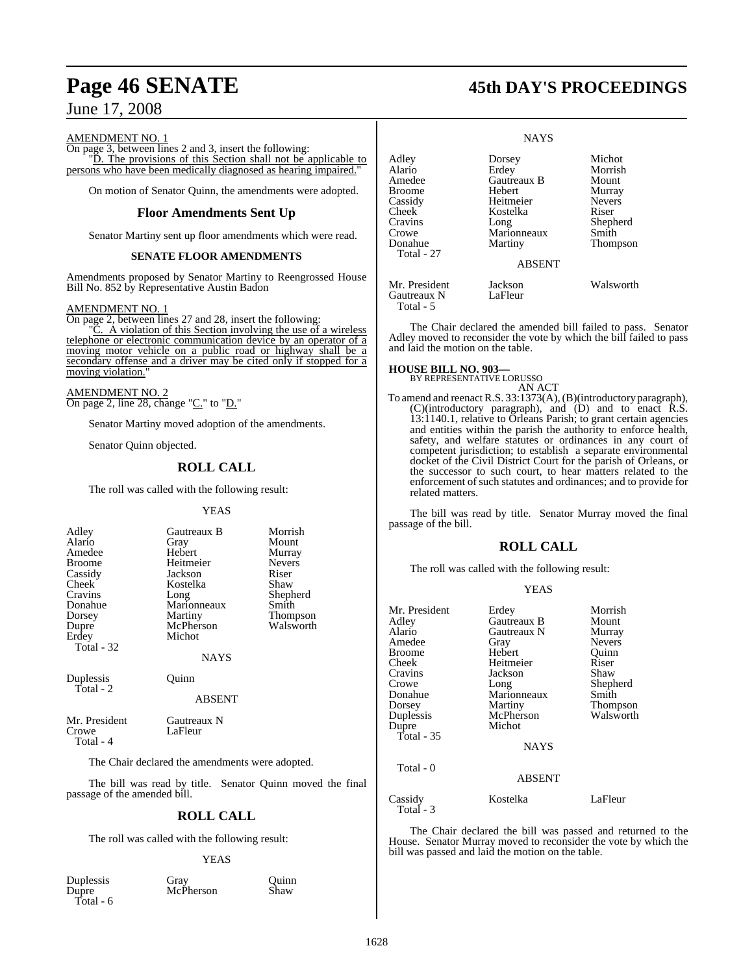#### AMENDMENT NO. 1

On page 3, between lines 2 and 3, insert the following: "D. The provisions of this Section shall not be applicable to persons who have been medically diagnosed as hearing impaired."

On motion of Senator Quinn, the amendments were adopted.

#### **Floor Amendments Sent Up**

Senator Martiny sent up floor amendments which were read.

#### **SENATE FLOOR AMENDMENTS**

Amendments proposed by Senator Martiny to Reengrossed House Bill No. 852 by Representative Austin Badon

#### AMENDMENT NO. 1

On page 2, between lines 27 and 28, insert the following:

"C. A violation of this Section involving the use of a wireless telephone or electronic communication device by an operator of a moving motor vehicle on a public road or highway shall be a secondary offense and a driver may be cited only if stopped for a moving violation.

AMENDMENT NO. 2 On page 2, line 28, change "C." to "D."

Senator Martiny moved adoption of the amendments.

Senator Quinn objected.

#### **ROLL CALL**

The roll was called with the following result:

#### YEAS

| Adley<br>Alario<br>Amedee<br><b>Broome</b><br>Cassidy<br><b>Cheek</b><br>Cravins<br>Donahue<br>Dorsey<br>Dupre<br>Erdey<br>Total - 32 | Gautreaux B<br>Gray<br>Hebert<br>Heitmeier<br>Jackson<br>Kostelka<br>Long<br>Marionneaux<br>Martiny<br>McPherson<br>Michot<br><b>NAYS</b> | Morrish<br>Mount<br>Murray<br><b>Nevers</b><br>Riser<br>Shaw<br>Shepherd<br>Smith<br>Thompson<br>Walsworth |
|---------------------------------------------------------------------------------------------------------------------------------------|-------------------------------------------------------------------------------------------------------------------------------------------|------------------------------------------------------------------------------------------------------------|
| Duplessis<br>Total - 2                                                                                                                | Ouinn                                                                                                                                     |                                                                                                            |
|                                                                                                                                       | <b>ABSENT</b>                                                                                                                             |                                                                                                            |
| Mr. President                                                                                                                         | Gautreaux N                                                                                                                               |                                                                                                            |

Crowe LaFleur Total - 4

The Chair declared the amendments were adopted.

The bill was read by title. Senator Quinn moved the final passage of the amended bill.

#### **ROLL CALL**

The roll was called with the following result:

#### YEAS

| Duplessis | Grav      | Ouinn       |
|-----------|-----------|-------------|
| Dupre     | McPherson | <b>Shaw</b> |
| Total - 6 |           |             |

# **Page 46 SENATE 45th DAY'S PROCEEDINGS**

| Adley         | Dorsey        | Michot        |
|---------------|---------------|---------------|
| Alario        | Erdey         | Morrish       |
| Amedee        | Gautreaux B   | Mount         |
| Broome        | Hebert        | Murray        |
| Cassidy       | Heitmeier     | <b>Nevers</b> |
| Cheek         | Kostelka      | Riser         |
| Cravins       | Long          | Shepherd      |
| Crowe         | Marionneaux   | Smith         |
| Donahue       | Martiny       | Thompson      |
| Total - 27    |               |               |
|               | <b>ABSENT</b> |               |
| Mr. President | Jackson       | Walsworth     |
| Gautreaux N   | LaFleur       |               |
| Total - 5     |               |               |

The Chair declared the amended bill failed to pass. Senator Adley moved to reconsider the vote by which the bill failed to pass and laid the motion on the table.

**HOUSE BILL NO. 903—**

BY REPRESENTATIVE LORUSSO

AN ACT To amend and reenact R.S. 33:1373(A), (B)(introductory paragraph), (C)(introductory paragraph), and (D) and to enact R.S. 13:1140.1, relative to Orleans Parish; to grant certain agencies and entities within the parish the authority to enforce health, safety, and welfare statutes or ordinances in any court of competent jurisdiction; to establish a separate environmental docket of the Civil District Court for the parish of Orleans, or the successor to such court, to hear matters related to the enforcement of such statutes and ordinances; and to provide for related matters.

The bill was read by title. Senator Murray moved the final passage of the bill.

### **ROLL CALL**

The roll was called with the following result:

|                                                                                                                                                    | <b>YEAS</b>                                                                                                                                           |                                                                                                                     |
|----------------------------------------------------------------------------------------------------------------------------------------------------|-------------------------------------------------------------------------------------------------------------------------------------------------------|---------------------------------------------------------------------------------------------------------------------|
| Mr. President<br>Adley<br>Alario<br>Amedee<br><b>Broome</b><br>Cheek<br>Cravins<br>Crowe<br>Donahue<br>Dorsey<br>Duplessis<br>Dupre<br>Total $-35$ | Erdey<br>Gautreaux B<br>Gautreaux N<br>Gray<br>Hebert<br>Heitmeier<br>Jackson<br>Long<br>Marionneaux<br>Martiny<br>McPherson<br>Michot<br><b>NAYS</b> | Morrish<br>Mount<br>Murray<br><b>Nevers</b><br>Ouinn<br>Riser<br>Shaw<br>Shepherd<br>Smith<br>Thompson<br>Walsworth |
| Total - 0                                                                                                                                          |                                                                                                                                                       |                                                                                                                     |

Cassidy Kostelka LaFleur Total - 3

The Chair declared the bill was passed and returned to the House. Senator Murray moved to reconsider the vote by which the bill was passed and laid the motion on the table.

ABSENT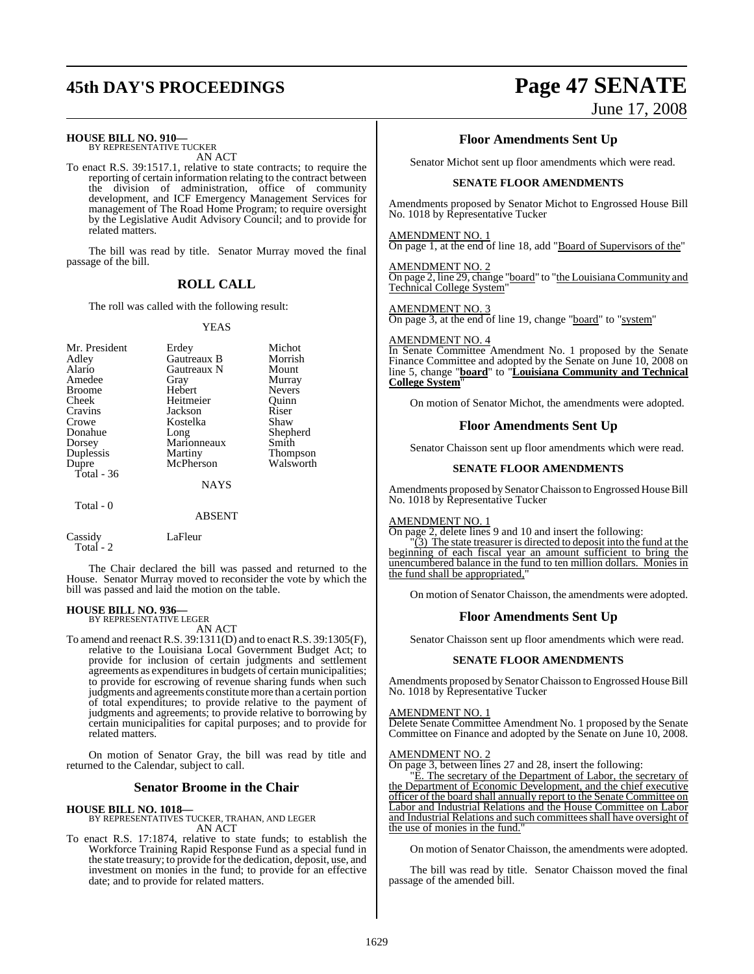# **45th DAY'S PROCEEDINGS Page 47 SENATE**

## **HOUSE BILL NO. 910—** BY REPRESENTATIVE TUCKER

AN ACT

To enact R.S. 39:1517.1, relative to state contracts; to require the reporting of certain information relating to the contract between the division of administration, office of community development, and ICF Emergency Management Services for management of The Road Home Program; to require oversight by the Legislative Audit Advisory Council; and to provide for related matters.

The bill was read by title. Senator Murray moved the final passage of the bill.

#### **ROLL CALL**

The roll was called with the following result:

#### YEAS

| Mr. President<br>Adley<br>Alario<br>Amedee<br><b>Broome</b><br>Cheek<br>Cravins<br>Crowe<br>Donahue<br>Dorsey<br>Duplessis | Erdey<br>Gautreaux B<br>Gautreaux N<br>Gray<br>Hebert<br>Heitmeier<br>Jackson<br>Kostelka<br>Long<br>Marionneaux<br>Martiny | Michot<br>Morrish<br>Mount<br>Murray<br><b>Nevers</b><br>Ouinn<br>Riser<br>Shaw<br>Shepherd<br>Smith<br><b>Thompson</b> |
|----------------------------------------------------------------------------------------------------------------------------|-----------------------------------------------------------------------------------------------------------------------------|-------------------------------------------------------------------------------------------------------------------------|
| Dupre                                                                                                                      | McPherson                                                                                                                   | Walsworth                                                                                                               |
| Total - 36                                                                                                                 | <b>NAYS</b>                                                                                                                 |                                                                                                                         |
| Total - 0                                                                                                                  | <b>ABSENT</b>                                                                                                               |                                                                                                                         |

Cassidy LaFleur Total - 2

The Chair declared the bill was passed and returned to the House. Senator Murray moved to reconsider the vote by which the bill was passed and laid the motion on the table.

#### **HOUSE BILL NO. 936—** BY REPRESENTATIVE LEGER

AN ACT

To amend and reenact R.S. 39:1311(D) and to enact R.S. 39:1305(F), relative to the Louisiana Local Government Budget Act; to provide for inclusion of certain judgments and settlement agreements as expenditures in budgets of certain municipalities; to provide for escrowing of revenue sharing funds when such judgments and agreements constitute more than a certain portion of total expenditures; to provide relative to the payment of judgments and agreements; to provide relative to borrowing by certain municipalities for capital purposes; and to provide for related matters.

On motion of Senator Gray, the bill was read by title and returned to the Calendar, subject to call.

#### **Senator Broome in the Chair**

**HOUSE BILL NO. 1018—** BY REPRESENTATIVES TUCKER, TRAHAN, AND LEGER AN ACT

To enact R.S. 17:1874, relative to state funds; to establish the Workforce Training Rapid Response Fund as a special fund in the state treasury; to provide for the dedication, deposit, use, and investment on monies in the fund; to provide for an effective date; and to provide for related matters.

June 17, 2008

#### **Floor Amendments Sent Up**

Senator Michot sent up floor amendments which were read.

#### **SENATE FLOOR AMENDMENTS**

Amendments proposed by Senator Michot to Engrossed House Bill No. 1018 by Representative Tucker

#### AMENDMENT NO. 1

On page 1, at the end of line 18, add "Board of Supervisors of the"

AMENDMENT NO. 2 On page 2, line 29, change "board" to "the Louisiana Community and Technical College System"

AMENDMENT NO. 3 On page 3, at the end of line 19, change "board" to "system"

#### AMENDMENT NO. 4

In Senate Committee Amendment No. 1 proposed by the Senate Finance Committee and adopted by the Senate on June 10, 2008 on line 5, change "**board**" to "**Louisiana Community and Technical College System**"

On motion of Senator Michot, the amendments were adopted.

#### **Floor Amendments Sent Up**

Senator Chaisson sent up floor amendments which were read.

#### **SENATE FLOOR AMENDMENTS**

Amendments proposed by Senator Chaisson to Engrossed House Bill No. 1018 by Representative Tucker

## AMENDMENT NO. 1

On page 2, delete lines 9 and 10 and insert the following:

"(3) The state treasurer is directed to deposit into the fund at the beginning of each fiscal year an amount sufficient to bring the unencumbered balance in the fund to ten million dollars. Monies in the fund shall be appropriated,

On motion of Senator Chaisson, the amendments were adopted.

#### **Floor Amendments Sent Up**

Senator Chaisson sent up floor amendments which were read.

#### **SENATE FLOOR AMENDMENTS**

Amendments proposed by Senator Chaisson to Engrossed House Bill No. 1018 by Representative Tucker

#### AMENDMENT NO. 1

Delete Senate Committee Amendment No. 1 proposed by the Senate Committee on Finance and adopted by the Senate on June 10, 2008.

#### AMENDMENT NO. 2

On page 3, between lines 27 and 28, insert the following:

E. The secretary of the Department of Labor, the secretary of the Department of Economic Development, and the chief executive officer of the board shall annually report to the Senate Committee on Labor and Industrial Relations and the House Committee on Labor and Industrial Relations and such committees shall have oversight of the use of monies in the fund.

On motion of Senator Chaisson, the amendments were adopted.

The bill was read by title. Senator Chaisson moved the final passage of the amended bill.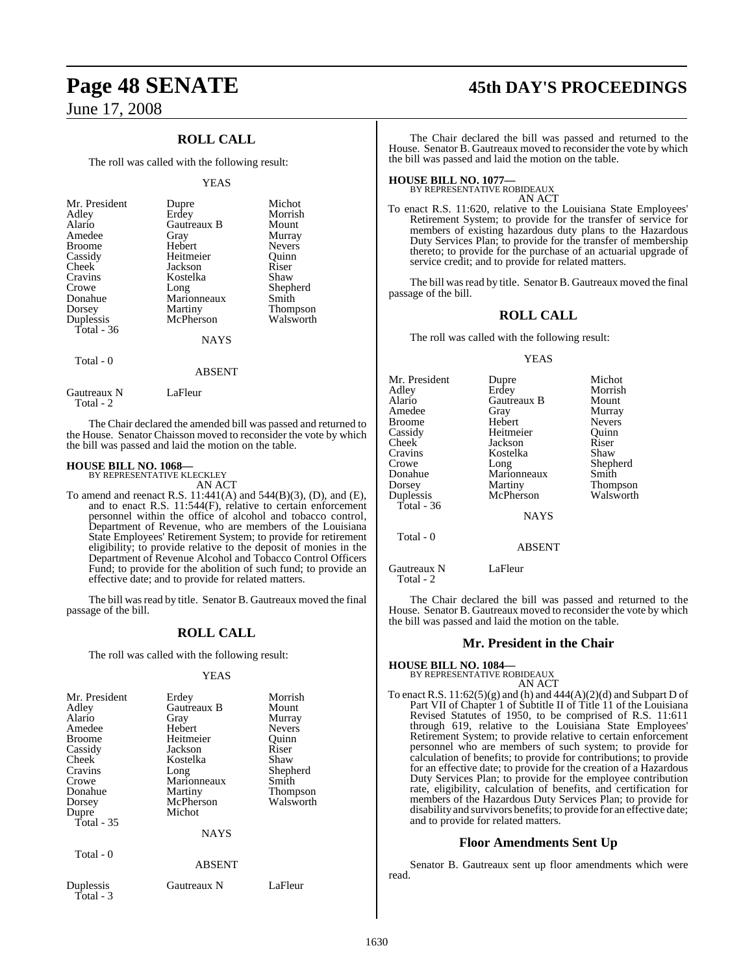## **ROLL CALL**

The roll was called with the following result:

#### YEAS

| Mr. President<br>Adley<br>Alario<br>Amedee<br><b>Broome</b><br>Cassidy<br>Cheek<br>Cravins<br>Crowe<br>Donahue<br>Dorsey | Dupre<br>Erdey<br>Gautreaux B<br>Gray<br>Hebert<br>Heitmeier<br>Jackson<br>Kostelka<br>Long<br>Marionneaux<br>Martiny | Michot<br>Morrish<br>Mount<br>Murray<br><b>Nevers</b><br>Ouinn<br>Riser<br>Shaw<br>Shepherd<br>Smith<br><b>Thompson</b> |
|--------------------------------------------------------------------------------------------------------------------------|-----------------------------------------------------------------------------------------------------------------------|-------------------------------------------------------------------------------------------------------------------------|
|                                                                                                                          |                                                                                                                       |                                                                                                                         |
| Duplessis<br>Total $-36$                                                                                                 | McPherson                                                                                                             | Walsworth                                                                                                               |
|                                                                                                                          | NAYS                                                                                                                  |                                                                                                                         |

Total - 0

#### ABSENT

Gautreaux N LaFleur Total - 2

The Chair declared the amended bill was passed and returned to the House. Senator Chaisson moved to reconsider the vote by which the bill was passed and laid the motion on the table.

#### **HOUSE BILL NO. 1068—**

BY REPRESENTATIVE KLECKLEY AN ACT

To amend and reenact R.S. 11:441(A) and 544(B)(3), (D), and (E), and to enact R.S. 11:544(F), relative to certain enforcement personnel within the office of alcohol and tobacco control, Department of Revenue, who are members of the Louisiana State Employees' Retirement System; to provide for retirement eligibility; to provide relative to the deposit of monies in the Department of Revenue Alcohol and Tobacco Control Officers Fund; to provide for the abolition of such fund; to provide an effective date; and to provide for related matters.

The bill was read by title. Senator B. Gautreaux moved the final passage of the bill.

#### **ROLL CALL**

The roll was called with the following result:

#### YEAS

| Mr. President          | Erdey         | Morrish       |
|------------------------|---------------|---------------|
| Adley                  | Gautreaux B   | Mount         |
| Alario                 | Gray          | Murray        |
| Amedee                 | Hebert        | <b>Nevers</b> |
| <b>Broome</b>          | Heitmeier     | Ouinn         |
| Cassidy                | Jackson       | Riser         |
| Cheek                  | Kostelka      | Shaw          |
| Cravins                | Long          | Shepherd      |
| Crowe                  | Marionneaux   | Smith         |
| Donahue                | Martiny       | Thompson      |
| Dorsey                 | McPherson     | Walsworth     |
| Dupre                  | Michot        |               |
| Total $-35$            |               |               |
|                        | <b>NAYS</b>   |               |
| Total - 0              |               |               |
|                        | <b>ABSENT</b> |               |
| Duplessis<br>Total - 3 | Gautreaux N   | LaFleur       |

# **Page 48 SENATE 45th DAY'S PROCEEDINGS**

The Chair declared the bill was passed and returned to the House. Senator B. Gautreaux moved to reconsider the vote by which the bill was passed and laid the motion on the table.

## **HOUSE BILL NO. 1077—** BY REPRESENTATIVE ROBIDEAUX

AN ACT

To enact R.S. 11:620, relative to the Louisiana State Employees' Retirement System; to provide for the transfer of service for members of existing hazardous duty plans to the Hazardous Duty Services Plan; to provide for the transfer of membership thereto; to provide for the purchase of an actuarial upgrade of service credit; and to provide for related matters.

The bill was read by title. Senator B. Gautreaux moved the final passage of the bill.

#### **ROLL CALL**

The roll was called with the following result:

#### YEAS

| Mr. President | Dupre       | Michot        |
|---------------|-------------|---------------|
| Adley         | Erdey       | Morrish       |
| Alario        | Gautreaux B | Mount         |
| Amedee        | Gray        | Murray        |
| Broome        | Hebert      | <b>Nevers</b> |
| Cassidy       | Heitmeier   | Ouinn         |
| Cheek         | Jackson     | Riser         |
| Cravins       | Kostelka    | Shaw          |
| Crowe         | Long        | Shepherd      |
| Donahue       | Marionneaux | Smith         |
| Dorsey        | Martiny     | Thompson      |
| Duplessis     | McPherson   | Walsworth     |
| Total - 36    |             |               |
|               | <b>NAYS</b> |               |
| Total - 0     |             |               |
|               | ABSENT      |               |
|               |             |               |

Gautreaux N LaFleur

Total - 2

The Chair declared the bill was passed and returned to the House. Senator B. Gautreaux moved to reconsider the vote by which the bill was passed and laid the motion on the table.

#### **Mr. President in the Chair**

#### **HOUSE BILL NO. 1084—** BY REPRESENTATIVE ROBIDEAUX AN ACT

To enact R.S.  $11:62(5)(g)$  and (h) and  $444(A)(2)(d)$  and Subpart D of Part VII of Chapter 1 of Subtitle II of Title 11 of the Louisiana Revised Statutes of 1950, to be comprised of R.S. 11:611 through 619, relative to the Louisiana State Employees' Retirement System; to provide relative to certain enforcement personnel who are members of such system; to provide for calculation of benefits; to provide for contributions; to provide for an effective date; to provide for the creation of a Hazardous Duty Services Plan; to provide for the employee contribution rate, eligibility, calculation of benefits, and certification for members of the Hazardous Duty Services Plan; to provide for disability and survivors benefits; to provide for an effective date; and to provide for related matters.

#### **Floor Amendments Sent Up**

Senator B. Gautreaux sent up floor amendments which were read.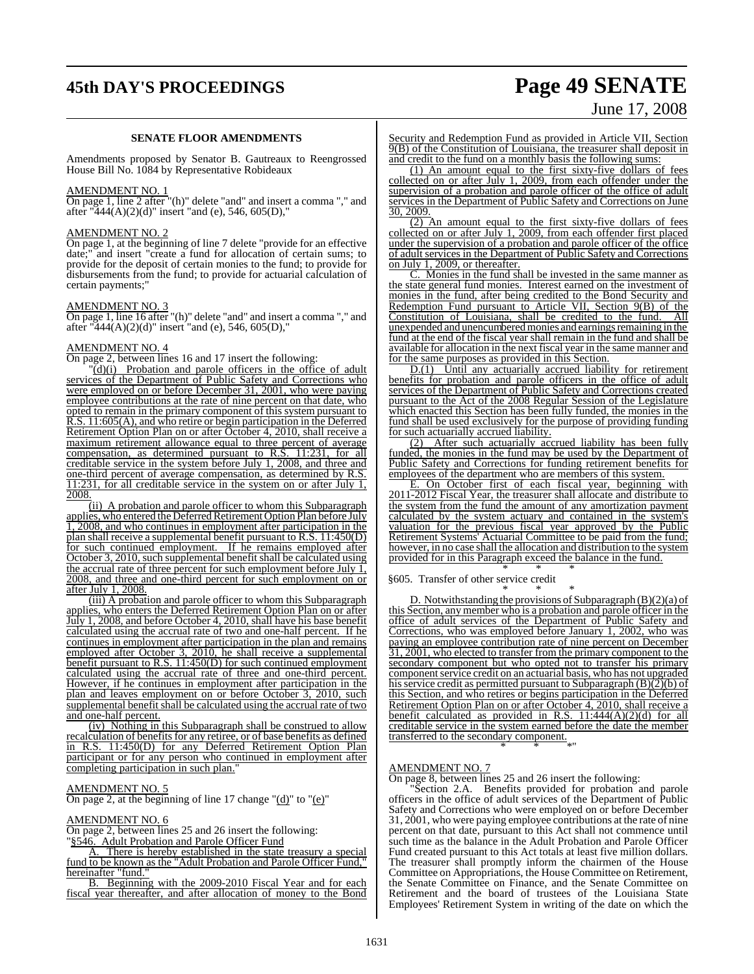# **45th DAY'S PROCEEDINGS Page 49 SENATE**

# June 17, 2008

#### **SENATE FLOOR AMENDMENTS**

Amendments proposed by Senator B. Gautreaux to Reengrossed House Bill No. 1084 by Representative Robideaux

#### AMENDMENT NO. 1

On page 1, line 2 after "(h)" delete "and" and insert a comma "," and after " $444(A)(2)(d)$ " insert "and (e), 546, 605(D),"

#### AMENDMENT NO. 2

On page 1, at the beginning of line 7 delete "provide for an effective date;" and insert "create a fund for allocation of certain sums; to provide for the deposit of certain monies to the fund; to provide for disbursements from the fund; to provide for actuarial calculation of certain payments;"

#### AMENDMENT NO. 3

On page 1, line 16 after "(h)" delete "and" and insert a comma "," and after "444(A)(2)(d)" insert "and (e), 546, 605(D),"

#### AMENDMENT NO. 4

On page 2, between lines 16 and 17 insert the following:

 $\overline{d}(d)(i)$  Probation and parole officers in the office of adult services of the Department of Public Safety and Corrections who were employed on or before December 31, 2001, who were paying employee contributions at the rate of nine percent on that date, who opted to remain in the primary component of this system pursuant to R.S. 11:605(A), and who retire or begin participation in the Deferred Retirement Option Plan on or after October 4, 2010, shall receive a maximum retirement allowance equal to three percent of average compensation, as determined pursuant to R.S. 11:231, for all creditable service in the system before July 1, 2008, and three and one-third percent of average compensation, as determined by R.S. 11:231, for all creditable service in the system on or after July 1, 2008.

 $(iii)$  A probation and parole officer to whom this Subparagraph applies, who entered the Deferred Retirement Option Plan before July 1, 2008, and who continues in employment after participation in the plan shall receive a supplemental benefit pursuant to R.S. 11:450(D) for such continued employment. If he remains employed after October 3, 2010, such supplemental benefit shall be calculated using the accrual rate of three percent for such employment before July 1, 2008, and three and one-third percent for such employment on or after July 1, 2008.

(iii) A probation and parole officer to whom this Subparagraph applies, who enters the Deferred Retirement Option Plan on or after July 1, 2008, and before October 4, 2010, shall have his base benefit calculated using the accrual rate of two and one-half percent. If he continues in employment after participation in the plan and remains employed after October 3, 2010, he shall receive a supplemental benefit pursuant to R.S. 11:450(D) for such continued employment calculated using the accrual rate of three and one-third percent. However, if he continues in employment after participation in the plan and leaves employment on or before October 3, 2010, such supplemental benefit shall be calculated using the accrual rate of two and one-half percent.

(iv) Nothing in this Subparagraph shall be construed to allow recalculation of benefits for any retiree, or of base benefits as defined in R.S. 11:450(D) for any Deferred Retirement Option Plan participant or for any person who continued in employment after completing participation in such plan."

#### AMENDMENT NO. 5

On page 2, at the beginning of line 17 change " $(d)$ " to " $(e)$ "

#### AMENDMENT NO. 6

On page 2, between lines 25 and 26 insert the following: "§546. Adult Probation and Parole Officer Fund

A. There is hereby established in the state treasury a special fund to be known as the "Adult Probation and Parole Officer Fund," hereinafter "fund."

B. Beginning with the 2009-2010 Fiscal Year and for each fiscal year thereafter, and after allocation of money to the Bond Security and Redemption Fund as provided in Article VII, Section 9(B) of the Constitution of Louisiana, the treasurer shall deposit in and credit to the fund on a monthly basis the following sums:

(1) An amount equal to the first sixty-five dollars of fees collected on or after July 1, 2009, from each offender under the supervision of a probation and parole officer of the office of adult services in the Department of Public Safety and Corrections on June 30, 2009.

 $(2)$  An amount equal to the first sixty-five dollars of fees collected on or after July 1, 2009, from each offender first placed under the supervision of a probation and parole officer of the office of adult services in the Department of Public Safety and Corrections on July 1, 2009, or thereafter.

C. Monies in the fund shall be invested in the same manner as the state general fund monies. Interest earned on the investment of monies in the fund, after being credited to the Bond Security and Redemption Fund pursuant to Article VII, Section 9(B) of the Constitution of Louisiana, shall be credited to the fund. All unexpended and unencumbered monies and earnings remaining in the fund at the end of the fiscal year shall remain in the fund and shall be available for allocation in the next fiscal year in the same manner and for the same purposes as provided in this Section.

D.(1) Until any actuarially accrued liability for retirement benefits for probation and parole officers in the office of adult services of the Department of Public Safety and Corrections created pursuant to the Act of the 2008 Regular Session of the Legislature which enacted this Section has been fully funded, the monies in the fund shall be used exclusively for the purpose of providing funding for such actuarially accrued liability.

(2) After such actuarially accrued liability has been fully funded, the monies in the fund may be used by the Department of Public Safety and Corrections for funding retirement benefits for employees of the department who are members of this system.

E. On October first of each fiscal year, beginning with 2011-2012 Fiscal Year, the treasurer shall allocate and distribute to the system from the fund the amount of any amortization payment calculated by the system actuary and contained in the system's valuation for the previous fiscal year approved by the Public Retirement Systems' Actuarial Committee to be paid from the fund; however, in no case shall the allocation and distribution to the system provided for in this Paragraph exceed the balance in the fund.

\* \* \*

§605. Transfer of other service credit \* \* \*

D. Notwithstanding the provisions of Subparagraph (B)(2)(a) of this Section, any member who is a probation and parole officer in the office of adult services of the Department of Public Safety and Corrections, who was employed before January 1, 2002, who was paying an employee contribution rate of nine percent on December 31, 2001, who elected to transfer from the primary component to the secondary component but who opted not to transfer his primary component service credit on an actuarial basis, who has not upgraded his service credit as permitted pursuant to Subparagraph  $(B)(2)(b)$  of this Section, and who retires or begins participation in the Deferred Retirement Option Plan on or after October 4, 2010, shall receive a benefit calculated as provided in R.S. 11:444(A)(2)(d) for all creditable service in the system earned before the date the member transferred to the secondary component.

\* \* \*"

#### <u>AMENDMENT NO. 7</u>

On page 8, between lines 25 and 26 insert the following:

"Section 2.A. Benefits provided for probation and parole officers in the office of adult services of the Department of Public Safety and Corrections who were employed on or before December 31, 2001, who were paying employee contributions at the rate of nine percent on that date, pursuant to this Act shall not commence until such time as the balance in the Adult Probation and Parole Officer Fund created pursuant to this Act totals at least five million dollars. The treasurer shall promptly inform the chairmen of the House Committee on Appropriations, the House Committee on Retirement, the Senate Committee on Finance, and the Senate Committee on Retirement and the board of trustees of the Louisiana State Employees' Retirement System in writing of the date on which the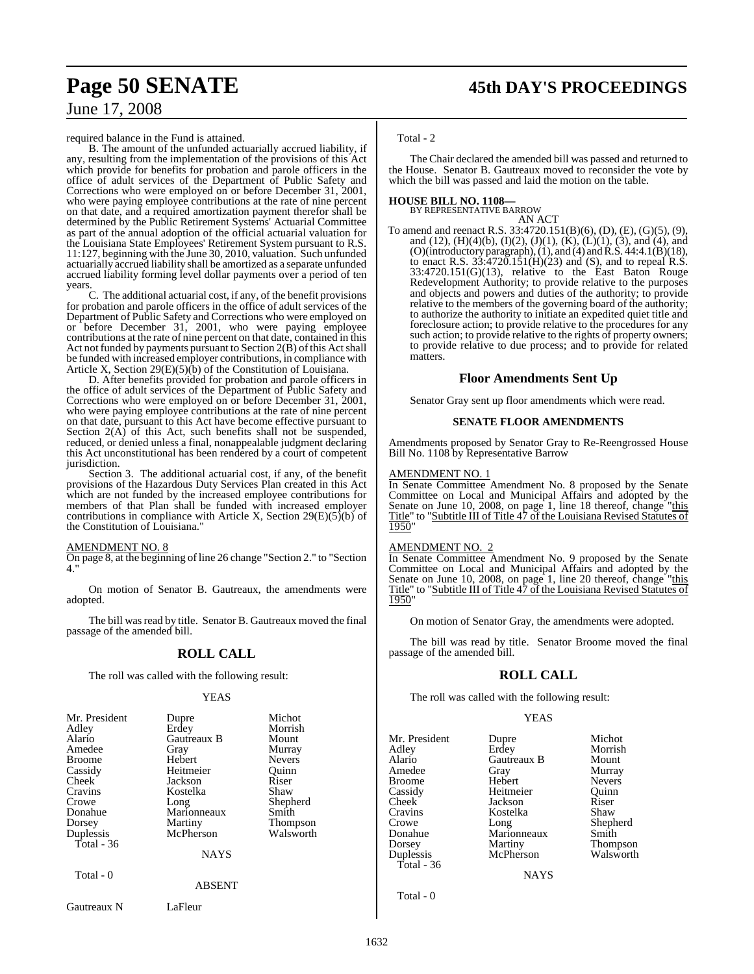required balance in the Fund is attained.

B. The amount of the unfunded actuarially accrued liability, if any, resulting from the implementation of the provisions of this Act which provide for benefits for probation and parole officers in the office of adult services of the Department of Public Safety and Corrections who were employed on or before December 31, 2001, who were paying employee contributions at the rate of nine percent on that date, and a required amortization payment therefor shall be determined by the Public Retirement Systems' Actuarial Committee as part of the annual adoption of the official actuarial valuation for the Louisiana State Employees' Retirement System pursuant to R.S. 11:127, beginning with the June 30, 2010, valuation. Such unfunded actuarially accrued liability shall be amortized as a separate unfunded accrued liability forming level dollar payments over a period of ten years.

C. The additional actuarial cost, if any, of the benefit provisions for probation and parole officers in the office of adult services of the Department of Public Safety and Corrections who were employed on or before December 31, 2001, who were paying employee contributions at the rate of nine percent on that date, contained in this Act not funded by payments pursuant to Section  $2(B)$  of this Act shall be funded with increased employer contributions, in compliance with Article X, Section  $29(E)(5)(b)$  of the Constitution of Louisiana.

D. After benefits provided for probation and parole officers in the office of adult services of the Department of Public Safety and Corrections who were employed on or before December 31, 2001, who were paying employee contributions at the rate of nine percent on that date, pursuant to this Act have become effective pursuant to Section  $2(A)$  of this Act, such benefits shall not be suspended, reduced, or denied unless a final, nonappealable judgment declaring this Act unconstitutional has been rendered by a court of competent jurisdiction.

Section 3. The additional actuarial cost, if any, of the benefit provisions of the Hazardous Duty Services Plan created in this Act which are not funded by the increased employee contributions for members of that Plan shall be funded with increased employer contributions in compliance with Article X, Section  $29(E)(5)(b)$  of the Constitution of Louisiana."

#### AMENDMENT NO. 8

On page 8, at the beginning of line 26 change "Section 2." to "Section 4."

On motion of Senator B. Gautreaux, the amendments were adopted.

The bill was read by title. Senator B. Gautreaux moved the final passage of the amended bill.

#### **ROLL CALL**

The roll was called with the following result:

#### YEAS

| Mr. President<br>Adley<br>Alario<br>Amedee<br><b>Broome</b><br>Cassidy<br>Cheek<br>Cravins<br>Crowe<br>Donahue<br>Dorsey | Dupre<br>Erdey<br>Gautreaux B<br>Gray<br>Hebert<br>Heitmeier<br>Jackson<br>Kostelka<br>Long<br>Marionneaux<br>Martiny | Michot<br>Morrish<br>Mount<br>Murray<br><b>Nevers</b><br>Ouinn<br>Riser<br>Shaw<br>Shepherd<br>Smith<br><b>Thompson</b> |
|--------------------------------------------------------------------------------------------------------------------------|-----------------------------------------------------------------------------------------------------------------------|-------------------------------------------------------------------------------------------------------------------------|
| Duplessis<br>Total - 36<br>Total - 0                                                                                     | McPherson<br><b>NAYS</b><br><b>ABSENT</b>                                                                             | Walsworth                                                                                                               |
| Gautreaux N                                                                                                              | LaFleur                                                                                                               |                                                                                                                         |

#### Total - 2

The Chair declared the amended bill was passed and returned to the House. Senator B. Gautreaux moved to reconsider the vote by which the bill was passed and laid the motion on the table.

#### **HOUSE BILL NO. 1108—** BY REPRESENTATIVE BARROW

AN ACT

To amend and reenact R.S. 33:4720.151(B)(6), (D), (E), (G)(5), (9), and (12),  $(H)(4)(b)$ ,  $(I)(2)$ ,  $(J)(1)$ ,  $(K)$ ,  $(L)(1)$ ,  $(3)$ , and  $(4)$ , and (O)(introductory paragraph), (1), and (4) and R.S. 44:4.1(B)(18), to enact R.S.  $33:4720.151(H)(23)$  and (S), and to repeal R.S. 33:4720.151(G)(13), relative to the East Baton Rouge Redevelopment Authority; to provide relative to the purposes and objects and powers and duties of the authority; to provide relative to the members of the governing board of the authority; to authorize the authority to initiate an expedited quiet title and foreclosure action; to provide relative to the procedures for any such action; to provide relative to the rights of property owners; to provide relative to due process; and to provide for related matters.

#### **Floor Amendments Sent Up**

Senator Gray sent up floor amendments which were read.

#### **SENATE FLOOR AMENDMENTS**

Amendments proposed by Senator Gray to Re-Reengrossed House Bill No. 1108 by Representative Barrow

#### AMENDMENT NO. 1

In Senate Committee Amendment No. 8 proposed by the Senate Committee on Local and Municipal Affairs and adopted by the Senate on June 10, 2008, on page 1, line 18 thereof, change "this Title" to "Subtitle III of Title 47 of the Louisiana Revised Statutes of 1950"

#### AMENDMENT NO. 2

In Senate Committee Amendment No. 9 proposed by the Senate Committee on Local and Municipal Affairs and adopted by the Senate on June 10, 2008, on page 1, line 20 thereof, change "this Title" to "Subtitle III of Title 47 of the Louisiana Revised Statutes of 1950"

On motion of Senator Gray, the amendments were adopted.

The bill was read by title. Senator Broome moved the final passage of the amended bill.

## **ROLL CALL**

The roll was called with the following result:

#### YEAS

Shepherd Smith Thompson Walsworth

| Mr. President | Dupre               | Michot        |
|---------------|---------------------|---------------|
| Adley         | Erdey               | Morrish       |
| Alario        | Gautreaux B         | Mount         |
| Amedee        | Gray                | Murray        |
| <b>Broome</b> | Hebert              | <b>Nevers</b> |
| Cassidy       | Heitmeier           | Ouinn         |
| Cheek         | Jackson             | Riser         |
| Cravins       | Kostelka            | Shaw          |
| Crowe         |                     | Shepher       |
| Donahue       | Long<br>Marionneaux | Smith         |
| Dorsey        | Martiny             | <b>Thomps</b> |
| Duplessis     | McPherson           | Walswo        |
| Total - $36$  |                     |               |
|               | <b>NAYS</b>         |               |
|               |                     |               |

Total - 0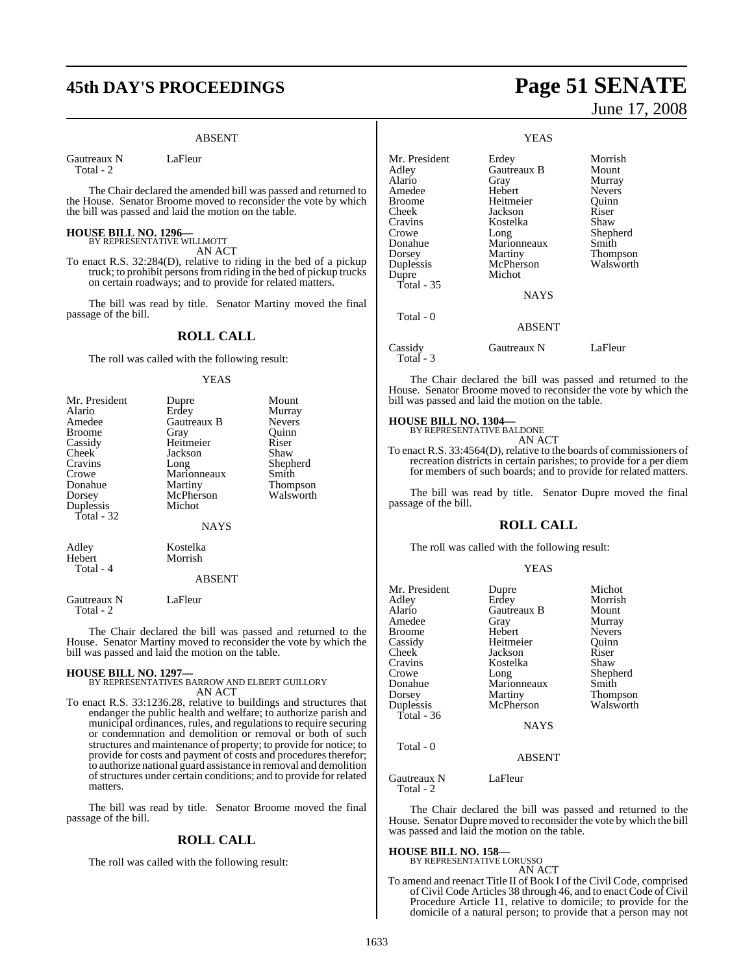#### ABSENT

Gautreaux N LaFleur Total - 2

The Chair declared the amended bill was passed and returned to the House. Senator Broome moved to reconsider the vote by which the bill was passed and laid the motion on the table.

## **HOUSE BILL NO. 1296—** BY REPRESENTATIVE WILLMOTT

AN ACT

To enact R.S. 32:284(D), relative to riding in the bed of a pickup truck; to prohibit persons from riding in the bed of pickup trucks on certain roadways; and to provide for related matters.

The bill was read by title. Senator Martiny moved the final passage of the bill.

#### **ROLL CALL**

The roll was called with the following result:

#### **YEAS**

| Mr. President<br>Alario<br>Amedee<br><b>Broome</b><br>Cassidy<br>Cheek<br>Cravins<br>Crowe<br>Donahue<br>Dorsey<br>Duplessis<br>Total - 32 | Dupre<br>Erdey<br>Gautreaux B<br>Gray<br>Heitmeier<br>Jackson<br>Long<br>Marionneaux<br>Martiny<br>McPherson<br>Michot<br><b>NAYS</b> | Mount<br>Murray<br><b>Nevers</b><br>Ouinn<br>Riser<br>Shaw<br>Shepherd<br>Smith<br>Thompson<br>Walsworth |
|--------------------------------------------------------------------------------------------------------------------------------------------|---------------------------------------------------------------------------------------------------------------------------------------|----------------------------------------------------------------------------------------------------------|
| Adley<br>Hebert<br>Total - 4                                                                                                               | Kostelka<br>Morrish<br><b>ABSENT</b>                                                                                                  |                                                                                                          |

Gautreaux N LaFleur Total - 2

The Chair declared the bill was passed and returned to the House. Senator Martiny moved to reconsider the vote by which the bill was passed and laid the motion on the table.

#### **HOUSE BILL NO. 1297—**

BY REPRESENTATIVES BARROW AND ELBERT GUILLORY AN ACT

To enact R.S. 33:1236.28, relative to buildings and structures that endanger the public health and welfare; to authorize parish and municipal ordinances, rules, and regulationsto require securing or condemnation and demolition or removal or both of such structures and maintenance of property; to provide for notice; to provide for costs and payment of costs and procedures therefor; to authorize national guard assistance in removal and demolition ofstructures under certain conditions; and to provide for related matters.

The bill was read by title. Senator Broome moved the final passage of the bill.

#### **ROLL CALL**

The roll was called with the following result:

# **45th DAY'S PROCEEDINGS Page 51 SENATE** June 17, 2008

|                                                                                                                                            | <b>YEAS</b>                                                                                                                                 |                                                                                                                     |
|--------------------------------------------------------------------------------------------------------------------------------------------|---------------------------------------------------------------------------------------------------------------------------------------------|---------------------------------------------------------------------------------------------------------------------|
| Mr. President<br>Adley<br>Alario<br>Amedee<br>Broome<br>Cheek<br>Cravins<br>Crowe<br>Donahue<br>Dorsey<br>Duplessis<br>Dupre<br>Total - 35 | Erdey<br>Gautreaux B<br>Gray<br>Hebert<br>Heitmeier<br>Jackson<br>Kostelka<br>Long<br>Marionneaux<br>Martiny<br>McPherson<br>Michot<br>NAYS | Morrish<br>Mount<br>Murray<br><b>Nevers</b><br>Quinn<br>Riser<br>Shaw<br>Shepherd<br>Smith<br>Thompson<br>Walsworth |
| Total - 0                                                                                                                                  | <b>ABSENT</b>                                                                                                                               |                                                                                                                     |
| Cassidy<br>Total - 3                                                                                                                       | Gautreaux N                                                                                                                                 | LaFleur                                                                                                             |
|                                                                                                                                            |                                                                                                                                             |                                                                                                                     |

The Chair declared the bill was passed and returned to the House. Senator Broome moved to reconsider the vote by which the bill was passed and laid the motion on the table.

## **HOUSE BILL NO. 1304—** BY REPRESENTATIVE BALDONE

AN ACT

To enact R.S. 33:4564(D), relative to the boards of commissioners of recreation districts in certain parishes; to provide for a per diem for members of such boards; and to provide for related matters.

The bill was read by title. Senator Dupre moved the final passage of the bill.

#### **ROLL CALL**

The roll was called with the following result:

#### YEAS

| Mr. President<br>Adley<br>Alario<br>Amedee<br>Broome<br>Cassidy<br>Cheek<br>Cravins<br>Crowe<br>Donahue<br>Dorsey<br>Duplessis<br>Total - 36 | Dupre<br>Erdey<br>Gautreaux B<br>Gray<br>Hebert<br>Heitmeier<br>Jackson<br>Kostelka<br>Long<br>Marionneaux<br>Martiny<br>McPherson<br><b>NAYS</b> | Michot<br>Morrish<br>Mount<br>Murray<br><b>Nevers</b><br>Ouinn<br>Riser<br>Shaw<br>Shepherd<br>Smith<br>Thompson<br>Walsworth |
|----------------------------------------------------------------------------------------------------------------------------------------------|---------------------------------------------------------------------------------------------------------------------------------------------------|-------------------------------------------------------------------------------------------------------------------------------|
| Total - 0                                                                                                                                    | <b>ABSENT</b>                                                                                                                                     |                                                                                                                               |
|                                                                                                                                              |                                                                                                                                                   |                                                                                                                               |

Gautreaux N LaFleur Total - 2

The Chair declared the bill was passed and returned to the House. Senator Dupre moved to reconsider the vote by which the bill was passed and laid the motion on the table.

## **HOUSE BILL NO. 158—** BY REPRESENTATIVE LORUSSO

AN ACT

To amend and reenact Title II of Book I of the Civil Code, comprised of Civil Code Articles 38 through 46, and to enact Code of Civil Procedure Article 11, relative to domicile; to provide for the domicile of a natural person; to provide that a person may not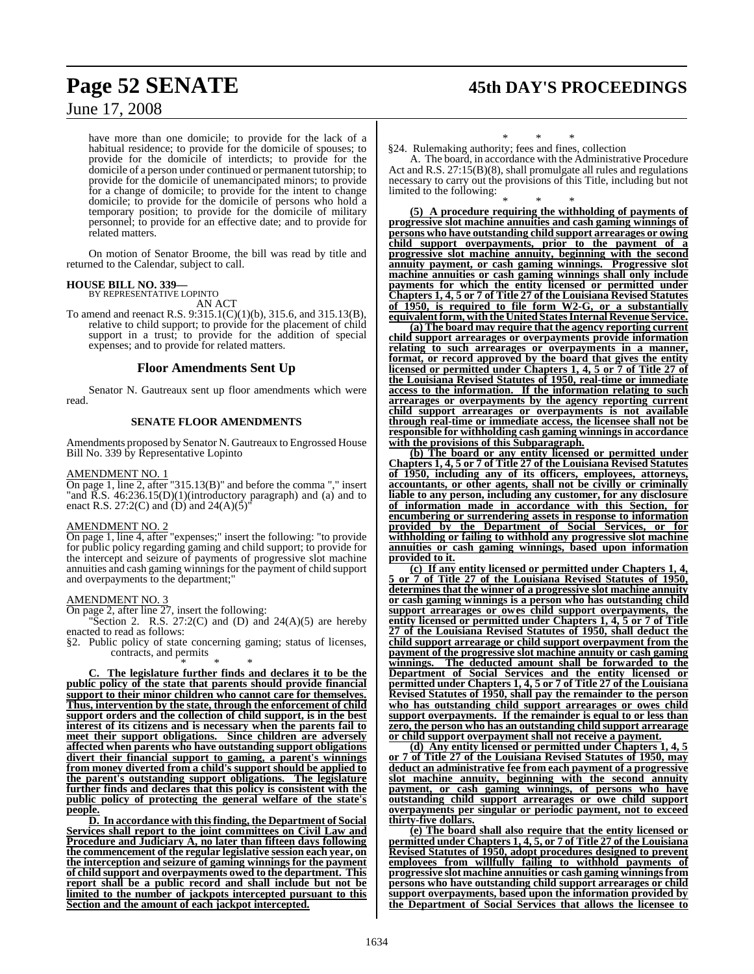## **Page 52 SENATE 45th DAY'S PROCEEDINGS**

## June 17, 2008

have more than one domicile; to provide for the lack of a habitual residence; to provide for the domicile of spouses; to provide for the domicile of interdicts; to provide for the domicile of a person under continued or permanent tutorship; to provide for the domicile of unemancipated minors; to provide for a change of domicile; to provide for the intent to change domicile; to provide for the domicile of persons who hold a temporary position; to provide for the domicile of military personnel; to provide for an effective date; and to provide for related matters.

On motion of Senator Broome, the bill was read by title and returned to the Calendar, subject to call.

#### **HOUSE BILL NO. 339—**

BY REPRESENTATIVE LOPINTO AN ACT

To amend and reenact R.S. 9:315.1(C)(1)(b), 315.6, and 315.13(B), relative to child support; to provide for the placement of child support in a trust; to provide for the addition of special expenses; and to provide for related matters.

#### **Floor Amendments Sent Up**

Senator N. Gautreaux sent up floor amendments which were read.

#### **SENATE FLOOR AMENDMENTS**

Amendments proposed by Senator N. Gautreaux to Engrossed House Bill No. 339 by Representative Lopinto

#### AMENDMENT NO. 1

On page 1, line 2, after "315.13(B)" and before the comma "," insert and R.S.  $46:236.15(D)(1)(introductory paragraph)$  and (a) and to enact R.S. 27:2(C) and (D) and  $24(A)(5)$ 

#### AMENDMENT NO. 2

On page 1, line 4, after "expenses;" insert the following: "to provide for public policy regarding gaming and child support; to provide for the intercept and seizure of payments of progressive slot machine annuities and cash gaming winnings for the payment of child support and overpayments to the department;"

#### AMENDMENT NO. 3

On page 2, after line 27, insert the following:

"Section 2. R.S.  $27:2(C)$  and (D) and  $24(A)(5)$  are hereby enacted to read as follows:

§2. Public policy of state concerning gaming; status of licenses, contracts, and permits

\* \* \* **C. The legislature further finds and declares it to be the public policy of the state that parents should provide financial support to their minor children who cannot care for themselves. Thus, intervention by the state, through the enforcement of child support orders and the collection of child support, is in the best interest of its citizens and is necessary when the parents fail to meet their support obligations. Since children are adversely affected when parents who have outstanding support obligations divert their financial support to gaming, a parent's winnings from money diverted from a child's support should be applied to the parent's outstanding support obligations. The legislature further finds and declares that this policy is consistent with the public policy of protecting the general welfare of the state's people.**

**D. In accordance with this finding, the Department of Social Services shall report to the joint committees on Civil Law and Procedure and Judiciary A, no later than fifteen days following the commencement of the regular legislative session each year, on the interception and seizure of gaming winnings for the payment of child support and overpayments owed to the department. This report shall be a public record and shall include but not be limited to the number of jackpots intercepted pursuant to this Section and the amount of each jackpot intercepted.**

\* \* \* §24. Rulemaking authority; fees and fines, collection

A. The board, in accordance with the Administrative Procedure Act and R.S. 27:15(B)(8), shall promulgate all rules and regulations necessary to carry out the provisions of this Title, including but not limited to the following:

\* \* \* **(5) A procedure requiring the withholding of payments of progressive slot machine annuities and cash gaming winnings of persons who have outstanding child support arrearages or owing child support overpayments, prior to the payment of a progressive slot machine annuity, beginning with the second annuity payment, or cash gaming winnings. Progressive slot machine annuities or cash gaming winnings shall only include payments for which the entity licensed or permitted under Chapters 1, 4, 5 or 7 of Title 27 of the Louisiana Revised Statutes of 1950, is required to file form W2-G, or a substantially equivalentform, with theUnitedStatesInternal Revenue Service.**

**(a) The board may require that the agency reporting current child support arrearages or overpayments provide information relating to such arrearages or overpayments in a manner, format, or record approved by the board that gives the entity licensed or permitted under Chapters 1, 4, 5 or 7 of Title 27 of the Louisiana Revised Statutes of 1950, real-time or immediate access to the information. If the information relating to such arrearages or overpayments by the agency reporting current child support arrearages or overpayments is not available through real-time or immediate access, the licensee shall not be responsible for withholding cash gaming winnings in accordance with the provisions of this Subparagraph.**

**(b) The board or any entity licensed or permitted under Chapters 1, 4, 5 or 7 of Title 27 of the Louisiana Revised Statutes of 1950, including any of its officers, employees, attorneys, accountants, or other agents, shall not be civilly or criminally liable to any person, including any customer, for any disclosure of information made in accordance with this Section, for encumbering or surrendering assets in response to information provided by the Department of Social Services, or for withholding or failing to withhold any progressive slot machine annuities or cash gaming winnings, based upon information provided to it.**

**(c) If any entity licensed or permitted under Chapters 1, 4, 5 or 7 of Title 27 of the Louisiana Revised Statutes of 1950, determines that the winner of a progressive slot machine annuity or cash gaming winnings is a person who has outstanding child support arrearages or owes child support overpayments, the entity licensed or permitted under Chapters 1, 4, 5 or 7 of Title 27 of the Louisiana Revised Statutes of 1950, shall deduct the child support arrearage or child support overpayment from the payment of the progressive slot machine annuity or cash gaming winnings. The deducted amount shall be forwarded to the Department of Social Services and the entity licensed or permitted under Chapters 1, 4, 5 or 7 of Title 27 of the Louisiana Revised Statutes of 1950, shall pay the remainder to the person who has outstanding child support arrearages or owes child support overpayments. If the remainder is equal to or less than zero, the person who has an outstanding child support arrearage or child support overpayment shall not receive a payment.**

**(d) Any entity licensed or permitted under Chapters 1, 4, 5 or 7 of Title 27 of the Louisiana Revised Statutes of 1950, may deduct an administrative fee from each payment of a progressive slot machine annuity, beginning with the second annuity payment, or cash gaming winnings, of persons who have outstanding child support arrearages or owe child support overpayments per singular or periodic payment, not to exceed thirty-five dollars.**

**(e) The board shall also require that the entity licensed or permitted under Chapters 1, 4, 5, or 7 of Title 27 of the Louisiana Revised Statutes of 1950, adopt procedures designed to prevent employees from willfully failing to withhold payments of progressive slot machine annuities or cash gaming winningsfrom persons who have outstanding child support arrearages or child support overpayments, based upon the information provided by the Department of Social Services that allows the licensee to**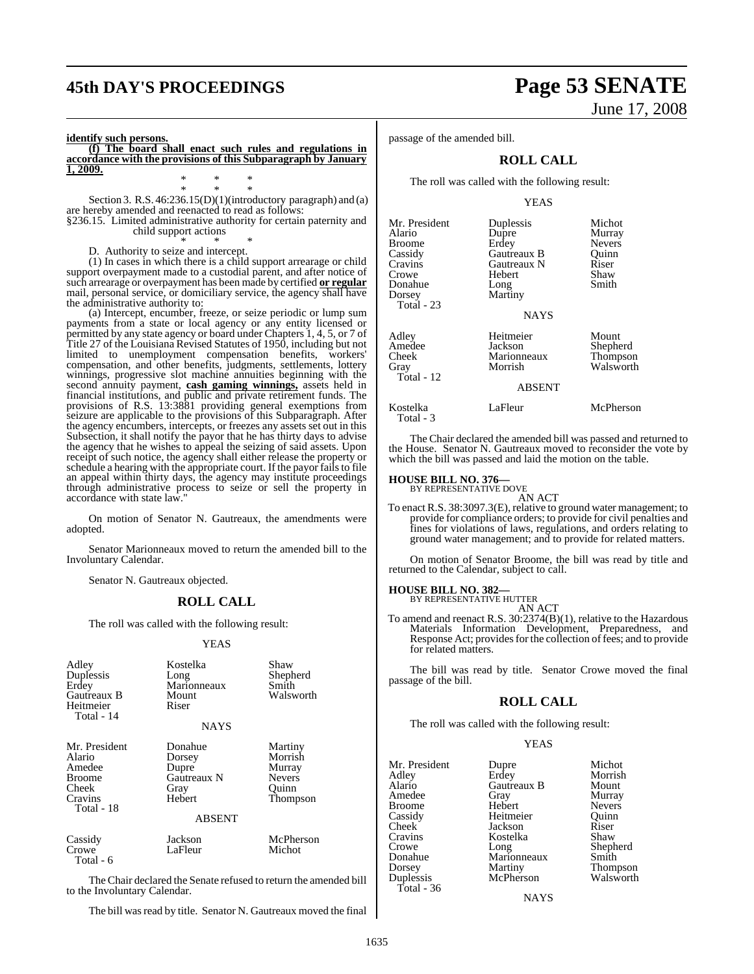# **45th DAY'S PROCEEDINGS Page 53 SENATE**

# June 17, 2008

#### **identify such persons.**

**(f) The board shall enact such rules and regulations in accordance with the provisions of this Subparagraph by January 1, 2009.**

\* \* \*

\* \* \* Section 3. R.S. 46:236.15(D)(1)(introductory paragraph) and (a) are hereby amended and reenacted to read as follows:

§236.15. Limited administrative authority for certain paternity and child support actions

\* \* \*

D. Authority to seize and intercept.

(1) In cases in which there is a child support arrearage or child support overpayment made to a custodial parent, and after notice of such arrearage or overpayment has been made by certified **or regular** mail, personal service, or domiciliary service, the agency shall have the administrative authority to:

(a) Intercept, encumber, freeze, or seize periodic or lump sum payments from a state or local agency or any entity licensed or permitted by any state agency or board under Chapters 1, 4, 5, or 7 of Title 27 of the Louisiana Revised Statutes of 1950, including but not limited to unemployment compensation benefits, workers' compensation, and other benefits, judgments, settlements, lottery winnings, progressive slot machine annuities beginning with the second annuity payment, **cash gaming winnings,** assets held in financial institutions, and public and private retirement funds. The provisions of R.S. 13:3881 providing general exemptions from seizure are applicable to the provisions of this Subparagraph. After the agency encumbers, intercepts, or freezes any assets set out in this Subsection, it shall notify the payor that he has thirty days to advise the agency that he wishes to appeal the seizing of said assets. Upon receipt of such notice, the agency shall either release the property or schedule a hearing with the appropriate court. If the payor fails to file an appeal within thirty days, the agency may institute proceedings through administrative process to seize or sell the property in accordance with state law."

On motion of Senator N. Gautreaux, the amendments were adopted.

Senator Marionneaux moved to return the amended bill to the Involuntary Calendar.

Senator N. Gautreaux objected.

#### **ROLL CALL**

The roll was called with the following result:

#### YEAS

| Adley<br>Duplessis<br>Erdey<br>Gautreaux B<br>Heitmeier<br>Total - 14                | Kostelka<br>Long<br>Marionneaux<br>Mount<br>Riser<br><b>NAYS</b>             | Shaw<br>Shepherd<br>Smith<br>Walsworth                             |
|--------------------------------------------------------------------------------------|------------------------------------------------------------------------------|--------------------------------------------------------------------|
| Mr. President<br>Alario<br>Amedee<br><b>Broome</b><br>Cheek<br>Cravins<br>Total - 18 | Donahue<br>Dorsey<br>Dupre<br>Gautreaux N<br>Gray<br>Hebert<br><b>ABSENT</b> | Martiny<br>Morrish<br>Murray<br><b>Nevers</b><br>Quinn<br>Thompson |
| Cassidy<br>Crowe<br>Total - 6                                                        | Jackson<br>LaFleur                                                           | McPherson<br>Michot                                                |

The Chair declared the Senate refused to return the amended bill to the Involuntary Calendar.

The bill was read by title. Senator N. Gautreaux moved the final

passage of the amended bill.

## **ROLL CALL**

The roll was called with the following result:

YEAS

| Mr. President<br>Alario<br>Broome<br>Cassidy<br>Cravins<br>Crowe<br>Donahue<br>Dorsey<br>Total - 23 | Duplessis<br>Dupre<br>Erdey<br>Gautreaux B<br>Gautreaux N<br>Hebert<br>Long<br>Martiny<br><b>NAYS</b> | Michot<br>Murray<br><b>Nevers</b><br>Ouinn<br>Riser<br>Shaw<br>Smith |
|-----------------------------------------------------------------------------------------------------|-------------------------------------------------------------------------------------------------------|----------------------------------------------------------------------|
| Adlev<br>Amedee<br>Cheek<br>Grav<br>Total - 12                                                      | Heitmeier<br>Jackson<br>Marionneaux<br>Morrish<br><b>ABSENT</b>                                       | Mount<br>Shepherd<br>Thompson<br>Walsworth                           |
| Kostelka<br>Total - 3                                                                               | LaFleur                                                                                               | McPherson                                                            |

The Chair declared the amended bill was passed and returned to the House. Senator N. Gautreaux moved to reconsider the vote by which the bill was passed and laid the motion on the table.

## **HOUSE BILL NO. 376—** BY REPRESENTATIVE DOVE

AN ACT

To enact R.S. 38:3097.3(E), relative to ground water management; to provide for compliance orders; to provide for civil penalties and fines for violations of laws, regulations, and orders relating to ground water management; and to provide for related matters.

On motion of Senator Broome, the bill was read by title and returned to the Calendar, subject to call.

## **HOUSE BILL NO. 382—** BY REPRESENTATIVE HUTTER

AN ACT

To amend and reenact R.S. 30:2374(B)(1), relative to the Hazardous Materials Information Development, Preparedness, and Response Act; provides for the collection of fees; and to provide for related matters.

The bill was read by title. Senator Crowe moved the final passage of the bill.

#### **ROLL CALL**

The roll was called with the following result:

#### YEAS

| Mr. President | Dupre       | Michot        |
|---------------|-------------|---------------|
| Adley         | Erdey       | Morrish       |
| Alario        | Gautreaux B | Mount         |
| Amedee        | Gray        | Murray        |
| Broome        | Hebert      | <b>Nevers</b> |
| Cassidy       | Heitmeier   | Ouinn         |
| Cheek         | Jackson     | Riser         |
| Cravins       | Kostelka    | Shaw          |
| Crowe         | Long        | Shepherd      |
| Donahue       | Marionneaux | Smith         |
| Dorsey        | Martiny     | Thompson      |
| Duplessis     | McPherson   | Walsworth     |
| Total - 36    |             |               |
|               |             |               |

| <b>IVITCHOL</b> |
|-----------------|
| Morrish         |
| Mount           |
| Murray          |
| <b>Nevers</b>   |
| Ouinn           |
| Riser           |
| Shaw            |
| Shepherd        |
| Smith           |
| Thompson        |
| Walsworth       |
|                 |

NAYS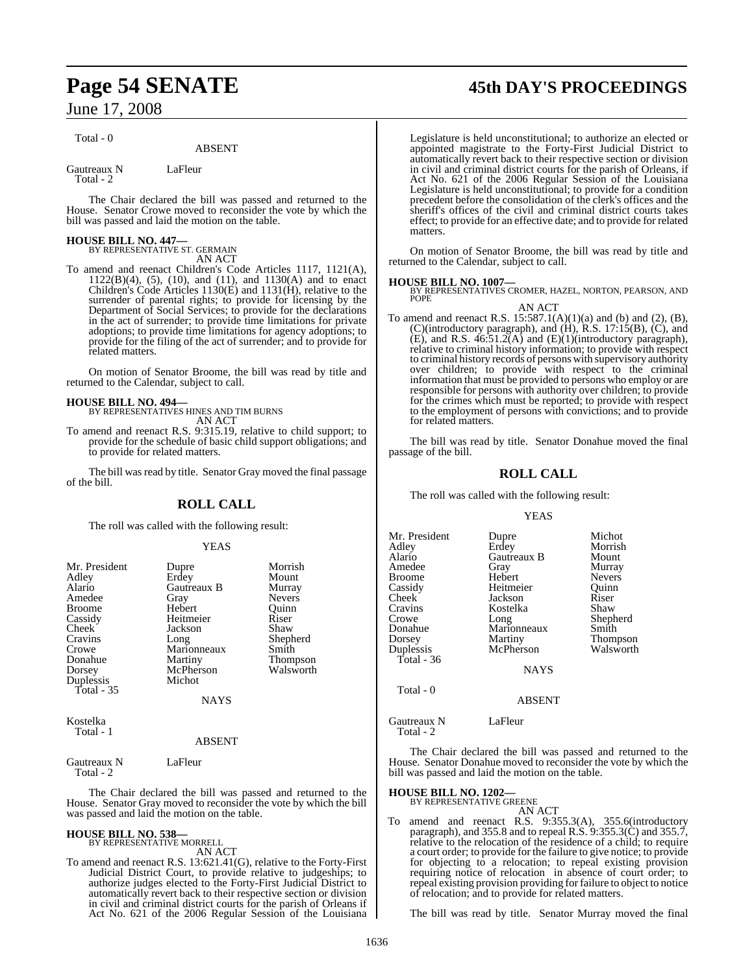Total - 0

ABSENT

Gautreaux N LaFleur Total - 2

The Chair declared the bill was passed and returned to the House. Senator Crowe moved to reconsider the vote by which the bill was passed and laid the motion on the table.

# **HOUSE BILL NO. 447—** BY REPRESENTATIVE ST. GERMAIN

AN ACT

To amend and reenact Children's Code Articles 1117, 1121(A), 1122(B)(4), (5), (10), and (11), and 1130(A) and to enact Children's Code Articles 1130(E) and 1131(H), relative to the surrender of parental rights; to provide for licensing by the Department of Social Services; to provide for the declarations in the act of surrender; to provide time limitations for private adoptions; to provide time limitations for agency adoptions; to provide for the filing of the act of surrender; and to provide for related matters.

On motion of Senator Broome, the bill was read by title and returned to the Calendar, subject to call.

## **HOUSE BILL NO. 494—**

BY REPRESENTATIVES HINES AND TIM BURNS AN ACT

To amend and reenact R.S. 9:315.19, relative to child support; to provide for the schedule of basic child support obligations; and to provide for related matters.

The bill was read by title. Senator Gray moved the final passage of the bill.

#### **ROLL CALL**

The roll was called with the following result:

#### YEAS

| Mr. President         | Dupre       | Morrish         |
|-----------------------|-------------|-----------------|
| Adley                 | Erdey       | Mount           |
| Alario                | Gautreaux B | Murray          |
| Amedee                | Gray        | <b>Nevers</b>   |
| <b>Broome</b>         | Hebert      | Ouinn           |
| Cassidy               | Heitmeier   | Riser           |
| Cheek                 | Jackson     | Shaw            |
| Cravins               | Long        | Shepherd        |
| Crowe                 | Marionneaux | Smith           |
| Donahue               | Martiny     | <b>Thompson</b> |
| Dorsey                | McPherson   | Walsworth       |
| Duplessis             | Michot      |                 |
| Total - 35            |             |                 |
|                       | <b>NAYS</b> |                 |
| Kostelka<br>Total - 1 |             |                 |
|                       |             |                 |

#### ABSENT

Gautreaux N LaFleur Total - 2

The Chair declared the bill was passed and returned to the House. Senator Gray moved to reconsider the vote by which the bill was passed and laid the motion on the table.

#### **HOUSE BILL NO. 538—**

BY REPRESENTATIVE MORRELL AN ACT

To amend and reenact R.S. 13:621.41(G), relative to the Forty-First Judicial District Court, to provide relative to judgeships; to authorize judges elected to the Forty-First Judicial District to automatically revert back to their respective section or division in civil and criminal district courts for the parish of Orleans if Act No. 621 of the 2006 Regular Session of the Louisiana

# **Page 54 SENATE 45th DAY'S PROCEEDINGS**

Legislature is held unconstitutional; to authorize an elected or appointed magistrate to the Forty-First Judicial District to automatically revert back to their respective section or division in civil and criminal district courts for the parish of Orleans, if Act No. 621 of the 2006 Regular Session of the Louisiana Legislature is held unconstitutional; to provide for a condition precedent before the consolidation of the clerk's offices and the sheriff's offices of the civil and criminal district courts takes effect; to provide for an effective date; and to provide for related matters.

On motion of Senator Broome, the bill was read by title and returned to the Calendar, subject to call.

**HOUSE BILL NO. 1007—** BY REPRESENTATIVES CROMER, HAZEL, NORTON, PEARSON, AND POPE AN ACT

To amend and reenact R.S.  $15:587.1(A)(1)(a)$  and (b) and (2), (B), (C)(introductory paragraph), and (H), R.S. 17:15(B), (C), and  $(E)$ , and R.S. 46:51.2(A) and  $(E)(1)$ (introductory paragraph), relative to criminal history information; to provide with respect to criminal history records of persons with supervisory authority over children; to provide with respect to the criminal information that must be provided to persons who employ or are responsible for persons with authority over children; to provide for the crimes which must be reported; to provide with respect to the employment of persons with convictions; and to provide for related matters.

The bill was read by title. Senator Donahue moved the final passage of the bill.

#### **ROLL CALL**

The roll was called with the following result:

#### YEAS

| Mr. President      | Dupre               | Michot        |
|--------------------|---------------------|---------------|
| Adley              | Erdey               | Morrish       |
| Alario             | Gautreaux B         | Mount         |
| Amedee             | Gray                | Murray        |
| Broome             | Hebert              | <b>Nevers</b> |
| Cassidy            | Heitmeier           | Ouinn         |
| Cheek <sup>-</sup> | Jackson             | Riser         |
| Cravins            | Kostelka            | Shaw          |
| Crowe              |                     | Shepherd      |
| Donahue            | Long<br>Marionneaux | Smith         |
| Dorsey             | Martiny             | Thompson      |
| Duplessis          | McPherson           | Walsworth     |
| Total - 36         |                     |               |
|                    | <b>NAYS</b>         |               |
| Total - 0          |                     |               |
|                    | ABSENT              |               |

Gautreaux N LaFleur

 $\frac{\ldots}{\text{Total - 2}}$ 

The Chair declared the bill was passed and returned to the House. Senator Donahue moved to reconsider the vote by which the bill was passed and laid the motion on the table.

## **HOUSE BILL NO. 1202—** BY REPRESENTATIVE GREENE

AN ACT To amend and reenact R.S. 9:355.3(A), 355.6(introductory paragraph), and 355.8 and to repeal R.S. 9:355.3(C) and 355.7, relative to the relocation of the residence of a child; to require a court order; to provide for the failure to give notice; to provide for objecting to a relocation; to repeal existing provision requiring notice of relocation in absence of court order; to repeal existing provision providing for failure to object to notice of relocation; and to provide for related matters.

The bill was read by title. Senator Murray moved the final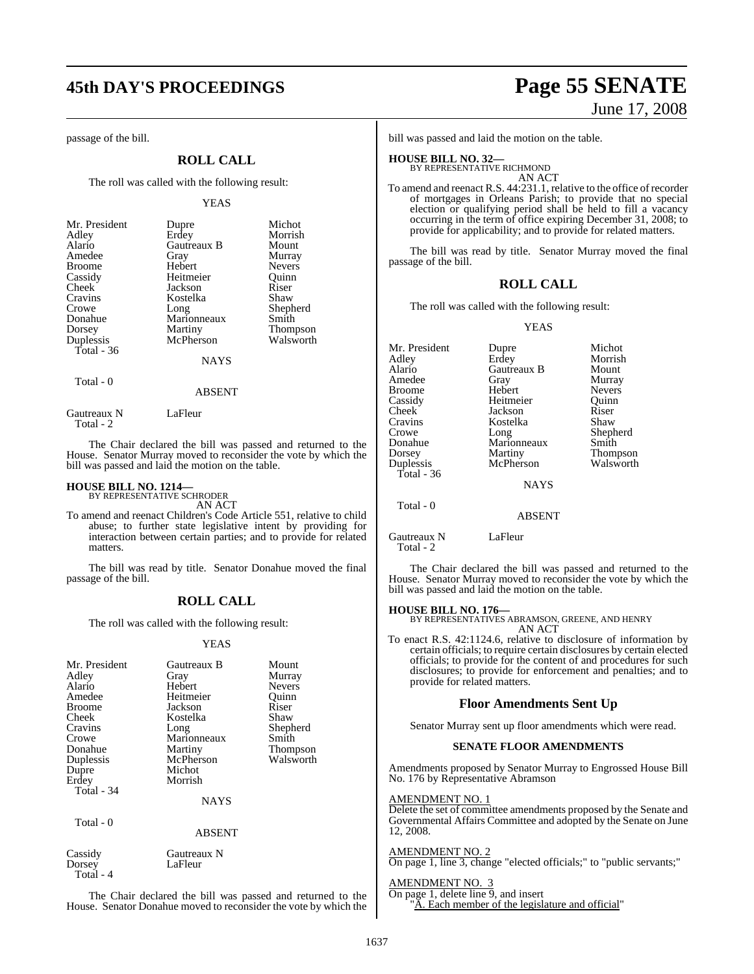# **45th DAY'S PROCEEDINGS Page 55 SENATE**

passage of the bill.

#### **ROLL CALL**

The roll was called with the following result:

**YEAS** 

| Mr. President | Dupre       | Michot          |
|---------------|-------------|-----------------|
| Adley         | Erdey       | Morrish         |
| Alario        | Gautreaux B | Mount           |
| Amedee        | Gray        | Murray          |
| <b>Broome</b> | Hebert      | <b>Nevers</b>   |
| Cassidy       | Heitmeier   | Ouinn           |
| Cheek         | Jackson     | Riser           |
| Cravins       | Kostelka    | Shaw            |
| Crowe         | Long        | Shepherd        |
| Donahue       | Marionneaux | Smith           |
| Dorsey        | Martiny     | <b>Thompson</b> |
| Duplessis     | McPherson   | Walsworth       |
| Total - $36$  |             |                 |
|               | NAYS        |                 |

#### ABSENT

Gautreaux N LaFleur Total - 2

Total - 0

The Chair declared the bill was passed and returned to the House. Senator Murray moved to reconsider the vote by which the bill was passed and laid the motion on the table.

## **HOUSE BILL NO. 1214—** BY REPRESENTATIVE SCHRODER

AN ACT

To amend and reenact Children's Code Article 551, relative to child abuse; to further state legislative intent by providing for interaction between certain parties; and to provide for related matters.

The bill was read by title. Senator Donahue moved the final passage of the bill.

## **ROLL CALL**

The roll was called with the following result:

#### YEAS

| Mr. President<br>Adley<br>Alario<br>Amedee<br><b>Broome</b><br>Cheek<br>Cravins<br>Crowe<br>Donahue<br>Duplessis<br>Dupre<br>Erdey<br>Total - 34 | Gautreaux B<br>Gray<br>Hebert<br>Heitmeier<br>Jackson<br>Kostelka<br>Long<br>Marionneaux<br>Martiny<br>McPherson<br>Michot<br>Morrish<br><b>NAYS</b> | Mount<br>Murray<br><b>Nevers</b><br>Ouinn<br>Riser<br>Shaw<br>Shepherd<br>Smith<br>Thompson<br>Walsworth |
|--------------------------------------------------------------------------------------------------------------------------------------------------|------------------------------------------------------------------------------------------------------------------------------------------------------|----------------------------------------------------------------------------------------------------------|
| Total - 0                                                                                                                                        | <b>ABSENT</b>                                                                                                                                        |                                                                                                          |
| Cassidy<br>Dorsey<br>Total - 4                                                                                                                   | Gautreaux N<br>LaFleur                                                                                                                               |                                                                                                          |

The Chair declared the bill was passed and returned to the House. Senator Donahue moved to reconsider the vote by which the

# June 17, 2008

bill was passed and laid the motion on the table.

#### **HOUSE BILL NO. 32—**

BY REPRESENTATIVE RICHMOND AN ACT

To amend and reenact R.S. 44:231.1, relative to the office ofrecorder of mortgages in Orleans Parish; to provide that no special election or qualifying period shall be held to fill a vacancy occurring in the term of office expiring December 31, 2008; to provide for applicability; and to provide for related matters.

The bill was read by title. Senator Murray moved the final passage of the bill.

### **ROLL CALL**

The roll was called with the following result:

YEAS

| Mr. President | Dupre         | Michot        |
|---------------|---------------|---------------|
| Adley         | Erdey         | Morrish       |
| Alario        | Gautreaux B   | Mount         |
| Amedee        | Gray          | Murray        |
| Broome        | Hebert        | <b>Nevers</b> |
| Cassidy       | Heitmeier     | Ouinn         |
| Cheek         | Jackson       | Riser         |
| Cravins       | Kostelka      | Shaw          |
| Crowe         | Long          | Shepherd      |
| Donahue       | Marionneaux   | Smith         |
| Dorsey        | Martiny       | Thompson      |
| Duplessis     | McPherson     | Walsworth     |
| Total - 36    |               |               |
|               | <b>NAYS</b>   |               |
| Total - 0     |               |               |
|               | <b>ABSENT</b> |               |
|               |               |               |

Gautreaux N LaFleur Total - 2

The Chair declared the bill was passed and returned to the House. Senator Murray moved to reconsider the vote by which the bill was passed and laid the motion on the table.

#### **HOUSE BILL NO. 176—**

BY REPRESENTATIVES ABRAMSON, GREENE, AND HENRY AN ACT

To enact R.S. 42:1124.6, relative to disclosure of information by certain officials; to require certain disclosures by certain elected officials; to provide for the content of and procedures for such disclosures; to provide for enforcement and penalties; and to provide for related matters.

#### **Floor Amendments Sent Up**

Senator Murray sent up floor amendments which were read.

#### **SENATE FLOOR AMENDMENTS**

Amendments proposed by Senator Murray to Engrossed House Bill No. 176 by Representative Abramson

#### AMENDMENT NO. 1

Delete the set of committee amendments proposed by the Senate and Governmental Affairs Committee and adopted by the Senate on June 12, 2008.

#### AMENDMENT NO. 2

On page 1, line 3, change "elected officials;" to "public servants;"

## **AMENDMENT NO.**

On page 1, delete line 9, and insert  $\overline{A}$ . Each member of the legislature and official"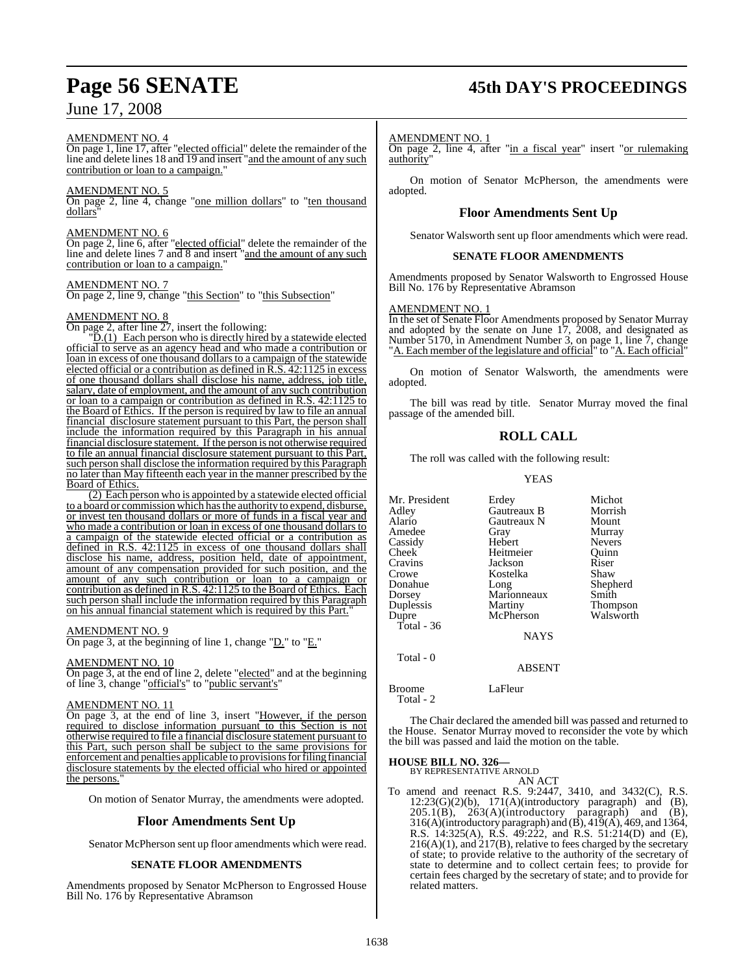#### AMENDMENT NO. 4

On page 1, line 17, after "elected official" delete the remainder of the line and delete lines 18 and 19 and insert "and the amount of any such contribution or loan to a campaign."

#### AMENDMENT NO. 5

On page 2, line 4, change "one million dollars" to "ten thousand dollars"

#### AMENDMENT NO. 6

On page 2, line 6, after "elected official" delete the remainder of the line and delete lines 7 and 8 and insert "and the amount of any such contribution or loan to a campaign.

#### AMENDMENT NO. 7

On page 2, line 9, change "this Section" to "this Subsection"

#### AMENDMENT NO. 8

On page 2, after line 27, insert the following:

 $\overline{D}(1)$  Each person who is directly hired by a statewide elected official to serve as an agency head and who made a contribution or loan in excess of one thousand dollars to a campaign of the statewide elected official or a contribution as defined in R.S. 42:1125 in excess of one thousand dollars shall disclose his name, address, job title, salary, date of employment, and the amount of any such contribution or loan to a campaign or contribution as defined in R.S. 42:1125 to the Board of Ethics. If the person is required by law to file an annual financial disclosure statement pursuant to this Part, the person shall include the information required by this Paragraph in his annual financial disclosure statement. If the person is not otherwise required to file an annual financial disclosure statement pursuant to this Part, such person shall disclose the information required by this Paragraph no later than May fifteenth each year in the manner prescribed by the Board of Ethics.

(2) Each person who is appointed by a statewide elected official to a board or commission which hasthe authority to expend, disburse, or invest ten thousand dollars or more of funds in a fiscal year and who made a contribution or loan in excess of one thousand dollars to a campaign of the statewide elected official or a contribution as defined in R.S. 42:1125 in excess of one thousand dollars shall disclose his name, address, position held, date of appointment, amount of any compensation provided for such position, and the amount of any such contribution or loan to a campaign or contribution as defined in R.S. 42:1125 to the Board of Ethics. Each such person shall include the information required by this Paragraph on his annual financial statement which is required by this Part."

## AMENDMENT NO. 9

On page 3, at the beginning of line 1, change " $D$ ." to " $E$ ."

#### AMENDMENT NO. 10

On page 3, at the end of line 2, delete "elected" and at the beginning of line 3, change "official's" to "public servant's"

#### AMENDMENT NO. 11

On page 3, at the end of line 3, insert "However, if the person required to disclose information pursuant to this Section is not otherwise required to file a financial disclosure statement pursuant to this Part, such person shall be subject to the same provisions for enforcement and penalties applicable to provisions for filing financial disclosure statements by the elected official who hired or appointed the persons."

On motion of Senator Murray, the amendments were adopted.

#### **Floor Amendments Sent Up**

Senator McPherson sent up floor amendments which were read.

#### **SENATE FLOOR AMENDMENTS**

Amendments proposed by Senator McPherson to Engrossed House Bill No. 176 by Representative Abramson

# **Page 56 SENATE 45th DAY'S PROCEEDINGS**

#### AMENDMENT NO. 1

On page 2, line 4, after "in a fiscal year" insert "or rulemaking authority"

On motion of Senator McPherson, the amendments were adopted.

#### **Floor Amendments Sent Up**

Senator Walsworth sent up floor amendments which were read.

#### **SENATE FLOOR AMENDMENTS**

Amendments proposed by Senator Walsworth to Engrossed House Bill No. 176 by Representative Abramson

#### AMENDMENT NO. 1

In the set of Senate Floor Amendments proposed by Senator Murray and adopted by the senate on June 17, 2008, and designated as Number 5170, in Amendment Number 3, on page 1, line 7, change A. Each member of the legislature and official" to "A. Each official

On motion of Senator Walsworth, the amendments were adopted.

The bill was read by title. Senator Murray moved the final passage of the amended bill.

#### **ROLL CALL**

The roll was called with the following result:

#### YEAS

| Mr. President | Erdey         | Michot        |
|---------------|---------------|---------------|
| Adlev         | Gautreaux B   | Morrish       |
| Alario        | Gautreaux N   | Mount         |
| Amedee        | Gray          | Murray        |
| Cassidy       | Hebert        | <b>Nevers</b> |
| Cheek         | Heitmeier     | Ouinn         |
| Cravins       | Jackson       | Riser         |
| Crowe         | Kostelka      | Shaw          |
| Donahue       | Long          | Shepherd      |
| Dorsey        | Marionneaux   | Smith         |
| Duplessis     | Martiny       | Thompson      |
| Dupre         | McPherson     | Walsworth     |
| Total - 36    |               |               |
|               | <b>NAYS</b>   |               |
| Total - 0     |               |               |
|               | <b>ABSENT</b> |               |

The Chair declared the amended bill was passed and returned to the House. Senator Murray moved to reconsider the vote by which

the bill was passed and laid the motion on the table.

# **HOUSE BILL NO. 326—** BY REPRESENTATIVE ARNOLD

Broome LaFleur

Total - 2

AN ACT

To amend and reenact R.S. 9:2447, 3410, and 3432(C), R.S.  $12:23(G)(2)(b)$ ,  $171(A)(introductory paragraph)$  and  $(B)$ ,  $205.1(B)$ ,  $263(A)$ (introductory paragraph) and (B), 316(A)(introductory paragraph) and  $(\vec{B})$ , 419( $(\vec{A})$ , 469, and 1364, R.S. 14:325(A), R.S. 49:222, and R.S. 51:214(D) and (E), 216(A)(1), and 217(B), relative to fees charged by the secretary of state; to provide relative to the authority of the secretary of state to determine and to collect certain fees; to provide for certain fees charged by the secretary of state; and to provide for related matters.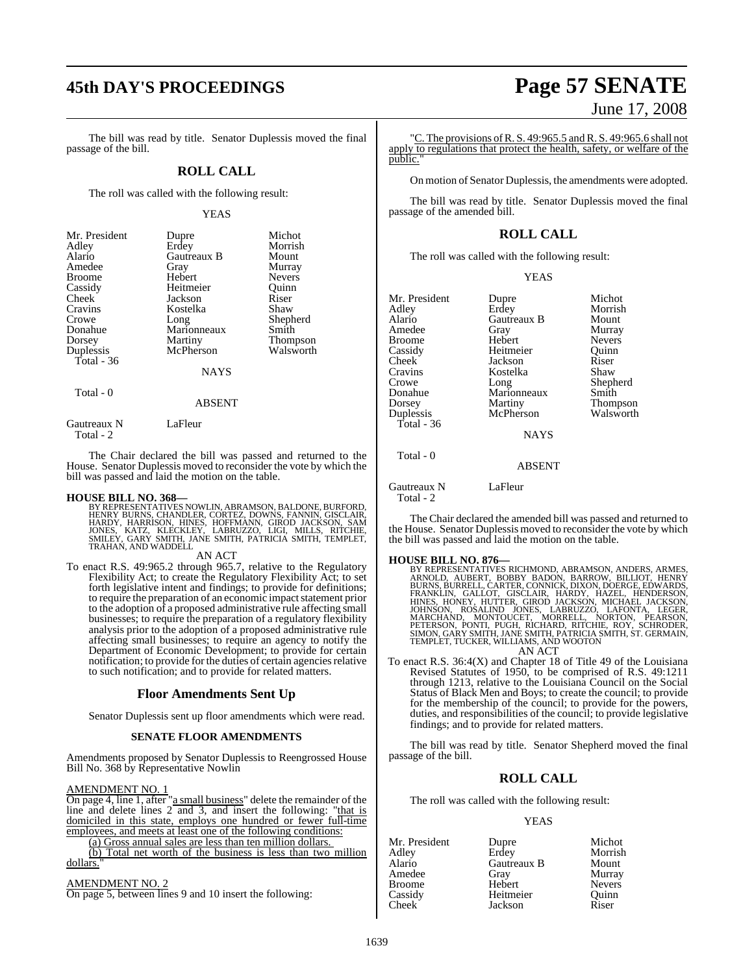# **45th DAY'S PROCEEDINGS Page 57 SENATE**

The bill was read by title. Senator Duplessis moved the final passage of the bill.

#### **ROLL CALL**

The roll was called with the following result:

#### YEAS

| Mr. President | Dupre         | Michot          |
|---------------|---------------|-----------------|
| Adley         | Erdey         | Morrish         |
| Alario        | Gautreaux B   | Mount           |
| Amedee        | Gray          | Murray          |
| <b>Broome</b> | Hebert        | <b>Nevers</b>   |
| Cassidy       | Heitmeier     | Ouinn           |
| Cheek         | Jackson       | Riser           |
| Cravins       | Kostelka      | Shaw            |
| Crowe         | Long          | Shepherd        |
| Donahue       | Marionneaux   | Smith           |
| Dorsey        | Martiny       | <b>Thompson</b> |
| Duplessis     | McPherson     | Walsworth       |
| Total - 36    |               |                 |
|               | <b>NAYS</b>   |                 |
| Total - 0     |               |                 |
|               | <b>ABSENT</b> |                 |
| Gautreaux N   | LaFleur       |                 |

Total - 2

The Chair declared the bill was passed and returned to the House. Senator Duplessis moved to reconsider the vote by which the bill was passed and laid the motion on the table.

**HOUSE BILL NO. 368—**<br>BY REPRESENTATIVES NOWLIN, ABRAMSON, BALDONE, BURFORD,<br>HENRY BURNS, CHANDLER, CORTEZ, DOWNS, FANNIN, GISCLAIR,<br>HARDY, HARRISON, HINES, HOFFMANN, GIROD JACKSON, SAM<br>JONES, KATZ, KLECKLEY, LABRUZZO, LIG

#### AN ACT

To enact R.S. 49:965.2 through 965.7, relative to the Regulatory Flexibility Act; to create the Regulatory Flexibility Act; to set forth legislative intent and findings; to provide for definitions; to require the preparation of an economic impact statement prior to the adoption of a proposed administrative rule affecting small businesses; to require the preparation of a regulatory flexibility analysis prior to the adoption of a proposed administrative rule affecting small businesses; to require an agency to notify the Department of Economic Development; to provide for certain notification; to provide for the duties of certain agencies relative to such notification; and to provide for related matters.

#### **Floor Amendments Sent Up**

Senator Duplessis sent up floor amendments which were read.

#### **SENATE FLOOR AMENDMENTS**

Amendments proposed by Senator Duplessis to Reengrossed House Bill No. 368 by Representative Nowlin

#### AMENDMENT NO. 1

On page 4, line 1, after "a small business" delete the remainder of the line and delete lines 2 and 3, and insert the following: "that is domiciled in this state, employs one hundred or fewer full-time employees, and meets at least one of the following conditions:

(a) Gross annual sales are less than ten million dollars. (b) Total net worth of the business is less than two million

## dollars.

#### AMENDMENT NO. 2

On page 5, between lines 9 and 10 insert the following:

# June 17, 2008

C. The provisions of R. S. 49:965.5 and R. S. 49:965.6 shall not apply to regulations that protect the health, safety, or welfare of the public."

On motion of Senator Duplessis, the amendments were adopted.

The bill was read by title. Senator Duplessis moved the final passage of the amended bill.

## **ROLL CALL**

The roll was called with the following result:

| Dupre<br>Erdey<br>Gautreaux B<br>Gray<br>Hebert<br>Heitmeier<br>Jackson<br>Kostelka<br>Long<br>Marionneaux<br>Martiny<br>McPherson<br><b>NAYS</b> | Michot<br>Morrish<br>Mount<br>Murray<br><b>Nevers</b><br>Ouinn<br>Riser<br>Shaw<br>Shepherd<br>Smith<br>Thompson<br>Walsworth |
|---------------------------------------------------------------------------------------------------------------------------------------------------|-------------------------------------------------------------------------------------------------------------------------------|
| <b>ABSENT</b>                                                                                                                                     |                                                                                                                               |
|                                                                                                                                                   |                                                                                                                               |

Gautreaux N LaFleur Total - 2

The Chair declared the amended bill was passed and returned to the House. Senator Duplessis moved to reconsider the vote by which the bill was passed and laid the motion on the table.

**HOUSE BILL NO. 876—**<br>BY REPRESENTATIVES RICHMOND, ABRAMSON, ANDERS, ARMES, ARNOLD, AUBERT, BOBBY BADON, BARROW, BILLIOT, HENRY<br>BURNS, BURRELL, CARTER, CONNICK, DIXON, DOERGE, EDWARDS,<br>FRANKLIN, GALLOT, GISCLAIR, HARDY, HA TEMPLET, TUCKER, WILLIAMS, AND WOOTON AN ACT

To enact R.S. 36:4(X) and Chapter 18 of Title 49 of the Louisiana Revised Statutes of 1950, to be comprised of R.S. 49:1211 through 1213, relative to the Louisiana Council on the Social Status of Black Men and Boys; to create the council; to provide for the membership of the council; to provide for the powers, duties, and responsibilities of the council; to provide legislative findings; and to provide for related matters.

The bill was read by title. Senator Shepherd moved the final passage of the bill.

#### **ROLL CALL**

The roll was called with the following result:

#### YEAS

| Dupre       | Michot        |
|-------------|---------------|
| Erdey       | Morrish       |
| Gautreaux B | Mount         |
| Gray        | Murray        |
| Hebert      | <b>Nevers</b> |
| Heitmeier   | Quinn         |
| Jackson     | Riser         |
|             |               |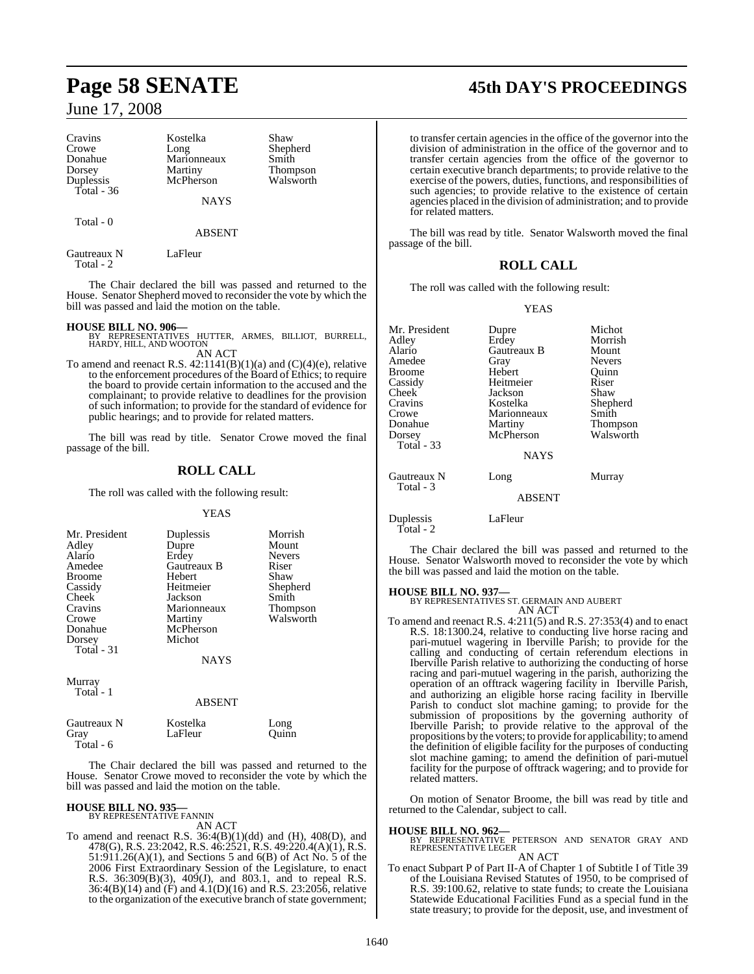Cravins Kostelka Shaw<br>Crowe Long Shepl Crowe Long Shepherd<br>
Donahue Marionneaux Smith Donahue Marionneaux Smith Duplessis Total - 36

Total - 0

NAYS

ABSENT

Martiny Thompson<br>
McPherson Walsworth

Gautreaux N LaFleur Total - 2

The Chair declared the bill was passed and returned to the House. Senator Shepherd moved to reconsider the vote by which the bill was passed and laid the motion on the table.

- **HOUSE BILL NO. 906—** BY REPRESENTATIVES HUTTER, ARMES, BILLIOT, BURRELL, HARDY, HILL, AND WOOTON AN ACT
- To amend and reenact R.S.  $42:1141(B)(1)(a)$  and  $(C)(4)(e)$ , relative to the enforcement procedures of the Board of Ethics; to require the board to provide certain information to the accused and the complainant; to provide relative to deadlines for the provision of such information; to provide for the standard of evidence for public hearings; and to provide for related matters.

The bill was read by title. Senator Crowe moved the final passage of the bill.

#### **ROLL CALL**

The roll was called with the following result:

#### YEAS

| Mr. President<br>Adley<br>Alario<br>Amedee<br><b>Broome</b><br>Cassidy<br>Cheek<br>Cravins<br>Crowe<br>Donahue<br>Dorsey<br>Total $-31$ | Duplessis<br>Dupre<br>Erdey<br>Gautreaux B<br>Hebert<br>Heitmeier<br>Jackson<br>Marionneaux<br>Martiny<br>McPherson<br>Michot | Morrish<br>Mount<br><b>Nevers</b><br>Riser<br>Shaw<br>Shepherd<br>Smith<br><b>Thompson</b><br>Walsworth |
|-----------------------------------------------------------------------------------------------------------------------------------------|-------------------------------------------------------------------------------------------------------------------------------|---------------------------------------------------------------------------------------------------------|
|                                                                                                                                         | <b>NAYS</b>                                                                                                                   |                                                                                                         |
| Murray<br>Total - 1                                                                                                                     | ABSENT                                                                                                                        |                                                                                                         |

| Gautreaux N | Kostelka | Long  |
|-------------|----------|-------|
| Grav        | LaFleur  | Ouinn |
| Total - 6   |          |       |

The Chair declared the bill was passed and returned to the House. Senator Crowe moved to reconsider the vote by which the bill was passed and laid the motion on the table.

#### **HOUSE BILL NO. 935—**

BY REPRESENTATIVE FANNIN AN ACT

To amend and reenact R.S.  $36:4(B)(1)(dd)$  and  $(H)$ ,  $408(D)$ , and 478(G), R.S. 23:2042, R.S. 46:2521, R.S. 49:220.4(A)(1), R.S. 51:911.26(A)(1), and Sections 5 and 6(B) of Act No. 5 of the 2006 First Extraordinary Session of the Legislature, to enact R.S. 36:309(B)(3), 409(J), and 803.1, and to repeal R.S.  $36:4(B)(14)$  and  $(F)$  and  $4.1(D)(16)$  and R.S. 23:2056, relative to the organization of the executive branch of state government;

# **Page 58 SENATE 45th DAY'S PROCEEDINGS**

to transfer certain agencies in the office of the governor into the division of administration in the office of the governor and to transfer certain agencies from the office of the governor to certain executive branch departments; to provide relative to the exercise of the powers, duties, functions, and responsibilities of such agencies; to provide relative to the existence of certain agencies placed in the division of administration; and to provide for related matters.

The bill was read by title. Senator Walsworth moved the final passage of the bill.

## **ROLL CALL**

The roll was called with the following result:

#### YEAS

| Mr. President          | Dupre         | Michot        |
|------------------------|---------------|---------------|
| Adley                  | Erdey         | Morrish       |
| Alario                 | Gautreaux B   | Mount         |
|                        |               |               |
| Amedee                 | Gray          | <b>Nevers</b> |
| <b>Broome</b>          | Hebert        | Quinn         |
| Cassidy                | Heitmeier     | Riser         |
| Cheek                  | Jackson       | Shaw          |
| Cravins                | Kostelka      | Shepherd      |
| Crowe                  | Marionneaux   | Smith         |
| Donahue                | Martiny       | Thompson      |
| Dorsey                 | McPherson     | Walsworth     |
| <b>Total</b> - 33      |               |               |
|                        | <b>NAYS</b>   |               |
| Gautreaux N            | Long          | Murray        |
| Total - 3              |               |               |
|                        | <b>ABSENT</b> |               |
| Duplessis<br>Total - 2 | LaFleur       |               |

The Chair declared the bill was passed and returned to the House. Senator Walsworth moved to reconsider the vote by which the bill was passed and laid the motion on the table.

**HOUSE BILL NO. 937—** BY REPRESENTATIVES ST. GERMAIN AND AUBERT AN ACT

To amend and reenact R.S. 4:211(5) and R.S. 27:353(4) and to enact R.S. 18:1300.24, relative to conducting live horse racing and pari-mutuel wagering in Iberville Parish; to provide for the calling and conducting of certain referendum elections in Iberville Parish relative to authorizing the conducting of horse racing and pari-mutuel wagering in the parish, authorizing the operation of an offtrack wagering facility in Iberville Parish, and authorizing an eligible horse racing facility in Iberville Parish to conduct slot machine gaming; to provide for the submission of propositions by the governing authority of Iberville Parish; to provide relative to the approval of the propositions by the voters; to provide for applicability; to amend the definition of eligible facility for the purposes of conducting slot machine gaming; to amend the definition of pari-mutuel facility for the purpose of offtrack wagering; and to provide for related matters.

On motion of Senator Broome, the bill was read by title and returned to the Calendar, subject to call.

**HOUSE BILL NO. 962—** BY REPRESENTATIVE PETERSON AND SENATOR GRAY AND REPRESENTATIVE LEGER

AN ACT To enact Subpart P of Part II-A of Chapter 1 of Subtitle I of Title 39 of the Louisiana Revised Statutes of 1950, to be comprised of R.S. 39:100.62, relative to state funds; to create the Louisiana Statewide Educational Facilities Fund as a special fund in the state treasury; to provide for the deposit, use, and investment of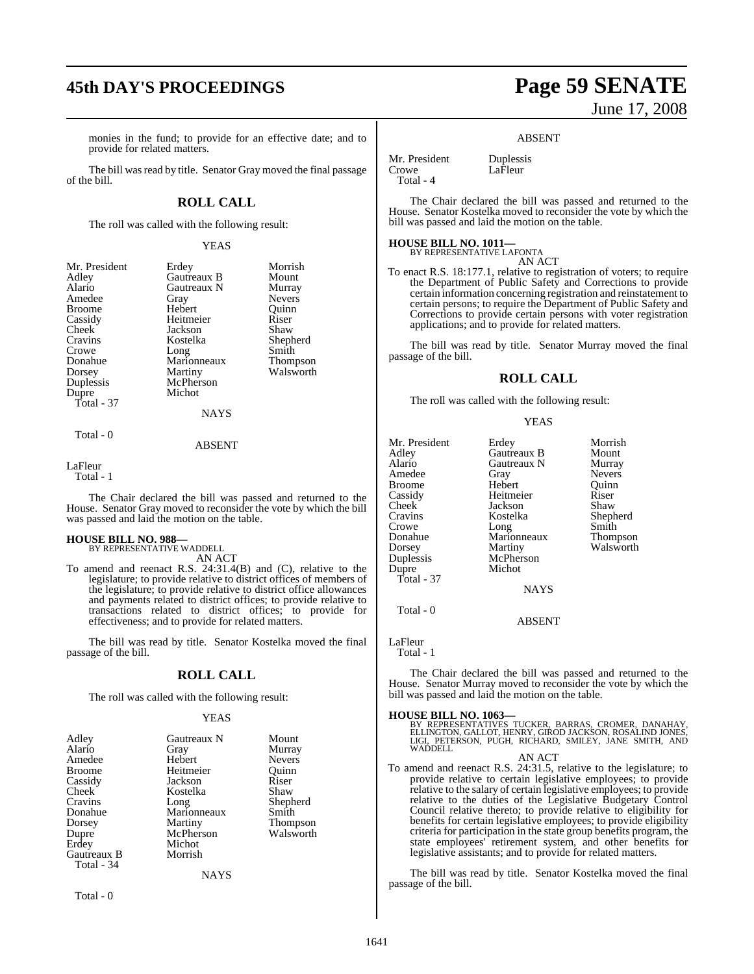monies in the fund; to provide for an effective date; and to provide for related matters.

The bill was read by title. Senator Gray moved the final passage of the bill.

#### **ROLL CALL**

The roll was called with the following result:

#### YEAS

| Mr. President | Erdey       | Morrish       |
|---------------|-------------|---------------|
| Adley         | Gautreaux B | Mount         |
| Alario        | Gautreaux N | Murray        |
| Amedee        | Gray        | <b>Nevers</b> |
| <b>Broome</b> | Hebert      | Ouinn         |
| Cassidy       | Heitmeier   | Riser         |
| Cheek         | Jackson     | Shaw          |
| Cravins       | Kostelka    | Shepherd      |
| Crowe         | Long        | Smith         |
| Donahue       | Marionneaux | Thompson      |
| Dorsey        | Martiny     | Walsworth     |
| Duplessis     | McPherson   |               |
| Dupre         | Michot      |               |
| Total $-37$   |             |               |
|               | <b>NAYS</b> |               |
| Total - 0     |             |               |
|               | ABSENT      |               |

LaFleur

Total - 1

The Chair declared the bill was passed and returned to the House. Senator Gray moved to reconsider the vote by which the bill was passed and laid the motion on the table.

#### **HOUSE BILL NO. 988—**

BY REPRESENTATIVE WADDELL AN ACT

To amend and reenact R.S. 24:31.4(B) and (C), relative to the legislature; to provide relative to district offices of members of the legislature; to provide relative to district office allowances and payments related to district offices; to provide relative to transactions related to district offices; to provide for effectiveness; and to provide for related matters.

The bill was read by title. Senator Kostelka moved the final passage of the bill.

#### **ROLL CALL**

The roll was called with the following result:

#### YEAS

| Adley                                                            | Gautreaux N                                                             | Mount                                 |
|------------------------------------------------------------------|-------------------------------------------------------------------------|---------------------------------------|
| Alario                                                           | Gray                                                                    | Murray                                |
| Amedee                                                           | Hebert                                                                  | <b>Nevers</b>                         |
| <b>Broome</b>                                                    | Heitmeier                                                               | Ouinn                                 |
| Cassidy                                                          | Jackson                                                                 | Riser                                 |
| Cheek                                                            | Kostelka                                                                | Shaw                                  |
| Cravins                                                          | Long                                                                    | Shepherd                              |
| Donahue<br>Dorsey<br>Dupre<br>Erdey<br>Gautreaux B<br>Total - 34 | Marionneaux<br>Martiny<br>McPherson<br>Michot<br>Morrish<br><b>NAYS</b> | Smith<br><b>Thompson</b><br>Walsworth |

Total - 0

## **45th DAY'S PROCEEDINGS Page 59 SENATE** June 17, 2008

#### ABSENT

LaFleur

Mr. President Duplessis<br>Crowe LaFleur Total - 4

The Chair declared the bill was passed and returned to the House. Senator Kostelka moved to reconsider the vote by which the bill was passed and laid the motion on the table.

#### **HOUSE BILL NO. 1011—**

BY REPRESENTATIVE LAFONTA AN ACT

To enact R.S. 18:177.1, relative to registration of voters; to require the Department of Public Safety and Corrections to provide certain information concerning registration and reinstatement to certain persons; to require the Department of Public Safety and Corrections to provide certain persons with voter registration applications; and to provide for related matters.

The bill was read by title. Senator Murray moved the final passage of the bill.

#### **ROLL CALL**

The roll was called with the following result:

#### YEAS

Mr. President Erdey Morrish Adley Gautreaux B Mount Gautreaux N Murray<br>Gray Nevers Amedee Gray<br>Broome Hebert Broome Hebert Quinn<br>Cassidy Heitmeier Riser Cassidy Heitmeier Riser<br>Cheek Jackson Shaw Cheek Jackson<br>Cravins Kostelka Cravins Kostelka Shepherd Crowe Long<br>Donahue Long<br>Maric Donahue Marionneaux Thompson Dorsey Martiny Walsworth<br>
Duplessis McPherson McPherson Dupre Michot Total - 37 NAYS

Total - 0

ABSENT

LaFleur

Total - 1

The Chair declared the bill was passed and returned to the House. Senator Murray moved to reconsider the vote by which the bill was passed and laid the motion on the table.

**HOUSE BILL NO. 1063—** BY REPRESENTATIVES TUCKER, BARRAS, CROMER, DANAHAY, ELLINGTON, GALLOT, HENRY, GIROD JACKSON, ROSALIND JONES, LIGI, PETERSON, PUGH, RICHARD, SMILEY, JANE SMITH, AND LIGI, PETE

AN ACT

To amend and reenact R.S. 24:31.5, relative to the legislature; to provide relative to certain legislative employees; to provide relative to the salary of certain legislative employees; to provide relative to the duties of the Legislative Budgetary Control Council relative thereto; to provide relative to eligibility for benefits for certain legislative employees; to provide eligibility criteria for participation in the state group benefits program, the state employees' retirement system, and other benefits for legislative assistants; and to provide for related matters.

The bill was read by title. Senator Kostelka moved the final passage of the bill.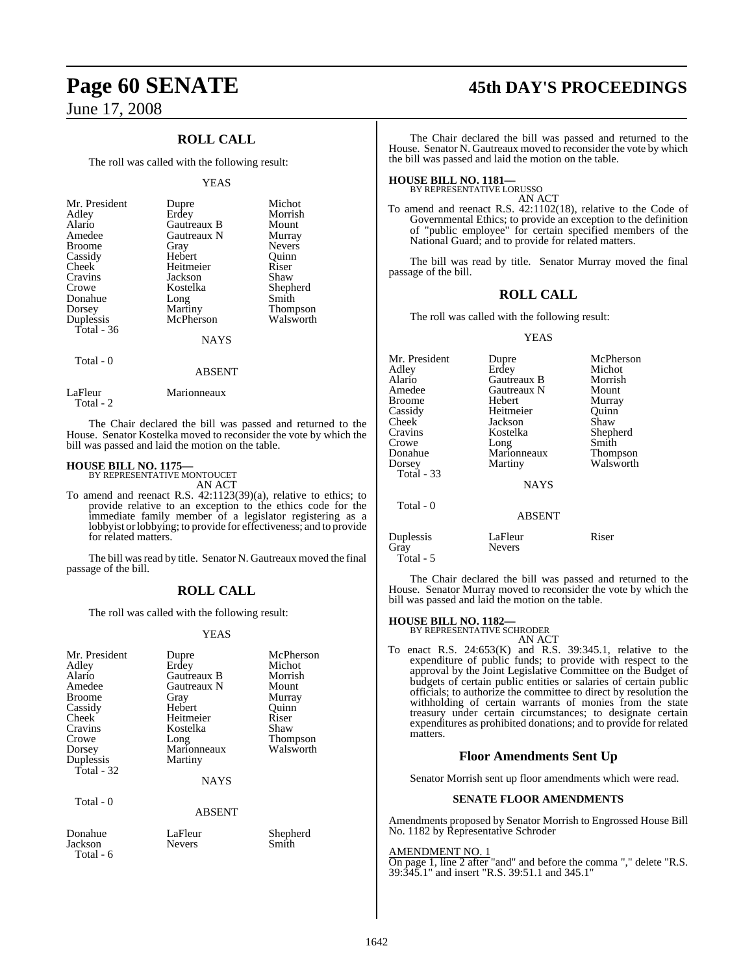## **ROLL CALL**

The roll was called with the following result:

#### YEAS

| Mr. President<br>Adley<br>Alario<br>Amedee<br><b>Broome</b><br>Cassidy<br><b>Cheek</b><br>Cravins<br>Crowe<br>Donahue<br>Dorsey<br>Duplessis | Dupre<br>Erdey<br>Gautreaux B<br>Gautreaux N<br>Gray<br>Hebert<br>Heitmeier<br>Jackson<br>Kostelka<br>Long<br>Martiny<br>McPherson | Michot<br>Morrish<br>Mount<br>Murray<br><b>Nevers</b><br>Ouinn<br>Riser<br>Shaw<br>Shepherd<br>Smith<br><b>Thompson</b><br>Walsworth |
|----------------------------------------------------------------------------------------------------------------------------------------------|------------------------------------------------------------------------------------------------------------------------------------|--------------------------------------------------------------------------------------------------------------------------------------|
| Total - 36                                                                                                                                   |                                                                                                                                    |                                                                                                                                      |
|                                                                                                                                              | NAYS                                                                                                                               |                                                                                                                                      |

Total - 0

#### ABSENT

LaFleur Marionneaux

Total - 2

The Chair declared the bill was passed and returned to the House. Senator Kostelka moved to reconsider the vote by which the bill was passed and laid the motion on the table.

**HOUSE BILL NO. 1175—** BY REPRESENTATIVE MONTOUCET AN ACT

To amend and reenact R.S. 42:1123(39)(a), relative to ethics; to provide relative to an exception to the ethics code for the immediate family member of a legislator registering as a lobbyist orlobbying; to provide for effectiveness; and to provide for related matters.

The bill was read by title. Senator N. Gautreaux moved the final passage of the bill.

#### **ROLL CALL**

The roll was called with the following result:

#### YEAS

| Mr. President<br>Adley<br>Alario<br>Amedee<br><b>Broome</b><br>Cassidy<br>Cheek<br>Cravins<br>Crowe<br>Dorsey<br>Duplessis<br>Total - 32<br>Total - 0 | Dupre<br>Erdey<br>Gautreaux B<br>Gautreaux N<br>Gray<br><b>Hebert</b><br>Heitmeier<br>Kostelka<br>Long<br>Marionneaux<br>Martiny<br><b>NAYS</b><br><b>ABSENT</b> | McPherson<br>Michot<br>Morrish<br>Mount<br>Murray<br>Ouinn<br>Riser<br>Shaw<br>Thompson<br>Walsworth |
|-------------------------------------------------------------------------------------------------------------------------------------------------------|------------------------------------------------------------------------------------------------------------------------------------------------------------------|------------------------------------------------------------------------------------------------------|
| Donahue<br>Jackson<br>Total - 6                                                                                                                       | LaFleur<br><b>Nevers</b>                                                                                                                                         | Shepherd<br>Smith                                                                                    |

# **Page 60 SENATE 45th DAY'S PROCEEDINGS**

The Chair declared the bill was passed and returned to the House. Senator N. Gautreaux moved to reconsider the vote by which the bill was passed and laid the motion on the table.

## **HOUSE BILL NO. 1181—** BY REPRESENTATIVE LORUSSO

AN ACT

To amend and reenact R.S. 42:1102(18), relative to the Code of Governmental Ethics; to provide an exception to the definition of "public employee" for certain specified members of the National Guard; and to provide for related matters.

The bill was read by title. Senator Murray moved the final passage of the bill.

#### **ROLL CALL**

The roll was called with the following result:

#### YEAS

| Mr. President | Dupre         | McPherson |
|---------------|---------------|-----------|
| Adley         | Erdey         | Michot    |
| Alario        | Gautreaux B   | Morrish   |
| Amedee        | Gautreaux N   | Mount     |
| <b>Broome</b> | Hebert        | Murray    |
| Cassidy       | Heitmeier     | Ouinn     |
| Cheek         | Jackson       | Shaw      |
| Cravins       | Kostelka      | Shepherd  |
| Crowe         | Long          | Smith     |
| Donahue       | Marionneaux   | Thompson  |
| Dorsey        | Martiny       | Walsworth |
| Total - 33    |               |           |
|               | <b>NAYS</b>   |           |
| Total - 0     |               |           |
|               | <b>ABSENT</b> |           |
| Duplessis     | LaFleur       | Riser     |
| Gray          | <b>Nevers</b> |           |

The Chair declared the bill was passed and returned to the House. Senator Murray moved to reconsider the vote by which the bill was passed and laid the motion on the table.

## **HOUSE BILL NO. 1182—** BY REPRESENTATIVE SCHRODER

Total - 5

AN ACT

To enact R.S. 24:653(K) and R.S. 39:345.1, relative to the expenditure of public funds; to provide with respect to the approval by the Joint Legislative Committee on the Budget of budgets of certain public entities or salaries of certain public officials; to authorize the committee to direct by resolution the withholding of certain warrants of monies from the state treasury under certain circumstances; to designate certain expenditures as prohibited donations; and to provide for related matters.

#### **Floor Amendments Sent Up**

Senator Morrish sent up floor amendments which were read.

#### **SENATE FLOOR AMENDMENTS**

Amendments proposed by Senator Morrish to Engrossed House Bill No. 1182 by Representative Schroder

#### AMENDMENT NO. 1

On page 1, line 2 after "and" and before the comma "," delete "R.S. 39:345.1" and insert "R.S. 39:51.1 and 345.1"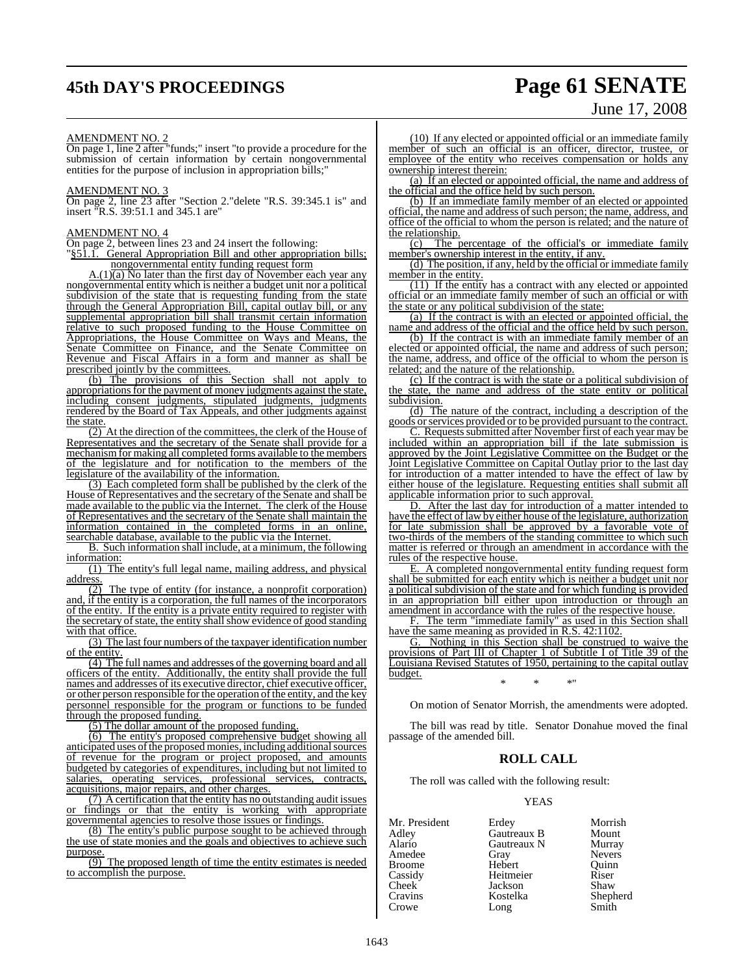# **45th DAY'S PROCEEDINGS Page 61 SENATE**

# June 17, 2008

#### AMENDMENT NO. 2

On page 1, line 2 after "funds;" insert "to provide a procedure for the submission of certain information by certain nongovernmental entities for the purpose of inclusion in appropriation bills;"

#### AMENDMENT NO. 3

On page 2, line 23 after "Section 2."delete "R.S. 39:345.1 is" and insert "R.S. 39:51.1 and 345.1 are"

#### AMENDMENT NO. 4

On page 2, between lines 23 and 24 insert the following:

General Appropriation Bill and other appropriation bills; nongovernmental entity funding request form

 $A(1)(a)$  No later than the first day of November each year any nongovernmental entity which is neither a budget unit nor a political subdivision of the state that is requesting funding from the state through the General Appropriation Bill, capital outlay bill, or any supplemental appropriation bill shall transmit certain information relative to such proposed funding to the House Committee on Appropriations, the House Committee on Ways and Means, the Senate Committee on Finance, and the Senate Committee on Revenue and Fiscal Affairs in a form and manner as shall be prescribed jointly by the committees.

(b) The provisions of this Section shall not apply to appropriations for the payment of money judgments against the state, including consent judgments, stipulated judgments, judgments rendered by the Board of Tax Appeals, and other judgments against the state.

(2) At the direction of the committees, the clerk of the House of Representatives and the secretary of the Senate shall provide for a mechanism for making all completed forms available to the members of the legislature and for notification to the members of the legislature of the availability of the information.

(3) Each completed form shall be published by the clerk of the House of Representatives and the secretary of the Senate and shall be made available to the public via the Internet. The clerk of the House of Representatives and the secretary of the Senate shall maintain the information contained in the completed forms in an online, searchable database, available to the public via the Internet.

B. Such information shall include, at a minimum, the following information:

(1) The entity's full legal name, mailing address, and physical address.

 $\overline{(2)}$  The type of entity (for instance, a nonprofit corporation) and, if the entity is a corporation, the full names of the incorporators of the entity. If the entity is a private entity required to register with the secretary of state, the entity shall show evidence of good standing with that office.

(3) The last four numbers of the taxpayer identification number of the entity.

(4) The full names and addresses of the governing board and all officers of the entity. Additionally, the entity shall provide the full names and addresses of its executive director, chief executive officer, or other person responsible for the operation of the entity, and the key personnel responsible for the program or functions to be funded through the proposed funding.

(5) The dollar amount of the proposed funding.

(6) The entity's proposed comprehensive budget showing all anticipated uses of the proposed monies, including additional sources of revenue for the program or project proposed, and amounts budgeted by categories of expenditures, including but not limited to salaries, operating services, professional services, contracts, acquisitions, major repairs, and other charges.

(7) A certification that the entity has no outstanding audit issues findings or that the entity is working with appropriate governmental agencies to resolve those issues or findings.

(8) The entity's public purpose sought to be achieved through the use of state monies and the goals and objectives to achieve such purpose.

 $\overline{(9)}$  The proposed length of time the entity estimates is needed to accomplish the purpose.

(10) If any elected or appointed official or an immediate family member of such an official is an officer, director, trustee, or employee of the entity who receives compensation or holds any ownership interest therein:

(a) If an elected or appointed official, the name and address of the official and the office held by such person.

(b) If an immediate family member of an elected or appointed official, the name and address of such person; the name, address, and office of the official to whom the person is related; and the nature of the relationship.

(c) The percentage of the official's or immediate family member's ownership interest in the entity, if any.

(d) The position, if any, held by the official or immediate family member in the entity.

(11) If the entity has a contract with any elected or appointed official or an immediate family member of such an official or with the state or any political subdivision of the state:

(a) If the contract is with an elected or appointed official, the name and address of the official and the office held by such person.

(b) If the contract is with an immediate family member of an elected or appointed official, the name and address of such person; the name, address, and office of the official to whom the person is related; and the nature of the relationship.

(c) If the contract is with the state or a political subdivision of the state, the name and address of the state entity or political subdivision.

(d) The nature of the contract, including a description of the goods or services provided or to be provided pursuant to the contract.

C. Requests submitted after November first of each year may be included within an appropriation bill if the late submission is approved by the Joint Legislative Committee on the Budget or the Joint Legislative Committee on Capital Outlay prior to the last day for introduction of a matter intended to have the effect of law by either house of the legislature. Requesting entities shall submit all applicable information prior to such approval.

D. After the last day for introduction of a matter intended to have the effect of law by either house of the legislature, authorization for late submission shall be approved by a favorable vote of two-thirds of the members of the standing committee to which such matter is referred or through an amendment in accordance with the rules of the respective house.

E. A completed nongovernmental entity funding request form shall be submitted for each entity which is neither a budget unit nor a political subdivision of the state and for which funding is provided in an appropriation bill either upon introduction or through an amendment in accordance with the rules of the respective house.

F. The term "immediate family" as used in this Section shall have the same meaning as provided in R.S. 42:1102.

G. Nothing in this Section shall be construed to waive the provisions of Part III of Chapter 1 of Subtitle I of Title 39 of the Louisiana Revised Statutes of 1950, pertaining to the capital outlay budget. \* \* \*"

On motion of Senator Morrish, the amendments were adopted.

The bill was read by title. Senator Donahue moved the final passage of the amended bill.

#### **ROLL CALL**

The roll was called with the following result:

#### YEAS

|             | Morrish       |
|-------------|---------------|
| Gautreaux B | Mount         |
| Gautreaux N | Murray        |
| Gray        | <b>Nevers</b> |
| Hebert      | Ouinn         |
| Heitmeier   | Riser         |
| Jackson     | Shaw          |
| Kostelka    | Shepherd      |
| Long        | Smith         |
|             | Erdey         |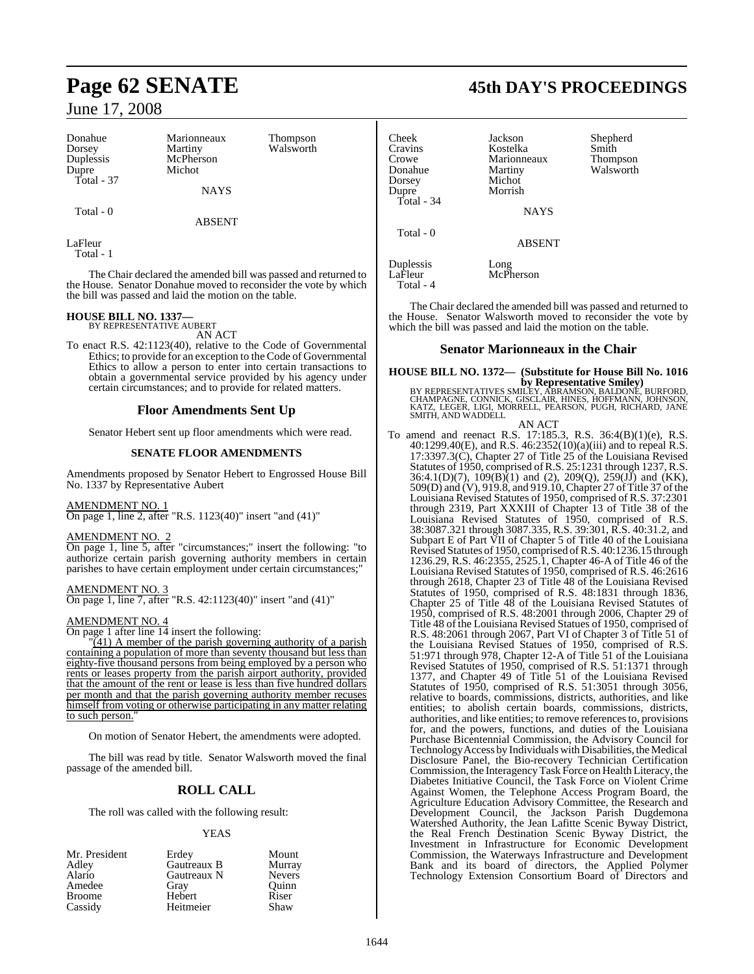| Donahue<br>Dorsey<br>Duplessis<br>Dupre<br>Total $-37$ | Marionneaux<br>Martiny<br>McPherson<br>Michot | Thompson<br>Walsworth |
|--------------------------------------------------------|-----------------------------------------------|-----------------------|
|                                                        | <b>NAYS</b>                                   |                       |
| Total - 0                                              | <b>ABSENT</b>                                 |                       |

LaFleur Total - 1

The Chair declared the amended bill was passed and returned to the House. Senator Donahue moved to reconsider the vote by which the bill was passed and laid the motion on the table.

## **HOUSE BILL NO. 1337—** BY REPRESENTATIVE AUBERT

AN ACT

To enact R.S. 42:1123(40), relative to the Code of Governmental Ethics; to provide for an exception to the Code of Governmental Ethics to allow a person to enter into certain transactions to obtain a governmental service provided by his agency under certain circumstances; and to provide for related matters.

#### **Floor Amendments Sent Up**

Senator Hebert sent up floor amendments which were read.

#### **SENATE FLOOR AMENDMENTS**

Amendments proposed by Senator Hebert to Engrossed House Bill No. 1337 by Representative Aubert

AMENDMENT NO. 1 On page 1, line 2, after "R.S. 1123(40)" insert "and (41)"

#### AMENDMENT NO. 2

On page 1, line 5, after "circumstances;" insert the following: "to authorize certain parish governing authority members in certain parishes to have certain employment under certain circumstances;"

#### AMENDMENT NO. 3

On page 1, line 7, after "R.S. 42:1123(40)" insert "and (41)"

#### AMENDMENT NO. 4

On page 1 after line  $\overline{14}$  insert the following:

 $\sqrt{(41)}$  A member of the parish governing authority of a parish containing a population of more than seventy thousand but less than eighty-five thousand persons from being employed by a person who rents or leases property from the parish airport authority, provided that the amount of the rent or lease is less than five hundred dollars per month and that the parish governing authority member recuses himself from voting or otherwise participating in any matter relating to such person.

On motion of Senator Hebert, the amendments were adopted.

The bill was read by title. Senator Walsworth moved the final passage of the amended bill.

## **ROLL CALL**

The roll was called with the following result:

#### YEAS

| Mr. President | Erdey       | Mount         |
|---------------|-------------|---------------|
| Adley         | Gautreaux B | Murray        |
| Alario        | Gautreaux N | <b>Nevers</b> |
| Amedee        | Gray        | Quinn         |
| <b>Broome</b> | Hebert      | Riser         |
| Cassidy       | Heitmeier   | Shaw          |

# **Page 62 SENATE 45th DAY'S PROCEEDINGS**

| Cheek<br>Cravins<br>Crowe<br>Donahue<br>Dorsey<br>Dupre<br>Total - 34 | Jackson<br>Kostelka<br>Marionneaux<br>Martiny<br>Michot<br>Morrish<br><b>NAYS</b> | Shepherd<br>Smith<br><b>Thompson</b><br>Walsworth |
|-----------------------------------------------------------------------|-----------------------------------------------------------------------------------|---------------------------------------------------|
| Total - 0                                                             | <b>ABSENT</b>                                                                     |                                                   |
| Duplessis<br>LaFleur<br>Total - 4                                     | Long<br>McPherson                                                                 |                                                   |

The Chair declared the amended bill was passed and returned to the House. Senator Walsworth moved to reconsider the vote by which the bill was passed and laid the motion on the table.

#### **Senator Marionneaux in the Chair**

# **HOUSE BILL NO. 1372— (Substitute for House Bill No. 1016**

**by Representative Smiley)<br>BY REPRESENTATIVES SMILEY, ABRAMSON, BALDONE, BURFORD,<br>CHAMPAGNE, CONNICK, GISCLAIR, HINES, HOFFMANN, JOHNSON,<br>KATZ, LEGER, LIGI, MORRELL, PEARSON, PUGH, RICHARD, JANE** SMITH, AND WADDELL

AN ACT

To amend and reenact R.S. 17:185.3, R.S. 36:4(B)(1)(e), R.S. 40:1299.40(E), and R.S. 46:2352(10)(a)(iii) and to repeal R.S. 17:3397.3(C), Chapter 27 of Title 25 of the Louisiana Revised Statutes of 1950, comprised of R.S. 25:1231 through 1237, R.S. 36:4.1(D)(7), 109(B)(1) and (2), 209(Q), 259(JJ) and (KK), 509(D) and (V), 919.8, and 919.10, Chapter 27 of Title 37 of the Louisiana Revised Statutes of 1950, comprised of R.S. 37:2301 through 2319, Part XXXIII of Chapter 13 of Title 38 of the Louisiana Revised Statutes of 1950, comprised of R.S. 38:3087.321 through 3087.335, R.S. 39:301, R.S. 40:31.2, and Subpart E of Part VII of Chapter 5 of Title 40 of the Louisiana Revised Statutes of 1950, comprised of R.S. 40:1236.15 through 1236.29, R.S. 46:2355, 2525.1, Chapter 46-A of Title 46 of the Louisiana Revised Statutes of 1950, comprised of R.S. 46:2616 through 2618, Chapter 23 of Title 48 of the Louisiana Revised Statutes of 1950, comprised of R.S. 48:1831 through 1836, Chapter 25 of Title 48 of the Louisiana Revised Statutes of 1950, comprised of R.S. 48:2001 through 2006, Chapter 29 of Title 48 of the Louisiana Revised Statues of 1950, comprised of R.S. 48:2061 through 2067, Part VI of Chapter 3 of Title 51 of the Louisiana Revised Statues of 1950, comprised of R.S. 51:971 through 978, Chapter 12-A of Title 51 of the Louisiana Revised Statutes of 1950, comprised of R.S. 51:1371 through 1377, and Chapter 49 of Title 51 of the Louisiana Revised Statutes of 1950, comprised of R.S. 51:3051 through 3056, relative to boards, commissions, districts, authorities, and like entities; to abolish certain boards, commissions, districts, authorities, and like entities; to remove references to, provisions for, and the powers, functions, and duties of the Louisiana Purchase Bicentennial Commission, the Advisory Council for Technology Access by Individuals with Disabilities, the Medical Disclosure Panel, the Bio-recovery Technician Certification Commission, the InteragencyTask Force on HealthLiteracy, the Diabetes Initiative Council, the Task Force on Violent Crime Against Women, the Telephone Access Program Board, the Agriculture Education Advisory Committee, the Research and Development Council, the Jackson Parish Dugdemona Watershed Authority, the Jean Lafitte Scenic Byway District, the Real French Destination Scenic Byway District, the Investment in Infrastructure for Economic Development Commission, the Waterways Infrastructure and Development Bank and its board of directors, the Applied Polymer Technology Extension Consortium Board of Directors and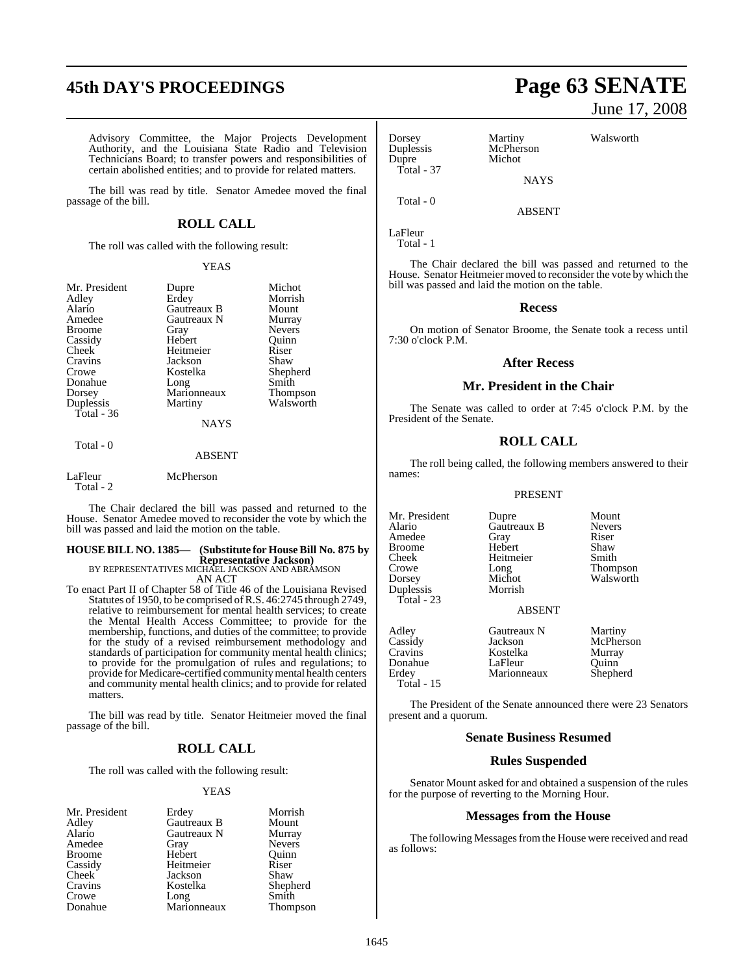Advisory Committee, the Major Projects Development Authority, and the Louisiana State Radio and Television Technicians Board; to transfer powers and responsibilities of certain abolished entities; and to provide for related matters.

The bill was read by title. Senator Amedee moved the final passage of the bill.

#### **ROLL CALL**

The roll was called with the following result:

#### YEAS

| Mr. President | Dupre       | Michot        |
|---------------|-------------|---------------|
| Adley         | Erdey       | Morrish       |
| Alario        | Gautreaux B | Mount         |
| Amedee        | Gautreaux N | Murray        |
| <b>Broome</b> | Gray        | <b>Nevers</b> |
| Cassidy       | Hebert      | Ouinn         |
| Cheek         | Heitmeier   | Riser         |
| Cravins       | Jackson     | Shaw          |
| Crowe         | Kostelka    | Shepherd      |
| Donahue       | Long        | Smith         |
| Dorsey        | Marionneaux | Thompson      |
| Duplessis     | Martiny     | Walsworth     |
| Total - 36    |             |               |
|               | <b>NAYS</b> |               |
| m. 1 n        |             |               |

Total - 0

#### ABSENT

LaFleur McPherson Total - 2

The Chair declared the bill was passed and returned to the House. Senator Amedee moved to reconsider the vote by which the bill was passed and laid the motion on the table.

## **HOUSE BILL NO. 1385— (Substitute for HouseBill No. 875 by Representative Jackson)** BY REPRESENTATIVES MICHAEL JACKSON AND ABRAMSON

AN ACT

To enact Part II of Chapter 58 of Title 46 of the Louisiana Revised Statutes of 1950, to be comprised ofR.S. 46:2745 through 2749, relative to reimbursement for mental health services; to create the Mental Health Access Committee; to provide for the membership, functions, and duties of the committee; to provide for the study of a revised reimbursement methodology and standards of participation for community mental health clinics; to provide for the promulgation of rules and regulations; to provide for Medicare-certified community mental health centers and community mental health clinics; and to provide for related matters.

The bill was read by title. Senator Heitmeier moved the final passage of the bill.

#### **ROLL CALL**

The roll was called with the following result:

#### YEAS

- Mr. President Erdey Morrish<br>Adley Gautreaux B Mount Adley Gautreaux B Mount Amedee Gray Nevers Broome Hebert Quinn<br>
Cassidy Heitmeier Riser Cassidy Heitmeier Riser<br>Cheek Jackson Shaw Cheek Jackson<br>Cravins Kostelka Crowe Long<br>Donahue Marionneaux
	-

Gautreaux N Murray<br>Gray Nevers Shepherd<br>Smith Thompson Dorsey Martiny Walsworth<br>
Duplessis McPherson Duplessis McPherson Total - 37

Michot **NAYS** 

ABSENT

LaFleur

Total - 1

Total - 0

The Chair declared the bill was passed and returned to the House. Senator Heitmeier moved to reconsider the vote by which the bill was passed and laid the motion on the table.

#### **Recess**

On motion of Senator Broome, the Senate took a recess until 7:30 o'clock P.M.

#### **After Recess**

#### **Mr. President in the Chair**

The Senate was called to order at 7:45 o'clock P.M. by the President of the Senate.

### **ROLL CALL**

The roll being called, the following members answered to their names:

#### PRESENT

Mr. President Dupre Mount<br>Alario Gautreaux B Nevers Amedee Broome Hebert Shaw<br>
Cheek Heitmeier Smith Cheek Heitmeier<br>Crowe Long<br>Dorsey Michot Crowe Long Long Thompson<br>
Dorsey Michot Walsworth Duplessis Total - 23

Total - 15

Gautreaux B Never<br>
Grav Riser Michot Walsworth<br>Morrish

#### ABSENT

| Adley        | Gautreaux N | Martiny   |
|--------------|-------------|-----------|
| Cassidy      | Jackson     | McPherson |
| Cravins      | Kostelka    | Murray    |
| Donahue      | LaFleur     | Ouinn     |
| Erdey        | Marionneaux | Shepherd  |
| $Total = 15$ |             |           |

The President of the Senate announced there were 23 Senators present and a quorum.

#### **Senate Business Resumed**

#### **Rules Suspended**

Senator Mount asked for and obtained a suspension of the rules for the purpose of reverting to the Morning Hour.

#### **Messages from the House**

The following Messages from the House were received and read as follows:

# **45th DAY'S PROCEEDINGS Page 63 SENATE** June 17, 2008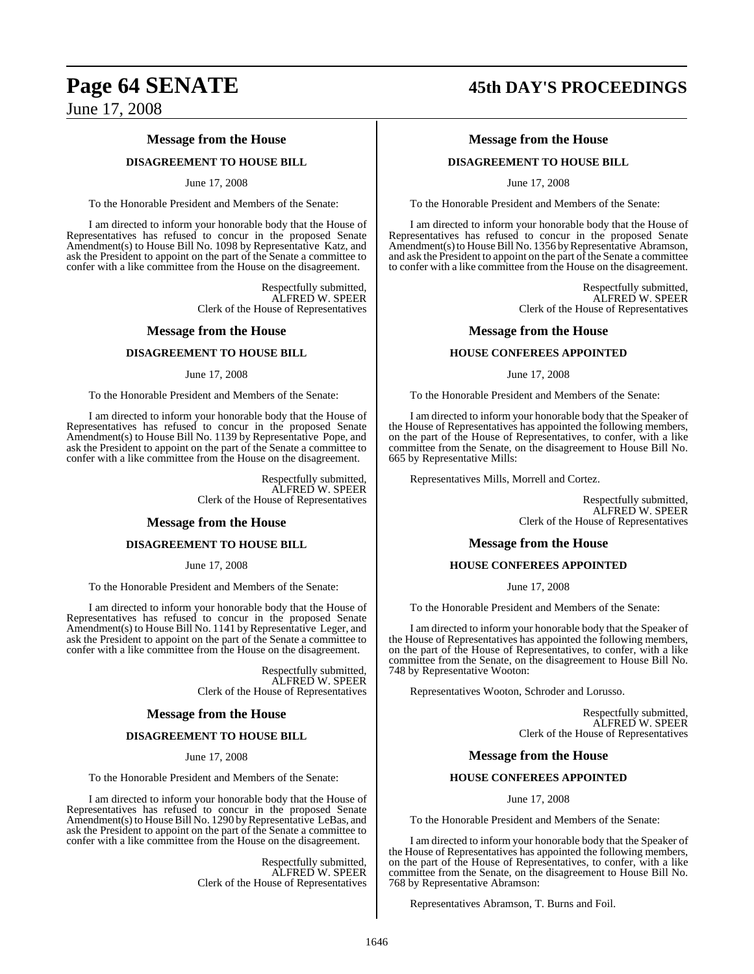#### **Message from the House**

#### **DISAGREEMENT TO HOUSE BILL**

#### June 17, 2008

To the Honorable President and Members of the Senate:

I am directed to inform your honorable body that the House of Representatives has refused to concur in the proposed Senate Amendment(s) to House Bill No. 1098 by Representative Katz, and ask the President to appoint on the part of the Senate a committee to confer with a like committee from the House on the disagreement.

> Respectfully submitted, ALFRED W. SPEER Clerk of the House of Representatives

#### **Message from the House**

#### **DISAGREEMENT TO HOUSE BILL**

#### June 17, 2008

To the Honorable President and Members of the Senate:

I am directed to inform your honorable body that the House of Representatives has refused to concur in the proposed Senate Amendment(s) to House Bill No. 1139 by Representative Pope, and ask the President to appoint on the part of the Senate a committee to confer with a like committee from the House on the disagreement.

> Respectfully submitted, ALFRED W. SPEER Clerk of the House of Representatives

#### **Message from the House**

#### **DISAGREEMENT TO HOUSE BILL**

June 17, 2008

To the Honorable President and Members of the Senate:

I am directed to inform your honorable body that the House of Representatives has refused to concur in the proposed Senate Amendment(s) to House Bill No. 1141 by Representative Leger, and ask the President to appoint on the part of the Senate a committee to confer with a like committee from the House on the disagreement.

> Respectfully submitted, ALFRED W. SPEER Clerk of the House of Representatives

#### **Message from the House**

#### **DISAGREEMENT TO HOUSE BILL**

June 17, 2008

To the Honorable President and Members of the Senate:

I am directed to inform your honorable body that the House of Representatives has refused to concur in the proposed Senate Amendment(s) to House Bill No. 1290 by Representative LeBas, and ask the President to appoint on the part of the Senate a committee to confer with a like committee from the House on the disagreement.

> Respectfully submitted, ALFRED W. SPEER Clerk of the House of Representatives

# **Page 64 SENATE 45th DAY'S PROCEEDINGS**

### **Message from the House**

#### **DISAGREEMENT TO HOUSE BILL**

June 17, 2008

To the Honorable President and Members of the Senate:

I am directed to inform your honorable body that the House of Representatives has refused to concur in the proposed Senate Amendment(s) to House Bill No. 1356 by Representative Abramson, and ask the President to appoint on the part of the Senate a committee to confer with a like committee from the House on the disagreement.

> Respectfully submitted, ALFRED W. SPEER Clerk of the House of Representatives

#### **Message from the House**

#### **HOUSE CONFEREES APPOINTED**

June 17, 2008

To the Honorable President and Members of the Senate:

I am directed to inform your honorable body that the Speaker of the House of Representatives has appointed the following members, on the part of the House of Representatives, to confer, with a like committee from the Senate, on the disagreement to House Bill No. 665 by Representative Mills:

Representatives Mills, Morrell and Cortez.

Respectfully submitted, ALFRED W. SPEER Clerk of the House of Representatives

#### **Message from the House**

#### **HOUSE CONFEREES APPOINTED**

June 17, 2008

To the Honorable President and Members of the Senate:

I am directed to inform your honorable body that the Speaker of the House of Representatives has appointed the following members, on the part of the House of Representatives, to confer, with a like committee from the Senate, on the disagreement to House Bill No. 748 by Representative Wooton:

Representatives Wooton, Schroder and Lorusso.

Respectfully submitted, ALFRED W. SPEER Clerk of the House of Representatives

#### **Message from the House**

#### **HOUSE CONFEREES APPOINTED**

June 17, 2008

To the Honorable President and Members of the Senate:

I am directed to inform your honorable body that the Speaker of the House of Representatives has appointed the following members, on the part of the House of Representatives, to confer, with a like committee from the Senate, on the disagreement to House Bill No. 768 by Representative Abramson:

Representatives Abramson, T. Burns and Foil.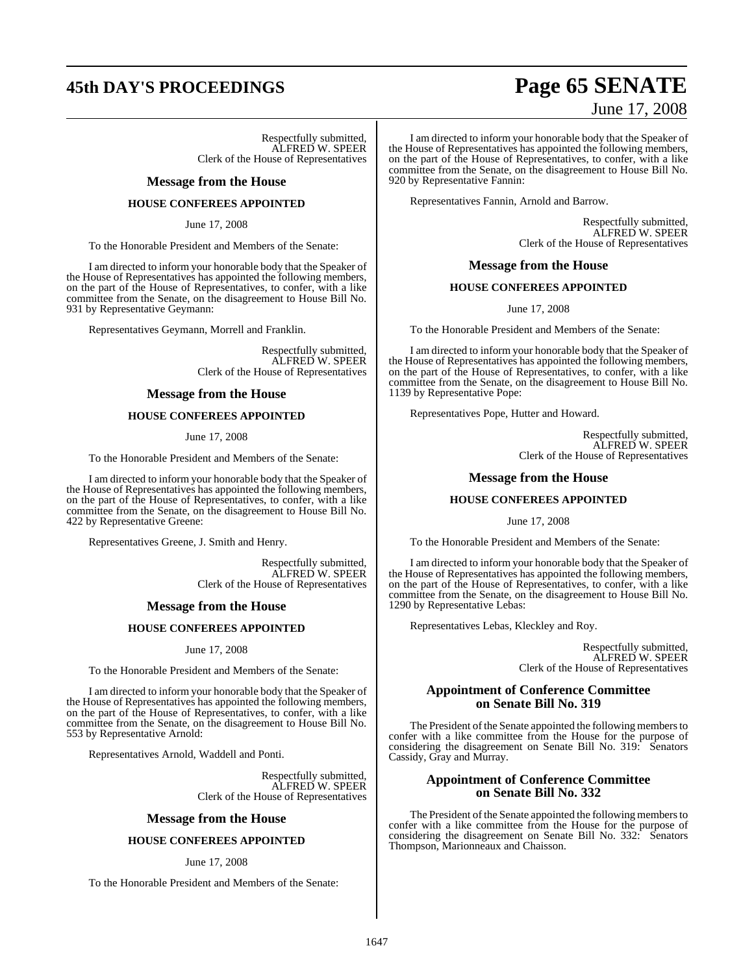# **45th DAY'S PROCEEDINGS Page 65 SENATE**

Respectfully submitted, ALFRED W. SPEER Clerk of the House of Representatives

#### **Message from the House**

#### **HOUSE CONFEREES APPOINTED**

June 17, 2008

To the Honorable President and Members of the Senate:

I am directed to inform your honorable body that the Speaker of the House of Representatives has appointed the following members, on the part of the House of Representatives, to confer, with a like committee from the Senate, on the disagreement to House Bill No. 931 by Representative Geymann:

Representatives Geymann, Morrell and Franklin.

Respectfully submitted, ALFRED W. SPEER Clerk of the House of Representatives

#### **Message from the House**

#### **HOUSE CONFEREES APPOINTED**

June 17, 2008

To the Honorable President and Members of the Senate:

I am directed to inform your honorable body that the Speaker of the House of Representatives has appointed the following members, on the part of the House of Representatives, to confer, with a like committee from the Senate, on the disagreement to House Bill No. 422 by Representative Greene:

Representatives Greene, J. Smith and Henry.

Respectfully submitted, ALFRED W. SPEER Clerk of the House of Representatives

#### **Message from the House**

#### **HOUSE CONFEREES APPOINTED**

June 17, 2008

To the Honorable President and Members of the Senate:

I am directed to inform your honorable body that the Speaker of the House of Representatives has appointed the following members, on the part of the House of Representatives, to confer, with a like committee from the Senate, on the disagreement to House Bill No. 553 by Representative Arnold:

Representatives Arnold, Waddell and Ponti.

Respectfully submitted, ALFRED W. SPEER Clerk of the House of Representatives

#### **Message from the House**

#### **HOUSE CONFEREES APPOINTED**

#### June 17, 2008

To the Honorable President and Members of the Senate:

# June 17, 2008

I am directed to inform your honorable body that the Speaker of the House of Representatives has appointed the following members, on the part of the House of Representatives, to confer, with a like committee from the Senate, on the disagreement to House Bill No. 920 by Representative Fannin:

Representatives Fannin, Arnold and Barrow.

Respectfully submitted, ALFRED W. SPEER Clerk of the House of Representatives

#### **Message from the House**

#### **HOUSE CONFEREES APPOINTED**

June 17, 2008

To the Honorable President and Members of the Senate:

I am directed to inform your honorable body that the Speaker of the House of Representatives has appointed the following members, on the part of the House of Representatives, to confer, with a like committee from the Senate, on the disagreement to House Bill No. 1139 by Representative Pope:

Representatives Pope, Hutter and Howard.

Respectfully submitted, ALFRED W. SPEER Clerk of the House of Representatives

#### **Message from the House**

#### **HOUSE CONFEREES APPOINTED**

June 17, 2008

To the Honorable President and Members of the Senate:

I am directed to inform your honorable body that the Speaker of the House of Representatives has appointed the following members, on the part of the House of Representatives, to confer, with a like committee from the Senate, on the disagreement to House Bill No. 1290 by Representative Lebas:

Representatives Lebas, Kleckley and Roy.

Respectfully submitted, ALFRED W. SPEER Clerk of the House of Representatives

#### **Appointment of Conference Committee on Senate Bill No. 319**

The President of the Senate appointed the following members to confer with a like committee from the House for the purpose of considering the disagreement on Senate Bill No. 319: Senators Cassidy, Gray and Murray.

#### **Appointment of Conference Committee on Senate Bill No. 332**

The President of the Senate appointed the following members to confer with a like committee from the House for the purpose of considering the disagreement on Senate Bill No. 332: Senators Thompson, Marionneaux and Chaisson.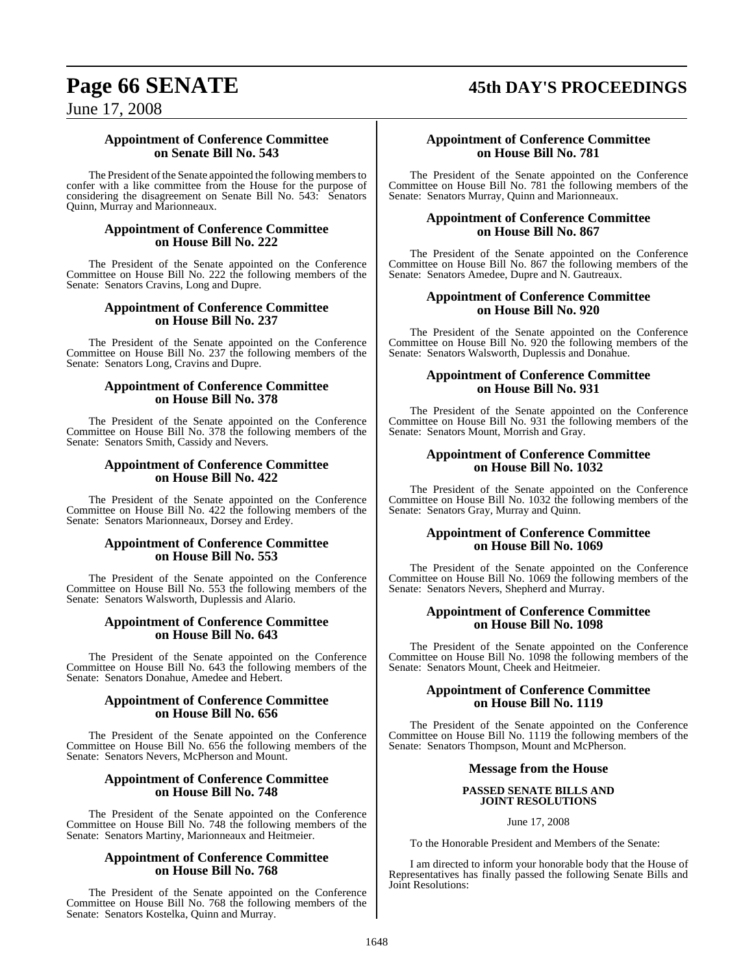# **Page 66 SENATE 45th DAY'S PROCEEDINGS**

June 17, 2008

#### **Appointment of Conference Committee on Senate Bill No. 543**

The President of the Senate appointed the following members to confer with a like committee from the House for the purpose of considering the disagreement on Senate Bill No. 543: Senators Quinn, Murray and Marionneaux.

#### **Appointment of Conference Committee on House Bill No. 222**

The President of the Senate appointed on the Conference Committee on House Bill No. 222 the following members of the Senate: Senators Cravins, Long and Dupre.

#### **Appointment of Conference Committee on House Bill No. 237**

The President of the Senate appointed on the Conference Committee on House Bill No. 237 the following members of the Senate: Senators Long, Cravins and Dupre.

#### **Appointment of Conference Committee on House Bill No. 378**

The President of the Senate appointed on the Conference Committee on House Bill No. 378 the following members of the Senate: Senators Smith, Cassidy and Nevers.

#### **Appointment of Conference Committee on House Bill No. 422**

The President of the Senate appointed on the Conference Committee on House Bill No. 422 the following members of the Senate: Senators Marionneaux, Dorsey and Erdey.

#### **Appointment of Conference Committee on House Bill No. 553**

The President of the Senate appointed on the Conference Committee on House Bill No. 553 the following members of the Senate: Senators Walsworth, Duplessis and Alario.

#### **Appointment of Conference Committee on House Bill No. 643**

The President of the Senate appointed on the Conference Committee on House Bill No. 643 the following members of the Senate: Senators Donahue, Amedee and Hebert.

#### **Appointment of Conference Committee on House Bill No. 656**

The President of the Senate appointed on the Conference Committee on House Bill No. 656 the following members of the Senate: Senators Nevers, McPherson and Mount.

#### **Appointment of Conference Committee on House Bill No. 748**

The President of the Senate appointed on the Conference Committee on House Bill No. 748 the following members of the Senate: Senators Martiny, Marionneaux and Heitmeier.

#### **Appointment of Conference Committee on House Bill No. 768**

The President of the Senate appointed on the Conference Committee on House Bill No. 768 the following members of the Senate: Senators Kostelka, Quinn and Murray.

#### **Appointment of Conference Committee on House Bill No. 781**

The President of the Senate appointed on the Conference Committee on House Bill No. 781 the following members of the Senate: Senators Murray, Quinn and Marionneaux.

#### **Appointment of Conference Committee on House Bill No. 867**

The President of the Senate appointed on the Conference Committee on House Bill No. 867 the following members of the Senate: Senators Amedee, Dupre and N. Gautreaux.

#### **Appointment of Conference Committee on House Bill No. 920**

The President of the Senate appointed on the Conference Committee on House Bill No. 920 the following members of the Senate: Senators Walsworth, Duplessis and Donahue.

#### **Appointment of Conference Committee on House Bill No. 931**

The President of the Senate appointed on the Conference Committee on House Bill No. 931 the following members of the Senate: Senators Mount, Morrish and Gray.

#### **Appointment of Conference Committee on House Bill No. 1032**

The President of the Senate appointed on the Conference Committee on House Bill No. 1032 the following members of the Senate: Senators Gray, Murray and Quinn.

#### **Appointment of Conference Committee on House Bill No. 1069**

The President of the Senate appointed on the Conference Committee on House Bill No. 1069 the following members of the Senate: Senators Nevers, Shepherd and Murray.

#### **Appointment of Conference Committee on House Bill No. 1098**

The President of the Senate appointed on the Conference Committee on House Bill No. 1098 the following members of the Senate: Senators Mount, Cheek and Heitmeier.

#### **Appointment of Conference Committee on House Bill No. 1119**

The President of the Senate appointed on the Conference Committee on House Bill No. 1119 the following members of the Senate: Senators Thompson, Mount and McPherson.

#### **Message from the House**

#### **PASSED SENATE BILLS AND JOINT RESOLUTIONS**

#### June 17, 2008

To the Honorable President and Members of the Senate:

I am directed to inform your honorable body that the House of Representatives has finally passed the following Senate Bills and Joint Resolutions: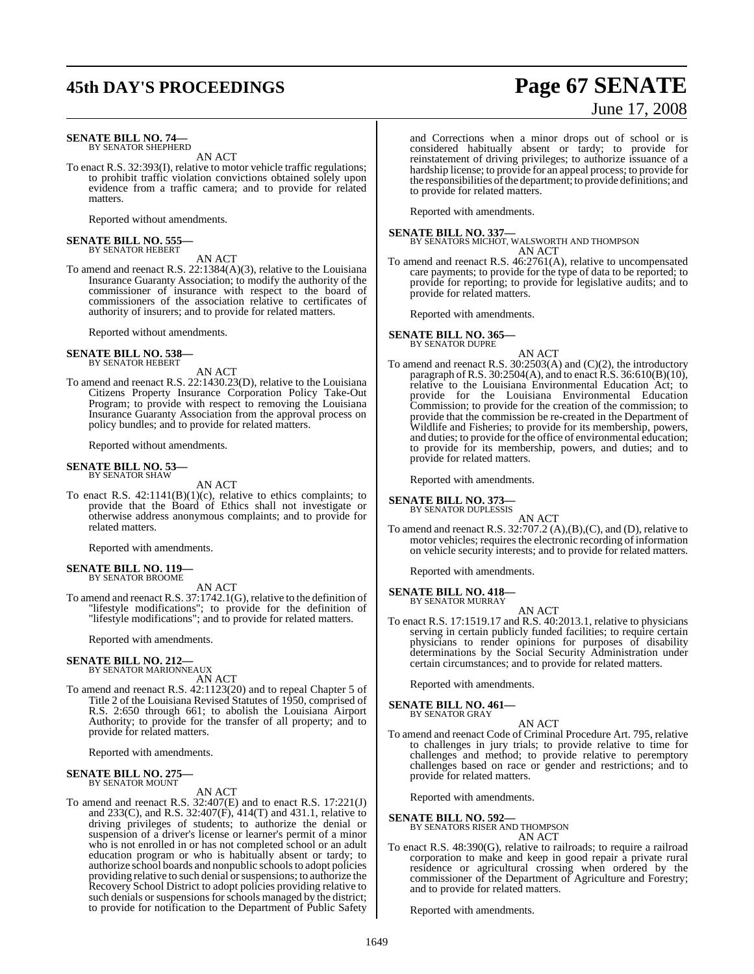## **45th DAY'S PROCEEDINGS Page 67 SENATE**

#### **SENATE BILL NO. 74—** BY SENATOR SHEPHERD

AN ACT

To enact R.S. 32:393(I), relative to motor vehicle traffic regulations; to prohibit traffic violation convictions obtained solely upon evidence from a traffic camera; and to provide for related matters.

Reported without amendments.

## **SENATE BILL NO. 555—** BY SENATOR HEBERT

AN ACT

To amend and reenact R.S. 22:1384(A)(3), relative to the Louisiana Insurance Guaranty Association; to modify the authority of the commissioner of insurance with respect to the board of commissioners of the association relative to certificates of authority of insurers; and to provide for related matters.

Reported without amendments.

#### **SENATE BILL NO. 538—** BY SENATOR HEBERT

AN ACT

To amend and reenact R.S. 22:1430.23(D), relative to the Louisiana Citizens Property Insurance Corporation Policy Take-Out Program; to provide with respect to removing the Louisiana Insurance Guaranty Association from the approval process on policy bundles; and to provide for related matters.

Reported without amendments.

#### **SENATE BILL NO. 53—** BY SENATOR SHAW

AN ACT

To enact R.S. 42:1141(B)(1)(c), relative to ethics complaints; to provide that the Board of Ethics shall not investigate or otherwise address anonymous complaints; and to provide for related matters.

Reported with amendments.

#### **SENATE BILL NO. 119—** BY SENATOR BROOME

AN ACT

To amend and reenact R.S. 37:1742.1(G), relative to the definition of "lifestyle modifications"; to provide for the definition of "lifestyle modifications"; and to provide for related matters.

Reported with amendments.

## **SENATE BILL NO. 212—** BY SENATOR MARIONNEAUX

AN ACT

To amend and reenact R.S. 42:1123(20) and to repeal Chapter 5 of Title 2 of the Louisiana Revised Statutes of 1950, comprised of R.S. 2:650 through 661; to abolish the Louisiana Airport Authority; to provide for the transfer of all property; and to provide for related matters.

Reported with amendments.

#### **SENATE BILL NO. 275—** BY SENATOR MOUNT

AN ACT

To amend and reenact R.S. 32:407(E) and to enact R.S. 17:221(J) and 233(C), and R.S. 32:407(F), 414(T) and 431.1, relative to driving privileges of students; to authorize the denial or suspension of a driver's license or learner's permit of a minor who is not enrolled in or has not completed school or an adult education program or who is habitually absent or tardy; to authorize school boards and nonpublic schoolsto adopt policies providing relative to such denial or suspensions; to authorize the Recovery School District to adopt policies providing relative to such denials or suspensions for schools managed by the district; to provide for notification to the Department of Public Safety

and Corrections when a minor drops out of school or is considered habitually absent or tardy; to provide for reinstatement of driving privileges; to authorize issuance of a hardship license; to provide for an appeal process; to provide for the responsibilities of the department; to provide definitions; and to provide for related matters.

Reported with amendments.

#### **SENATE BILL NO. 337—**

BY SENATORS MICHOT, WALSWORTH AND THOMPSON AN ACT

To amend and reenact R.S. 46:2761(A), relative to uncompensated care payments; to provide for the type of data to be reported; to provide for reporting; to provide for legislative audits; and to provide for related matters.

Reported with amendments.

#### **SENATE BILL NO. 365—**

BY SENATOR DUPRE

AN ACT To amend and reenact R.S. 30:2503(A) and (C)(2), the introductory paragraph of R.S. 30:2504(A), and to enact R.S. 36:610(B)(10), relative to the Louisiana Environmental Education Act; to provide for the Louisiana Environmental Education Commission; to provide for the creation of the commission; to provide that the commission be re-created in the Department of Wildlife and Fisheries; to provide for its membership, powers, and duties; to provide for the office of environmental education; to provide for its membership, powers, and duties; and to provide for related matters.

Reported with amendments.

#### **SENATE BILL NO. 373—**

BY SENATOR DUPLESSIS

AN ACT To amend and reenact R.S.  $32:707.2$  (A),(B),(C), and (D), relative to motor vehicles; requires the electronic recording of information on vehicle security interests; and to provide for related matters.

Reported with amendments.

**SENATE BILL NO. 418—** BY SENATOR MURRAY

AN ACT

To enact R.S. 17:1519.17 and R.S. 40:2013.1, relative to physicians serving in certain publicly funded facilities; to require certain physicians to render opinions for purposes of disability determinations by the Social Security Administration under certain circumstances; and to provide for related matters.

Reported with amendments.

#### **SENATE BILL NO. 461—** BY SENATOR GRAY

AN ACT

To amend and reenact Code of Criminal Procedure Art. 795, relative to challenges in jury trials; to provide relative to time for challenges and method; to provide relative to peremptory challenges based on race or gender and restrictions; and to provide for related matters.

Reported with amendments.

**SENATE BILL NO. 592—**

BY SENATORS RISER AND THOMPSON AN ACT

To enact R.S. 48:390(G), relative to railroads; to require a railroad corporation to make and keep in good repair a private rural residence or agricultural crossing when ordered by the commissioner of the Department of Agriculture and Forestry; and to provide for related matters.

Reported with amendments.

# June 17, 2008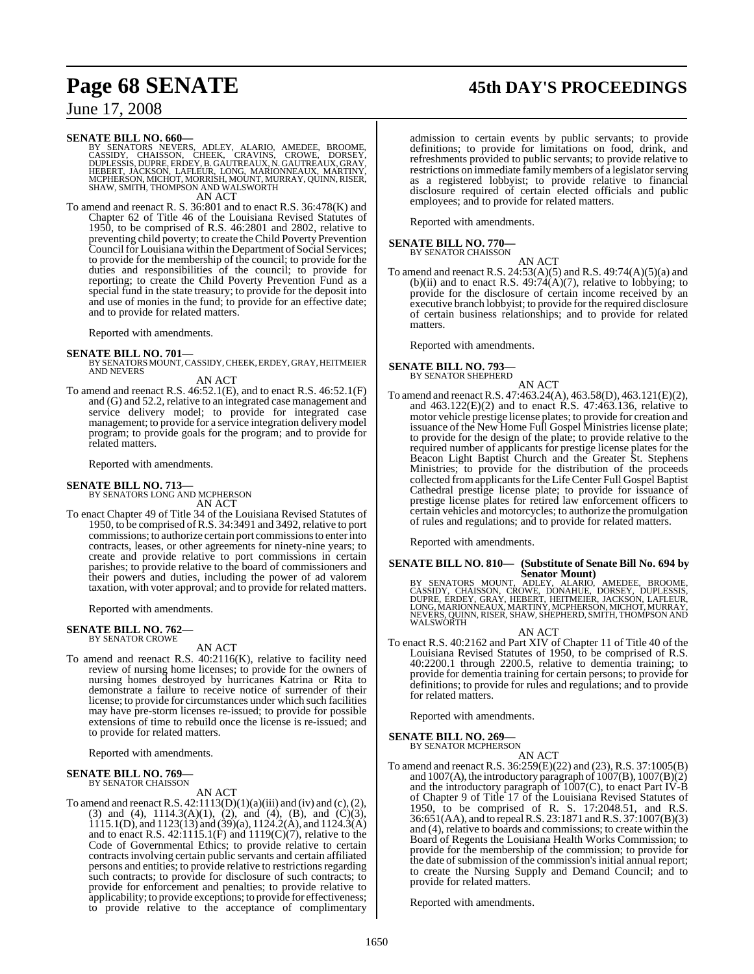# **Page 68 SENATE 45th DAY'S PROCEEDINGS**

## June 17, 2008

#### **SENATE BILL NO. 660—**

BY SENATORS NEVERS, ADLEY, ALARIO, AMEDEE, BROOME,<br>CASSIDY, CHAISSON, CHEEK, CRAVINS, CROWE, DORSEY,<br>DUPLESSIS,DUPRE,ERDEY,B.GAUTREAUX,N.GAUTREAUX,GRAY,<br>HEBERT,JACKSON,LAFLEUR,LONG,MARIONNEAUX,MARTINY,<br>MCPHERSON,MICHOT,MOR SHAW, SMITH, THOMPSON AND WALSWORTH AN ACT

To amend and reenact R. S. 36:801 and to enact R.S. 36:478(K) and Chapter 62 of Title 46 of the Louisiana Revised Statutes of 1950, to be comprised of R.S. 46:2801 and 2802, relative to preventing child poverty; to create the Child Poverty Prevention Council for Louisiana within the Department of Social Services; to provide for the membership of the council; to provide for the duties and responsibilities of the council; to provide for reporting; to create the Child Poverty Prevention Fund as a special fund in the state treasury; to provide for the deposit into and use of monies in the fund; to provide for an effective date; and to provide for related matters.

Reported with amendments.

**SENATE BILL NO. 701—**<br>BY SENATORS MOUNT, CASSIDY, CHEEK, ERDEY, GRAY, HEITMEIER<br>AND NEVERS

AN ACT

To amend and reenact R.S. 46:52.1(E), and to enact R.S. 46:52.1(F) and (G) and 52.2, relative to an integrated case management and service delivery model; to provide for integrated case management; to provide for a service integration delivery model program; to provide goals for the program; and to provide for related matters.

Reported with amendments.

# **SENATE BILL NO. 713—** BY SENATORS LONG AND MCPHERSON

AN ACT

To enact Chapter 49 of Title 34 of the Louisiana Revised Statutes of 1950, to be comprised ofR.S. 34:3491 and 3492, relative to port commissions; to authorize certain port commissionsto enterinto contracts, leases, or other agreements for ninety-nine years; to create and provide relative to port commissions in certain parishes; to provide relative to the board of commissioners and their powers and duties, including the power of ad valorem taxation, with voter approval; and to provide for related matters.

Reported with amendments.

#### **SENATE BILL NO. 762—** BY SENATOR CROWE

AN ACT

To amend and reenact R.S. 40:2116(K), relative to facility need review of nursing home licenses; to provide for the owners of nursing homes destroyed by hurricanes Katrina or Rita to demonstrate a failure to receive notice of surrender of their license; to provide for circumstances under which such facilities may have pre-storm licenses re-issued; to provide for possible extensions of time to rebuild once the license is re-issued; and to provide for related matters.

Reported with amendments.

#### **SENATE BILL NO. 769—** BY SENATOR CHAISSON

AN ACT

To amend and reenact R.S. 42:1113(D)(1)(a)(iii) and (iv) and (c), (2), (3) and (4),  $1114.3(A)(1)$ , (2), and (4), (B), and (C)(3), 1115.1(D), and 1123(13) and (39)(a), 1124.2(A), and 1124.3(A) and to enact R.S.  $42:1115.1(F)$  and  $1119(C)(7)$ , relative to the Code of Governmental Ethics; to provide relative to certain contractsinvolving certain public servants and certain affiliated persons and entities; to provide relative to restrictions regarding such contracts; to provide for disclosure of such contracts; to provide for enforcement and penalties; to provide relative to applicability; to provide exceptions; to provide for effectiveness; to provide relative to the acceptance of complimentary

admission to certain events by public servants; to provide definitions; to provide for limitations on food, drink, and refreshments provided to public servants; to provide relative to restrictions on immediate family members of a legislator serving as a registered lobbyist; to provide relative to financial disclosure required of certain elected officials and public employees; and to provide for related matters.

Reported with amendments.

#### **SENATE BILL NO. 770—**

BY SENATOR CHAISSON AN ACT

To amend and reenact R.S. 24:53(A)(5) and R.S. 49:74(A)(5)(a) and (b)(ii) and to enact R.S.  $49:74(A)(7)$ , relative to lobbying; to provide for the disclosure of certain income received by an executive branch lobbyist; to provide for the required disclosure of certain business relationships; and to provide for related matters.

Reported with amendments.

#### **SENATE BILL NO. 793**

BY SENATOR SHEPHERD AN ACT

To amend and reenactR.S. 47:463.24(A), 463.58(D), 463.121(E)(2), and  $463.122(E)(2)$  and to enact R.S.  $47:463.136$ , relative to motor vehicle prestige license plates; to provide for creation and issuance of the New Home Full Gospel Ministries license plate; to provide for the design of the plate; to provide relative to the required number of applicants for prestige license plates for the Beacon Light Baptist Church and the Greater St. Stephens Ministries; to provide for the distribution of the proceeds collected fromapplicantsforthe LifeCenter Full Gospel Baptist Cathedral prestige license plate; to provide for issuance of prestige license plates for retired law enforcement officers to certain vehicles and motorcycles; to authorize the promulgation of rules and regulations; and to provide for related matters.

Reported with amendments.

#### **SENATE BILL NO. 810— (Substitute of Senate Bill No. 694 by Senator Mount)**

BY SENATORS MOUNT, ADLEY, ALARIO, AMEDEE, BROOME,<br>CASSIDY, CHAISSON, CROWE, DONAHUE, DORSEY, DUPLESSIS,<br>DUPRE, ERDEY, GRAY, HEBERT, HEITMEIER, JACKSON, LAFLEUR,<br>LONG, MARIONNEAUX, MARTINY, MCPHERSON, MICHOT, MURRAY,<br>NEVERS WALSWORTH

#### AN ACT

To enact R.S. 40:2162 and Part XIV of Chapter 11 of Title 40 of the Louisiana Revised Statutes of 1950, to be comprised of R.S. 40:2200.1 through 2200.5, relative to dementia training; to provide for dementia training for certain persons; to provide for definitions; to provide for rules and regulations; and to provide for related matters.

Reported with amendments.

#### **SENATE BILL NO. 269—**

BY SENATOR MCPHERSON

AN ACT To amend and reenact R.S. 36:259(E)(22) and (23), R.S. 37:1005(B) and  $1007(A)$ , the introductory paragraph of  $1007(B)$ ,  $1007(B)(2)$ and the introductory paragraph of 1007(C), to enact Part IV-B of Chapter 9 of Title 17 of the Louisiana Revised Statutes of 1950, to be comprised of R. S. 17:2048.51, and R.S. 36:651(AA), and to repealR.S. 23:1871 andR.S. 37:1007(B)(3) and (4), relative to boards and commissions; to create within the Board of Regents the Louisiana Health Works Commission; to provide for the membership of the commission; to provide for the date of submission of the commission's initial annual report; to create the Nursing Supply and Demand Council; and to provide for related matters.

Reported with amendments.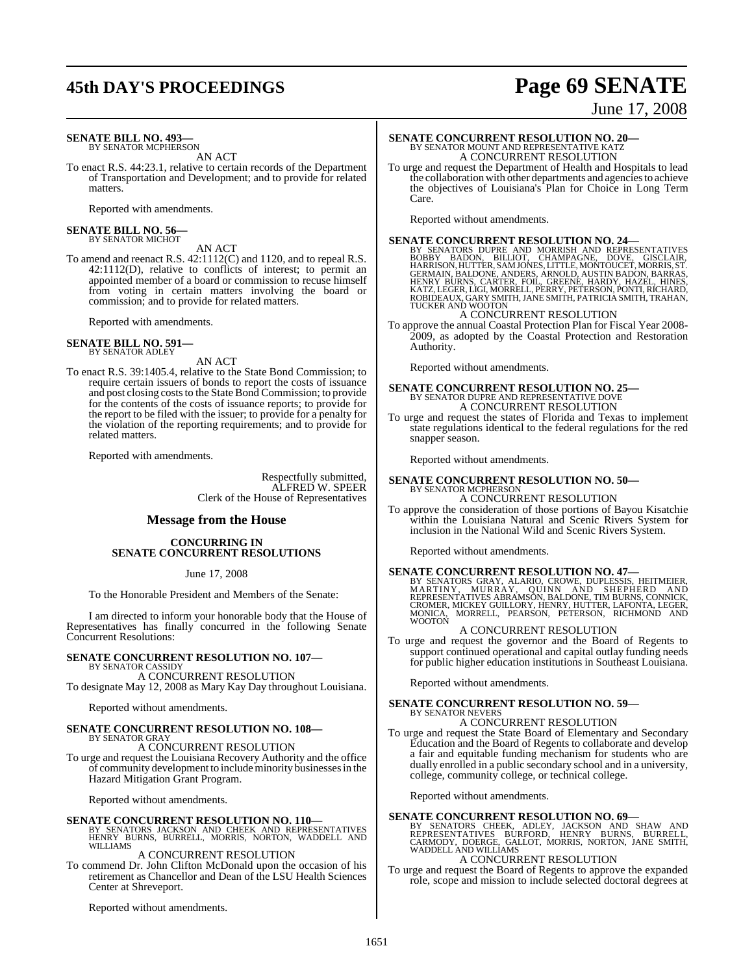# **45th DAY'S PROCEEDINGS Page 69 SENATE**

# June 17, 2008

### **SENATE BILL NO. 493—**

BY SENATOR MCPHERSON AN ACT

To enact R.S. 44:23.1, relative to certain records of the Department of Transportation and Development; and to provide for related matters.

Reported with amendments.

#### **SENATE BILL NO. 56—** BY SENATOR MICHOT

### AN ACT

To amend and reenact R.S. 42:1112(C) and 1120, and to repeal R.S. 42:1112(D), relative to conflicts of interest; to permit an appointed member of a board or commission to recuse himself from voting in certain matters involving the board or commission; and to provide for related matters.

Reported with amendments.

#### **SENATE BILL NO. 591—** BY SENATOR ADLEY

AN ACT

To enact R.S. 39:1405.4, relative to the State Bond Commission; to require certain issuers of bonds to report the costs of issuance and post closing costs to the State Bond Commission; to provide for the contents of the costs of issuance reports; to provide for the report to be filed with the issuer; to provide for a penalty for the violation of the reporting requirements; and to provide for related matters.

Reported with amendments.

Respectfully submitted, ALFRED W. SPEER Clerk of the House of Representatives

#### **Message from the House**

#### **CONCURRING IN SENATE CONCURRENT RESOLUTIONS**

June 17, 2008

To the Honorable President and Members of the Senate:

I am directed to inform your honorable body that the House of Representatives has finally concurred in the following Senate Concurrent Resolutions:

#### **SENATE CONCURRENT RESOLUTION NO. 107—** BY SENATOR CASSIDY

A CONCURRENT RESOLUTION

To designate May 12, 2008 as Mary Kay Day throughout Louisiana.

Reported without amendments.

## **SENATE CONCURRENT RESOLUTION NO. 108—**

BY SENATOR GRAY A CONCURRENT RESOLUTION

To urge and request the Louisiana Recovery Authority and the office of community development to include minority businesses in the Hazard Mitigation Grant Program.

Reported without amendments.

**SENATE CONCURRENT RESOLUTION NO. 110—**<br>
BY SENATORS JACKSON AND CHEEK AND REPRESENTATIVES<br>
HENRY BURNS, BURRELL, MORRIS, NORTON, WADDELL AND<br>
WILLIAMS

#### A CONCURRENT RESOLUTION

To commend Dr. John Clifton McDonald upon the occasion of his retirement as Chancellor and Dean of the LSU Health Sciences Center at Shreveport.

Reported without amendments.

# **SENATE CONCURRENT RESOLUTION NO. 20—**<br>BY SENATOR MOUNT AND REPRESENTATIVE KATZ<br>A CONCURRENT RESOLUTION

To urge and request the Department of Health and Hospitals to lead the collaboration with other departments and agencies to achieve the objectives of Louisiana's Plan for Choice in Long Term Care.

Reported without amendments.

**SENATE CONCURRENT RESOLUTION NO. 24**<br>BY SENATORS DUPRE AND MORRISH AND REPRESENTATIVES<br>BOBBY BADON, BILLIOT, CHAMPAGNE, DOVE, GISCLAIR,<br>HARRISON,HUTTER,SAMJONES,LITTLE,MONTOUCET,MORRIS,ST.<br>GERMAIN, BALDONE, ANDERS, ARNOLD

#### A CONCURRENT RESOLUTION

To approve the annual Coastal Protection Plan for Fiscal Year 2008- 2009, as adopted by the Coastal Protection and Restoration Authority.

Reported without amendments.

## **SENATE CONCURRENT RESOLUTION NO. 25—** BY SENATOR DUPRE AND REPRESENTATIVE DOVE A CONCURRENT RESOLUTION

To urge and request the states of Florida and Texas to implement state regulations identical to the federal regulations for the red snapper season.

Reported without amendments.

# **SENATE CONCURRENT RESOLUTION NO. 50—** BY SENATOR MCPHERSON

A CONCURRENT RESOLUTION To approve the consideration of those portions of Bayou Kisatchie within the Louisiana Natural and Scenic Rivers System for inclusion in the National Wild and Scenic Rivers System.

Reported without amendments.

SENATE CONCURRENT RESOLUTION NO. 47—BY SENATORS GRAY, ALARIO, CROWE, DUPLESSIS, HEITMEIER, MARTINY, MURRAY, QUINN AND SHEPHERD AND REPRESENTATIVES ABRAMSON, BALDONE, TIM BURNS, CONNICK, CROMER, MICKEY GUILLORY, HENRY, HUTT

#### A CONCURRENT RESOLUTION

To urge and request the governor and the Board of Regents to support continued operational and capital outlay funding needs for public higher education institutions in Southeast Louisiana.

Reported without amendments.

#### **SENATE CONCURRENT RESOLUTION NO. 59—** BY SENATOR NEVERS

A CONCURRENT RESOLUTION

To urge and request the State Board of Elementary and Secondary Education and the Board of Regents to collaborate and develop a fair and equitable funding mechanism for students who are dually enrolled in a public secondary school and in a university, college, community college, or technical college.

Reported without amendments.

**SENATE CONCURRENT RESOLUTION NO. 69—**<br>BY SENATORS CHEEK, ADLEY, JACKSON AND SHAW AND<br>REPRESENTATIVES BURFORD, HENRY BURNS, BURRELL,<br>CARMODY, DOERGE, GALLOT, MORRIS, NORTON, JANE SMITH, WADDELL AND WILLIAMS

### A CONCURRENT RESOLUTION

To urge and request the Board of Regents to approve the expanded role, scope and mission to include selected doctoral degrees at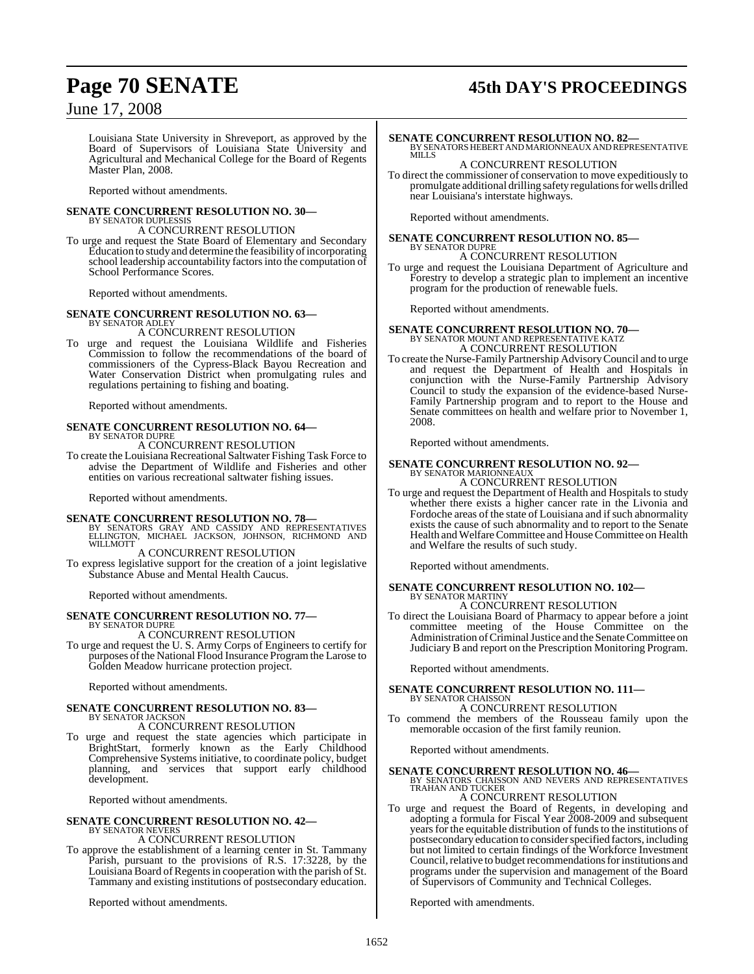# **Page 70 SENATE 45th DAY'S PROCEEDINGS**

June 17, 2008

Louisiana State University in Shreveport, as approved by the Board of Supervisors of Louisiana State University and Agricultural and Mechanical College for the Board of Regents Master Plan, 2008.

Reported without amendments.

**SENATE CONCURRENT RESOLUTION NO. 30—** BY SENATOR DUPLESSIS

- A CONCURRENT RESOLUTION To urge and request the State Board of Elementary and Secondary
- Education to study and determine the feasibility of incorporating school leadership accountability factorsinto the computation of School Performance Scores.

Reported without amendments.

#### **SENATE CONCURRENT RESOLUTION NO. 63—** BY SENATOR ADLEY

A CONCURRENT RESOLUTION

To urge and request the Louisiana Wildlife and Fisheries Commission to follow the recommendations of the board of commissioners of the Cypress-Black Bayou Recreation and Water Conservation District when promulgating rules and regulations pertaining to fishing and boating.

Reported without amendments.

#### **SENATE CONCURRENT RESOLUTION NO. 64—**

BY SENATOR DUPRE A CONCURRENT RESOLUTION

To create the Louisiana Recreational Saltwater Fishing Task Force to advise the Department of Wildlife and Fisheries and other entities on various recreational saltwater fishing issues.

Reported without amendments.

#### **SENATE CONCURRENT RESOLUTION NO. 78—**

BY SENATORS GRAY AND CASSIDY AND REPRESENTATIVES<br>ELLINGTON, MICHAEL JACKSON, JOHNSON, RICHMOND AND<br>WILLMOTT A CONCURRENT RESOLUTION

To express legislative support for the creation of a joint legislative Substance Abuse and Mental Health Caucus.

Reported without amendments.

#### **SENATE CONCURRENT RESOLUTION NO. 77—** BY SENATOR DUPRE

A CONCURRENT RESOLUTION To urge and request the U. S. Army Corps of Engineers to certify for purposes of the National Flood Insurance Program the Larose to Golden Meadow hurricane protection project.

Reported without amendments.

#### **SENATE CONCURRENT RESOLUTION NO. 83—** BY SENATOR JACKSON

A CONCURRENT RESOLUTION

To urge and request the state agencies which participate in BrightStart, formerly known as the Early Childhood Comprehensive Systems initiative, to coordinate policy, budget planning, and services that support early childhood development.

Reported without amendments.

#### **SENATE CONCURRENT RESOLUTION NO. 42—** BY SENATOR NEVERS

## A CONCURRENT RESOLUTION

To approve the establishment of a learning center in St. Tammany Parish, pursuant to the provisions of R.S. 17:3228, by the Louisiana Board of Regents in cooperation with the parish of St. Tammany and existing institutions of postsecondary education.

Reported without amendments.

### **SENATE CONCURRENT RESOLUTION NO. 82—**

BY SENATORS HEBERT AND MARIONNEAUX AND REPRESENTATIVE MILLS

#### A CONCURRENT RESOLUTION

To direct the commissioner of conservation to move expeditiously to promulgate additional drilling safety regulations for wells drilled near Louisiana's interstate highways.

Reported without amendments.

# **SENATE CONCURRENT RESOLUTION NO. 85—** BY SENATOR DUPRE

#### A CONCURRENT RESOLUTION

To urge and request the Louisiana Department of Agriculture and Forestry to develop a strategic plan to implement an incentive program for the production of renewable fuels.

Reported without amendments.

## **SENATE CONCURRENT RESOLUTION NO. 70—** BY SENATOR MOUNT AND REPRESENTATIVE KATZ A CONCURRENT RESOLUTION

To create the Nurse-Family Partnership AdvisoryCouncil and to urge and request the Department of Health and Hospitals in conjunction with the Nurse-Family Partnership Advisory Council to study the expansion of the evidence-based Nurse-Family Partnership program and to report to the House and Senate committees on health and welfare prior to November 1, 2008.

Reported without amendments.

#### **SENATE CONCURRENT RESOLUTION NO. 92—** BY SENATOR MARIONNEAUX A CONCURRENT RESOLUTION

To urge and request the Department of Health and Hospitals to study whether there exists a higher cancer rate in the Livonia and Fordoche areas of the state of Louisiana and if such abnormality exists the cause of such abnormality and to report to the Senate Health and Welfare Committee and House Committee on Health and Welfare the results of such study.

Reported without amendments.

#### **SENATE CONCURRENT RESOLUTION NO. 102—** BY SENATOR MARTINY

A CONCURRENT RESOLUTION

To direct the Louisiana Board of Pharmacy to appear before a joint committee meeting of the House Committee on the Administration of Criminal Justice and the Senate Committee on Judiciary B and report on the Prescription Monitoring Program.

Reported without amendments.

# **SENATE CONCURRENT RESOLUTION NO. 111—** BY SENATOR CHAISSON

#### A CONCURRENT RESOLUTION

To commend the members of the Rousseau family upon the memorable occasion of the first family reunion.

Reported without amendments.

# **SENATE CONCURRENT RESOLUTION NO. 46—BY SENATORS CHAISSON AND NEVERS AND REPRESENTATIVES TRAHAN AND TUCKER**

## A CONCURRENT RESOLUTION

To urge and request the Board of Regents, in developing and adopting a formula for Fiscal Year 2008-2009 and subsequent years for the equitable distribution of funds to the institutions of postsecondary education to consider specified factors, including but not limited to certain findings of the Workforce Investment Council, relative to budget recommendations for institutions and programs under the supervision and management of the Board of Supervisors of Community and Technical Colleges.

Reported with amendments.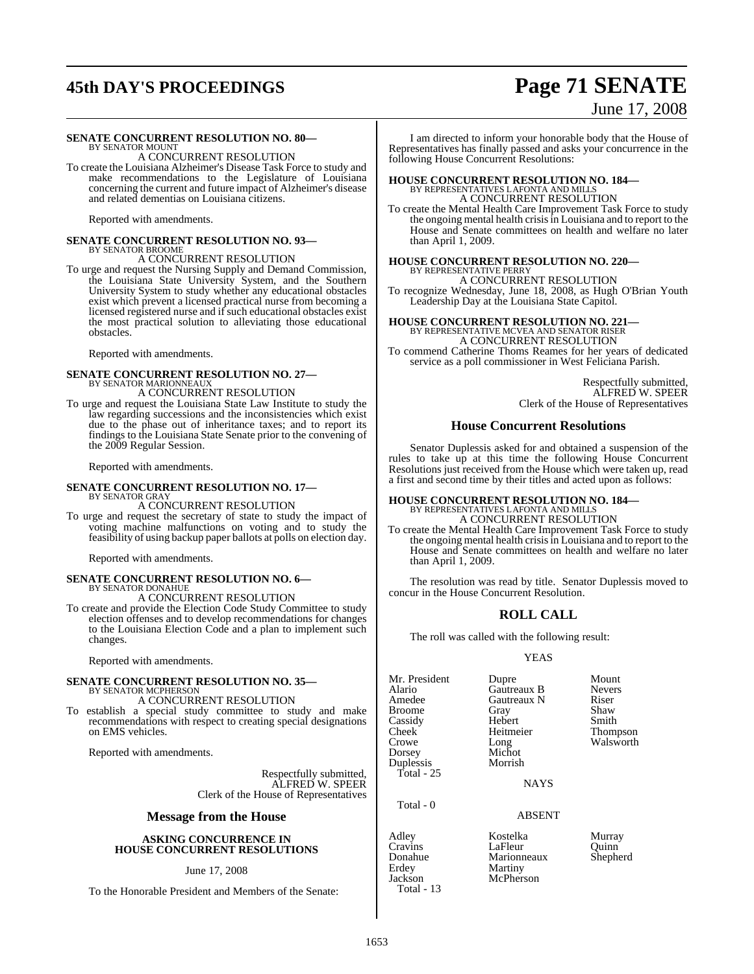# **45th DAY'S PROCEEDINGS Page 71 SENATE**

# June 17, 2008

#### **SENATE CONCURRENT RESOLUTION NO. 80—** BY SENATOR MOUNT

A CONCURRENT RESOLUTION

To create the Louisiana Alzheimer's Disease Task Force to study and make recommendations to the Legislature of Louisiana concerning the current and future impact of Alzheimer's disease and related dementias on Louisiana citizens.

Reported with amendments.

#### **SENATE CONCURRENT RESOLUTION NO. 93—** BY SENATOR BROOME

A CONCURRENT RESOLUTION

To urge and request the Nursing Supply and Demand Commission, the Louisiana State University System, and the Southern University System to study whether any educational obstacles exist which prevent a licensed practical nurse from becoming a licensed registered nurse and if such educational obstacles exist the most practical solution to alleviating those educational obstacles.

Reported with amendments.

# **SENATE CONCURRENT RESOLUTION NO. 27—** BY SENATOR MARIONNEAUX

A CONCURRENT RESOLUTION

To urge and request the Louisiana State Law Institute to study the law regarding successions and the inconsistencies which exist due to the phase out of inheritance taxes; and to report its findings to the Louisiana State Senate prior to the convening of the 2009 Regular Session.

Reported with amendments.

#### **SENATE CONCURRENT RESOLUTION NO. 17—** BY SENATOR GRAY

#### A CONCURRENT RESOLUTION

To urge and request the secretary of state to study the impact of voting machine malfunctions on voting and to study the feasibility of using backup paper ballots at polls on election day.

Reported with amendments.

#### **SENATE CONCURRENT RESOLUTION NO. 6—** BY SENATOR DONAHUE

A CONCURRENT RESOLUTION

To create and provide the Election Code Study Committee to study election offenses and to develop recommendations for changes to the Louisiana Election Code and a plan to implement such changes.

Reported with amendments.

#### **SENATE CONCURRENT RESOLUTION NO. 35—** BY SENATOR MCPHERSON

A CONCURRENT RESOLUTION

To establish a special study committee to study and make recommendations with respect to creating special designations on EMS vehicles.

Reported with amendments.

Respectfully submitted, ALFRED W. SPEER Clerk of the House of Representatives

#### **Message from the House**

#### **ASKING CONCURRENCE IN HOUSE CONCURRENT RESOLUTIONS**

#### June 17, 2008

To the Honorable President and Members of the Senate:

I am directed to inform your honorable body that the House of Representatives has finally passed and asks your concurrence in the following House Concurrent Resolutions:

# **HOUSE CONCURRENT RESOLUTION NO. 184—** BY REPRESENTATIVES LAFONTA AND MILLS

A CONCURRENT RESOLUTION

To create the Mental Health Care Improvement Task Force to study the ongoing mental health crisisin Louisiana and to report to the House and Senate committees on health and welfare no later than April 1, 2009.

#### **HOUSE CONCURRENT RESOLUTION NO. 220—** BY REPRESENTATIVE PERRY A CONCURRENT RESOLUTION

To recognize Wednesday, June 18, 2008, as Hugh O'Brian Youth Leadership Day at the Louisiana State Capitol.

**HOUSE CONCURRENT RESOLUTION NO. 221—** BY REPRESENTATIVE MCVEA AND SENATOR RISER A CONCURRENT RESOLUTION To commend Catherine Thoms Reames for her years of dedicated service as a poll commissioner in West Feliciana Parish.

> Respectfully submitted, ALFRED W. SPEER Clerk of the House of Representatives

#### **House Concurrent Resolutions**

Senator Duplessis asked for and obtained a suspension of the rules to take up at this time the following House Concurrent Resolutions just received from the House which were taken up, read a first and second time by their titles and acted upon as follows:

# **HOUSE CONCURRENT RESOLUTION NO. 184—** BY REPRESENTATIVES LAFONTA AND MILLS

A CONCURRENT RESOLUTION To create the Mental Health Care Improvement Task Force to study the ongoing mental health crisis in Louisiana and to report to the House and Senate committees on health and welfare no later

The resolution was read by title. Senator Duplessis moved to concur in the House Concurrent Resolution.

#### **ROLL CALL**

The roll was called with the following result:

#### YEAS

Mr. President Dupre Mount<br>Alario Gautreaux B Nevers Alario Gautreaux B Never<br>Amedee Gautreaux N Riser Broome Gray Shaw<br>Cassidy Hebert Smith Cassidy Hebert<br>
Cheek Heitmeier Crowe Long Walsworth<br>
Dorsey Michot Dorsey Michot<br>Duplessis Morrish Duplessis Total - 25

Total - 0

Total - 13

than April 1, 2009.

Gautreaux N Riser<br>Gray Shaw

Heitmeier Thompson<br>Long Walsworth

NAYS

#### ABSENT

Adley Kostelka Murray Cravins LaFleur Quinn<br>Donahue Marionneaux Shepherd Donahue Marionneaux<br>Erdev Martiny Erdey Martiny<br>Jackson McPhers McPherson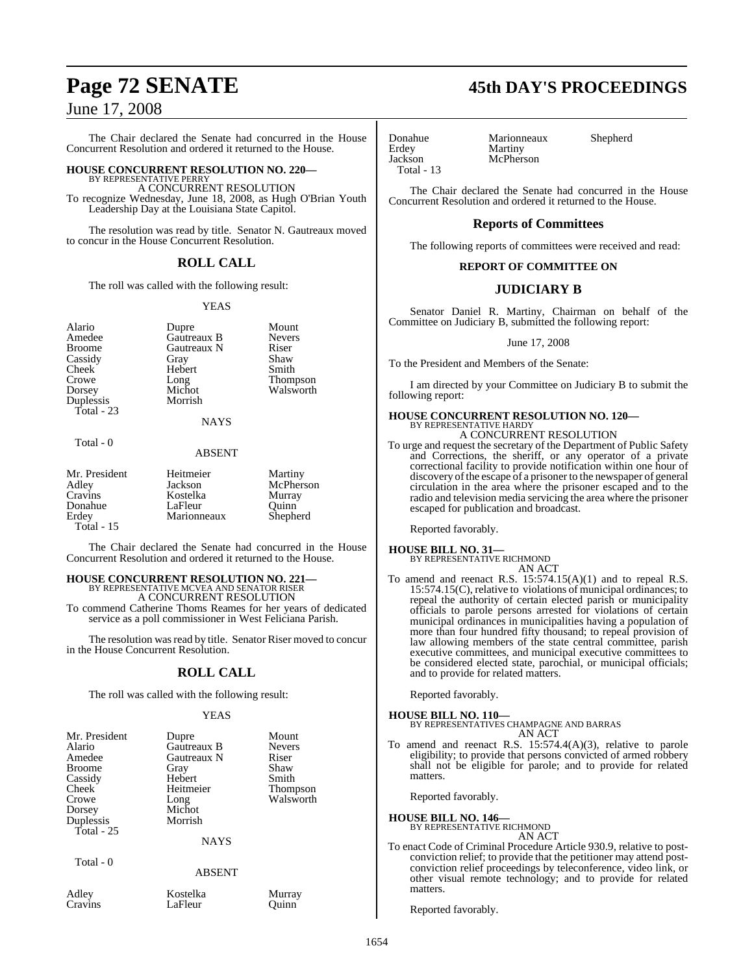The Chair declared the Senate had concurred in the House Concurrent Resolution and ordered it returned to the House.

#### **HOUSE CONCURRENT RESOLUTION NO. 220—** BY REPRESENTATIVE PERRY

A CONCURRENT RESOLUTION

To recognize Wednesday, June 18, 2008, as Hugh O'Brian Youth Leadership Day at the Louisiana State Capitol.

The resolution was read by title. Senator N. Gautreaux moved to concur in the House Concurrent Resolution.

#### **ROLL CALL**

The roll was called with the following result:

#### YEAS

Cheek Hebert<br>Crowe Long Duplessis Total - 23

Alario Dupre Mount<br>Amedee Gautreaux B Nevers Amedee Gautreaux B Never<br>Broome Gautreaux N Riser Gautreaux N Cassidy Gray Shaw<br>
Cheek Hebert Smith Crowe Long Thompson<br>Dorsey Michot Walsworth Michot Walsworth

#### **NAYS**

Total - 0

#### ABSENT

| Mr. President<br>Adley<br>Cravins<br>Donahue | Heitmeier<br>Jackson<br>Kostelka<br>LaFleur<br>Marionneaux | Martiny<br>McPherson<br>Murray<br>Quinn |
|----------------------------------------------|------------------------------------------------------------|-----------------------------------------|
| Erdey<br>Total $-15$                         |                                                            | Shepherd                                |

The Chair declared the Senate had concurred in the House Concurrent Resolution and ordered it returned to the House.

## **HOUSE CONCURRENT RESOLUTION NO. 221—** BY REPRESENTATIVE MCVEA AND SENATOR RISER A CONCURRENT RESOLUTION

To commend Catherine Thoms Reames for her years of dedicated service as a poll commissioner in West Feliciana Parish.

The resolution was read by title. Senator Riser moved to concur in the House Concurrent Resolution.

## **ROLL CALL**

The roll was called with the following result:

#### YEAS

| Mr. President | Dupre         | Mount         |
|---------------|---------------|---------------|
| Alario        | Gautreaux B   | <b>Nevers</b> |
| Amedee        | Gautreaux N   | Riser         |
| <b>Broome</b> | Gray          | Shaw          |
| Cassidy       | Hebert        | Smith         |
| Cheek         | Heitmeier     | Thompson      |
| Crowe         | Long          | Walsworth     |
| Dorsey        | Michot        |               |
| Duplessis     | Morrish       |               |
| Total - 25    |               |               |
|               | <b>NAYS</b>   |               |
| Total - 0     |               |               |
|               | <b>ABSENT</b> |               |
| Adley         | Kostelka      | Murray        |

Cravins LaFleur Ouinn

**Page 72 SENATE 45th DAY'S PROCEEDINGS**

Erdey Martiny<br>Jackson McPher Total - 13

Donahue Marionneaux Shepherd McPherson

The Chair declared the Senate had concurred in the House Concurrent Resolution and ordered it returned to the House.

#### **Reports of Committees**

The following reports of committees were received and read:

#### **REPORT OF COMMITTEE ON**

#### **JUDICIARY B**

Senator Daniel R. Martiny, Chairman on behalf of the Committee on Judiciary B, submitted the following report:

#### June 17, 2008

To the President and Members of the Senate:

I am directed by your Committee on Judiciary B to submit the following report:

## **HOUSE CONCURRENT RESOLUTION NO. 120—** BY REPRESENTATIVE HARDY A CONCURRENT RESOLUTION

To urge and request the secretary of the Department of Public Safety and Corrections, the sheriff, or any operator of a private correctional facility to provide notification within one hour of discovery of the escape of a prisoner to the newspaper of general circulation in the area where the prisoner escaped and to the radio and television media servicing the area where the prisoner escaped for publication and broadcast.

Reported favorably.

## **HOUSE BILL NO. 31—** BY REPRESENTATIVE RICHMOND

AN ACT To amend and reenact R.S. 15:574.15(A)(1) and to repeal R.S. 15:574.15(C), relative to violations of municipal ordinances; to repeal the authority of certain elected parish or municipality officials to parole persons arrested for violations of certain municipal ordinances in municipalities having a population of more than four hundred fifty thousand; to repeal provision of law allowing members of the state central committee, parish executive committees, and municipal executive committees to be considered elected state, parochial, or municipal officials; and to provide for related matters.

Reported favorably.

**HOUSE BILL NO. 110—** BY REPRESENTATIVES CHAMPAGNE AND BARRAS AN ACT

To amend and reenact R.S. 15:574.4(A)(3), relative to parole eligibility; to provide that persons convicted of armed robbery shall not be eligible for parole; and to provide for related matters.

Reported favorably.

### **HOUSE BILL NO. 146—**

BY REPRESENTATIVE RICHMOND

AN ACT

To enact Code of Criminal Procedure Article 930.9, relative to postconviction relief; to provide that the petitioner may attend postconviction relief proceedings by teleconference, video link, or other visual remote technology; and to provide for related matters.

Reported favorably.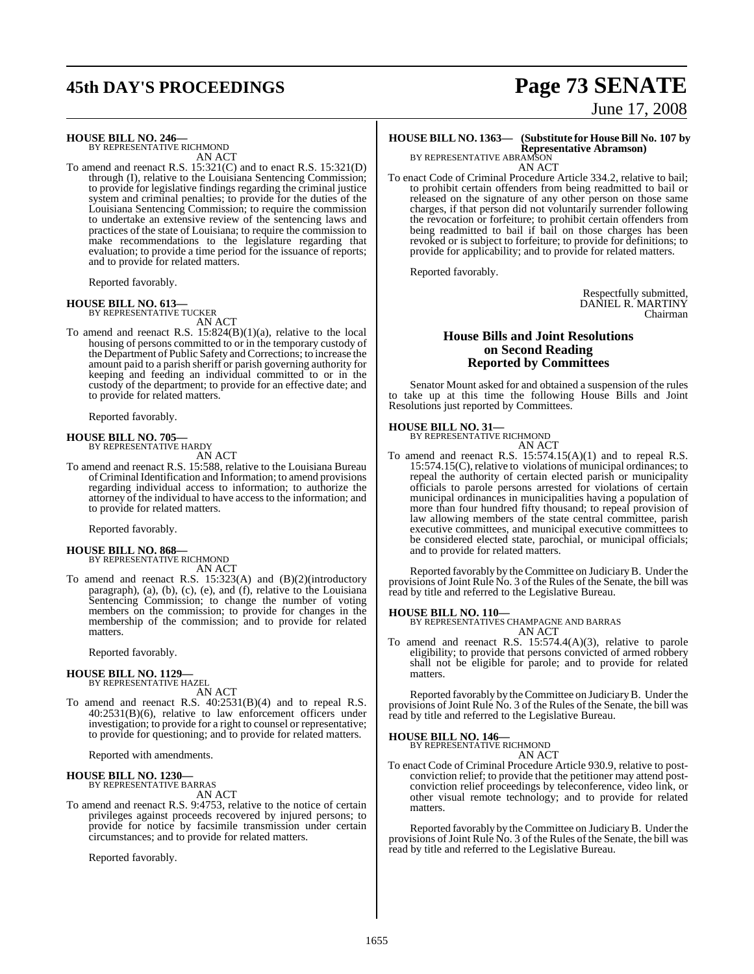## **45th DAY'S PROCEEDINGS Page 73 SENATE**

## **HOUSE BILL NO. 246—** BY REPRESENTATIVE RICHMOND

AN ACT

To amend and reenact R.S. 15:321(C) and to enact R.S. 15:321(D) through (I), relative to the Louisiana Sentencing Commission; to provide for legislative findings regarding the criminal justice system and criminal penalties; to provide for the duties of the Louisiana Sentencing Commission; to require the commission to undertake an extensive review of the sentencing laws and practices of the state of Louisiana; to require the commission to make recommendations to the legislature regarding that evaluation; to provide a time period for the issuance of reports; and to provide for related matters.

Reported favorably.

## **HOUSE BILL NO. 613—** BY REPRESENTATIVE TUCKER

AN ACT

To amend and reenact R.S. 15:824(B)(1)(a), relative to the local housing of persons committed to or in the temporary custody of the Department of Public Safety and Corrections; to increase the amount paid to a parish sheriff or parish governing authority for keeping and feeding an individual committed to or in the custody of the department; to provide for an effective date; and to provide for related matters.

Reported favorably.

### **HOUSE BILL NO. 705—** BY REPRESENTATIVE HARDY

AN ACT

To amend and reenact R.S. 15:588, relative to the Louisiana Bureau of Criminal Identification and Information; to amend provisions regarding individual access to information; to authorize the attorney of the individual to have access to the information; and to provide for related matters.

Reported favorably.

## **HOUSE BILL NO. 868—** BY REPRESENTATIVE RICHMOND

AN ACT

To amend and reenact R.S. 15:323(A) and (B)(2)(introductory paragraph), (a), (b), (c), (e), and (f), relative to the Louisiana Sentencing Commission; to change the number of voting members on the commission; to provide for changes in the membership of the commission; and to provide for related matters.

Reported favorably.

### **HOUSE BILL NO. 1129—** BY REPRESENTATIVE HAZEL

- AN ACT To amend and reenact R.S. 40:2531(B)(4) and to repeal R.S. 40:2531(B)(6), relative to law enforcement officers under investigation; to provide for a right to counsel or representative;
	- to provide for questioning; and to provide for related matters.

Reported with amendments.

### **HOUSE BILL NO. 1230—** BY REPRESENTATIVE BARRAS

AN ACT

To amend and reenact R.S. 9:4753, relative to the notice of certain privileges against proceeds recovered by injured persons; to provide for notice by facsimile transmission under certain circumstances; and to provide for related matters.

Reported favorably.

# June 17, 2008

### **HOUSE BILL NO. 1363— (Substitute for HouseBill No. 107 by Representative Abramson)** BY REPRESENTATIVE ABRAMSON

AN ACT

To enact Code of Criminal Procedure Article 334.2, relative to bail; to prohibit certain offenders from being readmitted to bail or released on the signature of any other person on those same charges, if that person did not voluntarily surrender following the revocation or forfeiture; to prohibit certain offenders from being readmitted to bail if bail on those charges has been revoked or is subject to forfeiture; to provide for definitions; to provide for applicability; and to provide for related matters.

Reported favorably.

Respectfully submitted, DANIEL R. MARTINY Chairman

## **House Bills and Joint Resolutions on Second Reading Reported by Committees**

Senator Mount asked for and obtained a suspension of the rules to take up at this time the following House Bills and Joint Resolutions just reported by Committees.

## **HOUSE BILL NO. 31—** BY REPRESENTATIVE RICHMOND

AN ACT

To amend and reenact R.S. 15:574.15(A)(1) and to repeal R.S. 15:574.15(C), relative to violations of municipal ordinances; to repeal the authority of certain elected parish or municipality officials to parole persons arrested for violations of certain municipal ordinances in municipalities having a population of more than four hundred fifty thousand; to repeal provision of law allowing members of the state central committee, parish executive committees, and municipal executive committees to be considered elected state, parochial, or municipal officials; and to provide for related matters.

Reported favorably by the Committee on JudiciaryB. Under the provisions of Joint Rule No. 3 of the Rules of the Senate, the bill was read by title and referred to the Legislative Bureau.

### **HOUSE BILL NO. 110—**

BY REPRESENTATIVES CHAMPAGNE AND BARRAS AN ACT

To amend and reenact R.S. 15:574.4(A)(3), relative to parole eligibility; to provide that persons convicted of armed robbery shall not be eligible for parole; and to provide for related matters.

Reported favorably by theCommittee on JudiciaryB. Under the provisions of Joint Rule No. 3 of the Rules of the Senate, the bill was read by title and referred to the Legislative Bureau.

**HOUSE BILL NO. 146—** BY REPRESENTATIVE RICHMOND

AN ACT

To enact Code of Criminal Procedure Article 930.9, relative to postconviction relief; to provide that the petitioner may attend postconviction relief proceedings by teleconference, video link, or other visual remote technology; and to provide for related matters.

Reported favorably by the Committee on JudiciaryB. Under the provisions of Joint Rule No. 3 of the Rules of the Senate, the bill was read by title and referred to the Legislative Bureau.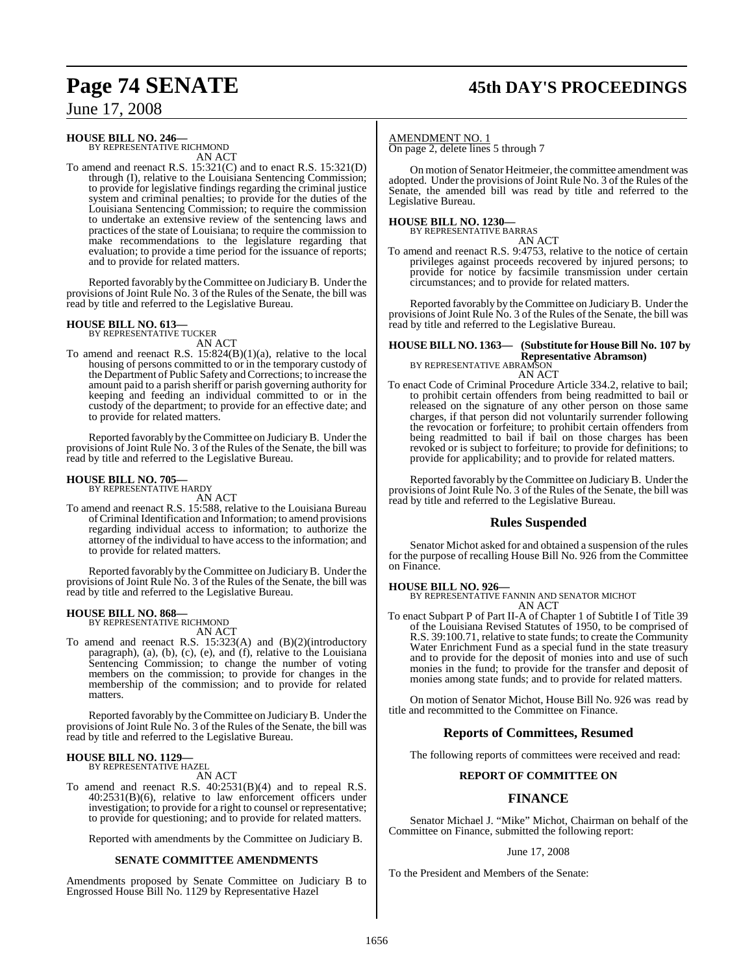## **Page 74 SENATE 45th DAY'S PROCEEDINGS**

June 17, 2008

## **HOUSE BILL NO. 246—** BY REPRESENTATIVE RICHMOND

AN ACT

To amend and reenact R.S. 15:321(C) and to enact R.S. 15:321(D) through (I), relative to the Louisiana Sentencing Commission; to provide for legislative findings regarding the criminal justice system and criminal penalties; to provide for the duties of the Louisiana Sentencing Commission; to require the commission to undertake an extensive review of the sentencing laws and practices of the state of Louisiana; to require the commission to make recommendations to the legislature regarding that evaluation; to provide a time period for the issuance of reports; and to provide for related matters.

Reported favorably by theCommittee on JudiciaryB. Under the provisions of Joint Rule No. 3 of the Rules of the Senate, the bill was read by title and referred to the Legislative Bureau.

## **HOUSE BILL NO. 613—** BY REPRESENTATIVE TUCKER

AN ACT

To amend and reenact R.S. 15:824(B)(1)(a), relative to the local housing of persons committed to or in the temporary custody of the Department of Public Safety and Corrections; to increase the amount paid to a parish sheriff or parish governing authority for keeping and feeding an individual committed to or in the custody of the department; to provide for an effective date; and to provide for related matters.

Reported favorably by theCommittee on JudiciaryB. Under the provisions of Joint Rule No. 3 of the Rules of the Senate, the bill was read by title and referred to the Legislative Bureau.

## **HOUSE BILL NO. 705—** BY REPRESENTATIVE HARDY

AN ACT

To amend and reenact R.S. 15:588, relative to the Louisiana Bureau ofCriminal Identification and Information; to amend provisions regarding individual access to information; to authorize the attorney of the individual to have access to the information; and to provide for related matters.

Reported favorably by the Committee on JudiciaryB. Under the provisions of Joint Rule No. 3 of the Rules of the Senate, the bill was read by title and referred to the Legislative Bureau.

### **HOUSE BILL NO. 868—**

BY REPRESENTATIVE RICHMOND

AN ACT To amend and reenact R.S. 15:323(A) and (B)(2)(introductory paragraph), (a), (b), (c), (e), and (f), relative to the Louisiana Sentencing Commission; to change the number of voting members on the commission; to provide for changes in the membership of the commission; and to provide for related matters.

Reported favorably by theCommittee on JudiciaryB. Under the provisions of Joint Rule No. 3 of the Rules of the Senate, the bill was read by title and referred to the Legislative Bureau.

## **HOUSE BILL NO. 1129—** BY REPRESENTATIVE HAZEL

AN ACT

To amend and reenact R.S. 40:2531(B)(4) and to repeal R.S. 40:2531(B)(6), relative to law enforcement officers under investigation; to provide for a right to counsel or representative; to provide for questioning; and to provide for related matters.

Reported with amendments by the Committee on Judiciary B.

### **SENATE COMMITTEE AMENDMENTS**

Amendments proposed by Senate Committee on Judiciary B to Engrossed House Bill No. 1129 by Representative Hazel

### AMENDMENT NO. 1

On page 2, delete lines 5 through 7

On motion of Senator Heitmeier, the committee amendment was adopted. Under the provisions of Joint Rule No. 3 of the Rules of the Senate, the amended bill was read by title and referred to the Legislative Bureau.

## **HOUSE BILL NO. 1230—** BY REPRESENTATIVE BARRAS

AN ACT To amend and reenact R.S. 9:4753, relative to the notice of certain privileges against proceeds recovered by injured persons; to provide for notice by facsimile transmission under certain circumstances; and to provide for related matters.

Reported favorably by the Committee on JudiciaryB. Under the provisions of Joint Rule No. 3 of the Rules of the Senate, the bill was read by title and referred to the Legislative Bureau.

## **HOUSE BILL NO. 1363— (Substitute for HouseBill No. 107 by Representative Abramson)** BY REPRESENTATIVE ABRAMSON

AN ACT

To enact Code of Criminal Procedure Article 334.2, relative to bail; to prohibit certain offenders from being readmitted to bail or released on the signature of any other person on those same charges, if that person did not voluntarily surrender following the revocation or forfeiture; to prohibit certain offenders from being readmitted to bail if bail on those charges has been revoked or is subject to forfeiture; to provide for definitions; to provide for applicability; and to provide for related matters.

Reported favorably by the Committee on JudiciaryB. Under the provisions of Joint Rule No. 3 of the Rules of the Senate, the bill was read by title and referred to the Legislative Bureau.

## **Rules Suspended**

Senator Michot asked for and obtained a suspension of the rules for the purpose of recalling House Bill No. 926 from the Committee on Finance.

### **HOUSE BILL NO. 926—**

BY REPRESENTATIVE FANNIN AND SENATOR MICHOT AN ACT

To enact Subpart P of Part II-A of Chapter 1 of Subtitle I of Title 39 of the Louisiana Revised Statutes of 1950, to be comprised of R.S. 39:100.71, relative to state funds; to create the Community Water Enrichment Fund as a special fund in the state treasury and to provide for the deposit of monies into and use of such monies in the fund; to provide for the transfer and deposit of monies among state funds; and to provide for related matters.

On motion of Senator Michot, House Bill No. 926 was read by title and recommitted to the Committee on Finance.

### **Reports of Committees, Resumed**

The following reports of committees were received and read:

### **REPORT OF COMMITTEE ON**

## **FINANCE**

Senator Michael J. "Mike" Michot, Chairman on behalf of the Committee on Finance, submitted the following report:

### June 17, 2008

To the President and Members of the Senate: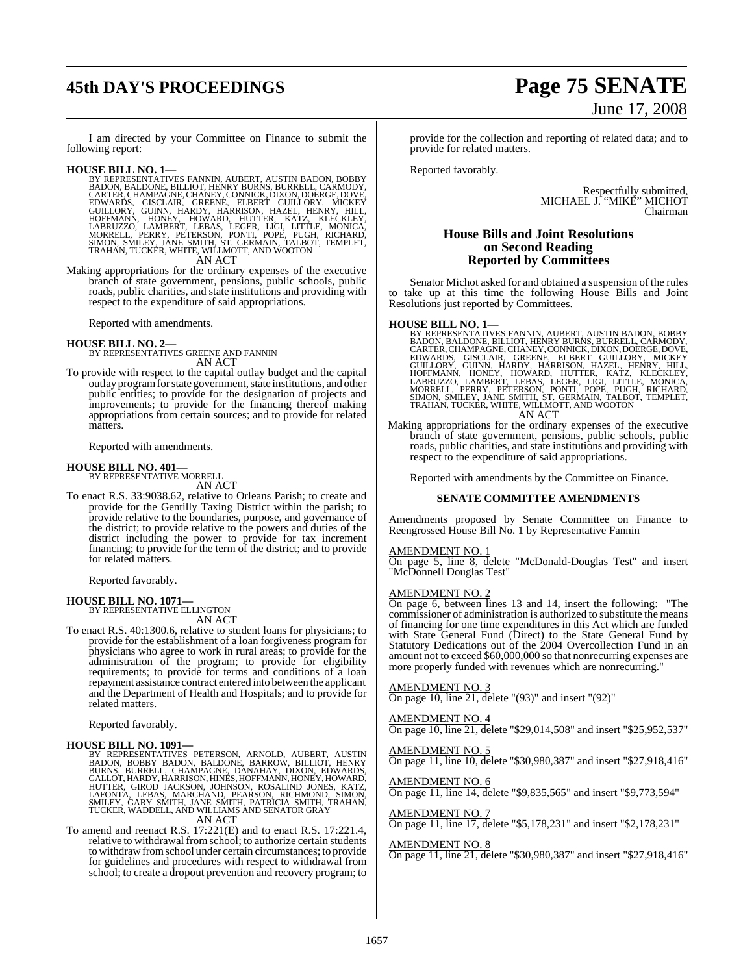## **45th DAY'S PROCEEDINGS Page 75 SENATE**

# June 17, 2008

I am directed by your Committee on Finance to submit the following report:

**HOUSE BILL NO. 1—** BY REPRESENTATIVES FANNIN, AUBERT, AUSTIN BADON, BOBBY BADON, BALDONE, BILLIOT, HENRY BURNS, BURRELL, CARMODY,<br>CARTER, CHAMPAGNE, CHANEY, CONNICK, DIXON, DOERGE, DOVE,<br>EDWARDS, GISCLAIR, GREENE, CELBERT GUILLORY, MICKEY<br>GUILLORY, GUINN, HARDY, HARRISON, HAZEL, HENRY, HILL,<br>HOF AN ACT

Making appropriations for the ordinary expenses of the executive branch of state government, pensions, public schools, public roads, public charities, and state institutions and providing with respect to the expenditure of said appropriations.

Reported with amendments.

### **HOUSE BILL NO. 2—**

BY REPRESENTATIVES GREENE AND FANNIN AN ACT

To provide with respect to the capital outlay budget and the capital outlay program for state government, state institutions, and other public entities; to provide for the designation of projects and improvements; to provide for the financing thereof making appropriations from certain sources; and to provide for related matters.

Reported with amendments.

### **HOUSE BILL NO. 401—**

BY REPRESENTATIVE MORRELL AN ACT

To enact R.S. 33:9038.62, relative to Orleans Parish; to create and provide for the Gentilly Taxing District within the parish; to provide relative to the boundaries, purpose, and governance of the district; to provide relative to the powers and duties of the district including the power to provide for tax increment financing; to provide for the term of the district; and to provide for related matters.

Reported favorably.

### **HOUSE BILL NO. 1071—** BY REPRESENTATIVE ELLINGTON

AN ACT

To enact R.S. 40:1300.6, relative to student loans for physicians; to provide for the establishment of a loan forgiveness program for physicians who agree to work in rural areas; to provide for the administration of the program; to provide for eligibility requirements; to provide for terms and conditions of a loan repayment assistance contract entered into between the applicant and the Department of Health and Hospitals; and to provide for related matters.

Reported favorably.

**HOUSE BILL NO. 1091—**<br>BY REPRESENTATIVES PETERSON, ARNOLD, AUBERT, AUSTIN<br>BADON, BOBBY BADON, BALDONE, BARROW, BILLIOT, HENRY<br>BURNS, BURRELL, CHAMPAGNE, DANAHAY, DIXON, EDWARDS,<br>GALLOT, HARDY, HARRISON, HINES, HOFFMANN, H AN ACT

To amend and reenact R.S. 17:221(E) and to enact R.S. 17:221.4, relative to withdrawal from school; to authorize certain students to withdrawfromschool under certain circumstances; to provide for guidelines and procedures with respect to withdrawal from school; to create a dropout prevention and recovery program; to provide for the collection and reporting of related data; and to provide for related matters.

Reported favorably.

Respectfully submitted, MICHAEL J. "MIKE" MICHOT Chairman

## **House Bills and Joint Resolutions on Second Reading Reported by Committees**

Senator Michot asked for and obtained a suspension of the rules to take up at this time the following House Bills and Joint Resolutions just reported by Committees.

### **HOUSE BILL NO. 1—**

BY REPRESENTATIVES FANNIN, AUBERT, AUSTIN BADON, BOBBY<br>BADON, BALDONE, BILLIOT, HENRY BURNS, BURRELL, CARNODY,<br>CARTER, CHAMPAGNE, CHANEY, CONNICK, DIXON, DOERGE, DOVE,<br>EDWARDS, GISCLAIR, GREENE, ELBERT GUILLORY, MICKEY<br>GUI AN ACT

Making appropriations for the ordinary expenses of the executive branch of state government, pensions, public schools, public roads, public charities, and state institutions and providing with respect to the expenditure of said appropriations.

Reported with amendments by the Committee on Finance.

### **SENATE COMMITTEE AMENDMENTS**

Amendments proposed by Senate Committee on Finance to Reengrossed House Bill No. 1 by Representative Fannin

### AMENDMENT NO. 1

On page 5, line 8, delete "McDonald-Douglas Test" and insert "McDonnell Douglas Test"

### AMENDMENT NO. 2

On page 6, between lines 13 and 14, insert the following: "The commissioner of administration is authorized to substitute the means of financing for one time expenditures in this Act which are funded with State General Fund (Direct) to the State General Fund by Statutory Dedications out of the 2004 Overcollection Fund in an amount not to exceed \$60,000,000 so that nonrecurring expenses are more properly funded with revenues which are nonrecurring.

### AMENDMENT NO. 3

On page 10, line 21, delete "(93)" and insert "(92)"

## AMENDMENT NO. 4

On page 10, line 21, delete "\$29,014,508" and insert "\$25,952,537"

## AMENDMENT NO. 5

On page 11, line 10, delete "\$30,980,387" and insert "\$27,918,416"

### AMENDMENT NO. 6

On page 11, line 14, delete "\$9,835,565" and insert "\$9,773,594"

## AMENDMENT NO. 7

On page 11, line 17, delete "\$5,178,231" and insert "\$2,178,231"

### AMENDMENT NO. 8

On page 11, line 21, delete "\$30,980,387" and insert "\$27,918,416"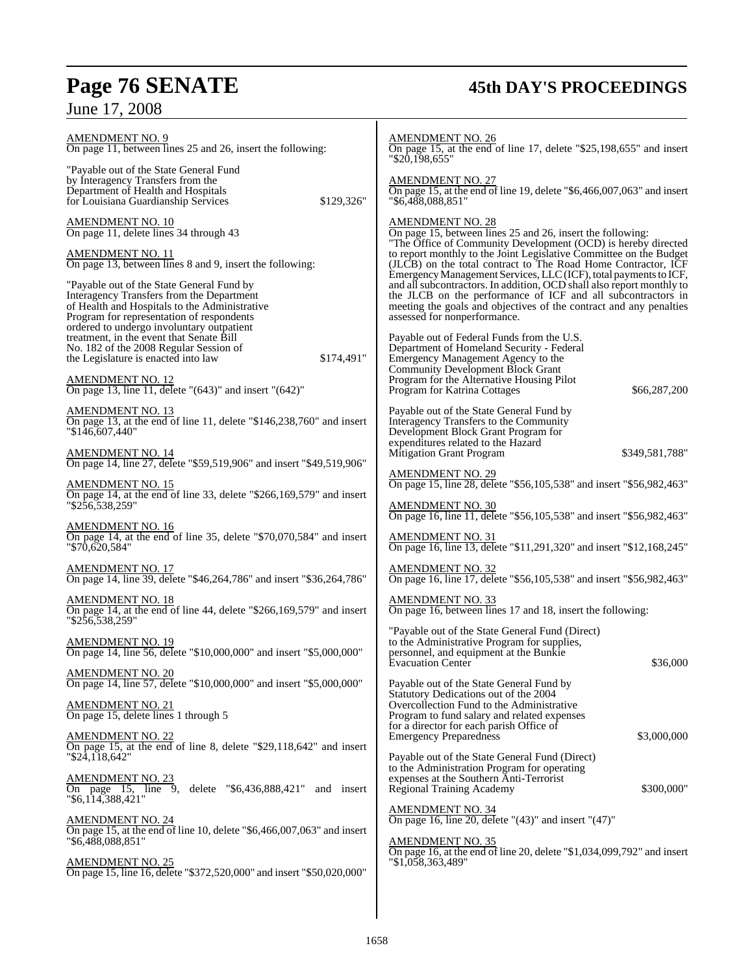June 17, 2008

# **Page 76 SENATE 45th DAY'S PROCEEDINGS**

| <b>AMENDMENT NO. 9</b><br>On page 11, between lines 25 and 26, insert the following:                | <b>AMENDMENT NO. 26</b><br>On page 15, at the end of line 17, delete "\$25,198,655" and insert<br>"\$20,198,655"                   |
|-----------------------------------------------------------------------------------------------------|------------------------------------------------------------------------------------------------------------------------------------|
| "Payable out of the State General Fund                                                              | <b>AMENDMENT NO. 27</b>                                                                                                            |
| by Interagency Transfers from the<br>Department of Health and Hospitals                             | On page 15, at the end of line 19, delete "\$6,466,007,063" and insert                                                             |
| for Louisiana Guardianship Services<br>\$129,326"                                                   | "\$6,488,088,851"                                                                                                                  |
| <b>AMENDMENT NO. 10</b>                                                                             | <b>AMENDMENT NO. 28</b>                                                                                                            |
| On page 11, delete lines 34 through 43                                                              | On page 15, between lines 25 and 26, insert the following:<br>"The Office of Community Development (OCD) is hereby directed        |
| <b>AMENDMENT NO. 11</b>                                                                             | to report monthly to the Joint Legislative Committee on the Budget                                                                 |
| On page 13, between lines 8 and 9, insert the following:                                            | (JLCB) on the total contract to The Road Home Contractor, ICF<br>Emergency Management Services, LLC (ICF), total payments to ICF,  |
| "Payable out of the State General Fund by                                                           | and all subcontractors. In addition, OCD shall also report monthly to                                                              |
| Interagency Transfers from the Department<br>of Health and Hospitals to the Administrative          | the JLCB on the performance of ICF and all subcontractors in<br>meeting the goals and objectives of the contract and any penalties |
| Program for representation of respondents                                                           | assessed for nonperformance.                                                                                                       |
| ordered to undergo involuntary outpatient<br>treatment, in the event that Senate Bill               | Payable out of Federal Funds from the U.S.                                                                                         |
| No. 182 of the 2008 Regular Session of<br>the Legislature is enacted into law                       | Department of Homeland Security - Federal                                                                                          |
| \$174,491"                                                                                          | Emergency Management Agency to the<br><b>Community Development Block Grant</b>                                                     |
| AMENDMENT NO. 12<br>On page 13, line 11, delete " $(643)$ " and insert " $(642)$ "                  | Program for the Alternative Housing Pilot<br>Program for Katrina Cottages                                                          |
|                                                                                                     | \$66,287,200                                                                                                                       |
| <u>AMENDMENT NO. 13</u><br>On page 13, at the end of line 11, delete " $$146,238,760$ " and insert  | Payable out of the State General Fund by<br>Interagency Transfers to the Community                                                 |
| "\$146,607,440"                                                                                     | Development Block Grant Program for                                                                                                |
| AMENDMENT NO. 14                                                                                    | expenditures related to the Hazard<br>\$349,581,788"<br>Mitigation Grant Program                                                   |
| On page 14, line 27, delete "\$59,519,906" and insert "\$49,519,906"                                |                                                                                                                                    |
| <u>AMENDMENT NO. 15</u>                                                                             | <b>AMENDMENT NO. 29</b><br>On page 15, line 28, delete "\$56,105,538" and insert "\$56,982,463"                                    |
| On page 14, at the end of line 33, delete "\$266,169,579" and insert                                |                                                                                                                                    |
| "\$256,538,259"                                                                                     | AMENDMENT NO. 30<br>On page 16, line 11, delete "\$56,105,538" and insert "\$56,982,463"                                           |
| AMENDMENT NO. 16<br>On page 14, at the end of line 35, delete " $$70,070,584"$ and insert           | <b>AMENDMENT NO. 31</b>                                                                                                            |
| "\$70,620,584"                                                                                      | On page 16, line 13, delete "\$11,291,320" and insert "\$12,168,245"                                                               |
| AMENDMENT NO. 17                                                                                    | <b>AMENDMENT NO. 32</b>                                                                                                            |
| On page 14, line 39, delete "\$46,264,786" and insert "\$36,264,786"                                | On page 16, line 17, delete "\$56,105,538" and insert "\$56,982,463"                                                               |
| AMENDMENT NO. 18                                                                                    | <b>AMENDMENT NO. 33</b>                                                                                                            |
| On page 14, at the end of line 44, delete "\$266,169,579" and insert<br>"\$256,538,259"             | On page 16, between lines 17 and 18, insert the following:                                                                         |
|                                                                                                     | "Payable out of the State General Fund (Direct)                                                                                    |
| AMENDMENT NO. 19<br>On page 14, line 56, delete "\$10,000,000" and insert "\$5,000,000"             | to the Administrative Program for supplies,<br>personnel, and equipment at the Bunkie                                              |
|                                                                                                     | \$36,000<br><b>Evacuation Center</b>                                                                                               |
| <b>AMENDMENT NO. 20</b><br>On page 14, line 57, delete "\$10,000,000" and insert "\$5,000,000"      | Payable out of the State General Fund by                                                                                           |
|                                                                                                     | Statutory Dedications out of the 2004                                                                                              |
| <u>AMENDMENT NO. 21</u><br>On page 15, delete lines 1 through 5                                     | Overcollection Fund to the Administrative<br>Program to fund salary and related expenses                                           |
|                                                                                                     | for a director for each parish Office of                                                                                           |
| <u>AMENDMENT NO. 22</u><br>On page 15, at the end of line 8, delete "\$29,118,642" and insert       | \$3,000,000<br><b>Emergency Preparedness</b>                                                                                       |
| "\$24,118,642"                                                                                      | Payable out of the State General Fund (Direct)                                                                                     |
| <u>AMENDMENT NO. 23</u>                                                                             | to the Administration Program for operating<br>expenses at the Southern Anti-Terrorist                                             |
| On page $15$ , line $9$ ,<br>delete "\$6,436,888,421"<br>and insert<br>"\$6,114,388,421"            | \$300,000"<br>Regional Training Academy                                                                                            |
|                                                                                                     | <b>AMENDMENT NO. 34</b>                                                                                                            |
| <u>AMENDMENT NO. 24</u><br>On page 15, at the end of line 10, delete " $$6,466,007,063"$ and insert | On page 16, line 20, delete " $(43)$ " and insert " $(47)$ "                                                                       |
| "\$6,488,088,851"                                                                                   | <u>AMENDMENT NO. 35</u>                                                                                                            |
| AMENDMENT NO. 25                                                                                    | On page 16, at the end of line 20, delete "\$1,034,099,792" and insert<br>"\$1,058,363,489"                                        |
| On page 15, line 16, delete "\$372,520,000" and insert "\$50,020,000"                               |                                                                                                                                    |
|                                                                                                     |                                                                                                                                    |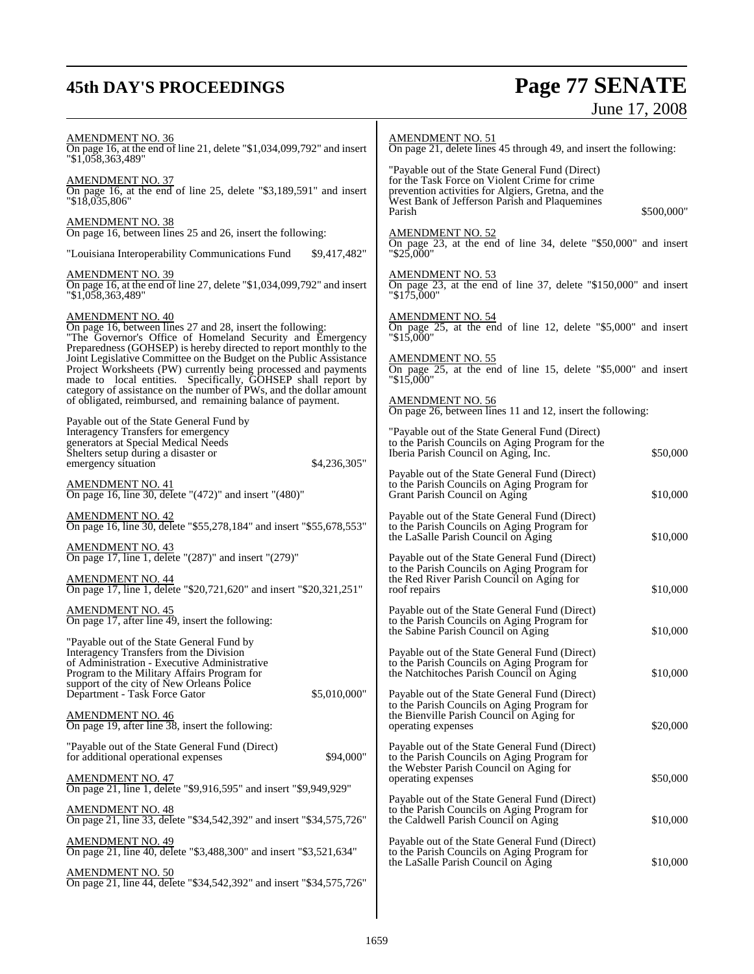# **45th DAY'S PROCEEDINGS Page 77 SENATE** June 17, 2008

| <b>AMENDMENT NO. 36</b><br>On page 16, at the end of line 21, delete " $$1,034,099,792$ " and insert<br>"\$1,058,363,489"                                                                                                                                              | <b>AMENDMENT NO. 51</b><br>On page 21, delete lines 45 through 49, and insert the following:                                                                                                                                    |
|------------------------------------------------------------------------------------------------------------------------------------------------------------------------------------------------------------------------------------------------------------------------|---------------------------------------------------------------------------------------------------------------------------------------------------------------------------------------------------------------------------------|
| <u>AMENDMENT NO. 37</u><br>On page 16, at the end of line 25, delete "\$3,189,591" and insert<br>"\$18,035,806"                                                                                                                                                        | "Payable out of the State General Fund (Direct)<br>for the Task Force on Violent Crime for crime<br>prevention activities for Algiers, Gretna, and the<br>West Bank of Jefferson Parish and Plaquemines<br>Parish<br>\$500,000" |
| <u>AMENDMENT NO. 38</u><br>On page 16, between lines 25 and 26, insert the following:                                                                                                                                                                                  | <b>AMENDMENT NO. 52</b><br>On page $23$ , at the end of line $34$ , delete "\$50,000" and insert                                                                                                                                |
| \$9,417,482"<br>"Louisiana Interoperability Communications Fund                                                                                                                                                                                                        | "\$25,000"                                                                                                                                                                                                                      |
| <b>AMENDMENT NO. 39</b><br>On page 16, at the end of line 27, delete "\$1,034,099,792" and insert<br>"\$1,058,363,489"                                                                                                                                                 | <b>AMENDMENT NO. 53</b><br>On page 23, at the end of line 37, delete "\$150,000" and insert<br>$"\$175,000"$                                                                                                                    |
| <b>AMENDMENT NO. 40</b><br>On page 16, between lines 27 and 28, insert the following:<br>"The Governor's Office of Homeland Security and Emergency                                                                                                                     | <b>AMENDMENT NO. 54</b><br>On page 25, at the end of line 12, delete "\$5,000" and insert<br>$"\$15,000"$                                                                                                                       |
| Preparedness (GOHSEP) is hereby directed to report monthly to the<br>Joint Legislative Committee on the Budget on the Public Assistance<br>Project Worksheets (PW) currently being processed and payments made to local entities. Specifically, GOHSEP shall report by | <b>AMENDMENT NO. 55</b><br>On page 25, at the end of line 15, delete "\$5,000" and insert<br>$"\$15,000"$                                                                                                                       |
| category of assistance on the number of PWs, and the dollar amount<br>of obligated, reimbursed, and remaining balance of payment.                                                                                                                                      | <b>AMENDMENT NO. 56</b><br>On page 26, between lines 11 and 12, insert the following:                                                                                                                                           |
| Payable out of the State General Fund by<br>Interagency Transfers for emergency<br>generators at Special Medical Needs<br>Shelters setup during a disaster or<br>\$4,236,305"<br>emergency situation                                                                   | "Payable out of the State General Fund (Direct)<br>to the Parish Councils on Aging Program for the<br>Iberia Parish Council on Aging, Inc.<br>\$50,000                                                                          |
| <b>AMENDMENT NO. 41</b><br>On page 16, line 30, delete " $(472)$ " and insert " $(480)$ "                                                                                                                                                                              | Payable out of the State General Fund (Direct)<br>to the Parish Councils on Aging Program for<br>\$10,000<br>Grant Parish Council on Aging                                                                                      |
| <b>AMENDMENT NO. 42</b><br>On page 16, line 30, delete "\$55,278,184" and insert "\$55,678,553"                                                                                                                                                                        | Payable out of the State General Fund (Direct)<br>to the Parish Councils on Aging Program for<br>the LaSalle Parish Council on Aging<br>\$10,000                                                                                |
| <u>AMENDMENT NO. 43</u><br>On page 17, line 1, delete " $(287)$ " and insert " $(279)$ "                                                                                                                                                                               | Payable out of the State General Fund (Direct)<br>to the Parish Councils on Aging Program for                                                                                                                                   |
| <b>AMENDMENT NO. 44</b><br>On page 17, line 1, delete "\$20,721,620" and insert "\$20,321,251"                                                                                                                                                                         | the Red River Parish Council on Aging for<br>\$10,000<br>roof repairs                                                                                                                                                           |
| <u>AMENDMENT NO. 45</u><br>On page 17, after line 49, insert the following:                                                                                                                                                                                            | Payable out of the State General Fund (Direct)<br>to the Parish Councils on Aging Program for<br>\$10,000<br>the Sabine Parish Council on Aging                                                                                 |
| "Payable out of the State General Fund by<br>Interagency Transfers from the Division<br>of Administration - Executive Administrative<br>Program to the Military Affairs Program for<br>support of the city of New Orleans Police                                       | Payable out of the State General Fund (Direct)<br>to the Parish Councils on Aging Program for<br>the Natchitoches Parish Council on Aging<br>\$10,000                                                                           |
| Department - Task Force Gator<br>\$5,010,000"<br><b>AMENDMENT NO. 46</b><br>On page 19, after line 38, insert the following:                                                                                                                                           | Payable out of the State General Fund (Direct)<br>to the Parish Councils on Aging Program for<br>the Bienville Parish Council on Aging for<br>\$20,000<br>operating expenses                                                    |
| "Payable out of the State General Fund (Direct)<br>\$94,000"<br>for additional operational expenses                                                                                                                                                                    | Payable out of the State General Fund (Direct)<br>to the Parish Councils on Aging Program for                                                                                                                                   |
| <b>AMENDMENT NO. 47</b><br>On page 21, line 1, delete "\$9,916,595" and insert "\$9,949,929"                                                                                                                                                                           | the Webster Parish Council on Aging for<br>\$50,000<br>operating expenses                                                                                                                                                       |
| <b>AMENDMENT NO. 48</b><br>On page 21, line 33, delete "\$34,542,392" and insert "\$34,575,726"                                                                                                                                                                        | Payable out of the State General Fund (Direct)<br>to the Parish Councils on Aging Program for<br>\$10,000<br>the Caldwell Parish Council on Aging                                                                               |
| <b>AMENDMENT NO. 49</b><br>On page 21, line 40, delete "\$3,488,300" and insert "\$3,521,634"                                                                                                                                                                          | Payable out of the State General Fund (Direct)<br>to the Parish Councils on Aging Program for<br>the LaSalle Parish Council on Aging<br>\$10,000                                                                                |
| <b>AMENDMENT NO. 50</b><br>On page 21, line 44, delete "\$34,542,392" and insert "\$34,575,726"                                                                                                                                                                        |                                                                                                                                                                                                                                 |
|                                                                                                                                                                                                                                                                        |                                                                                                                                                                                                                                 |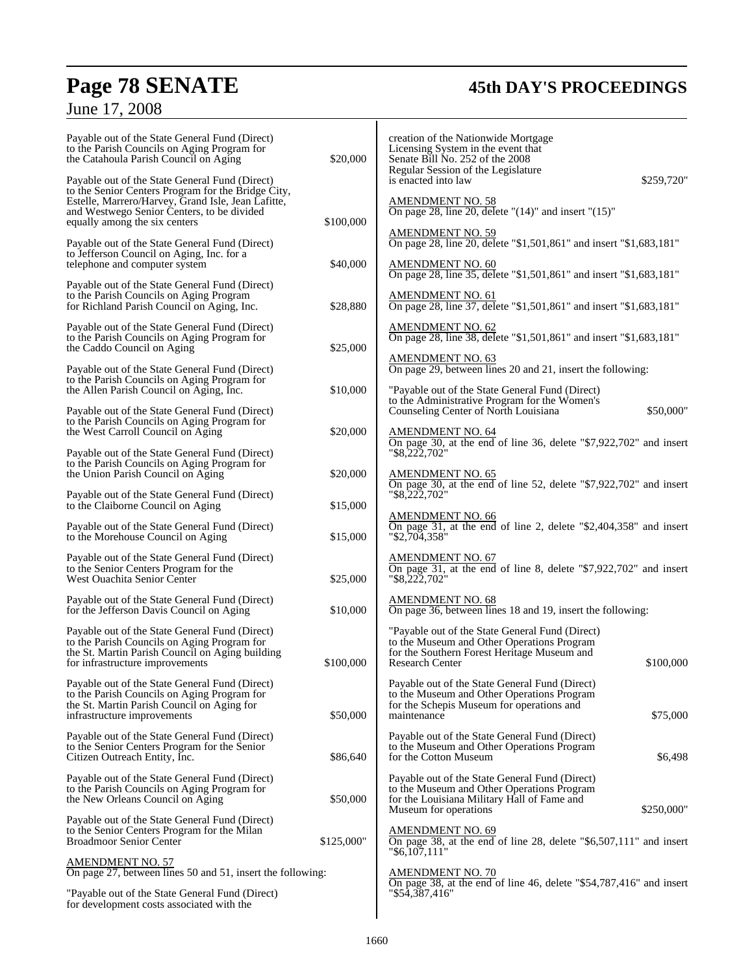# June 17, 2008

# **Page 78 SENATE 45th DAY'S PROCEEDINGS**

| Payable out of the State General Fund (Direct)<br>to the Parish Councils on Aging Program for<br>the Catahoula Parish Council on Aging<br>Payable out of the State General Fund (Direct)<br>to the Senior Centers Program for the Bridge City, | \$20,000   | creation of the Nationwide Mortgage<br>Licensing System in the event that<br>Senate Bill No. 252 of the 2008<br>Regular Session of the Legislature<br>is enacted into law<br>\$259,720" |
|------------------------------------------------------------------------------------------------------------------------------------------------------------------------------------------------------------------------------------------------|------------|-----------------------------------------------------------------------------------------------------------------------------------------------------------------------------------------|
| Estelle, Marrero/Harvey, Grand Isle, Jean Lafitte,<br>and Westwego Senior Centers, to be divided<br>equally among the six centers                                                                                                              | \$100,000  | <b>AMENDMENT NO. 58</b><br>On page 28, line 20, delete " $(14)$ " and insert " $(15)$ "<br><b>AMENDMENT NO. 59</b>                                                                      |
| Payable out of the State General Fund (Direct)<br>to Jefferson Council on Aging, Inc. for a<br>telephone and computer system                                                                                                                   | \$40,000   | On page 28, line 20, delete "\$1,501,861" and insert "\$1,683,181"<br><b>AMENDMENT NO. 60</b>                                                                                           |
| Payable out of the State General Fund (Direct)<br>to the Parish Councils on Aging Program<br>for Richland Parish Council on Aging, Inc.                                                                                                        | \$28,880   | On page 28, line 35, delete "\$1,501,861" and insert "\$1,683,181"<br><b>AMENDMENT NO. 61</b><br>On page 28, line 37, delete "\$1,501,861" and insert "\$1,683,181"                     |
| Payable out of the State General Fund (Direct)<br>to the Parish Councils on Aging Program for<br>the Caddo Council on Aging                                                                                                                    | \$25,000   | <b>AMENDMENT NO. 62</b><br>On page 28, line 38, delete "\$1,501,861" and insert "\$1,683,181"                                                                                           |
| Payable out of the State General Fund (Direct)<br>to the Parish Councils on Aging Program for<br>the Allen Parish Council on Aging, Inc.                                                                                                       | \$10,000   | <b>AMENDMENT NO. 63</b><br>On page 29, between lines 20 and 21, insert the following:<br>"Payable out of the State General Fund (Direct)                                                |
| Payable out of the State General Fund (Direct)<br>to the Parish Councils on Aging Program for<br>the West Carroll Council on Aging                                                                                                             | \$20,000   | to the Administrative Program for the Women's<br>Counseling Center of North Louisiana<br>\$50,000"<br>AMENDMENT NO. 64                                                                  |
| Payable out of the State General Fund (Direct)<br>to the Parish Councils on Aging Program for<br>the Union Parish Council on Aging                                                                                                             | \$20,000   | On page 30, at the end of line 36, delete "\$7,922,702" and insert<br>"\$8,222,702"<br><b>AMENDMENT NO. 65</b>                                                                          |
| Payable out of the State General Fund (Direct)<br>to the Claiborne Council on Aging                                                                                                                                                            | \$15,000   | On page 30, at the end of line 52, delete "\$7,922,702" and insert<br>"\$8,222,702"<br><b>AMENDMENT NO. 66</b>                                                                          |
| Payable out of the State General Fund (Direct)<br>to the Morehouse Council on Aging                                                                                                                                                            | \$15,000   | On page 31, at the end of line 2, delete "\$2,404,358" and insert<br>"\$2,704,358"                                                                                                      |
| Payable out of the State General Fund (Direct)<br>to the Senior Centers Program for the<br><b>West Ouachita Senior Center</b>                                                                                                                  | \$25,000   | <b>AMENDMENT NO. 67</b><br>On page 31, at the end of line 8, delete "\$7,922,702" and insert<br>"\$8,222,702"                                                                           |
| Payable out of the State General Fund (Direct)<br>for the Jefferson Davis Council on Aging                                                                                                                                                     | \$10,000   | <b>AMENDMENT NO. 68</b><br>On page 36, between lines 18 and 19, insert the following:                                                                                                   |
| Payable out of the State General Fund (Direct)<br>to the Parish Councils on Aging Program for<br>the St. Martin Parish Council on Aging building<br>for infrastructure improvements                                                            | \$100,000  | "Payable out of the State General Fund (Direct)<br>to the Museum and Other Operations Program<br>for the Southern Forest Heritage Museum and<br><b>Research Center</b><br>\$100,000     |
| Payable out of the State General Fund (Direct)<br>to the Parish Councils on Aging Program for<br>the St. Martin Parish Council on Aging for<br>infrastructure improvements                                                                     | \$50,000   | Payable out of the State General Fund (Direct)<br>to the Museum and Other Operations Program<br>for the Schepis Museum for operations and<br>\$75,000<br>maintenance                    |
| Payable out of the State General Fund (Direct)<br>to the Senior Centers Program for the Senior<br>Citizen Outreach Entity, Inc.                                                                                                                | \$86,640   | Payable out of the State General Fund (Direct)<br>to the Museum and Other Operations Program<br>\$6,498<br>for the Cotton Museum                                                        |
| Payable out of the State General Fund (Direct)<br>to the Parish Councils on Aging Program for<br>the New Orleans Council on Aging                                                                                                              | \$50,000   | Payable out of the State General Fund (Direct)<br>to the Museum and Other Operations Program<br>for the Louisiana Military Hall of Fame and<br>\$250,000"<br>Museum for operations      |
| Payable out of the State General Fund (Direct)<br>to the Senior Centers Program for the Milan<br><b>Broadmoor Senior Center</b>                                                                                                                | \$125,000" | <b>AMENDMENT NO. 69</b><br>On page 38, at the end of line 28, delete "\$6,507,111" and insert<br>"\$6,107,111"                                                                          |
| <b>AMENDMENT NO. 57</b><br>On page 27, between lines 50 and 51, insert the following:<br>"Payable out of the State General Fund (Direct)                                                                                                       |            | <b>AMENDMENT NO. 70</b><br>On page 38, at the end of line 46, delete "\$54,787,416" and insert<br>"\$54,387,416"                                                                        |
| for development costs associated with the                                                                                                                                                                                                      |            |                                                                                                                                                                                         |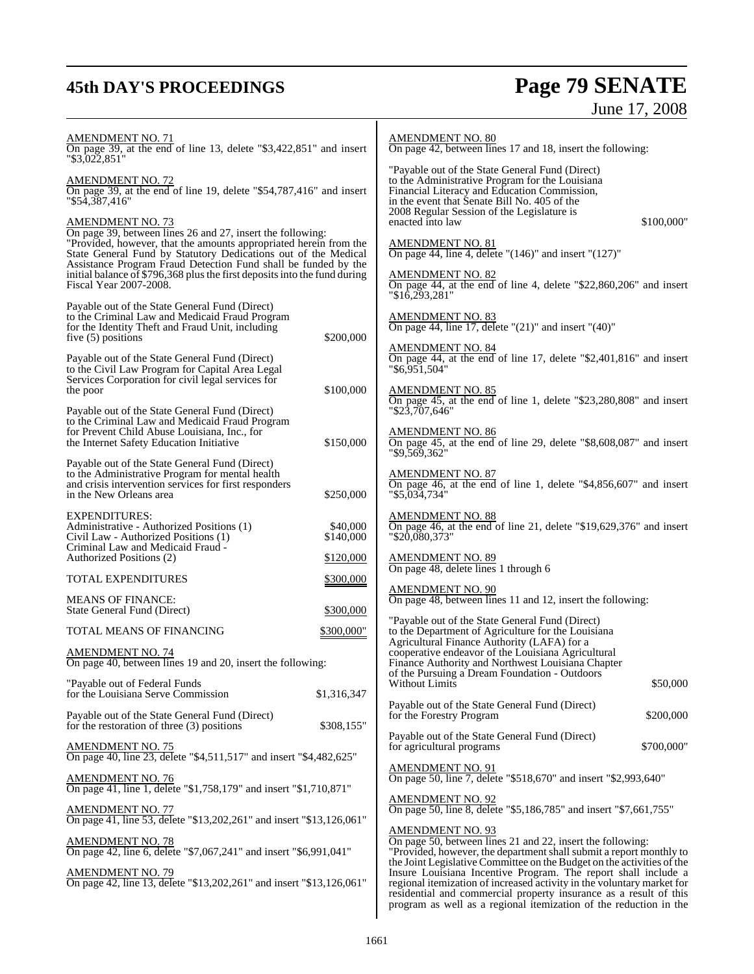# **45th DAY'S PROCEEDINGS Page 79 SENATE** June 17, 2008

| <u>AMENDMENT NO. 71</u><br>On page 39, at the end of line 13, delete "\$3,422,851" and insert<br>$"\$3,022,851"$                                                                                                                        |                       | <b>AMENDMENT NO. 80</b><br>On page 42, between lines 17 and 18, insert the following:                                                                                                              |            |
|-----------------------------------------------------------------------------------------------------------------------------------------------------------------------------------------------------------------------------------------|-----------------------|----------------------------------------------------------------------------------------------------------------------------------------------------------------------------------------------------|------------|
| <b>AMENDMENT NO. 72</b><br>On page 39, at the end of line 19, delete "\$54,787,416" and insert<br>"\$54.387.416"                                                                                                                        |                       | "Payable out of the State General Fund (Direct)<br>to the Administrative Program for the Louisiana<br>Financial Literacy and Education Commission,<br>in the event that Senate Bill No. 405 of the |            |
| <b>AMENDMENT NO. 73</b><br>On page 39, between lines 26 and 27, insert the following:<br>"Provided, however, that the amounts appropriated herein from the                                                                              |                       | 2008 Regular Session of the Legislature is<br>enacted into law<br><b>AMENDMENT NO. 81</b>                                                                                                          | \$100,000" |
| State General Fund by Statutory Dedications out of the Medical<br>Assistance Program Fraud Detection Fund shall be funded by the<br>initial balance of \$796,368 plus the first deposits into the fund during<br>Fiscal Year 2007-2008. |                       | On page 44, line 4, delete " $(146)$ " and insert " $(127)$ "<br><b>AMENDMENT NO. 82</b><br>On page 44, at the end of line 4, delete "\$22,860,206" and insert<br>$"\$16,293,281"$                 |            |
| Payable out of the State General Fund (Direct)<br>to the Criminal Law and Medicaid Fraud Program<br>for the Identity Theft and Fraud Unit, including<br>five $(5)$ positions                                                            | \$200,000             | <b>AMENDMENT NO. 83</b><br>On page 44, line 17, delete " $(21)$ " and insert " $(40)$ "                                                                                                            |            |
| Payable out of the State General Fund (Direct)<br>to the Civil Law Program for Capital Area Legal<br>Services Corporation for civil legal services for                                                                                  |                       | <b>AMENDMENT NO. 84</b><br>On page 44, at the end of line 17, delete "\$2,401,816" and insert<br>"\$6,951,504"                                                                                     |            |
| the poor<br>Payable out of the State General Fund (Direct)                                                                                                                                                                              | \$100,000             | <b>AMENDMENT NO. 85</b><br>On page 45, at the end of line 1, delete "\$23,280,808" and insert<br>"\$23,707,646"                                                                                    |            |
| to the Criminal Law and Medicaid Fraud Program<br>for Prevent Child Abuse Louisiana, Inc., for<br>the Internet Safety Education Initiative                                                                                              | \$150,000             | <u>AMENDMENT NO. 86</u><br>On page 45, at the end of line 29, delete "\$8,608,087" and insert<br>"\$9,569,362"                                                                                     |            |
| Payable out of the State General Fund (Direct)<br>to the Administrative Program for mental health<br>and crisis intervention services for first responders<br>in the New Orleans area                                                   | \$250,000             | <b>AMENDMENT NO. 87</b><br>On page 46, at the end of line 1, delete "\$4,856,607" and insert<br>"\$5,034,734"                                                                                      |            |
| <b>EXPENDITURES:</b><br>Administrative - Authorized Positions (1)<br>Civil Law - Authorized Positions (1)<br>Criminal Law and Medicaid Fraud -                                                                                          | \$40,000<br>\$140,000 | <b>AMENDMENT NO. 88</b><br>On page 46, at the end of line 21, delete "\$19,629,376" and insert<br>"\$20,080,373"                                                                                   |            |
| Authorized Positions (2)                                                                                                                                                                                                                | \$120,000             | AMENDMENT NO. 89<br>On page 48, delete lines 1 through 6                                                                                                                                           |            |
| <b>TOTAL EXPENDITURES</b><br><b>MEANS OF FINANCE:</b>                                                                                                                                                                                   | \$300,000             | <b>AMENDMENT NO. 90</b><br>On page 48, between lines 11 and 12, insert the following:                                                                                                              |            |
| State General Fund (Direct)                                                                                                                                                                                                             | \$300,000             | "Payable out of the State General Fund (Direct)                                                                                                                                                    |            |
| TOTAL MEANS OF FINANCING                                                                                                                                                                                                                | \$300,000"            | to the Department of Agriculture for the Louisiana<br>Agricultural Finance Authority (LAFA) for a                                                                                                  |            |
| <b>AMENDMENT NO. 74</b><br>On page 40, between lines 19 and 20, insert the following:                                                                                                                                                   |                       | cooperative endeavor of the Louisiana Agricultural<br>Finance Authority and Northwest Louisiana Chapter<br>of the Pursuing a Dream Foundation - Outdoors                                           |            |
| "Payable out of Federal Funds<br>for the Louisiana Serve Commission                                                                                                                                                                     | \$1,316,347           | Without Limits                                                                                                                                                                                     | \$50,000   |
| Payable out of the State General Fund (Direct)<br>for the restoration of three (3) positions                                                                                                                                            | \$308,155"            | Payable out of the State General Fund (Direct)<br>for the Forestry Program                                                                                                                         | \$200,000  |
| <b>AMENDMENT NO. 75</b><br>On page 40, line 23, delete "\$4,511,517" and insert "\$4,482,625"                                                                                                                                           |                       | Payable out of the State General Fund (Direct)<br>for agricultural programs                                                                                                                        | \$700,000" |
| <b>AMENDMENT NO. 76</b><br>On page 41, line 1, delete "\$1,758,179" and insert "\$1,710,871"                                                                                                                                            |                       | <b>AMENDMENT NO. 91</b><br>On page 50, line 7, delete "\$518,670" and insert "\$2,993,640"                                                                                                         |            |
| <b>AMENDMENT NO. 77</b>                                                                                                                                                                                                                 |                       | <b>AMENDMENT NO. 92</b><br>On page 50, line 8, delete "\$5,186,785" and insert "\$7,661,755"                                                                                                       |            |
| On page 41, line 53, delete "\$13,202,261" and insert "\$13,126,061"<br><b>AMENDMENT NO. 78</b>                                                                                                                                         |                       | <b>AMENDMENT NO. 93</b><br>On page 50, between lines 21 and 22, insert the following:                                                                                                              |            |
| On page 42, line 6, delete "\$7,067,241" and insert "\$6,991,041"                                                                                                                                                                       |                       | "Provided, however, the department shall submit a report monthly to<br>the Joint Legislative Committee on the Budget on the activities of the                                                      |            |
| <b>AMENDMENT NO. 79</b><br>On page 42, line 13, delete "\$13,202,261" and insert "\$13,126,061"                                                                                                                                         |                       | Insure Louisiana Incentive Program. The report shall include a<br>regional itemization of increased activity in the voluntary market for                                                           |            |
|                                                                                                                                                                                                                                         |                       | residential and commercial property insurance as a result of this<br>program as well as a regional itemization of the reduction in the                                                             |            |

 $\mathbf l$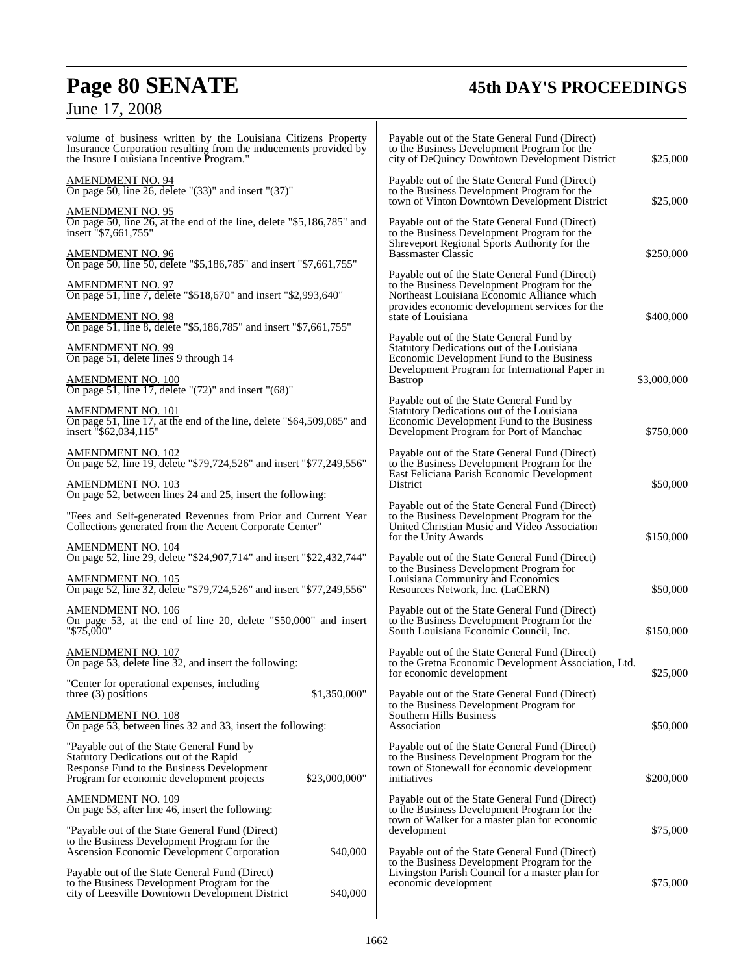# **Page 80 SENATE 45th DAY'S PROCEEDINGS** June 17, 2008

| volume of business written by the Louisiana Citizens Property<br>Insurance Corporation resulting from the inducements provided by<br>the Insure Louisiana Incentive Program."                  | Payable out of the State General Fund (Direct)<br>to the Business Development Program for the<br>city of DeQuincy Downtown Development District                                                | \$25,000    |
|------------------------------------------------------------------------------------------------------------------------------------------------------------------------------------------------|------------------------------------------------------------------------------------------------------------------------------------------------------------------------------------------------|-------------|
| <b>AMENDMENT NO. 94</b><br>On page 50, line 26, delete " $(33)$ " and insert " $(37)$ "                                                                                                        | Payable out of the State General Fund (Direct)<br>to the Business Development Program for the<br>town of Vinton Downtown Development District                                                  | \$25,000    |
| <u>AMENDMENT NO. 95</u><br>On page 50, line 26, at the end of the line, delete "\$5,186,785" and<br>insert "\$7,661,755"                                                                       | Payable out of the State General Fund (Direct)<br>to the Business Development Program for the<br>Shreveport Regional Sports Authority for the                                                  |             |
| <b>AMENDMENT NO. 96</b><br>On page 50, line 50, delete "\$5,186,785" and insert "\$7,661,755"                                                                                                  | <b>Bassmaster Classic</b>                                                                                                                                                                      | \$250,000   |
| <b>AMENDMENT NO. 97</b><br>On page 51, line 7, delete "\$518,670" and insert "\$2,993,640"                                                                                                     | Payable out of the State General Fund (Direct)<br>to the Business Development Program for the<br>Northeast Louisiana Economic Alliance which<br>provides economic development services for the |             |
| AMENDMENT NO. 98<br>On page 51, line 8, delete "\$5,186,785" and insert "\$7,661,755"                                                                                                          | state of Louisiana<br>Payable out of the State General Fund by                                                                                                                                 | \$400,000   |
| <b>AMENDMENT NO. 99</b><br>On page 51, delete lines 9 through 14                                                                                                                               | Statutory Dedications out of the Louisiana<br>Economic Development Fund to the Business<br>Development Program for International Paper in                                                      |             |
| AMENDMENT NO. 100<br>On page 51, line 17, delete "(72)" and insert "(68)"                                                                                                                      | <b>Bastrop</b>                                                                                                                                                                                 | \$3,000,000 |
| <b>AMENDMENT NO. 101</b><br>On page 51, line 17, at the end of the line, delete "\$64,509,085" and<br>insert "\$62,034,115"                                                                    | Payable out of the State General Fund by<br>Statutory Dedications out of the Louisiana<br>Economic Development Fund to the Business<br>Development Program for Port of Manchac                 | \$750,000   |
| AMENDMENT NO. 102<br>On page 52, line 19, delete "\$79,724,526" and insert "\$77,249,556"                                                                                                      | Payable out of the State General Fund (Direct)<br>to the Business Development Program for the<br>East Feliciana Parish Economic Development                                                    |             |
| <b>AMENDMENT NO. 103</b><br>On page 52, between lines 24 and 25, insert the following:                                                                                                         | District<br>Payable out of the State General Fund (Direct)                                                                                                                                     | \$50,000    |
| "Fees and Self-generated Revenues from Prior and Current Year<br>Collections generated from the Accent Corporate Center"                                                                       | to the Business Development Program for the<br>United Christian Music and Video Association<br>for the Unity Awards                                                                            | \$150,000   |
| <b>AMENDMENT NO. 104</b><br>On page 52, line 29, delete "\$24,907,714" and insert "\$22,432,744"                                                                                               | Payable out of the State General Fund (Direct)<br>to the Business Development Program for                                                                                                      |             |
| <b>AMENDMENT NO. 105</b><br>On page 52, line 32, delete "\$79,724,526" and insert "\$77,249,556"                                                                                               | Louisiana Community and Economics<br>Resources Network, Inc. (LaCERN)                                                                                                                          | \$50,000    |
| <b>AMENDMENT NO. 106</b><br>On page 53, at the end of line 20, delete "\$50,000" and insert<br>"\$75.000"                                                                                      | Payable out of the State General Fund (Direct)<br>to the Business Development Program for the<br>South Louisiana Economic Council, Inc.                                                        | \$150,000   |
| AMENDMENT NO. 107<br>On page 53, delete line 32, and insert the following:                                                                                                                     | Payable out of the State General Fund (Direct)<br>to the Gretna Economic Development Association, Ltd.<br>for economic development                                                             | \$25,000    |
| "Center for operational expenses, including<br>\$1,350,000"<br>three (3) positions                                                                                                             | Payable out of the State General Fund (Direct)                                                                                                                                                 |             |
| <b>AMENDMENT NO. 108</b><br>On page 53, between lines 32 and 33, insert the following:                                                                                                         | to the Business Development Program for<br>Southern Hills Business<br>Association                                                                                                              | \$50,000    |
| "Payable out of the State General Fund by<br>Statutory Dedications out of the Rapid<br>Response Fund to the Business Development<br>\$23,000,000"<br>Program for economic development projects | Payable out of the State General Fund (Direct)<br>to the Business Development Program for the<br>town of Stonewall for economic development<br>initiatives                                     | \$200,000   |
| <b>AMENDMENT NO. 109</b><br>On page 53, after line 46, insert the following:                                                                                                                   | Payable out of the State General Fund (Direct)<br>to the Business Development Program for the<br>town of Walker for a master plan for economic                                                 |             |
| "Payable out of the State General Fund (Direct)<br>to the Business Development Program for the                                                                                                 | development                                                                                                                                                                                    | \$75,000    |
| Ascension Economic Development Corporation<br>\$40,000<br>Payable out of the State General Fund (Direct)<br>to the Business Development Program for the                                        | Payable out of the State General Fund (Direct)<br>to the Business Development Program for the<br>Livingston Parish Council for a master plan for<br>economic development                       | \$75,000    |
| \$40,000<br>city of Leesville Downtown Development District                                                                                                                                    |                                                                                                                                                                                                |             |

 $\overline{\phantom{a}}$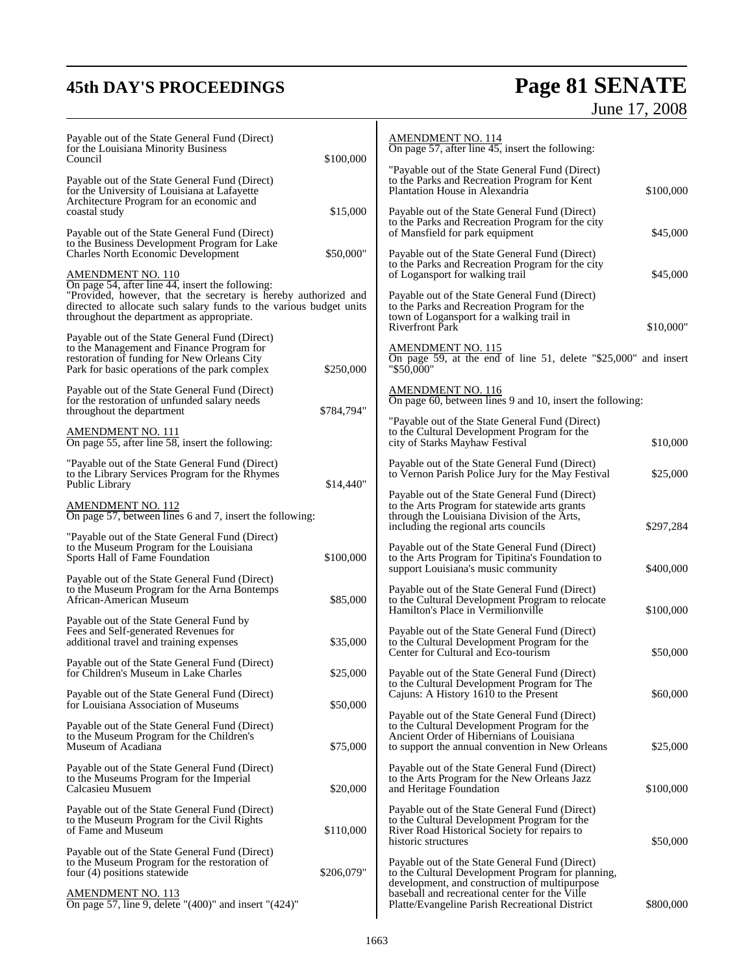# **45th DAY'S PROCEEDINGS Page 81 SENATE**

| Payable out of the State General Fund (Direct)<br>for the Louisiana Minority Business<br>Council                                                                                                                                       | \$100,000  | AMENDMENT NO. 114<br>On page 57, after line 45, insert the following:                                                                                                                  |           |
|----------------------------------------------------------------------------------------------------------------------------------------------------------------------------------------------------------------------------------------|------------|----------------------------------------------------------------------------------------------------------------------------------------------------------------------------------------|-----------|
| Payable out of the State General Fund (Direct)<br>for the University of Louisiana at Lafayette<br>Architecture Program for an economic and                                                                                             |            | "Payable out of the State General Fund (Direct)<br>to the Parks and Recreation Program for Kent<br>Plantation House in Alexandria                                                      | \$100,000 |
| coastal study<br>Payable out of the State General Fund (Direct)                                                                                                                                                                        | \$15,000   | Payable out of the State General Fund (Direct)<br>to the Parks and Recreation Program for the city<br>of Mansfield for park equipment                                                  | \$45,000  |
| to the Business Development Program for Lake<br><b>Charles North Economic Development</b><br><b>AMENDMENT NO. 110</b>                                                                                                                  | \$50,000"  | Payable out of the State General Fund (Direct)<br>to the Parks and Recreation Program for the city<br>of Logansport for walking trail                                                  | \$45,000  |
| On page 54, after line 44, insert the following:<br>"Provided, however, that the secretary is hereby authorized and<br>directed to allocate such salary funds to the various budget units<br>throughout the department as appropriate. |            | Payable out of the State General Fund (Direct)<br>to the Parks and Recreation Program for the<br>town of Logansport for a walking trail in<br>Riverfront Park                          | \$10,000" |
| Payable out of the State General Fund (Direct)<br>to the Management and Finance Program for<br>restoration of funding for New Orleans City<br>Park for basic operations of the park complex                                            | \$250,000  | <b>AMENDMENT NO. 115</b><br>On page 59, at the end of line 51, delete " $$25,000$ " and insert<br>"\$50,000"                                                                           |           |
| Payable out of the State General Fund (Direct)<br>for the restoration of unfunded salary needs<br>throughout the department                                                                                                            | \$784,794" | <b>AMENDMENT NO. 116</b><br>On page 60, between lines 9 and 10, insert the following:                                                                                                  |           |
| <b>AMENDMENT NO. 111</b><br>On page 55, after line 58, insert the following:                                                                                                                                                           |            | "Payable out of the State General Fund (Direct)<br>to the Cultural Development Program for the<br>city of Starks Mayhaw Festival                                                       | \$10,000  |
| "Payable out of the State General Fund (Direct)<br>to the Library Services Program for the Rhymes<br>Public Library                                                                                                                    | \$14,440"  | Payable out of the State General Fund (Direct)<br>to Vernon Parish Police Jury for the May Festival                                                                                    | \$25,000  |
| <b>AMENDMENT NO. 112</b><br>On page 57, between lines 6 and 7, insert the following:                                                                                                                                                   |            | Payable out of the State General Fund (Direct)<br>to the Arts Program for statewide arts grants<br>through the Louisiana Division of the Arts,<br>including the regional arts councils | \$297,284 |
| "Payable out of the State General Fund (Direct)<br>to the Museum Program for the Louisiana<br>Sports Hall of Fame Foundation                                                                                                           | \$100,000  | Payable out of the State General Fund (Direct)<br>to the Arts Program for Tipitina's Foundation to<br>support Louisiana's music community                                              | \$400,000 |
| Payable out of the State General Fund (Direct)<br>to the Museum Program for the Arna Bontemps<br>African-American Museum                                                                                                               | \$85,000   | Payable out of the State General Fund (Direct)<br>to the Cultural Development Program to relocate<br>Hamilton's Place in Vermilionville                                                | \$100,000 |
| Payable out of the State General Fund by<br>Fees and Self-generated Revenues for<br>additional travel and training expenses                                                                                                            | \$35,000   | Payable out of the State General Fund (Direct)<br>to the Cultural Development Program for the<br>Center for Cultural and Eco-tourism                                                   | \$50,000  |
| Payable out of the State General Fund (Direct)<br>for Children's Museum in Lake Charles                                                                                                                                                | \$25,000   | Payable out of the State General Fund (Direct)<br>to the Cultural Development Program for The                                                                                          |           |
| Payable out of the State General Fund (Direct)<br>for Louisiana Association of Museums                                                                                                                                                 | \$50,000   | Cajuns: A History 1610 to the Present<br>Payable out of the State General Fund (Direct)                                                                                                | \$60,000  |
| Payable out of the State General Fund (Direct)<br>to the Museum Program for the Children's<br>Museum of Acadiana                                                                                                                       | \$75,000   | to the Cultural Development Program for the<br>Ancient Order of Hibernians of Louisiana<br>to support the annual convention in New Orleans                                             | \$25,000  |
| Payable out of the State General Fund (Direct)<br>to the Museums Program for the Imperial<br>Calcasieu Musuem                                                                                                                          | \$20,000   | Payable out of the State General Fund (Direct)<br>to the Arts Program for the New Orleans Jazz<br>and Heritage Foundation                                                              | \$100,000 |
| Payable out of the State General Fund (Direct)<br>to the Museum Program for the Civil Rights<br>of Fame and Museum                                                                                                                     | \$110,000  | Payable out of the State General Fund (Direct)<br>to the Cultural Development Program for the<br>River Road Historical Society for repairs to<br>historic structures                   | \$50,000  |
| Payable out of the State General Fund (Direct)<br>to the Museum Program for the restoration of<br>four (4) positions statewide                                                                                                         | \$206,079" | Payable out of the State General Fund (Direct)<br>to the Cultural Development Program for planning,<br>development, and construction of multipurpose                                   |           |
| <b>AMENDMENT NO. 113</b><br>On page 57, line 9, delete " $(400)$ " and insert " $(424)$ "                                                                                                                                              |            | baseball and recreational center for the Ville<br>Platte/Evangeline Parish Recreational District                                                                                       | \$800,000 |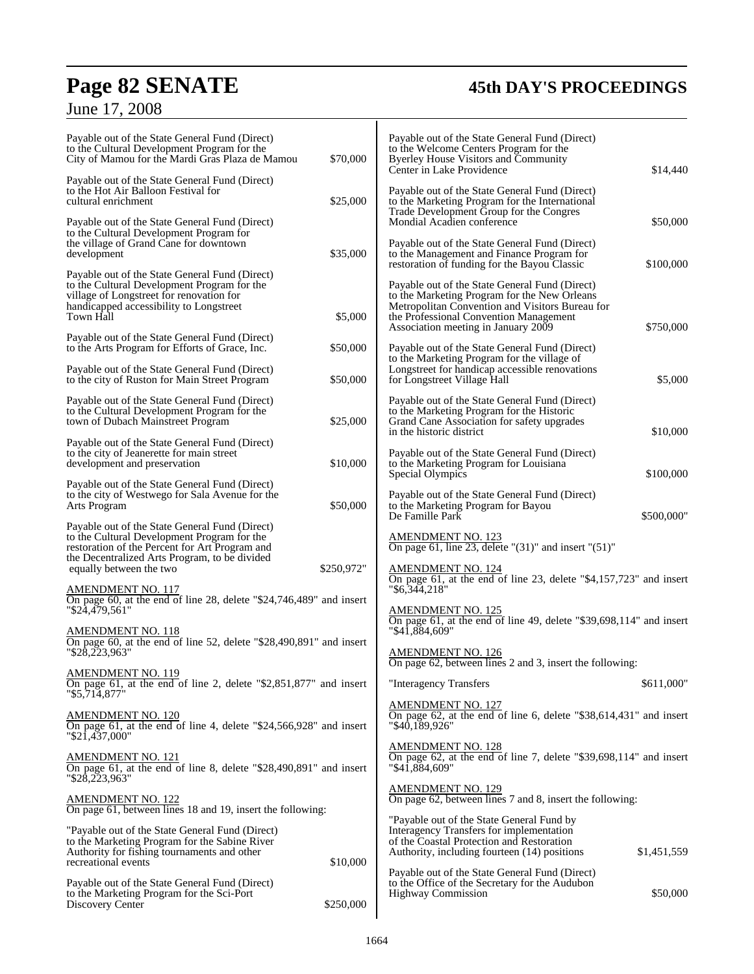# June 17, 2008

# **Page 82 SENATE 45th DAY'S PROCEEDINGS**

| Payable out of the State General Fund (Direct)<br>to the Cultural Development Program for the<br>City of Mamou for the Mardi Gras Plaza de Mamou                                                 | \$70,000   | Payable out of the State General Fund (Direct)<br>to the Welcome Centers Program for the<br><b>Byerley House Visitors and Community</b>                                                                                                         |
|--------------------------------------------------------------------------------------------------------------------------------------------------------------------------------------------------|------------|-------------------------------------------------------------------------------------------------------------------------------------------------------------------------------------------------------------------------------------------------|
| Payable out of the State General Fund (Direct)<br>to the Hot Air Balloon Festival for<br>cultural enrichment                                                                                     | \$25,000   | Center in Lake Providence<br>\$14,440<br>Payable out of the State General Fund (Direct)<br>to the Marketing Program for the International                                                                                                       |
| Payable out of the State General Fund (Direct)<br>to the Cultural Development Program for<br>the village of Grand Cane for downtown                                                              |            | Trade Development Group for the Congres<br>Mondial Acadien conference<br>\$50,000<br>Payable out of the State General Fund (Direct)                                                                                                             |
| development<br>Payable out of the State General Fund (Direct)                                                                                                                                    | \$35,000   | to the Management and Finance Program for<br>restoration of funding for the Bayou Classic<br>\$100,000                                                                                                                                          |
| to the Cultural Development Program for the<br>village of Longstreet for renovation for<br>handicapped accessibility to Longstreet<br>Town Hall                                                  | \$5,000    | Payable out of the State General Fund (Direct)<br>to the Marketing Program for the New Orleans<br>Metropolitan Convention and Visitors Bureau for<br>the Professional Convention Management<br>Association meeting in January 2009<br>\$750,000 |
| Payable out of the State General Fund (Direct)<br>to the Arts Program for Efforts of Grace, Inc.                                                                                                 | \$50,000   | Payable out of the State General Fund (Direct)<br>to the Marketing Program for the village of                                                                                                                                                   |
| Payable out of the State General Fund (Direct)<br>to the city of Ruston for Main Street Program                                                                                                  | \$50,000   | Longstreet for handicap accessible renovations<br>\$5,000<br>for Longstreet Village Hall                                                                                                                                                        |
| Payable out of the State General Fund (Direct)<br>to the Cultural Development Program for the<br>town of Dubach Mainstreet Program                                                               | \$25,000   | Payable out of the State General Fund (Direct)<br>to the Marketing Program for the Historic<br>Grand Cane Association for safety upgrades<br>in the historic district<br>\$10,000                                                               |
| Payable out of the State General Fund (Direct)<br>to the city of Jeanerette for main street<br>development and preservation                                                                      | \$10,000   | Payable out of the State General Fund (Direct)<br>to the Marketing Program for Louisiana<br>Special Olympics<br>\$100,000                                                                                                                       |
| Payable out of the State General Fund (Direct)<br>to the city of Westwego for Sala Avenue for the<br>Arts Program                                                                                | \$50,000   | Payable out of the State General Fund (Direct)<br>to the Marketing Program for Bayou<br>De Famille Park<br>\$500,000"                                                                                                                           |
| Payable out of the State General Fund (Direct)<br>to the Cultural Development Program for the<br>restoration of the Percent for Art Program and<br>the Decentralized Arts Program, to be divided |            | $\frac{\text{AMENDMENT NO. 123}}{\text{On page 61, line 23, delete}}$ "(31)" and insert "(51)"                                                                                                                                                  |
| equally between the two<br><b>AMENDMENT NO. 117</b>                                                                                                                                              | \$250,972" | <b>AMENDMENT NO. 124</b><br>On page 61, at the end of line 23, delete "\$4,157,723" and insert<br>"\$6,344,218"                                                                                                                                 |
| On page 60, at the end of line 28, delete "\$24,746,489" and insert<br>"\$24,479,561"                                                                                                            |            | <b>AMENDMENT NO. 125</b><br>On page 61, at the end of line 49, delete "\$39,698,114" and insert                                                                                                                                                 |
| <b>AMENDMENT NO. 118</b><br>On page 60, at the end of line 52, delete "\$28,490,891" and insert<br>"\$28,223,963"                                                                                |            | "\$41.884.609"<br><b>AMENDMENT NO. 126</b>                                                                                                                                                                                                      |
| <b>AMENDMENT NO. 119</b><br>On page 61, at the end of line 2, delete " $$2,851,877$ " and insert                                                                                                 |            | On page 62, between lines 2 and 3, insert the following:<br>"Interagency Transfers<br>\$611,000"                                                                                                                                                |
| $"\$5.\overline{7}1\overline{4}.877"$<br><b>AMENDMENT NO. 120</b>                                                                                                                                |            | <b>AMENDMENT NO. 127</b><br>On page 62, at the end of line 6, delete "\$38,614,431" and insert                                                                                                                                                  |
| On page 61, at the end of line 4, delete " $$24,566,928"$ and insert<br>$"\$21,437,000"$                                                                                                         |            | "\$40,189,926"                                                                                                                                                                                                                                  |
| <b>AMENDMENT NO. 121</b><br>On page 61, at the end of line 8, delete " $$28,490,891"$ and insert<br>"\$28,223,963"                                                                               |            | <b>AMENDMENT NO. 128</b><br>On page 62, at the end of line 7, delete "\$39,698,114" and insert<br>"\$41,884,609"                                                                                                                                |
| <b>AMENDMENT NO. 122</b><br>On page 61, between lines 18 and 19, insert the following:                                                                                                           |            | <b>AMENDMENT NO. 129</b><br>On page 62, between lines 7 and 8, insert the following:                                                                                                                                                            |
| "Payable out of the State General Fund (Direct)<br>to the Marketing Program for the Sabine River<br>Authority for fishing tournaments and other<br>recreational events                           | \$10,000   | "Payable out of the State General Fund by<br>Interagency Transfers for implementation<br>of the Coastal Protection and Restoration<br>\$1,451,559<br>Authority, including fourteen (14) positions                                               |
| Payable out of the State General Fund (Direct)<br>to the Marketing Program for the Sci-Port<br>Discovery Center                                                                                  | \$250,000  | Payable out of the State General Fund (Direct)<br>to the Office of the Secretary for the Audubon<br><b>Highway Commission</b><br>\$50,000                                                                                                       |
|                                                                                                                                                                                                  |            |                                                                                                                                                                                                                                                 |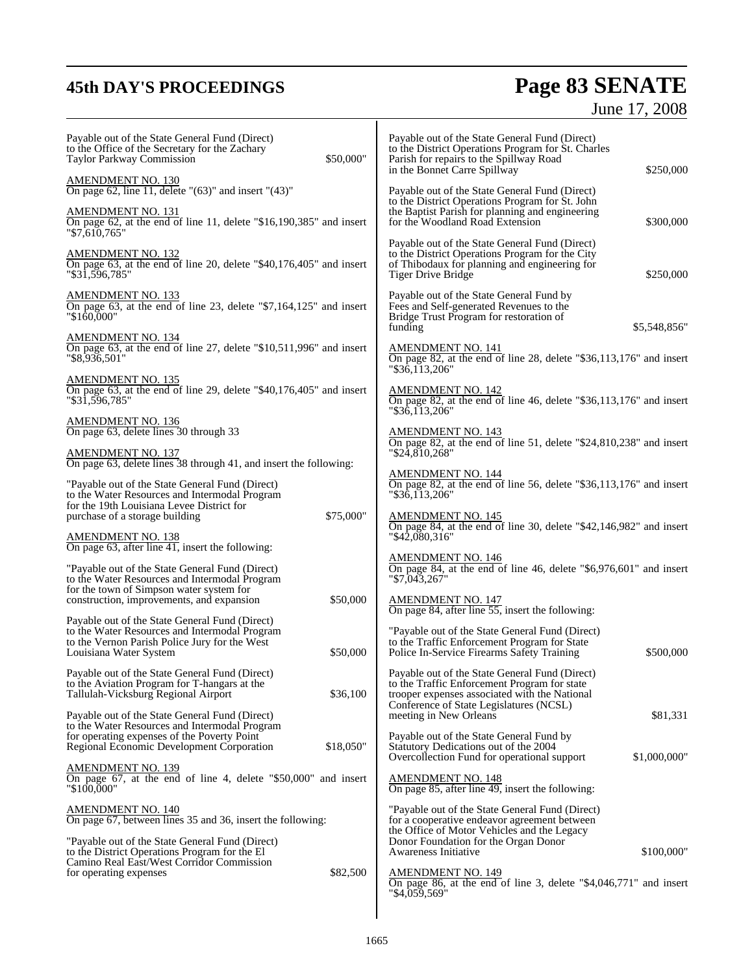# **45th DAY'S PROCEEDINGS Page 83 SENATE**

|--|

| Payable out of the State General Fund (Direct)<br>to the Office of the Secretary for the Zachary<br>\$50,000"<br>Taylor Parkway Commission                                             | Payable out of the State General Fund (Direct)<br>to the District Operations Program for St. Charles<br>Parish for repairs to the Spillway Road                                              |
|----------------------------------------------------------------------------------------------------------------------------------------------------------------------------------------|----------------------------------------------------------------------------------------------------------------------------------------------------------------------------------------------|
| <b>AMENDMENT NO. 130</b><br>On page 62, line 11, delete " $(63)$ " and insert " $(43)$ "                                                                                               | in the Bonnet Carre Spillway<br>\$250,000<br>Payable out of the State General Fund (Direct)                                                                                                  |
| <b>AMENDMENT NO. 131</b><br>On page 62, at the end of line 11, delete "\$16,190,385" and insert<br>"\$7,610,765"                                                                       | to the District Operations Program for St. John<br>the Baptist Parish for planning and engineering<br>for the Woodland Road Extension<br>\$300,000                                           |
| <b>AMENDMENT NO. 132</b><br>On page 63, at the end of line 20, delete "\$40,176,405" and insert<br>"\$31,596,785"                                                                      | Payable out of the State General Fund (Direct)<br>to the District Operations Program for the City<br>of Thibodaux for planning and engineering for<br><b>Tiger Drive Bridge</b><br>\$250,000 |
| <b>AMENDMENT NO. 133</b><br>On page 63, at the end of line 23, delete "\$7,164,125" and insert<br>$"\$160,000"$                                                                        | Payable out of the State General Fund by<br>Fees and Self-generated Revenues to the<br>Bridge Trust Program for restoration of<br>\$5,548,856"<br>funding                                    |
| <b>AMENDMENT NO. 134</b><br>On page 63, at the end of line 27, delete "\$10,511,996" and insert<br>"\$8,936,501"                                                                       | <b>AMENDMENT NO. 141</b><br>On page 82, at the end of line 28, delete "\$36,113,176" and insert<br>"\$36.113.206"                                                                            |
| <b>AMENDMENT NO. 135</b><br>On page 63, at the end of line 29, delete "\$40,176,405" and insert<br>"\$31,596,785"                                                                      | <b>AMENDMENT NO. 142</b><br>On page 82, at the end of line 46, delete "\$36,113,176" and insert<br>"\$36,113,206"                                                                            |
| <b>AMENDMENT NO. 136</b><br>On page 63, delete lines 30 through 33                                                                                                                     | <b>AMENDMENT NO. 143</b><br>On page 82, at the end of line 51, delete "\$24,810,238" and insert                                                                                              |
| <b>AMENDMENT NO. 137</b><br>On page 63, delete lines 38 through 41, and insert the following:                                                                                          | "\$24,810,268"<br><b>AMENDMENT NO. 144</b>                                                                                                                                                   |
| "Payable out of the State General Fund (Direct)<br>to the Water Resources and Intermodal Program<br>for the 19th Louisiana Levee District for                                          | On page 82, at the end of line 56, delete "\$36,113,176" and insert<br>$"$ \$36,113,206"                                                                                                     |
| \$75,000"<br>purchase of a storage building                                                                                                                                            | <u>AMENDMENT NO. 145</u><br>On page 84, at the end of line 30, delete "\$42,146,982" and insert                                                                                              |
| <b>AMENDMENT NO. 138</b><br>On page $63$ , after line $41$ , insert the following:                                                                                                     | "\$42,080,316"                                                                                                                                                                               |
| "Payable out of the State General Fund (Direct)<br>to the Water Resources and Intermodal Program<br>for the town of Simpson water system for                                           | <b>AMENDMENT NO. 146</b><br>On page 84, at the end of line 46, delete "\$6,976,601" and insert<br>"\$7,043,267"                                                                              |
| construction, improvements, and expansion<br>\$50,000                                                                                                                                  | <b>AMENDMENT NO. 147</b><br>On page 84, after line 55, insert the following:                                                                                                                 |
| Payable out of the State General Fund (Direct)<br>to the Water Resources and Intermodal Program<br>to the Vernon Parish Police Jury for the West<br>Louisiana Water System<br>\$50,000 | "Payable out of the State General Fund (Direct)<br>to the Traffic Enforcement Program for State<br>Police In-Service Firearms Safety Training<br>\$500,000                                   |
| Payable out of the State General Fund (Direct)<br>to the Aviation Program for T-hangars at the<br>\$36,100<br>Tallulah-Vicksburg Regional Airport                                      | Payable out of the State General Fund (Direct)<br>to the Traffic Enforcement Program for state<br>trooper expenses associated with the National                                              |
| Payable out of the State General Fund (Direct)<br>to the Water Resources and Intermodal Program                                                                                        | Conference of State Legislatures (NCSL)<br>\$81,331<br>meeting in New Orleans                                                                                                                |
| for operating expenses of the Poverty Point<br>\$18,050"<br>Regional Economic Development Corporation                                                                                  | Payable out of the State General Fund by<br>Statutory Dedications out of the 2004<br>\$1,000,000"<br>Overcollection Fund for operational support                                             |
| <b>AMENDMENT NO. 139</b><br>On page 67, at the end of line 4, delete "\$50,000" and insert<br>"\$100,000"                                                                              | <b>AMENDMENT NO. 148</b><br>On page 85, after line 49, insert the following:                                                                                                                 |
| <b>AMENDMENT NO. 140</b><br>On page 67, between lines 35 and 36, insert the following:                                                                                                 | "Payable out of the State General Fund (Direct)<br>for a cooperative endeavor agreement between<br>the Office of Motor Vehicles and the Legacy                                               |
| "Payable out of the State General Fund (Direct)<br>to the District Operations Program for the El<br>Camino Real East/West Corridor Commission                                          | Donor Foundation for the Organ Donor<br>\$100,000"<br>Awareness Initiative                                                                                                                   |
| \$82,500<br>for operating expenses                                                                                                                                                     | <b>AMENDMENT NO. 149</b><br>On page 86, at the end of line 3, delete "\$4,046,771" and insert<br>"\$4,059,569"                                                                               |
|                                                                                                                                                                                        |                                                                                                                                                                                              |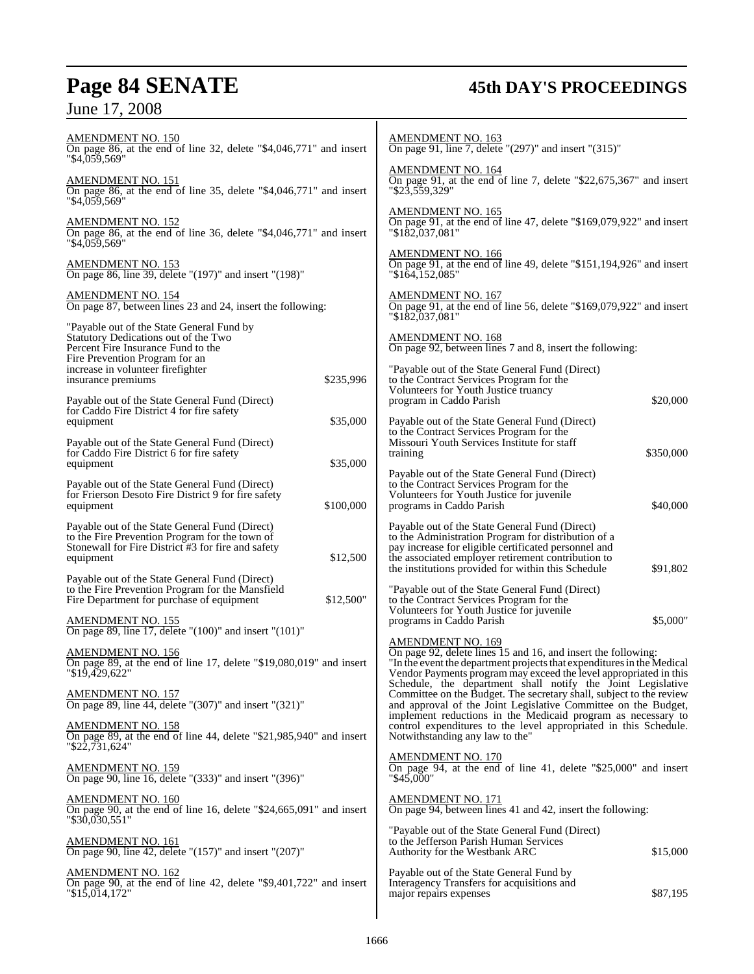# **Page 84 SENATE 45th DAY'S PROCEEDINGS**

| <b>AMENDMENT NO. 150</b><br>On page 86, at the end of line 32, delete " $$4,046,771$ " and insert<br>"\$4,059,569"                                                              | <b>AMENDMENT NO. 163</b><br>On page 91, line 7, delete " $(297)$ " and insert " $(315)$ "                                                                                                                                                                                                            |
|---------------------------------------------------------------------------------------------------------------------------------------------------------------------------------|------------------------------------------------------------------------------------------------------------------------------------------------------------------------------------------------------------------------------------------------------------------------------------------------------|
| <u>AMENDMENT NO. 151</u><br>On page 86, at the end of line 35, delete "\$4,046,771" and insert<br>"\$4,059,569"                                                                 | <b>AMENDMENT NO. 164</b><br>On page 91, at the end of line 7, delete " $$22,675,367"$ and insert<br>$"\$2\overline{3}.\overline{55}9.329"$                                                                                                                                                           |
| <b>AMENDMENT NO. 152</b><br>On page 86, at the end of line 36, delete "\$4,046,771" and insert<br>"\$4,059,569"                                                                 | <u>AMENDMENT NO. 165</u><br>On page 91, at the end of line 47, delete "\$169,079,922" and insert<br>"\$182,037,081"                                                                                                                                                                                  |
| <b>AMENDMENT NO. 153</b><br>On page 86, line 39, delete "(197)" and insert "(198)"                                                                                              | <b>AMENDMENT NO. 166</b><br>On page 91, at the end of line 49, delete " $$151,194,926"$ and insert<br>"\$164,152,085"                                                                                                                                                                                |
| <b>AMENDMENT NO. 154</b><br>On page 87, between lines 23 and 24, insert the following:                                                                                          | <b>AMENDMENT NO. 167</b><br>On page 91, at the end of line 56, delete "\$169,079,922" and insert<br>"\$182,037,081"                                                                                                                                                                                  |
| "Payable out of the State General Fund by<br>Statutory Dedications out of the Two<br>Percent Fire Insurance Fund to the<br>Fire Prevention Program for an                       | <b>AMENDMENT NO. 168</b><br>On page 92, between lines 7 and 8, insert the following:                                                                                                                                                                                                                 |
| increase in volunteer firefighter<br>\$235,996<br>insurance premiums                                                                                                            | "Payable out of the State General Fund (Direct)<br>to the Contract Services Program for the<br>Volunteers for Youth Justice truancy                                                                                                                                                                  |
| Payable out of the State General Fund (Direct)<br>for Caddo Fire District 4 for fire safety<br>\$35,000<br>equipment                                                            | \$20,000<br>program in Caddo Parish<br>Payable out of the State General Fund (Direct)                                                                                                                                                                                                                |
| Payable out of the State General Fund (Direct)<br>for Caddo Fire District 6 for fire safety<br>\$35,000<br>equipment                                                            | to the Contract Services Program for the<br>Missouri Youth Services Institute for staff<br>\$350,000<br>training                                                                                                                                                                                     |
| Payable out of the State General Fund (Direct)<br>for Frierson Desoto Fire District 9 for fire safety<br>\$100,000<br>equipment                                                 | Payable out of the State General Fund (Direct)<br>to the Contract Services Program for the<br>Volunteers for Youth Justice for juvenile<br>\$40,000<br>programs in Caddo Parish                                                                                                                      |
| Payable out of the State General Fund (Direct)<br>to the Fire Prevention Program for the town of<br>Stonewall for Fire District #3 for fire and safety<br>\$12,500<br>equipment | Payable out of the State General Fund (Direct)<br>to the Administration Program for distribution of a<br>pay increase for eligible certificated personnel and<br>the associated employer retirement contribution to<br>\$91,802                                                                      |
| Payable out of the State General Fund (Direct)<br>to the Fire Prevention Program for the Mansfield<br>Fire Department for purchase of equipment<br>\$12,500"                    | the institutions provided for within this Schedule<br>"Payable out of the State General Fund (Direct)<br>to the Contract Services Program for the                                                                                                                                                    |
| <b>AMENDMENT NO. 155</b><br>On page 89, line 17, delete " $(100)$ " and insert " $(101)$ "                                                                                      | Volunteers for Youth Justice for juvenile<br>\$5,000"<br>programs in Caddo Parish                                                                                                                                                                                                                    |
| AMENDMENT NO. 156<br>On page 89, at the end of line 17, delete "\$19,080,019" and insert<br>$"\$1\overline{9},\overline{4}2\overline{9},622"$                                   | <b>AMENDMENT NO. 169</b><br>On page 92, delete lines 15 and 16, and insert the following:<br>"In the event the department projects that expenditures in the Medical<br>Vendor Payments program may exceed the level appropriated in this Schedule, the department shall notify the Joint Legislative |
| <b>AMENDMENT NO. 157</b><br>On page 89, line 44, delete "(307)" and insert "(321)"                                                                                              | Committee on the Budget. The secretary shall, subject to the review<br>and approval of the Joint Legislative Committee on the Budget,<br>implement reductions in the Medicaid program as necessary to                                                                                                |
| <u>AMENDMENT NO. 158</u><br>On page 89, at the end of line 44, delete "\$21,985,940" and insert<br>$"\$2\overline{2},\overline{7}\overline{3}1,6\overline{2}4"$                 | control expenditures to the level appropriated in this Schedule.<br>Notwithstanding any law to the"                                                                                                                                                                                                  |
| AMENDMENT NO. 159<br>On page 90, line 16, delete "(333)" and insert "(396)"                                                                                                     | <b>AMENDMENT NO. 170</b><br>On page 94, at the end of line 41, delete "\$25,000" and insert<br>$"\$45,000"$                                                                                                                                                                                          |
| <b>AMENDMENT NO. 160</b><br>On page 90, at the end of line 16, delete " $$24,665,091"$ and insert<br>$"\$30,030,551"$                                                           | AMENDMENT NO. 171<br>On page 94, between lines 41 and 42, insert the following:                                                                                                                                                                                                                      |
| <b>AMENDMENT NO. 161</b><br>On page 90, line 42, delete " $(157)$ " and insert " $(207)$ "                                                                                      | "Payable out of the State General Fund (Direct)<br>to the Jefferson Parish Human Services<br>\$15,000<br>Authority for the Westbank ARC                                                                                                                                                              |
| AMENDMENT NO. 162<br>On page 90, at the end of line 42, delete "\$9,401,722" and insert<br>"\$15,014,172"                                                                       | Payable out of the State General Fund by<br>Interagency Transfers for acquisitions and<br>\$87,195<br>major repairs expenses                                                                                                                                                                         |
|                                                                                                                                                                                 |                                                                                                                                                                                                                                                                                                      |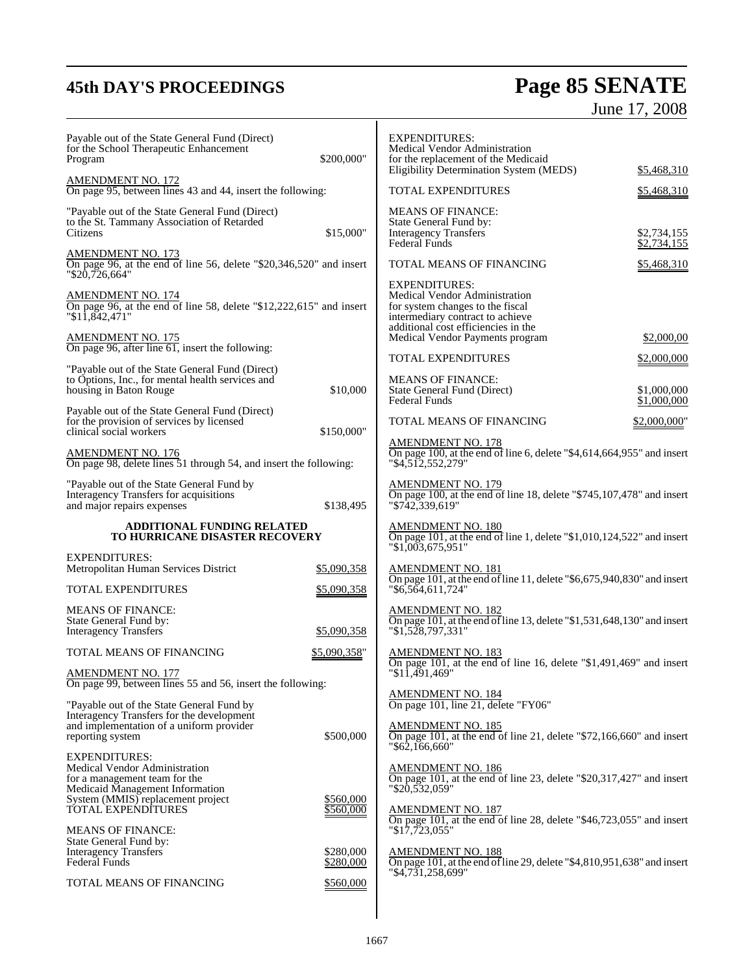# **45th DAY'S PROCEEDINGS Page 85 SENATE**

| Payable out of the State General Fund (Direct)<br>for the School Therapeutic Enhancement<br>Program                                                                                  | \$200,000"             | <b>EXPENDITURES:</b><br>Medical Vendor Administration<br>for the replacement of the Medicaid                                                                         |                            |
|--------------------------------------------------------------------------------------------------------------------------------------------------------------------------------------|------------------------|----------------------------------------------------------------------------------------------------------------------------------------------------------------------|----------------------------|
| <b>AMENDMENT NO. 172</b><br>On page 95, between lines 43 and 44, insert the following:                                                                                               |                        | Eligibility Determination System (MEDS)<br><b>TOTAL EXPENDITURES</b>                                                                                                 | \$5,468,310<br>\$5,468,310 |
| "Payable out of the State General Fund (Direct)<br>to the St. Tammany Association of Retarded<br>Citizens                                                                            | \$15,000"              | <b>MEANS OF FINANCE:</b><br>State General Fund by:<br><b>Interagency Transfers</b><br>Federal Funds                                                                  | \$2,734,155<br>\$2,734,155 |
| <u>AMENDMENT NO. 173</u><br>On page 96, at the end of line 56, delete "\$20,346,520" and insert<br>$"\$20,726,664"$                                                                  |                        | TOTAL MEANS OF FINANCING                                                                                                                                             | \$5,468,310                |
| <b>AMENDMENT NO. 174</b><br>On page 96, at the end of line 58, delete "\$12,222,615" and insert<br>"\$11,842,471"                                                                    |                        | <b>EXPENDITURES:</b><br>Medical Vendor Administration<br>for system changes to the fiscal<br>intermediary contract to achieve<br>additional cost efficiencies in the |                            |
| <b>AMENDMENT NO. 175</b><br>On page $96$ , after line $61$ , insert the following:                                                                                                   |                        | Medical Vendor Payments program                                                                                                                                      | \$2,000,00                 |
| "Payable out of the State General Fund (Direct)<br>to Options, Inc., for mental health services and                                                                                  |                        | TOTAL EXPENDITURES<br><b>MEANS OF FINANCE:</b>                                                                                                                       | \$2,000,000                |
| housing in Baton Rouge                                                                                                                                                               | \$10,000               | State General Fund (Direct)<br><b>Federal Funds</b>                                                                                                                  | \$1,000,000<br>\$1,000,000 |
| Payable out of the State General Fund (Direct)<br>for the provision of services by licensed<br>clinical social workers                                                               | \$150,000"             | TOTAL MEANS OF FINANCING                                                                                                                                             | \$2,000,000"               |
| <b>AMENDMENT NO. 176</b><br>On page 98, delete lines 51 through 54, and insert the following:                                                                                        |                        | <b>AMENDMENT NO. 178</b><br>On page 100, at the end of line 6, delete " $$4,614,664,955$ " and insert<br>"\$4,512,552,279"                                           |                            |
| "Payable out of the State General Fund by<br>Interagency Transfers for acquisitions                                                                                                  |                        | <b>AMENDMENT NO. 179</b><br>On page 100, at the end of line 18, delete "\$745,107,478" and insert<br>"\$742,339,619"                                                 |                            |
| and major repairs expenses                                                                                                                                                           | \$138,495              |                                                                                                                                                                      |                            |
| <b>ADDITIONAL FUNDING RELATED</b><br>TO HURRICANE DISASTER RECOVERY                                                                                                                  |                        | <b>AMENDMENT NO. 180</b><br>On page 101, at the end of line 1, delete " $$1,010,124,522"$ and insert                                                                 |                            |
| <b>EXPENDITURES:</b><br>Metropolitan Human Services District                                                                                                                         | \$5,090,358            | $"\$1,003,675,951"$<br><b>AMENDMENT NO. 181</b>                                                                                                                      |                            |
| TOTAL EXPENDITURES                                                                                                                                                                   | \$5,090,358            | On page 101, at the end of line 11, delete "\$6,675,940,830" and insert<br>"\$6,564,611,724"                                                                         |                            |
| <b>MEANS OF FINANCE:</b><br>State General Fund by:<br><b>Interagency Transfers</b>                                                                                                   | \$5,090,358            | <b>AMENDMENT NO. 182</b><br>On page 101, at the end of line 13, delete "\$1,531,648,130" and insert<br>" $$1,528,797,331"$                                           |                            |
| TOTAL MEANS OF FINANCING                                                                                                                                                             | \$5,090,358"           | <b>AMENDMENT NO. 183</b>                                                                                                                                             |                            |
| <b>AMENDMENT NO. 177</b><br>On page 99, between lines 55 and 56, insert the following:                                                                                               |                        | On page 101, at the end of line 16, delete "\$1,491,469" and insert<br>"\$11,491,469"                                                                                |                            |
| "Payable out of the State General Fund by<br>Interagency Transfers for the development                                                                                               |                        | <b>AMENDMENT NO. 184</b><br>On page 101, line 21, delete "FY06"                                                                                                      |                            |
| and implementation of a uniform provider<br>reporting system                                                                                                                         | \$500,000              | <b>AMENDMENT NO. 185</b><br>On page 101, at the end of line 21, delete "\$72,166,660" and insert                                                                     |                            |
| <b>EXPENDITURES:</b><br>Medical Vendor Administration<br>for a management team for the<br>Medicaid Management Information<br>System (MMIS) replacement project<br>TOTAL EXPENDITURES | \$560,000<br>\$560,000 | "\$62,166,660"<br><b>AMENDMENT NO. 186</b><br>On page 101, at the end of line 23, delete "\$20,317,427" and insert<br>"\$20,532,059"<br><b>AMENDMENT NO. 187</b>     |                            |
| <b>MEANS OF FINANCE:</b><br>State General Fund by:<br><b>Interagency Transfers</b>                                                                                                   | \$280,000              | On page 101, at the end of line 28, delete " $$46,723,055$ " and insert<br>"17,723,055"<br>AMENDMENT NO. 188                                                         |                            |
| Federal Funds<br>TOTAL MEANS OF FINANCING                                                                                                                                            | \$280,000<br>\$560,000 | On page 101, at the end of line 29, delete "\$4,810,951,638" and insert<br>"\$4,731,258,699"                                                                         |                            |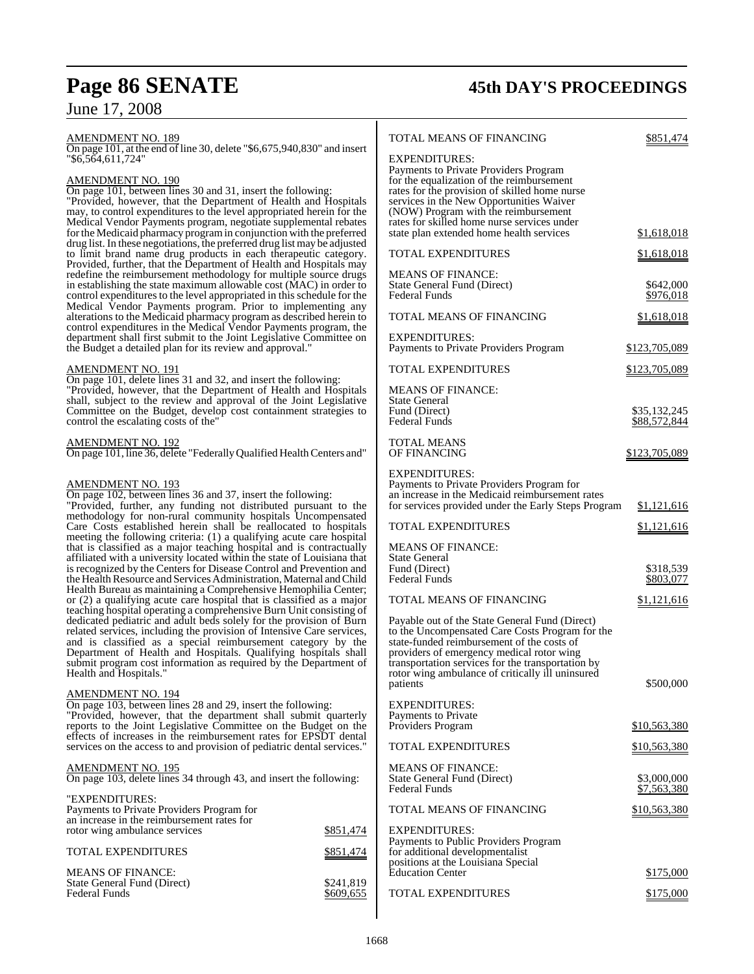## June 17, 2008

## AMENDMENT NO. 189

On page 101, at the end of line 30, delete "\$6,675,940,830" and insert "\$6,564,611,724"

## AMENDMENT NO. 190

On page 101, between lines 30 and 31, insert the following:

"Provided, however, that the Department of Health and Hospitals may, to control expenditures to the level appropriated herein for the Medical Vendor Payments program, negotiate supplemental rebates for the Medicaid pharmacy program in conjunction with the preferred drug list. In these negotiations, the preferred drug list may be adjusted to limit brand name drug products in each therapeutic category. Provided, further, that the Department of Health and Hospitals may redefine the reimbursement methodology for multiple source drugs in establishing the state maximum allowable cost (MAC) in order to control expendituresto the level appropriated in this schedule for the Medical Vendor Payments program. Prior to implementing any alterations to the Medicaid pharmacy program as described herein to control expenditures in the Medical Vendor Payments program, the department shall first submit to the Joint Legislative Committee on the Budget a detailed plan for its review and approval."

### AMENDMENT NO. 191

On page 101, delete lines 31 and 32, and insert the following: "Provided, however, that the Department of Health and Hospitals shall, subject to the review and approval of the Joint Legislative Committee on the Budget, develop cost containment strategies to control the escalating costs of the"

## AMENDMENT NO. 192

On page 101, line 36, delete "FederallyQualified HealthCenters and"

## AMENDMENT NO. 193

On page 102, between lines 36 and 37, insert the following: "Provided, further, any funding not distributed pursuant to the methodology for non-rural community hospitals Uncompensated Care Costs established herein shall be reallocated to hospitals meeting the following criteria: (1) a qualifying acute care hospital that is classified as a major teaching hospital and is contractually affiliated with a university located within the state of Louisiana that is recognized by the Centers for Disease Control and Prevention and the Health Resource and Services Administration, Maternal and Child Health Bureau as maintaining a Comprehensive Hemophilia Center; or (2) a qualifying acute care hospital that is classified as a major teaching hospital operating a comprehensive Burn Unit consisting of dedicated pediatric and adult beds solely for the provision of Burn related services, including the provision of Intensive Care services, and is classified as a special reimbursement category by the Department of Health and Hospitals. Qualifying hospitals shall submit program cost information as required by the Department of Health and Hospitals."

### AMENDMENT NO. 194

On page 103, between lines 28 and 29, insert the following: "Provided, however, that the department shall submit quarterly reports to the Joint Legislative Committee on the Budget on the effects of increases in the reimbursement rates for EPSDT dental services on the access to and provision of pediatric dental services."

### <u>AMENDMENT NO. 195</u>

On page 103, delete lines 34 through 43, and insert the following:

| "EXPENDITURES:<br>Payments to Private Providers Program for<br>an increase in the reimbursement rates for<br>rotor wing ambulance services | \$851,474              |
|--------------------------------------------------------------------------------------------------------------------------------------------|------------------------|
| <b>TOTAL EXPENDITURES</b>                                                                                                                  | \$851,474              |
| <b>MEANS OF FINANCE:</b><br>State General Fund (Direct)<br><b>Federal Funds</b>                                                            | \$241,819<br>\$609,655 |

## **Page 86 SENATE 45th DAY'S PROCEEDINGS**

## TOTAL MEANS OF FINANCING  $\frac{8851,474}{8951}$

| <b>EXPENDITURES:</b><br>Payments to Private Providers Program<br>for the equalization of the reimbursement<br>rates for the provision of skilled home nurse<br>services in the New Opportunities Waiver<br>(NOW) Program with the reimbursement<br>rates for skilled home nurse services under<br>state plan extended home health services<br>\$1,618,018<br>TOTAL EXPENDITURES<br><u>\$1,618,018</u><br><b>MEANS OF FINANCE:</b><br>State General Fund (Direct)<br>\$642,000<br>Federal Funds<br>\$976,018<br>TOTAL MEANS OF FINANCING<br><u>\$1,618,018</u><br><b>EXPENDITURES:</b><br>Payments to Private Providers Program<br>\$123,705,089<br>TOTAL EXPENDITURES<br><u>\$123,705,089</u><br><b>MEANS OF FINANCE:</b><br><b>State General</b><br>Fund (Direct)<br>\$35,132,245<br><b>Federal Funds</b><br>\$88,572,844<br>TOTAL MEANS<br>OF FINANCING<br><u>\$123,705,089</u><br>EXPENDITURES:<br>Payments to Private Providers Program for<br>an increase in the Medicaid reimbursement rates<br>for services provided under the Early Steps Program<br>\$1,121,616<br>TOTAL EXPENDITURES<br><u>\$1,121,616</u><br><b>MEANS OF FINANCE:</b><br><b>State General</b><br>Fund (Direct)<br>\$318,539<br><b>Federal Funds</b><br>\$803,077<br>TOTAL MEANS OF FINANCING<br>\$1,121,616<br>Payable out of the State General Fund (Direct)<br>to the Uncompensated Care Costs Program for the<br>state-funded reimbursement of the costs of<br>providers of emergency medical rotor wing<br>transportation services for the transportation by<br>rotor wing ambulance of critically ill uninsured<br>\$500,000<br>patients<br><b>EXPENDITURES:</b><br>Payments to Private<br>Providers Program<br>\$10,563,380<br>TOTAL EXPENDITURES<br><u>\$10,563,380</u><br><b>MEANS OF FINANCE:</b><br>State General Fund (Direct)<br>\$3,000,000<br><b>Federal Funds</b><br>\$7,563,380<br>TOTAL MEANS OF FINANCING<br>\$10,563,380<br><b>EXPENDITURES:</b><br>Payments to Public Providers Program<br>for additional developmentalist<br>positions at the Louisiana Special | TUTAL MEANS UF FINANCING | <u>5051,474</u> |
|-----------------------------------------------------------------------------------------------------------------------------------------------------------------------------------------------------------------------------------------------------------------------------------------------------------------------------------------------------------------------------------------------------------------------------------------------------------------------------------------------------------------------------------------------------------------------------------------------------------------------------------------------------------------------------------------------------------------------------------------------------------------------------------------------------------------------------------------------------------------------------------------------------------------------------------------------------------------------------------------------------------------------------------------------------------------------------------------------------------------------------------------------------------------------------------------------------------------------------------------------------------------------------------------------------------------------------------------------------------------------------------------------------------------------------------------------------------------------------------------------------------------------------------------------------------------------------------------------------------------------------------------------------------------------------------------------------------------------------------------------------------------------------------------------------------------------------------------------------------------------------------------------------------------------------------------------------------------------------------------------------------------------------------------------------------------|--------------------------|-----------------|
|                                                                                                                                                                                                                                                                                                                                                                                                                                                                                                                                                                                                                                                                                                                                                                                                                                                                                                                                                                                                                                                                                                                                                                                                                                                                                                                                                                                                                                                                                                                                                                                                                                                                                                                                                                                                                                                                                                                                                                                                                                                                 |                          |                 |
|                                                                                                                                                                                                                                                                                                                                                                                                                                                                                                                                                                                                                                                                                                                                                                                                                                                                                                                                                                                                                                                                                                                                                                                                                                                                                                                                                                                                                                                                                                                                                                                                                                                                                                                                                                                                                                                                                                                                                                                                                                                                 |                          |                 |
|                                                                                                                                                                                                                                                                                                                                                                                                                                                                                                                                                                                                                                                                                                                                                                                                                                                                                                                                                                                                                                                                                                                                                                                                                                                                                                                                                                                                                                                                                                                                                                                                                                                                                                                                                                                                                                                                                                                                                                                                                                                                 |                          |                 |
|                                                                                                                                                                                                                                                                                                                                                                                                                                                                                                                                                                                                                                                                                                                                                                                                                                                                                                                                                                                                                                                                                                                                                                                                                                                                                                                                                                                                                                                                                                                                                                                                                                                                                                                                                                                                                                                                                                                                                                                                                                                                 |                          |                 |
|                                                                                                                                                                                                                                                                                                                                                                                                                                                                                                                                                                                                                                                                                                                                                                                                                                                                                                                                                                                                                                                                                                                                                                                                                                                                                                                                                                                                                                                                                                                                                                                                                                                                                                                                                                                                                                                                                                                                                                                                                                                                 |                          |                 |
|                                                                                                                                                                                                                                                                                                                                                                                                                                                                                                                                                                                                                                                                                                                                                                                                                                                                                                                                                                                                                                                                                                                                                                                                                                                                                                                                                                                                                                                                                                                                                                                                                                                                                                                                                                                                                                                                                                                                                                                                                                                                 |                          |                 |
|                                                                                                                                                                                                                                                                                                                                                                                                                                                                                                                                                                                                                                                                                                                                                                                                                                                                                                                                                                                                                                                                                                                                                                                                                                                                                                                                                                                                                                                                                                                                                                                                                                                                                                                                                                                                                                                                                                                                                                                                                                                                 |                          |                 |
|                                                                                                                                                                                                                                                                                                                                                                                                                                                                                                                                                                                                                                                                                                                                                                                                                                                                                                                                                                                                                                                                                                                                                                                                                                                                                                                                                                                                                                                                                                                                                                                                                                                                                                                                                                                                                                                                                                                                                                                                                                                                 |                          |                 |
|                                                                                                                                                                                                                                                                                                                                                                                                                                                                                                                                                                                                                                                                                                                                                                                                                                                                                                                                                                                                                                                                                                                                                                                                                                                                                                                                                                                                                                                                                                                                                                                                                                                                                                                                                                                                                                                                                                                                                                                                                                                                 |                          |                 |
|                                                                                                                                                                                                                                                                                                                                                                                                                                                                                                                                                                                                                                                                                                                                                                                                                                                                                                                                                                                                                                                                                                                                                                                                                                                                                                                                                                                                                                                                                                                                                                                                                                                                                                                                                                                                                                                                                                                                                                                                                                                                 |                          |                 |
|                                                                                                                                                                                                                                                                                                                                                                                                                                                                                                                                                                                                                                                                                                                                                                                                                                                                                                                                                                                                                                                                                                                                                                                                                                                                                                                                                                                                                                                                                                                                                                                                                                                                                                                                                                                                                                                                                                                                                                                                                                                                 |                          |                 |
|                                                                                                                                                                                                                                                                                                                                                                                                                                                                                                                                                                                                                                                                                                                                                                                                                                                                                                                                                                                                                                                                                                                                                                                                                                                                                                                                                                                                                                                                                                                                                                                                                                                                                                                                                                                                                                                                                                                                                                                                                                                                 |                          |                 |
|                                                                                                                                                                                                                                                                                                                                                                                                                                                                                                                                                                                                                                                                                                                                                                                                                                                                                                                                                                                                                                                                                                                                                                                                                                                                                                                                                                                                                                                                                                                                                                                                                                                                                                                                                                                                                                                                                                                                                                                                                                                                 |                          |                 |
|                                                                                                                                                                                                                                                                                                                                                                                                                                                                                                                                                                                                                                                                                                                                                                                                                                                                                                                                                                                                                                                                                                                                                                                                                                                                                                                                                                                                                                                                                                                                                                                                                                                                                                                                                                                                                                                                                                                                                                                                                                                                 |                          |                 |
|                                                                                                                                                                                                                                                                                                                                                                                                                                                                                                                                                                                                                                                                                                                                                                                                                                                                                                                                                                                                                                                                                                                                                                                                                                                                                                                                                                                                                                                                                                                                                                                                                                                                                                                                                                                                                                                                                                                                                                                                                                                                 |                          |                 |
|                                                                                                                                                                                                                                                                                                                                                                                                                                                                                                                                                                                                                                                                                                                                                                                                                                                                                                                                                                                                                                                                                                                                                                                                                                                                                                                                                                                                                                                                                                                                                                                                                                                                                                                                                                                                                                                                                                                                                                                                                                                                 |                          |                 |
|                                                                                                                                                                                                                                                                                                                                                                                                                                                                                                                                                                                                                                                                                                                                                                                                                                                                                                                                                                                                                                                                                                                                                                                                                                                                                                                                                                                                                                                                                                                                                                                                                                                                                                                                                                                                                                                                                                                                                                                                                                                                 |                          |                 |
|                                                                                                                                                                                                                                                                                                                                                                                                                                                                                                                                                                                                                                                                                                                                                                                                                                                                                                                                                                                                                                                                                                                                                                                                                                                                                                                                                                                                                                                                                                                                                                                                                                                                                                                                                                                                                                                                                                                                                                                                                                                                 | <b>Education Center</b>  | \$175,000       |
| TOTAL EXPENDITURES<br>\$175,000                                                                                                                                                                                                                                                                                                                                                                                                                                                                                                                                                                                                                                                                                                                                                                                                                                                                                                                                                                                                                                                                                                                                                                                                                                                                                                                                                                                                                                                                                                                                                                                                                                                                                                                                                                                                                                                                                                                                                                                                                                 |                          |                 |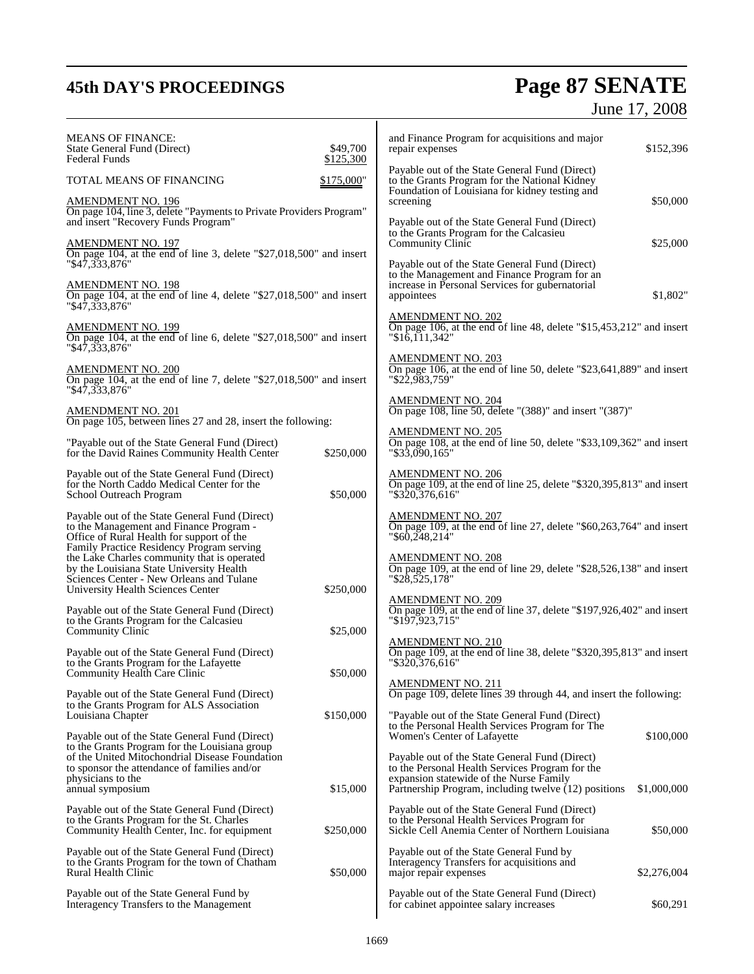# **45th DAY'S PROCEEDINGS Page 87 SENATE** June 17, 2008

| <b>MEANS OF FINANCE:</b><br>State General Fund (Direct)<br><b>Federal Funds</b>                                                                                                  | \$49,700<br>\$125,300 | and Finance Program for acquisitions and major<br>repair expenses                                                                                                                                    | \$152,396   |
|----------------------------------------------------------------------------------------------------------------------------------------------------------------------------------|-----------------------|------------------------------------------------------------------------------------------------------------------------------------------------------------------------------------------------------|-------------|
| TOTAL MEANS OF FINANCING                                                                                                                                                         | \$175,000"            | Payable out of the State General Fund (Direct)<br>to the Grants Program for the National Kidney                                                                                                      |             |
| <b>AMENDMENT NO. 196</b><br>On page 104, line 3, delete "Payments to Private Providers Program"<br>and insert "Recovery Funds Program"                                           |                       | Foundation of Louisiana for kidney testing and<br>screening<br>Payable out of the State General Fund (Direct)                                                                                        | \$50,000    |
| <b>AMENDMENT NO. 197</b><br>On page 104, at the end of line 3, delete " $$27,018,500$ " and insert<br>"\$47,333,876"                                                             |                       | to the Grants Program for the Calcasieu<br><b>Community Clinic</b><br>Payable out of the State General Fund (Direct)                                                                                 | \$25,000    |
| <b>AMENDMENT NO. 198</b><br>On page 104, at the end of line 4, delete " $$27,018,500$ " and insert<br>"\$47,333,876"                                                             |                       | to the Management and Finance Program for an<br>increase in Personal Services for gubernatorial<br>appointees                                                                                        | \$1,802"    |
| AMENDMENT NO. 199<br>On page 104, at the end of line 6, delete "\$27,018,500" and insert<br>"\$47,333,876"                                                                       |                       | <b>AMENDMENT NO. 202</b><br>On page 106, at the end of line 48, delete " $$15,453,212"$ and insert<br>"\$16,111,342"                                                                                 |             |
| <b>AMENDMENT NO. 200</b><br>On page 104, at the end of line 7, delete " $$27,018,500$ " and insert                                                                               |                       | <b>AMENDMENT NO. 203</b><br>On page 106, at the end of line 50, delete "\$23,641,889" and insert<br>"\$22,983,759"                                                                                   |             |
| "\$47,333,876"<br><b>AMENDMENT NO. 201</b>                                                                                                                                       |                       | <b>AMENDMENT NO. 204</b><br>On page 108, line 50, delete "(388)" and insert "(387)"                                                                                                                  |             |
| On page 105, between lines 27 and 28, insert the following:                                                                                                                      |                       | <b>AMENDMENT NO. 205</b>                                                                                                                                                                             |             |
| "Payable out of the State General Fund (Direct)<br>for the David Raines Community Health Center                                                                                  | \$250,000             | On page 108, at the end of line 50, delete "\$33,109,362" and insert<br>"\$33.090.165"                                                                                                               |             |
| Payable out of the State General Fund (Direct)<br>for the North Caddo Medical Center for the<br>School Outreach Program                                                          | \$50,000              | <b>AMENDMENT NO. 206</b><br>On page 109, at the end of line 25, delete "\$320,395,813" and insert<br>"\$320,376,616"                                                                                 |             |
| Payable out of the State General Fund (Direct)<br>to the Management and Finance Program -<br>Office of Rural Health for support of the                                           |                       | <b>AMENDMENT NO. 207</b><br>On page 109, at the end of line 27, delete " $$60,263,764"$ and insert<br>"\$60,248,214"                                                                                 |             |
| Family Practice Residency Program serving<br>the Lake Charles community that is operated<br>by the Louisiana State University Health<br>Sciences Center - New Orleans and Tulane | \$250,000             | <b>AMENDMENT NO. 208</b><br>On page 109, at the end of line 29, delete "\$28,526,138" and insert<br>$"\$2\overline{8},5\overline{25},178"$                                                           |             |
| University Health Sciences Center<br>Payable out of the State General Fund (Direct)<br>to the Grants Program for the Calcasieu                                                   |                       | <b>AMENDMENT NO. 209</b><br>On page 109, at the end of line 37, delete "\$197,926,402" and insert<br>"\$197,923,715"                                                                                 |             |
| <b>Community Clinic</b><br>Payable out of the State General Fund (Direct)<br>to the Grants Program for the Lafayette                                                             | \$25,000              | <b>AMENDMENT NO. 210</b><br>On page 109, at the end of line 38, delete "\$320,395,813" and insert<br>"\$320,376,616"                                                                                 |             |
| Community Health Care Clinic<br>Payable out of the State General Fund (Direct)                                                                                                   | \$50,000              | <b>AMENDMENT NO. 211</b><br>On page 109, delete lines 39 through 44, and insert the following:                                                                                                       |             |
| to the Grants Program for ALS Association<br>Louisiana Chapter                                                                                                                   | \$150,000             | "Payable out of the State General Fund (Direct)                                                                                                                                                      |             |
| Payable out of the State General Fund (Direct)<br>to the Grants Program for the Louisiana group                                                                                  |                       | to the Personal Health Services Program for The<br>Women's Center of Lafayette                                                                                                                       | \$100,000   |
| of the United Mitochondrial Disease Foundation<br>to sponsor the attendance of families and/or<br>physicians to the<br>annual symposium                                          | \$15,000              | Payable out of the State General Fund (Direct)<br>to the Personal Health Services Program for the<br>expansion statewide of the Nurse Family<br>Partnership Program, including twelve (12) positions | \$1,000,000 |
| Payable out of the State General Fund (Direct)                                                                                                                                   |                       | Payable out of the State General Fund (Direct)                                                                                                                                                       |             |
| to the Grants Program for the St. Charles<br>Community Health Center, Inc. for equipment                                                                                         | \$250,000             | to the Personal Health Services Program for<br>Sickle Cell Anemia Center of Northern Louisiana                                                                                                       | \$50,000    |
| Payable out of the State General Fund (Direct)<br>to the Grants Program for the town of Chatham<br>Rural Health Clinic                                                           | \$50,000              | Payable out of the State General Fund by<br>Interagency Transfers for acquisitions and<br>major repair expenses                                                                                      | \$2,276,004 |
| Payable out of the State General Fund by<br>Interagency Transfers to the Management                                                                                              |                       | Payable out of the State General Fund (Direct)<br>for cabinet appointee salary increases                                                                                                             | \$60,291    |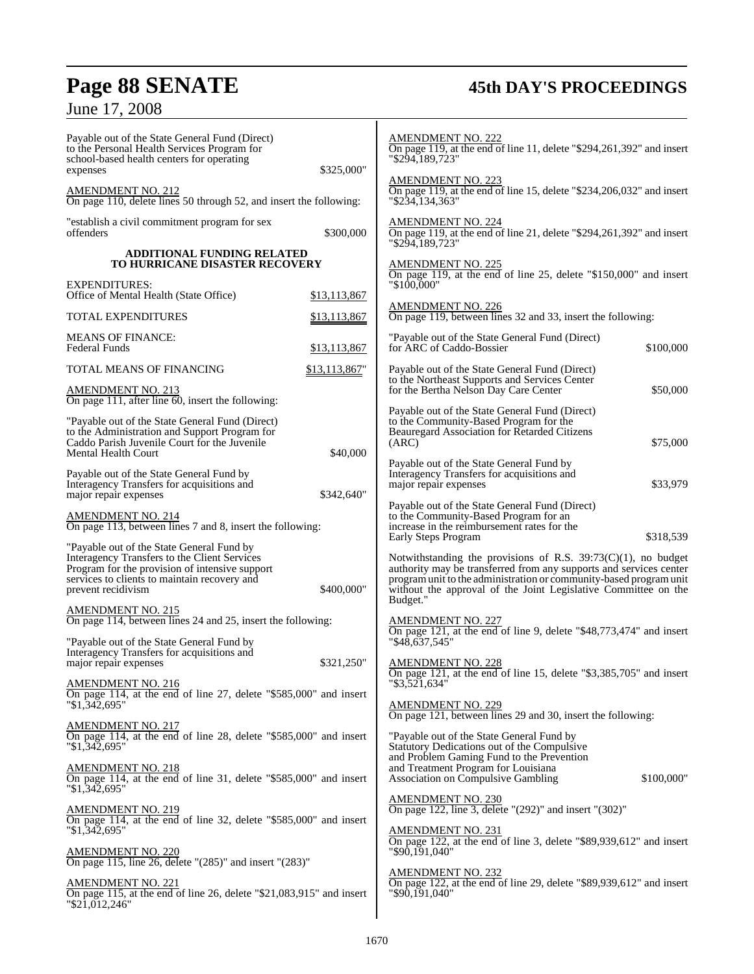# **Page 88 SENATE 45th DAY'S PROCEEDINGS**

| Payable out of the State General Fund (Direct)<br>to the Personal Health Services Program for<br>school-based health centers for operating<br>expenses                                                            | \$325,000"            | <b>AMENDMENT NO. 222</b><br>On page 119, at the end of line 11, delete "\$294,261,392" and insert<br>"\$294,189,723"<br><b>AMENDMENT NO. 223</b>                                                                                                                                           |
|-------------------------------------------------------------------------------------------------------------------------------------------------------------------------------------------------------------------|-----------------------|--------------------------------------------------------------------------------------------------------------------------------------------------------------------------------------------------------------------------------------------------------------------------------------------|
| $\frac{\text{AMENDMENT NO. 212}}{\text{On page 110, delete lines 50 through 52, and insert the following:}$                                                                                                       |                       | On page 119, at the end of line 15, delete "\$234,206,032" and insert<br>"\$234,134,363"                                                                                                                                                                                                   |
| "establish a civil commitment program for sex<br>offenders                                                                                                                                                        | \$300,000             | <b>AMENDMENT NO. 224</b><br>On page 119, at the end of line 21, delete "\$294,261,392" and insert<br>"\$294,189,723"                                                                                                                                                                       |
| <b>ADDITIONAL FUNDING RELATED</b><br><b>TO HURRICANE DISASTER RECOVERY</b>                                                                                                                                        |                       | <b>AMENDMENT NO. 225</b><br>On page 119, at the end of line 25, delete "\$150,000" and insert                                                                                                                                                                                              |
| <b>EXPENDITURES:</b><br>Office of Mental Health (State Office)                                                                                                                                                    | \$13,113,867          | "\$100,000"                                                                                                                                                                                                                                                                                |
| TOTAL EXPENDITURES                                                                                                                                                                                                | \$13,113,867          | $\frac{\text{AMENDMENT NO. 226}}{\text{On page 119, between lines 32 and 33, insert the following:}}$                                                                                                                                                                                      |
| <b>MEANS OF FINANCE:</b><br><b>Federal Funds</b>                                                                                                                                                                  | \$13,113,867          | "Payable out of the State General Fund (Direct)<br>for ARC of Caddo-Bossier<br>\$100,000                                                                                                                                                                                                   |
| TOTAL MEANS OF FINANCING                                                                                                                                                                                          | <u>\$13,113,867</u> " | Payable out of the State General Fund (Direct)                                                                                                                                                                                                                                             |
| <b>AMENDMENT NO. 213</b><br>On page 111, after line 60, insert the following:                                                                                                                                     |                       | to the Northeast Supports and Services Center<br>for the Bertha Nelson Day Care Center<br>\$50,000                                                                                                                                                                                         |
| "Payable out of the State General Fund (Direct)<br>to the Administration and Support Program for<br>Caddo Parish Juvenile Court for the Juvenile<br><b>Mental Health Court</b>                                    | \$40,000              | Payable out of the State General Fund (Direct)<br>to the Community-Based Program for the<br>Beauregard Association for Retarded Citizens<br>\$75,000<br>(ARC)                                                                                                                              |
| Payable out of the State General Fund by<br>Interagency Transfers for acquisitions and<br>major repair expenses                                                                                                   | \$342,640"            | Payable out of the State General Fund by<br>Interagency Transfers for acquisitions and<br>\$33,979<br>major repair expenses                                                                                                                                                                |
| <b>AMENDMENT NO. 214</b><br>On page 113, between lines 7 and 8, insert the following:                                                                                                                             |                       | Payable out of the State General Fund (Direct)<br>to the Community-Based Program for an<br>increase in the reimbursement rates for the<br>\$318,539<br>Early Steps Program                                                                                                                 |
| "Payable out of the State General Fund by<br>Interagency Transfers to the Client Services<br>Program for the provision of intensive support<br>services to clients to maintain recovery and<br>prevent recidivism | \$400,000"            | Notwithstanding the provisions of R.S. $39:73(C)(1)$ , no budget<br>authority may be transferred from any supports and services center<br>program unit to the administration or community-based program unit<br>without the approval of the Joint Legislative Committee on the<br>Budget." |
| <b>AMENDMENT NO. 215</b><br>On page 114, between lines 24 and 25, insert the following:                                                                                                                           |                       | <b>AMENDMENT NO. 227</b><br>On page 121, at the end of line 9, delete "\$48,773,474" and insert                                                                                                                                                                                            |
| "Payable out of the State General Fund by<br>Interagency Transfers for acquisitions and                                                                                                                           |                       | $"\$4\overline{\$}\xspace$ ,637,545"                                                                                                                                                                                                                                                       |
| major repair expenses<br><b>AMENDMENT NO. 216</b>                                                                                                                                                                 | \$321,250"            | <b>AMENDMENT NO. 228</b><br>On page 121, at the end of line 15, delete "\$3,385,705" and insert<br>$"$ \$3,521,634"                                                                                                                                                                        |
| On page 114, at the end of line 27, delete "\$585,000" and insert<br>$"\$1,\overline{342},695"$                                                                                                                   |                       | <b>AMENDMENT NO. 229</b><br>On page 121, between lines 29 and 30, insert the following:                                                                                                                                                                                                    |
| <b>AMENDMENT NO. 217</b><br>On page 114, at the end of line 28, delete "\$585,000" and insert<br>$"\$1,342,695"$                                                                                                  |                       | "Payable out of the State General Fund by<br>Statutory Dedications out of the Compulsive                                                                                                                                                                                                   |
| <b>AMENDMENT NO. 218</b><br>On page 114, at the end of line 31, delete "\$585,000" and insert<br>$"\$1,342,695"$                                                                                                  |                       | and Problem Gaming Fund to the Prevention<br>and Treatment Program for Louisiana<br>\$100,000"<br>Association on Compulsive Gambling                                                                                                                                                       |
| <b>AMENDMENT NO. 219</b><br>On page 114, at the end of line 32, delete "\$585,000" and insert                                                                                                                     |                       | <b>AMENDMENT NO. 230</b><br>On page 122, line 3, delete "(292)" and insert "(302)"                                                                                                                                                                                                         |
| $"\$1,342,695"$<br><b>AMENDMENT NO. 220</b>                                                                                                                                                                       |                       | <b>AMENDMENT NO. 231</b><br>On page 122, at the end of line 3, delete "\$89,939,612" and insert<br>"\$90,191,040"                                                                                                                                                                          |
| On page 115, line 26, delete "(285)" and insert "(283)"<br><u>AMENDMENT NO. 221</u><br>On page 115, at the end of line 26, delete " $$21,083,915$ " and insert<br>$"\$2\overline{1,0}12,246"$                     |                       | <b>AMENDMENT NO. 232</b><br>On page 122, at the end of line 29, delete "\$89,939,612" and insert<br>"\$90,191,040"                                                                                                                                                                         |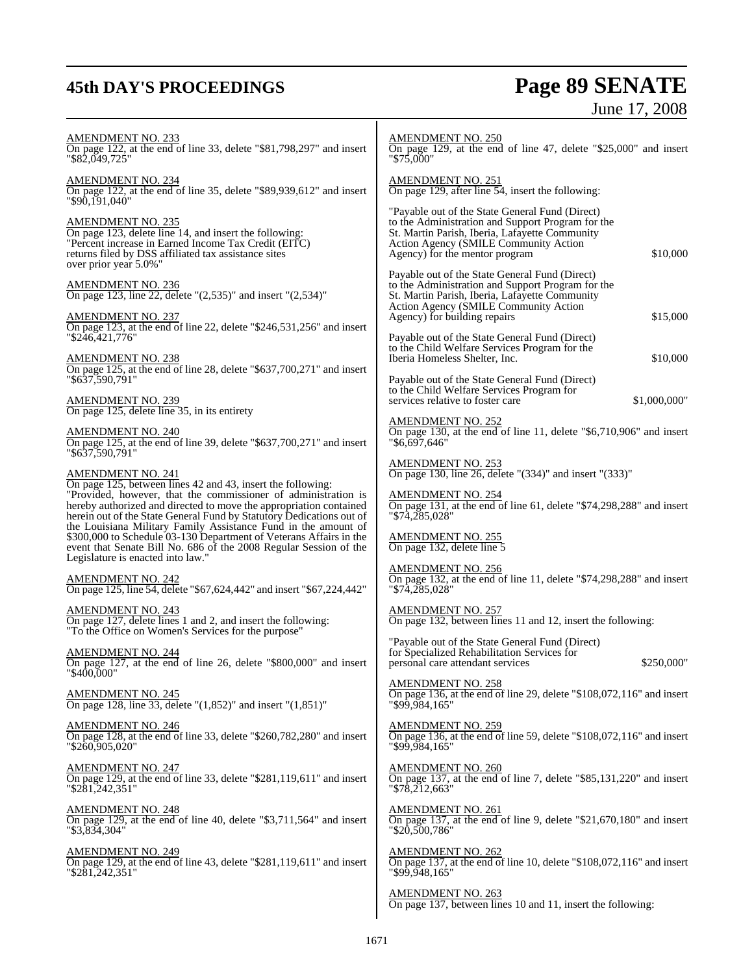# **45th DAY'S PROCEEDINGS Page 89 SENATE** June 17, 2008

| <b>AMENDMENT NO. 233</b><br>On page 122, at the end of line 33, delete "\$81,798,297" and insert<br>"\$82.049.725"                                                                                                                                                                                                                            | <b>AMENDMENT NO. 250</b><br>On page 129, at the end of line 47, delete "\$25,000" and insert<br>$"\$7\overline{5.000"$                                                                                                                        |
|-----------------------------------------------------------------------------------------------------------------------------------------------------------------------------------------------------------------------------------------------------------------------------------------------------------------------------------------------|-----------------------------------------------------------------------------------------------------------------------------------------------------------------------------------------------------------------------------------------------|
| <b>AMENDMENT NO. 234</b><br>On page 122, at the end of line 35, delete "\$89,939,612" and insert<br>"\$90,191,040"                                                                                                                                                                                                                            | <b>AMENDMENT NO. 251</b><br>On page 129, after line 54, insert the following:                                                                                                                                                                 |
| <b>AMENDMENT NO. 235</b><br>On page 123, delete line 14, and insert the following:<br>"Percent increase in Earned Income Tax Credit (EITC)<br>returns filed by DSS affiliated tax assistance sites<br>over prior year 5.0%"                                                                                                                   | "Payable out of the State General Fund (Direct)<br>to the Administration and Support Program for the<br>St. Martin Parish, Iberia, Lafayette Community<br>Action Agency (SMILE Community Action<br>\$10,000<br>Agency) for the mentor program |
| <b>AMENDMENT NO. 236</b><br>On page 123, line 22, delete "(2,535)" and insert "(2,534)"                                                                                                                                                                                                                                                       | Payable out of the State General Fund (Direct)<br>to the Administration and Support Program for the<br>St. Martin Parish, Iberia, Lafayette Community<br>Action Agency (SMILE Community Action                                                |
| <b>AMENDMENT NO. 237</b><br>On page 123, at the end of line 22, delete "\$246,531,256" and insert<br>"\$246,421,776"                                                                                                                                                                                                                          | \$15,000<br>Agency) for building repairs<br>Payable out of the State General Fund (Direct)<br>to the Child Welfare Services Program for the                                                                                                   |
| <b>AMENDMENT NO. 238</b><br>On page 125, at the end of line 28, delete "\$637,700,271" and insert<br>"\$637,590,791"                                                                                                                                                                                                                          | \$10,000<br>Iberia Homeless Shelter, Inc.<br>Payable out of the State General Fund (Direct)                                                                                                                                                   |
| <b>AMENDMENT NO. 239</b><br>On page 125, delete line 35, in its entirety                                                                                                                                                                                                                                                                      | to the Child Welfare Services Program for<br>\$1,000,000"<br>services relative to foster care                                                                                                                                                 |
| <b>AMENDMENT NO. 240</b><br>On page 125, at the end of line 39, delete "\$637,700,271" and insert<br>"\$637,590,791"                                                                                                                                                                                                                          | <b>AMENDMENT NO. 252</b><br>On page 130, at the end of line 11, delete "\$6,710,906" and insert<br>"\$6,697,646"                                                                                                                              |
| <b>AMENDMENT NO. 241</b>                                                                                                                                                                                                                                                                                                                      | AMENDMENT NO. 253<br>On page 130, line 26, delete "(334)" and insert "(333)"                                                                                                                                                                  |
| On page 125, between lines 42 and 43, insert the following:<br>"Provided, however, that the commissioner of administration is<br>hereby authorized and directed to move the appropriation contained<br>herein out of the State General Fund by Statutory Dedications out of<br>the Louisiana Military Family Assistance Fund in the amount of | <b>AMENDMENT NO. 254</b><br>On page 131, at the end of line 61, delete "\$74,298,288" and insert<br>$"\$7\overline{4},\overline{285},028"$                                                                                                    |
| \$300,000 to Schedule 03-130 Department of Veterans Affairs in the<br>event that Senate Bill No. 686 of the 2008 Regular Session of the                                                                                                                                                                                                       | <b>AMENDMENT NO. 255</b><br>On page 132, delete line 5                                                                                                                                                                                        |
| Legislature is enacted into law."<br>AMENDMENT NO. 242<br>On page 125, line 54, delete "\$67,624,442" and insert "\$67,224,442"                                                                                                                                                                                                               | <b>AMENDMENT NO. 256</b><br>On page 132, at the end of line 11, delete "\$74,298,288" and insert<br>"\$74,285,028"                                                                                                                            |
| <b>AMENDMENT NO. 243</b><br>On page 127, delete lines 1 and 2, and insert the following:                                                                                                                                                                                                                                                      | <b>AMENDMENT NO. 257</b><br>On page 132, between lines 11 and 12, insert the following:                                                                                                                                                       |
| "To the Office on Women's Services for the purpose"<br><b>AMENDMENT NO. 244</b><br>On page 127, at the end of line 26, delete "\$800,000" and insert<br>"\$400,000"                                                                                                                                                                           | "Payable out of the State General Fund (Direct)<br>for Specialized Rehabilitation Services for<br>\$250,000"<br>personal care attendant services                                                                                              |
| <b>AMENDMENT NO. 245</b><br>On page 128, line 33, delete "(1,852)" and insert "(1,851)"                                                                                                                                                                                                                                                       | <b>AMENDMENT NO. 258</b><br>On page 136, at the end of line 29, delete "\$108,072,116" and insert<br>"\$99,984,165"                                                                                                                           |
| <b>AMENDMENT NO. 246</b><br>On page 128, at the end of line 33, delete "\$260,782,280" and insert<br>"\$260,905,020"                                                                                                                                                                                                                          | <b>AMENDMENT NO. 259</b><br>On page 136, at the end of line 59, delete "\$108,072,116" and insert<br>"\$99,984,165"                                                                                                                           |
| <b>AMENDMENT NO. 247</b><br>On page 129, at the end of line 33, delete "\$281,119,611" and insert<br>"\$281,242,351"                                                                                                                                                                                                                          | <b>AMENDMENT NO. 260</b><br>On page 137, at the end of line 7, delete "\$85,131,220" and insert<br>" \$78,212,663"                                                                                                                            |
| <b>AMENDMENT NO. 248</b><br>On page 129, at the end of line 40, delete "\$3,711,564" and insert<br>"\$3,834,304"                                                                                                                                                                                                                              | <b>AMENDMENT NO. 261</b><br>On page 137, at the end of line 9, delete " $$21,670,180$ " and insert<br>"\$20,500,786"                                                                                                                          |
| <b>AMENDMENT NO. 249</b><br>On page 129, at the end of line 43, delete " $$281,119,611$ " and insert<br>"\$281,242,351"                                                                                                                                                                                                                       | <b>AMENDMENT NO. 262</b><br>On page 137, at the end of line 10, delete "\$108,072,116" and insert<br>"\$99,948,165"                                                                                                                           |
|                                                                                                                                                                                                                                                                                                                                               | <b>AMENDMENT NO. 263</b><br>On page 137, between lines 10 and 11, insert the following:                                                                                                                                                       |

 $\mathsf{l}$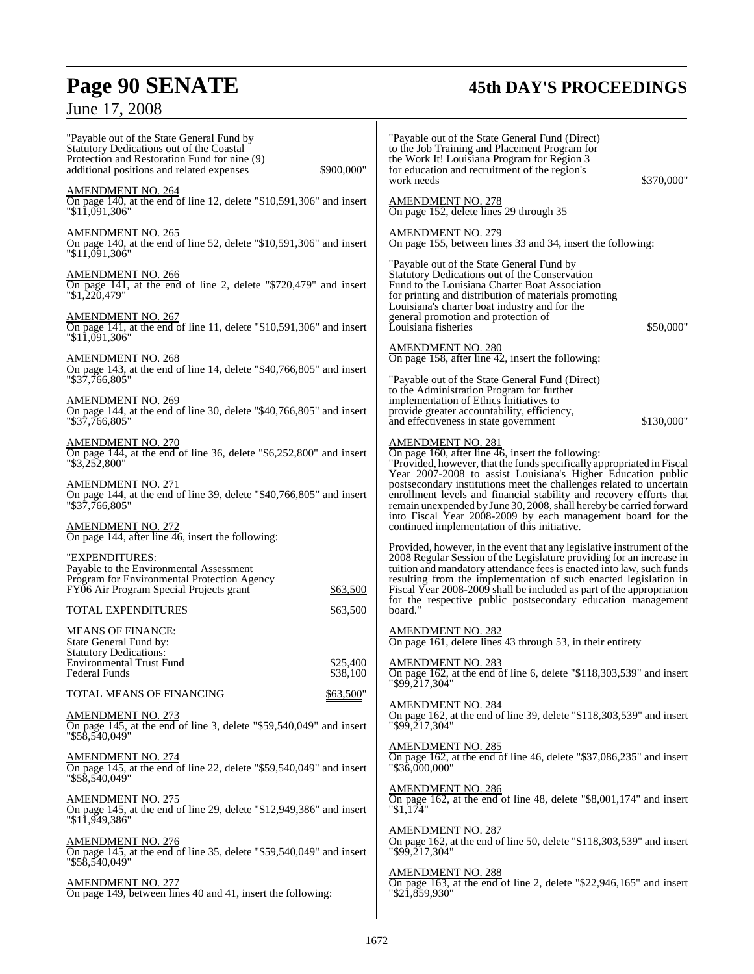# **Page 90 SENATE 45th DAY'S PROCEEDINGS**

| "Payable out of the State General Fund by<br>Statutory Dedications out of the Coastal<br>Protection and Restoration Fund for nine (9)<br>\$900,000"<br>additional positions and related expenses                                       | "Payable out of the State General Fund (Direct)<br>to the Job Training and Placement Program for<br>the Work It! Louisiana Program for Region 3<br>for education and recruitment of the region's<br>\$370,000"<br>work needs                                                                                                                                                                                                                 |
|----------------------------------------------------------------------------------------------------------------------------------------------------------------------------------------------------------------------------------------|----------------------------------------------------------------------------------------------------------------------------------------------------------------------------------------------------------------------------------------------------------------------------------------------------------------------------------------------------------------------------------------------------------------------------------------------|
| <u>AMENDMENT NO. 264</u><br>On page 140, at the end of line 12, delete "\$10,591,306" and insert<br>"\$11,091,306"                                                                                                                     | <b>AMENDMENT NO. 278</b><br>On page 152, delete lines 29 through 35                                                                                                                                                                                                                                                                                                                                                                          |
| AMENDMENT NO. 265<br>On page 140, at the end of line 52, delete "\$10,591,306" and insert<br>"\$11,091,306"                                                                                                                            | <b>AMENDMENT NO. 279</b><br>On page 155, between lines 33 and 34, insert the following:                                                                                                                                                                                                                                                                                                                                                      |
| <b>AMENDMENT NO. 266</b><br>On page 141, at the end of line 2, delete "\$720,479" and insert<br>"\$1,220,479"<br>AMENDMENT NO. 267<br>On page 141, at the end of line 11, delete " $$10,591,306$ " and insert                          | "Payable out of the State General Fund by<br>Statutory Dedications out of the Conservation<br>Fund to the Louisiana Charter Boat Association<br>for printing and distribution of materials promoting<br>Louisiana's charter boat industry and for the<br>general promotion and protection of<br>Louisiana fisheries<br>\$50,000"                                                                                                             |
| "\$11,091,306"<br>AMENDMENT NO. 268                                                                                                                                                                                                    | AMENDMENT NO. 280<br>On page 158, after line $\overline{42}$ , insert the following:                                                                                                                                                                                                                                                                                                                                                         |
| On page 143, at the end of line 14, delete " $$40,766,805$ " and insert<br>"\$37,766,805"<br><u>AMENDMENT NO. 269</u><br>On page 144, at the end of line 30, delete "\$40,766,805" and insert<br>"\$37.766.805"                        | "Payable out of the State General Fund (Direct)<br>to the Administration Program for further<br>implementation of Ethics Initiatives to<br>provide greater accountability, efficiency,<br>\$130,000"<br>and effectiveness in state government                                                                                                                                                                                                |
| <u>AMENDMENT NO. 270</u><br>On page 144, at the end of line 36, delete "\$6,252,800" and insert<br>"\$3,252,800"<br><u>AMENDMENT NO. 271</u><br>On page 144, at the end of line 39, delete "\$40,766,805" and insert<br>"\$37,766,805" | <b>AMENDMENT NO. 281</b><br>On page 160, after line 46, insert the following:<br>"Provided, however, that the funds specifically appropriated in Fiscal<br>Year 2007-2008 to assist Louisiana's Higher Education public<br>postsecondary institutions meet the challenges related to uncertain<br>enrollment levels and financial stability and recovery efforts that<br>remain unexpended by June 30, 2008, shall hereby be carried forward |
| AMENDMENT NO. 272<br>On page 144, after line 46, insert the following:                                                                                                                                                                 | into Fiscal Year 2008-2009 by each management board for the<br>continued implementation of this initiative.                                                                                                                                                                                                                                                                                                                                  |
| "EXPENDITURES:<br>Payable to the Environmental Assessment<br>Program for Environmental Protection Agency<br>FY06 Air Program Special Projects grant<br>\$63,500                                                                        | Provided, however, in the event that any legislative instrument of the<br>2008 Regular Session of the Legislature providing for an increase in<br>tuition and mandatory attendance fees is enacted into law, such funds<br>resulting from the implementation of such enacted legislation in<br>Fiscal Year 2008-2009 shall be included as part of the appropriation<br>for the respective public postsecondary education management          |
| <b>TOTAL EXPENDITURES</b><br>\$63,500<br><b>MEANS OF FINANCE:</b>                                                                                                                                                                      | board."<br><b>AMENDMENT NO. 282</b>                                                                                                                                                                                                                                                                                                                                                                                                          |
| State General Fund by:                                                                                                                                                                                                                 | On page 161, delete lines 43 through 53, in their entirety                                                                                                                                                                                                                                                                                                                                                                                   |
| <b>Statutory Dedications:</b><br><b>Environmental Trust Fund</b><br>\$25,400<br><b>Federal Funds</b><br>\$38,100                                                                                                                       | <b>AMENDMENT NO. 283</b><br>On page 162, at the end of line 6, delete " $$118,303,539$ " and insert<br>"\$99,217,304"                                                                                                                                                                                                                                                                                                                        |
| TOTAL MEANS OF FINANCING<br>\$63,500"<br><u>AMENDMENT NO. 273</u><br>On page 145, at the end of line 3, delete "\$59,540,049" and insert                                                                                               | AMENDMENT NO. 284<br>On page 162, at the end of line 39, delete "\$118,303,539" and insert<br>$"$ \$99,217,304"                                                                                                                                                                                                                                                                                                                              |
| "\$58.540.049"<br><b>AMENDMENT NO. 274</b>                                                                                                                                                                                             | <b>AMENDMENT NO. 285</b><br>On page 162, at the end of line 46, delete "\$37,086,235" and insert                                                                                                                                                                                                                                                                                                                                             |
| On page 145, at the end of line 22, delete "\$59,540,049" and insert<br>"\$58,540,049"                                                                                                                                                 | $"$ \$36,000,000"<br><b>AMENDMENT NO. 286</b>                                                                                                                                                                                                                                                                                                                                                                                                |
| <b>AMENDMENT NO. 275</b><br>On page 145, at the end of line 29, delete "\$12,949,386" and insert<br>"\$11,949,386"                                                                                                                     | On page 162, at the end of line 48, delete "\$8,001,174" and insert<br>"\$1.174"                                                                                                                                                                                                                                                                                                                                                             |
| <b>AMENDMENT NO. 276</b><br>On page 145, at the end of line 35, delete "\$59,540,049" and insert                                                                                                                                       | <b>AMENDMENT NO. 287</b><br>On page 162, at the end of line 50, delete "\$118,303,539" and insert<br>$"$ \$99,217,304"                                                                                                                                                                                                                                                                                                                       |
| "\$58,540,049"<br>$\frac{\text{AMENDMENT NO. 277}}{\text{On page 149, between lines 40 and 41, insert the following:}}$                                                                                                                | <b>AMENDMENT NO. 288</b><br>On page 163, at the end of line 2, delete " $$22,946,165$ " and insert<br>"\$21,859,930"                                                                                                                                                                                                                                                                                                                         |
|                                                                                                                                                                                                                                        |                                                                                                                                                                                                                                                                                                                                                                                                                                              |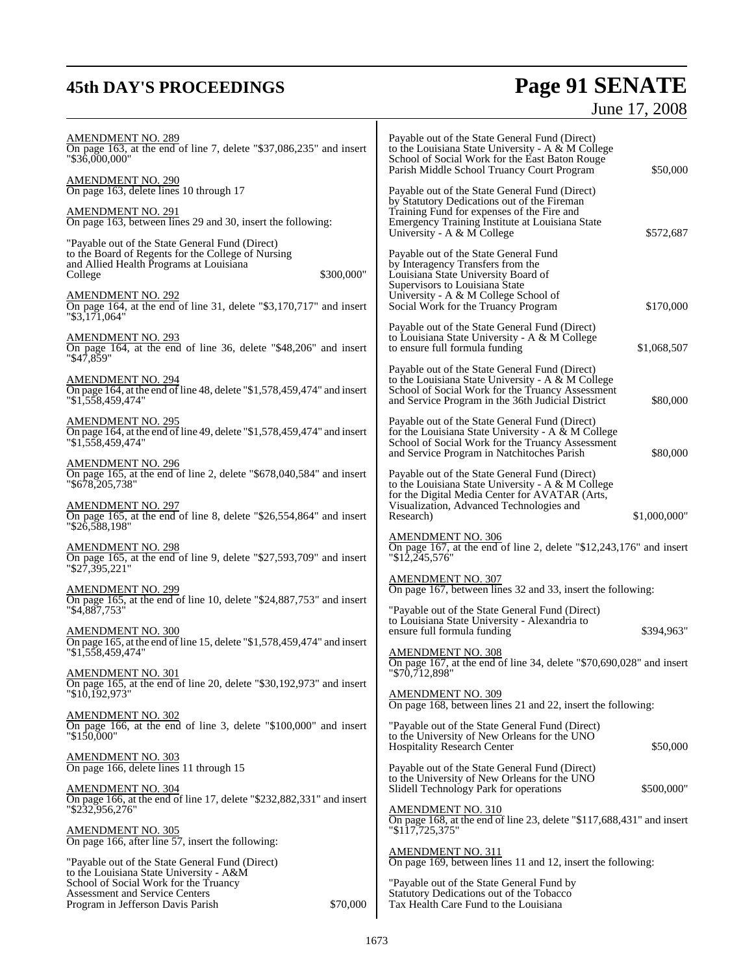# **45th DAY'S PROCEEDINGS Page 91 SENATE**

| <u>AMENDMENT NO. 289</u><br>On page 163, at the end of line 7, delete " $$37,086,235$ " and insert<br>"\$36,000,000"                                                       | Payable out of the State General Fund (Direct)<br>to the Louisiana State University - A & M College<br>School of Social Work for the East Baton Rouge<br>Parish Middle School Truancy Court Program<br>\$50,000          |
|----------------------------------------------------------------------------------------------------------------------------------------------------------------------------|--------------------------------------------------------------------------------------------------------------------------------------------------------------------------------------------------------------------------|
| AMENDMENT NO. 290<br>On page 163, delete lines 10 through 17                                                                                                               | Payable out of the State General Fund (Direct)                                                                                                                                                                           |
| <u>AMENDMENT NO. 291</u><br>On page 163, between lines 29 and 30, insert the following:                                                                                    | by Statutory Dedications out of the Fireman<br>Training Fund for expenses of the Fire and<br>Emergency Training Institute at Louisiana State<br>University - A & M College<br>\$572,687                                  |
| "Payable out of the State General Fund (Direct)<br>to the Board of Regents for the College of Nursing<br>and Allied Health Programs at Louisiana<br>\$300,000"<br>College  | Payable out of the State General Fund<br>by Interagency Transfers from the<br>Louisiana State University Board of                                                                                                        |
| <u>AMENDMENT NO. 292</u><br>On page 164, at the end of line 31, delete "\$3,170,717" and insert<br>"\$3,171,064"                                                           | Supervisors to Louisiana State<br>University - A & M College School of<br>Social Work for the Truancy Program<br>\$170,000                                                                                               |
| <u>AMENDMENT NO. 293</u><br>On page 164, at the end of line 36, delete "\$48,206" and insert<br>"\$47,839"                                                                 | Payable out of the State General Fund (Direct)<br>to Louisiana State University - A & M College<br>\$1,068,507<br>to ensure full formula funding                                                                         |
| AMENDMENT NO. 294<br>On page 164, at the end of line 48, delete "\$1,578,459,474" and insert<br>"\$1,558,459,474"                                                          | Payable out of the State General Fund (Direct)<br>to the Louisiana State University - A & M College<br>School of Social Work for the Truancy Assessment<br>and Service Program in the 36th Judicial District<br>\$80,000 |
| <b>AMENDMENT NO. 295</b><br>On page 164, at the end of line 49, delete "\$1,578,459,474" and insert<br>"\$1,558,459,474"                                                   | Payable out of the State General Fund (Direct)<br>for the Louisiana State University - A & M College<br>School of Social Work for the Truancy Assessment<br>and Service Program in Natchitoches Parish<br>\$80,000       |
| <u>AMENDMENT NO. 296</u><br>On page 165, at the end of line 2, delete " $$678,040,584"$ and insert<br>"\$678,205,738"                                                      | Payable out of the State General Fund (Direct)<br>to the Louisiana State University - A $\&$ M College                                                                                                                   |
| AMENDMENT NO. 297<br>On page 165, at the end of line 8, delete "\$26,554,864" and insert<br>"\$26,588,198"                                                                 | for the Digital Media Center for AVATAR (Arts,<br>Visualization, Advanced Technologies and<br>Research)<br>\$1,000,000"                                                                                                  |
| <u>AMENDMENT NO. 298</u><br>On page 165, at the end of line 9, delete " $$27,593,709$ " and insert<br>"\$27,395,221"                                                       | <b>AMENDMENT NO. 306</b><br>On page 167, at the end of line 2, delete " $$12,243,176"$ and insert<br>$"\$1\overline{2},\overline{245},576"$                                                                              |
| AMENDMENT NO. 299<br>On page 165, at the end of line 10, delete "\$24,887,753" and insert                                                                                  | <b>AMENDMENT NO. 307</b><br>On page 167, between lines 32 and 33, insert the following:                                                                                                                                  |
| "\$4,887,753"<br>AMENDMENT NO. 300                                                                                                                                         | "Payable out of the State General Fund (Direct)<br>to Louisiana State University - Alexandria to<br>ensure full formula funding<br>\$394,963"                                                                            |
| On page 165, at the end of line 15, delete "\$1,578,459,474" and insert<br>"\$1,558,459,474"                                                                               | <b>AMENDMENT NO. 308</b><br>On page 167, at the end of line 34, delete "\$70,690,028" and insert                                                                                                                         |
| <b>AMENDMENT NO. 301</b><br>On page 165, at the end of line 20, delete "\$30,192,973" and insert<br>"\$10,192,973"                                                         | "\$70,712,898"<br><b>AMENDMENT NO. 309</b>                                                                                                                                                                               |
| <b>AMENDMENT NO. 302</b><br>On page 166, at the end of line 3, delete "\$100,000" and insert<br>"\$150,000"                                                                | On page 168, between lines 21 and 22, insert the following:<br>"Payable out of the State General Fund (Direct)<br>to the University of New Orleans for the UNO                                                           |
| <b>AMENDMENT NO. 303</b><br>On page 166, delete lines 11 through 15                                                                                                        | <b>Hospitality Research Center</b><br>\$50,000<br>Payable out of the State General Fund (Direct)                                                                                                                         |
| <u>AMENDMENT NO. 304</u><br>On page 166, at the end of line 17, delete "\$232,882,331" and insert                                                                          | to the University of New Orleans for the UNO<br>Slidell Technology Park for operations<br>\$500,000"                                                                                                                     |
| "\$232,956,276"<br><u>AMENDMENT NO. 305</u><br>On page 166, after line 57, insert the following:                                                                           | <b>AMENDMENT NO. 310</b><br>On page 168, at the end of line 23, delete "\$117,688,431" and insert<br>"\$117,725,375"                                                                                                     |
| "Payable out of the State General Fund (Direct)                                                                                                                            | <b>AMENDMENT NO. 311</b><br>On page 169, between lines 11 and 12, insert the following:                                                                                                                                  |
| to the Louisiana State University - A&M<br>School of Social Work for the Truancy<br><b>Assessment and Service Centers</b><br>Program in Jefferson Davis Parish<br>\$70,000 | "Payable out of the State General Fund by<br>Statutory Dedications out of the Tobacco<br>Tax Health Care Fund to the Louisiana                                                                                           |
|                                                                                                                                                                            |                                                                                                                                                                                                                          |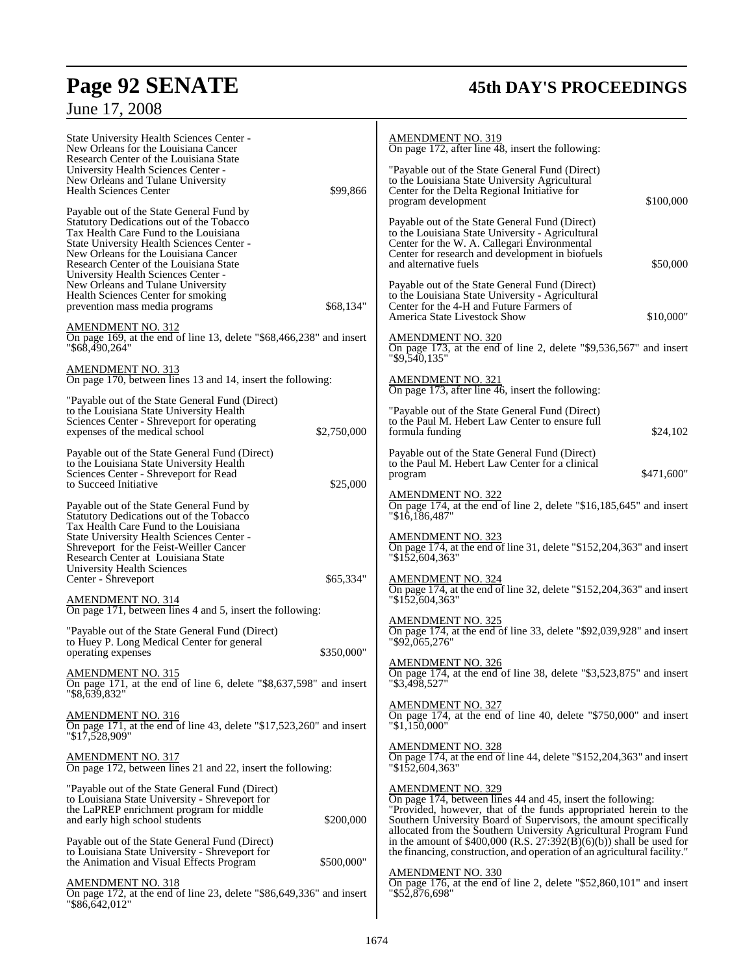# **Page 92 SENATE 45th DAY'S PROCEEDINGS**

| State University Health Sciences Center -<br>New Orleans for the Louisiana Cancer<br>Research Center of the Louisiana State                                                                                                                                                                         | <b>AMENDMENT NO. 319</b><br>On page 172, after line 48, insert the following:                                                                                                                                                                                                                 |
|-----------------------------------------------------------------------------------------------------------------------------------------------------------------------------------------------------------------------------------------------------------------------------------------------------|-----------------------------------------------------------------------------------------------------------------------------------------------------------------------------------------------------------------------------------------------------------------------------------------------|
| University Health Sciences Center -<br>New Orleans and Tulane University<br><b>Health Sciences Center</b><br>\$99,866                                                                                                                                                                               | "Payable out of the State General Fund (Direct)<br>to the Louisiana State University Agricultural<br>Center for the Delta Regional Initiative for<br>program development<br>\$100,000                                                                                                         |
| Payable out of the State General Fund by<br>Statutory Dedications out of the Tobacco<br>Tax Health Care Fund to the Louisiana<br>State University Health Sciences Center -<br>New Orleans for the Louisiana Cancer<br>Research Center of the Louisiana State<br>University Health Sciences Center - | Payable out of the State General Fund (Direct)<br>to the Louisiana State University - Agricultural<br>Center for the W. A. Callegari Environmental<br>Center for research and development in biofuels<br>and alternative fuels<br>\$50,000                                                    |
| New Orleans and Tulane University<br>Health Sciences Center for smoking<br>\$68,134"<br>prevention mass media programs                                                                                                                                                                              | Payable out of the State General Fund (Direct)<br>to the Louisiana State University - Agricultural<br>Center for the 4-H and Future Farmers of<br>America State Livestock Show<br>\$10,000"                                                                                                   |
| <b>AMENDMENT NO. 312</b><br>On page 169, at the end of line 13, delete "\$68,466,238" and insert<br>"\$68,490,264"                                                                                                                                                                                  | <b>AMENDMENT NO. 320</b><br>On page 173, at the end of line 2, delete "\$9,536,567" and insert<br>"\$9,540,135"                                                                                                                                                                               |
| <b>AMENDMENT NO. 313</b><br>On page 170, between lines 13 and 14, insert the following:                                                                                                                                                                                                             | <b>AMENDMENT NO. 321</b><br>On page 173, after line 46, insert the following:                                                                                                                                                                                                                 |
| "Payable out of the State General Fund (Direct)<br>to the Louisiana State University Health<br>Sciences Center - Shreveport for operating<br>expenses of the medical school<br>\$2,750,000                                                                                                          | "Payable out of the State General Fund (Direct)<br>to the Paul M. Hebert Law Center to ensure full<br>formula funding<br>\$24,102                                                                                                                                                             |
| Payable out of the State General Fund (Direct)<br>to the Louisiana State University Health<br>Sciences Center - Shreveport for Read<br>\$25,000<br>to Succeed Initiative                                                                                                                            | Payable out of the State General Fund (Direct)<br>to the Paul M. Hebert Law Center for a clinical<br>\$471,600"<br>program                                                                                                                                                                    |
| Payable out of the State General Fund by<br>Statutory Dedications out of the Tobacco<br>Tax Health Care Fund to the Louisiana                                                                                                                                                                       | <b>AMENDMENT NO. 322</b><br>On page 174, at the end of line 2, delete "\$16,185,645" and insert<br>"\$16,186,487"                                                                                                                                                                             |
| State University Health Sciences Center -<br>Shreveport for the Feist-Weiller Cancer<br>Research Center at Louisiana State<br>University Health Sciences                                                                                                                                            | <b>AMENDMENT NO. 323</b><br>On page 174, at the end of line 31, delete "\$152,204,363" and insert<br>"\$152,604,363"                                                                                                                                                                          |
| Center - Shreveport<br>\$65,334"<br><b>AMENDMENT NO. 314</b>                                                                                                                                                                                                                                        | <b>AMENDMENT NO. 324</b><br>On page 174, at the end of line 32, delete "\$152,204,363" and insert<br>"\$152,604,363"                                                                                                                                                                          |
| On page 171, between lines 4 and 5, insert the following:<br>"Payable out of the State General Fund (Direct)<br>to Huey P. Long Medical Center for general                                                                                                                                          | <u>AMENDMENT NO. 325</u><br>On page 174, at the end of line 33, delete "\$92,039,928" and insert<br>"\$92,065,276"                                                                                                                                                                            |
| \$350,000"<br>operating expenses<br><b>AMENDMENT NO. 315</b><br>On page $171$ , at the end of line 6, delete "\$8,637,598" and insert<br>"\$8,639,832"                                                                                                                                              | <b>AMENDMENT NO. 326</b><br>On page 174, at the end of line 38, delete "\$3,523,875" and insert<br>"\$3,498,527"                                                                                                                                                                              |
| <u>AMENDMENT NO. 316</u><br>On page 171, at the end of line 43, delete "\$17,523,260" and insert<br>"\$17,528,909"                                                                                                                                                                                  | <b>AMENDMENT NO. 327</b><br>On page 174, at the end of line 40, delete "\$750,000" and insert<br>$"\$1,150,000"$                                                                                                                                                                              |
| <b>AMENDMENT NO. 317</b><br>On page 172, between lines 21 and 22, insert the following:                                                                                                                                                                                                             | <b>AMENDMENT NO. 328</b><br>On page 174, at the end of line 44, delete "\$152,204,363" and insert<br>"\$152,604,363"                                                                                                                                                                          |
| "Payable out of the State General Fund (Direct)<br>to Louisiana State University - Shreveport for<br>the LaPREP enrichment program for middle<br>\$200,000<br>and early high school students                                                                                                        | AMENDMENT NO. 329<br>On page 174, between lines 44 and 45, insert the following:<br>"Provided, however, that of the funds appropriated herein to the<br>Southern University Board of Supervisors, the amount specifically<br>allocated from the Southern University Agricultural Program Fund |
| Payable out of the State General Fund (Direct)<br>to Louisiana State University - Shreveport for<br>the Animation and Visual Effects Program<br>\$500,000"                                                                                                                                          | in the amount of \$400,000 (R.S. 27:392(B)(6)(b)) shall be used for<br>the financing, construction, and operation of an agricultural facility."                                                                                                                                               |
| <u>AMENDMENT NO. 318</u><br>On page 172, at the end of line 23, delete " $$86,649,336"$ and insert<br>"\$86,642,012"                                                                                                                                                                                | <b>AMENDMENT NO. 330</b><br>On page 176, at the end of line 2, delete "\$52,860,101" and insert<br>"\$52,876,698"                                                                                                                                                                             |
|                                                                                                                                                                                                                                                                                                     |                                                                                                                                                                                                                                                                                               |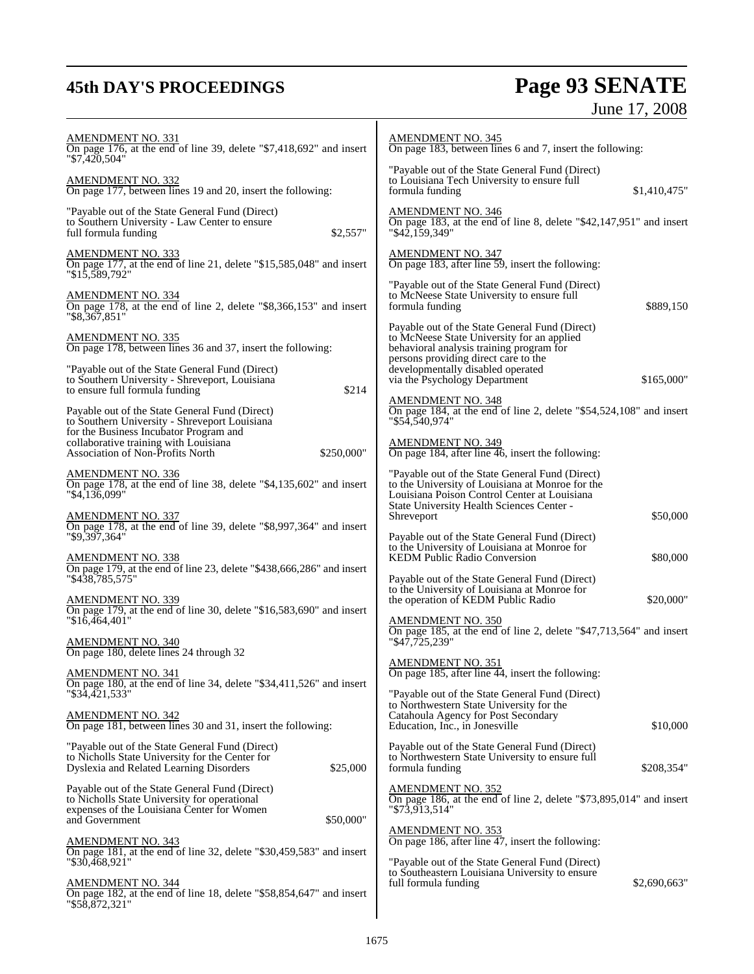# **45th DAY'S PROCEEDINGS Page 93 SENATE**

| <u>AMENDMENT NO. 331</u><br>On page 176, at the end of line 39, delete " $$7,418,692"$ and insert<br>$"\$7,420,504"$                                                        | <b>AMENDMENT NO. 345</b><br>On page 183, between lines 6 and 7, insert the following:                                                                                            |
|-----------------------------------------------------------------------------------------------------------------------------------------------------------------------------|----------------------------------------------------------------------------------------------------------------------------------------------------------------------------------|
| <b>AMENDMENT NO. 332</b><br>On page 177, between lines 19 and 20, insert the following:                                                                                     | "Payable out of the State General Fund (Direct)<br>to Louisiana Tech University to ensure full<br>formula funding<br>\$1,410,475"                                                |
| "Payable out of the State General Fund (Direct)<br>to Southern University - Law Center to ensure<br>full formula funding<br>\$2,557"                                        | <b>AMENDMENT NO. 346</b><br>On page 183, at the end of line 8, delete "\$42,147,951" and insert<br>"\$42,159,349"                                                                |
| <b>AMENDMENT NO. 333</b><br>On page 177, at the end of line 21, delete " $$15,585,048$ " and insert<br>$"\$1\overline{5}.\overline{5}89.792"$                               | AMENDMENT NO. 347<br>On page 183, after line 59, insert the following:                                                                                                           |
| <b>AMENDMENT NO. 334</b><br>On page 178, at the end of line 2, delete "\$8,366,153" and insert<br>"\$8,367,851"                                                             | "Payable out of the State General Fund (Direct)<br>to McNeese State University to ensure full<br>formula funding<br>\$889,150                                                    |
| <b>AMENDMENT NO. 335</b><br>On page 178, between lines 36 and 37, insert the following:                                                                                     | Payable out of the State General Fund (Direct)<br>to McNeese State University for an applied<br>behavioral analysis training program for<br>persons providing direct care to the |
| "Payable out of the State General Fund (Direct)<br>to Southern University - Shreveport, Louisiana<br>\$214<br>to ensure full formula funding                                | developmentally disabled operated<br>via the Psychology Department<br>\$165,000"                                                                                                 |
| Payable out of the State General Fund (Direct)<br>to Southern University - Shreveport Louisiana                                                                             | <b>AMENDMENT NO. 348</b><br>On page 184, at the end of line 2, delete "\$54,524,108" and insert<br>"\$54,540,974"                                                                |
| for the Business Incubator Program and<br>collaborative training with Louisiana<br>Association of Non-Profits North<br>\$250,000"                                           | AMENDMENT NO. 349<br>On page 184, after line 46, insert the following:                                                                                                           |
| <b>AMENDMENT NO. 336</b><br>On page 178, at the end of line 38, delete "\$4,135,602" and insert<br>"\$4,136,099"                                                            | "Payable out of the State General Fund (Direct)<br>to the University of Louisiana at Monroe for the<br>Louisiana Poison Control Center at Louisiana                              |
| <b>AMENDMENT NO. 337</b><br>On page 178, at the end of line 39, delete "\$8,997,364" and insert<br>"\$9,397,364"                                                            | State University Health Sciences Center -<br>Shreveport<br>\$50,000<br>Payable out of the State General Fund (Direct)                                                            |
| <u>AMENDMENT NO. 338</u><br>On page 179, at the end of line 23, delete "\$438,666,286" and insert                                                                           | to the University of Louisiana at Monroe for<br><b>KEDM Public Radio Conversion</b><br>\$80,000                                                                                  |
| "\$438,785,575"<br>AMENDMENT NO. 339                                                                                                                                        | Payable out of the State General Fund (Direct)<br>to the University of Louisiana at Monroe for<br>the operation of KEDM Public Radio<br>\$20,000"                                |
| On page 179, at the end of line 30, delete "\$16,583,690" and insert<br>"\$16,464,401"<br><b>AMENDMENT NO. 340</b>                                                          | <b>AMENDMENT NO. 350</b><br>On page 185, at the end of line 2, delete "\$47,713,564" and insert<br>$"\$47,725,239"$                                                              |
| On page 180, delete lines 24 through 32<br><b>AMENDMENT NO. 341</b>                                                                                                         | <b>AMENDMENT NO. 351</b><br>On page 185, after line 44, insert the following:                                                                                                    |
| On page 180, at the end of line 34, delete "\$34,411,526" and insert<br>"\$34,421,533"                                                                                      | "Payable out of the State General Fund (Direct)<br>to Northwestern State University for the                                                                                      |
| <b>AMENDMENT NO. 342</b><br>On page 181, between lines 30 and 31, insert the following:                                                                                     | Catahoula Agency for Post Secondary<br>Education, Inc., in Jonesville<br>\$10,000                                                                                                |
| "Payable out of the State General Fund (Direct)<br>to Nicholls State University for the Center for<br>Dyslexia and Related Learning Disorders<br>\$25,000                   | Payable out of the State General Fund (Direct)<br>to Northwestern State University to ensure full<br>\$208,354"<br>formula funding                                               |
| Payable out of the State General Fund (Direct)<br>to Nicholls State University for operational<br>expenses of the Louisiana Center for Women<br>and Government<br>\$50,000" | <b>AMENDMENT NO. 352</b><br>On page 186, at the end of line 2, delete "\$73,895,014" and insert<br>"\$73,913,514"                                                                |
| <b>AMENDMENT NO. 343</b><br>On page 181, at the end of line 32, delete "\$30,459,583" and insert                                                                            | <b>AMENDMENT NO. 353</b><br>On page 186, after line 47, insert the following:                                                                                                    |
| "\$30,468,921"<br><b>AMENDMENT NO. 344</b><br>On page 182, at the end of line 18, delete " $$58,854,647"$ and insert<br>"\$58,872,321"                                      | "Payable out of the State General Fund (Direct)<br>to Southeastern Louisiana University to ensure<br>full formula funding<br>\$2,690,663"                                        |
|                                                                                                                                                                             |                                                                                                                                                                                  |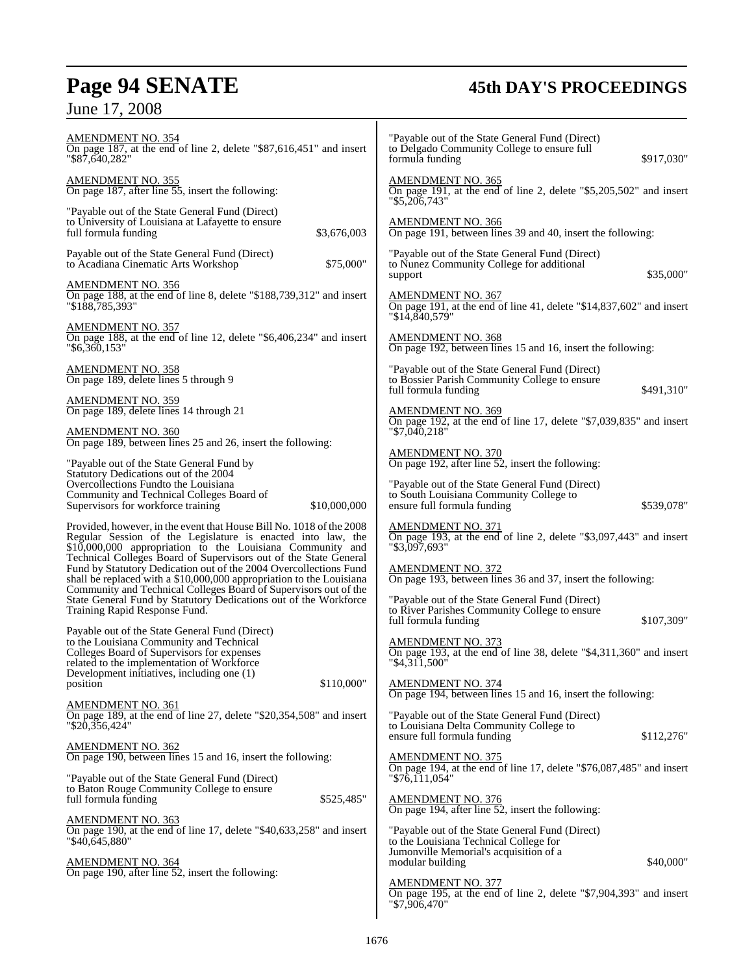# **Page 94 SENATE 45th DAY'S PROCEEDINGS**

| <b>AMENDMENT NO. 354</b><br>On page 187, at the end of line 2, delete " $$87,616,451"$ and insert<br>$"$ \$87,640,282"                                                                                                                                               | "Payable out of the State General Fund (Direct)<br>to Delgado Community College to ensure full<br>\$917,030"<br>formula funding         |
|----------------------------------------------------------------------------------------------------------------------------------------------------------------------------------------------------------------------------------------------------------------------|-----------------------------------------------------------------------------------------------------------------------------------------|
| AMENDMENT NO. 355<br>On page 187, after line 55, insert the following:                                                                                                                                                                                               | <b>AMENDMENT NO. 365</b><br>On page 191, at the end of line 2, delete "\$5,205,502" and insert<br>$"\$5.\overline{206.743"$             |
| "Payable out of the State General Fund (Direct)<br>to University of Louisiana at Lafayette to ensure<br>full formula funding<br>\$3,676,003                                                                                                                          | <b>AMENDMENT NO. 366</b><br>On page 191, between lines 39 and 40, insert the following:                                                 |
| Payable out of the State General Fund (Direct)<br>\$75,000"<br>to Acadiana Cinematic Arts Workshop                                                                                                                                                                   | "Payable out of the State General Fund (Direct)<br>to Nunez Community College for additional<br>\$35,000"<br>support                    |
| <b>AMENDMENT NO. 356</b><br>On page 188, at the end of line 8, delete "\$188,739,312" and insert<br>"\$188,785,393"                                                                                                                                                  | AMENDMENT NO. 367<br>On page 191, at the end of line 41, delete "\$14,837,602" and insert                                               |
| <u>AMENDMENT NO. 357</u><br>On page 188, at the end of line 12, delete "\$6,406,234" and insert<br>" \$6,360,153"                                                                                                                                                    | "\$14,840,579"<br><b>AMENDMENT NO. 368</b><br>On page 192, between lines 15 and 16, insert the following:                               |
| <u>AMENDMENT NO. 358</u><br>On page 189, delete lines 5 through 9                                                                                                                                                                                                    | "Payable out of the State General Fund (Direct)<br>to Bossier Parish Community College to ensure                                        |
| AMENDMENT NO. 359<br>On page 189, delete lines 14 through 21                                                                                                                                                                                                         | \$491,310"<br>full formula funding<br><b>AMENDMENT NO. 369</b><br>On page 192, at the end of line 17, delete "\$7,039,835" and insert   |
| <b>AMENDMENT NO. 360</b><br>On page 189, between lines 25 and 26, insert the following:                                                                                                                                                                              | " \$7,040,218"<br><b>AMENDMENT NO. 370</b>                                                                                              |
| "Payable out of the State General Fund by<br>Statutory Dedications out of the 2004<br>Overcollections Fundto the Louisiana                                                                                                                                           | On page 192, after line 52, insert the following:<br>"Payable out of the State General Fund (Direct)                                    |
| Community and Technical Colleges Board of<br>Supervisors for workforce training<br>\$10,000,000                                                                                                                                                                      | to South Louisiana Community College to<br>ensure full formula funding<br>\$539,078"                                                    |
| Provided, however, in the event that House Bill No. 1018 of the 2008<br>Regular Session of the Legislature is enacted into law, the<br>\$10,000,000 appropriation to the Louisiana Community and<br>Technical Colleges Board of Supervisors out of the State General | <b>AMENDMENT NO. 371</b><br>On page 193, at the end of line 2, delete "\$3,097,443" and insert<br>"\$3,097,693"                         |
| Fund by Statutory Dedication out of the 2004 Overcollections Fund<br>shall be replaced with a \$10,000,000 appropriation to the Louisiana<br>Community and Technical Colleges Board of Supervisors out of the                                                        | <b>AMENDMENT NO. 372</b><br>On page 193, between lines 36 and 37, insert the following:                                                 |
| State General Fund by Statutory Dedications out of the Workforce<br>Training Rapid Response Fund.                                                                                                                                                                    | "Payable out of the State General Fund (Direct)<br>to River Parishes Community College to ensure<br>full formula funding<br>\$107,309"  |
| Payable out of the State General Fund (Direct)<br>to the Louisiana Community and Technical<br>Colleges Board of Supervisors for expenses<br>related to the implementation of Workforce                                                                               | <b>AMENDMENT NO. 373</b><br>On page 193, at the end of line 38, delete "\$4,311,360" and insert<br>$"\$4,311,500"$                      |
| Development initiatives, including one (1)<br>\$110,000"<br>position                                                                                                                                                                                                 | <b>AMENDMENT NO. 374</b><br>On page 194, between lines 15 and 16, insert the following:                                                 |
| <u>AMENDMENT NO. 361</u><br>On page 189, at the end of line 27, delete " $$20,354,508"$ and insert<br>"\$20,356,424"                                                                                                                                                 | "Payable out of the State General Fund (Direct)<br>to Louisiana Delta Community College to<br>ensure full formula funding<br>\$112,276" |
| <b>AMENDMENT NO. 362</b><br>On page 190, between lines 15 and 16, insert the following:                                                                                                                                                                              | <b>AMENDMENT NO. 375</b><br>On page 194, at the end of line 17, delete "\$76,087,485" and insert                                        |
| "Payable out of the State General Fund (Direct)<br>to Baton Rouge Community College to ensure<br>\$525,485"<br>full formula funding                                                                                                                                  | "\$76,111,054"<br><b>AMENDMENT NO. 376</b>                                                                                              |
| <b>AMENDMENT NO. 363</b>                                                                                                                                                                                                                                             | On page 194, after line 52, insert the following:                                                                                       |
| On page 190, at the end of line 17, delete "\$40,633,258" and insert<br>"\$40,645,880"                                                                                                                                                                               | "Payable out of the State General Fund (Direct)<br>to the Louisiana Technical College for<br>Jumonville Memorial's acquisition of a     |
| <b>AMENDMENT NO. 364</b><br>On page 190, after line 52, insert the following:                                                                                                                                                                                        | \$40,000"<br>modular building                                                                                                           |
|                                                                                                                                                                                                                                                                      | <b>AMENDMENT NO. 377</b><br>On page 195, at the end of line 2, delete "\$7,904,393" and insert<br>"\$7,906,470"                         |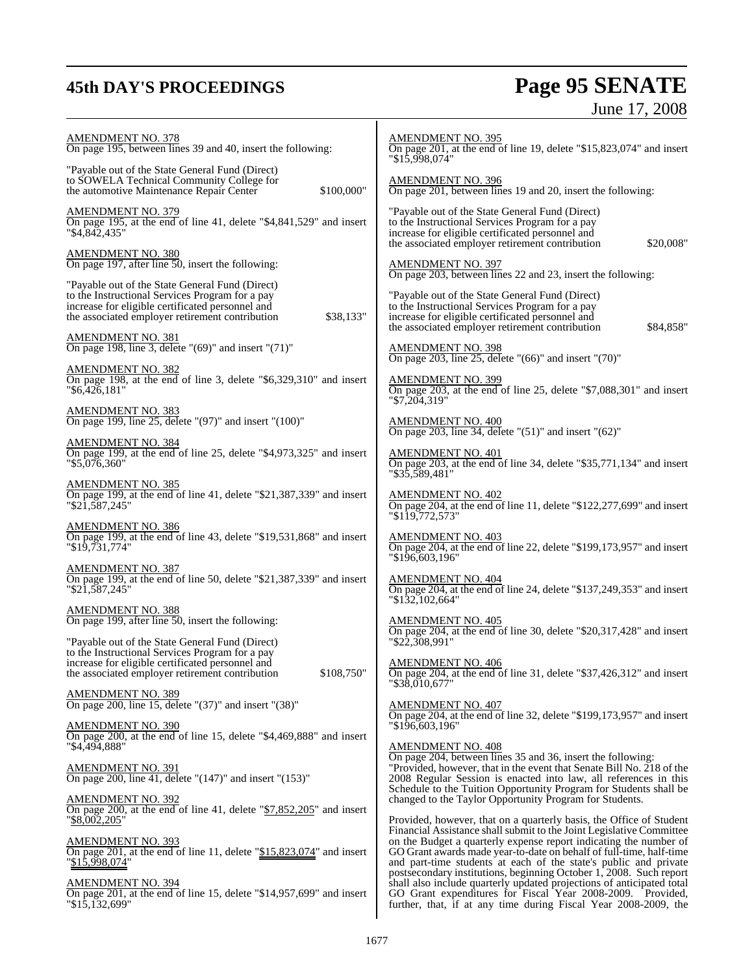# **45th DAY'S PROCEEDINGS Page 95 SENATE** June 17, 2008

| <b>AMENDMENT NO. 378</b><br>On page 195, between lines 39 and 40, insert the following:                                                                              | <b>AMENDMENT NO. 395</b><br>On page 201, at the end of line 19, delete "\$15,823,074" and insert<br>"\$15,998,074"                                                                                                                                                                     |
|----------------------------------------------------------------------------------------------------------------------------------------------------------------------|----------------------------------------------------------------------------------------------------------------------------------------------------------------------------------------------------------------------------------------------------------------------------------------|
| "Payable out of the State General Fund (Direct)<br>to SOWELA Technical Community College for<br>\$100,000"<br>the automotive Maintenance Repair Center               | <b>AMENDMENT NO. 396</b><br>On page 201, between lines 19 and 20, insert the following:                                                                                                                                                                                                |
| <b>AMENDMENT NO. 379</b><br>On page 195, at the end of line 41, delete "\$4,841,529" and insert<br>"\$4,842,435"                                                     | "Payable out of the State General Fund (Direct)<br>to the Instructional Services Program for a pay<br>increase for eligible certificated personnel and<br>the associated employer retirement contribution<br>\$20,008"                                                                 |
| AMENDMENT NO. 380<br>On page 197, after line 50, insert the following:                                                                                               | <b>AMENDMENT NO. 397</b><br>On page 203, between lines 22 and 23, insert the following:                                                                                                                                                                                                |
| "Payable out of the State General Fund (Direct)                                                                                                                      | "Payable out of the State General Fund (Direct)                                                                                                                                                                                                                                        |
| to the Instructional Services Program for a pay                                                                                                                      | to the Instructional Services Program for a pay                                                                                                                                                                                                                                        |
| increase for eligible certificated personnel and                                                                                                                     | increase for eligible certificated personnel and                                                                                                                                                                                                                                       |
| the associated employer retirement contribution                                                                                                                      | \$84,858"                                                                                                                                                                                                                                                                              |
| \$38,133"                                                                                                                                                            | the associated employer retirement contribution                                                                                                                                                                                                                                        |
| <b>AMENDMENT NO. 381</b>                                                                                                                                             | <b>AMENDMENT NO. 398</b>                                                                                                                                                                                                                                                               |
| On page 198, line 3, delete " $(69)$ " and insert " $(71)$ "                                                                                                         | On page 203, line 25, delete " $(66)$ " and insert " $(70)$ "                                                                                                                                                                                                                          |
| <b>AMENDMENT NO. 382</b>                                                                                                                                             | <b>AMENDMENT NO. 399</b>                                                                                                                                                                                                                                                               |
| On page 198, at the end of line 3, delete "\$6,329,310" and insert                                                                                                   | On page 203, at the end of line 25, delete "\$7,088,301" and insert                                                                                                                                                                                                                    |
| "\$6,426,181"                                                                                                                                                        | "\$7,204,319"                                                                                                                                                                                                                                                                          |
| <b>AMENDMENT NO. 383</b><br>On page 199, line 25, delete "(97)" and insert "(100)"                                                                                   | $\frac{\text{AMENDMENT NO. }400}{\text{On page }203$ , line 34, delete "(51)" and insert "(62)"                                                                                                                                                                                        |
| AMENDMENT NO. 384                                                                                                                                                    | <b>AMENDMENT NO. 401</b>                                                                                                                                                                                                                                                               |
| On page 199, at the end of line 25, delete "\$4,973,325" and insert                                                                                                  | On page 203, at the end of line 34, delete "\$35,771,134" and insert                                                                                                                                                                                                                   |
| "\$5,076,360"                                                                                                                                                        | $"\$3\overline{5}.\overline{5}89.481"$                                                                                                                                                                                                                                                 |
| <b>AMENDMENT NO. 385</b>                                                                                                                                             | <b>AMENDMENT NO. 402</b>                                                                                                                                                                                                                                                               |
| On page 199, at the end of line 41, delete "\$21,387,339" and insert                                                                                                 | On page 204, at the end of line 11, delete "\$122,277,699" and insert                                                                                                                                                                                                                  |
| $"\$2\overline{1,587,245"$                                                                                                                                           | "\$119,772,573"                                                                                                                                                                                                                                                                        |
| <b>AMENDMENT NO. 386</b>                                                                                                                                             | <b>AMENDMENT NO. 403</b>                                                                                                                                                                                                                                                               |
| On page 199, at the end of line 43, delete "\$19,531,868" and insert                                                                                                 | On page 204, at the end of line 22, delete "\$199,173,957" and insert                                                                                                                                                                                                                  |
| $"\$1\overline{9}$ , 731, 774"                                                                                                                                       | "\$196,603,196"                                                                                                                                                                                                                                                                        |
| <b>AMENDMENT NO. 387</b>                                                                                                                                             | <b>AMENDMENT NO. 404</b>                                                                                                                                                                                                                                                               |
| On page 199, at the end of line 50, delete "\$21,387,339" and insert                                                                                                 | On page 204, at the end of line 24, delete "\$137,249,353" and insert                                                                                                                                                                                                                  |
| $"\$2\overline{1,587,245"$                                                                                                                                           | "\$132,102,664"                                                                                                                                                                                                                                                                        |
| <b>AMENDMENT NO. 388</b>                                                                                                                                             | <b>AMENDMENT NO. 405</b>                                                                                                                                                                                                                                                               |
| On page 199, after line 50, insert the following:                                                                                                                    | On page 204, at the end of line 30, delete "\$20,317,428" and insert                                                                                                                                                                                                                   |
| "Payable out of the State General Fund (Direct)                                                                                                                      | $"\$2\overline{2}, \overline{3}08,991"$                                                                                                                                                                                                                                                |
| to the Instructional Services Program for a pay<br>increase for eligible certificated personnel and<br>\$108,750"<br>the associated employer retirement contribution | <b>AMENDMENT NO. 406</b><br>On page 204, at the end of line 31, delete "\$37,426,312" and insert<br>$"$ \$38,010,677"                                                                                                                                                                  |
| <b>AMENDMENT NO. 389</b>                                                                                                                                             | <b>AMENDMENT NO. 407</b>                                                                                                                                                                                                                                                               |
| On page 200, line 15, delete " $(37)$ " and insert " $(38)$ "                                                                                                        | On page 204, at the end of line 32, delete "\$199,173,957" and insert                                                                                                                                                                                                                  |
| <b>AMENDMENT NO. 390</b>                                                                                                                                             | "\$196,603,196"                                                                                                                                                                                                                                                                        |
| On page 200, at the end of line 15, delete "\$4,469,888" and insert                                                                                                  | <b>AMENDMENT NO. 408</b>                                                                                                                                                                                                                                                               |
| "\$4,494,888"                                                                                                                                                        | On page 204, between lines 35 and 36, insert the following:                                                                                                                                                                                                                            |
| <b>AMENDMENT NO. 391</b><br>On page 200, line 41, delete " $(147)$ " and insert " $(153)$ "<br><b>AMENDMENT NO. 392</b>                                              | "Provided, however, that in the event that Senate Bill No. 218 of the<br>2008 Regular Session is enacted into law, all references in this<br>Schedule to the Tuition Opportunity Program for Students shall be<br>changed to the Taylor Opportunity Program for Students.              |
| On page 200, at the end of line 41, delete " $$7,852,205$ " and insert                                                                                               | Provided, however, that on a quarterly basis, the Office of Student                                                                                                                                                                                                                    |
| "\$8,002,205"                                                                                                                                                        | Financial Assistance shall submit to the Joint Legislative Committee                                                                                                                                                                                                                   |
| <b>AMENDMENT NO. 393</b>                                                                                                                                             | on the Budget a quarterly expense report indicating the number of                                                                                                                                                                                                                      |
| On page 201, at the end of line 11, delete $\frac{\$15,823,074}{}$ and insert<br>"\$15,998,074"<br><b>AMENDMENT NO. 394</b>                                          | GO Grant awards made year-to-date on behalf of full-time, half-time<br>and part-time students at each of the state's public and private<br>postsecondary institutions, beginning October 1, 2008. Such report<br>shall also include quarterly updated projections of anticipated total |
| On page 201, at the end of line 15, delete "\$14,957,699" and insert                                                                                                 | GO Grant expenditures for Fiscal Year 2008-2009. Provided,                                                                                                                                                                                                                             |
| $"\$1\overline{5}, \overline{1}32,699"$                                                                                                                              | further, that, if at any time during Fiscal Year 2008-2009, the                                                                                                                                                                                                                        |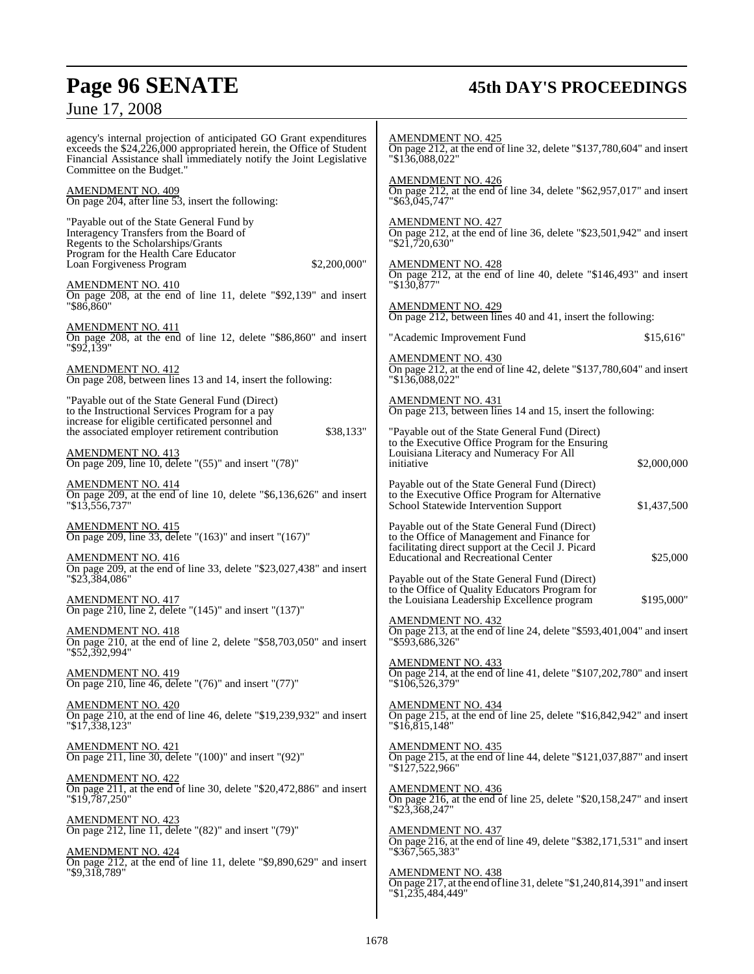June 17, 2008

## **Page 96 SENATE 45th DAY'S PROCEEDINGS**

agency's internal projection of anticipated GO Grant expenditures exceeds the \$24,226,000 appropriated herein, the Office of Student Financial Assistance shall immediately notify the Joint Legislative Committee on the Budget." AMENDMENT NO. 409 On page 204, after line 53, insert the following: "Payable out of the State General Fund by Interagency Transfers from the Board of Regents to the Scholarships/Grants Program for the Health Care Educator Loan Forgiveness Program  $$2,200,000"$ AMENDMENT NO. 410 On page 208, at the end of line 11, delete "\$92,139" and insert "\$86,860" AMENDMENT NO. 411 On page 208, at the end of line 12, delete "\$86,860" and insert "\$92,139" AMENDMENT NO. 412 On page 208, between lines 13 and 14, insert the following: "Payable out of the State General Fund (Direct) to the Instructional Services Program for a pay increase for eligible certificated personnel and the associated employer retirement contribution \$38,133" AMENDMENT NO. 413 On page 209, line 10, delete "(55)" and insert "(78)" AMENDMENT NO. 414 On page 209, at the end of line 10, delete "\$6,136,626" and insert "\$13,556,737" AMENDMENT NO. 415 On page 209, line 33, delete "(163)" and insert "(167)" AMENDMENT NO. 416 On page 209, at the end of line 33, delete "\$23,027,438" and insert "\$23,384,086" AMENDMENT NO. 417 On page 210, line 2, delete "(145)" and insert "(137)" AMENDMENT NO. 418 On page 210, at the end of line 2, delete "\$58,703,050" and insert "\$52,392,994" AMENDMENT NO. 419 On page 210, line 46, delete "(76)" and insert "(77)" AMENDMENT NO. 420 On page 210, at the end of line 46, delete "\$19,239,932" and insert "\$17,338,123" AMENDMENT NO. 421 On page 211, line 30, delete "(100)" and insert "(92)" AMENDMENT NO. 422 On page 211, at the end of line 30, delete "\$20,472,886" and insert "\$19,787,250" AMENDMENT NO. 423 On page 212, line 11, delete "(82)" and insert "(79)" AMENDMENT NO. 424 On page 212, at the end of line 11, delete "\$9,890,629" and insert "\$9,318,789" AMENDMENT NO. 425 On page 212, at the end of line 32, delete "\$137,780,604" and insert "\$136,088,022" AMENDMENT NO. 426 On page 212, at the end of line 34, delete "\$62,957,017" and insert "\$63,045,747" AMENDMENT NO. 427 On page 212, at the end of line 36, delete "\$23,501,942" and insert "\$21,720,630" AMENDMENT NO. 428 On page 212, at the end of line 40, delete "\$146,493" and insert "\$130,877" AMENDMENT NO. 429 On page 212, between lines 40 and 41, insert the following: "Academic Improvement Fund \$15,616" AMENDMENT NO. 430  $\frac{64}{2}$  On page 212, at the end of line 42, delete "\$137,780,604" and insert "\$136,088,022" AMENDMENT NO. 431 On page 213, between lines 14 and 15, insert the following: "Payable out of the State General Fund (Direct) to the Executive Office Program for the Ensuring Louisiana Literacy and Numeracy For All initiative \$2,000,000 Payable out of the State General Fund (Direct) to the Executive Office Program for Alternative School Statewide Intervention Support \$1,437,500 Payable out of the State General Fund (Direct) to the Office of Management and Finance for facilitating direct support at the Cecil J. Picard Educational and Recreational Center \$25,000 Payable out of the State General Fund (Direct) to the Office of Quality Educators Program for the Louisiana Leadership Excellence program \$195,000" AMENDMENT NO. 432 On page 213, at the end of line 24, delete "\$593,401,004" and insert "\$593,686,326" AMENDMENT NO. 433 On page 214, at the end of line 41, delete "\$107,202,780" and insert "\$106,526,379" AMENDMENT NO. 434 On page 215, at the end of line 25, delete "\$16,842,942" and insert "\$16,815,148" AMENDMENT NO. 435 On page 215, at the end of line 44, delete "\$121,037,887" and insert "\$127,522,966" AMENDMENT NO. 436 On page 216, at the end of line 25, delete "\$20,158,247" and insert "\$23,368,247" AMENDMENT NO. 437 On page 216, at the end of line 49, delete "\$382,171,531" and insert "\$367,565,383" AMENDMENT NO. 438 On page 217, at the end of line 31, delete "\$1,240,814,391" and insert "\$1,235,484,449"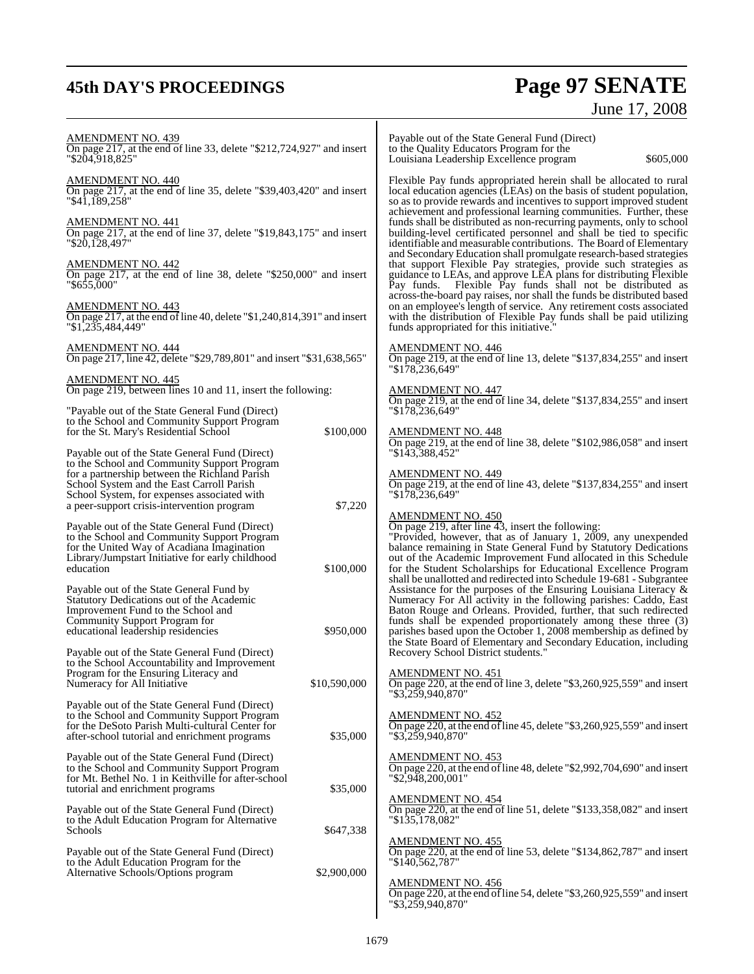# **45th DAY'S PROCEEDINGS Page 97 SENATE** June 17, 2008

| <b>AMENDMENT NO. 439</b><br>On page 217, at the end of line 33, delete "\$212,724,927" and insert<br>"\$204,918,825"                                                                                                                       |              | Payable out of the State General Fund (Direct)<br>to the Quality Educators Program for the<br>\$605,000<br>Louisiana Leadership Excellence program                                                                                                                                                                                                                                                    |
|--------------------------------------------------------------------------------------------------------------------------------------------------------------------------------------------------------------------------------------------|--------------|-------------------------------------------------------------------------------------------------------------------------------------------------------------------------------------------------------------------------------------------------------------------------------------------------------------------------------------------------------------------------------------------------------|
| <u>AMENDMENT NO. 440</u><br>On page 217, at the end of line 35, delete "\$39,403,420" and insert<br>"\$41,189,258"                                                                                                                         |              | Flexible Pay funds appropriated herein shall be allocated to rural<br>local education agencies (LEAs) on the basis of student population,<br>so as to provide rewards and incentives to support improved student                                                                                                                                                                                      |
| AMENDMENT NO. 441<br>On page 217, at the end of line 37, delete "\$19,843,175" and insert<br>"\$20,128,497"                                                                                                                                |              | achievement and professional learning communities. Further, these<br>funds shall be distributed as non-recurring payments, only to school<br>building-level certificated personnel and shall be tied to specific<br>identifiable and measurable contributions. The Board of Elementary                                                                                                                |
| <b>AMENDMENT NO. 442</b><br>On page 217, at the end of line 38, delete "\$250,000" and insert<br>"\$655,000"                                                                                                                               |              | and Secondary Education shall promulgate research-based strategies<br>that support Flexible Pay strategies, provide such strategies as<br>guidance to LEAs, and approve LEA plans for distributing Flexible<br>Pay funds. Flexible Pay funds shall not be distributed as                                                                                                                              |
| <b>AMENDMENT NO. 443</b><br>On page 217, at the end of line 40, delete " $$1,240,814,391$ " and insert<br>"\$1,235,484,449"                                                                                                                |              | across-the-board pay raises, nor shall the funds be distributed based<br>on an employee's length of service. Any retirement costs associated<br>with the distribution of Flexible Pay funds shall be paid utilizing<br>funds appropriated for this initiative."                                                                                                                                       |
| AMENDMENT NO. 444<br>On page 217, line 42, delete "\$29,789,801" and insert "\$31,638,565"                                                                                                                                                 |              | <b>AMENDMENT NO. 446</b><br>On page 219, at the end of line 13, delete "\$137,834,255" and insert<br>"\$178,236,649"                                                                                                                                                                                                                                                                                  |
| $\frac{\text{AMENDMENT NO. 445}}{\text{On page 219, between lines 10 and 11, insert the following:}}$                                                                                                                                      |              | AMENDMENT NO. 447<br>On page 219, at the end of line 34, delete "\$137,834,255" and insert                                                                                                                                                                                                                                                                                                            |
| "Payable out of the State General Fund (Direct)<br>to the School and Community Support Program<br>for the St. Mary's Residential School                                                                                                    | \$100,000    | "\$178,236,649"<br><b>AMENDMENT NO. 448</b><br>On page 219, at the end of line 38, delete "\$102,986,058" and insert                                                                                                                                                                                                                                                                                  |
| Payable out of the State General Fund (Direct)<br>to the School and Community Support Program<br>for a partnership between the Richland Parish<br>School System and the East Carroll Parish<br>School System, for expenses associated with |              | "\$143,388,452"<br><b>AMENDMENT NO. 449</b><br>On page 219, at the end of line 43, delete "\$137,834,255" and insert<br>"\$178,236,649"                                                                                                                                                                                                                                                               |
| a peer-support crisis-intervention program                                                                                                                                                                                                 | \$7,220      | <b>AMENDMENT NO. 450</b>                                                                                                                                                                                                                                                                                                                                                                              |
| Payable out of the State General Fund (Direct)<br>to the School and Community Support Program<br>for the United Way of Acadiana Imagination<br>Library/Jumpstart Initiative for early childhood<br>education                               | \$100,000    | On page 219, after line 43, insert the following:<br>"Provided, however, that as of January 1, 2009, any unexpended<br>balance remaining in State General Fund by Statutory Dedications<br>out of the Academic Improvement Fund allocated in this Schedule<br>for the Student Scholarships for Educational Excellence Program<br>shall be unallotted and redirected into Schedule 19-681 - Subgrantee |
| Payable out of the State General Fund by<br>Statutory Dedications out of the Academic<br>Improvement Fund to the School and<br>Community Support Program for<br>educational leadership residencies                                         | \$950,000    | Assistance for the purposes of the Ensuring Louisiana Literacy &<br>Numeracy For All activity in the following parishes: Caddo, East<br>Baton Rouge and Orleans. Provided, further, that such redirected<br>funds shall be expended proportionately among these three (3)<br>parishes based upon the October 1, 2008 membership as defined by                                                         |
| Payable out of the State General Fund (Direct)<br>to the School Accountability and Improvement<br>Program for the Ensuring Literacy and<br>Numeracy for All Initiative                                                                     | \$10,590,000 | the State Board of Elementary and Secondary Education, including<br>Recovery School District students."<br>AMENDMENT NO. 451<br>On page 220, at the end of line 3, delete " $$3,260,925,559"$ and insert                                                                                                                                                                                              |
| Payable out of the State General Fund (Direct)<br>to the School and Community Support Program<br>for the DeSoto Parish Multi-cultural Center for<br>after-school tutorial and enrichment programs                                          | \$35,000     | "\$3,259,940,870"<br><b>AMENDMENT NO. 452</b><br>On page 220, at the end of line 45, delete "\$3,260,925,559" and insert<br>"\$3,259,940,870"                                                                                                                                                                                                                                                         |
| Payable out of the State General Fund (Direct)<br>to the School and Community Support Program<br>for Mt. Bethel No. 1 in Keithville for after-school<br>tutorial and enrichment programs                                                   | \$35,000     | AMENDMENT NO. 453<br>On page 220, at the end of line 48, delete "\$2,992,704,690" and insert<br>"\$2,948,200,001"                                                                                                                                                                                                                                                                                     |
| Payable out of the State General Fund (Direct)<br>to the Adult Education Program for Alternative<br><b>Schools</b>                                                                                                                         | \$647,338    | <b>AMENDMENT NO. 454</b><br>On page 220, at the end of line 51, delete "\$133,358,082" and insert<br>"\$135,178,082"                                                                                                                                                                                                                                                                                  |
| Payable out of the State General Fund (Direct)<br>to the Adult Education Program for the<br>Alternative Schools/Options program                                                                                                            | \$2,900,000  | <b>AMENDMENT NO. 455</b><br>On page 220, at the end of line 53, delete "\$134,862,787" and insert<br>"\$140,562,787"                                                                                                                                                                                                                                                                                  |
|                                                                                                                                                                                                                                            |              | <b>AMENDMENT NO. 456</b><br>On page 220, at the end of line 54, delete " $$3,260,925,559"$ and insert<br>"\$3,259,940,870"                                                                                                                                                                                                                                                                            |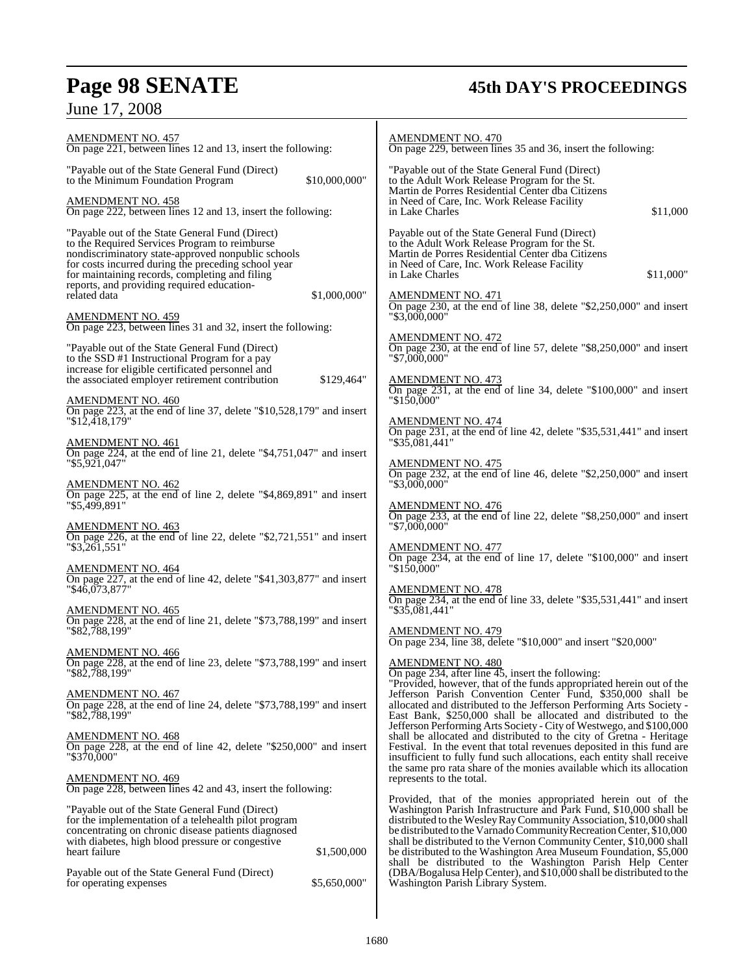# **Page 98 SENATE 45th DAY'S PROCEEDINGS** June 17, 2008

| <u>AMENDMENT NO. 457</u><br>On page 221, between lines 12 and 13, insert the following:                                                                                                                                                                                                                                                       | <b>AMENDMENT NO. 470</b><br>On page 229, between lines 35 and 36, insert the following:                                                                                                                                                                                                                                                                                                                                                                                                |
|-----------------------------------------------------------------------------------------------------------------------------------------------------------------------------------------------------------------------------------------------------------------------------------------------------------------------------------------------|----------------------------------------------------------------------------------------------------------------------------------------------------------------------------------------------------------------------------------------------------------------------------------------------------------------------------------------------------------------------------------------------------------------------------------------------------------------------------------------|
| "Payable out of the State General Fund (Direct)<br>\$10,000,000"<br>to the Minimum Foundation Program                                                                                                                                                                                                                                         | "Payable out of the State General Fund (Direct)<br>to the Adult Work Release Program for the St.                                                                                                                                                                                                                                                                                                                                                                                       |
| AMENDMENT NO. 458<br>On page 222, between lines 12 and 13, insert the following:                                                                                                                                                                                                                                                              | Martin de Porres Residential Center dba Citizens<br>in Need of Care, Inc. Work Release Facility<br>\$11,000<br>in Lake Charles                                                                                                                                                                                                                                                                                                                                                         |
| "Payable out of the State General Fund (Direct)<br>to the Required Services Program to reimburse<br>nondiscriminatory state-approved nonpublic schools<br>for costs incurred during the preceding school year<br>for maintaining records, completing and filing<br>reports, and providing required education-<br>\$1,000,000"<br>related data | Payable out of the State General Fund (Direct)<br>to the Adult Work Release Program for the St.<br>Martin de Porres Residential Center dba Citizens<br>in Need of Care, Inc. Work Release Facility<br>in Lake Charles<br>\$11,000"<br><b>AMENDMENT NO. 471</b>                                                                                                                                                                                                                         |
| AMENDMENT NO. 459<br>On page 223, between lines 31 and 32, insert the following:                                                                                                                                                                                                                                                              | On page 230, at the end of line 38, delete "\$2,250,000" and insert<br>"\$3,000,000"                                                                                                                                                                                                                                                                                                                                                                                                   |
| "Payable out of the State General Fund (Direct)<br>to the SSD #1 Instructional Program for a pay                                                                                                                                                                                                                                              | <b>AMENDMENT NO. 472</b><br>On page 230, at the end of line 57, delete "\$8,250,000" and insert<br>"\$7,000,000"                                                                                                                                                                                                                                                                                                                                                                       |
| increase for eligible certificated personnel and<br>the associated employer retirement contribution<br>\$129,464"                                                                                                                                                                                                                             | <b>AMENDMENT NO. 473</b><br>On page $231$ , at the end of line 34, delete "\$100,000" and insert                                                                                                                                                                                                                                                                                                                                                                                       |
| <b>AMENDMENT NO. 460</b><br>On page 223, at the end of line 37, delete "\$10,528,179" and insert<br>"\$12,418,179"                                                                                                                                                                                                                            | $"\$1\overline{5}0,000"$<br><b>AMENDMENT NO. 474</b><br>On page 231, at the end of line 42, delete "\$35,531,441" and insert                                                                                                                                                                                                                                                                                                                                                           |
| AMENDMENT NO. 461<br>On page 224, at the end of line 21, delete "\$4,751,047" and insert<br>"\$5,921,047"                                                                                                                                                                                                                                     | $"$ \$35,081,441"<br>AMENDMENT NO. 475                                                                                                                                                                                                                                                                                                                                                                                                                                                 |
| AMENDMENT NO. 462<br>On page 225, at the end of line 2, delete "\$4,869,891" and insert<br>"\$5,499,891"                                                                                                                                                                                                                                      | On page 232, at the end of line 46, delete " $$2,250,000$ " and insert<br>"\$3,000,000"<br><b>AMENDMENT NO. 476</b>                                                                                                                                                                                                                                                                                                                                                                    |
| AMENDMENT NO. 463<br>On page 226, at the end of line 22, delete "\$2,721,551" and insert                                                                                                                                                                                                                                                      | On page 233, at the end of line 22, delete "\$8,250,000" and insert<br>"\$7,000,000"                                                                                                                                                                                                                                                                                                                                                                                                   |
| "\$3,261,551"<br><b>AMENDMENT NO. 464</b>                                                                                                                                                                                                                                                                                                     | <b>AMENDMENT NO. 477</b><br>On page 234, at the end of line 17, delete "\$100,000" and insert<br>$"\$1\overline{5}0\overline{0}00"$                                                                                                                                                                                                                                                                                                                                                    |
| On page 227, at the end of line 42, delete "\$41,303,877" and insert<br>"\$46,073,877"<br><b>AMENDMENT NO. 465</b>                                                                                                                                                                                                                            | AMENDMENT NO. 478<br>On page 234, at the end of line 33, delete "\$35,531,441" and insert<br>"\$35,081,441"                                                                                                                                                                                                                                                                                                                                                                            |
| On page 228, at the end of line 21, delete "\$73,788,199" and insert<br>"\$82,788,199"                                                                                                                                                                                                                                                        | AMENDMENT NO. 479<br>On page 234, line 38, delete "\$10,000" and insert "\$20,000"                                                                                                                                                                                                                                                                                                                                                                                                     |
| <b>AMENDMENT NO. 466</b><br>On page 228, at the end of line 23, delete "\$73,788,199" and insert<br>"\$82,788,199"                                                                                                                                                                                                                            | AMENDMENT NO. 480<br>On page 234, after line 45, insert the following:                                                                                                                                                                                                                                                                                                                                                                                                                 |
| <b>AMENDMENT NO. 467</b><br>On page 228, at the end of line 24, delete "\$73,788,199" and insert<br>"\$82,788,199"                                                                                                                                                                                                                            | "Provided, however, that of the funds appropriated herein out of the<br>Jefferson Parish Convention Center Fund, \$350,000 shall be<br>allocated and distributed to the Jefferson Performing Arts Society -<br>East Bank, \$250,000 shall be allocated and distributed to the                                                                                                                                                                                                          |
| <u>AMENDMENT NO. 468</u><br>On page 228, at the end of line 42, delete "\$250,000" and insert<br>"\$370,000"                                                                                                                                                                                                                                  | Jefferson Performing Arts Society - City of Westwego, and \$100,000<br>shall be allocated and distributed to the city of Gretna - Heritage<br>Festival. In the event that total revenues deposited in this fund are<br>insufficient to fully fund such allocations, each entity shall receive                                                                                                                                                                                          |
| <b>AMENDMENT NO. 469</b><br>On page 228, between lines 42 and 43, insert the following:                                                                                                                                                                                                                                                       | the same pro rata share of the monies available which its allocation<br>represents to the total.                                                                                                                                                                                                                                                                                                                                                                                       |
| "Payable out of the State General Fund (Direct)<br>for the implementation of a telehealth pilot program<br>concentrating on chronic disease patients diagnosed<br>with diabetes, high blood pressure or congestive<br>\$1,500,000<br>heart failure                                                                                            | Provided, that of the monies appropriated herein out of the<br>Washington Parish Infrastructure and Park Fund, \$10,000 shall be<br>distributed to the Wesley Ray Community Association, \$10,000 shall<br>be distributed to the Varnado Community Recreation Center, \$10,000<br>shall be distributed to the Vernon Community Center, \$10,000 shall<br>be distributed to the Washington Area Museum Foundation, \$5,000<br>shall be distributed to the Washington Parish Help Center |
| Payable out of the State General Fund (Direct)<br>\$5,650,000"<br>for operating expenses                                                                                                                                                                                                                                                      | (DBA/Bogalusa Help Center), and \$10,000 shall be distributed to the<br>Washington Parish Library System.                                                                                                                                                                                                                                                                                                                                                                              |
|                                                                                                                                                                                                                                                                                                                                               |                                                                                                                                                                                                                                                                                                                                                                                                                                                                                        |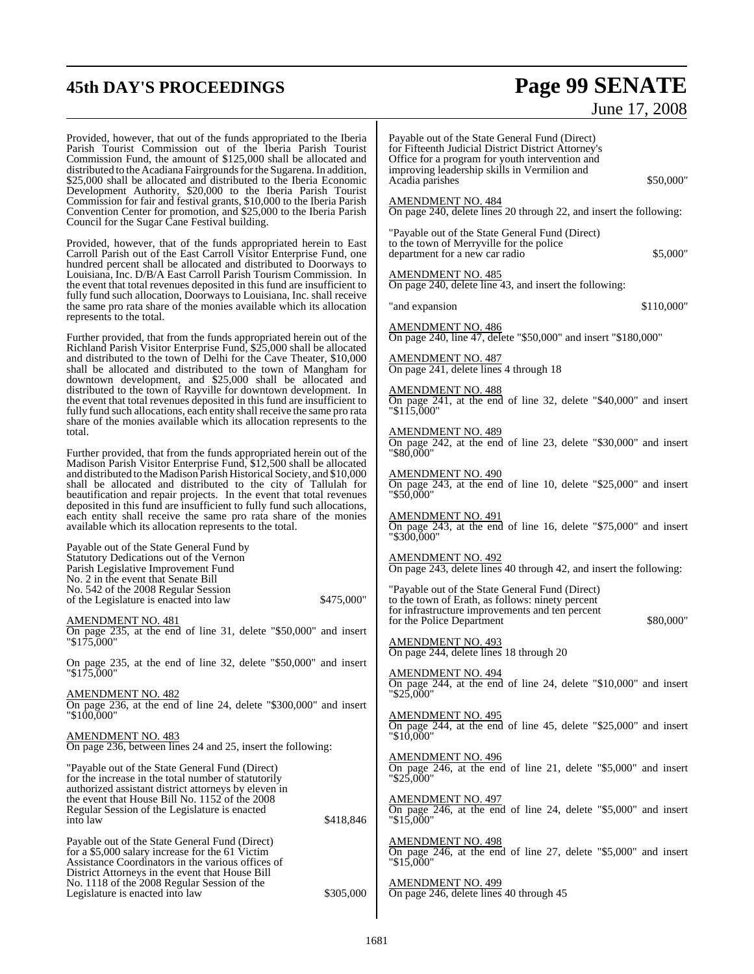## **45th DAY'S PROCEEDINGS Page 99 SENATE**

# June 17, 2008

Provided, however, that out of the funds appropriated to the Iberia Parish Tourist Commission out of the Iberia Parish Tourist Commission Fund, the amount of \$125,000 shall be allocated and distributed to the Acadiana Fairgrounds for the Sugarena. In addition, \$25,000 shall be allocated and distributed to the Iberia Economic Development Authority, \$20,000 to the Iberia Parish Tourist Commission for fair and festival grants, \$10,000 to the Iberia Parish Convention Center for promotion, and \$25,000 to the Iberia Parish Council for the Sugar Cane Festival building.

Provided, however, that of the funds appropriated herein to East Carroll Parish out of the East Carroll Visitor Enterprise Fund, one hundred percent shall be allocated and distributed to Doorways to Louisiana, Inc. D/B/A East Carroll Parish Tourism Commission. In the event that total revenues deposited in this fund are insufficient to fully fund such allocation, Doorways to Louisiana, Inc. shall receive the same pro rata share of the monies available which its allocation represents to the total.

Further provided, that from the funds appropriated herein out of the Richland Parish Visitor Enterprise Fund, \$25,000 shall be allocated and distributed to the town of Delhi for the Cave Theater, \$10,000 shall be allocated and distributed to the town of Mangham for downtown development, and \$25,000 shall be allocated and distributed to the town of Rayville for downtown development. In the event that total revenues deposited in this fund are insufficient to fully fund such allocations, each entity shall receive the same pro rata share of the monies available which its allocation represents to the total.

Further provided, that from the funds appropriated herein out of the Madison Parish Visitor Enterprise Fund, \$12,500 shall be allocated and distributed to the Madison Parish Historical Society, and \$10,000 shall be allocated and distributed to the city of Tallulah for beautification and repair projects. In the event that total revenues deposited in this fund are insufficient to fully fund such allocations, each entity shall receive the same pro rata share of the monies available which its allocation represents to the total.

Payable out of the State General Fund by Statutory Dedications out of the Vernon Parish Legislative Improvement Fund No. 2 in the event that Senate Bill No. 542 of the 2008 Regular Session of the Legislature is enacted into law \$475,000" AMENDMENT NO. 481 On page 235, at the end of line 31, delete "\$50,000" and insert "\$175,000" On page 235, at the end of line 32, delete "\$50,000" and insert "\$175,000" AMENDMENT NO. 482 On page 236, at the end of line 24, delete "\$300,000" and insert "\$100,000" AMENDMENT NO. 483 On page 236, between lines 24 and 25, insert the following: "Payable out of the State General Fund (Direct) for the increase in the total number of statutorily authorized assistant district attorneys by eleven in the event that House Bill No. 1152 of the 2008 Regular Session of the Legislature is enacted \$418,846 Payable out of the State General Fund (Direct) for a \$5,000 salary increase for the 61 Victim Assistance Coordinators in the various offices of District Attorneys in the event that House Bill No. 1118 of the 2008 Regular Session of the Legislature is enacted into law \$305,000

Payable out of the State General Fund (Direct) for Fifteenth Judicial District District Attorney's Office for a program for youth intervention and improving leadership skills in Vermilion and Acadia parishes  $$50,000"$ 

AMENDMENT NO. 484

On page 240, delete lines 20 through 22, and insert the following:

"Payable out of the State General Fund (Direct) to the town of Merryville for the police department for a new car radio  $$5,000"$ 

AMENDMENT NO. 485 On page 240, delete line 43, and insert the following:

"and expansion \$110,000"

AMENDMENT NO. 486 On page 240, line 47, delete "\$50,000" and insert "\$180,000"

AMENDMENT NO. 487 On page 241, delete lines 4 through 18

AMENDMENT NO. 488 On page 241, at the end of line 32, delete "\$40,000" and insert "\$115,000"

AMENDMENT NO. 489 On page 242, at the end of line 23, delete "\$30,000" and insert "\$80,000"

AMENDMENT NO. 490 On page 243, at the end of line 10, delete "\$25,000" and insert "\$50,000"

AMENDMENT NO. 491 On page 243, at the end of line 16, delete "\$75,000" and insert "\$300,000"

AMENDMENT NO. 492 On page 243, delete lines 40 through 42, and insert the following:

"Payable out of the State General Fund (Direct) to the town of Erath, as follows: ninety percent for infrastructure improvements and ten percent for the Police Department  $$80,000"$ 

AMENDMENT NO. 493 On page 244, delete lines 18 through 20

AMENDMENT NO. 494 On page 244, at the end of line 24, delete "\$10,000" and insert "\$25,000"

AMENDMENT NO. 495 On page 244, at the end of line 45, delete "\$25,000" and insert "\$10,000"

AMENDMENT NO. 496 On page 246, at the end of line 21, delete "\$5,000" and insert "\$25,000"

AMENDMENT NO. 497 On page 246, at the end of line 24, delete "\$5,000" and insert "\$15,000"

AMENDMENT NO. 498 On page 246, at the end of line 27, delete "\$5,000" and insert "\$15,000"

AMENDMENT NO. 499 On page 246, delete lines 40 through 45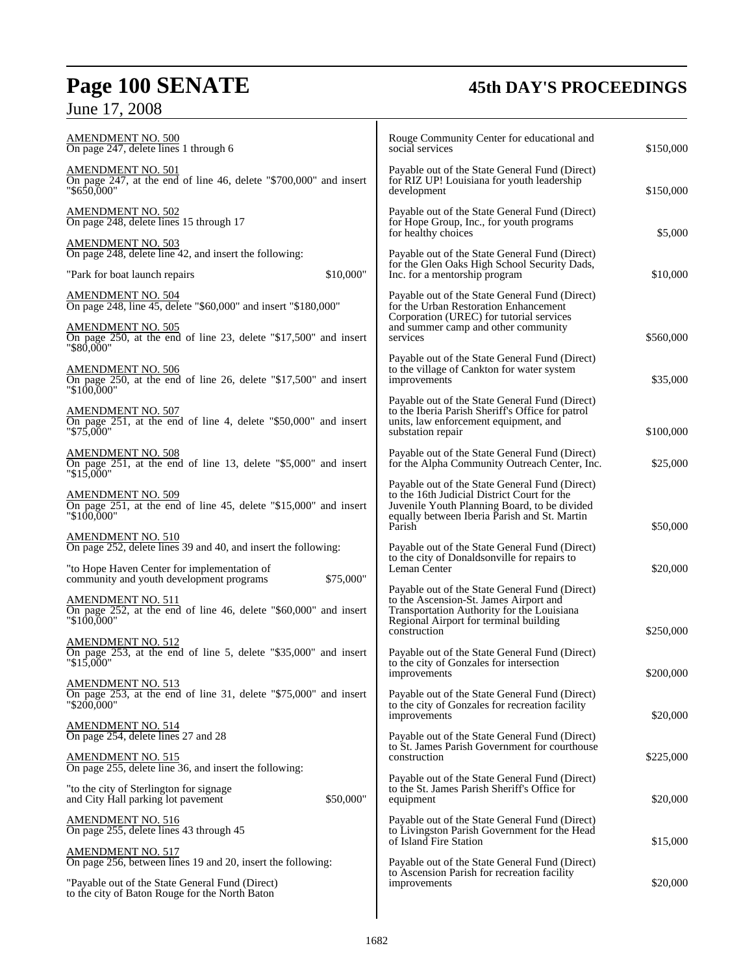# **Page 100 SENATE 45th DAY'S PROCEEDINGS**

| <b>AMENDMENT NO. 500</b><br>On page 247, delete lines 1 through 6                                                           | Rouge Community Center for educational and<br>social services                                                                                                                                           | \$150,000 |
|-----------------------------------------------------------------------------------------------------------------------------|---------------------------------------------------------------------------------------------------------------------------------------------------------------------------------------------------------|-----------|
| $\frac{\text{AMENDMENT NO. 501}}{\text{On page 247}}$ , at the end of line 46, delete "\$700,000" and insert<br>"\$650,000" | Payable out of the State General Fund (Direct)<br>for RIZ UP! Louisiana for youth leadership<br>development                                                                                             | \$150,000 |
| <b>AMENDMENT NO. 502</b><br>On page 248, delete lines 15 through 17                                                         | Payable out of the State General Fund (Direct)<br>for Hope Group, Inc., for youth programs<br>for healthy choices                                                                                       | \$5,000   |
| <b>AMENDMENT NO. 503</b><br>On page 248, delete line 42, and insert the following:                                          | Payable out of the State General Fund (Direct)<br>for the Glen Oaks High School Security Dads,                                                                                                          |           |
| \$10,000"<br>"Park for boat launch repairs"                                                                                 | Inc. for a mentorship program                                                                                                                                                                           | \$10,000  |
| <b>AMENDMENT NO. 504</b><br>On page 248, line 45, delete "\$60,000" and insert "\$180,000"                                  | Payable out of the State General Fund (Direct)<br>for the Urban Restoration Enhancement<br>Corporation (UREC) for tutorial services                                                                     |           |
| <b>AMENDMENT NO. 505</b><br>On page 250, at the end of line 23, delete "\$17,500" and insert<br>"\$80,000"                  | and summer camp and other community<br>services                                                                                                                                                         | \$560,000 |
| <b>AMENDMENT NO. 506</b><br>On page $250$ , at the end of line 26, delete "\$17,500" and insert<br>"\$100,000"              | Payable out of the State General Fund (Direct)<br>to the village of Cankton for water system<br>improvements                                                                                            | \$35,000  |
| <b>AMENDMENT NO. 507</b><br>On page 251, at the end of line 4, delete "\$50,000" and insert<br>"\$75,000"                   | Payable out of the State General Fund (Direct)<br>to the Iberia Parish Sheriff's Office for patrol<br>units, law enforcement equipment, and<br>substation repair                                        | \$100,000 |
| <b>AMENDMENT NO. 508</b><br>On page 251, at the end of line 13, delete "\$5,000" and insert<br>"\$15,000"                   | Payable out of the State General Fund (Direct)<br>for the Alpha Community Outreach Center, Inc.                                                                                                         | \$25,000  |
| <b>AMENDMENT NO. 509</b><br>On page 251, at the end of line 45, delete "\$15,000" and insert<br>"\$100,000"                 | Payable out of the State General Fund (Direct)<br>to the 16th Judicial District Court for the<br>Juvenile Youth Planning Board, to be divided<br>equally between Iberia Parish and St. Martin<br>Parish | \$50,000  |
| <b>AMENDMENT NO. 510</b><br>On page 252, delete lines 39 and 40, and insert the following:                                  | Payable out of the State General Fund (Direct)                                                                                                                                                          |           |
| "to Hope Haven Center for implementation of<br>\$75,000"<br>community and youth development programs                        | to the city of Donaldsonville for repairs to<br>Leman Center                                                                                                                                            | \$20,000  |
| <b>AMENDMENT NO. 511</b><br>On page 252, at the end of line 46, delete "\$60,000" and insert<br>"\$100,000"                 | Payable out of the State General Fund (Direct)<br>to the Ascension-St. James Airport and<br>Transportation Authority for the Louisiana<br>Regional Airport for terminal building<br>construction        | \$250,000 |
| <b>AMENDMENT NO. 512</b><br>On page 253, at the end of line 5, delete "\$35,000" and insert<br>$"\$15,000"$                 | Payable out of the State General Fund (Direct)<br>to the city of Gonzales for intersection<br>improvements                                                                                              | \$200,000 |
| AMENDMENT NO. 513<br>On page 253, at the end of line 31, delete "\$75,000" and insert<br>"\$200,000"                        | Payable out of the State General Fund (Direct)<br>to the city of Gonzales for recreation facility                                                                                                       |           |
| AMENDMENT NO. 514<br>On page 254, delete lines 27 and 28                                                                    | improvements<br>Payable out of the State General Fund (Direct)                                                                                                                                          | \$20,000  |
| <b>AMENDMENT NO. 515</b><br>On page 255, delete line 36, and insert the following:                                          | to St. James Parish Government for courthouse<br>construction                                                                                                                                           | \$225,000 |
| "to the city of Sterlington for signage"<br>\$50,000"<br>and City Hall parking lot pavement                                 | Payable out of the State General Fund (Direct)<br>to the St. James Parish Sheriff's Office for<br>equipment                                                                                             | \$20,000  |
| <b>AMENDMENT NO. 516</b><br>On page 255, delete lines 43 through 45                                                         | Payable out of the State General Fund (Direct)<br>to Livingston Parish Government for the Head<br>of Island Fire Station                                                                                | \$15,000  |
| <u>AMENDMENT NO. 517</u><br>On page 256, between lines 19 and 20, insert the following:                                     | Payable out of the State General Fund (Direct)                                                                                                                                                          |           |
| "Payable out of the State General Fund (Direct)<br>to the city of Baton Rouge for the North Baton                           | to Ascension Parish for recreation facility<br>improvements                                                                                                                                             | \$20,000  |
|                                                                                                                             |                                                                                                                                                                                                         |           |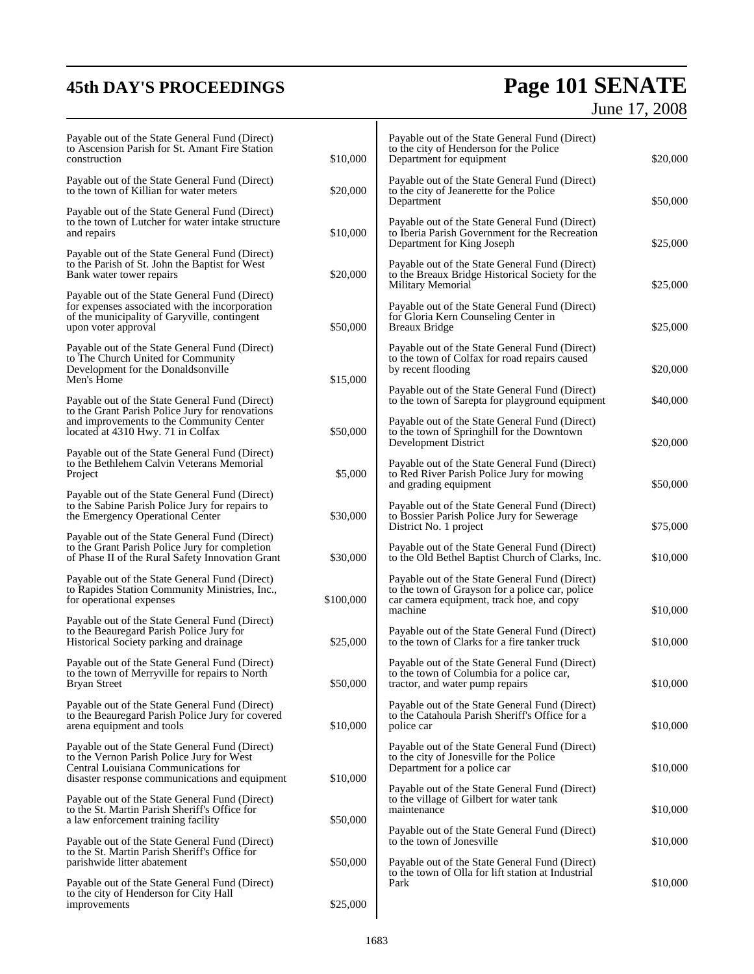# **45th DAY'S PROCEEDINGS Page 101 SENATE**

| Payable out of the State General Fund (Direct)<br>to Ascension Parish for St. Amant Fire Station<br>construction                                                                      | \$10,000  | Payable out of the State General Fund (Direct)<br>to the city of Henderson for the Police<br>Department for equipment                                     | \$20,000 |
|---------------------------------------------------------------------------------------------------------------------------------------------------------------------------------------|-----------|-----------------------------------------------------------------------------------------------------------------------------------------------------------|----------|
| Payable out of the State General Fund (Direct)<br>to the town of Killian for water meters                                                                                             | \$20,000  | Payable out of the State General Fund (Direct)<br>to the city of Jeanerette for the Police<br>Department                                                  | \$50,000 |
| Payable out of the State General Fund (Direct)<br>to the town of Lutcher for water intake structure<br>and repairs                                                                    | \$10,000  | Payable out of the State General Fund (Direct)<br>to Iberia Parish Government for the Recreation<br>Department for King Joseph                            | \$25,000 |
| Payable out of the State General Fund (Direct)<br>to the Parish of St. John the Baptist for West<br>Bank water tower repairs                                                          | \$20,000  | Payable out of the State General Fund (Direct)<br>to the Breaux Bridge Historical Society for the<br>Military Memorial                                    | \$25,000 |
| Payable out of the State General Fund (Direct)<br>for expenses associated with the incorporation<br>of the municipality of Garyville, contingent<br>upon voter approval               | \$50,000  | Payable out of the State General Fund (Direct)<br>for Gloria Kern Counseling Center in<br><b>Breaux Bridge</b>                                            | \$25,000 |
| Payable out of the State General Fund (Direct)<br>to The Church United for Community<br>Development for the Donaldsonville<br>Men's Home                                              | \$15,000  | Payable out of the State General Fund (Direct)<br>to the town of Colfax for road repairs caused<br>by recent flooding                                     | \$20,000 |
| Payable out of the State General Fund (Direct)<br>to the Grant Parish Police Jury for renovations                                                                                     |           | Payable out of the State General Fund (Direct)<br>to the town of Sarepta for playground equipment                                                         | \$40,000 |
| and improvements to the Community Center<br>located at 4310 Hwy. 71 in Colfax                                                                                                         | \$50,000  | Payable out of the State General Fund (Direct)<br>to the town of Springhill for the Downtown<br>Development District                                      | \$20,000 |
| Payable out of the State General Fund (Direct)<br>to the Bethlehem Calvin Veterans Memorial<br>Project                                                                                | \$5,000   | Payable out of the State General Fund (Direct)<br>to Red River Parish Police Jury for mowing<br>and grading equipment                                     | \$50,000 |
| Payable out of the State General Fund (Direct)<br>to the Sabine Parish Police Jury for repairs to<br>the Emergency Operational Center                                                 | \$30,000  | Payable out of the State General Fund (Direct)<br>to Bossier Parish Police Jury for Sewerage<br>District No. 1 project                                    | \$75,000 |
| Payable out of the State General Fund (Direct)<br>to the Grant Parish Police Jury for completion<br>of Phase II of the Rural Safety Innovation Grant                                  | \$30,000  | Payable out of the State General Fund (Direct)<br>to the Old Bethel Baptist Church of Clarks, Inc.                                                        | \$10,000 |
| Payable out of the State General Fund (Direct)<br>to Rapides Station Community Ministries, Inc.,<br>for operational expenses                                                          | \$100,000 | Payable out of the State General Fund (Direct)<br>to the town of Grayson for a police car, police<br>car camera equipment, track hoe, and copy<br>machine | \$10,000 |
| Payable out of the State General Fund (Direct)<br>to the Beauregard Parish Police Jury for<br>Historical Society parking and drainage                                                 | \$25,000  | Payable out of the State General Fund (Direct)<br>to the town of Clarks for a fire tanker truck                                                           | \$10,000 |
| Payable out of the State General Fund (Direct)<br>to the town of Merryville for repairs to North<br><b>Bryan Street</b>                                                               | \$50,000  | Payable out of the State General Fund (Direct)<br>to the town of Columbia for a police car,<br>tractor, and water pump repairs                            | \$10,000 |
| Payable out of the State General Fund (Direct)<br>to the Beauregard Parish Police Jury for covered<br>arena equipment and tools                                                       | \$10,000  | Payable out of the State General Fund (Direct)<br>to the Catahoula Parish Sheriff's Office for a<br>police car                                            | \$10,000 |
| Payable out of the State General Fund (Direct)<br>to the Vernon Parish Police Jury for West<br>Central Louisiana Communications for<br>disaster response communications and equipment | \$10,000  | Payable out of the State General Fund (Direct)<br>to the city of Jonesville for the Police<br>Department for a police car                                 | \$10,000 |
| Payable out of the State General Fund (Direct)<br>to the St. Martin Parish Sheriff's Office for<br>a law enforcement training facility                                                | \$50,000  | Payable out of the State General Fund (Direct)<br>to the village of Gilbert for water tank<br>maintenance                                                 | \$10,000 |
| Payable out of the State General Fund (Direct)<br>to the St. Martin Parish Sheriff's Office for                                                                                       |           | Payable out of the State General Fund (Direct)<br>to the town of Jonesville                                                                               | \$10,000 |
| parishwide litter abatement<br>Payable out of the State General Fund (Direct)<br>to the city of Henderson for City Hall                                                               | \$50,000  | Payable out of the State General Fund (Direct)<br>to the town of Olla for lift station at Industrial<br>Park                                              | \$10,000 |
| improvements                                                                                                                                                                          | \$25,000  |                                                                                                                                                           |          |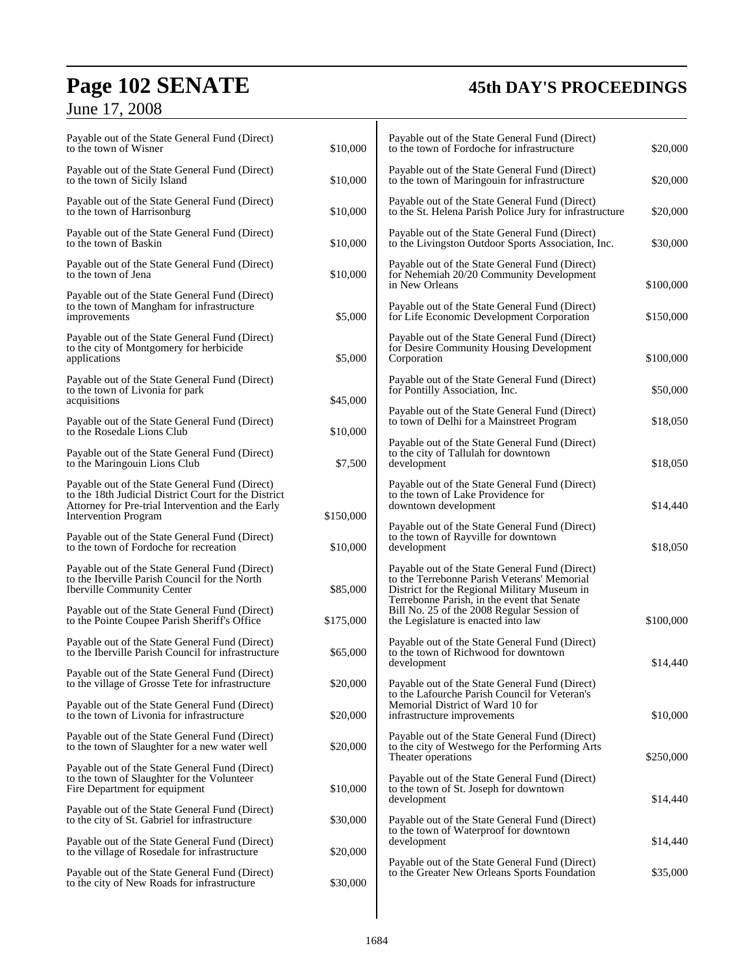# **Page 102 SENATE 45th DAY'S PROCEEDINGS**

| \$10,000  | Payable out of the State General Fund (Direct)<br>to the town of Fordoche for infrastructure                                                  | \$20,000                                                                                                                                                                                                                                                       |
|-----------|-----------------------------------------------------------------------------------------------------------------------------------------------|----------------------------------------------------------------------------------------------------------------------------------------------------------------------------------------------------------------------------------------------------------------|
| \$10,000  | Payable out of the State General Fund (Direct)<br>to the town of Maringouin for infrastructure                                                | \$20,000                                                                                                                                                                                                                                                       |
| \$10,000  | Payable out of the State General Fund (Direct)<br>to the St. Helena Parish Police Jury for infrastructure                                     | \$20,000                                                                                                                                                                                                                                                       |
| \$10,000  | Payable out of the State General Fund (Direct)<br>to the Livingston Outdoor Sports Association, Inc.                                          | \$30,000                                                                                                                                                                                                                                                       |
| \$10,000  | Payable out of the State General Fund (Direct)<br>for Nehemiah 20/20 Community Development                                                    |                                                                                                                                                                                                                                                                |
| \$5,000   | Payable out of the State General Fund (Direct)<br>for Life Economic Development Corporation                                                   | \$100,000<br>\$150,000                                                                                                                                                                                                                                         |
| \$5,000   | Payable out of the State General Fund (Direct)<br>for Desire Community Housing Development<br>Corporation                                     | \$100,000                                                                                                                                                                                                                                                      |
|           | Payable out of the State General Fund (Direct)<br>for Pontilly Association, Inc.                                                              | \$50,000                                                                                                                                                                                                                                                       |
|           | Payable out of the State General Fund (Direct)<br>to town of Delhi for a Mainstreet Program                                                   | \$18,050                                                                                                                                                                                                                                                       |
| \$7,500   | Payable out of the State General Fund (Direct)<br>to the city of Tallulah for downtown<br>development                                         | \$18,050                                                                                                                                                                                                                                                       |
| \$150,000 | Payable out of the State General Fund (Direct)<br>to the town of Lake Providence for<br>downtown development                                  | \$14,440                                                                                                                                                                                                                                                       |
| \$10,000  | Payable out of the State General Fund (Direct)<br>to the town of Rayville for downtown<br>development                                         | \$18,050                                                                                                                                                                                                                                                       |
| \$85,000  | Payable out of the State General Fund (Direct)<br>to the Terrebonne Parish Veterans' Memorial<br>District for the Regional Military Museum in |                                                                                                                                                                                                                                                                |
| \$175,000 | Bill No. 25 of the 2008 Regular Session of<br>the Legislature is enacted into law                                                             | \$100,000                                                                                                                                                                                                                                                      |
| \$65,000  | Payable out of the State General Fund (Direct)<br>to the town of Richwood for downtown                                                        | \$14,440                                                                                                                                                                                                                                                       |
| \$20,000  | Payable out of the State General Fund (Direct)                                                                                                |                                                                                                                                                                                                                                                                |
| \$20,000  | Memorial District of Ward 10 for<br>infrastructure improvements                                                                               | \$10,000                                                                                                                                                                                                                                                       |
| \$20,000  | Payable out of the State General Fund (Direct)<br>to the city of Westwego for the Performing Arts                                             | \$250,000                                                                                                                                                                                                                                                      |
| \$10,000  | Payable out of the State General Fund (Direct)<br>to the town of St. Joseph for downtown                                                      | \$14,440                                                                                                                                                                                                                                                       |
| \$30,000  | Payable out of the State General Fund (Direct)                                                                                                |                                                                                                                                                                                                                                                                |
| \$20,000  | development                                                                                                                                   | \$14,440                                                                                                                                                                                                                                                       |
| \$30,000  | to the Greater New Orleans Sports Foundation                                                                                                  | \$35,000                                                                                                                                                                                                                                                       |
|           | \$45,000<br>\$10,000                                                                                                                          | in New Orleans<br>Terrebonne Parish, in the event that Senate<br>development<br>to the Lafourche Parish Council for Veteran's<br>Theater operations<br>development<br>to the town of Waterproof for downtown<br>Payable out of the State General Fund (Direct) |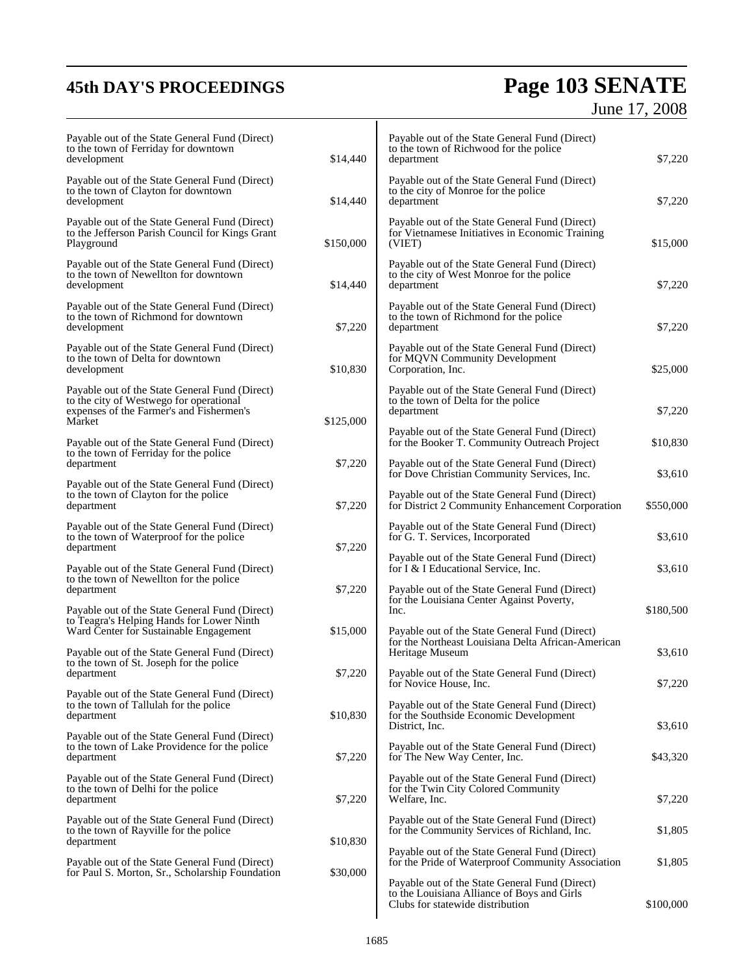# **45th DAY'S PROCEEDINGS Page 103 SENATE**

## June 17, 2008

| Payable out of the State General Fund (Direct)<br>to the town of Ferriday for downtown<br>development                                 | \$14,440  | Payable out of the State General Fund (Direct)<br>to the town of Richwood for the police<br>department                            | \$7,220   |
|---------------------------------------------------------------------------------------------------------------------------------------|-----------|-----------------------------------------------------------------------------------------------------------------------------------|-----------|
| Payable out of the State General Fund (Direct)<br>to the town of Clayton for downtown<br>development                                  | \$14,440  | Payable out of the State General Fund (Direct)<br>to the city of Monroe for the police<br>department                              | \$7,220   |
| Payable out of the State General Fund (Direct)<br>to the Jefferson Parish Council for Kings Grant<br>Playground                       | \$150,000 | Payable out of the State General Fund (Direct)<br>for Vietnamese Initiatives in Economic Training<br>(VIET)                       | \$15,000  |
| Payable out of the State General Fund (Direct)<br>to the town of Newellton for downtown<br>development                                | \$14,440  | Payable out of the State General Fund (Direct)<br>to the city of West Monroe for the police<br>department                         | \$7,220   |
| Payable out of the State General Fund (Direct)<br>to the town of Richmond for downtown<br>development                                 | \$7,220   | Payable out of the State General Fund (Direct)<br>to the town of Richmond for the police<br>department                            | \$7,220   |
| Payable out of the State General Fund (Direct)<br>to the town of Delta for downtown<br>development                                    | \$10,830  | Payable out of the State General Fund (Direct)<br>for MQVN Community Development<br>Corporation, Inc.                             | \$25,000  |
| Payable out of the State General Fund (Direct)<br>to the city of Westwego for operational<br>expenses of the Farmer's and Fishermen's |           | Payable out of the State General Fund (Direct)<br>to the town of Delta for the police<br>department                               | \$7,220   |
| Market<br>Payable out of the State General Fund (Direct)                                                                              | \$125,000 | Payable out of the State General Fund (Direct)<br>for the Booker T. Community Outreach Project                                    | \$10,830  |
| to the town of Ferriday for the police<br>department                                                                                  | \$7,220   | Payable out of the State General Fund (Direct)<br>for Dove Christian Community Services, Inc.                                     | \$3,610   |
| Payable out of the State General Fund (Direct)<br>to the town of Clayton for the police<br>department                                 | \$7,220   | Payable out of the State General Fund (Direct)<br>for District 2 Community Enhancement Corporation                                | \$550,000 |
| Payable out of the State General Fund (Direct)<br>to the town of Waterproof for the police<br>department                              | \$7,220   | Payable out of the State General Fund (Direct)<br>for G. T. Services, Incorporated                                                | \$3,610   |
| Payable out of the State General Fund (Direct)<br>to the town of Newellton for the police                                             |           | Payable out of the State General Fund (Direct)<br>for I & I Educational Service, Inc.                                             | \$3,610   |
| department<br>Payable out of the State General Fund (Direct)                                                                          | \$7,220   | Payable out of the State General Fund (Direct)<br>for the Louisiana Center Against Poverty,<br>Inc.                               | \$180,500 |
| to Teagra's Helping Hands for Lower Ninth<br>Ward Center for Sustainable Engagement                                                   | \$15,000  | Payable out of the State General Fund (Direct)<br>for the Northeast Louisiana Delta African-American                              |           |
| Payable out of the State General Fund (Direct)<br>to the town of St. Joseph for the police<br>department                              | \$7,220   | Heritage Museum<br>Payable out of the State General Fund (Direct)                                                                 | \$3,610   |
| Payable out of the State General Fund (Direct)<br>to the town of Tallulah for the police                                              |           | for Novice House, Inc.<br>Payable out of the State General Fund (Direct)                                                          | \$7,220   |
| department<br>Payable out of the State General Fund (Direct)                                                                          | \$10,830  | for the Southside Economic Development<br>District, Inc.                                                                          | \$3,610   |
| to the town of Lake Providence for the police<br>department                                                                           | \$7,220   | Payable out of the State General Fund (Direct)<br>for The New Way Center, Inc.                                                    | \$43,320  |
| Payable out of the State General Fund (Direct)<br>to the town of Delhi for the police<br>department                                   | \$7,220   | Payable out of the State General Fund (Direct)<br>for the Twin City Colored Community<br>Welfare, Inc.                            | \$7,220   |
| Payable out of the State General Fund (Direct)<br>to the town of Rayville for the police<br>department                                | \$10,830  | Payable out of the State General Fund (Direct)<br>for the Community Services of Richland, Inc.                                    | \$1,805   |
| Payable out of the State General Fund (Direct)<br>for Paul S. Morton, Sr., Scholarship Foundation                                     | \$30,000  | Payable out of the State General Fund (Direct)<br>for the Pride of Waterproof Community Association                               | \$1,805   |
|                                                                                                                                       |           | Payable out of the State General Fund (Direct)<br>to the Louisiana Alliance of Boys and Girls<br>Clubs for statewide distribution | \$100,000 |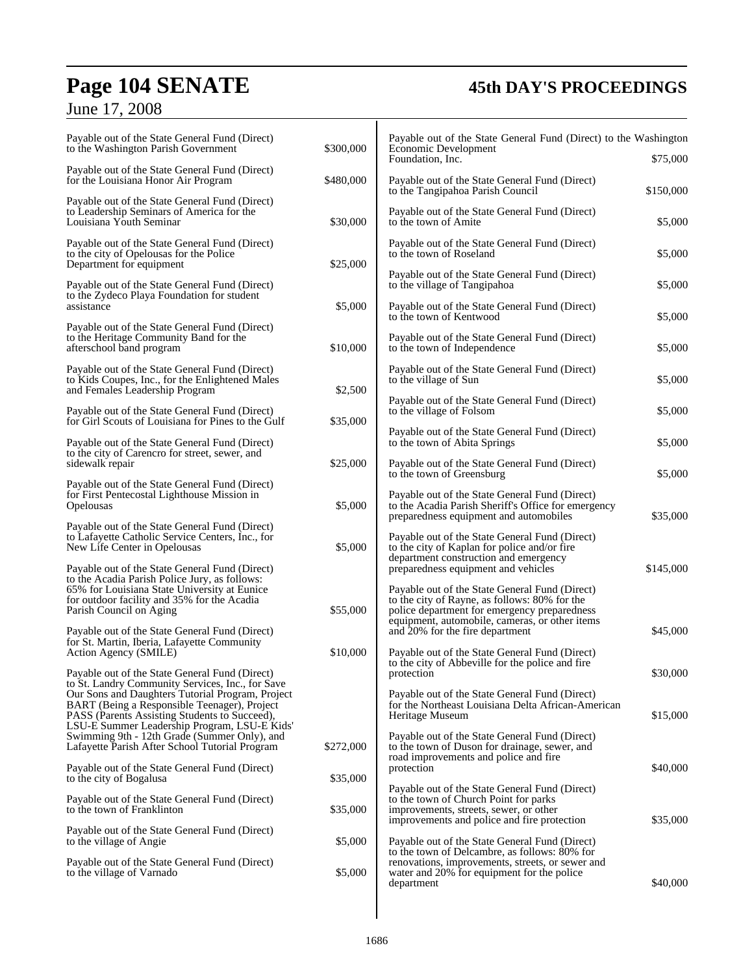# **Page 104 SENATE 45th DAY'S PROCEEDINGS**

| Payable out of the State General Fund (Direct)<br>to the Washington Parish Government                                                                                                          | \$300,000 | Payable out of the State General Fund (Direct) to the Washington<br>Economic Development<br>Foundation, Inc.                                                                     | \$75,000  |
|------------------------------------------------------------------------------------------------------------------------------------------------------------------------------------------------|-----------|----------------------------------------------------------------------------------------------------------------------------------------------------------------------------------|-----------|
| Payable out of the State General Fund (Direct)<br>for the Louisiana Honor Air Program                                                                                                          | \$480,000 | Payable out of the State General Fund (Direct)<br>to the Tangipahoa Parish Council                                                                                               | \$150,000 |
| Payable out of the State General Fund (Direct)<br>to Leadership Seminars of America for the<br>Louisiana Youth Seminar                                                                         | \$30,000  | Payable out of the State General Fund (Direct)<br>to the town of Amite                                                                                                           | \$5,000   |
| Payable out of the State General Fund (Direct)<br>to the city of Opelousas for the Police<br>Department for equipment                                                                          | \$25,000  | Payable out of the State General Fund (Direct)<br>to the town of Roseland                                                                                                        | \$5,000   |
| Payable out of the State General Fund (Direct)<br>to the Zydeco Playa Foundation for student                                                                                                   |           | Payable out of the State General Fund (Direct)<br>to the village of Tangipahoa                                                                                                   | \$5,000   |
| assistance                                                                                                                                                                                     | \$5,000   | Payable out of the State General Fund (Direct)<br>to the town of Kentwood                                                                                                        | \$5,000   |
| Payable out of the State General Fund (Direct)<br>to the Heritage Community Band for the<br>afterschool band program                                                                           | \$10,000  | Payable out of the State General Fund (Direct)<br>to the town of Independence                                                                                                    | \$5,000   |
| Payable out of the State General Fund (Direct)<br>to Kids Coupes, Inc., for the Enlightened Males<br>and Females Leadership Program                                                            | \$2,500   | Payable out of the State General Fund (Direct)<br>to the village of Sun                                                                                                          | \$5,000   |
| Payable out of the State General Fund (Direct)<br>for Girl Scouts of Louisiana for Pines to the Gulf                                                                                           | \$35,000  | Payable out of the State General Fund (Direct)<br>to the village of Folsom                                                                                                       | \$5,000   |
| Payable out of the State General Fund (Direct)<br>to the city of Carencro for street, sewer, and                                                                                               |           | Payable out of the State General Fund (Direct)<br>to the town of Abita Springs                                                                                                   | \$5,000   |
| sidewalk repair                                                                                                                                                                                | \$25,000  | Payable out of the State General Fund (Direct)<br>to the town of Greensburg                                                                                                      | \$5,000   |
| Payable out of the State General Fund (Direct)<br>for First Pentecostal Lighthouse Mission in<br><b>Opelousas</b>                                                                              | \$5,000   | Payable out of the State General Fund (Direct)<br>to the Acadia Parish Sheriff's Office for emergency<br>preparedness equipment and automobiles                                  | \$35,000  |
| Payable out of the State General Fund (Direct)<br>to Lafayette Catholic Service Centers, Inc., for<br>New Life Center in Opelousas                                                             | \$5,000   | Payable out of the State General Fund (Direct)<br>to the city of Kaplan for police and/or fire                                                                                   |           |
| Payable out of the State General Fund (Direct)<br>to the Acadia Parish Police Jury, as follows:<br>65% for Louisiana State University at Eunice<br>for outdoor facility and 35% for the Acadia |           | department construction and emergency<br>preparedness equipment and vehicles<br>Payable out of the State General Fund (Direct)<br>to the city of Rayne, as follows: 80% for the  | \$145,000 |
| Parish Council on Aging<br>Payable out of the State General Fund (Direct)                                                                                                                      | \$55,000  | police department for emergency preparedness<br>equipment, automobile, cameras, or other items<br>and 20% for the fire department                                                | \$45,000  |
| for St. Martin, Iberia, Lafayette Community<br>Action Agency (SMILE)                                                                                                                           | \$10,000  | Payable out of the State General Fund (Direct)<br>to the city of Abbeville for the police and fire                                                                               |           |
| Payable out of the State General Fund (Direct)<br>to St. Landry Community Services, Inc., for Save<br>Our Sons and Daughters Tutorial Program, Project                                         |           | protection<br>Payable out of the State General Fund (Direct)                                                                                                                     | \$30,000  |
| BART (Being a Responsible Teenager), Project<br>PASS (Parents Assisting Students to Succeed),<br>LSU-E Summer Leadership Program, LSU-E Kids'                                                  |           | for the Northeast Louisiana Delta African-American<br>Heritage Museum                                                                                                            | \$15,000  |
| Swimming 9th - 12th Grade (Summer Only), and<br>Lafayette Parish After School Tutorial Program                                                                                                 | \$272,000 | Payable out of the State General Fund (Direct)<br>to the town of Duson for drainage, sewer, and<br>road improvements and police and fire                                         |           |
| Payable out of the State General Fund (Direct)<br>to the city of Bogalusa                                                                                                                      | \$35,000  | protection                                                                                                                                                                       | \$40,000  |
| Payable out of the State General Fund (Direct)<br>to the town of Franklinton                                                                                                                   | \$35,000  | Payable out of the State General Fund (Direct)<br>to the town of Church Point for parks<br>improvements, streets, sewer, or other<br>improvements and police and fire protection | \$35,000  |
| Payable out of the State General Fund (Direct)<br>to the village of Angie                                                                                                                      | \$5,000   | Payable out of the State General Fund (Direct)<br>to the town of Delcambre, as follows: 80% for                                                                                  |           |
| Payable out of the State General Fund (Direct)<br>to the village of Varnado                                                                                                                    | \$5,000   | renovations, improvements, streets, or sewer and<br>water and 20% for equipment for the police<br>department                                                                     | \$40,000  |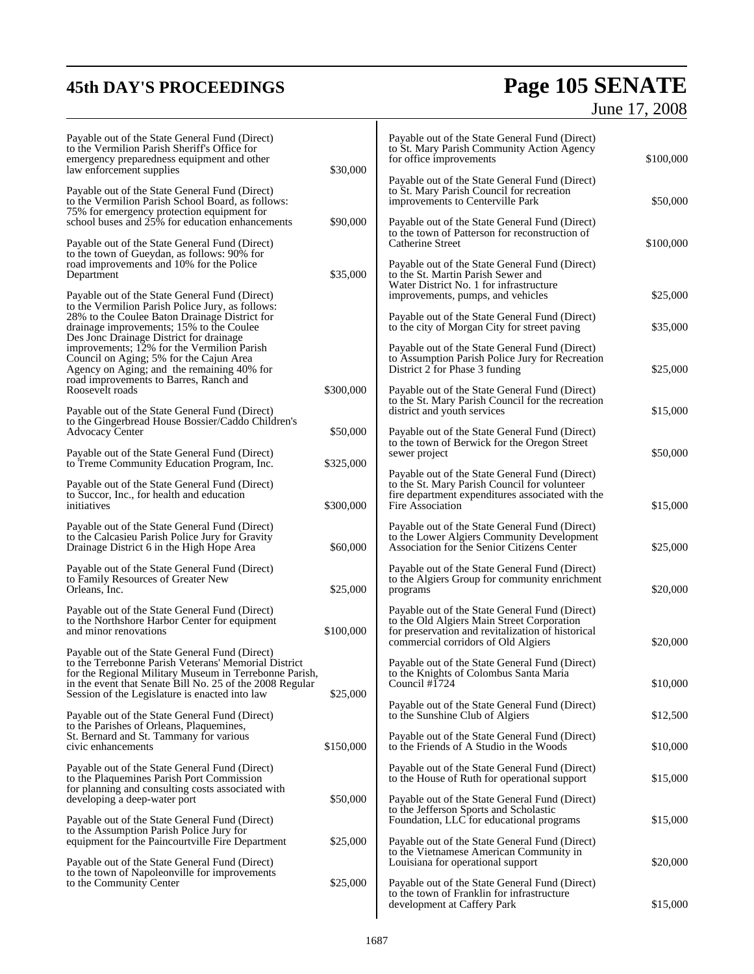# **45th DAY'S PROCEEDINGS Page 105 SENATE**

| Payable out of the State General Fund (Direct)<br>to the Vermilion Parish Sheriff's Office for<br>emergency preparedness equipment and other<br>law enforcement supplies                                                     | \$30,000  | Payable out of the State General Fund (Direct)<br>to St. Mary Parish Community Action Agency<br>for office improvements                                                                  | \$100,000 |
|------------------------------------------------------------------------------------------------------------------------------------------------------------------------------------------------------------------------------|-----------|------------------------------------------------------------------------------------------------------------------------------------------------------------------------------------------|-----------|
| Payable out of the State General Fund (Direct)<br>to the Vermilion Parish School Board, as follows:<br>75% for emergency protection equipment for<br>school buses and 25% for education enhancements                         | \$90,000  | Payable out of the State General Fund (Direct)<br>to St. Mary Parish Council for recreation<br>improvements to Centerville Park<br>Payable out of the State General Fund (Direct)        | \$50,000  |
| Payable out of the State General Fund (Direct)<br>to the town of Gueydan, as follows: 90% for<br>road improvements and 10% for the Police                                                                                    |           | to the town of Patterson for reconstruction of<br>Catherine Street<br>Payable out of the State General Fund (Direct)                                                                     | \$100,000 |
| Department<br>Payable out of the State General Fund (Direct)<br>to the Vermilion Parish Police Jury, as follows:                                                                                                             | \$35,000  | to the St. Martin Parish Sewer and<br>Water District No. 1 for infrastructure<br>improvements, pumps, and vehicles                                                                       | \$25,000  |
| 28% to the Coulee Baton Drainage District for<br>drainage improvements; 15% to the Coulee<br>Des Jonc Drainage District for drainage                                                                                         |           | Payable out of the State General Fund (Direct)<br>to the city of Morgan City for street paving                                                                                           | \$35,000  |
| improvements; 12% for the Vermilion Parish<br>Council on Aging; 5% for the Cajun Area<br>Agency on Aging; and the remaining 40% for<br>road improvements to Barres, Ranch and                                                |           | Payable out of the State General Fund (Direct)<br>to Assumption Parish Police Jury for Recreation<br>District 2 for Phase 3 funding                                                      | \$25,000  |
| Roosevelt roads<br>Payable out of the State General Fund (Direct)<br>to the Gingerbread House Bossier/Caddo Children's                                                                                                       | \$300,000 | Payable out of the State General Fund (Direct)<br>to the St. Mary Parish Council for the recreation<br>district and youth services                                                       | \$15,000  |
| <b>Advocacy Center</b><br>Payable out of the State General Fund (Direct)                                                                                                                                                     | \$50,000  | Payable out of the State General Fund (Direct)<br>to the town of Berwick for the Oregon Street<br>sewer project                                                                          | \$50,000  |
| to Treme Community Education Program, Inc.<br>Payable out of the State General Fund (Direct)                                                                                                                                 | \$325,000 | Payable out of the State General Fund (Direct)<br>to the St. Mary Parish Council for volunteer                                                                                           |           |
| to Succor, Inc., for health and education<br>initiatives                                                                                                                                                                     | \$300,000 | fire department expenditures associated with the<br>Fire Association                                                                                                                     | \$15,000  |
| Payable out of the State General Fund (Direct)<br>to the Calcasieu Parish Police Jury for Gravity<br>Drainage District 6 in the High Hope Area                                                                               | \$60,000  | Payable out of the State General Fund (Direct)<br>to the Lower Algiers Community Development<br>Association for the Senior Citizens Center                                               | \$25,000  |
| Payable out of the State General Fund (Direct)<br>to Family Resources of Greater New<br>Orleans, Inc.                                                                                                                        | \$25,000  | Payable out of the State General Fund (Direct)<br>to the Algiers Group for community enrichment<br>programs                                                                              | \$20,000  |
| Payable out of the State General Fund (Direct)<br>to the Northshore Harbor Center for equipment<br>and minor renovations                                                                                                     | \$100,000 | Payable out of the State General Fund (Direct)<br>to the Old Algiers Main Street Corporation<br>for preservation and revitalization of historical<br>commercial corridors of Old Algiers | \$20,000  |
| Payable out of the State General Fund (Direct)<br>to the Terrebonne Parish Veterans' Memorial District<br>for the Regional Military Museum in Terrebonne Parish,<br>in the event that Senate Bill No. 25 of the 2008 Regular |           | Payable out of the State General Fund (Direct)<br>to the Knights of Colombus Santa Maria<br>Council #1724                                                                                | \$10,000  |
| Session of the Legislature is enacted into law<br>Payable out of the State General Fund (Direct)<br>to the Parishes of Orleans, Plaquemines,                                                                                 | \$25,000  | Payable out of the State General Fund (Direct)<br>to the Sunshine Club of Algiers                                                                                                        | \$12,500  |
| St. Bernard and St. Tammany for various<br>civic enhancements                                                                                                                                                                | \$150,000 | Payable out of the State General Fund (Direct)<br>to the Friends of A Studio in the Woods                                                                                                | \$10,000  |
| Payable out of the State General Fund (Direct)<br>to the Plaquemines Parish Port Commission<br>for planning and consulting costs associated with                                                                             |           | Payable out of the State General Fund (Direct)<br>to the House of Ruth for operational support                                                                                           | \$15,000  |
| developing a deep-water port<br>Payable out of the State General Fund (Direct)                                                                                                                                               | \$50,000  | Payable out of the State General Fund (Direct)<br>to the Jefferson Sports and Scholastic<br>Foundation, LLC for educational programs                                                     | \$15,000  |
| to the Assumption Parish Police Jury for<br>equipment for the Paincourtville Fire Department<br>Payable out of the State General Fund (Direct)                                                                               | \$25,000  | Payable out of the State General Fund (Direct)<br>to the Vietnamese American Community in<br>Louisiana for operational support                                                           | \$20,000  |
| to the town of Napoleonville for improvements<br>to the Community Center                                                                                                                                                     | \$25,000  | Payable out of the State General Fund (Direct)<br>to the town of Franklin for infrastructure                                                                                             |           |
|                                                                                                                                                                                                                              |           | development at Caffery Park                                                                                                                                                              | \$15,000  |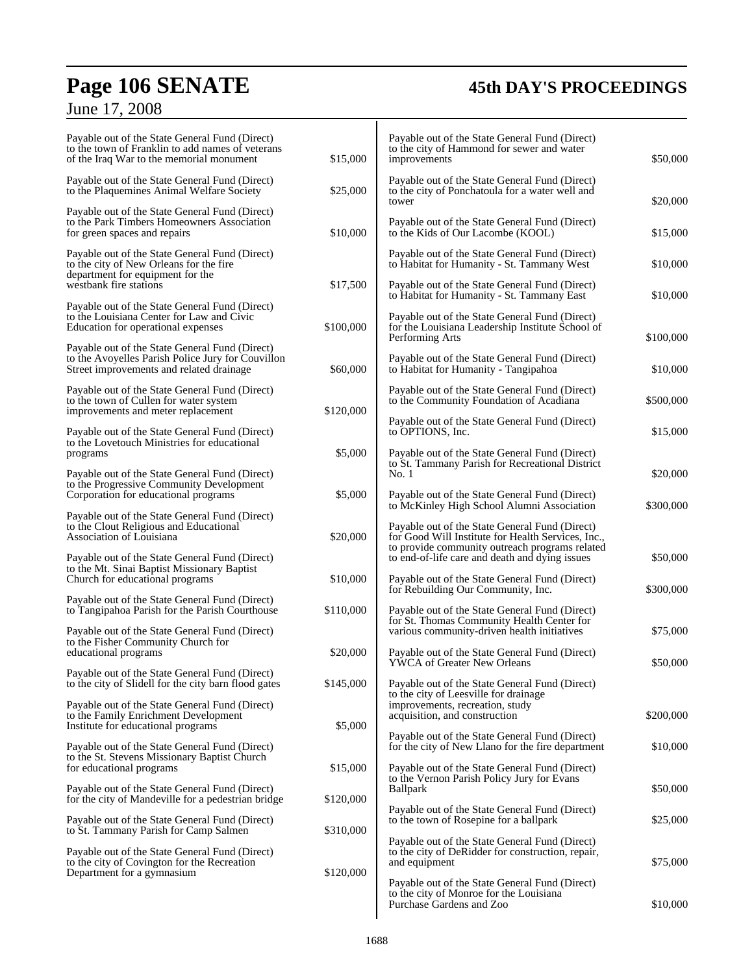# **Page 106 SENATE 45th DAY'S PROCEEDINGS**

| Payable out of the State General Fund (Direct)<br>to the town of Franklin to add names of veterans<br>of the Iraq War to the memorial monument  | \$15,000  | Payable out of the State General Fund (Direct)<br>to the city of Hammond for sewer and water<br>improvements                                           | \$50,000              |
|-------------------------------------------------------------------------------------------------------------------------------------------------|-----------|--------------------------------------------------------------------------------------------------------------------------------------------------------|-----------------------|
| Payable out of the State General Fund (Direct)<br>to the Plaquemines Animal Welfare Society                                                     | \$25,000  | Payable out of the State General Fund (Direct)<br>to the city of Ponchatoula for a water well and<br>tower                                             | \$20,000              |
| Payable out of the State General Fund (Direct)<br>to the Park Timbers Homeowners Association<br>for green spaces and repairs                    | \$10,000  | Payable out of the State General Fund (Direct)<br>to the Kids of Our Lacombe (KOOL)                                                                    | \$15,000              |
| Payable out of the State General Fund (Direct)<br>to the city of New Orleans for the fire<br>department for equipment for the                   |           | Payable out of the State General Fund (Direct)<br>to Habitat for Humanity - St. Tammany West                                                           | \$10,000              |
| westbank fire stations                                                                                                                          | \$17,500  | Payable out of the State General Fund (Direct)<br>to Habitat for Humanity - St. Tammany East                                                           | \$10,000              |
| Payable out of the State General Fund (Direct)<br>to the Louisiana Center for Law and Civic<br>Education for operational expenses               | \$100,000 | Payable out of the State General Fund (Direct)<br>for the Louisiana Leadership Institute School of<br>Performing Arts                                  | \$100,000             |
| Payable out of the State General Fund (Direct)<br>to the Avoyelles Parish Police Jury for Couvillon<br>Street improvements and related drainage | \$60,000  | Payable out of the State General Fund (Direct)<br>to Habitat for Humanity - Tangipahoa                                                                 | \$10,000              |
| Payable out of the State General Fund (Direct)<br>to the town of Cullen for water system<br>improvements and meter replacement                  | \$120,000 | Payable out of the State General Fund (Direct)<br>to the Community Foundation of Acadiana                                                              | \$500,000             |
| Payable out of the State General Fund (Direct)                                                                                                  |           | Payable out of the State General Fund (Direct)<br>to OPTIONS, Inc.                                                                                     | \$15,000              |
| to the Lovetouch Ministries for educational<br>programs                                                                                         | \$5,000   | Payable out of the State General Fund (Direct)<br>to St. Tammany Parish for Recreational District                                                      |                       |
| Payable out of the State General Fund (Direct)<br>to the Progressive Community Development<br>Corporation for educational programs              | \$5,000   | No. 1<br>Payable out of the State General Fund (Direct)<br>to McKinley High School Alumni Association                                                  | \$20,000<br>\$300,000 |
| Payable out of the State General Fund (Direct)<br>to the Clout Religious and Educational<br>Association of Louisiana                            | \$20,000  | Payable out of the State General Fund (Direct)<br>for Good Will Institute for Health Services, Inc.,<br>to provide community outreach programs related |                       |
| Payable out of the State General Fund (Direct)<br>to the Mt. Sinai Baptist Missionary Baptist<br>Church for educational programs                | \$10,000  | to end-of-life care and death and dying issues<br>Payable out of the State General Fund (Direct)                                                       | \$50,000              |
| Payable out of the State General Fund (Direct)                                                                                                  |           | for Rebuilding Our Community, Inc.                                                                                                                     | \$300,000             |
| to Tangipahoa Parish for the Parish Courthouse<br>Payable out of the State General Fund (Direct)                                                | \$110,000 | Payable out of the State General Fund (Direct)<br>for St. Thomas Community Health Center for<br>various community-driven health initiatives            | \$75,000              |
| to the Fisher Community Church for<br>educational programs                                                                                      | \$20,000  | Payable out of the State General Fund (Direct)<br><b>YWCA of Greater New Orleans</b>                                                                   | \$50,000              |
| Payable out of the State General Fund (Direct)<br>to the city of Slidell for the city barn flood gates                                          | \$145,000 | Payable out of the State General Fund (Direct)<br>to the city of Leesville for drainage                                                                |                       |
| Payable out of the State General Fund (Direct)<br>to the Family Enrichment Development<br>Institute for educational programs                    | \$5,000   | improvements, recreation, study<br>acquisition, and construction                                                                                       | \$200,000             |
| Payable out of the State General Fund (Direct)<br>to the St. Stevens Missionary Baptist Church                                                  |           | Payable out of the State General Fund (Direct)<br>for the city of New Llano for the fire department                                                    | \$10,000              |
| for educational programs                                                                                                                        | \$15,000  | Payable out of the State General Fund (Direct)<br>to the Vernon Parish Policy Jury for Evans                                                           |                       |
| Payable out of the State General Fund (Direct)<br>for the city of Mandeville for a pedestrian bridge                                            | \$120,000 | <b>Ballpark</b><br>Payable out of the State General Fund (Direct)                                                                                      | \$50,000              |
| Payable out of the State General Fund (Direct)<br>to St. Tammany Parish for Camp Salmen                                                         | \$310,000 | to the town of Rosepine for a ballpark                                                                                                                 | \$25,000              |
| Payable out of the State General Fund (Direct)<br>to the city of Covington for the Recreation<br>Department for a gymnasium                     | \$120,000 | Payable out of the State General Fund (Direct)<br>to the city of DeRidder for construction, repair,<br>and equipment                                   | \$75,000              |
|                                                                                                                                                 |           | Payable out of the State General Fund (Direct)<br>to the city of Monroe for the Louisiana<br>Purchase Gardens and Zoo                                  | \$10,000              |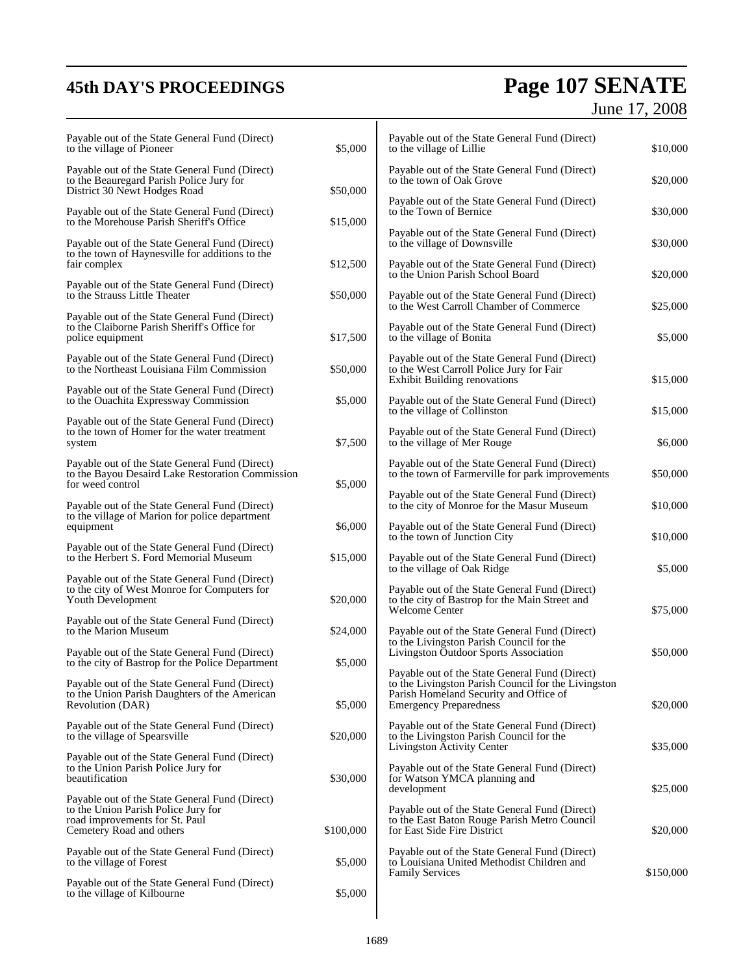# **45th DAY'S PROCEEDINGS Page 107 SENATE**

| Payable out of the State General Fund (Direct)<br>to the village of Pioneer                                                                         | \$5,000   | Payable out of the State General Fund (Direct)<br>to the village of Lillie                                                                                                       | \$10,000             |
|-----------------------------------------------------------------------------------------------------------------------------------------------------|-----------|----------------------------------------------------------------------------------------------------------------------------------------------------------------------------------|----------------------|
| Payable out of the State General Fund (Direct)<br>to the Beauregard Parish Police Jury for<br>District 30 Newt Hodges Road                          | \$50,000  | Payable out of the State General Fund (Direct)<br>to the town of Oak Grove                                                                                                       | \$20,000             |
| Payable out of the State General Fund (Direct)<br>to the Morehouse Parish Sheriff's Office                                                          | \$15,000  | Payable out of the State General Fund (Direct)<br>to the Town of Bernice                                                                                                         | \$30,000             |
| Payable out of the State General Fund (Direct)                                                                                                      |           | Payable out of the State General Fund (Direct)<br>to the village of Downsville                                                                                                   | \$30,000             |
| to the town of Haynesville for additions to the<br>fair complex                                                                                     | \$12,500  | Payable out of the State General Fund (Direct)<br>to the Union Parish School Board                                                                                               | \$20,000             |
| Payable out of the State General Fund (Direct)<br>to the Strauss Little Theater                                                                     | \$50,000  | Payable out of the State General Fund (Direct)<br>to the West Carroll Chamber of Commerce                                                                                        | \$25,000             |
| Payable out of the State General Fund (Direct)<br>to the Claiborne Parish Sheriff's Office for<br>police equipment                                  | \$17,500  | Payable out of the State General Fund (Direct)<br>to the village of Bonita                                                                                                       | \$5,000              |
| Payable out of the State General Fund (Direct)<br>to the Northeast Louisiana Film Commission                                                        | \$50,000  | Payable out of the State General Fund (Direct)<br>to the West Carroll Police Jury for Fair<br><b>Exhibit Building renovations</b>                                                | \$15,000             |
| Payable out of the State General Fund (Direct)<br>to the Ouachita Expressway Commission                                                             | \$5,000   | Payable out of the State General Fund (Direct)<br>to the village of Collinston                                                                                                   | \$15,000             |
| Payable out of the State General Fund (Direct)<br>to the town of Homer for the water treatment<br>system                                            | \$7,500   | Payable out of the State General Fund (Direct)<br>to the village of Mer Rouge                                                                                                    | \$6,000              |
| Payable out of the State General Fund (Direct)<br>to the Bayou Desaird Lake Restoration Commission<br>for weed control                              | \$5,000   | Payable out of the State General Fund (Direct)<br>to the town of Farmerville for park improvements                                                                               | \$50,000             |
| Payable out of the State General Fund (Direct)<br>to the village of Marion for police department                                                    |           | Payable out of the State General Fund (Direct)<br>to the city of Monroe for the Masur Museum                                                                                     | \$10,000             |
| equipment                                                                                                                                           | \$6,000   | Payable out of the State General Fund (Direct)<br>to the town of Junction City                                                                                                   | \$10,000             |
| Payable out of the State General Fund (Direct)<br>to the Herbert S. Ford Memorial Museum                                                            | \$15,000  | Payable out of the State General Fund (Direct)<br>to the village of Oak Ridge                                                                                                    | \$5,000              |
| Payable out of the State General Fund (Direct)<br>to the city of West Monroe for Computers for<br>Youth Development                                 | \$20,000  | Payable out of the State General Fund (Direct)<br>to the city of Bastrop for the Main Street and<br>Welcome Center                                                               | \$75,000             |
| Payable out of the State General Fund (Direct)<br>to the Marion Museum                                                                              | \$24,000  | Payable out of the State General Fund (Direct)<br>to the Livingston Parish Council for the                                                                                       |                      |
| Payable out of the State General Fund (Direct)<br>to the city of Bastrop for the Police Department                                                  | \$5,000   | Livingston Outdoor Sports Association                                                                                                                                            | \$50,000             |
| Payable out of the State General Fund (Direct)<br>to the Union Parish Daughters of the American<br>Revolution (DAR)                                 | \$5,000   | Payable out of the State General Fund (Direct)<br>to the Livingston Parish Council for the Livingston<br>Parish Homeland Security and Office of<br><b>Emergency Preparedness</b> | \$20,000             |
| Payable out of the State General Fund (Direct)<br>to the village of Spearsville                                                                     | \$20,000  | Payable out of the State General Fund (Direct)<br>to the Livingston Parish Council for the<br>Livingston Activity Center                                                         | \$35,000             |
| Payable out of the State General Fund (Direct)<br>to the Union Parish Police Jury for<br>beautification                                             | \$30,000  | Payable out of the State General Fund (Direct)<br>for Watson YMCA planning and                                                                                                   |                      |
| Payable out of the State General Fund (Direct)<br>to the Union Parish Police Jury for<br>road improvements for St. Paul<br>Cemetery Road and others | \$100,000 | development<br>Payable out of the State General Fund (Direct)<br>to the East Baton Rouge Parish Metro Council<br>for East Side Fire District                                     | \$25,000<br>\$20,000 |
| Payable out of the State General Fund (Direct)<br>to the village of Forest                                                                          | \$5,000   | Payable out of the State General Fund (Direct)<br>to Louisiana United Methodist Children and                                                                                     |                      |
| Payable out of the State General Fund (Direct)<br>to the village of Kilbourne                                                                       | \$5,000   | <b>Family Services</b>                                                                                                                                                           | \$150,000            |
|                                                                                                                                                     |           |                                                                                                                                                                                  |                      |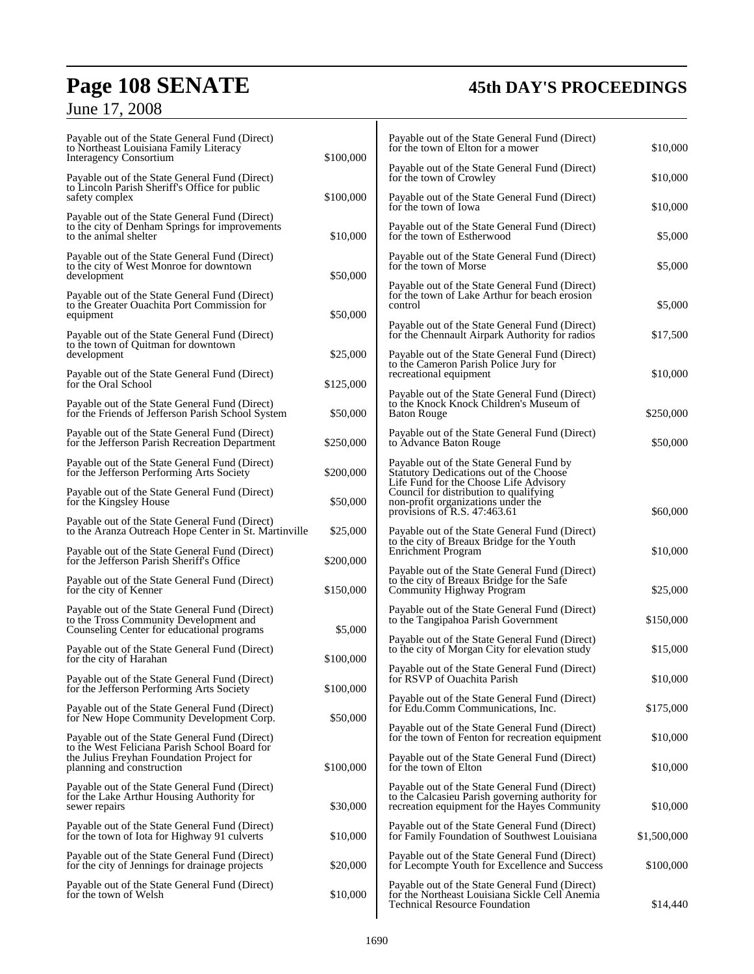# **Page 108 SENATE 45th DAY'S PROCEEDINGS**

| Payable out of the State General Fund (Direct)<br>to Northeast Louisiana Family Literacy<br>Interagency Consortium                     | \$100,000 | Payable out of the State General Fund (Direct)<br>for the town of Elton for a mower                                                               | \$10,000    |
|----------------------------------------------------------------------------------------------------------------------------------------|-----------|---------------------------------------------------------------------------------------------------------------------------------------------------|-------------|
| Payable out of the State General Fund (Direct)                                                                                         |           | Payable out of the State General Fund (Direct)<br>for the town of Crowley                                                                         | \$10,000    |
| to Lincoln Parish Sheriff's Office for public<br>safety complex                                                                        | \$100,000 | Payable out of the State General Fund (Direct)<br>for the town of Iowa                                                                            | \$10,000    |
| Payable out of the State General Fund (Direct)<br>to the city of Denham Springs for improvements<br>to the animal shelter              | \$10,000  | Payable out of the State General Fund (Direct)<br>for the town of Estherwood                                                                      | \$5,000     |
| Payable out of the State General Fund (Direct)<br>to the city of West Monroe for downtown<br>development                               | \$50,000  | Payable out of the State General Fund (Direct)<br>for the town of Morse                                                                           | \$5,000     |
| Payable out of the State General Fund (Direct)<br>to the Greater Ouachita Port Commission for                                          |           | Payable out of the State General Fund (Direct)<br>for the town of Lake Arthur for beach erosion<br>control                                        | \$5,000     |
| equipment<br>Payable out of the State General Fund (Direct)                                                                            | \$50,000  | Payable out of the State General Fund (Direct)<br>for the Chennault Airpark Authority for radios                                                  | \$17,500    |
| to the town of Quitman for downtown<br>development                                                                                     | \$25,000  | Payable out of the State General Fund (Direct)<br>to the Cameron Parish Police Jury for                                                           |             |
| Payable out of the State General Fund (Direct)<br>for the Oral School                                                                  | \$125,000 | recreational equipment                                                                                                                            | \$10,000    |
| Payable out of the State General Fund (Direct)<br>for the Friends of Jefferson Parish School System                                    | \$50,000  | Payable out of the State General Fund (Direct)<br>to the Knock Knock Children's Museum of<br><b>Baton Rouge</b>                                   | \$250,000   |
| Payable out of the State General Fund (Direct)<br>for the Jefferson Parish Recreation Department                                       | \$250,000 | Payable out of the State General Fund (Direct)<br>to Advance Baton Rouge                                                                          | \$50,000    |
| Payable out of the State General Fund (Direct)<br>for the Jefferson Performing Arts Society                                            | \$200,000 | Payable out of the State General Fund by<br>Statutory Dedications out of the Choose<br>Life Fund for the Choose Life Advisory                     |             |
| Payable out of the State General Fund (Direct)<br>for the Kingsley House                                                               | \$50,000  | Council for distribution to qualifying<br>non-profit organizations under the<br>provisions of R.S. $47:463.61$                                    | \$60,000    |
| Payable out of the State General Fund (Direct)<br>to the Aranza Outreach Hope Center in St. Martinville                                | \$25,000  | Payable out of the State General Fund (Direct)<br>to the city of Breaux Bridge for the Youth                                                      |             |
| Payable out of the State General Fund (Direct)<br>for the Jefferson Parish Sheriff's Office                                            | \$200,000 | <b>Enrichment Program</b><br>Payable out of the State General Fund (Direct)                                                                       | \$10,000    |
| Payable out of the State General Fund (Direct)<br>for the city of Kenner                                                               | \$150,000 | to the city of Breaux Bridge for the Safe<br>Community Highway Program                                                                            | \$25,000    |
| Payable out of the State General Fund (Direct)<br>to the Tross Community Development and<br>Counseling Center for educational programs | \$5,000   | Payable out of the State General Fund (Direct)<br>to the Tangipahoa Parish Government                                                             | \$150,000   |
| Payable out of the State General Fund (Direct)<br>for the city of Harahan                                                              | \$100,000 | Payable out of the State General Fund (Direct)<br>to the city of Morgan City for elevation study                                                  | \$15,000    |
| Payable out of the State General Fund (Direct)<br>for the Jefferson Performing Arts Society                                            | \$100,000 | Payable out of the State General Fund (Direct)<br>for RSVP of Ouachita Parish                                                                     | \$10,000    |
| Payable out of the State General Fund (Direct)<br>for New Hope Community Development Corp.                                             | \$50,000  | Payable out of the State General Fund (Direct)<br>for Edu.Comm Communications, Inc.                                                               | \$175,000   |
| Payable out of the State General Fund (Direct)<br>to the West Feliciana Parish School Board for                                        |           | Payable out of the State General Fund (Direct)<br>for the town of Fenton for recreation equipment                                                 | \$10,000    |
| the Julius Freyhan Foundation Project for<br>planning and construction                                                                 | \$100,000 | Payable out of the State General Fund (Direct)<br>for the town of Elton                                                                           | \$10,000    |
| Payable out of the State General Fund (Direct)<br>for the Lake Arthur Housing Authority for<br>sewer repairs                           | \$30,000  | Payable out of the State General Fund (Direct)<br>to the Calcasieu Parish governing authority for<br>recreation equipment for the Hayes Community | \$10,000    |
| Payable out of the State General Fund (Direct)<br>for the town of Iota for Highway 91 culverts                                         | \$10,000  | Payable out of the State General Fund (Direct)<br>for Family Foundation of Southwest Louisiana                                                    | \$1,500,000 |
| Payable out of the State General Fund (Direct)<br>for the city of Jennings for drainage projects                                       | \$20,000  | Payable out of the State General Fund (Direct)<br>for Lecompte Youth for Excellence and Success                                                   | \$100,000   |
| Payable out of the State General Fund (Direct)<br>for the town of Welsh                                                                | \$10,000  | Payable out of the State General Fund (Direct)<br>for the Northeast Louisiana Sickle Cell Anemia<br><b>Technical Resource Foundation</b>          | \$14,440    |
|                                                                                                                                        |           |                                                                                                                                                   |             |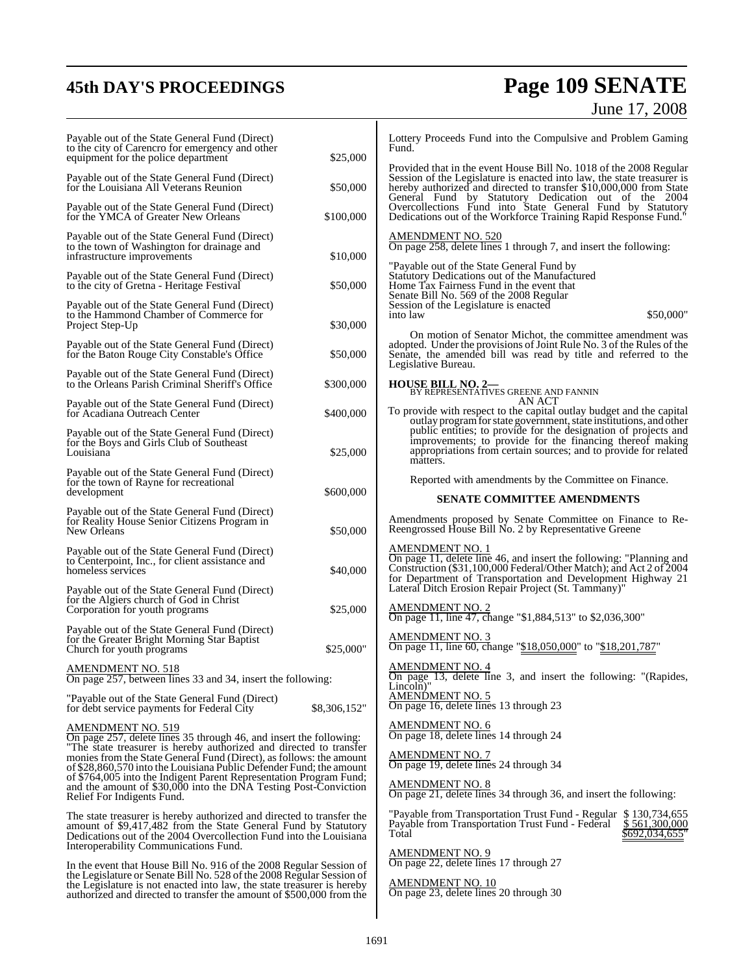## **45th DAY'S PROCEEDINGS Page 109 SENATE** June 17, 2008

| Payable out of the State General Fund (Direct)<br>to the city of Carencro for emergency and other<br>equipment for the police department                                                                                                                                                                                                                                                                                                                                           | \$25,000     | Lottery Proceeds Fund into the Compulsive and Problem Gaming<br>Fund.                                                                                                                                                                                                                                                                                               |
|------------------------------------------------------------------------------------------------------------------------------------------------------------------------------------------------------------------------------------------------------------------------------------------------------------------------------------------------------------------------------------------------------------------------------------------------------------------------------------|--------------|---------------------------------------------------------------------------------------------------------------------------------------------------------------------------------------------------------------------------------------------------------------------------------------------------------------------------------------------------------------------|
| Payable out of the State General Fund (Direct)<br>for the Louisiana All Veterans Reunion                                                                                                                                                                                                                                                                                                                                                                                           | \$50,000     | Provided that in the event House Bill No. 1018 of the 2008 Regular<br>Session of the Legislature is enacted into law, the state treasurer is<br>hereby authorized and directed to transfer \$10,000,000 from State                                                                                                                                                  |
| Payable out of the State General Fund (Direct)<br>for the YMCA of Greater New Orleans                                                                                                                                                                                                                                                                                                                                                                                              | \$100,000    | General Fund by Statutory Dedication out of the 2004<br>Overcollections Fund into State General Fund by Statutory<br>Dedications out of the Workforce Training Rapid Response Fund."                                                                                                                                                                                |
| Payable out of the State General Fund (Direct)<br>to the town of Washington for drainage and<br>infrastructure improvements                                                                                                                                                                                                                                                                                                                                                        | \$10,000     | <b>AMENDMENT NO. 520</b><br>On page 258, delete lines 1 through 7, and insert the following:                                                                                                                                                                                                                                                                        |
| Payable out of the State General Fund (Direct)<br>to the city of Gretna - Heritage Festival                                                                                                                                                                                                                                                                                                                                                                                        | \$50,000     | "Payable out of the State General Fund by<br>Statutory Dedications out of the Manufactured<br>Home Tax Fairness Fund in the event that<br>Senate Bill No. 569 of the 2008 Regular<br>Session of the Legislature is enacted<br>\$50,000"<br>into law                                                                                                                 |
| Payable out of the State General Fund (Direct)<br>to the Hammond Chamber of Commerce for<br>Project Step-Up                                                                                                                                                                                                                                                                                                                                                                        | \$30,000     |                                                                                                                                                                                                                                                                                                                                                                     |
| Payable out of the State General Fund (Direct)<br>for the Baton Rouge City Constable's Office                                                                                                                                                                                                                                                                                                                                                                                      | \$50,000     | On motion of Senator Michot, the committee amendment was<br>adopted. Under the provisions of Joint Rule No. 3 of the Rules of the<br>Senate, the amended bill was read by title and referred to the                                                                                                                                                                 |
| Payable out of the State General Fund (Direct)<br>to the Orleans Parish Criminal Sheriff's Office                                                                                                                                                                                                                                                                                                                                                                                  | \$300,000    | Legislative Bureau.<br><b>HOUSE BILL NO. 2-</b><br>BY REPRESENTATIVES GREENE AND FANNIN                                                                                                                                                                                                                                                                             |
| Payable out of the State General Fund (Direct)<br>for Acadiana Outreach Center                                                                                                                                                                                                                                                                                                                                                                                                     | \$400,000    | AN ACT<br>To provide with respect to the capital outlay budget and the capital<br>outlay program for state government, state institutions, and other<br>public entities; to provide for the designation of projects and<br>improvements; to provide for the financing thereof making<br>appropriations from certain sources; and to provide for related<br>matters. |
| Payable out of the State General Fund (Direct)<br>for the Boys and Girls Club of Southeast<br>Louisiana                                                                                                                                                                                                                                                                                                                                                                            | \$25,000     |                                                                                                                                                                                                                                                                                                                                                                     |
| Payable out of the State General Fund (Direct)<br>for the town of Rayne for recreational<br>development                                                                                                                                                                                                                                                                                                                                                                            | \$600,000    | Reported with amendments by the Committee on Finance.                                                                                                                                                                                                                                                                                                               |
|                                                                                                                                                                                                                                                                                                                                                                                                                                                                                    |              | <b>SENATE COMMITTEE AMENDMENTS</b>                                                                                                                                                                                                                                                                                                                                  |
| Payable out of the State General Fund (Direct)<br>for Reality House Senior Citizens Program in<br>New Orleans                                                                                                                                                                                                                                                                                                                                                                      | \$50,000     | Amendments proposed by Senate Committee on Finance to Re-<br>Reengrossed House Bill No. 2 by Representative Greene                                                                                                                                                                                                                                                  |
| Payable out of the State General Fund (Direct)<br>to Centerpoint, Inc., for client assistance and<br>homeless services                                                                                                                                                                                                                                                                                                                                                             | \$40,000     | AMENDMENT NO. 1<br>On page 11, delete line 46, and insert the following: "Planning and<br>Construction (\$31,100,000 Federal/Other Match); and Act 2 of 2004<br>for Department of Transportation and Development Highway 21<br>Lateral Ditch Erosion Repair Project (St. Tammany)"                                                                                  |
| Payable out of the State General Fund (Direct)<br>for the Algiers church of God in Christ<br>Corporation for youth programs                                                                                                                                                                                                                                                                                                                                                        | \$25,000     | <b>AMENDMENT NO. 2</b><br>On page 11, line 47, change "\$1,884,513" to \$2,036,300"                                                                                                                                                                                                                                                                                 |
| Payable out of the State General Fund (Direct)<br>for the Greater Bright Morning Star Baptist<br>Church for youth programs                                                                                                                                                                                                                                                                                                                                                         | \$25,000"    | <b>AMENDMENT NO. 3</b><br>On page 11, line 60, change "\$18,050,000" to "\$18,201,787"                                                                                                                                                                                                                                                                              |
| <u>AMENDMENT NO. 518</u><br>On page 257, between lines 33 and 34, insert the following:                                                                                                                                                                                                                                                                                                                                                                                            |              | <b>AMENDMENT NO. 4</b><br>On page 13, delete line 3, and insert the following: "(Rapides,<br>Lincoln                                                                                                                                                                                                                                                                |
| "Payable out of the State General Fund (Direct)<br>for debt service payments for Federal City                                                                                                                                                                                                                                                                                                                                                                                      | \$8,306,152" | AMENDMENT NO. 5<br>On page 16, delete lines 13 through 23                                                                                                                                                                                                                                                                                                           |
| AMENDMENT NO. 519<br>On page 257, delete lines 35 through 46, and insert the following:<br>"The state treasurer is hereby authorized and directed to transfer<br>monies from the State General Fund (Direct), as follows: the amount<br>of \$28,860,570 into the Louisiana Public Defender Fund; the amount<br>of \$764,005 into the Indigent Parent Representation Program Fund;<br>and the amount of \$30,000 into the DNA Testing Post-Conviction<br>Relief For Indigents Fund. |              | AMENDMENT NO. 6<br>On page 18, delete lines 14 through 24                                                                                                                                                                                                                                                                                                           |
|                                                                                                                                                                                                                                                                                                                                                                                                                                                                                    |              | AMENDMENT NO. 7<br>On page 19, delete lines 24 through 34                                                                                                                                                                                                                                                                                                           |
|                                                                                                                                                                                                                                                                                                                                                                                                                                                                                    |              | <b>AMENDMENT NO. 8</b><br>On page 21, delete lines 34 through 36, and insert the following:                                                                                                                                                                                                                                                                         |
| The state treasurer is hereby authorized and directed to transfer the<br>amount of \$9,417,482 from the State General Fund by Statutory<br>Dedications out of the 2004 Overcollection Fund into the Louisiana<br>Interoperability Communications Fund.                                                                                                                                                                                                                             |              | "Payable from Transportation Trust Fund - Regular \$130,734,655<br>Payable from Transportation Trust Fund - Federal<br>\$561,300,000<br>\$692,034,655"<br>Total                                                                                                                                                                                                     |
| In the event that House Bill No. 916 of the 2008 Regular Session of<br>the Legislature or Senate Bill No. 528 of the 2008 Regular Session of<br>the Legislature is not enacted into law, the state treasurer is hereby<br>authorized and directed to transfer the amount of \$500,000 from the                                                                                                                                                                                     |              | <b>AMENDMENT NO. 9</b><br>On page 22, delete lines 17 through 27<br><b>AMENDMENT NO. 10</b><br>On page 23, delete lines 20 through 30                                                                                                                                                                                                                               |
|                                                                                                                                                                                                                                                                                                                                                                                                                                                                                    |              |                                                                                                                                                                                                                                                                                                                                                                     |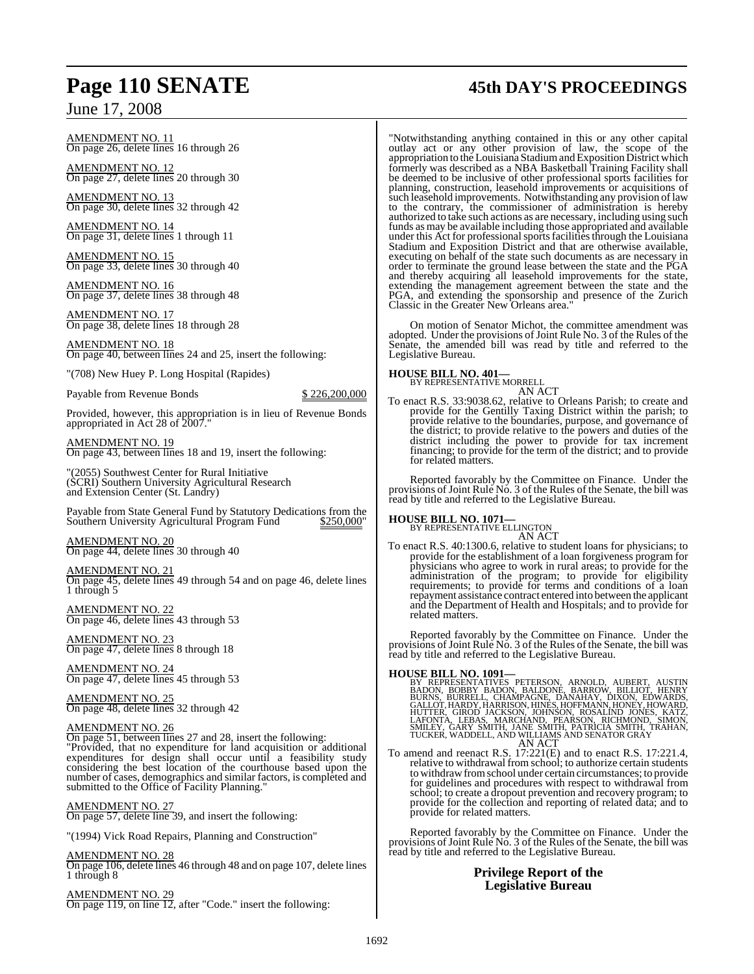## June 17, 2008

AMENDMENT NO. 11 On page 26, delete lines 16 through 26

AMENDMENT NO. 12 On page 27, delete lines 20 through 30

AMENDMENT NO. 13 On page 30, delete lines 32 through 42

AMENDMENT NO. 14 On page 31, delete lines 1 through 11

AMENDMENT NO. 15 On page 33, delete lines 30 through 40

AMENDMENT NO. 16 On page 37, delete lines 38 through 48

AMENDMENT NO. 17 On page 38, delete lines 18 through 28

AMENDMENT NO. 18<br>On page 40, between lines 24 and 25, insert the following:

"(708) New Huey P. Long Hospital (Rapides)

Payable from Revenue Bonds \$226,200,000

Provided, however, this appropriation is in lieu of Revenue Bonds appropriated in Act 28 of 2007."

AMENDMENT NO. 19<br>On page 43, between lines 18 and 19, insert the following:

(2055) Southwest Center for Rural Initiative (SCRI) Southern University Agricultural Research and Extension Center (St. Landry)

Payable from State General Fund by Statutory Dedications from the Southern University Agricultural Program Fund

AMENDMENT NO. 20 On page 44, delete lines 30 through 40

AMENDMENT NO. 21

On page 45, delete lines 49 through 54 and on page 46, delete lines 1 through 5

AMENDMENT NO. 22 On page 46, delete lines 43 through 53

AMENDMENT NO. 23 On page 47, delete lines 8 through 18

AMENDMENT NO. 24 On page 47, delete lines 45 through 53

AMENDMENT NO. 25 On page 48, delete lines 32 through 42

### AMENDMENT NO. 26

On page 51, between lines 27 and 28, insert the following: "Provided, that no expenditure for land acquisition or additional expenditures for design shall occur until a feasibility study considering the best location of the courthouse based upon the number of cases, demographics and similar factors, is completed and submitted to the Office of Facility Planning."

AMENDMENT NO. 27

On page 57, delete line 39, and insert the following:

"(1994) Vick Road Repairs, Planning and Construction"

AMENDMENT NO. 28

On page 106, delete lines 46 through 48 and on page 107, delete lines 1 through 8

AMENDMENT NO. 29 On page 119, on line 12, after "Code." insert the following:

## **Page 110 SENATE 45th DAY'S PROCEEDINGS**

"Notwithstanding anything contained in this or any other capital outlay act or any other provision of law, the scope of the appropriation to the Louisiana Stadium and Exposition District which formerly was described as a NBA Basketball Training Facility shall be deemed to be inclusive of other professional sports facilities for planning, construction, leasehold improvements or acquisitions of such leasehold improvements. Notwithstanding any provision of law to the contrary, the commissioner of administration is hereby authorized to take such actions as are necessary, including using such funds as may be available including those appropriated and available under this Act for professionalsportsfacilitiesthrough the Louisiana Stadium and Exposition District and that are otherwise available, executing on behalf of the state such documents as are necessary in order to terminate the ground lease between the state and the PGA and thereby acquiring all leasehold improvements for the state, extending the management agreement between the state and the PGA, and extending the sponsorship and presence of the Zurich Classic in the Greater New Orleans area."

On motion of Senator Michot, the committee amendment was adopted. Under the provisions of Joint Rule No. 3 of the Rules of the Senate, the amended bill was read by title and referred to the Legislative Bureau.

## **HOUSE BILL NO. 401—** BY REPRESENTATIVE MORRELL

AN ACT

To enact R.S. 33:9038.62, relative to Orleans Parish; to create and provide for the Gentilly Taxing District within the parish; to provide relative to the boundaries, purpose, and governance of the district; to provide relative to the powers and duties of the district including the power to provide for tax increment financing; to provide for the term of the district; and to provide for related matters.

Reported favorably by the Committee on Finance. Under the provisions of Joint Rule No. 3 of the Rules of the Senate, the bill was read by title and referred to the Legislative Bureau.

## **HOUSE BILL NO. 1071—** BY REPRESENTATIVE ELLINGTON AN ACT

To enact R.S. 40:1300.6, relative to student loans for physicians; to provide for the establishment of a loan forgiveness program for physicians who agree to work in rural areas; to provide for the administration of the program; to provide for eligibility requirements; to provide for terms and conditions of a loan repayment assistance contract entered into between the applicant and the Department of Health and Hospitals; and to provide for related matters.

Reported favorably by the Committee on Finance. Under the provisions of Joint Rule No. 3 of the Rules of the Senate, the bill was read by title and referred to the Legislative Bureau.

- **HOUSE BILL NO. 1091—**<br>BY REPRESENTATIVES PETERSON, ARNOLD, AUBERT, AUSTIN<br>BADON, BOBBY BADON, BALDONE, BARROW, BILLIOT, HENRY<br>BURNS, BURRELL, CHAMPAGNE, DANAHAY, DIXON, EDWARDS,<br>GALLOT, HARDY, HARRISON, HINES, HOFFMANN, H
- To amend and reenact R.S. 17:221(E) and to enact R.S. 17:221.4, relative to withdrawal from school; to authorize certain students to withdraw from school under certain circumstances; to provide for guidelines and procedures with respect to withdrawal from school; to create a dropout prevention and recovery program; to provide for the collection and reporting of related data; and to provide for related matters.

Reported favorably by the Committee on Finance. Under the provisions ofJoint Rule No. 3 of the Rules of the Senate, the bill was read by title and referred to the Legislative Bureau.

### **Privilege Report of the Legislative Bureau**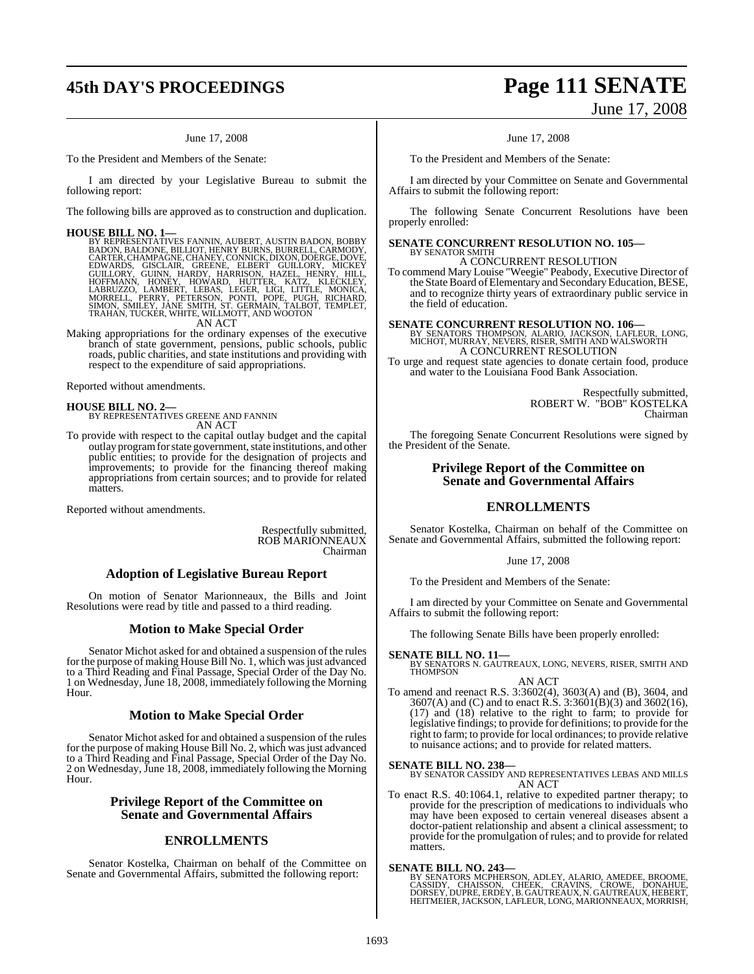## **45th DAY'S PROCEEDINGS Page 111 SENATE**

#### June 17, 2008

To the President and Members of the Senate:

I am directed by your Legislative Bureau to submit the following report:

The following bills are approved as to construction and duplication.

### **HOUSE BILL NO. 1—**

BY REPRESENTATIVES FANNIN, AUBERT, AUSTIN BADON, BOBBY<br>BADON, BALDONE, BILLIOT, HENRY BURNS, BURRELL, CARMODY,<br>CARTER, CHAMPAGNE, CHANEY, CONNICK, DIXON, DOERGE, DOVE,<br>EDWARDS, GISCLAIR, GREENE, ELBERT GUILLORY, MICKEY<br>GUI

AN ACT

Making appropriations for the ordinary expenses of the executive branch of state government, pensions, public schools, public roads, public charities, and state institutions and providing with respect to the expenditure of said appropriations.

Reported without amendments.

**HOUSE BILL NO. 2—** BY REPRESENTATIVES GREENE AND FANNIN AN ACT

To provide with respect to the capital outlay budget and the capital outlay programforstate government, state institutions, and other public entities; to provide for the designation of projects and improvements; to provide for the financing thereof making appropriations from certain sources; and to provide for related matters.

Reported without amendments.

Respectfully submitted, ROB MARIONNEAUX Chairman

### **Adoption of Legislative Bureau Report**

On motion of Senator Marionneaux, the Bills and Joint Resolutions were read by title and passed to a third reading.

### **Motion to Make Special Order**

Senator Michot asked for and obtained a suspension of the rules for the purpose of making House Bill No. 1, which wasjust advanced to a Third Reading and Final Passage, Special Order of the Day No. 1 on Wednesday, June 18, 2008, immediately following the Morning Hour.

### **Motion to Make Special Order**

Senator Michot asked for and obtained a suspension of the rules for the purpose of making House Bill No. 2, which wasjust advanced to a Third Reading and Final Passage, Special Order of the Day No. 2 on Wednesday, June 18, 2008, immediately following the Morning Hour.

### **Privilege Report of the Committee on Senate and Governmental Affairs**

### **ENROLLMENTS**

Senator Kostelka, Chairman on behalf of the Committee on Senate and Governmental Affairs, submitted the following report:

# June 17, 2008

June 17, 2008

To the President and Members of the Senate:

I am directed by your Committee on Senate and Governmental Affairs to submit the following report:

The following Senate Concurrent Resolutions have been properly enrolled:

#### **SENATE CONCURRENT RESOLUTION NO. 105—** BY SENATOR SMITH

A CONCURRENT RESOLUTION

To commend Mary Louise "Weegie" Peabody, Executive Director of the State Board of Elementary and Secondary Education, BESE, and to recognize thirty years of extraordinary public service in the field of education.

**SENATE CONCURRENT RESOLUTION NO. 106—**<br>BY SENATORS THOMPSON, ALARIO, JACKSON, LAFLEUR, LONG,<br>MICHOT, MURRAY, NEVERS, RISER, SMITH AND WALSWORTH A CONCURRENT RESOLUTION

To urge and request state agencies to donate certain food, produce and water to the Louisiana Food Bank Association.

> Respectfully submitted, ROBERT W. "BOB" KOSTELKA Chairman

The foregoing Senate Concurrent Resolutions were signed by the President of the Senate.

### **Privilege Report of the Committee on Senate and Governmental Affairs**

### **ENROLLMENTS**

Senator Kostelka, Chairman on behalf of the Committee on Senate and Governmental Affairs, submitted the following report:

June 17, 2008

To the President and Members of the Senate:

I am directed by your Committee on Senate and Governmental Affairs to submit the following report:

The following Senate Bills have been properly enrolled:

**SENATE BILL NO. 11—**<br>BY SENATORS N. GAUTREAUX, LONG, NEVERS, RISER, SMITH AND<br>THOMPSON AN ACT

To amend and reenact R.S. 3:3602(4), 3603(A) and (B), 3604, and 3607(A) and (C) and to enact R.S. 3:3601(B)(3) and 3602(16), (17) and (18) relative to the right to farm; to provide for legislative findings; to provide for definitions; to provide for the right to farm; to provide for local ordinances; to provide relative to nuisance actions; and to provide for related matters.

**SENATE BILL NO. 238—** BY SENATOR CASSIDY AND REPRESENTATIVES LEBAS AND MILLS AN ACT

To enact R.S. 40:1064.1, relative to expedited partner therapy; to provide for the prescription of medications to individuals who may have been exposed to certain venereal diseases absent a doctor-patient relationship and absent a clinical assessment; to provide for the promulgation of rules; and to provide for related matters.

**SENATE BILL NO. 243—**<br>BY SENATORS MCPHERSON, ADLEY, ALARIO, AMEDEE, BROOME,<br>CASSIDY, CHAISSON, CHEEK, CRAVINS, CROWE, DONAHUE,<br>DORSEY, DUPRE, ERDEY, B. GAUTREAUX, N. GAUTREAUX, HEBERT, HEITMEIER, JACKSON, LAFLEUR, LONG, MARIONNEAUX, MORRISH,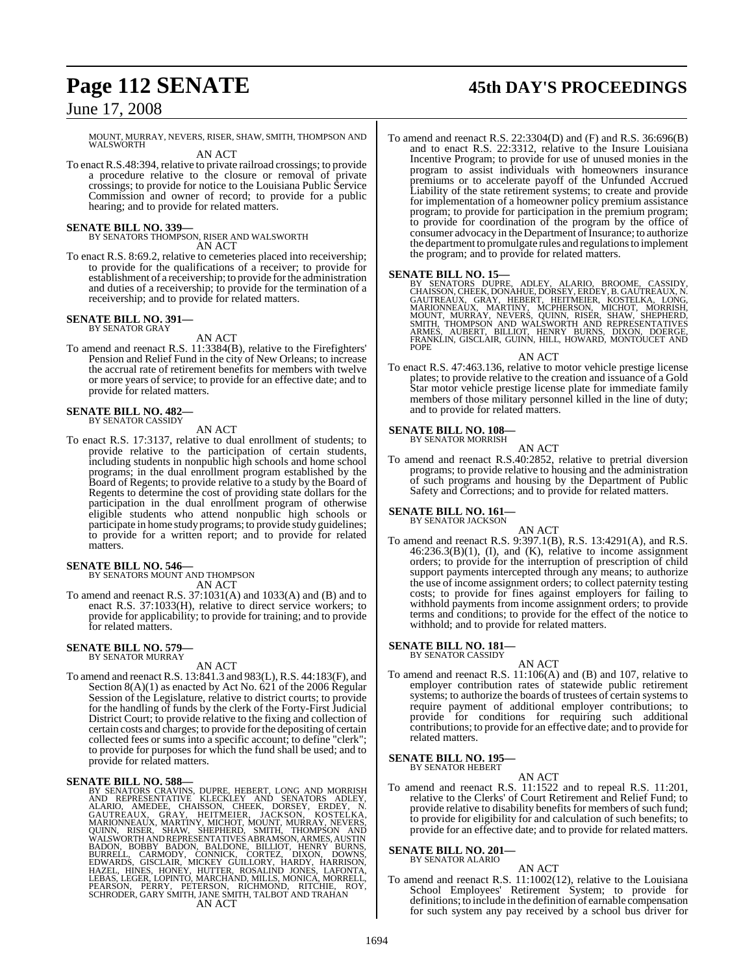## **Page 112 SENATE 45th DAY'S PROCEEDINGS**

June 17, 2008

MOUNT, MURRAY, NEVERS, RISER, SHAW, SMITH, THOMPSON AND WALSWORTH AN ACT

To enact R.S.48:394, relative to private railroad crossings; to provide a procedure relative to the closure or removal of private crossings; to provide for notice to the Louisiana Public Service Commission and owner of record; to provide for a public hearing; and to provide for related matters.

**SENATE BILL NO. 339—** BY SENATORS THOMPSON, RISER AND WALSWORTH AN ACT

To enact R.S. 8:69.2, relative to cemeteries placed into receivership; to provide for the qualifications of a receiver; to provide for establishment of a receivership; to provide for the administration and duties of a receivership; to provide for the termination of a receivership; and to provide for related matters.

## **SENATE BILL NO. 391—** BY SENATOR GRAY

AN ACT

To amend and reenact R.S. 11:3384(B), relative to the Firefighters' Pension and Relief Fund in the city of New Orleans; to increase the accrual rate of retirement benefits for members with twelve or more years of service; to provide for an effective date; and to provide for related matters.

#### **SENATE BILL NO. 482—** BY SENATOR CASSIDY

AN ACT

To enact R.S. 17:3137, relative to dual enrollment of students; to provide relative to the participation of certain students, including students in nonpublic high schools and home school programs; in the dual enrollment program established by the Board of Regents; to provide relative to a study by the Board of Regents to determine the cost of providing state dollars for the participation in the dual enrollment program of otherwise eligible students who attend nonpublic high schools or participate in home study programs; to provide study guidelines; to provide for a written report; and to provide for related matters.

## **SENATE BILL NO. 546—** BY SENATORS MOUNT AND THOMPSON

AN ACT

To amend and reenact R.S. 37:1031(A) and 1033(A) and (B) and to enact R.S. 37:1033(H), relative to direct service workers; to provide for applicability; to provide for training; and to provide for related matters.

#### **SENATE BILL NO. 579—** BY SENATOR MURRAY

AN ACT

To amend and reenact R.S. 13:841.3 and 983(L), R.S. 44:183(F), and Section 8(A)(1) as enacted by Act No. 621 of the 2006 Regular Session of the Legislature, relative to district courts; to provide for the handling of funds by the clerk of the Forty-First Judicial District Court; to provide relative to the fixing and collection of certain costs and charges; to provide forthe depositing of certain collected fees or sums into a specific account; to define "clerk"; to provide for purposes for which the fund shall be used; and to provide for related matters.

**SENATE BILL NO. 588—**<br>BY SENATORS CRAVINS, DUPRE, HEBERT, LONG AND MORRISH<br>AND REPRESENTATIVE KLECKLEY AND SENATORS ADLEY, ALARIO, AMEDEE, CHAISSON, CHEEK, DORSEY, ERDEY, N.<br>GAUTREAUX, GRAY, HEITMEIER, JACKSON, KOSTELKA,

To amend and reenact R.S. 22:3304(D) and (F) and R.S. 36:696(B) and to enact R.S. 22:3312, relative to the Insure Louisiana Incentive Program; to provide for use of unused monies in the program to assist individuals with homeowners insurance premiums or to accelerate payoff of the Unfunded Accrued Liability of the state retirement systems; to create and provide for implementation of a homeowner policy premium assistance program; to provide for participation in the premium program; to provide for coordination of the program by the office of consumer advocacy in the Department of Insurance; to authorize the department to promulgate rules and regulations to implement the program; and to provide for related matters.

### **SENATE BILL NO. 15—**

BY SENATORS DUPRE, ADLEY, ALARIO, BROOME, CASSIDY,<br>CHAISSON,CHEEK,DONAHUE,DORSEY,ERDEY,B.GAUTREAUX,N.<br>GAUTREAUX, GRAY, HEBERT, HEITMEIER, KOSTELKA, LONG,<br>MARIONNEAUX, MARTINY, MCPHERSON, MICHOT, MORRISH,<br>MOUNT, MURRAY, NEV

AN ACT

To enact R.S. 47:463.136, relative to motor vehicle prestige license plates; to provide relative to the creation and issuance of a Gold Star motor vehicle prestige license plate for immediate family members of those military personnel killed in the line of duty; and to provide for related matters.

## **SENATE BILL NO. 108—** BY SENATOR MORRISH

- AN ACT
- To amend and reenact R.S.40:2852, relative to pretrial diversion programs; to provide relative to housing and the administration of such programs and housing by the Department of Public Safety and Corrections; and to provide for related matters.

**SENATE BILL NO. 161—** BY SENATOR JACKSON

### AN ACT

To amend and reenact R.S. 9:397.1(B), R.S. 13:4291(A), and R.S.  $46:236.3(B)(1)$ , (I), and (K), relative to income assignment orders; to provide for the interruption of prescription of child support payments intercepted through any means; to authorize the use of income assignment orders; to collect paternity testing costs; to provide for fines against employers for failing to withhold payments from income assignment orders; to provide terms and conditions; to provide for the effect of the notice to withhold; and to provide for related matters.

#### **SENATE BILL NO. 181—** BY SENATOR CASSIDY

AN ACT

To amend and reenact R.S. 11:106(A) and (B) and 107, relative to employer contribution rates of statewide public retirement systems; to authorize the boards of trustees of certain systems to require payment of additional employer contributions; to provide for conditions for requiring such additional contributions; to provide for an effective date; and to provide for related matters.

#### **SENATE BILL NO. 195—** BY SENATOR HEBERT

AN ACT

To amend and reenact R.S. 11:1522 and to repeal R.S. 11:201, relative to the Clerks' of Court Retirement and Relief Fund; to provide relative to disability benefits for members of such fund; to provide for eligibility for and calculation of such benefits; to provide for an effective date; and to provide for related matters.

#### **SENATE BILL NO. 201—**

BY SENATOR ALARIO

AN ACT To amend and reenact R.S. 11:1002(12), relative to the Louisiana School Employees' Retirement System; to provide for definitions; to include in the definition of earnable compensation for such system any pay received by a school bus driver for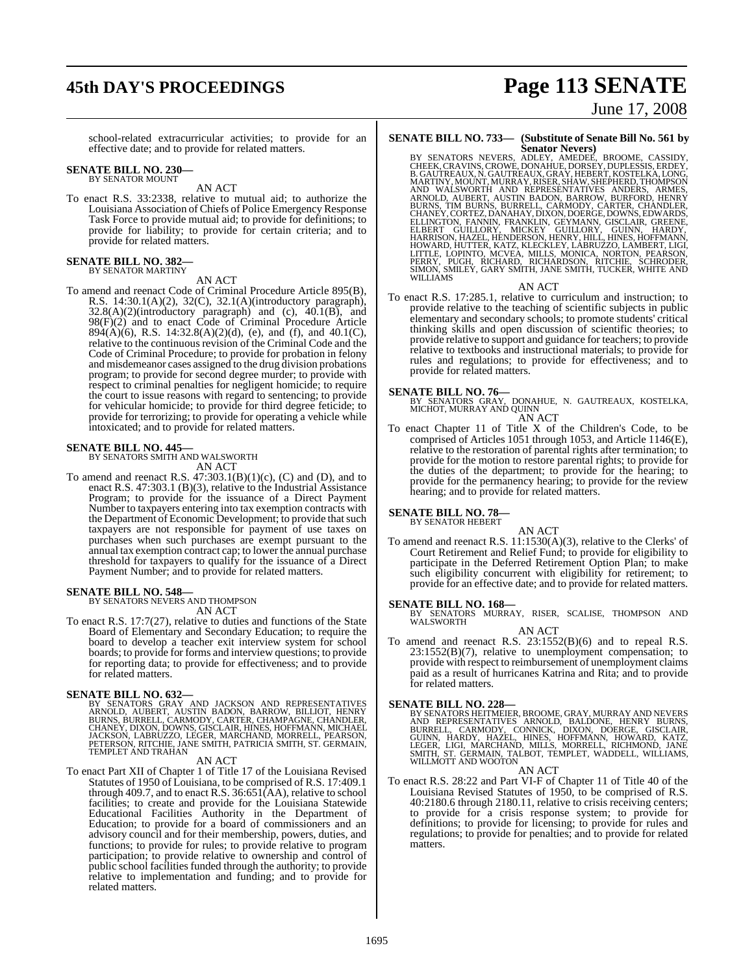## **45th DAY'S PROCEEDINGS Page 113 SENATE**

school-related extracurricular activities; to provide for an effective date; and to provide for related matters.

## **SENATE BILL NO. 230—** BY SENATOR MOUNT

AN ACT

To enact R.S. 33:2338, relative to mutual aid; to authorize the Louisiana Association of Chiefs of Police Emergency Response Task Force to provide mutual aid; to provide for definitions; to provide for liability; to provide for certain criteria; and to provide for related matters.

#### **SENATE BILL NO. 382—** BY SENATOR MARTINY

AN ACT

To amend and reenact Code of Criminal Procedure Article 895(B), R.S. 14:30.1(A)(2), 32(C), 32.1(A)(introductory paragraph),  $32.8(A)(2)$ (introductory paragraph) and (c),  $40.1(B)$ , and 98(F)(2) and to enact Code of Criminal Procedure Article 894(A)(6), R.S. 14:32.8(A)(2)(d), (e), and (f), and 40.1(C), relative to the continuous revision of the Criminal Code and the Code of Criminal Procedure; to provide for probation in felony and misdemeanor cases assigned to the drug division probations program; to provide for second degree murder; to provide with respect to criminal penalties for negligent homicide; to require the court to issue reasons with regard to sentencing; to provide for vehicular homicide; to provide for third degree feticide; to provide for terrorizing; to provide for operating a vehicle while intoxicated; and to provide for related matters.

**SENATE BILL NO. 445—** BY SENATORS SMITH AND WALSWORTH AN ACT

To amend and reenact R.S.  $47:303.1(B)(1)(c)$ , (C) and (D), and to enact R.S. 47:303.1 (B)(3), relative to the Industrial Assistance Program; to provide for the issuance of a Direct Payment Number to taxpayers entering into tax exemption contracts with the Department of Economic Development; to provide that such taxpayers are not responsible for payment of use taxes on purchases when such purchases are exempt pursuant to the annual tax exemption contract cap; to lower the annual purchase threshold for taxpayers to qualify for the issuance of a Direct Payment Number; and to provide for related matters.

**SENATE BILL NO. 548—** BY SENATORS NEVERS AND THOMPSON AN ACT

To enact R.S. 17:7(27), relative to duties and functions of the State Board of Elementary and Secondary Education; to require the board to develop a teacher exit interview system for school boards; to provide for forms and interview questions; to provide for reporting data; to provide for effectiveness; and to provide for related matters.

**SENATE BILL NO. 632—**<br>BY SENATORS GRAY AND JACKSON AND REPRESENTATIVES<br>ARNOLD, AUBERT, AUSTIN BADON, BARROW, BILLIOT, HENRY<br>BURNS, BURRELL, CARMODY, CARTER, CHAMPAGNE, CHANDLER,<br>CHANEY, DIXON, DOWNS, GISCLAIR, HINES, HOFF

#### AN ACT

To enact Part XII of Chapter 1 of Title 17 of the Louisiana Revised Statutes of 1950 of Louisiana, to be comprised of R.S. 17:409.1 through 409.7, and to enact R.S. 36:651(AA), relative to school facilities; to create and provide for the Louisiana Statewide Educational Facilities Authority in the Department of Education; to provide for a board of commissioners and an advisory council and for their membership, powers, duties, and functions; to provide for rules; to provide relative to program participation; to provide relative to ownership and control of public school facilities funded through the authority; to provide relative to implementation and funding; and to provide for related matters.

### June 17, 2008

### **SENATE BILL NO. 733— (Substitute of Senate Bill No. 561 by**

SPINATORS NEVERS, ADLEY, AMEDEE, BROOME, CASSIDY,<br>CHEEK, CRAVINS, CROWE, DONAHUE, DORSEY, DUPLESSIS, ERDEY, B. GAUTREAUX, N. GAUTREAUX, GRAY, HEBERT, KOSTELKA, LONG,<br>MARTINY, MOUNT, MURRAY, RISER, SHAW, SHEPHERD, THOMPSON<br>

AN ACT

To enact R.S. 17:285.1, relative to curriculum and instruction; to provide relative to the teaching of scientific subjects in public elementary and secondary schools; to promote students' critical thinking skills and open discussion of scientific theories; to provide relative to support and guidance for teachers; to provide relative to textbooks and instructional materials; to provide for rules and regulations; to provide for effectiveness; and to provide for related matters.

#### **SENATE BILL NO. 76—**

BY SENATORS GRAY, DONAHUE, N. GAUTREAUX, KOSTELKA, MICHOT, MURRAY AND QUINN AN ACT

To enact Chapter 11 of Title X of the Children's Code, to be comprised of Articles 1051 through 1053, and Article 1146(E), relative to the restoration of parental rights after termination; to provide for the motion to restore parental rights; to provide for the duties of the department; to provide for the hearing; to provide for the permanency hearing; to provide for the review hearing; and to provide for related matters.

## **SENATE BILL NO. 78—** BY SENATOR HEBERT

AN ACT

To amend and reenact R.S. 11:1530(A)(3), relative to the Clerks' of Court Retirement and Relief Fund; to provide for eligibility to participate in the Deferred Retirement Option Plan; to make such eligibility concurrent with eligibility for retirement; to provide for an effective date; and to provide for related matters.

**SENATE BILL NO. 168—** BY SENATORS MURRAY, RISER, SCALISE, THOMPSON AND WALSWORTH

### AN ACT

To amend and reenact R.S. 23:1552(B)(6) and to repeal R.S.  $23:1552(B)(7)$ , relative to unemployment compensation; to provide with respect to reimbursement of unemployment claims paid as a result of hurricanes Katrina and Rita; and to provide for related matters.

SENATE BILL NO. 228—<br>BY SENATORS HEITMEIER, BROOME, GRAY, MURRAY AND NEVERS AND REPRESENTATIVES ARNOLD, BALDONE, HENRY BURNS, BURRELL, CARMODY, CONNICK, DIXON, DOERGE, GISCLAIR, GUINN, HARDY, HAZEL, HINES, HOFFMANN, HOWARD

#### AN ACT

To enact R.S. 28:22 and Part VI-F of Chapter 11 of Title 40 of the Louisiana Revised Statutes of 1950, to be comprised of R.S. 40:2180.6 through 2180.11, relative to crisis receiving centers; to provide for a crisis response system; to provide for definitions; to provide for licensing; to provide for rules and regulations; to provide for penalties; and to provide for related matters.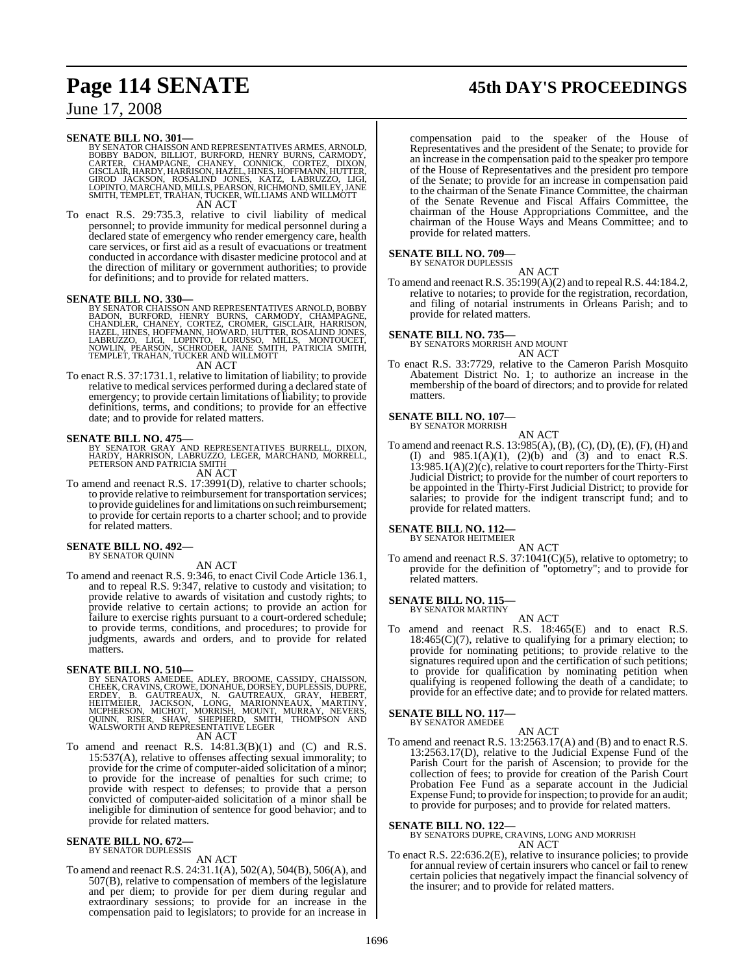## **Page 114 SENATE 45th DAY'S PROCEEDINGS**

### June 17, 2008

**SENATE BILL NO. 301—**<br>BY SENATOR CHAISSON AND REPRESENTATIVES ARMES, ARNOLD, BOBBY BADON, BILLIOT, BURFORD, HENRY BURNS, CARMODY, CARTER, CHAMPAGNE, CHANEY, CONNICK, CORTEZ, DIXON, GISCLAIR, HARDY, HARRISON, HAZEL, HINES, AN ACT

To enact R.S. 29:735.3, relative to civil liability of medical personnel; to provide immunity for medical personnel during a declared state of emergency who render emergency care, health care services, or first aid as a result of evacuations or treatment conducted in accordance with disaster medicine protocol and at the direction of military or government authorities; to provide for definitions; and to provide for related matters.

 $\begin{tabular}{l|c|c|c} \textbf{SRMTE}\textbf{BILL NO, 330}\hspace{0.0300}\hspace{0.0300}\hspace{0.0300}\hspace{0.0300}\hspace{0.0300}\hspace{0.0300}\hspace{0.0300}\hspace{0.0300}\hspace{0.0300}\hspace{0.0300}\hspace{0.0300}\hspace{0.0300}\hspace{0.0300}\hspace{0.0300}\hspace{0.0300}\hspace{0.0300}\hspace{0.0300}\hspace{0.0300}\hspace{0.0$ 

To enact R.S. 37:1731.1, relative to limitation of liability; to provide relative to medical services performed during a declared state of emergency; to provide certain limitations of liability; to provide definitions, terms, and conditions; to provide for an effective date; and to provide for related matters.

#### **SENATE BILL NO. 475—**

BY SENATOR GRAY AND REPRESENTATIVES BURRELL, DIXON,<br>HARDY, HARRISON, LABRUZZO, LEGER, MARCHAND, MORRELL,<br>PETERSON AND PATRICIA SMITH

AN ACT

To amend and reenact R.S. 17:3991(D), relative to charter schools; to provide relative to reimbursement for transportation services; to provide guidelines for and limitations on such reimbursement; to provide for certain reports to a charter school; and to provide for related matters.

## **SENATE BILL NO. 492—** BY SENATOR QUINN

AN ACT

To amend and reenact R.S. 9:346, to enact Civil Code Article 136.1, and to repeal R.S. 9:347, relative to custody and visitation; to provide relative to awards of visitation and custody rights; to provide relative to certain actions; to provide an action for failure to exercise rights pursuant to a court-ordered schedule; to provide terms, conditions, and procedures; to provide for judgments, awards and orders, and to provide for related matters.

SENATE BILL NO. 510—<br>BY SENATORS AMEDEE, ADLEY, BROOME, CASSIDY, CHAISSON, CHEK, CRAVINS, CROWE, DONAHUE, DORSEY, DUPLESSIS, DUPRE,<br>ERDEY, B. GAUTREAUX, N. GAUTREAUX, GRAY, HEBERT,<br>HEITMEIER, JACKSON, LONG, MARIONNEAUX, MA

AN ACT

To amend and reenact R.S.  $14:81.3(B)(1)$  and (C) and R.S. 15:537(A), relative to offenses affecting sexual immorality; to provide for the crime of computer-aided solicitation of a minor; to provide for the increase of penalties for such crime; to provide with respect to defenses; to provide that a person convicted of computer-aided solicitation of a minor shall be ineligible for diminution of sentence for good behavior; and to provide for related matters.

#### **SENATE BILL NO. 672—** BY SENATOR DUPLESSIS

AN ACT

To amend and reenact R.S. 24:31.1(A), 502(A), 504(B), 506(A), and 507(B), relative to compensation of members of the legislature and per diem; to provide for per diem during regular and extraordinary sessions; to provide for an increase in the compensation paid to legislators; to provide for an increase in

compensation paid to the speaker of the House of Representatives and the president of the Senate; to provide for an increase in the compensation paid to the speaker pro tempore of the House of Representatives and the president pro tempore of the Senate; to provide for an increase in compensation paid to the chairman of the Senate Finance Committee, the chairman of the Senate Revenue and Fiscal Affairs Committee, the chairman of the House Appropriations Committee, and the chairman of the House Ways and Means Committee; and to provide for related matters.

## **SENATE BILL NO. 709—**<br>BY SENATOR DUPLESSIS

AN ACT

To amend and reenactR.S. 35:199(A)(2) and to repealR.S. 44:184.2, relative to notaries; to provide for the registration, recordation, and filing of notarial instruments in Orleans Parish; and to provide for related matters.

#### **SENATE BILL NO. 735—**

BY SENATORS MORRISH AND MOUNT AN ACT

To enact R.S. 33:7729, relative to the Cameron Parish Mosquito Abatement District No. 1; to authorize an increase in the membership of the board of directors; and to provide for related matters.

## **SENATE BILL NO. 107—** BY SENATOR MORRISH

To amend and reenact R.S. 13:985(A), (B), (C), (D), (E), (F), (H) and (I) and  $985.1(A)(1)$ ,  $(2)(b)$  and  $(3)$  and to enact R.S.  $13:985.1(A)(2)(c)$ , relative to court reporters for the Thirty-First Judicial District; to provide for the number of court reporters to be appointed in the Thirty-First Judicial District; to provide for salaries; to provide for the indigent transcript fund; and to provide for related matters.

AN ACT

#### **SENATE BILL NO. 112—**

BY SENATOR HEITMEIER

AN ACT To amend and reenact R.S. 37:1041(C)(5), relative to optometry; to provide for the definition of "optometry"; and to provide for related matters.

#### **SENATE BILL NO. 115—** BY SENATOR MARTINY

AN ACT

To amend and reenact R.S. 18:465(E) and to enact R.S.  $18:465(C)(7)$ , relative to qualifying for a primary election; to provide for nominating petitions; to provide relative to the signatures required upon and the certification of such petitions; to provide for qualification by nominating petition when qualifying is reopened following the death of a candidate; to provide for an effective date; and to provide for related matters.

**SENATE BILL NO. 117—** BY SENATOR AMEDEE

AN ACT

To amend and reenact R.S. 13:2563.17(A) and (B) and to enact R.S. 13:2563.17(D), relative to the Judicial Expense Fund of the Parish Court for the parish of Ascension; to provide for the collection of fees; to provide for creation of the Parish Court Probation Fee Fund as a separate account in the Judicial Expense Fund; to provide for inspection; to provide for an audit; to provide for purposes; and to provide for related matters.

**SENATE BILL NO. 122—** BY SENATORS DUPRE, CRAVINS, LONG AND MORRISH AN ACT

To enact R.S. 22:636.2(E), relative to insurance policies; to provide for annual review of certain insurers who cancel or fail to renew certain policies that negatively impact the financial solvency of the insurer; and to provide for related matters.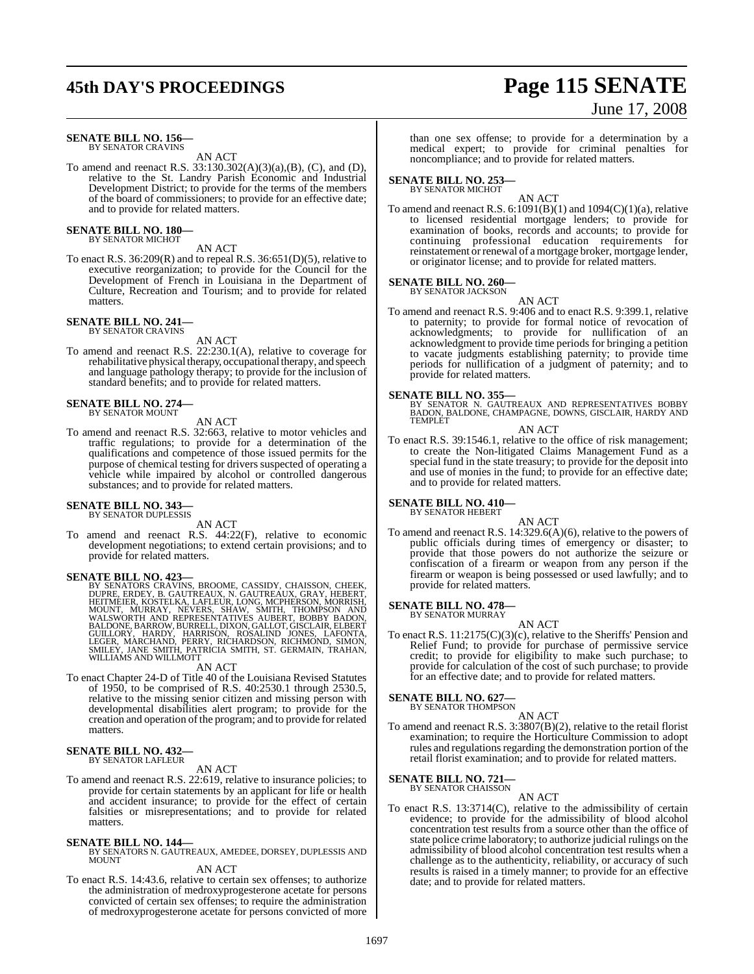## **45th DAY'S PROCEEDINGS Page 115 SENATE**

#### **SENATE BILL NO. 156—** BY SENATOR CRAVINS

AN ACT

To amend and reenact R.S. 33:130.302(A)(3)(a),(B), (C), and (D), relative to the St. Landry Parish Economic and Industrial Development District; to provide for the terms of the members of the board of commissioners; to provide for an effective date; and to provide for related matters.

#### **SENATE BILL NO. 180—** BY SENATOR MICHOT

### AN ACT

To enact R.S. 36:209(R) and to repeal R.S. 36:651(D)(5), relative to executive reorganization; to provide for the Council for the Development of French in Louisiana in the Department of Culture, Recreation and Tourism; and to provide for related matters.

## **SENATE BILL NO. 241—** BY SENATOR CRAVINS

AN ACT

To amend and reenact R.S. 22:230.1(A), relative to coverage for rehabilitative physical therapy, occupational therapy, and speech and language pathology therapy; to provide for the inclusion of standard benefits; and to provide for related matters.

## **SENATE BILL NO. 274—** BY SENATOR MOUNT

AN ACT

To amend and reenact R.S. 32:663, relative to motor vehicles and traffic regulations; to provide for a determination of the qualifications and competence of those issued permits for the purpose of chemical testing for drivers suspected of operating a vehicle while impaired by alcohol or controlled dangerous substances; and to provide for related matters.

#### **SENATE BILL NO. 343** BY SENATOR DUPLESSIS

AN ACT

To amend and reenact R.S. 44:22(F), relative to economic development negotiations; to extend certain provisions; and to provide for related matters.

**SENATE BILL NO. 423—**<br>BY SENATORS CRAVINS, BROOME, CASSIDY, CHAISSON, CHEEK,<br>DUPRE, ERDEY, B. GAUTREAUX, N. GAUTREAUX, GRAY, HEBERT,<br>HEITMEIER, KOSTELKA, LAFLEUR, LONG, MCPHERSON, MORRISH,<br>MOUNT, MURRAY, NEVERS, SHAW, SMI

To enact Chapter 24-D of Title 40 of the Louisiana Revised Statutes of 1950, to be comprised of R.S. 40:2530.1 through 2530.5, relative to the missing senior citizen and missing person with developmental disabilities alert program; to provide for the creation and operation of the program; and to provide for related matters.

#### **SENATE BILL NO. 432—**

BY SENATOR LAFLEUR

### AN ACT

To amend and reenact R.S. 22:619, relative to insurance policies; to provide for certain statements by an applicant for life or health and accident insurance; to provide for the effect of certain falsities or misrepresentations; and to provide for related matters.

#### **SENATE BILL NO. 144—**

BY SENATORS N. GAUTREAUX, AMEDEE, DORSEY, DUPLESSIS AND MOUNT

#### AN ACT

To enact R.S. 14:43.6, relative to certain sex offenses; to authorize the administration of medroxyprogesterone acetate for persons convicted of certain sex offenses; to require the administration of medroxyprogesterone acetate for persons convicted of more

## than one sex offense; to provide for a determination by a

June 17, 2008

medical expert; to provide for criminal penalties for noncompliance; and to provide for related matters.

#### **SENATE BILL NO. 253—** BY SENATOR MICHOT

AN ACT

To amend and reenact R.S.  $6:1091(B)(1)$  and  $1094(C)(1)(a)$ , relative to licensed residential mortgage lenders; to provide for examination of books, records and accounts; to provide for continuing professional education requirements for reinstatement orrenewal of a mortgage broker, mortgage lender, or originator license; and to provide for related matters.

#### **SENATE BILL NO. 260—**

BY SENATOR JACKSON AN ACT

To amend and reenact R.S. 9:406 and to enact R.S. 9:399.1, relative to paternity; to provide for formal notice of revocation of acknowledgments; to provide for nullification of an acknowledgment to provide time periods for bringing a petition to vacate judgments establishing paternity; to provide time periods for nullification of a judgment of paternity; and to provide for related matters.

#### **SENATE BILL NO. 355—**

BY SENATOR N. GAUTREAUX AND REPRESENTATIVES BOBBY BADON, BALDONE, CHAMPAGNE, DOWNS, GISCLAIR, HARDY AND TEMPLET

AN ACT

To enact R.S. 39:1546.1, relative to the office of risk management; to create the Non-litigated Claims Management Fund as a special fund in the state treasury; to provide for the deposit into and use of monies in the fund; to provide for an effective date; and to provide for related matters.

#### **SENATE BILL NO. 410—** BY SENATOR HEBERT

AN ACT

To amend and reenact R.S. 14:329.6(A)(6), relative to the powers of public officials during times of emergency or disaster; to provide that those powers do not authorize the seizure or confiscation of a firearm or weapon from any person if the firearm or weapon is being possessed or used lawfully; and to provide for related matters.

## **SENATE BILL NO. 478—** BY SENATOR MURRAY

AN ACT

To enact R.S. 11:2175(C)(3)(c), relative to the Sheriffs' Pension and Relief Fund; to provide for purchase of permissive service credit; to provide for eligibility to make such purchase; to provide for calculation of the cost of such purchase; to provide for an effective date; and to provide for related matters.

#### **SENATE BILL NO. 627—**

BY SENATOR THOMPSON

AN ACT To amend and reenact R.S. 3:3807(B)(2), relative to the retail florist examination; to require the Horticulture Commission to adopt rules and regulations regarding the demonstration portion of the retail florist examination; and to provide for related matters.

#### **SENATE BILL NO. 721—**

BY SENATOR CHAISSON

### AN ACT

To enact R.S. 13:3714(C), relative to the admissibility of certain evidence; to provide for the admissibility of blood alcohol concentration test results from a source other than the office of state police crime laboratory; to authorize judicial rulings on the admissibility of blood alcohol concentration test results when a challenge as to the authenticity, reliability, or accuracy of such results is raised in a timely manner; to provide for an effective date; and to provide for related matters.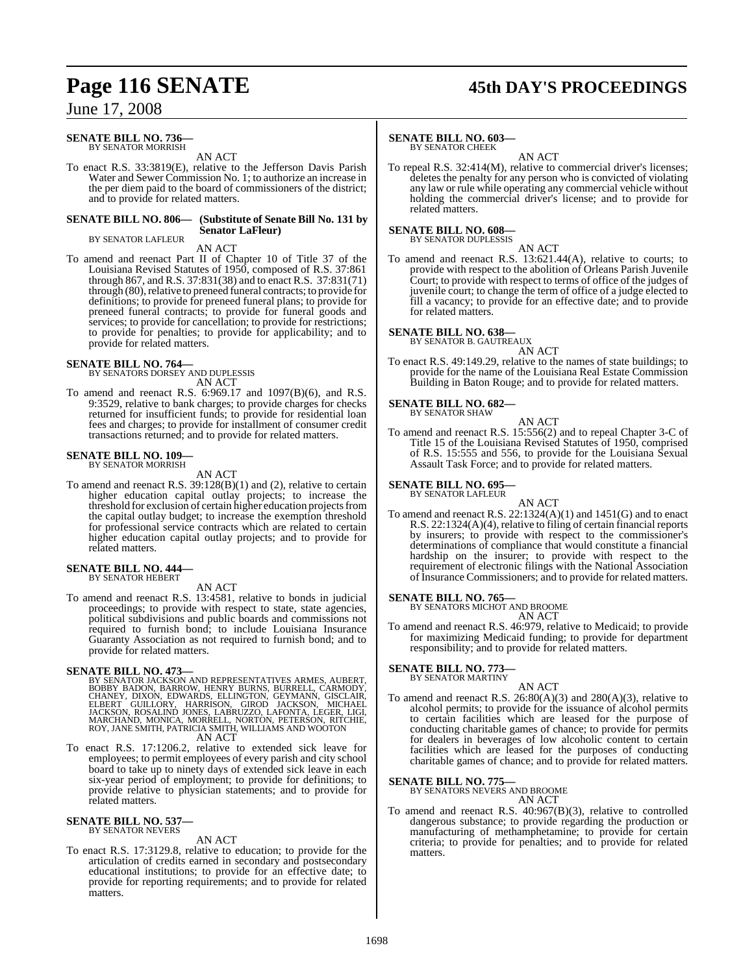## **Page 116 SENATE 45th DAY'S PROCEEDINGS**

### June 17, 2008

#### **SENATE BILL NO. 736—** BY SENATOR MORRISH

AN ACT

To enact R.S. 33:3819(E), relative to the Jefferson Davis Parish Water and Sewer Commission No. 1; to authorize an increase in the per diem paid to the board of commissioners of the district; and to provide for related matters.

#### **SENATE BILL NO. 806— (Substitute of Senate Bill No. 131 by Senator LaFleur)**

BY SENATOR LAFLEUR

AN ACT

To amend and reenact Part II of Chapter 10 of Title 37 of the Louisiana Revised Statutes of 1950, composed of R.S. 37:861 through 867, and R.S. 37:831(38) and to enact R.S. 37:831(71) through (80), relative to preneed funeral contracts; to provide for definitions; to provide for preneed funeral plans; to provide for preneed funeral contracts; to provide for funeral goods and services; to provide for cancellation; to provide for restrictions; to provide for penalties; to provide for applicability; and to provide for related matters.

#### **SENATE BILL NO. 764—** BY SENATORS DORSEY AND DUPLESSIS

AN ACT

To amend and reenact R.S. 6:969.17 and 1097(B)(6), and R.S. 9:3529, relative to bank charges; to provide charges for checks returned for insufficient funds; to provide for residential loan fees and charges; to provide for installment of consumer credit transactions returned; and to provide for related matters.

## **SENATE BILL NO. 109—** BY SENATOR MORRISH

AN ACT

To amend and reenact R.S. 39:128(B)(1) and (2), relative to certain higher education capital outlay projects; to increase the threshold for exclusion of certain higher education projects from the capital outlay budget; to increase the exemption threshold for professional service contracts which are related to certain higher education capital outlay projects; and to provide for related matters.

**SENATE BILL NO. 444—** BY SENATOR HEBERT

AN ACT

To amend and reenact R.S. 13:4581, relative to bonds in judicial proceedings; to provide with respect to state, state agencies, political subdivisions and public boards and commissions not required to furnish bond; to include Louisiana Insurance Guaranty Association as not required to furnish bond; and to provide for related matters.

### **SENATE BILL NO. 473—**

- BY SENATOR JACKSON AND REPRESENTATIVES ARMES, AUBERT,<br>BOBBY BADON, BARROW, HENRY BURNS, BURRELL, CARMODY,<br>CHANEY, DIXON, EDWARDS, ELLINGTON, GEYMANN, GISCLAIR,<br>ELBERT GUILLORY, HARRISON, GIROD JACKSON, MICHAEL<br>JACKSON, ROS AN ACT
- To enact R.S. 17:1206.2, relative to extended sick leave for employees; to permit employees of every parish and city school board to take up to ninety days of extended sick leave in each six-year period of employment; to provide for definitions; to provide relative to physician statements; and to provide for related matters.

#### **SENATE BILL NO. 537—** BY SENATOR NEVERS

AN ACT

To enact R.S. 17:3129.8, relative to education; to provide for the articulation of credits earned in secondary and postsecondary educational institutions; to provide for an effective date; to provide for reporting requirements; and to provide for related matters.

### **SENATE BILL NO. 603—**

BY SENATOR CHEEK

AN ACT To repeal R.S. 32:414(M), relative to commercial driver's licenses; deletes the penalty for any person who is convicted of violating any law or rule while operating any commercial vehicle without holding the commercial driver's license; and to provide for related matters.

#### **SENATE BILL NO. 608—** BY SENATOR DUPLESSIS

AN ACT

To amend and reenact R.S. 13:621.44(A), relative to courts; to provide with respect to the abolition of Orleans Parish Juvenile Court; to provide with respect to terms of office of the judges of juvenile court; to change the term of office of a judge elected to fill a vacancy; to provide for an effective date; and to provide for related matters.

**SENATE BILL NO. 638—** BY SENATOR B. GAUTREAUX

AN ACT

To enact R.S. 49:149.29, relative to the names of state buildings; to provide for the name of the Louisiana Real Estate Commission Building in Baton Rouge; and to provide for related matters.

## **SENATE BILL NO. 682—** BY SENATOR SHAW

AN ACT

To amend and reenact R.S. 15:556(2) and to repeal Chapter 3-C of Title 15 of the Louisiana Revised Statutes of 1950, comprised of R.S. 15:555 and 556, to provide for the Louisiana Sexual Assault Task Force; and to provide for related matters.

## **SENATE BILL NO. 695—** BY SENATOR LAFLEUR

AN ACT To amend and reenact R.S.  $22:1324(A)(1)$  and  $1451(G)$  and to enact R.S. 22:1324(A)(4), relative to filing of certain financial reports by insurers; to provide with respect to the commissioner's determinations of compliance that would constitute a financial hardship on the insurer; to provide with respect to the requirement of electronic filings with the National Association of Insurance Commissioners; and to provide for related matters.

## **SENATE BILL NO. 765—** BY SENATORS MICHOT AND BROOME

AN ACT

To amend and reenact R.S. 46:979, relative to Medicaid; to provide for maximizing Medicaid funding; to provide for department responsibility; and to provide for related matters.

### **SENATE BILL NO. 773—**

BY SENATOR MARTINY

- AN ACT
- To amend and reenact R.S.  $26:80(A)(3)$  and  $280(A)(3)$ , relative to alcohol permits; to provide for the issuance of alcohol permits to certain facilities which are leased for the purpose of conducting charitable games of chance; to provide for permits for dealers in beverages of low alcoholic content to certain facilities which are leased for the purposes of conducting charitable games of chance; and to provide for related matters.

#### **SENATE BILL NO. 775—**

BY SENATORS NEVERS AND BROOME AN ACT

To amend and reenact R.S. 40:967(B)(3), relative to controlled dangerous substance; to provide regarding the production or manufacturing of methamphetamine; to provide for certain criteria; to provide for penalties; and to provide for related matters.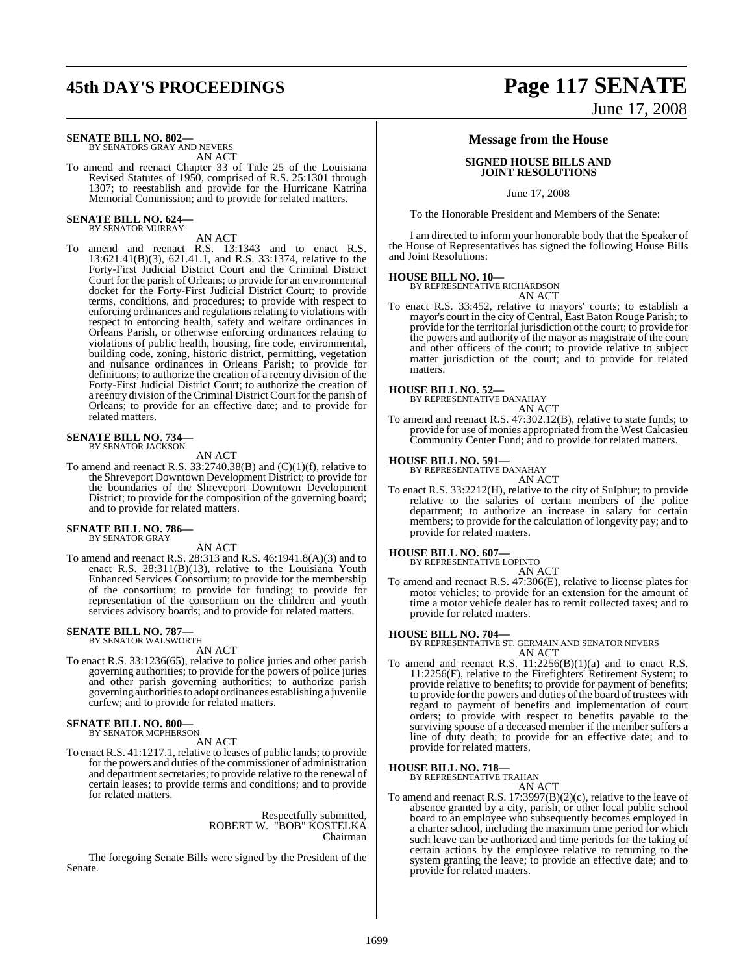**SENATE BILL NO. 802—**

BY SENATORS GRAY AND NEVERS AN ACT

To amend and reenact Chapter 33 of Title 25 of the Louisiana Revised Statutes of 1950, comprised of R.S. 25:1301 through 1307; to reestablish and provide for the Hurricane Katrina Memorial Commission; and to provide for related matters.

## **SENATE BILL NO. 624—** BY SENATOR MURRAY

AN ACT

To amend and reenact R.S. 13:1343 and to enact R.S. 13:621.41(B)(3), 621.41.1, and R.S. 33:1374, relative to the Forty-First Judicial District Court and the Criminal District Court for the parish of Orleans; to provide for an environmental docket for the Forty-First Judicial District Court; to provide terms, conditions, and procedures; to provide with respect to enforcing ordinances and regulations relating to violations with respect to enforcing health, safety and welfare ordinances in Orleans Parish, or otherwise enforcing ordinances relating to violations of public health, housing, fire code, environmental, building code, zoning, historic district, permitting, vegetation and nuisance ordinances in Orleans Parish; to provide for definitions; to authorize the creation of a reentry division of the Forty-First Judicial District Court; to authorize the creation of a reentry division of the Criminal District Court for the parish of Orleans; to provide for an effective date; and to provide for related matters.

#### **SENATE BILL NO. 734—** BY SENATOR JACKSON

AN ACT

To amend and reenact R.S. 33:2740.38(B) and (C)(1)(f), relative to the Shreveport Downtown Development District; to provide for the boundaries of the Shreveport Downtown Development District; to provide for the composition of the governing board; and to provide for related matters.

**SENATE BILL NO. 786—**

BY SENATOR GRAY

AN ACT

To amend and reenact R.S. 28:313 and R.S. 46:1941.8(A)(3) and to enact R.S. 28:311(B)(13), relative to the Louisiana Youth Enhanced Services Consortium; to provide for the membership of the consortium; to provide for funding; to provide for representation of the consortium on the children and youth services advisory boards; and to provide for related matters.

## **SENATE BILL NO. 787—** BY SENATOR WALSWORTH

AN ACT

To enact R.S. 33:1236(65), relative to police juries and other parish governing authorities; to provide for the powers of police juries and other parish governing authorities; to authorize parish governing authorities to adopt ordinances establishing a juvenile curfew; and to provide for related matters.

#### **SENATE BILL NO. 800—** BY SENATOR MCPHERSON

AN ACT

To enact R.S. 41:1217.1, relative to leases of public lands; to provide for the powers and duties of the commissioner of administration and department secretaries; to provide relative to the renewal of certain leases; to provide terms and conditions; and to provide for related matters.

> Respectfully submitted, ROBERT W. "BOB" KOSTELKA Chairman

The foregoing Senate Bills were signed by the President of the Senate.

## **45th DAY'S PROCEEDINGS Page 117 SENATE** June 17, 2008

### **Message from the House**

### **SIGNED HOUSE BILLS AND JOINT RESOLUTIONS**

June 17, 2008

To the Honorable President and Members of the Senate:

I am directed to inform your honorable body that the Speaker of the House of Representatives has signed the following House Bills and Joint Resolutions:

## **HOUSE BILL NO. 10—** BY REPRESENTATIVE RICHARDSON

AN ACT

To enact R.S. 33:452, relative to mayors' courts; to establish a mayor's court in the city of Central, East Baton Rouge Parish; to provide for the territorial jurisdiction of the court; to provide for the powers and authority of the mayor as magistrate of the court and other officers of the court; to provide relative to subject matter jurisdiction of the court; and to provide for related matters.

## **HOUSE BILL NO. 52—** BY REPRESENTATIVE DANAHAY

AN ACT

To amend and reenact R.S. 47:302.12(B), relative to state funds; to provide for use of monies appropriated fromthe West Calcasieu Community Center Fund; and to provide for related matters.

#### **HOUSE BILL NO. 591—**

BY REPRESENTATIVE DANAHAY AN ACT

To enact R.S. 33:2212(H), relative to the city of Sulphur; to provide relative to the salaries of certain members of the police department; to authorize an increase in salary for certain members; to provide for the calculation of longevity pay; and to provide for related matters.

## **HOUSE BILL NO. 607—** BY REPRESENTATIVE LOPINTO

AN ACT To amend and reenact R.S. 47:306(E), relative to license plates for motor vehicles; to provide for an extension for the amount of time a motor vehicle dealer has to remit collected taxes; and to provide for related matters.

**HOUSE BILL NO. 704—** BY REPRESENTATIVE ST. GERMAIN AND SENATOR NEVERS AN ACT

To amend and reenact R.S.  $11:2256(B)(1)(a)$  and to enact R.S. 11:2256(F), relative to the Firefighters' Retirement System; to provide relative to benefits; to provide for payment of benefits; to provide for the powers and duties of the board of trustees with regard to payment of benefits and implementation of court orders; to provide with respect to benefits payable to the surviving spouse of a deceased member if the member suffers a line of duty death; to provide for an effective date; and to provide for related matters.

## **HOUSE BILL NO. 718—** BY REPRESENTATIVE TRAHAN

AN ACT

To amend and reenact R.S. 17:3997(B)(2)(c), relative to the leave of absence granted by a city, parish, or other local public school board to an employee who subsequently becomes employed in a charter school, including the maximum time period for which such leave can be authorized and time periods for the taking of certain actions by the employee relative to returning to the system granting the leave; to provide an effective date; and to provide for related matters.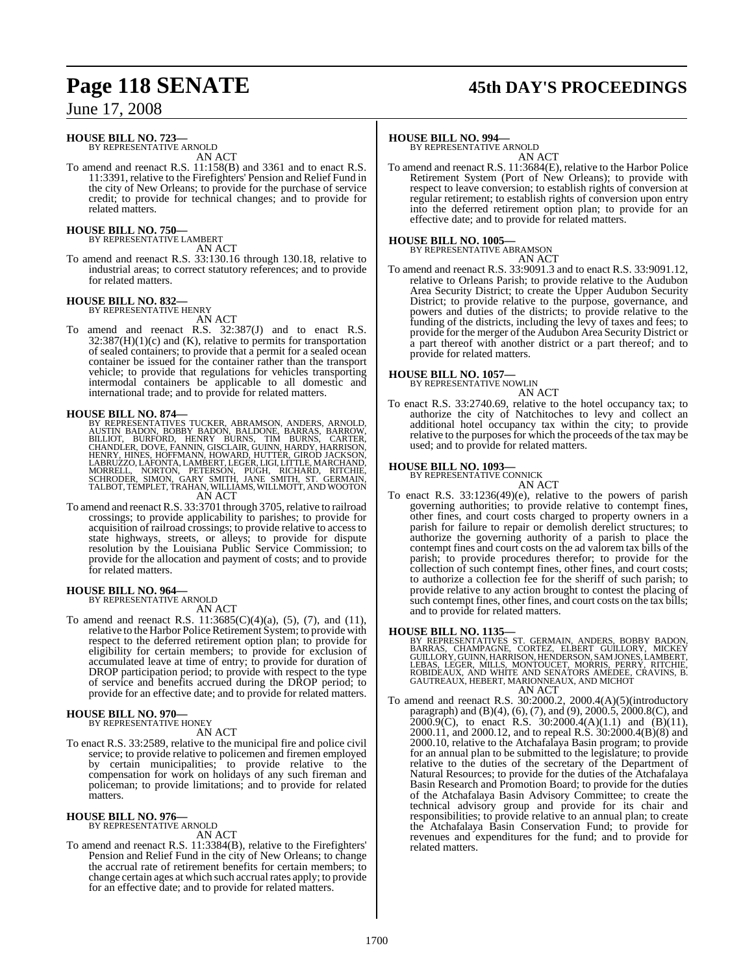### June 17, 2008

### **HOUSE BILL NO. 723—**

BY REPRESENTATIVE ARNOLD AN ACT

To amend and reenact R.S. 11:158(B) and 3361 and to enact R.S. 11:3391, relative to the Firefighters' Pension and Relief Fund in the city of New Orleans; to provide for the purchase of service credit; to provide for technical changes; and to provide for related matters.

#### **HOUSE BILL NO. 750—** BY REPRESENTATIVE LAMBERT

AN ACT

To amend and reenact R.S. 33:130.16 through 130.18, relative to industrial areas; to correct statutory references; and to provide for related matters.

### **HOUSE BILL NO. 832—**

BY REPRESENTATIVE HENRY

- AN ACT
- To amend and reenact R.S. 32:387(J) and to enact R.S.  $32:387(H)(1)(c)$  and (K), relative to permits for transportation of sealed containers; to provide that a permit for a sealed ocean container be issued for the container rather than the transport vehicle; to provide that regulations for vehicles transporting intermodal containers be applicable to all domestic and international trade; and to provide for related matters.

### **HOUSE BILL NO. 874—**

- BY REPRESENTATIVES TUCKER, ABRAMSON, ANDERS, ARNOLD,<br>AUSTIN BADON, BOBBY BADON, BALDONE, BARRAS, BARROW,<br>BILLIOT, BURFORD, HENRY BURNS, TIM BURNS, CARTER,<br>CHANDLER, DOVE, FANNIN, HOWARD, HUTTER, GIRNY, HARRISON,<br>HENRY, HIN AN ACT
- To amend and reenact R.S. 33:3701 through 3705, relative to railroad crossings; to provide applicability to parishes; to provide for acquisition of railroad crossings; to provide relative to accessto state highways, streets, or alleys; to provide for dispute resolution by the Louisiana Public Service Commission; to provide for the allocation and payment of costs; and to provide for related matters.

### **HOUSE BILL NO. 964—**

BY REPRESENTATIVE ARNOLD

- AN ACT
- To amend and reenact R.S.  $11:3685(C)(4)(a)$ ,  $(5)$ ,  $(7)$ , and  $(11)$ , relative to the Harbor Police Retirement System; to provide with respect to the deferred retirement option plan; to provide for eligibility for certain members; to provide for exclusion of accumulated leave at time of entry; to provide for duration of DROP participation period; to provide with respect to the type of service and benefits accrued during the DROP period; to provide for an effective date; and to provide for related matters.

### **HOUSE BILL NO. 970—**

BY REPRESENTATIVE HONEY

- AN ACT
- To enact R.S. 33:2589, relative to the municipal fire and police civil service; to provide relative to policemen and firemen employed by certain municipalities; to provide relative to the compensation for work on holidays of any such fireman and policeman; to provide limitations; and to provide for related matters.

#### **HOUSE BILL NO. 976—**

BY REPRESENTATIVE ARNOLD AN ACT

To amend and reenact R.S. 11:3384(B), relative to the Firefighters' Pension and Relief Fund in the city of New Orleans; to change the accrual rate of retirement benefits for certain members; to change certain ages at which such accrual rates apply; to provide for an effective date; and to provide for related matters.

## **Page 118 SENATE 45th DAY'S PROCEEDINGS**

#### **HOUSE BILL NO. 994—**

BY REPRESENTATIVE ARNOLD AN ACT

To amend and reenact R.S. 11:3684(E), relative to the Harbor Police Retirement System (Port of New Orleans); to provide with respect to leave conversion; to establish rights of conversion at regular retirement; to establish rights of conversion upon entry into the deferred retirement option plan; to provide for an effective date; and to provide for related matters.

## **HOUSE BILL NO. 1005—** BY REPRESENTATIVE ABRAMSON

AN ACT

To amend and reenact R.S. 33:9091.3 and to enact R.S. 33:9091.12, relative to Orleans Parish; to provide relative to the Audubon Area Security District; to create the Upper Audubon Security District; to provide relative to the purpose, governance, and powers and duties of the districts; to provide relative to the funding of the districts, including the levy of taxes and fees; to provide for the merger of the Audubon Area Security District or a part thereof with another district or a part thereof; and to provide for related matters.

## **HOUSE BILL NO. 1057—** BY REPRESENTATIVE NOWLIN

AN ACT

To enact R.S. 33:2740.69, relative to the hotel occupancy tax; to authorize the city of Natchitoches to levy and collect an additional hotel occupancy tax within the city; to provide relative to the purposes for which the proceeds of the tax may be used; and to provide for related matters.

### **HOUSE BILL NO. 1093—**

BY REPRESENTATIVE CONNICK

AN ACT

To enact R.S. 33:1236(49)(e), relative to the powers of parish governing authorities; to provide relative to contempt fines, other fines, and court costs charged to property owners in a parish for failure to repair or demolish derelict structures; to authorize the governing authority of a parish to place the contempt fines and court costs on the ad valorem tax bills of the parish; to provide procedures therefor; to provide for the collection of such contempt fines, other fines, and court costs; to authorize a collection fee for the sheriff of such parish; to provide relative to any action brought to contest the placing of such contempt fines, other fines, and court costs on the tax bills; and to provide for related matters.

related matters.

**HOUSE BILL NO. 1135—**<br>BY REPRESENTATIVES ST. GERMAIN, ANDERS, BOBBY BADON,<br>BARRAS, CHAMPAGNE, CORTEZ, ELBERT GUILLORY, MICKEY<br>GUILLORY, GUINN, HARRISON, HENDERSON, SAMJONES, LAMBERT,<br>LEBAS, LEGER, MILLS, MONTOUCET, MORRIS

AN ACT To amend and reenact R.S. 30:2000.2, 2000.4(A)(5)(introductory paragraph) and (B)(4), (6), (7), and (9), 2000.5, 2000.8(C), and 2000.9(C), to enact R.S.  $30:2000.4(A)(1.1)$  and  $(B)(11)$ , 2000.11, and 2000.12, and to repeal R.S. 30:2000.4(B)(8) and 2000.10, relative to the Atchafalaya Basin program; to provide for an annual plan to be submitted to the legislature; to provide relative to the duties of the secretary of the Department of Natural Resources; to provide for the duties of the Atchafalaya Basin Research and Promotion Board; to provide for the duties of the Atchafalaya Basin Advisory Committee; to create the technical advisory group and provide for its chair and responsibilities; to provide relative to an annual plan; to create the Atchafalaya Basin Conservation Fund; to provide for revenues and expenditures for the fund; and to provide for